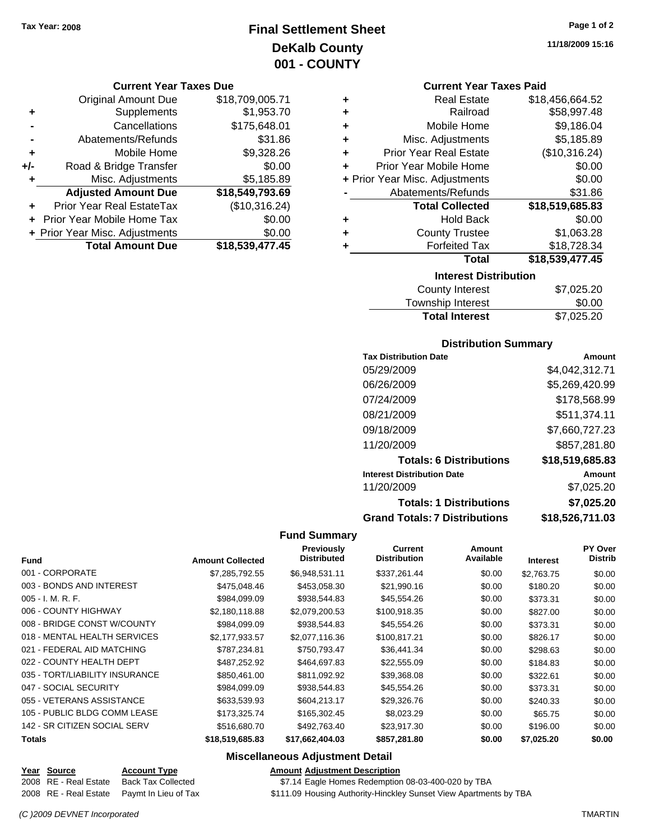# **Final Settlement Sheet Tax Year: 2008 Page 1 of 2 DeKalb County 001 - COUNTY**

#### **Current Year Taxes Due**

|       | <b>Original Amount Due</b>     | \$18,709,005.71 |
|-------|--------------------------------|-----------------|
| ٠     | Supplements                    | \$1,953.70      |
|       | Cancellations                  | \$175,648.01    |
|       | Abatements/Refunds             | \$31.86         |
| ٠     | Mobile Home                    | \$9,328.26      |
| $+/-$ | Road & Bridge Transfer         | \$0.00          |
| ٠     | Misc. Adjustments              | \$5,185.89      |
|       | <b>Adjusted Amount Due</b>     | \$18,549,793.69 |
|       | Prior Year Real EstateTax      | (\$10,316.24)   |
|       | Prior Year Mobile Home Tax     | \$0.00          |
|       | + Prior Year Misc. Adjustments | \$0.00          |
|       | <b>Total Amount Due</b>        | \$18,539,477.45 |

#### **Current Year Taxes Paid**

| ٠ | <b>Real Estate</b>             | \$18,456,664.52 |  |  |  |
|---|--------------------------------|-----------------|--|--|--|
| ٠ | Railroad                       | \$58,997.48     |  |  |  |
| ٠ | Mobile Home                    | \$9,186.04      |  |  |  |
| ٠ | Misc. Adjustments              | \$5,185.89      |  |  |  |
| ÷ | <b>Prior Year Real Estate</b>  | (\$10,316.24)   |  |  |  |
| ÷ | Prior Year Mobile Home         | \$0.00          |  |  |  |
|   | + Prior Year Misc. Adjustments | \$0.00          |  |  |  |
|   | Abatements/Refunds             | \$31.86         |  |  |  |
|   | <b>Total Collected</b>         | \$18,519,685.83 |  |  |  |
| ٠ | <b>Hold Back</b>               | \$0.00          |  |  |  |
| ٠ | <b>County Trustee</b>          | \$1,063.28      |  |  |  |
| ٠ | <b>Forfeited Tax</b>           | \$18,728.34     |  |  |  |
|   | Total                          | \$18,539,477.45 |  |  |  |
|   | <b>Interest Distribution</b>   |                 |  |  |  |

| County Interest       | \$7,025.20 |
|-----------------------|------------|
| Township Interest     | \$0.00     |
| <b>Total Interest</b> | \$7,025.20 |

#### **Distribution Summary**

| <b>Tax Distribution Date</b>         | Amount          |
|--------------------------------------|-----------------|
| 05/29/2009                           | \$4,042,312.71  |
| 06/26/2009                           | \$5,269,420.99  |
| 07/24/2009                           | \$178,568.99    |
| 08/21/2009                           | \$511,374.11    |
| 09/18/2009                           | \$7,660,727.23  |
| 11/20/2009                           | \$857,281.80    |
| <b>Totals: 6 Distributions</b>       | \$18,519,685.83 |
| <b>Interest Distribution Date</b>    | Amount          |
| 11/20/2009                           | \$7,025.20      |
| <b>Totals: 1 Distributions</b>       | \$7,025.20      |
| <b>Grand Totals: 7 Distributions</b> | \$18,526,711.03 |

#### **Fund Summary**

| <b>Fund</b>                    | <b>Amount Collected</b> | <b>Previously</b><br><b>Distributed</b> | <b>Current</b><br><b>Distribution</b> | Amount<br>Available | <b>Interest</b> | <b>PY Over</b><br><b>Distrib</b> |
|--------------------------------|-------------------------|-----------------------------------------|---------------------------------------|---------------------|-----------------|----------------------------------|
|                                |                         |                                         |                                       |                     |                 |                                  |
| 001 - CORPORATE                | \$7,285,792.55          | \$6,948,531.11                          | \$337,261.44                          | \$0.00              | \$2,763.75      | \$0.00                           |
| 003 - BONDS AND INTEREST       | \$475,048.46            | \$453,058.30                            | \$21,990.16                           | \$0.00              | \$180.20        | \$0.00                           |
| $005 - I. M. R. F.$            | \$984,099.09            | \$938,544.83                            | \$45,554.26                           | \$0.00              | \$373.31        | \$0.00                           |
| 006 - COUNTY HIGHWAY           | \$2,180,118.88          | \$2,079,200.53                          | \$100,918.35                          | \$0.00              | \$827.00        | \$0.00                           |
| 008 - BRIDGE CONST W/COUNTY    | \$984,099.09            | \$938,544.83                            | \$45,554.26                           | \$0.00              | \$373.31        | \$0.00                           |
| 018 - MENTAL HEALTH SERVICES   | \$2,177,933.57          | \$2,077,116.36                          | \$100,817.21                          | \$0.00              | \$826.17        | \$0.00                           |
| 021 - FEDERAL AID MATCHING     | \$787,234.81            | \$750,793.47                            | \$36,441.34                           | \$0.00              | \$298.63        | \$0.00                           |
| 022 - COUNTY HEALTH DEPT       | \$487,252.92            | \$464,697.83                            | \$22,555.09                           | \$0.00              | \$184.83        | \$0.00                           |
| 035 - TORT/LIABILITY INSURANCE | \$850,461.00            | \$811,092.92                            | \$39,368.08                           | \$0.00              | \$322.61        | \$0.00                           |
| 047 - SOCIAL SECURITY          | \$984,099.09            | \$938,544.83                            | \$45,554.26                           | \$0.00              | \$373.31        | \$0.00                           |
| 055 - VETERANS ASSISTANCE      | \$633,539.93            | \$604,213.17                            | \$29,326.76                           | \$0.00              | \$240.33        | \$0.00                           |
| 105 - PUBLIC BLDG COMM LEASE   | \$173,325.74            | \$165,302.45                            | \$8,023.29                            | \$0.00              | \$65.75         | \$0.00                           |
| 142 - SR CITIZEN SOCIAL SERV   | \$516,680.70            | \$492,763.40                            | \$23,917.30                           | \$0.00              | \$196.00        | \$0.00                           |
| <b>Totals</b>                  | \$18,519,685.83         | \$17,662,404.03                         | \$857,281.80                          | \$0.00              | \$7,025.20      | \$0.00                           |

#### **Miscellaneous Adjustment Detail**

| <b>Amount Adiustment Description</b> |  |  |  |
|--------------------------------------|--|--|--|
|                                      |  |  |  |

2008 RE - Real Estate Back Tax Collected \$7.14 Eagle Homes Redemption 08-03-400-020 by TBA

2008 RE - Real Estate Paymt In Lieu of Tax \$111.09 Housing Authority-Hinckley Sunset View Apartments by TBA

**Year Source Account Type**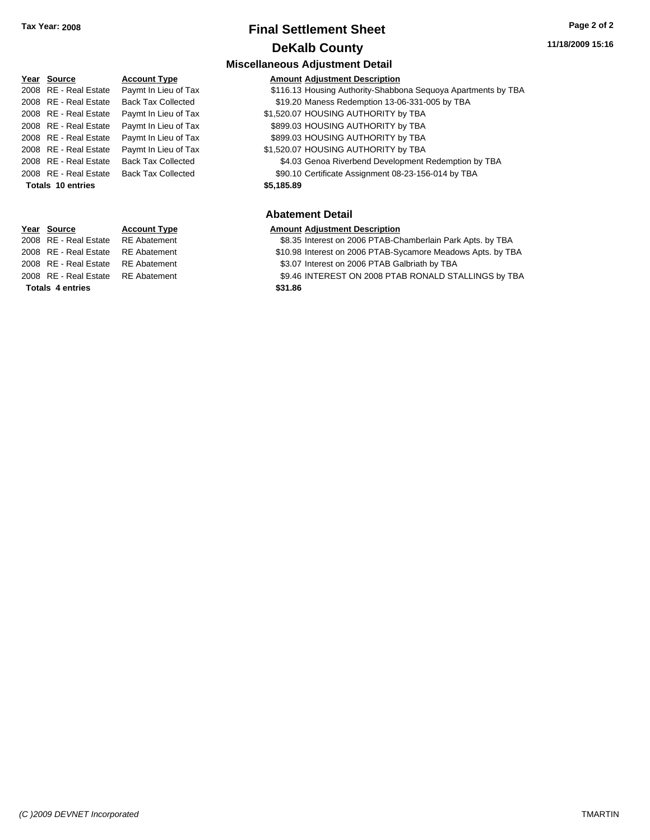# **Final Settlement Sheet Tax Year: 2008 Page 2 of 2 DeKalb County**

#### **11/18/2009 15:16**

|      |                       |                           | <b>Miscellaneous Adjustment Detail</b>                        |
|------|-----------------------|---------------------------|---------------------------------------------------------------|
|      | Year Source           | <b>Account Type</b>       | <b>Amount Adjustment Description</b>                          |
|      | 2008 RE - Real Estate | Paymt In Lieu of Tax      | \$116.13 Housing Authority-Shabbona Sequoya Apartments by TBA |
|      | 2008 RE - Real Estate | <b>Back Tax Collected</b> | \$19.20 Maness Redemption 13-06-331-005 by TBA                |
|      | 2008 RE - Real Estate | Paymt In Lieu of Tax      | \$1,520.07 HOUSING AUTHORITY by TBA                           |
|      | 2008 RE - Real Estate | Paymt In Lieu of Tax      | \$899.03 HOUSING AUTHORITY by TBA                             |
|      | 2008 RE - Real Estate | Paymt In Lieu of Tax      | \$899.03 HOUSING AUTHORITY by TBA                             |
|      | 2008 RE - Real Estate | Paymt In Lieu of Tax      | \$1,520.07 HOUSING AUTHORITY by TBA                           |
|      | 2008 RE - Real Estate | <b>Back Tax Collected</b> | \$4.03 Genoa Riverbend Development Redemption by TBA          |
|      | 2008 RE - Real Estate | <b>Back Tax Collected</b> | \$90.10 Certificate Assignment 08-23-156-014 by TBA           |
|      | Totals 10 entries     |                           | \$5,185.89                                                    |
|      |                       |                           | <b>Abatement Detail</b>                                       |
| rear | Source                | <b>Account Type</b>       | <b>Amount Adjustment Description</b>                          |

2008 RE - Real Estate RE Abatement \$8.35 Interest on 2006 PTAB-Chamberlain Park Apts. by TBA

- 2008 RE Real Estate RE Abatement \$10.98 Interest on 2006 PTAB-Sycamore Meadows Apts. by TBA
- 2008 RE Real Estate \$3.07 Interest on 2006 PTAB Galbriath by TBA RE Abatement
- 2008 RE Real Estate RE Abatement \$9.46 INTEREST ON 2008 PTAB RONALD STALLINGS by TBA

**Totals \$31.86 4 entries**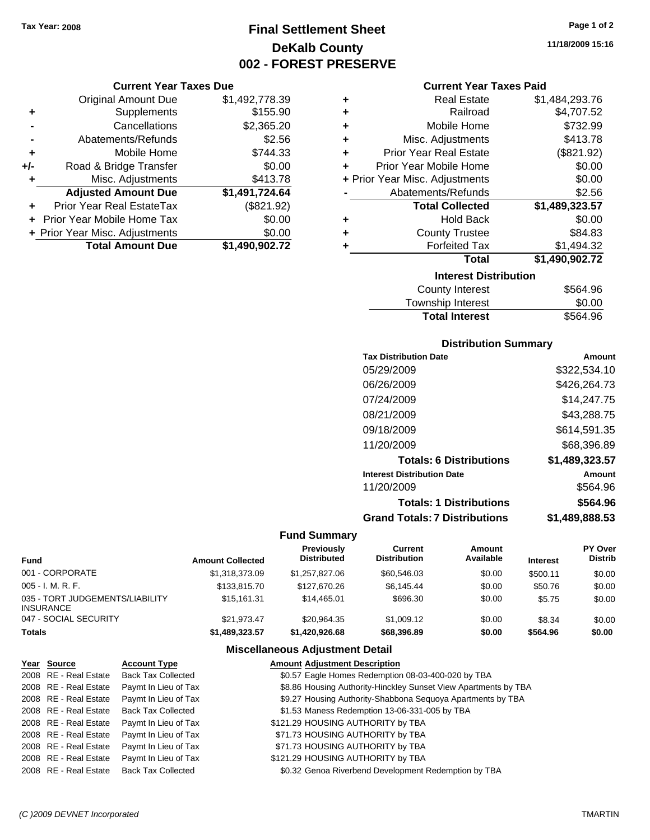**Current Year Taxes Due** Original Amount Due \$1,492,778.39

**Adjusted Amount Due \$1,491,724.64**

**Total Amount Due \$1,490,902.72**

**+** Supplements \$155.90 **-** Cancellations \$2,365.20 **-** Abatements/Refunds \$2.56 **+** Mobile Home \$744.33 **+/-** Road & Bridge Transfer \$0.00 **+** Misc. Adjustments \$413.78

**+** Prior Year Real EstateTax (\$821.92) **+** Prior Year Mobile Home Tax \$0.00 **+ Prior Year Misc. Adjustments**  $$0.00$ 

# **Final Settlement Sheet Tax Year: 2008 Page 1 of 2 DeKalb County 002 - FOREST PRESERVE**

**11/18/2009 15:16**

#### **Current Year Taxes Paid**

| ٠ | <b>Real Estate</b>             | \$1,484,293.76 |
|---|--------------------------------|----------------|
| ٠ | Railroad                       | \$4,707.52     |
| ٠ | Mobile Home                    | \$732.99       |
| ٠ | Misc. Adjustments              | \$413.78       |
| ٠ | <b>Prior Year Real Estate</b>  | (\$821.92)     |
| ٠ | Prior Year Mobile Home         | \$0.00         |
|   | + Prior Year Misc. Adjustments | \$0.00         |
|   | Abatements/Refunds             | \$2.56         |
|   | <b>Total Collected</b>         | \$1,489,323.57 |
| ٠ | <b>Hold Back</b>               | \$0.00         |
| ٠ | <b>County Trustee</b>          | \$84.83        |
| ÷ | <b>Forfeited Tax</b>           | \$1,494.32     |
|   | Total                          | \$1,490,902.72 |
|   | <b>Interest Distribution</b>   |                |
|   | County Interest                | S564 96        |

| <b>Total Interest</b> | \$564.96 |
|-----------------------|----------|
| Township Interest     | \$0.00   |
| County Interest       | \$564.96 |

#### **Distribution Summary**

| <b>Tax Distribution Date</b>         | Amount         |
|--------------------------------------|----------------|
| 05/29/2009                           | \$322,534.10   |
| 06/26/2009                           | \$426,264.73   |
| 07/24/2009                           | \$14,247.75    |
| 08/21/2009                           | \$43,288.75    |
| 09/18/2009                           | \$614,591.35   |
| 11/20/2009                           | \$68,396.89    |
| <b>Totals: 6 Distributions</b>       | \$1,489,323.57 |
| <b>Interest Distribution Date</b>    | Amount         |
| 11/20/2009                           | \$564.96       |
| <b>Totals: 1 Distributions</b>       | \$564.96       |
| <b>Grand Totals: 7 Distributions</b> | \$1,489,888.53 |

#### **Fund Summary**

| Fund                                         | <b>Amount Collected</b> | Previously<br><b>Distributed</b> | Current<br><b>Distribution</b> | Amount<br>Available | <b>Interest</b> | <b>PY Over</b><br><b>Distrib</b> |
|----------------------------------------------|-------------------------|----------------------------------|--------------------------------|---------------------|-----------------|----------------------------------|
| 001 - CORPORATE                              | \$1.318.373.09          | \$1.257.827.06                   | \$60,546.03                    | \$0.00              | \$500.11        | \$0.00                           |
| 005 - I. M. R. F.                            | \$133,815,70            | \$127,670,26                     | \$6.145.44                     | \$0.00              | \$50.76         | \$0.00                           |
| 035 - TORT JUDGEMENTS/LIABILITY<br>INSURANCE | \$15.161.31             | \$14,465.01                      | \$696.30                       | \$0.00              | \$5.75          | \$0.00                           |
| 047 - SOCIAL SECURITY                        | \$21.973.47             | \$20.964.35                      | \$1,009.12                     | \$0.00              | \$8.34          | \$0.00                           |
| Totals                                       | \$1,489,323.57          | \$1,420,926.68                   | \$68,396.89                    | \$0.00              | \$564.96        | \$0.00                           |

#### **Miscellaneous Adjustment Detail**

| Year Source           | <b>Account Type</b>       | <b>Amount Adjustment Description</b>                            |
|-----------------------|---------------------------|-----------------------------------------------------------------|
| 2008 RE - Real Estate | <b>Back Tax Collected</b> | \$0.57 Eagle Homes Redemption 08-03-400-020 by TBA              |
| 2008 RE - Real Estate | Paymt In Lieu of Tax      | \$8.86 Housing Authority-Hinckley Sunset View Apartments by TBA |
| 2008 RE - Real Estate | Paymt In Lieu of Tax      | \$9.27 Housing Authority-Shabbona Sequoya Apartments by TBA     |
| 2008 RE - Real Estate | <b>Back Tax Collected</b> | \$1.53 Maness Redemption 13-06-331-005 by TBA                   |
| 2008 RE - Real Estate | Paymt In Lieu of Tax      | \$121.29 HOUSING AUTHORITY by TBA                               |
| 2008 RE - Real Estate | Paymt In Lieu of Tax      | \$71.73 HOUSING AUTHORITY by TBA                                |
| 2008 RE - Real Estate | Paymt In Lieu of Tax      | \$71.73 HOUSING AUTHORITY by TBA                                |
| 2008 RE - Real Estate | Paymt In Lieu of Tax      | \$121.29 HOUSING AUTHORITY by TBA                               |
| 2008 RE - Real Estate | <b>Back Tax Collected</b> | \$0.32 Genoa Riverbend Development Redemption by TBA            |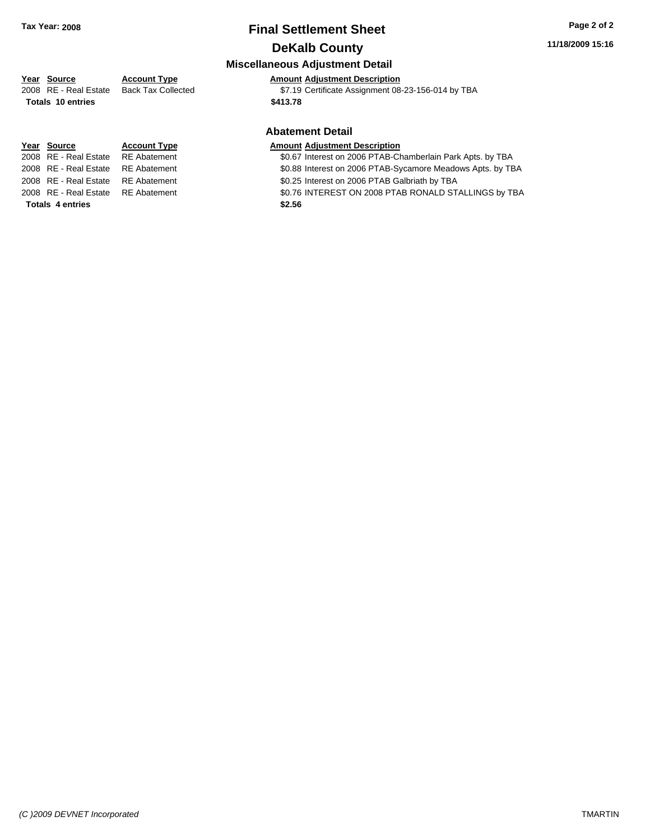# **Final Settlement Sheet Tax Year: 2008 Page 2 of 2 DeKalb County**

#### **11/18/2009 15:16**

#### **Miscellaneous Adjustment Detail**

## **Year Source Account Type Amount Adjustment Description**

2008 RE - Real Estate Back Tax Collected \$7.19 Certificate Assignment 08-23-156-014 by TBA

#### **Abatement Detail**

2008 RE - Real Estate RE Abatement \$0.67 Interest on 2006 PTAB-Chamberlain Park Apts. by TBA

- 2008 RE Real Estate RE Abatement **\$0.88 Interest on 2006 PTAB-Sycamore Meadows Apts. by TBA**
- 2008 RE Real Estate RE Abatement S0.25 Interest on 2006 PTAB Galbriath by TBA
- 2008 RE Real Estate RE Abatement \$0.76 INTEREST ON 2008 PTAB RONALD STALLINGS by TBA

# **Totals \$413.78 10 entries**

# **Year Source Account Type Amount Adjustment Description**

**Totals \$2.56 4 entries**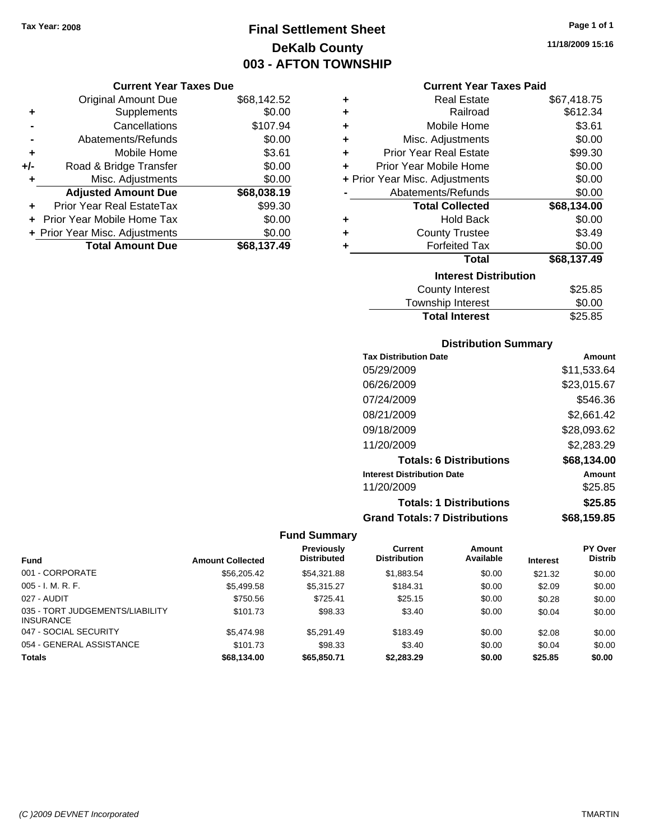# **Final Settlement Sheet Tax Year: 2008 Page 1 of 1 DeKalb County 003 - AFTON TOWNSHIP**

#### **Current Year Taxes Due**

|       | <b>Original Amount Due</b>       | \$68,142.52 |
|-------|----------------------------------|-------------|
| ٠     | Supplements                      | \$0.00      |
|       | Cancellations                    | \$107.94    |
|       | Abatements/Refunds               | \$0.00      |
| ÷     | Mobile Home                      | \$3.61      |
| $+/-$ | Road & Bridge Transfer           | \$0.00      |
| ٠     | Misc. Adjustments                | \$0.00      |
|       | <b>Adjusted Amount Due</b>       | \$68,038.19 |
|       | <b>Prior Year Real EstateTax</b> | \$99.30     |
|       | Prior Year Mobile Home Tax       | \$0.00      |
|       | + Prior Year Misc. Adjustments   | \$0.00      |
|       | <b>Total Amount Due</b>          | \$68,137,49 |

#### **Current Year Taxes Paid**

| ٠                            | <b>Real Estate</b>             | \$67,418.75 |  |  |  |
|------------------------------|--------------------------------|-------------|--|--|--|
| ٠                            | Railroad                       | \$612.34    |  |  |  |
| ٠                            | Mobile Home                    | \$3.61      |  |  |  |
| ٠                            | Misc. Adjustments              | \$0.00      |  |  |  |
| ٠                            | <b>Prior Year Real Estate</b>  | \$99.30     |  |  |  |
| ٠                            | Prior Year Mobile Home         | \$0.00      |  |  |  |
|                              | + Prior Year Misc. Adjustments | \$0.00      |  |  |  |
|                              | Abatements/Refunds             | \$0.00      |  |  |  |
|                              | <b>Total Collected</b>         | \$68,134.00 |  |  |  |
| ٠                            | <b>Hold Back</b>               | \$0.00      |  |  |  |
| ٠                            | <b>County Trustee</b>          | \$3.49      |  |  |  |
| ٠                            | <b>Forfeited Tax</b>           | \$0.00      |  |  |  |
|                              | Total                          | \$68,137.49 |  |  |  |
| <b>Interest Distribution</b> |                                |             |  |  |  |
|                              | <b>County Interest</b>         | \$25.85     |  |  |  |
|                              | <b>Township Interest</b>       | \$0.00      |  |  |  |
|                              | <b>Total Interest</b>          | \$25.85     |  |  |  |

#### **Distribution Summary**

| <b>Tax Distribution Date</b>         | Amount      |
|--------------------------------------|-------------|
| 05/29/2009                           | \$11,533.64 |
| 06/26/2009                           | \$23,015.67 |
| 07/24/2009                           | \$546.36    |
| 08/21/2009                           | \$2,661.42  |
| 09/18/2009                           | \$28,093.62 |
| 11/20/2009                           | \$2,283.29  |
| <b>Totals: 6 Distributions</b>       | \$68,134.00 |
| <b>Interest Distribution Date</b>    | Amount      |
| 11/20/2009                           | \$25.85     |
| <b>Totals: 1 Distributions</b>       | \$25.85     |
| <b>Grand Totals: 7 Distributions</b> | \$68,159.85 |

|                                                     |                         | <b>Previously</b>  | Current             | <b>Amount</b> |                 | <b>PY Over</b> |
|-----------------------------------------------------|-------------------------|--------------------|---------------------|---------------|-----------------|----------------|
| <b>Fund</b>                                         | <b>Amount Collected</b> | <b>Distributed</b> | <b>Distribution</b> | Available     | <b>Interest</b> | <b>Distrib</b> |
| 001 - CORPORATE                                     | \$56,205.42             | \$54.321.88        | \$1,883.54          | \$0.00        | \$21.32         | \$0.00         |
| $005 - I. M. R. F.$                                 | \$5,499.58              | \$5,315.27         | \$184.31            | \$0.00        | \$2.09          | \$0.00         |
| 027 - AUDIT                                         | \$750.56                | \$725.41           | \$25.15             | \$0.00        | \$0.28          | \$0.00         |
| 035 - TORT JUDGEMENTS/LIABILITY<br><b>INSURANCE</b> | \$101.73                | \$98.33            | \$3.40              | \$0.00        | \$0.04          | \$0.00         |
| 047 - SOCIAL SECURITY                               | \$5,474.98              | \$5.291.49         | \$183.49            | \$0.00        | \$2.08          | \$0.00         |
| 054 - GENERAL ASSISTANCE                            | \$101.73                | \$98.33            | \$3.40              | \$0.00        | \$0.04          | \$0.00         |
| <b>Totals</b>                                       | \$68.134.00             | \$65,850,71        | \$2,283,29          | \$0.00        | \$25.85         | \$0.00         |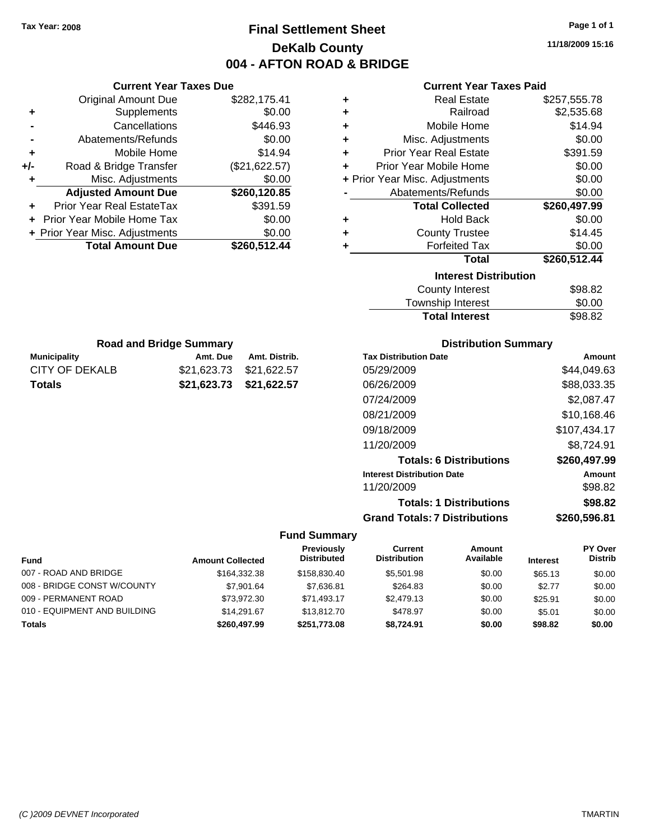**Current Year Taxes Due** Original Amount Due \$282,175.41

**Adjusted Amount Due \$260,120.85**

**Total Amount Due \$260,512.44**

**+** Supplements \$0.00 **-** Cancellations \$446.93 **-** Abatements/Refunds \$0.00 **+** Mobile Home \$14.94 **+/-** Road & Bridge Transfer (\$21,622.57) **+** Misc. Adjustments \$0.00

**+** Prior Year Real EstateTax \$391.59 **+** Prior Year Mobile Home Tax \$0.00 **+ Prior Year Misc. Adjustments**  $$0.00$ 

**Municipality Municipality** Amt. Due Amt. Distrib. **Road and Bridge Summary**

CITY OF DEKALB \$21,623.73 \$21,622.57 **Totals \$21,623.73 \$21,622.57**

# **Final Settlement Sheet Tax Year: 2008 Page 1 of 1 DeKalb County 004 - AFTON ROAD & BRIDGE**

**11/18/2009 15:16**

| <b>Current Year Taxes Paid</b> |  |  |  |
|--------------------------------|--|--|--|
|--------------------------------|--|--|--|

| ٠ | <b>Real Estate</b>             | \$257,555.78 |
|---|--------------------------------|--------------|
| ٠ | Railroad                       | \$2,535.68   |
| ÷ | Mobile Home                    | \$14.94      |
| ÷ | Misc. Adjustments              | \$0.00       |
| ÷ | <b>Prior Year Real Estate</b>  | \$391.59     |
| ÷ | Prior Year Mobile Home         | \$0.00       |
|   | + Prior Year Misc. Adjustments | \$0.00       |
|   | Abatements/Refunds             | \$0.00       |
|   | <b>Total Collected</b>         | \$260,497.99 |
| ٠ | <b>Hold Back</b>               | \$0.00       |
| ٠ | <b>County Trustee</b>          | \$14.45      |
| ٠ | <b>Forfeited Tax</b>           | \$0.00       |
|   | Total                          | \$260,512.44 |
|   | <b>Interest Distribution</b>   |              |
|   | <b>County Interest</b>         | \$98.82      |
|   | Township Interact              | ድስ ሰስ        |

| -----   |
|---------|
| \$0.00  |
| \$98.82 |
|         |

| Amount       |
|--------------|
| \$44,049.63  |
| \$88,033.35  |
| \$2,087.47   |
| \$10,168.46  |
| \$107,434.17 |
| \$8,724.91   |
| \$260,497.99 |
| Amount       |
| \$98.82      |
| \$98.82      |
| \$260.596.81 |
|              |

|                              |                         | <b>Previously</b>  | Current             | Amount    |                 | PY Over        |
|------------------------------|-------------------------|--------------------|---------------------|-----------|-----------------|----------------|
| <b>Fund</b>                  | <b>Amount Collected</b> | <b>Distributed</b> | <b>Distribution</b> | Available | <b>Interest</b> | <b>Distrib</b> |
| 007 - ROAD AND BRIDGE        | \$164,332,38            | \$158,830,40       | \$5.501.98          | \$0.00    | \$65.13         | \$0.00         |
| 008 - BRIDGE CONST W/COUNTY  | \$7.901.64              | \$7.636.81         | \$264.83            | \$0.00    | \$2.77          | \$0.00         |
| 009 - PERMANENT ROAD         | \$73.972.30             | \$71.493.17        | \$2,479.13          | \$0.00    | \$25.91         | \$0.00         |
| 010 - EQUIPMENT AND BUILDING | \$14.291.67             | \$13,812,70        | \$478.97            | \$0.00    | \$5.01          | \$0.00         |
| <b>Totals</b>                | \$260,497.99            | \$251,773.08       | \$8,724.91          | \$0.00    | \$98.82         | \$0.00         |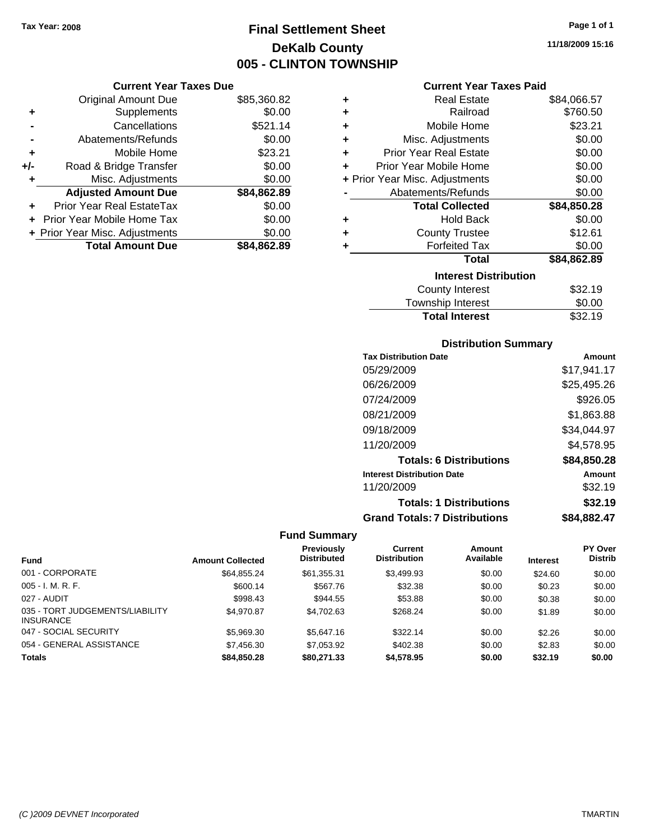**Current Year Taxes Due**

# **Final Settlement Sheet Tax Year: 2008 Page 1 of 1 DeKalb County 005 - CLINTON TOWNSHIP**

**11/18/2009 15:16**

#### **Current Year Taxes Paid**

|                      | OGITUIN TUUT TUAUJ DUU         |             |    | 9911911\ 1991 1989 - 919       |             |
|----------------------|--------------------------------|-------------|----|--------------------------------|-------------|
|                      | <b>Original Amount Due</b>     | \$85,360.82 | ٠  | <b>Real Estate</b>             | \$84,066.57 |
| ÷                    | Supplements                    | \$0.00      | ٠  | Railroad                       | \$760.50    |
|                      | Cancellations                  | \$521.14    | ٠  | Mobile Home                    | \$23.21     |
| $\blacksquare$       | Abatements/Refunds             | \$0.00      | ٠  | Misc. Adjustments              | \$0.00      |
| ٠                    | Mobile Home                    | \$23.21     |    | <b>Prior Year Real Estate</b>  | \$0.00      |
| I-                   | Road & Bridge Transfer         | \$0.00      | ÷. | Prior Year Mobile Home         | \$0.00      |
| ÷                    | Misc. Adjustments              | \$0.00      |    | + Prior Year Misc. Adjustments | \$0.00      |
|                      | <b>Adjusted Amount Due</b>     | \$84,862.89 |    | Abatements/Refunds             | \$0.00      |
| $\ddot{\phantom{1}}$ | Prior Year Real EstateTax      | \$0.00      |    | <b>Total Collected</b>         | \$84,850.28 |
|                      | + Prior Year Mobile Home Tax   | \$0.00      | ٠  | <b>Hold Back</b>               | \$0.00      |
|                      | + Prior Year Misc. Adjustments | \$0.00      | ٠  | <b>County Trustee</b>          | \$12.61     |
|                      | <b>Total Amount Due</b>        | \$84,862.89 |    | <b>Forfeited Tax</b>           | \$0.00      |
|                      |                                |             |    | Total                          | \$84,862.89 |
|                      |                                |             |    | <b>Interest Distribution</b>   |             |
|                      |                                |             |    | County Interest                | \$32.19     |
|                      |                                |             |    |                                |             |

## Township Interest \$0.00 Total Interest \$32.19

# **Distribution Summary**

| <b>Tax Distribution Date</b>         | Amount      |
|--------------------------------------|-------------|
| 05/29/2009                           | \$17,941.17 |
| 06/26/2009                           | \$25,495.26 |
| 07/24/2009                           | \$926.05    |
| 08/21/2009                           | \$1,863.88  |
| 09/18/2009                           | \$34,044.97 |
| 11/20/2009                           | \$4,578.95  |
| <b>Totals: 6 Distributions</b>       | \$84,850.28 |
| <b>Interest Distribution Date</b>    | Amount      |
| 11/20/2009                           | \$32.19     |
| <b>Totals: 1 Distributions</b>       | \$32.19     |
| <b>Grand Totals: 7 Distributions</b> | \$84,882.47 |

|                                                     |                         | <b>Previously</b>  | Current             | Amount    |                 | PY Over        |
|-----------------------------------------------------|-------------------------|--------------------|---------------------|-----------|-----------------|----------------|
| <b>Fund</b>                                         | <b>Amount Collected</b> | <b>Distributed</b> | <b>Distribution</b> | Available | <b>Interest</b> | <b>Distrib</b> |
| 001 - CORPORATE                                     | \$64.855.24             | \$61.355.31        | \$3,499.93          | \$0.00    | \$24.60         | \$0.00         |
| $005 - I. M. R. F.$                                 | \$600.14                | \$567.76           | \$32.38             | \$0.00    | \$0.23          | \$0.00         |
| 027 - AUDIT                                         | \$998.43                | \$944.55           | \$53.88             | \$0.00    | \$0.38          | \$0.00         |
| 035 - TORT JUDGEMENTS/LIABILITY<br><b>INSURANCE</b> | \$4.970.87              | \$4,702.63         | \$268.24            | \$0.00    | \$1.89          | \$0.00         |
| 047 - SOCIAL SECURITY                               | \$5,969.30              | \$5,647.16         | \$322.14            | \$0.00    | \$2.26          | \$0.00         |
| 054 - GENERAL ASSISTANCE                            | \$7,456.30              | \$7,053.92         | \$402.38            | \$0.00    | \$2.83          | \$0.00         |
| <b>Totals</b>                                       | \$84,850,28             | \$80,271,33        | \$4,578.95          | \$0.00    | \$32.19         | \$0.00         |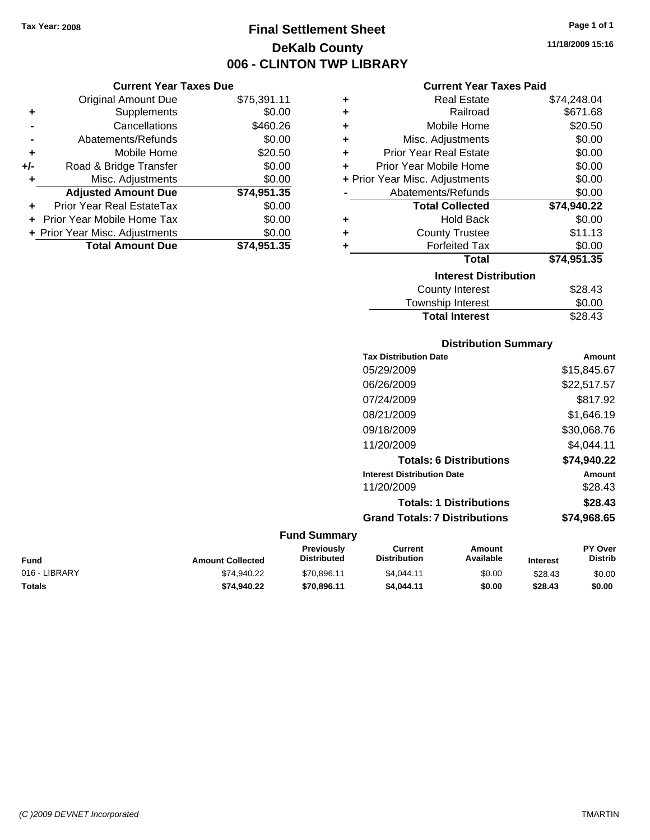**Current Year Taxes Due** Original Amount Due \$75,391.11

**Adjusted Amount Due \$74,951.35**

**Total Amount Due \$74,951.35**

**+** Supplements \$0.00 **-** Cancellations \$460.26 **-** Abatements/Refunds \$0.00 **+** Mobile Home \$20.50 **+/-** Road & Bridge Transfer \$0.00 **+** Misc. Adjustments \$0.00

**+** Prior Year Real EstateTax \$0.00 **+** Prior Year Mobile Home Tax \$0.00 **+ Prior Year Misc. Adjustments**  $$0.00$ 

# **Final Settlement Sheet Tax Year: 2008 Page 1 of 1 DeKalb County 006 - CLINTON TWP LIBRARY**

**11/18/2009 15:16**

#### **Current Year Taxes Paid**

| ٠ | <b>Real Estate</b>             | \$74,248.04 |  |  |  |
|---|--------------------------------|-------------|--|--|--|
| ٠ | Railroad                       | \$671.68    |  |  |  |
| ٠ | Mobile Home                    | \$20.50     |  |  |  |
| ٠ | Misc. Adjustments              | \$0.00      |  |  |  |
| ÷ | <b>Prior Year Real Estate</b>  | \$0.00      |  |  |  |
| ٠ | Prior Year Mobile Home         | \$0.00      |  |  |  |
|   | + Prior Year Misc. Adjustments | \$0.00      |  |  |  |
|   | Abatements/Refunds             | \$0.00      |  |  |  |
|   | <b>Total Collected</b>         | \$74,940.22 |  |  |  |
| ٠ | <b>Hold Back</b>               | \$0.00      |  |  |  |
| ٠ | <b>County Trustee</b>          | \$11.13     |  |  |  |
| ٠ | <b>Forfeited Tax</b>           | \$0.00      |  |  |  |
|   | Total                          | \$74,951.35 |  |  |  |
|   | <b>Interest Distribution</b>   |             |  |  |  |
|   | <b>County Interest</b>         | \$28.43     |  |  |  |
|   | Township Interest              | \$0.00      |  |  |  |
|   | <b>Total Interest</b>          | \$28.43     |  |  |  |

#### **Distribution Summary**

| <b>Tax Distribution Date</b>         | Amount      |
|--------------------------------------|-------------|
| 05/29/2009                           | \$15.845.67 |
| 06/26/2009                           | \$22,517.57 |
| 07/24/2009                           | \$817.92    |
| 08/21/2009                           | \$1.646.19  |
| 09/18/2009                           | \$30,068.76 |
| 11/20/2009                           | \$4.044.11  |
| <b>Totals: 6 Distributions</b>       | \$74,940.22 |
| <b>Interest Distribution Date</b>    | Amount      |
| 11/20/2009                           | \$28.43     |
| <b>Totals: 1 Distributions</b>       | \$28.43     |
| <b>Grand Totals: 7 Distributions</b> | \$74.968.65 |
|                                      |             |

| Fund          | <b>Amount Collected</b> | Previously<br><b>Distributed</b> | Current<br>Distribution | Amount<br>Available | <b>Interest</b> | <b>PY Over</b><br><b>Distrib</b> |
|---------------|-------------------------|----------------------------------|-------------------------|---------------------|-----------------|----------------------------------|
| 016 - LIBRARY | \$74.940.22             | \$70.896.11                      | \$4.044.11              | \$0.00              | \$28.43         | \$0.00                           |
| Totals        | \$74.940.22             | \$70.896.11                      | \$4,044.11              | \$0.00              | \$28.43         | \$0.00                           |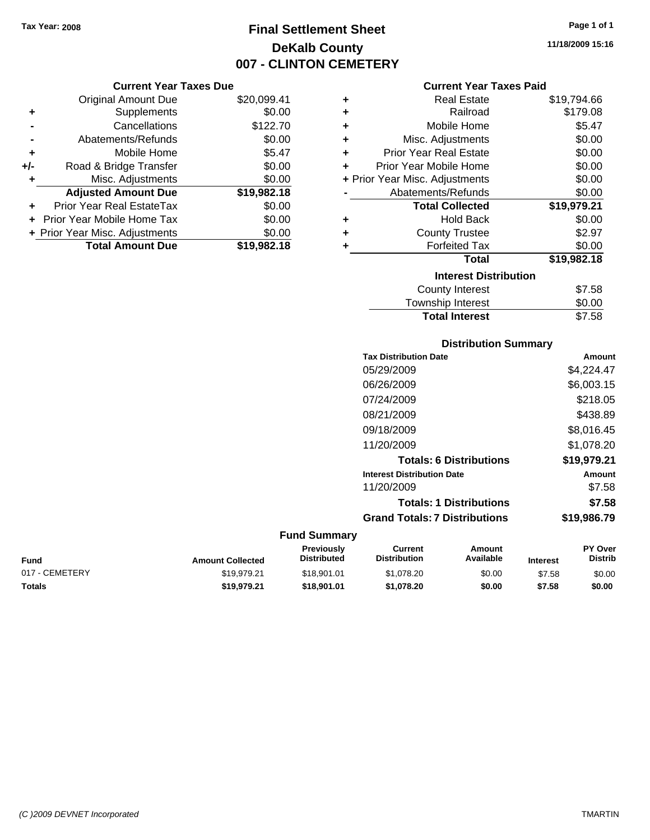# **Final Settlement Sheet Tax Year: 2008 Page 1 of 1 DeKalb County 007 - CLINTON CEMETERY**

#### **Current Year Taxes Paid**

|     | <b>Current Year Taxes Due</b>  |             |  |  |  |  |  |
|-----|--------------------------------|-------------|--|--|--|--|--|
|     | <b>Original Amount Due</b>     | \$20,099.41 |  |  |  |  |  |
| ٠   | Supplements                    | \$0.00      |  |  |  |  |  |
|     | Cancellations                  | \$122.70    |  |  |  |  |  |
|     | Abatements/Refunds             | \$0.00      |  |  |  |  |  |
| ٠   | Mobile Home                    | \$5.47      |  |  |  |  |  |
| +/- | Road & Bridge Transfer         | \$0.00      |  |  |  |  |  |
| ٠   | Misc. Adjustments              | \$0.00      |  |  |  |  |  |
|     | <b>Adjusted Amount Due</b>     | \$19,982.18 |  |  |  |  |  |
| ٠   | Prior Year Real EstateTax      | \$0.00      |  |  |  |  |  |
|     | Prior Year Mobile Home Tax     | \$0.00      |  |  |  |  |  |
|     | + Prior Year Misc. Adjustments | \$0.00      |  |  |  |  |  |
|     | <b>Total Amount Due</b>        | \$19,982.18 |  |  |  |  |  |

| ٠ | <b>Real Estate</b>             | \$19,794.66 |
|---|--------------------------------|-------------|
| ÷ | Railroad                       | \$179.08    |
| ÷ | Mobile Home                    | \$5.47      |
| ÷ | Misc. Adjustments              | \$0.00      |
| ٠ | <b>Prior Year Real Estate</b>  | \$0.00      |
| ٠ | Prior Year Mobile Home         | \$0.00      |
|   | + Prior Year Misc. Adjustments | \$0.00      |
|   | Abatements/Refunds             | \$0.00      |
|   | <b>Total Collected</b>         | \$19,979.21 |
| ٠ | <b>Hold Back</b>               | \$0.00      |
| ٠ | <b>County Trustee</b>          | \$2.97      |
| ٠ | <b>Forfeited Tax</b>           | \$0.00      |
|   | Total                          | \$19,982.18 |
|   | <b>Interest Distribution</b>   |             |
|   | County Interest                | \$7.58      |
|   | <b>Township Interest</b>       | \$0.00      |
|   | <b>Total Interest</b>          | \$7.58      |

## **Distribution Summary Tax Distribution Date Amount** 05/29/2009 \$4,224.47 06/26/2009 \$6,003.15 07/24/2009 \$218.05 08/21/2009 \$438.89 09/18/2009 \$8,016.45 11/20/2009 \$1,078.20 **Totals: 6 Distributions \$19,979.21 Interest Distribution Date Amount** 11/20/2009 \$7.58 **Totals: 1 Distributions \$7.58 Grand Totals: 7 Distributions \$19,986.79**

| Fund           | <b>Amount Collected</b> | Previously<br><b>Distributed</b> | Current<br><b>Distribution</b> | Amount<br>Available | <b>Interest</b> | <b>PY Over</b><br><b>Distrib</b> |
|----------------|-------------------------|----------------------------------|--------------------------------|---------------------|-----------------|----------------------------------|
| 017 - CEMETERY | \$19,979.21             | \$18,901.01                      | \$1.078.20                     | \$0.00              | \$7.58          | \$0.00                           |
| Totals         | \$19,979.21             | \$18,901.01                      | \$1.078.20                     | \$0.00              | \$7.58          | \$0.00                           |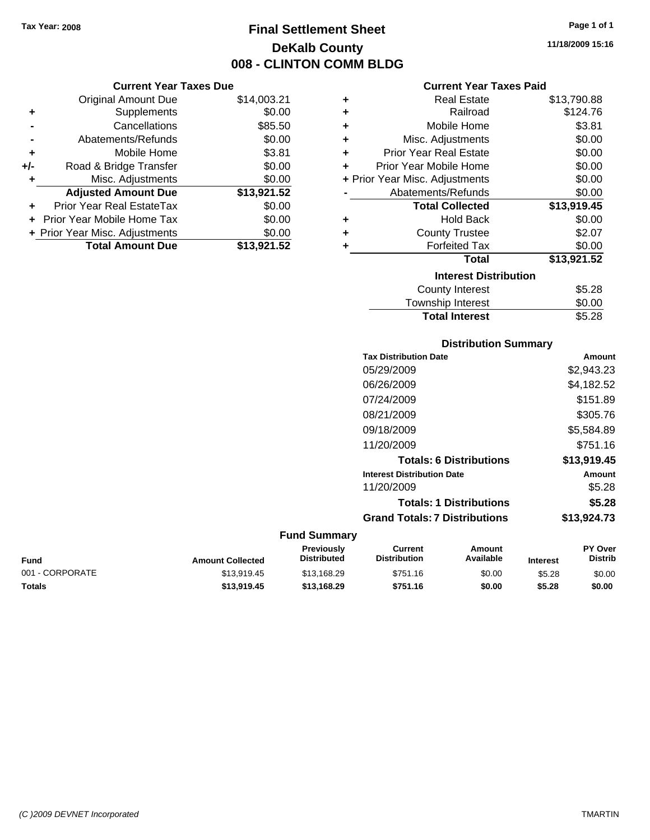**Current Year Taxes Due** Original Amount Due \$14,003.21

# **Final Settlement Sheet Tax Year: 2008 Page 1 of 1 DeKalb County 008 - CLINTON COMM BLDG**

**11/18/2009 15:16**

#### **Current Year Taxes Paid**

|                | <b>Original Amount Due</b>     | \$14,003.21 | ٠ | <b>Real Estate</b>             | \$13,790.88 |
|----------------|--------------------------------|-------------|---|--------------------------------|-------------|
| ٠              | Supplements                    | \$0.00      | ٠ | Railroad                       | \$124.76    |
| $\blacksquare$ | Cancellations                  | \$85.50     | ٠ | Mobile Home                    | \$3.81      |
|                | Abatements/Refunds             | \$0.00      | ٠ | Misc. Adjustments              | \$0.00      |
| ÷              | Mobile Home                    | \$3.81      | ٠ | <b>Prior Year Real Estate</b>  | \$0.00      |
| I-             | Road & Bridge Transfer         | \$0.00      | ÷ | Prior Year Mobile Home         | \$0.00      |
| ٠              | Misc. Adjustments              | \$0.00      |   | + Prior Year Misc. Adjustments | \$0.00      |
|                | <b>Adjusted Amount Due</b>     | \$13,921.52 |   | Abatements/Refunds             | \$0.00      |
| ÷              | Prior Year Real EstateTax      | \$0.00      |   | <b>Total Collected</b>         | \$13,919.45 |
|                | + Prior Year Mobile Home Tax   | \$0.00      | ٠ | <b>Hold Back</b>               | \$0.00      |
|                | + Prior Year Misc. Adjustments | \$0.00      | ٠ | <b>County Trustee</b>          | \$2.07      |
|                | <b>Total Amount Due</b>        | \$13,921.52 |   | <b>Forfeited Tax</b>           | \$0.00      |
|                |                                |             |   | <b>Total</b>                   | \$13,921.52 |
|                |                                |             |   | <b>Interest Distribution</b>   |             |
|                |                                |             |   | County Interest                | \$5.28      |
|                |                                |             |   | Tauraabin Interast             | ሮስ ሰሰ       |

# Township Interest \$0.00 **Total Interest** \$5.28

#### **Distribution Summary**

| <b>Tax Distribution Date</b>         | Amount      |
|--------------------------------------|-------------|
| 05/29/2009                           | \$2,943.23  |
| 06/26/2009                           | \$4,182.52  |
| 07/24/2009                           | \$151.89    |
| 08/21/2009                           | \$305.76    |
| 09/18/2009                           | \$5,584.89  |
| 11/20/2009                           | \$751.16    |
| <b>Totals: 6 Distributions</b>       | \$13.919.45 |
| <b>Interest Distribution Date</b>    | Amount      |
| 11/20/2009                           | \$5.28      |
| <b>Totals: 1 Distributions</b>       | \$5.28      |
| <b>Grand Totals: 7 Distributions</b> | \$13,924.73 |
|                                      |             |

| <b>Fund</b>     | <b>Amount Collected</b> | Previously<br><b>Distributed</b> | Current<br><b>Distribution</b> | Amount<br>Available | <b>Interest</b> | <b>PY Over</b><br><b>Distrib</b> |
|-----------------|-------------------------|----------------------------------|--------------------------------|---------------------|-----------------|----------------------------------|
| 001 - CORPORATE | \$13.919.45             | \$13.168.29                      | \$751.16                       | \$0.00              | \$5.28          | \$0.00                           |
| <b>Totals</b>   | \$13.919.45             | \$13.168.29                      | \$751.16                       | \$0.00              | \$5.28          | \$0.00                           |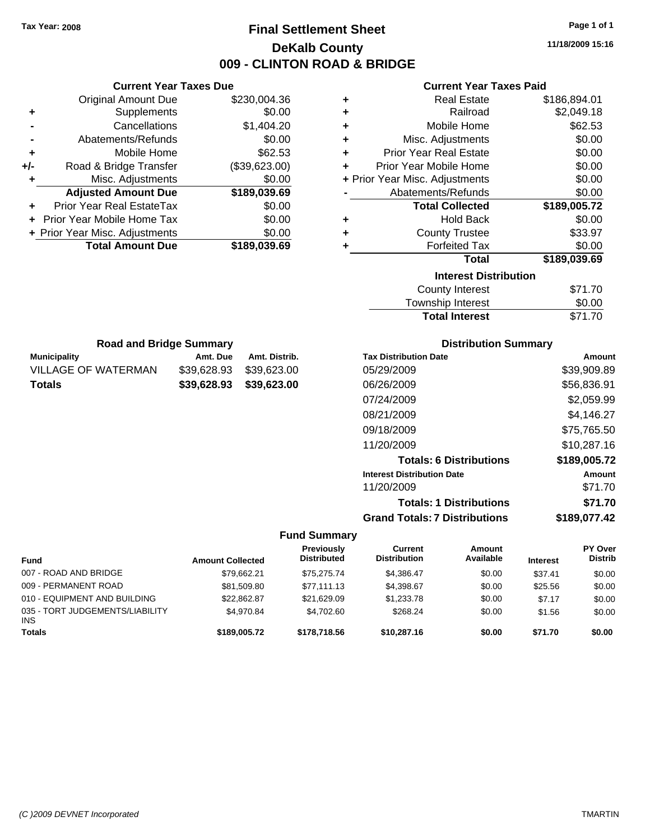# **Final Settlement Sheet Tax Year: 2008 Page 1 of 1 DeKalb County 009 - CLINTON ROAD & BRIDGE**

**11/18/2009 15:16**

#### **Current Year Taxes Paid**

| ٠ | <b>Real Estate</b>             | \$186,894.01 |
|---|--------------------------------|--------------|
| ÷ | Railroad                       | \$2,049.18   |
| ÷ | Mobile Home                    | \$62.53      |
| ÷ | Misc. Adjustments              | \$0.00       |
| ÷ | <b>Prior Year Real Estate</b>  | \$0.00       |
| ÷ | Prior Year Mobile Home         | \$0.00       |
|   | + Prior Year Misc. Adjustments | \$0.00       |
|   | Abatements/Refunds             | \$0.00       |
|   | <b>Total Collected</b>         | \$189,005.72 |
| ÷ | <b>Hold Back</b>               | \$0.00       |
| ٠ | <b>County Trustee</b>          | \$33.97      |
| ٠ | <b>Forfeited Tax</b>           | \$0.00       |
|   | <b>Total</b>                   | \$189,039.69 |
|   | <b>Interest Distribution</b>   |              |
|   | <b>County Interest</b>         | \$71.70      |
|   |                                | ີົ້          |

| <b>Total Interest</b> | \$71.70 |
|-----------------------|---------|
| Township Interest     | \$0.00  |
| County Interest       | \$71.70 |

| <b>Distribution Summary</b> |  |
|-----------------------------|--|
|-----------------------------|--|

| <b>Tax Distribution Date</b>         | Amount       |
|--------------------------------------|--------------|
| 05/29/2009                           | \$39,909.89  |
| 06/26/2009                           | \$56,836.91  |
| 07/24/2009                           | \$2,059.99   |
| 08/21/2009                           | \$4,146.27   |
| 09/18/2009                           | \$75,765.50  |
| 11/20/2009                           | \$10,287.16  |
| <b>Totals: 6 Distributions</b>       | \$189,005.72 |
| <b>Interest Distribution Date</b>    | Amount       |
| 11/20/2009                           | \$71.70      |
| <b>Totals: 1 Distributions</b>       | \$71.70      |
| <b>Grand Totals: 7 Distributions</b> | \$189,077.42 |

#### **Fund Summary**

 $\overline{\phantom{0}}$ 

| <b>Fund</b>                            | <b>Amount Collected</b> | Previously<br><b>Distributed</b> | Current<br><b>Distribution</b> | <b>Amount</b><br>Available | <b>Interest</b> | PY Over<br><b>Distrib</b> |
|----------------------------------------|-------------------------|----------------------------------|--------------------------------|----------------------------|-----------------|---------------------------|
| 007 - ROAD AND BRIDGE                  | \$79.662.21             | \$75.275.74                      | \$4.386.47                     | \$0.00                     | \$37.41         | \$0.00                    |
| 009 - PERMANENT ROAD                   | \$81,509.80             | \$77.111.13                      | \$4,398.67                     | \$0.00                     | \$25.56         | \$0.00                    |
| 010 - EQUIPMENT AND BUILDING           | \$22.862.87             | \$21,629.09                      | \$1,233.78                     | \$0.00                     | \$7.17          | \$0.00                    |
| 035 - TORT JUDGEMENTS/LIABILITY<br>INS | \$4.970.84              | \$4.702.60                       | \$268.24                       | \$0.00                     | \$1.56          | \$0.00                    |
| <b>Totals</b>                          | \$189,005.72            | \$178,718,56                     | \$10,287.16                    | \$0.00                     | \$71.70         | \$0.00                    |

|     | <b>Current Year Taxes Due</b>  |               |  |  |  |
|-----|--------------------------------|---------------|--|--|--|
|     | Original Amount Due            | \$230,004.36  |  |  |  |
| ٠   | Supplements                    | \$0.00        |  |  |  |
|     | Cancellations                  | \$1,404.20    |  |  |  |
|     | Abatements/Refunds             | \$0.00        |  |  |  |
| ÷   | Mobile Home                    | \$62.53       |  |  |  |
| +/- | Road & Bridge Transfer         | (\$39,623.00) |  |  |  |
| ٠   | Misc. Adjustments              | \$0.00        |  |  |  |
|     | <b>Adjusted Amount Due</b>     | \$189,039.69  |  |  |  |
|     | Prior Year Real EstateTax      | \$0.00        |  |  |  |
|     | Prior Year Mobile Home Tax     | \$0.00        |  |  |  |
|     | + Prior Year Misc. Adjustments | \$0.00        |  |  |  |
|     | <b>Total Amount Due</b>        | \$189,039.69  |  |  |  |

**Municipality Municipality** Amt. Due Amt. Distrib. **Road and Bridge Summary**

VILLAGE OF WATERMAN \$39,628.93 \$39,623.00 **Totals \$39,628.93 \$39,623.00**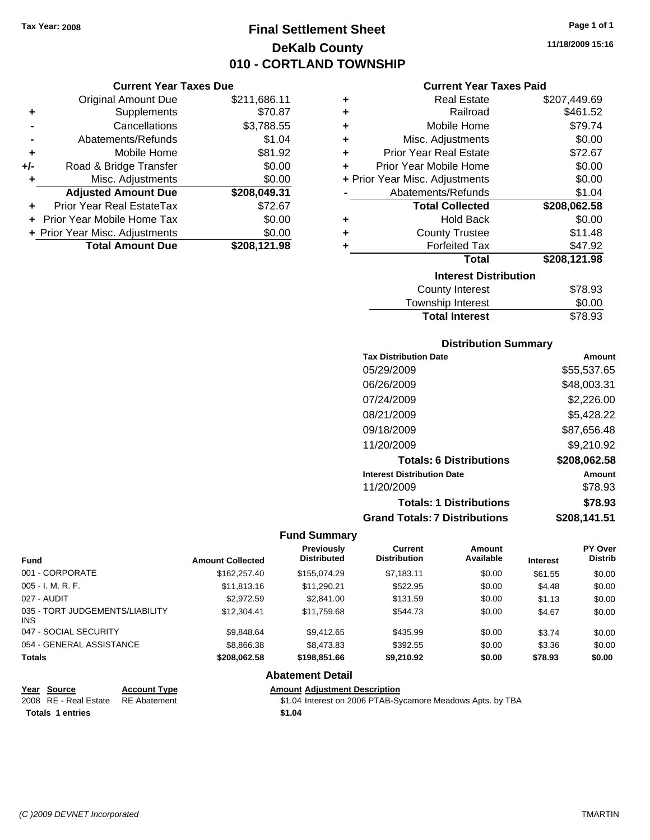# **Final Settlement Sheet Tax Year: 2008 Page 1 of 1 DeKalb County 010 - CORTLAND TOWNSHIP**

**11/18/2009 15:16**

#### **Current Year Taxes Due**

|       | <b>Original Amount Due</b>     | \$211,686.11 |
|-------|--------------------------------|--------------|
| ٠     | Supplements                    | \$70.87      |
|       | Cancellations                  | \$3,788.55   |
|       | Abatements/Refunds             | \$1.04       |
| ٠     | Mobile Home                    | \$81.92      |
| $+/-$ | Road & Bridge Transfer         | \$0.00       |
| ٠     | Misc. Adjustments              | \$0.00       |
|       | <b>Adjusted Amount Due</b>     | \$208,049.31 |
|       | Prior Year Real EstateTax      | \$72.67      |
|       | Prior Year Mobile Home Tax     | \$0.00       |
|       | + Prior Year Misc. Adjustments | \$0.00       |
|       | <b>Total Amount Due</b>        | \$208,121.98 |

#### **Current Year Taxes Paid**

| ٠ | <b>Real Estate</b>             | \$207,449.69 |
|---|--------------------------------|--------------|
| ÷ | Railroad                       | \$461.52     |
| ٠ | Mobile Home                    | \$79.74      |
| ٠ | Misc. Adjustments              | \$0.00       |
| ÷ | <b>Prior Year Real Estate</b>  | \$72.67      |
| ٠ | Prior Year Mobile Home         | \$0.00       |
|   | + Prior Year Misc. Adjustments | \$0.00       |
|   | Abatements/Refunds             | \$1.04       |
|   | <b>Total Collected</b>         | \$208,062.58 |
| ٠ | <b>Hold Back</b>               |              |
|   |                                | \$0.00       |
| ÷ | <b>County Trustee</b>          | \$11.48      |
| ٠ | <b>Forfeited Tax</b>           | \$47.92      |
|   | <b>Total</b>                   | \$208,121.98 |
|   | <b>Interest Distribution</b>   |              |
|   | <b>County Interest</b>         | \$78.93      |

#### Township Interest \$0.00<br>
Total Interest \$78.93 **Total Interest**

#### **Distribution Summary**

| <b>Tax Distribution Date</b>         | Amount       |
|--------------------------------------|--------------|
| 05/29/2009                           | \$55,537.65  |
| 06/26/2009                           | \$48,003.31  |
| 07/24/2009                           | \$2,226.00   |
| 08/21/2009                           | \$5,428.22   |
| 09/18/2009                           | \$87,656.48  |
| 11/20/2009                           | \$9,210.92   |
| <b>Totals: 6 Distributions</b>       | \$208,062.58 |
| <b>Interest Distribution Date</b>    | Amount       |
| 11/20/2009                           | \$78.93      |
| <b>Totals: 1 Distributions</b>       | \$78.93      |
| <b>Grand Totals: 7 Distributions</b> | \$208,141.51 |

#### **Fund Summary**

| <b>Fund</b>                             | <b>Amount Collected</b> | <b>Previously</b><br><b>Distributed</b> | Current<br><b>Distribution</b> | Amount<br>Available | <b>Interest</b> | <b>PY Over</b><br><b>Distrib</b> |
|-----------------------------------------|-------------------------|-----------------------------------------|--------------------------------|---------------------|-----------------|----------------------------------|
| 001 - CORPORATE                         | \$162,257.40            | \$155,074.29                            | \$7,183.11                     | \$0.00              | \$61.55         | \$0.00                           |
| $005 - I. M. R. F.$                     | \$11,813.16             | \$11,290.21                             | \$522.95                       | \$0.00              | \$4.48          | \$0.00                           |
| 027 - AUDIT                             | \$2,972.59              | \$2,841.00                              | \$131.59                       | \$0.00              | \$1.13          | \$0.00                           |
| 035 - TORT JUDGEMENTS/LIABILITY<br>INS. | \$12,304.41             | \$11.759.68                             | \$544.73                       | \$0.00              | \$4.67          | \$0.00                           |
| 047 - SOCIAL SECURITY                   | \$9.848.64              | \$9.412.65                              | \$435.99                       | \$0.00              | \$3.74          | \$0.00                           |
| 054 - GENERAL ASSISTANCE                | \$8,866.38              | \$8,473.83                              | \$392.55                       | \$0.00              | \$3.36          | \$0.00                           |
| <b>Totals</b>                           | \$208.062.58            | \$198,851,66                            | \$9,210.92                     | \$0.00              | \$78.93         | \$0.00                           |

#### **Abatement Detail**

| Year Source           | <b>Account Type</b> | <b>Amount Adjustment Description</b>                       |
|-----------------------|---------------------|------------------------------------------------------------|
| 2008 RE - Real Estate | RE Abatement        | \$1.04 Interest on 2006 PTAB-Sycamore Meadows Apts. by TBA |
| Totals 1 entries      |                     | \$1.04                                                     |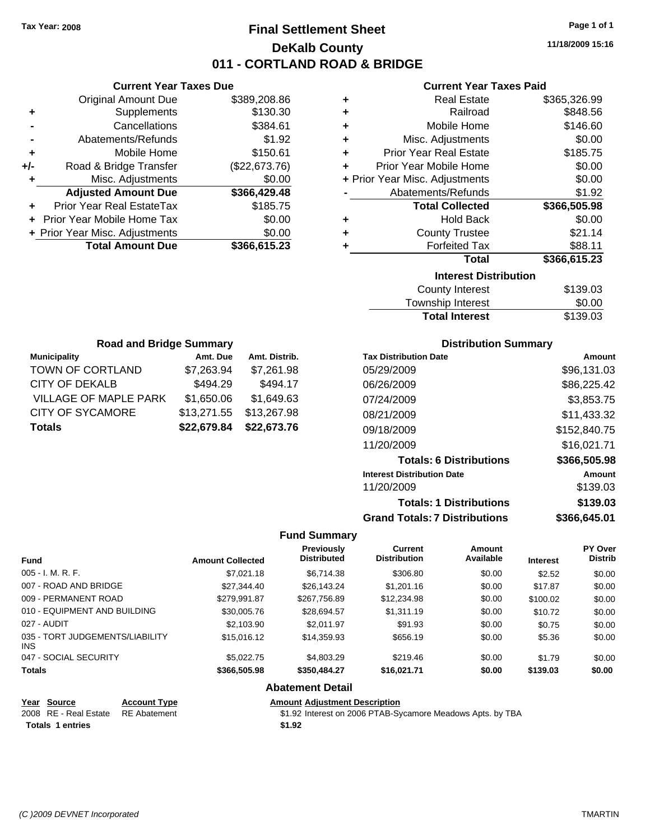# **Final Settlement Sheet Tax Year: 2008 Page 1 of 1 DeKalb County 011 - CORTLAND ROAD & BRIDGE**

**11/18/2009 15:16**

#### **Current Year Taxes Paid**

|     | <b>Current Year Taxes Due</b>  |               |   | <b>Current Year Taxes Paid</b> |              |
|-----|--------------------------------|---------------|---|--------------------------------|--------------|
|     | <b>Original Amount Due</b>     | \$389,208.86  | ٠ | <b>Real Estate</b>             | \$365,326.99 |
| ٠   | <b>Supplements</b>             | \$130.30      | ٠ | Railroad                       | \$848.56     |
|     | Cancellations                  | \$384.61      | ٠ | Mobile Home                    | \$146.60     |
|     | Abatements/Refunds             | \$1.92        | ٠ | Misc. Adjustments              | \$0.00       |
| ٠   | Mobile Home                    | \$150.61      | ٠ | <b>Prior Year Real Estate</b>  | \$185.75     |
| +/- | Road & Bridge Transfer         | (\$22,673.76) | ÷ | Prior Year Mobile Home         | \$0.00       |
|     | Misc. Adjustments              | \$0.00        |   | + Prior Year Misc. Adjustments | \$0.00       |
|     | <b>Adjusted Amount Due</b>     | \$366,429.48  |   | Abatements/Refunds             | \$1.92       |
| ÷.  | Prior Year Real EstateTax      | \$185.75      |   | <b>Total Collected</b>         | \$366,505.98 |
|     | + Prior Year Mobile Home Tax   | \$0.00        | ٠ | <b>Hold Back</b>               | \$0.00       |
|     | + Prior Year Misc. Adjustments | \$0.00        | ٠ | <b>County Trustee</b>          | \$21.14      |
|     | <b>Total Amount Due</b>        | \$366,615.23  |   | <b>Forfeited Tax</b>           | \$88.11      |
|     |                                |               |   | <b>Total</b>                   | \$366,615.23 |
|     |                                |               |   | Interest Blatchetter           |              |

#### **Total \$366,615.23 Interest Distribution**

| <b>Total Interest</b> | \$139.03 |
|-----------------------|----------|
| Township Interest     | \$0.00   |
| County Interest       | \$139.03 |

| <b>Road and Bridge Summary</b> |             |               |  |  |  |  |
|--------------------------------|-------------|---------------|--|--|--|--|
| <b>Municipality</b>            | Amt. Due    | Amt. Distrib. |  |  |  |  |
| TOWN OF CORTLAND               | \$7,263.94  | \$7,261.98    |  |  |  |  |
| CITY OF DEKALB                 | \$494.29    | \$494.17      |  |  |  |  |
| <b>VILLAGE OF MAPLE PARK</b>   | \$1,650.06  | \$1,649.63    |  |  |  |  |
| <b>CITY OF SYCAMORE</b>        | \$13,271.55 | \$13,267.98   |  |  |  |  |
| <b>Totals</b>                  | \$22,679.84 | \$22,673.76   |  |  |  |  |

#### **Distribution Summary**

| <b>Tax Distribution Date</b>         | Amount       |
|--------------------------------------|--------------|
| 05/29/2009                           | \$96,131,03  |
| 06/26/2009                           | \$86,225.42  |
| 07/24/2009                           | \$3,853.75   |
| 08/21/2009                           | \$11,433.32  |
| 09/18/2009                           | \$152,840.75 |
| 11/20/2009                           | \$16,021.71  |
| <b>Totals: 6 Distributions</b>       | \$366,505.98 |
| <b>Interest Distribution Date</b>    | Amount       |
| 11/20/2009                           | \$139.03     |
| <b>Totals: 1 Distributions</b>       | \$139.03     |
| <b>Grand Totals: 7 Distributions</b> | \$366,645.01 |

#### **Fund Summary**

| <b>Fund</b>                             | <b>Amount Collected</b> | <b>Previously</b><br><b>Distributed</b> | Current<br><b>Distribution</b> | Amount<br>Available | <b>Interest</b> | PY Over<br><b>Distrib</b> |
|-----------------------------------------|-------------------------|-----------------------------------------|--------------------------------|---------------------|-----------------|---------------------------|
| 005 - I. M. R. F.                       | \$7,021.18              | \$6,714.38                              | \$306.80                       | \$0.00              | \$2.52          | \$0.00                    |
| 007 - ROAD AND BRIDGE                   | \$27,344.40             | \$26.143.24                             | \$1,201.16                     | \$0.00              | \$17.87         | \$0.00                    |
| 009 - PERMANENT ROAD                    | \$279.991.87            | \$267,756.89                            | \$12,234.98                    | \$0.00              | \$100.02        | \$0.00                    |
| 010 - EQUIPMENT AND BUILDING            | \$30,005.76             | \$28,694.57                             | \$1,311.19                     | \$0.00              | \$10.72         | \$0.00                    |
| 027 - AUDIT                             | \$2,103.90              | \$2.011.97                              | \$91.93                        | \$0.00              | \$0.75          | \$0.00                    |
| 035 - TORT JUDGEMENTS/LIABILITY<br>INS. | \$15,016.12             | \$14,359.93                             | \$656.19                       | \$0.00              | \$5.36          | \$0.00                    |
| 047 - SOCIAL SECURITY                   | \$5,022.75              | \$4,803.29                              | \$219.46                       | \$0.00              | \$1.79          | \$0.00                    |
| <b>Totals</b>                           | \$366,505.98            | \$350,484.27                            | \$16,021.71                    | \$0.00              | \$139.03        | \$0.00                    |

#### **Abatement Detail**

#### **Year Source Account Type Amount Adjustment Description** 2008 RE - Real Estate RE Abatement St.02 Interest on 2006 PTAB-Sycamore Meadows Apts. by TBA **Totals 1 entries 1.92**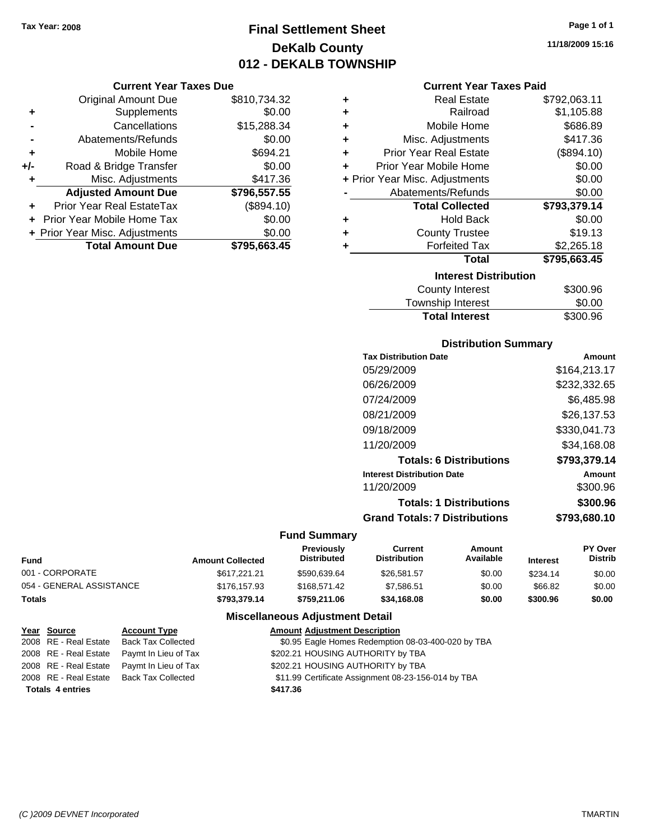# **Final Settlement Sheet Tax Year: 2008 Page 1 of 1 DeKalb County 012 - DEKALB TOWNSHIP**

#### **Current Year Taxes Due**

|     | <b>Original Amount Due</b>       | \$810,734.32 |
|-----|----------------------------------|--------------|
| ٠   | Supplements                      | \$0.00       |
|     | Cancellations                    | \$15,288.34  |
|     | Abatements/Refunds               | \$0.00       |
| ٠   | Mobile Home                      | \$694.21     |
| +/- | Road & Bridge Transfer           | \$0.00       |
| ٠   | Misc. Adjustments                | \$417.36     |
|     | <b>Adjusted Amount Due</b>       | \$796,557.55 |
|     | <b>Prior Year Real EstateTax</b> | (\$894.10)   |
|     | Prior Year Mobile Home Tax       | \$0.00       |
|     | + Prior Year Misc. Adjustments   | \$0.00       |
|     | <b>Total Amount Due</b>          | \$795,663.45 |

| ٠ | <b>Real Estate</b>             | \$792,063.11 |
|---|--------------------------------|--------------|
| ٠ | Railroad                       | \$1,105.88   |
| ٠ | Mobile Home                    | \$686.89     |
| ÷ | Misc. Adjustments              | \$417.36     |
| ÷ | <b>Prior Year Real Estate</b>  | (\$894.10)   |
| ٠ | Prior Year Mobile Home         | \$0.00       |
|   | + Prior Year Misc. Adjustments | \$0.00       |
|   | Abatements/Refunds             | \$0.00       |
|   | <b>Total Collected</b>         | \$793,379.14 |
| ٠ | <b>Hold Back</b>               | \$0.00       |
| ٠ | <b>County Trustee</b>          | \$19.13      |
| ٠ | <b>Forfeited Tax</b>           | \$2,265.18   |
|   | <b>Total</b>                   | \$795,663.45 |
|   | <b>Interest Distribution</b>   |              |
|   | <b>County Interest</b>         | \$300.96     |
|   | بالسيوسية والمراسرة والمسترددة | ጦጣ ወጣ        |

## Township Interest \$0.00<br>
Total Interest \$300.96 **Total Interest**

#### **Distribution Summary**

| <b>Tax Distribution Date</b>         | Amount       |
|--------------------------------------|--------------|
| 05/29/2009                           | \$164,213.17 |
| 06/26/2009                           | \$232,332.65 |
| 07/24/2009                           | \$6.485.98   |
| 08/21/2009                           | \$26.137.53  |
| 09/18/2009                           | \$330,041.73 |
| 11/20/2009                           | \$34.168.08  |
| <b>Totals: 6 Distributions</b>       | \$793,379.14 |
| <b>Interest Distribution Date</b>    | Amount       |
| 11/20/2009                           | \$300.96     |
| <b>Totals: 1 Distributions</b>       | \$300.96     |
| <b>Grand Totals: 7 Distributions</b> | \$793,680.10 |
|                                      |              |

#### **Fund Summary**

| <b>Fund</b>              | <b>Amount Collected</b> | <b>Previously</b><br><b>Distributed</b> | Current<br><b>Distribution</b> | Amount<br>Available | <b>Interest</b> | <b>PY Over</b><br><b>Distrib</b> |
|--------------------------|-------------------------|-----------------------------------------|--------------------------------|---------------------|-----------------|----------------------------------|
| 001 - CORPORATE          | \$617.221.21            | \$590.639.64                            | \$26,581.57                    | \$0.00              | \$234.14        | \$0.00                           |
| 054 - GENERAL ASSISTANCE | \$176,157.93            | \$168,571.42                            | \$7.586.51                     | \$0.00              | \$66.82         | \$0.00                           |
| Totals                   | \$793.379.14            | \$759.211.06                            | \$34,168,08                    | \$0.00              | \$300.96        | \$0.00                           |

#### **Miscellaneous Adjustment Detail**

| Year Source             | <b>Account Type</b>                        | <b>Amount Adjustment Description</b>                |
|-------------------------|--------------------------------------------|-----------------------------------------------------|
| 2008 RE - Real Estate   | <b>Back Tax Collected</b>                  | \$0.95 Eagle Homes Redemption 08-03-400-020 by TBA  |
|                         | 2008 RE - Real Estate Paymt In Lieu of Tax | \$202.21 HOUSING AUTHORITY by TBA                   |
|                         | 2008 RE - Real Estate Paymt In Lieu of Tax | \$202.21 HOUSING AUTHORITY by TBA                   |
|                         | 2008 RE - Real Estate Back Tax Collected   | \$11.99 Certificate Assignment 08-23-156-014 by TBA |
| <b>Totals 4 entries</b> |                                            | \$417.36                                            |
|                         |                                            |                                                     |

**11/18/2009 15:16**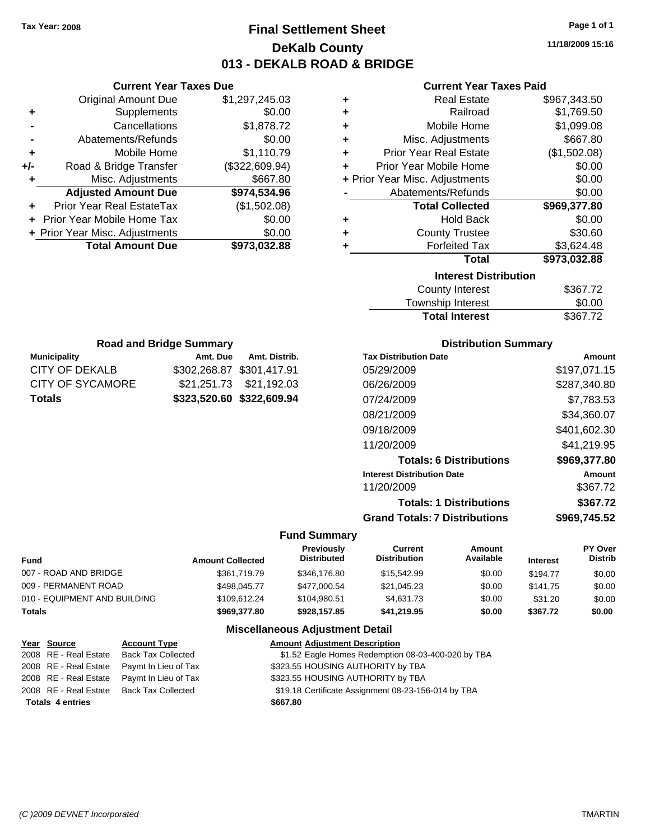**Current Year Taxes Due** Original Amount Due \$1,297,245.03

**Adjusted Amount Due \$974,534.96**

**Total Amount Due \$973,032.88**

**+** Supplements \$0.00 **-** Cancellations \$1,878.72 **-** Abatements/Refunds \$0.00 **+** Mobile Home \$1,110.79 **+/-** Road & Bridge Transfer (\$322,609.94) **+** Misc. Adjustments \$667.80

**+** Prior Year Real EstateTax (\$1,502.08) **+** Prior Year Mobile Home Tax \$0.00 **+ Prior Year Misc. Adjustments**  $$0.00$ 

# **Final Settlement Sheet Tax Year: 2008 Page 1 of 1 DeKalb County 013 - DEKALB ROAD & BRIDGE**

**11/18/2009 15:16**

#### **Current Year Taxes Paid**

| ٠                            | <b>Real Estate</b>             | \$967,343.50 |  |  |
|------------------------------|--------------------------------|--------------|--|--|
| ٠                            | Railroad                       | \$1,769.50   |  |  |
| ٠                            | Mobile Home                    | \$1,099.08   |  |  |
| ٠                            | Misc. Adjustments              | \$667.80     |  |  |
| ÷                            | <b>Prior Year Real Estate</b>  | (\$1,502.08) |  |  |
| ÷                            | Prior Year Mobile Home         | \$0.00       |  |  |
|                              | + Prior Year Misc. Adjustments | \$0.00       |  |  |
|                              | Abatements/Refunds             | \$0.00       |  |  |
|                              | <b>Total Collected</b>         | \$969,377.80 |  |  |
| ٠                            | <b>Hold Back</b>               | \$0.00       |  |  |
| ٠                            | <b>County Trustee</b>          | \$30.60      |  |  |
|                              | <b>Forfeited Tax</b>           | \$3,624.48   |  |  |
|                              | <b>Total</b>                   | \$973,032.88 |  |  |
| <b>Interest Distribution</b> |                                |              |  |  |
|                              | <b>County Interest</b>         | \$367.72     |  |  |
|                              | Townehin Interact              | ቁስ ሰስ        |  |  |

| Township Interest     | \$0.00   |
|-----------------------|----------|
| <b>Total Interest</b> | \$367.72 |

| <b>Road and Bridge Summary</b> |          |                           | <b>Dist</b>                  |  |  |
|--------------------------------|----------|---------------------------|------------------------------|--|--|
| <b>Municipality</b>            | Amt. Due | Amt. Distrib.             | <b>Tax Distribution Date</b> |  |  |
| <b>CITY OF DEKALB</b>          |          | \$302,268.87 \$301,417.91 | 05/29/2009                   |  |  |
| <b>CITY OF SYCAMORE</b>        |          |                           | 06/26/2009                   |  |  |
| <b>Totals</b>                  |          | \$323,520.60 \$322,609.94 | 07/24/2009                   |  |  |
|                                |          |                           | 08/21/2009                   |  |  |
|                                |          |                           | 09/18/2009                   |  |  |
|                                |          |                           | 1.10010000                   |  |  |

#### **Distribution Summary**

| <b>Tax Distribution Date</b>         | Amount       |
|--------------------------------------|--------------|
| 05/29/2009                           | \$197,071.15 |
| 06/26/2009                           | \$287,340.80 |
| 07/24/2009                           | \$7,783.53   |
| 08/21/2009                           | \$34,360.07  |
| 09/18/2009                           | \$401,602.30 |
| 11/20/2009                           | \$41,219.95  |
| <b>Totals: 6 Distributions</b>       | \$969,377.80 |
| <b>Interest Distribution Date</b>    | Amount       |
| 11/20/2009                           | \$367.72     |
| <b>Totals: 1 Distributions</b>       | \$367.72     |
| <b>Grand Totals: 7 Distributions</b> | \$969.745.52 |
|                                      |              |

#### **Fund Summary**

| Fund                         | <b>Amount Collected</b> | <b>Previously</b><br><b>Distributed</b> | Current<br><b>Distribution</b> | Amount<br>Available | <b>Interest</b> | PY Over<br><b>Distrib</b> |
|------------------------------|-------------------------|-----------------------------------------|--------------------------------|---------------------|-----------------|---------------------------|
| 007 - ROAD AND BRIDGE        | \$361,719.79            | \$346,176.80                            | \$15,542.99                    | \$0.00              | \$194.77        | \$0.00                    |
| 009 - PERMANENT ROAD         | \$498,045.77            | \$477,000.54                            | \$21,045.23                    | \$0.00              | \$141.75        | \$0.00                    |
| 010 - EQUIPMENT AND BUILDING | \$109.612.24            | \$104.980.51                            | \$4.631.73                     | \$0.00              | \$31.20         | \$0.00                    |
| Totals                       | \$969,377.80            | \$928.157.85                            | \$41,219.95                    | \$0.00              | \$367.72        | \$0.00                    |

#### **Miscellaneous Adjustment Detail**

| Year Source             | <b>Account Type</b>                      | <b>Amount Adjustment Description</b>                |
|-------------------------|------------------------------------------|-----------------------------------------------------|
| 2008 RE - Real Estate   | <b>Back Tax Collected</b>                | \$1.52 Eagle Homes Redemption 08-03-400-020 by TBA  |
| 2008 RE - Real Estate   | Paymt In Lieu of Tax                     | \$323.55 HOUSING AUTHORITY by TBA                   |
| 2008 RE - Real Estate   | Paymt In Lieu of Tax                     | \$323.55 HOUSING AUTHORITY by TBA                   |
|                         | 2008 RE - Real Estate Back Tax Collected | \$19.18 Certificate Assignment 08-23-156-014 by TBA |
| <b>Totals 4 entries</b> |                                          | \$667.80                                            |
|                         |                                          |                                                     |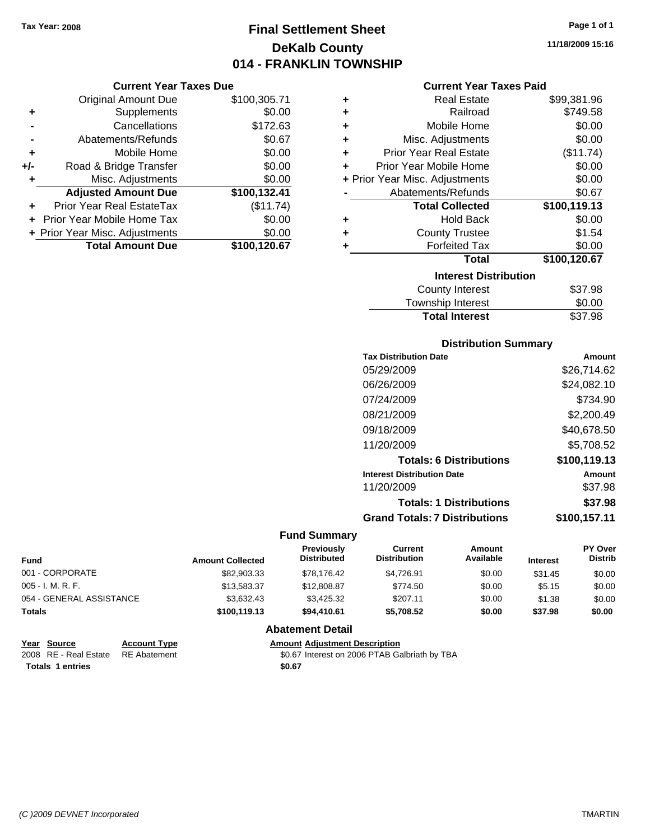# **Final Settlement Sheet Tax Year: 2008 Page 1 of 1 DeKalb County 014 - FRANKLIN TOWNSHIP**

#### **Current Year Taxes Due**

|     | <b>Original Amount Due</b>       | \$100,305.71 |
|-----|----------------------------------|--------------|
| ٠   | Supplements                      | \$0.00       |
|     | Cancellations                    | \$172.63     |
|     | Abatements/Refunds               | \$0.67       |
| ÷   | Mobile Home                      | \$0.00       |
| +/- | Road & Bridge Transfer           | \$0.00       |
|     | Misc. Adjustments                | \$0.00       |
|     | <b>Adjusted Amount Due</b>       | \$100,132.41 |
|     | <b>Prior Year Real EstateTax</b> | (\$11.74)    |
|     | Prior Year Mobile Home Tax       | \$0.00       |
|     | + Prior Year Misc. Adjustments   | \$0.00       |
|     | <b>Total Amount Due</b>          | \$100,120.67 |

#### **Current Year Taxes Paid**

| ٠ | <b>Real Estate</b>             | \$99,381.96  |
|---|--------------------------------|--------------|
| ÷ | Railroad                       | \$749.58     |
| ٠ | Mobile Home                    | \$0.00       |
| ÷ | Misc. Adjustments              | \$0.00       |
| ÷ | <b>Prior Year Real Estate</b>  | (\$11.74)    |
| ٠ | Prior Year Mobile Home         | \$0.00       |
|   | + Prior Year Misc. Adjustments | \$0.00       |
|   | Abatements/Refunds             | \$0.67       |
|   | <b>Total Collected</b>         | \$100,119.13 |
| ٠ | <b>Hold Back</b>               | \$0.00       |
| ٠ | <b>County Trustee</b>          | \$1.54       |
| ٠ | <b>Forfeited Tax</b>           | \$0.00       |
|   | Total                          | \$100,120.67 |
|   | <b>Interest Distribution</b>   |              |
|   | <b>County Interest</b>         | \$37.98      |
|   | Townehin Interest              | ፍስ ሰስ        |

## Township Interest **\$0.00**<br>Total Interest \$37.98 **Total Interest**

#### **Distribution Summary**

| <b>Tax Distribution Date</b>         | Amount       |
|--------------------------------------|--------------|
| 05/29/2009                           | \$26,714.62  |
| 06/26/2009                           | \$24,082.10  |
| 07/24/2009                           | \$734.90     |
| 08/21/2009                           | \$2,200.49   |
| 09/18/2009                           | \$40,678.50  |
| 11/20/2009                           | \$5,708.52   |
| <b>Totals: 6 Distributions</b>       | \$100,119.13 |
| <b>Interest Distribution Date</b>    | Amount       |
| 11/20/2009                           | \$37.98      |
| <b>Totals: 1 Distributions</b>       | \$37.98      |
| <b>Grand Totals: 7 Distributions</b> | \$100.157.11 |

#### **Fund Summary**

| <b>Fund</b>              | <b>Amount Collected</b> | <b>Previously</b><br><b>Distributed</b> | Current<br><b>Distribution</b> | Amount<br>Available | <b>Interest</b> | <b>PY Over</b><br><b>Distrib</b> |
|--------------------------|-------------------------|-----------------------------------------|--------------------------------|---------------------|-----------------|----------------------------------|
| 001 - CORPORATE          | \$82,903.33             | \$78,176.42                             | \$4,726.91                     | \$0.00              | \$31.45         | \$0.00                           |
| 005 - I. M. R. F.        | \$13,583.37             | \$12,808.87                             | \$774.50                       | \$0.00              | \$5.15          | \$0.00                           |
| 054 - GENERAL ASSISTANCE | \$3.632.43              | \$3,425,32                              | \$207.11                       | \$0.00              | \$1.38          | \$0.00                           |
| <b>Totals</b>            | \$100,119.13            | \$94,410.61                             | \$5.708.52                     | \$0.00              | \$37.98         | \$0.00                           |

#### **Abatement Detail**

# **Year Source Account Type Amount Adjustment Description**

\$0.67 Interest on 2006 PTAB Galbriath by TBA Totals 1 entries \$0.67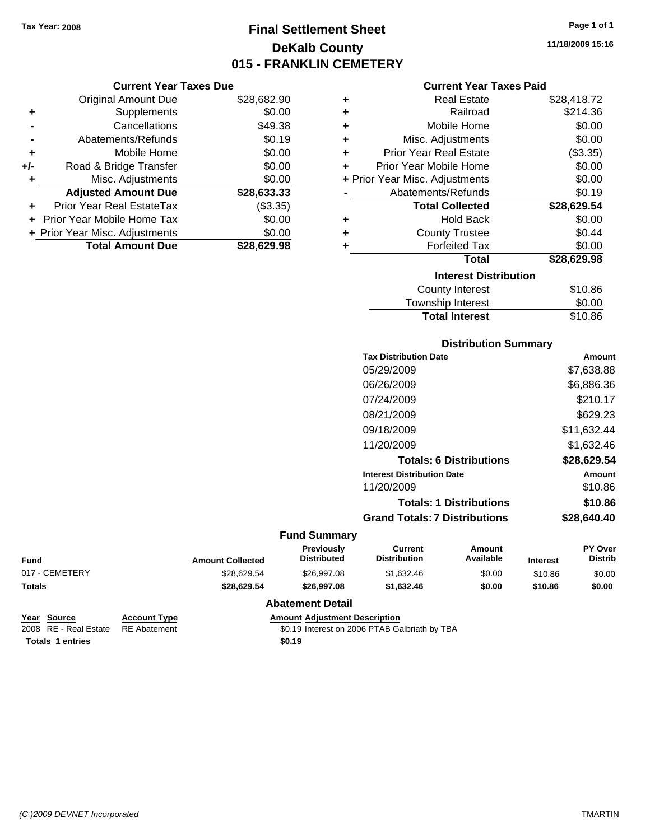# **Final Settlement Sheet Tax Year: 2008 Page 1 of 1 DeKalb County 015 - FRANKLIN CEMETERY**

|     | <b>Total Amount Due</b>        | \$28,629.98 |
|-----|--------------------------------|-------------|
|     | + Prior Year Misc. Adjustments | \$0.00      |
|     | Prior Year Mobile Home Tax     | \$0.00      |
|     | Prior Year Real EstateTax      | (\$3.35)    |
|     | <b>Adjusted Amount Due</b>     | \$28,633.33 |
| ٠   | Misc. Adjustments              | \$0.00      |
| +/- | Road & Bridge Transfer         | \$0.00      |
| ٠   | Mobile Home                    | \$0.00      |
|     | Abatements/Refunds             | \$0.19      |
|     | Cancellations                  | \$49.38     |
| ٠   | Supplements                    | \$0.00      |
|     | <b>Original Amount Due</b>     | \$28,682.90 |
|     | <b>Current Year Taxes Due</b>  |             |

## **Current Year Taxes Paid +** Real Estate \$28,418.72

|   | vou Louv                       | – – – – – – – – – – |
|---|--------------------------------|---------------------|
| ÷ | Railroad                       | \$214.36            |
| ÷ | Mobile Home                    | \$0.00              |
| ÷ | Misc. Adjustments              | \$0.00              |
| ÷ | <b>Prior Year Real Estate</b>  | (\$3.35)            |
| ÷ | Prior Year Mobile Home         | \$0.00              |
|   | + Prior Year Misc. Adjustments | \$0.00              |
|   | Abatements/Refunds             | \$0.19              |
|   | <b>Total Collected</b>         | \$28,629.54         |
| ÷ | <b>Hold Back</b>               | \$0.00              |
| ÷ | <b>County Trustee</b>          | \$0.44              |
| ÷ | <b>Forfeited Tax</b>           | \$0.00              |
|   | <b>Total</b>                   | \$28,629.98         |
|   | <b>Interest Distribution</b>   |                     |
|   | County Interest                | \$10.86             |
|   | <b>Township Interest</b>       | \$0.00              |
|   | <b>Total Interest</b>          | \$10.86             |

#### **Distribution Summary**

| <b>Tax Distribution Date</b>         | Amount      |
|--------------------------------------|-------------|
| 05/29/2009                           | \$7,638.88  |
| 06/26/2009                           | \$6.886.36  |
| 07/24/2009                           | \$210.17    |
| 08/21/2009                           | \$629.23    |
| 09/18/2009                           | \$11,632.44 |
| 11/20/2009                           | \$1.632.46  |
| <b>Totals: 6 Distributions</b>       | \$28,629.54 |
| <b>Interest Distribution Date</b>    | Amount      |
| 11/20/2009                           | \$10.86     |
| <b>Totals: 1 Distributions</b>       | \$10.86     |
| <b>Grand Totals: 7 Distributions</b> | \$28,640.40 |
|                                      |             |

#### **Fund Summary**

| Fund           | <b>Amount Collected</b> | <b>Previously</b><br>Distributed | Current<br><b>Distribution</b> | Amount<br>Available | <b>Interest</b> | <b>PY Over</b><br><b>Distrib</b> |
|----------------|-------------------------|----------------------------------|--------------------------------|---------------------|-----------------|----------------------------------|
| 017 - CEMETERY | \$28.629.54             | \$26,997.08                      | \$1,632.46                     | \$0.00              | \$10.86         | \$0.00                           |
| Totals         | \$28,629.54             | \$26.997.08                      | \$1.632.46                     | \$0.00              | \$10.86         | \$0.00                           |

#### **Abatement Detail**

| Year Source           | <b>Account</b>  |
|-----------------------|-----------------|
| 2008 RE - Real Estate | <b>RE</b> Abate |

**Totals 1 entries** \$0.19

**Year Source Account Type Amount Adjustment Description** 2006 PTAB Galbriath by TBA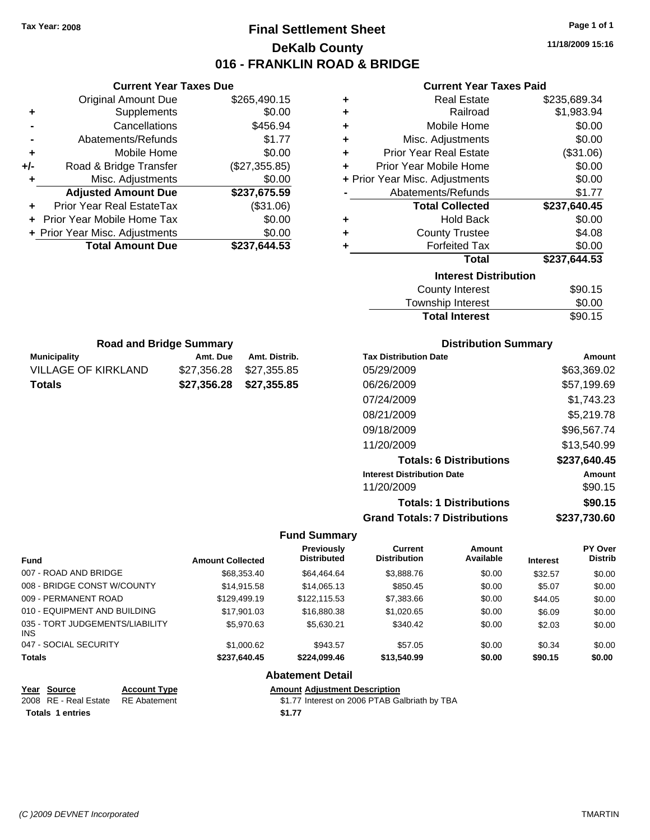# **Final Settlement Sheet Tax Year: 2008 Page 1 of 1 DeKalb County 016 - FRANKLIN ROAD & BRIDGE**

**11/18/2009 15:16**

#### **Current Year Taxes Paid**

| ٠ | <b>Real Estate</b>             | \$235,689.34 |
|---|--------------------------------|--------------|
| ٠ | Railroad                       | \$1,983.94   |
| ٠ | Mobile Home                    | \$0.00       |
| ÷ | Misc. Adjustments              | \$0.00       |
| ٠ | Prior Year Real Estate         | (\$31.06)    |
| ٠ | Prior Year Mobile Home         | \$0.00       |
|   | + Prior Year Misc. Adjustments | \$0.00       |
|   | Abatements/Refunds             | \$1.77       |
|   | <b>Total Collected</b>         | \$237,640.45 |
| ÷ | <b>Hold Back</b>               | \$0.00       |
| ٠ | <b>County Trustee</b>          | \$4.08       |
| ٠ | <b>Forfeited Tax</b>           | \$0.00       |
|   | <b>Total</b>                   | \$237,644.53 |
|   | <b>Interest Distribution</b>   |              |
|   | <b>County Interest</b>         | \$90.15      |
|   | Taunaalaha hatasaat            | ጦ ለለ         |

| Township Interest     | \$0.00  |
|-----------------------|---------|
| <b>Total Interest</b> | \$90.15 |

| <b>Municipality</b> | Amt. Due                | Amt. Distrib. |
|---------------------|-------------------------|---------------|
| VILLAGE OF KIRKLAND | \$27,356.28 \$27,355.85 |               |
| <b>Totals</b>       | \$27,356,28 \$27,355,85 |               |

**Current Year Taxes Due** Original Amount Due \$265,490.15

**Adjusted Amount Due \$237,675.59**

**Total Amount Due \$237,644.53**

**+** Supplements \$0.00 **-** Cancellations \$456.94 **-** Abatements/Refunds \$1.77 **+** Mobile Home \$0.00 **+/-** Road & Bridge Transfer (\$27,355.85) **+** Misc. Adjustments \$0.00

**+** Prior Year Real EstateTax (\$31.06) **+** Prior Year Mobile Home Tax \$0.00 **+ Prior Year Misc. Adjustments**  $$0.00$ 

#### **Distribution Summary**

| <b>Tax Distribution Date</b>         | Amount       |
|--------------------------------------|--------------|
| 05/29/2009                           | \$63,369.02  |
| 06/26/2009                           | \$57,199.69  |
| 07/24/2009                           | \$1,743.23   |
| 08/21/2009                           | \$5,219.78   |
| 09/18/2009                           | \$96,567.74  |
| 11/20/2009                           | \$13,540.99  |
| <b>Totals: 6 Distributions</b>       | \$237,640.45 |
| <b>Interest Distribution Date</b>    | Amount       |
| 11/20/2009                           | \$90.15      |
| <b>Totals: 1 Distributions</b>       | \$90.15      |
| <b>Grand Totals: 7 Distributions</b> | \$237,730.60 |

#### **Fund Summary**

| <b>Fund</b>                                   | <b>Amount Collected</b> | <b>Previously</b><br><b>Distributed</b> | Current<br><b>Distribution</b> | Amount<br>Available | <b>Interest</b> | PY Over<br><b>Distrib</b> |
|-----------------------------------------------|-------------------------|-----------------------------------------|--------------------------------|---------------------|-----------------|---------------------------|
| 007 - ROAD AND BRIDGE                         | \$68,353.40             | \$64.464.64                             | \$3,888.76                     | \$0.00              | \$32.57         | \$0.00                    |
| 008 - BRIDGE CONST W/COUNTY                   | \$14,915.58             | \$14,065.13                             | \$850.45                       | \$0.00              | \$5.07          | \$0.00                    |
| 009 - PERMANENT ROAD                          | \$129,499.19            | \$122.115.53                            | \$7,383.66                     | \$0.00              | \$44.05         | \$0.00                    |
| 010 - EQUIPMENT AND BUILDING                  | \$17.901.03             | \$16,880.38                             | \$1,020.65                     | \$0.00              | \$6.09          | \$0.00                    |
| 035 - TORT JUDGEMENTS/LIABILITY<br><b>INS</b> | \$5.970.63              | \$5.630.21                              | \$340.42                       | \$0.00              | \$2.03          | \$0.00                    |
| 047 - SOCIAL SECURITY                         | \$1,000.62              | \$943.57                                | \$57.05                        | \$0.00              | \$0.34          | \$0.00                    |
| <b>Totals</b>                                 | \$237,640.45            | \$224,099.46                            | \$13,540.99                    | \$0.00              | \$90.15         | \$0.00                    |

#### **Abatement Detail**

| Year Source                        | <b>Account Type</b> | <b>Amount Adiustment Description</b>          |
|------------------------------------|---------------------|-----------------------------------------------|
| 2008 RE - Real Estate RE Abatement |                     | \$1.77 Interest on 2006 PTAB Galbriath by TBA |
| <b>Totals 1 entries</b>            |                     | \$1.77                                        |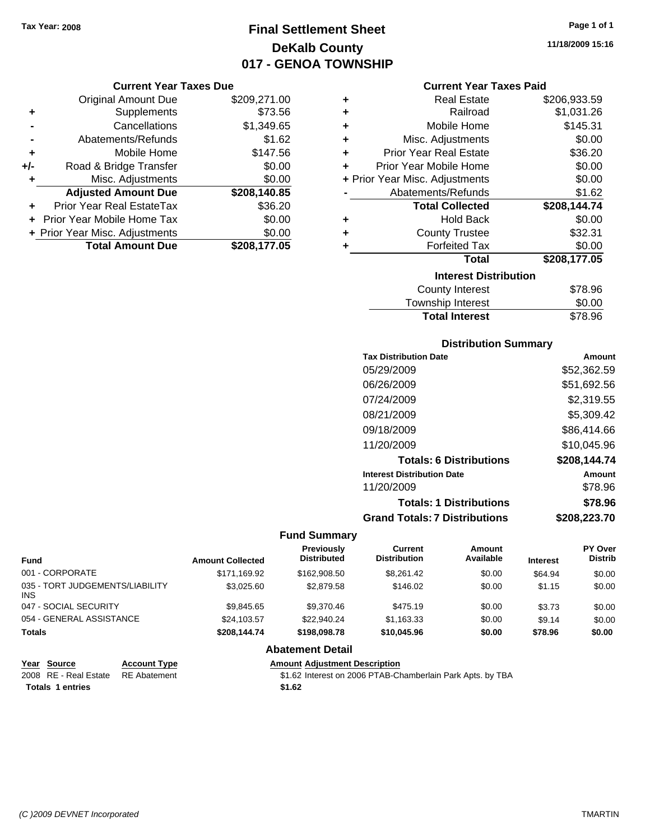# **Final Settlement Sheet Tax Year: 2008 Page 1 of 1 DeKalb County 017 - GENOA TOWNSHIP**

#### **Current Year Taxes Due**

|       | <b>Original Amount Due</b>       | \$209,271.00 |
|-------|----------------------------------|--------------|
| ٠     | Supplements                      | \$73.56      |
|       | Cancellations                    | \$1,349.65   |
|       | Abatements/Refunds               | \$1.62       |
| ٠     | Mobile Home                      | \$147.56     |
| $+/-$ | Road & Bridge Transfer           | \$0.00       |
| ٠     | Misc. Adjustments                | \$0.00       |
|       | <b>Adjusted Amount Due</b>       | \$208,140.85 |
|       | <b>Prior Year Real EstateTax</b> | \$36.20      |
|       | Prior Year Mobile Home Tax       | \$0.00       |
|       | + Prior Year Misc. Adjustments   | \$0.00       |
|       | <b>Total Amount Due</b>          | \$208,177.05 |

| ٠ | <b>Real Estate</b>             | \$206,933.59 |
|---|--------------------------------|--------------|
| ٠ | Railroad                       | \$1,031.26   |
| ٠ | Mobile Home                    | \$145.31     |
| ÷ | Misc. Adjustments              | \$0.00       |
| ÷ | <b>Prior Year Real Estate</b>  | \$36.20      |
| ٠ | Prior Year Mobile Home         | \$0.00       |
|   | + Prior Year Misc. Adjustments | \$0.00       |
|   | Abatements/Refunds             | \$1.62       |
|   | <b>Total Collected</b>         | \$208,144.74 |
| ٠ | <b>Hold Back</b>               | \$0.00       |
| ٠ | <b>County Trustee</b>          | \$32.31      |
| ٠ | <b>Forfeited Tax</b>           | \$0.00       |
|   | <b>Total</b>                   | \$208,177.05 |
|   | <b>Interest Distribution</b>   |              |
|   | <b>County Interest</b>         | \$78.96      |
|   | بالسيوسية والمراسرة والمسترددة | ጦጣ ጣጣ        |

| Township Interest     | \$0.00  |
|-----------------------|---------|
| <b>Total Interest</b> | \$78.96 |

#### **Distribution Summary**

| <b>Tax Distribution Date</b>         | Amount       |
|--------------------------------------|--------------|
| 05/29/2009                           | \$52,362.59  |
| 06/26/2009                           | \$51,692.56  |
| 07/24/2009                           | \$2,319.55   |
| 08/21/2009                           | \$5,309.42   |
| 09/18/2009                           | \$86,414.66  |
| 11/20/2009                           | \$10,045.96  |
| <b>Totals: 6 Distributions</b>       | \$208,144.74 |
| <b>Interest Distribution Date</b>    | Amount       |
| 11/20/2009                           | \$78.96      |
| <b>Totals: 1 Distributions</b>       | \$78.96      |
| <b>Grand Totals: 7 Distributions</b> | \$208,223.70 |
|                                      |              |

#### **Fund Summary**

| <b>Fund</b>                             | <b>Amount Collected</b> | <b>Previously</b><br><b>Distributed</b> | <b>Current</b><br><b>Distribution</b> | <b>Amount</b><br>Available | <b>Interest</b> | PY Over<br><b>Distrib</b> |
|-----------------------------------------|-------------------------|-----------------------------------------|---------------------------------------|----------------------------|-----------------|---------------------------|
| 001 - CORPORATE                         | \$171,169.92            | \$162,908.50                            | \$8,261.42                            | \$0.00                     | \$64.94         | \$0.00                    |
| 035 - TORT JUDGEMENTS/LIABILITY<br>INS. | \$3.025.60              | \$2,879.58                              | \$146.02                              | \$0.00                     | \$1.15          | \$0.00                    |
| 047 - SOCIAL SECURITY                   | \$9.845.65              | \$9,370.46                              | \$475.19                              | \$0.00                     | \$3.73          | \$0.00                    |
| 054 - GENERAL ASSISTANCE                | \$24,103.57             | \$22,940.24                             | \$1,163.33                            | \$0.00                     | \$9.14          | \$0.00                    |
| Totals                                  | \$208,144.74            | \$198,098.78                            | \$10,045.96                           | \$0.00                     | \$78.96         | \$0.00                    |
|                                         |                         | <b>Abatement Detail</b>                 |                                       |                            |                 |                           |

# **Year Source Account Type Amount Adjustment Description**

Totals 1 entries \$1.62

2008 RE - Real Estate RE Abatement **\$1.62** Interest on 2006 PTAB-Chamberlain Park Apts. by TBA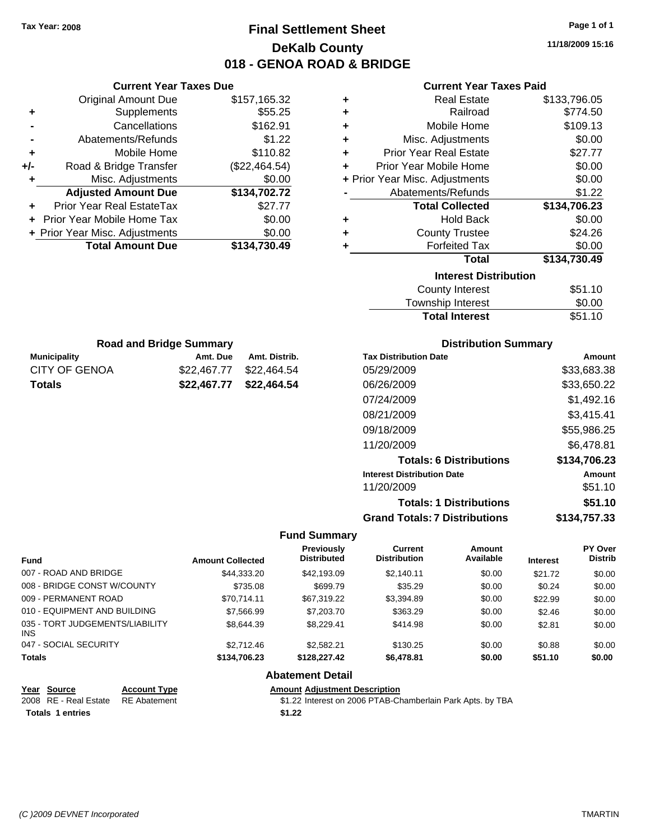# **Final Settlement Sheet Tax Year: 2008 Page 1 of 1 DeKalb County 018 - GENOA ROAD & BRIDGE**

**11/18/2009 15:16**

#### **Current Year Taxes Paid**

|     | <b>Current Year Taxes Due</b>  |               |
|-----|--------------------------------|---------------|
|     | <b>Original Amount Due</b>     | \$157,165.32  |
| ٠   | Supplements                    | \$55.25       |
|     | Cancellations                  | \$162.91      |
|     | Abatements/Refunds             | \$1.22        |
| ٠   | Mobile Home                    | \$110.82      |
| +/- | Road & Bridge Transfer         | (\$22,464.54) |
| ٠   | Misc. Adjustments              | \$0.00        |
|     | <b>Adjusted Amount Due</b>     | \$134,702.72  |
|     | Prior Year Real EstateTax      | \$27.77       |
|     | Prior Year Mobile Home Tax     | \$0.00        |
|     | + Prior Year Misc. Adjustments | \$0.00        |
|     | <b>Total Amount Due</b>        | \$134,730.49  |
|     |                                |               |

| ٠                            | <b>Real Estate</b>             | \$133,796.05 |  |  |
|------------------------------|--------------------------------|--------------|--|--|
| ٠                            | Railroad                       | \$774.50     |  |  |
| ٠                            | Mobile Home                    | \$109.13     |  |  |
| ٠                            | Misc. Adjustments              | \$0.00       |  |  |
| ÷                            | <b>Prior Year Real Estate</b>  | \$27.77      |  |  |
| ٠                            | Prior Year Mobile Home         | \$0.00       |  |  |
|                              | + Prior Year Misc. Adjustments | \$0.00       |  |  |
|                              | Abatements/Refunds             | \$1.22       |  |  |
|                              | <b>Total Collected</b>         | \$134,706.23 |  |  |
| ٠                            | <b>Hold Back</b>               | \$0.00       |  |  |
| ÷                            | <b>County Trustee</b>          | \$24.26      |  |  |
| ٠                            | <b>Forfeited Tax</b>           | \$0.00       |  |  |
|                              | Total                          | \$134,730.49 |  |  |
| <b>Interest Distribution</b> |                                |              |  |  |
|                              |                                |              |  |  |
|                              | County Interest                | \$51.10      |  |  |

| <b>Total Interest</b> | \$51.10 |
|-----------------------|---------|
| Township Interest     | \$0.00  |
| County Interest       | \$51.10 |

| <b>Road and Bridge Summary</b> |                         |               |  |
|--------------------------------|-------------------------|---------------|--|
| Municipality                   | Amt. Due                | Amt. Distrib. |  |
| CITY OF GENOA                  | \$22.467.77             | \$22,464.54   |  |
| Totals                         | \$22,467.77 \$22,464.54 |               |  |

#### **Distribution Summary**

| <b>Tax Distribution Date</b>         | Amount       |
|--------------------------------------|--------------|
| 05/29/2009                           | \$33,683.38  |
| 06/26/2009                           | \$33,650.22  |
| 07/24/2009                           | \$1,492.16   |
| 08/21/2009                           | \$3,415.41   |
| 09/18/2009                           | \$55,986.25  |
| 11/20/2009                           | \$6,478.81   |
| <b>Totals: 6 Distributions</b>       | \$134,706.23 |
| <b>Interest Distribution Date</b>    | Amount       |
| 11/20/2009                           | \$51.10      |
| <b>Totals: 1 Distributions</b>       | \$51.10      |
| <b>Grand Totals: 7 Distributions</b> | \$134,757.33 |

#### **Fund Summary**

 $\overline{\phantom{0}}$ 

|                                         |                         | <b>Previously</b>  | Current             | Amount    |                 | <b>PY Over</b> |
|-----------------------------------------|-------------------------|--------------------|---------------------|-----------|-----------------|----------------|
| <b>Fund</b>                             | <b>Amount Collected</b> | <b>Distributed</b> | <b>Distribution</b> | Available | <b>Interest</b> | <b>Distrib</b> |
| 007 - ROAD AND BRIDGE                   | \$44,333.20             | \$42,193.09        | \$2,140.11          | \$0.00    | \$21.72         | \$0.00         |
| 008 - BRIDGE CONST W/COUNTY             | \$735.08                | \$699.79           | \$35.29             | \$0.00    | \$0.24          | \$0.00         |
| 009 - PERMANENT ROAD                    | \$70.714.11             | \$67,319.22        | \$3,394.89          | \$0.00    | \$22.99         | \$0.00         |
| 010 - EQUIPMENT AND BUILDING            | \$7,566.99              | \$7,203.70         | \$363.29            | \$0.00    | \$2.46          | \$0.00         |
| 035 - TORT JUDGEMENTS/LIABILITY<br>INS. | \$8,644,39              | \$8,229.41         | \$414.98            | \$0.00    | \$2.81          | \$0.00         |
| 047 - SOCIAL SECURITY                   | \$2,712.46              | \$2.582.21         | \$130.25            | \$0.00    | \$0.88          | \$0.00         |
| <b>Totals</b>                           | \$134,706.23            | \$128,227,42       | \$6,478.81          | \$0.00    | \$51.10         | \$0.00         |

#### **Abatement Detail**

| Year Source             | <b>Account Type</b> | <b>Amount Adiustment Description</b>                       |
|-------------------------|---------------------|------------------------------------------------------------|
| 2008 RE - Real Estate   | <b>RE</b> Abatement | \$1.22 Interest on 2006 PTAB-Chamberlain Park Apts. by TBA |
| <b>Totals 1 entries</b> |                     | \$1.22                                                     |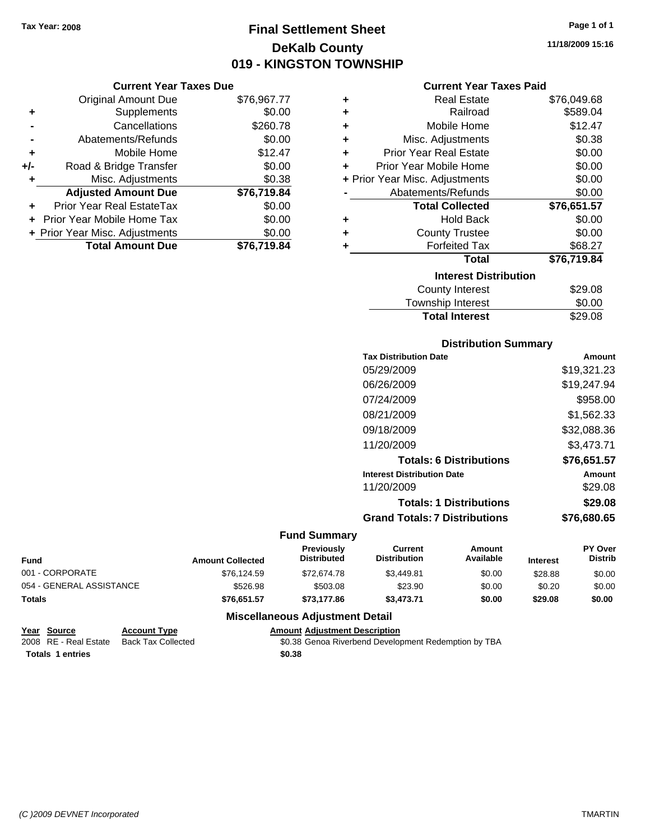# **Final Settlement Sheet Tax Year: 2008 Page 1 of 1 DeKalb County 019 - KINGSTON TOWNSHIP**

#### **Current Year Taxes Due**

|     | <b>Original Amount Due</b>       | \$76,967.77 |
|-----|----------------------------------|-------------|
| ٠   | Supplements                      | \$0.00      |
|     | Cancellations                    | \$260.78    |
|     | Abatements/Refunds               | \$0.00      |
| ٠   | Mobile Home                      | \$12.47     |
| +/- | Road & Bridge Transfer           | \$0.00      |
|     | Misc. Adjustments                | \$0.38      |
|     | <b>Adjusted Amount Due</b>       | \$76,719.84 |
| ÷   | <b>Prior Year Real EstateTax</b> | \$0.00      |
|     | Prior Year Mobile Home Tax       | \$0.00      |
|     | + Prior Year Misc. Adjustments   | \$0.00      |
|     | <b>Total Amount Due</b>          | \$76,719.84 |

#### **Current Year Taxes Paid**

| ٠ | <b>Real Estate</b>             | \$76,049.68 |
|---|--------------------------------|-------------|
| ٠ | Railroad                       | \$589.04    |
| ٠ | Mobile Home                    | \$12.47     |
| ٠ | Misc. Adjustments              | \$0.38      |
| ٠ | <b>Prior Year Real Estate</b>  | \$0.00      |
| ٠ | Prior Year Mobile Home         | \$0.00      |
|   | + Prior Year Misc. Adjustments | \$0.00      |
|   | Abatements/Refunds             | \$0.00      |
|   | <b>Total Collected</b>         | \$76,651.57 |
| ٠ | <b>Hold Back</b>               | \$0.00      |
| ÷ | <b>County Trustee</b>          | \$0.00      |
| ٠ | <b>Forfeited Tax</b>           | \$68.27     |
|   | Total                          | \$76,719.84 |
|   | <b>Interest Distribution</b>   |             |
|   | <b>County Interest</b>         | \$29.08     |
|   | <b>Township Interest</b>       | \$0.00      |
|   | <b>Total Interest</b>          | \$29.08     |

#### **Distribution Summary**

| <b>Tax Distribution Date</b>         | Amount      |
|--------------------------------------|-------------|
| 05/29/2009                           | \$19,321.23 |
| 06/26/2009                           | \$19,247.94 |
| 07/24/2009                           | \$958.00    |
| 08/21/2009                           | \$1,562.33  |
| 09/18/2009                           | \$32,088.36 |
| 11/20/2009                           | \$3,473.71  |
| <b>Totals: 6 Distributions</b>       | \$76,651.57 |
| <b>Interest Distribution Date</b>    | Amount      |
| 11/20/2009                           | \$29.08     |
| <b>Totals: 1 Distributions</b>       | \$29.08     |
| <b>Grand Totals: 7 Distributions</b> | \$76,680.65 |
|                                      |             |

#### **Fund Summary**

| <b>Fund</b>              | <b>Amount Collected</b> | <b>Previously</b><br><b>Distributed</b> | Current<br><b>Distribution</b> | Amount<br>Available | <b>Interest</b> | <b>PY Over</b><br><b>Distrib</b> |
|--------------------------|-------------------------|-----------------------------------------|--------------------------------|---------------------|-----------------|----------------------------------|
| 001 - CORPORATE          | \$76.124.59             | \$72,674.78                             | \$3.449.81                     | \$0.00              | \$28.88         | \$0.00                           |
| 054 - GENERAL ASSISTANCE | \$526.98                | \$503.08                                | \$23.90                        | \$0.00              | \$0.20          | \$0.00                           |
| <b>Totals</b>            | \$76.651.57             | \$73,177,86                             | \$3.473.71                     | \$0.00              | \$29.08         | \$0.00                           |

#### **Miscellaneous Adjustment Detail**

#### **Year Source Account Type Amount Adjustment Description** \$0.38 Genoa Riverbend Development Redemption by TBA **Totals \$0.38 1 entries**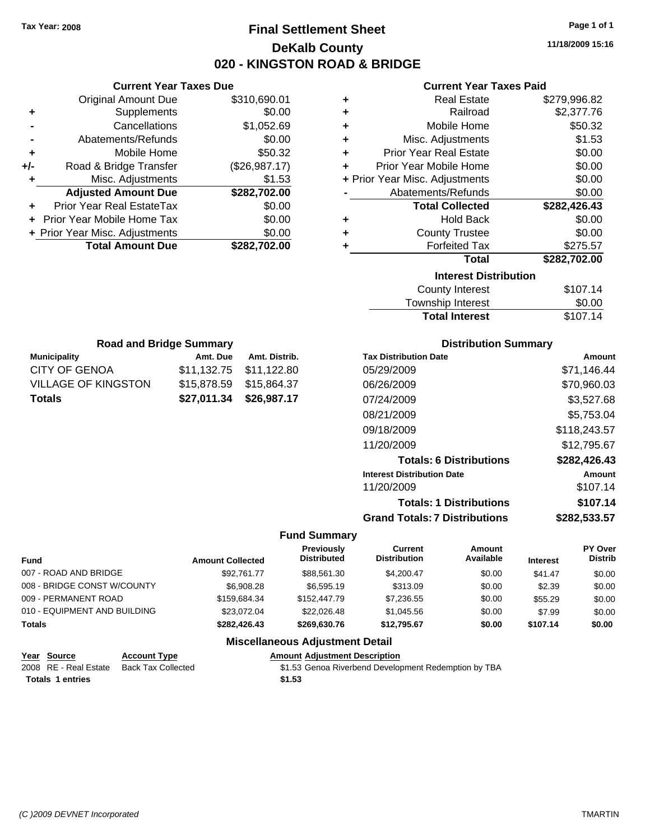# **Final Settlement Sheet Tax Year: 2008 Page 1 of 1 DeKalb County 020 - KINGSTON ROAD & BRIDGE**

**11/18/2009 15:16**

#### **Current Year Taxes Paid**

| ٠ | <b>Real Estate</b>             | \$279,996.82 |
|---|--------------------------------|--------------|
| ٠ | Railroad                       | \$2,377.76   |
| ٠ | Mobile Home                    | \$50.32      |
| ٠ | Misc. Adjustments              | \$1.53       |
| ÷ | <b>Prior Year Real Estate</b>  | \$0.00       |
| ÷ | Prior Year Mobile Home         | \$0.00       |
|   | + Prior Year Misc. Adjustments | \$0.00       |
|   | Abatements/Refunds             | \$0.00       |
|   | <b>Total Collected</b>         | \$282,426.43 |
| ٠ | <b>Hold Back</b>               | \$0.00       |
| ٠ | <b>County Trustee</b>          | \$0.00       |
| ٠ | <b>Forfeited Tax</b>           | \$275.57     |
|   | Total                          | \$282,702.00 |
|   | <b>Interest Distribution</b>   |              |
|   | <b>County Interest</b>         | \$107.14     |
|   | Township Interact              | ድስ ሰስ        |

| Township Interest     | \$0.00   |
|-----------------------|----------|
| <b>Total Interest</b> | \$107.14 |

| <b>Road and Bridge Summary</b> |          |                         |  |
|--------------------------------|----------|-------------------------|--|
| <b>Municipality</b>            | Amt. Due | Amt. Distrib.           |  |
| CITY OF GENOA                  |          | \$11,132.75 \$11,122.80 |  |
| VILLAGE OF KINGSTON            |          | \$15,878.59 \$15,864.37 |  |
| <b>Totals</b>                  |          | \$27,011.34 \$26,987.17 |  |

**Current Year Taxes Due** Original Amount Due \$310,690.01

**Adjusted Amount Due \$282,702.00**

**Total Amount Due \$282,702.00**

**+** Supplements \$0.00 **-** Cancellations \$1,052.69 **-** Abatements/Refunds \$0.00 **+** Mobile Home \$50.32 **+/-** Road & Bridge Transfer (\$26,987.17) **+** Misc. Adjustments \$1.53

**+** Prior Year Real EstateTax \$0.00 **+** Prior Year Mobile Home Tax \$0.00 **+ Prior Year Misc. Adjustments**  $$0.00$ 

#### **Distribution Summary**

| <b>Tax Distribution Date</b>         | Amount       |
|--------------------------------------|--------------|
| 05/29/2009                           | \$71,146.44  |
| 06/26/2009                           | \$70,960.03  |
| 07/24/2009                           | \$3,527.68   |
| 08/21/2009                           | \$5,753.04   |
| 09/18/2009                           | \$118,243.57 |
| 11/20/2009                           | \$12,795.67  |
| <b>Totals: 6 Distributions</b>       | \$282,426.43 |
| <b>Interest Distribution Date</b>    | Amount       |
| 11/20/2009                           | \$107.14     |
| <b>Totals: 1 Distributions</b>       | \$107.14     |
| <b>Grand Totals: 7 Distributions</b> | \$282,533.57 |

#### **Fund Summary**

| <b>Fund</b>                  | <b>Amount Collected</b> | <b>Previously</b><br><b>Distributed</b> | Current<br><b>Distribution</b> | Amount<br>Available | <b>Interest</b> | PY Over<br><b>Distrib</b> |
|------------------------------|-------------------------|-----------------------------------------|--------------------------------|---------------------|-----------------|---------------------------|
| 007 - ROAD AND BRIDGE        | \$92.761.77             | \$88.561.30                             | \$4.200.47                     | \$0.00              | \$41.47         | \$0.00                    |
| 008 - BRIDGE CONST W/COUNTY  | \$6,908.28              | \$6,595.19                              | \$313.09                       | \$0.00              | \$2.39          | \$0.00                    |
| 009 - PERMANENT ROAD         | \$159.684.34            | \$152,447.79                            | \$7,236.55                     | \$0.00              | \$55.29         | \$0.00                    |
| 010 - EQUIPMENT AND BUILDING | \$23.072.04             | \$22,026.48                             | \$1.045.56                     | \$0.00              | \$7.99          | \$0.00                    |
| Totals                       | \$282.426.43            | \$269.630.76                            | \$12.795.67                    | \$0.00              | \$107.14        | \$0.00                    |

#### **Miscellaneous Adjustment Detail**

| Year Source             | <b>Account Type</b> | <b>Amount Adiustment Description</b>                 |
|-------------------------|---------------------|------------------------------------------------------|
| 2008 RE - Real Estate   | Back Tax Collected  | \$1.53 Genoa Riverbend Development Redemption by TBA |
| <b>Totals 1 entries</b> |                     | \$1.53                                               |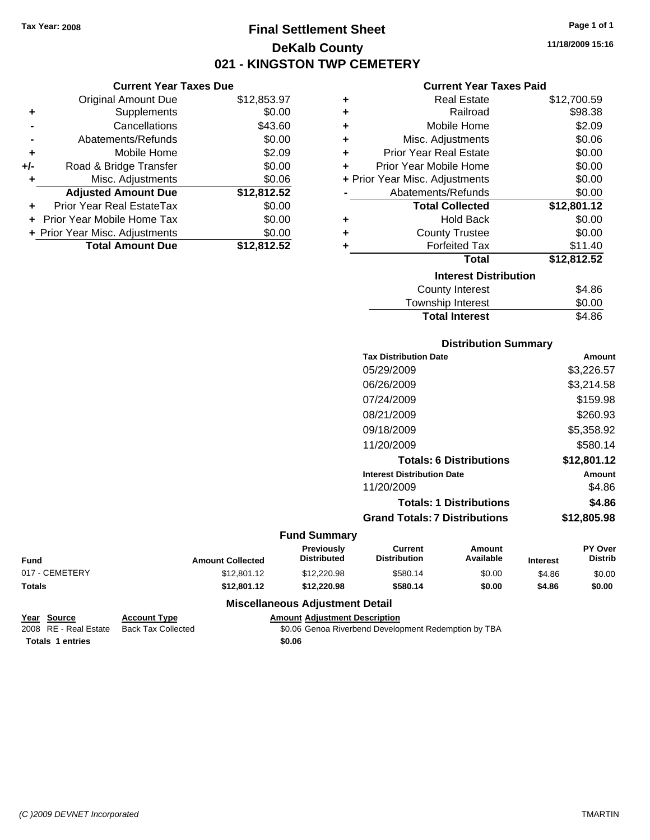**Current Year Taxes Due** Original Amount Due \$12,853.97

**Adjusted Amount Due \$12,812.52**

**Total Amount Due \$12,812.52**

**+** Supplements \$0.00 **-** Cancellations \$43.60 **-** Abatements/Refunds \$0.00 **+** Mobile Home \$2.09 **+/-** Road & Bridge Transfer \$0.00 **+** Misc. Adjustments \$0.06

**+** Prior Year Real EstateTax \$0.00 **+** Prior Year Mobile Home Tax \$0.00 **+ Prior Year Misc. Adjustments**  $$0.00$ 

# **Final Settlement Sheet Tax Year: 2008 Page 1 of 1 DeKalb County 021 - KINGSTON TWP CEMETERY**

**11/18/2009 15:16**

#### **Current Year Taxes Paid**

| ٠ | <b>Real Estate</b>             | \$12,700.59 |
|---|--------------------------------|-------------|
| ٠ | Railroad                       | \$98.38     |
| ٠ | Mobile Home                    | \$2.09      |
| ÷ | Misc. Adjustments              | \$0.06      |
| ÷ | <b>Prior Year Real Estate</b>  | \$0.00      |
| ٠ | Prior Year Mobile Home         | \$0.00      |
|   | + Prior Year Misc. Adjustments | \$0.00      |
|   | Abatements/Refunds             | \$0.00      |
|   | <b>Total Collected</b>         | \$12,801.12 |
| ٠ | <b>Hold Back</b>               | \$0.00      |
| ÷ | <b>County Trustee</b>          | \$0.00      |
| ÷ | <b>Forfeited Tax</b>           | \$11.40     |
|   | <b>Total</b>                   | \$12,812.52 |
|   | <b>Interest Distribution</b>   |             |
|   | County Interest                | \$4.86      |
|   | Township Interest              | \$0.00      |

| <b>Total Interest</b> | \$4.86 |
|-----------------------|--------|
| Township Interest     | \$0.00 |
| County Interest       | \$4.86 |

#### **Distribution Summary**

| <b>Tax Distribution Date</b>         | Amount      |
|--------------------------------------|-------------|
| 05/29/2009                           | \$3,226.57  |
| 06/26/2009                           | \$3,214.58  |
| 07/24/2009                           | \$159.98    |
| 08/21/2009                           | \$260.93    |
| 09/18/2009                           | \$5.358.92  |
| 11/20/2009                           | \$580.14    |
| <b>Totals: 6 Distributions</b>       | \$12.801.12 |
| <b>Interest Distribution Date</b>    | Amount      |
| 11/20/2009                           | \$4.86      |
| <b>Totals: 1 Distributions</b>       | \$4.86      |
| <b>Grand Totals: 7 Distributions</b> | \$12,805.98 |
|                                      |             |

#### **Fund Summary**

| <b>Fund</b>    | <b>Amount Collected</b> | <b>Previously</b><br><b>Distributed</b> | Current<br><b>Distribution</b> | Amount<br>Available | <b>Interest</b> | <b>PY Over</b><br><b>Distrib</b> |
|----------------|-------------------------|-----------------------------------------|--------------------------------|---------------------|-----------------|----------------------------------|
| 017 - CEMETERY | \$12,801.12             | \$12,220.98                             | \$580.14                       | \$0.00              | \$4.86          | \$0.00                           |
| <b>Totals</b>  | \$12.801.12             | \$12,220.98                             | \$580.14                       | \$0.00              | \$4.86          | \$0.00                           |

#### **Miscellaneous Adjustment Detail**

#### **Year Source Account Type Amount Adjustment Description**

2008 RE - Real Estate Back Tax Collected \$0.06 Genoa Riverbend Development Redemption by TBA **Totals \$0.06 1 entries**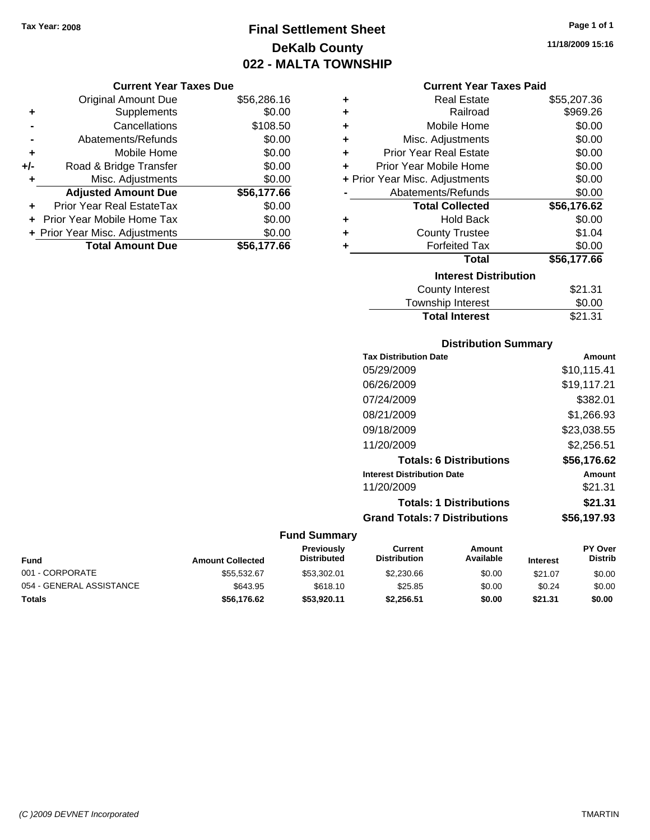# **Final Settlement Sheet Tax Year: 2008 Page 1 of 1 DeKalb County 022 - MALTA TOWNSHIP**

#### **Current Year Taxes Due**

|     | <b>Original Amount Due</b>     | \$56,286.16 |
|-----|--------------------------------|-------------|
| ٠   | Supplements                    | \$0.00      |
|     | Cancellations                  | \$108.50    |
|     | Abatements/Refunds             | \$0.00      |
| ٠   | Mobile Home                    | \$0.00      |
| +/- | Road & Bridge Transfer         | \$0.00      |
| ٠   | Misc. Adjustments              | \$0.00      |
|     | <b>Adjusted Amount Due</b>     | \$56,177.66 |
|     | Prior Year Real EstateTax      | \$0.00      |
|     | Prior Year Mobile Home Tax     | \$0.00      |
|     | + Prior Year Misc. Adjustments | \$0.00      |
|     | <b>Total Amount Due</b>        | \$56.177.66 |

#### **Current Year Taxes Paid**

| ٠ | Real Estate                    | \$55,207.36 |
|---|--------------------------------|-------------|
| ٠ | Railroad                       | \$969.26    |
| ÷ | Mobile Home                    | \$0.00      |
| ٠ | Misc. Adjustments              | \$0.00      |
| ٠ | <b>Prior Year Real Estate</b>  | \$0.00      |
| ٠ | Prior Year Mobile Home         | \$0.00      |
|   | + Prior Year Misc. Adjustments | \$0.00      |
|   | Abatements/Refunds             | \$0.00      |
|   | <b>Total Collected</b>         | \$56,176.62 |
| ٠ | <b>Hold Back</b>               | \$0.00      |
| ٠ | <b>County Trustee</b>          | \$1.04      |
| ٠ | <b>Forfeited Tax</b>           | \$0.00      |
|   | Total                          | \$56,177.66 |
|   | <b>Interest Distribution</b>   |             |
|   | <b>County Interest</b>         | \$21.31     |
|   | <b>Township Interest</b>       | \$0.00      |
|   | <b>Total Interest</b>          | \$21.31     |

#### **Distribution Summary**

| <b>Tax Distribution Date</b>         | Amount      |
|--------------------------------------|-------------|
| 05/29/2009                           | \$10,115.41 |
| 06/26/2009                           | \$19,117.21 |
| 07/24/2009                           | \$382.01    |
| 08/21/2009                           | \$1,266.93  |
| 09/18/2009                           | \$23,038.55 |
| 11/20/2009                           | \$2,256.51  |
| <b>Totals: 6 Distributions</b>       | \$56,176.62 |
| <b>Interest Distribution Date</b>    | Amount      |
| 11/20/2009                           | \$21.31     |
| <b>Totals: 1 Distributions</b>       | \$21.31     |
| <b>Grand Totals: 7 Distributions</b> | \$56.197.93 |
|                                      |             |

| <b>Fund</b>              | <b>Amount Collected</b> | <b>Previously</b><br><b>Distributed</b> | Current<br><b>Distribution</b> | Amount<br>Available | <b>Interest</b> | <b>PY Over</b><br><b>Distrib</b> |
|--------------------------|-------------------------|-----------------------------------------|--------------------------------|---------------------|-----------------|----------------------------------|
| 001 - CORPORATE          | \$55.532.67             | \$53,302.01                             | \$2,230.66                     | \$0.00              | \$21.07         | \$0.00                           |
| 054 - GENERAL ASSISTANCE | \$643.95                | \$618.10                                | \$25.85                        | \$0.00              | \$0.24          | \$0.00                           |
| <b>Totals</b>            | \$56.176.62             | \$53,920.11                             | \$2.256.51                     | \$0.00              | \$21.31         | \$0.00                           |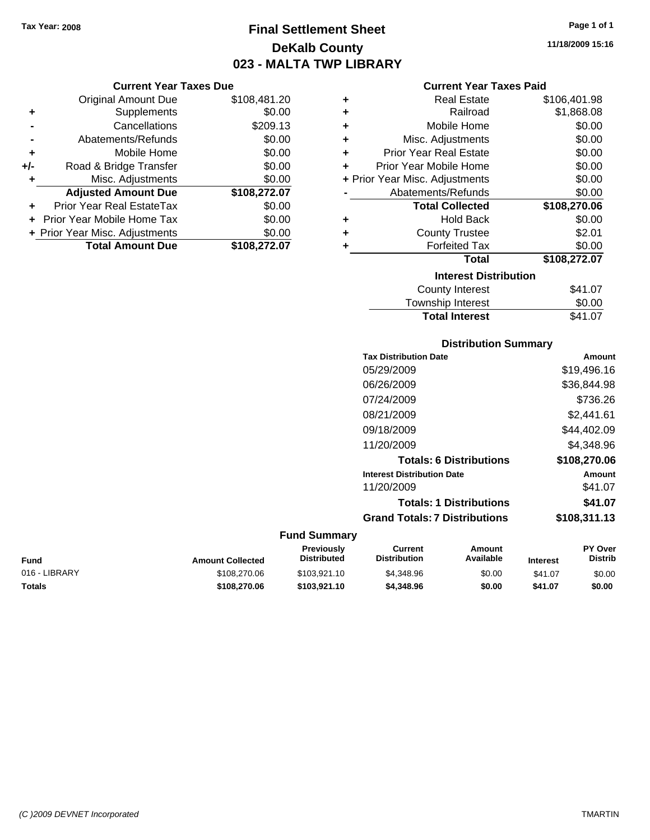**Current Year Taxes Due** Original Amount Due \$108,481.20

**Adjusted Amount Due \$108,272.07**

**Total Amount Due \$108,272.07**

**+** Supplements \$0.00 **-** Cancellations \$209.13 **-** Abatements/Refunds \$0.00 **+** Mobile Home \$0.00 **+/-** Road & Bridge Transfer \$0.00 **+** Misc. Adjustments \$0.00

**+** Prior Year Real EstateTax \$0.00 **+** Prior Year Mobile Home Tax \$0.00 **+ Prior Year Misc. Adjustments**  $$0.00$ 

# **Final Settlement Sheet Tax Year: 2008 Page 1 of 1 DeKalb County 023 - MALTA TWP LIBRARY**

**11/18/2009 15:16**

#### **Current Year Taxes Paid**

| ٠ | <b>Real Estate</b>                                                                                                                                                                                                            | \$106,401.98 |
|---|-------------------------------------------------------------------------------------------------------------------------------------------------------------------------------------------------------------------------------|--------------|
| ٠ | Railroad                                                                                                                                                                                                                      | \$1,868.08   |
| ٠ | Mobile Home                                                                                                                                                                                                                   | \$0.00       |
| ٠ | Misc. Adjustments                                                                                                                                                                                                             | \$0.00       |
| ٠ | <b>Prior Year Real Estate</b>                                                                                                                                                                                                 | \$0.00       |
| ÷ | Prior Year Mobile Home                                                                                                                                                                                                        | \$0.00       |
|   | + Prior Year Misc. Adjustments                                                                                                                                                                                                | \$0.00       |
|   | Abatements/Refunds                                                                                                                                                                                                            | \$0.00       |
|   | <b>Total Collected</b>                                                                                                                                                                                                        | \$108,270.06 |
| ٠ | <b>Hold Back</b>                                                                                                                                                                                                              | \$0.00       |
| ٠ | <b>County Trustee</b>                                                                                                                                                                                                         | \$2.01       |
| ٠ | <b>Forfeited Tax</b>                                                                                                                                                                                                          | \$0.00       |
|   | <b>Total</b>                                                                                                                                                                                                                  | \$108,272.07 |
|   | <b>Interest Distribution</b>                                                                                                                                                                                                  |              |
|   | <b>County Interest</b>                                                                                                                                                                                                        | \$41.07      |
|   | The control of the second to the second second to the second second to the second second to the second second second to the second second second second second second second second second second second second second second | ጦጣ ወጣ        |

# Township Interest \$0.00 Total Interest \$41.07

#### **Distribution Summary**

| <b>Tax Distribution Date</b>         | Amount       |
|--------------------------------------|--------------|
| 05/29/2009                           | \$19,496.16  |
| 06/26/2009                           | \$36,844.98  |
| 07/24/2009                           | \$736.26     |
| 08/21/2009                           | \$2,441.61   |
| 09/18/2009                           | \$44,402.09  |
| 11/20/2009                           | \$4.348.96   |
| <b>Totals: 6 Distributions</b>       | \$108,270.06 |
| <b>Interest Distribution Date</b>    | Amount       |
| 11/20/2009                           | \$41.07      |
| <b>Totals: 1 Distributions</b>       | \$41.07      |
| <b>Grand Totals: 7 Distributions</b> | \$108,311.13 |
|                                      |              |

| Fund          | <b>Amount Collected</b> | <b>Previously</b><br>Distributed | Current<br><b>Distribution</b> | Amount<br>Available | <b>Interest</b> | <b>PY Over</b><br><b>Distrib</b> |
|---------------|-------------------------|----------------------------------|--------------------------------|---------------------|-----------------|----------------------------------|
| 016 - LIBRARY | \$108,270.06            | \$103.921.10                     | \$4,348.96                     | \$0.00              | \$41.07         | \$0.00                           |
| Totals        | \$108,270.06            | \$103.921.10                     | \$4,348.96                     | \$0.00              | \$41.07         | \$0.00                           |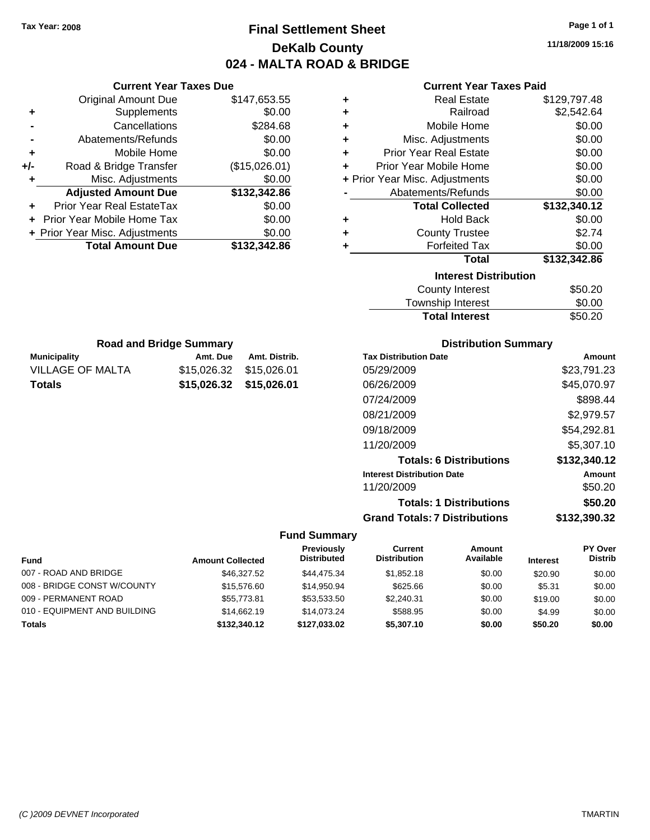# **Final Settlement Sheet Tax Year: 2008 Page 1 of 1 DeKalb County 024 - MALTA ROAD & BRIDGE**

**11/18/2009 15:16**

#### **Current Year Taxes Paid**

| ٠ | <b>Real Estate</b>             | \$129,797.48 |
|---|--------------------------------|--------------|
| ÷ | Railroad                       | \$2,542.64   |
| ٠ | Mobile Home                    | \$0.00       |
| ٠ | Misc. Adjustments              | \$0.00       |
| ٠ | <b>Prior Year Real Estate</b>  | \$0.00       |
| ÷ | Prior Year Mobile Home         | \$0.00       |
|   | + Prior Year Misc. Adjustments | \$0.00       |
|   | Abatements/Refunds             | \$0.00       |
|   | <b>Total Collected</b>         | \$132,340.12 |
| ٠ | <b>Hold Back</b>               | \$0.00       |
| ÷ | <b>County Trustee</b>          | \$2.74       |
| ٠ | <b>Forfeited Tax</b>           | \$0.00       |
|   | <b>Total</b>                   | \$132,342.86 |
|   | <b>Interest Distribution</b>   |              |
|   | <b>County Interest</b>         | \$50.20      |
|   |                                |              |

| <b>Total Interest</b> | \$50.20 |
|-----------------------|---------|
| Township Interest     | \$0.00  |
| County Interest       | \$50.20 |

| <b>Road and Bridge Summary</b> |                         |               |  |
|--------------------------------|-------------------------|---------------|--|
| <b>Municipality</b>            | Amt. Due                | Amt. Distrib. |  |
| VILLAGE OF MALTA               | \$15,026,32 \$15,026,01 |               |  |
| <b>Totals</b>                  | \$15,026,32 \$15,026,01 |               |  |

**Current Year Taxes Due** Original Amount Due \$147,653.55

**Adjusted Amount Due \$132,342.86**

**Total Amount Due \$132,342.86**

**+** Supplements \$0.00 **-** Cancellations \$284.68 **-** Abatements/Refunds \$0.00 **+** Mobile Home \$0.00 **+/-** Road & Bridge Transfer (\$15,026.01) **+** Misc. Adjustments \$0.00

**+** Prior Year Real EstateTax \$0.00 **+** Prior Year Mobile Home Tax \$0.00 **+ Prior Year Misc. Adjustments**  $$0.00$ 

#### **Distribution Summary**

| <b>Tax Distribution Date</b>         | Amount       |
|--------------------------------------|--------------|
| 05/29/2009                           | \$23,791.23  |
| 06/26/2009                           | \$45,070.97  |
| 07/24/2009                           | \$898.44     |
| 08/21/2009                           | \$2,979.57   |
| 09/18/2009                           | \$54,292.81  |
| 11/20/2009                           | \$5,307.10   |
| <b>Totals: 6 Distributions</b>       | \$132,340.12 |
| <b>Interest Distribution Date</b>    | Amount       |
| 11/20/2009                           | \$50.20      |
| <b>Totals: 1 Distributions</b>       | \$50.20      |
| <b>Grand Totals: 7 Distributions</b> | \$132,390.32 |

|                              |                         | Previously         | Current             | Amount    |                 | PY Over        |
|------------------------------|-------------------------|--------------------|---------------------|-----------|-----------------|----------------|
| <b>Fund</b>                  | <b>Amount Collected</b> | <b>Distributed</b> | <b>Distribution</b> | Available | <b>Interest</b> | <b>Distrib</b> |
| 007 - ROAD AND BRIDGE        | \$46,327,52             | \$44,475.34        | \$1.852.18          | \$0.00    | \$20.90         | \$0.00         |
| 008 - BRIDGE CONST W/COUNTY  | \$15,576.60             | \$14.950.94        | \$625.66            | \$0.00    | \$5.31          | \$0.00         |
| 009 - PERMANENT ROAD         | \$55,773.81             | \$53,533.50        | \$2,240.31          | \$0.00    | \$19.00         | \$0.00         |
| 010 - EQUIPMENT AND BUILDING | \$14,662.19             | \$14.073.24        | \$588.95            | \$0.00    | \$4.99          | \$0.00         |
| <b>Totals</b>                | \$132,340.12            | \$127.033.02       | \$5,307.10          | \$0.00    | \$50.20         | \$0.00         |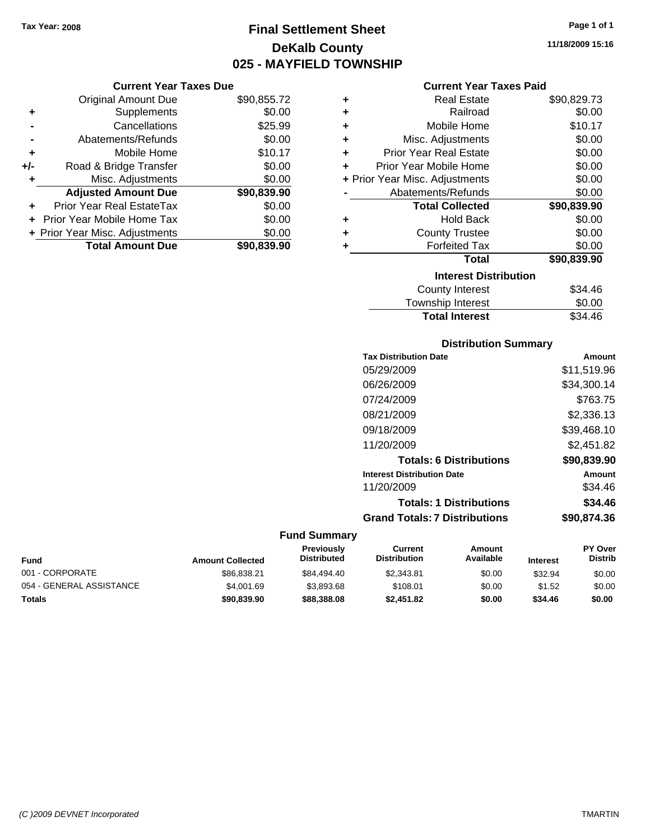# **Final Settlement Sheet Tax Year: 2008 Page 1 of 1 DeKalb County 025 - MAYFIELD TOWNSHIP**

**11/18/2009 15:16**

#### **Current Year Taxes Paid**

| ٠ | <b>Real Estate</b>             | \$90,829.73 |
|---|--------------------------------|-------------|
| ٠ | Railroad                       | \$0.00      |
| ÷ | Mobile Home                    | \$10.17     |
| ÷ | Misc. Adjustments              | \$0.00      |
| ÷ | <b>Prior Year Real Estate</b>  | \$0.00      |
| ٠ | Prior Year Mobile Home         | \$0.00      |
|   | + Prior Year Misc. Adjustments | \$0.00      |
|   | Abatements/Refunds             | \$0.00      |
|   |                                |             |
|   | <b>Total Collected</b>         | \$90,839.90 |
| ٠ | <b>Hold Back</b>               | \$0.00      |
| ٠ | <b>County Trustee</b>          | \$0.00      |
| ÷ | <b>Forfeited Tax</b>           | \$0.00      |
|   | <b>Total</b>                   | \$90,839.90 |
|   | <b>Interest Distribution</b>   |             |
|   | <b>County Interest</b>         | \$34.46     |

# **Distribution Summary**

Total Interest \$34.46

| <b>Tax Distribution Date</b>         | Amount      |
|--------------------------------------|-------------|
| 05/29/2009                           | \$11.519.96 |
| 06/26/2009                           | \$34,300.14 |
| 07/24/2009                           | \$763.75    |
| 08/21/2009                           | \$2.336.13  |
| 09/18/2009                           | \$39.468.10 |
| 11/20/2009                           | \$2,451.82  |
| <b>Totals: 6 Distributions</b>       | \$90,839,90 |
| <b>Interest Distribution Date</b>    | Amount      |
| 11/20/2009                           | \$34.46     |
| <b>Totals: 1 Distributions</b>       | \$34.46     |
| <b>Grand Totals: 7 Distributions</b> | \$90,874,36 |
|                                      |             |

#### **Fund Summary**

| Fund                     | <b>Amount Collected</b> | <b>Previously</b><br><b>Distributed</b> | Current<br><b>Distribution</b> | Amount<br>Available | <b>Interest</b> | <b>PY Over</b><br><b>Distrib</b> |
|--------------------------|-------------------------|-----------------------------------------|--------------------------------|---------------------|-----------------|----------------------------------|
| 001 - CORPORATE          | \$86.838.21             | \$84.494.40                             | \$2.343.81                     | \$0.00              | \$32.94         | \$0.00                           |
| 054 - GENERAL ASSISTANCE | \$4,001.69              | \$3.893.68                              | \$108.01                       | \$0.00              | \$1.52          | \$0.00                           |
| <b>Totals</b>            | \$90,839.90             | \$88,388,08                             | \$2,451.82                     | \$0.00              | \$34.46         | \$0.00                           |

|                | <b>Current Year Taxes Due</b> |             |  |
|----------------|-------------------------------|-------------|--|
|                | <b>Original Amount Due</b>    | \$90,855.72 |  |
| ÷              | Supplements                   | \$0.00      |  |
| $\blacksquare$ | Cancellations                 | \$25.99     |  |
|                | Abatements/Refunds            | \$0.00      |  |
| ÷              | Mobile Home                   | \$10.17     |  |
| $+/-$          | Road & Bridge Transfer        | \$0.00      |  |

**Adjusted Amount Due \$90,839.90**

**Total Amount Due \$90,839.90**

**+** Misc. Adjustments \$0.00

**+** Prior Year Real EstateTax \$0.00 **+** Prior Year Mobile Home Tax \$0.00 **+ Prior Year Misc. Adjustments**  $$0.00$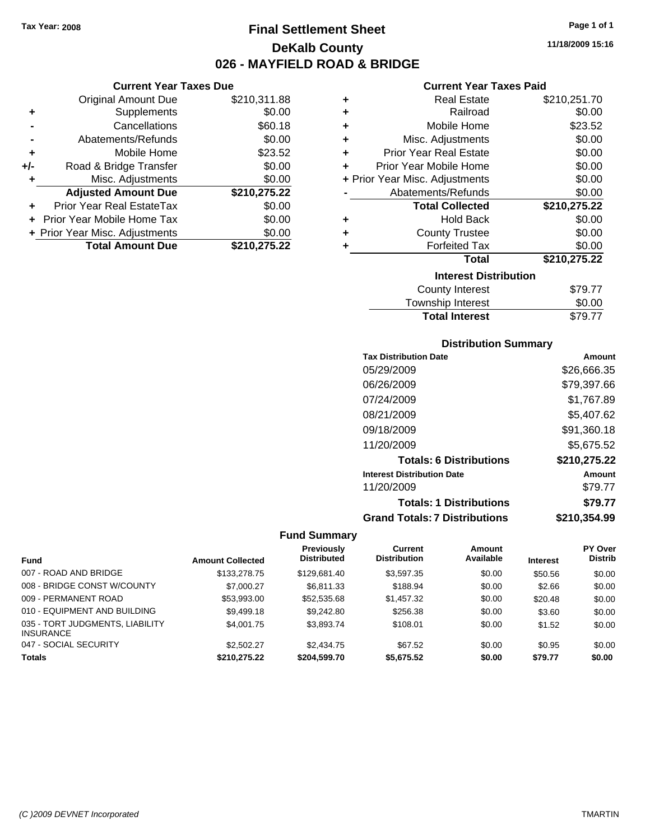**Current Year Taxes Due** Original Amount Due \$210,311.88

**Adjusted Amount Due \$210,275.22**

**Total Amount Due \$210,275.22**

**+** Supplements \$0.00 **-** Cancellations \$60.18 **-** Abatements/Refunds \$0.00 **+** Mobile Home \$23.52 **+/-** Road & Bridge Transfer \$0.00 **+** Misc. Adjustments \$0.00

**+** Prior Year Real EstateTax \$0.00 **+** Prior Year Mobile Home Tax \$0.00 **+ Prior Year Misc. Adjustments**  $$0.00$ 

# **Final Settlement Sheet Tax Year: 2008 Page 1 of 1 DeKalb County 026 - MAYFIELD ROAD & BRIDGE**

**11/18/2009 15:16**

#### **Current Year Taxes Paid**

| ٠ | <b>Real Estate</b>             | \$210,251.70 |
|---|--------------------------------|--------------|
| ٠ | Railroad                       | \$0.00       |
| ÷ | Mobile Home                    | \$23.52      |
| ÷ | Misc. Adjustments              | \$0.00       |
| ÷ | <b>Prior Year Real Estate</b>  | \$0.00       |
| ÷ | Prior Year Mobile Home         | \$0.00       |
|   | + Prior Year Misc. Adjustments | \$0.00       |
|   | Abatements/Refunds             | \$0.00       |
|   | <b>Total Collected</b>         | \$210,275.22 |
| ٠ | <b>Hold Back</b>               | \$0.00       |
| ٠ | <b>County Trustee</b>          | \$0.00       |
| ٠ | <b>Forfeited Tax</b>           | \$0.00       |
|   | <b>Total</b>                   | \$210,275.22 |
|   | <b>Interest Distribution</b>   |              |
|   | <b>County Interest</b>         | \$79.77      |
|   | Taunaalaha tatanaat            | ጦ ለለ         |

|                       | .       |
|-----------------------|---------|
| Township Interest     | \$0.00  |
| <b>Total Interest</b> | \$79.77 |
|                       |         |

#### **Distribution Summary**

| <b>Tax Distribution Date</b>         | Amount       |
|--------------------------------------|--------------|
| 05/29/2009                           | \$26,666.35  |
| 06/26/2009                           | \$79,397.66  |
| 07/24/2009                           | \$1,767.89   |
| 08/21/2009                           | \$5,407.62   |
| 09/18/2009                           | \$91,360.18  |
| 11/20/2009                           | \$5,675.52   |
| <b>Totals: 6 Distributions</b>       | \$210,275.22 |
| <b>Interest Distribution Date</b>    | Amount       |
| 11/20/2009                           | \$79.77      |
| <b>Totals: 1 Distributions</b>       | \$79.77      |
| <b>Grand Totals: 7 Distributions</b> | \$210,354.99 |

|                                                     |                         | Previously         | Current             | <b>Amount</b> |                 | PY Over        |
|-----------------------------------------------------|-------------------------|--------------------|---------------------|---------------|-----------------|----------------|
| <b>Fund</b>                                         | <b>Amount Collected</b> | <b>Distributed</b> | <b>Distribution</b> | Available     | <b>Interest</b> | <b>Distrib</b> |
| 007 - ROAD AND BRIDGE                               | \$133,278.75            | \$129,681.40       | \$3,597.35          | \$0.00        | \$50.56         | \$0.00         |
| 008 - BRIDGE CONST W/COUNTY                         | \$7,000.27              | \$6,811.33         | \$188.94            | \$0.00        | \$2.66          | \$0.00         |
| 009 - PERMANENT ROAD                                | \$53.993.00             | \$52,535,68        | \$1,457.32          | \$0.00        | \$20.48         | \$0.00         |
| 010 - EQUIPMENT AND BUILDING                        | \$9,499.18              | \$9,242.80         | \$256.38            | \$0.00        | \$3.60          | \$0.00         |
| 035 - TORT JUDGMENTS, LIABILITY<br><b>INSURANCE</b> | \$4,001.75              | \$3,893.74         | \$108.01            | \$0.00        | \$1.52          | \$0.00         |
| 047 - SOCIAL SECURITY                               | \$2,502.27              | \$2,434.75         | \$67.52             | \$0.00        | \$0.95          | \$0.00         |
| <b>Totals</b>                                       | \$210.275.22            | \$204.599.70       | \$5,675,52          | \$0.00        | \$79.77         | \$0.00         |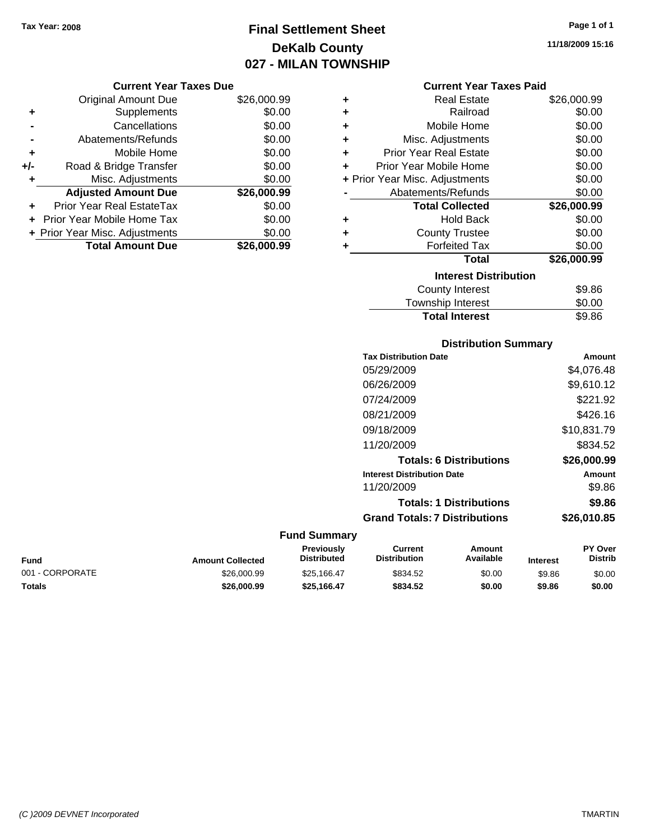# **Final Settlement Sheet Tax Year: 2008 Page 1 of 1 DeKalb County 027 - MILAN TOWNSHIP**

**11/18/2009 15:16**

|     | <b>Original Amount Due</b>     | \$26,000.99 |
|-----|--------------------------------|-------------|
| ٠   | Supplements                    | \$0.00      |
|     | Cancellations                  | \$0.00      |
|     | Abatements/Refunds             | \$0.00      |
| ÷   | Mobile Home                    | \$0.00      |
| +/- | Road & Bridge Transfer         | \$0.00      |
| ۰   | Misc. Adjustments              | \$0.00      |
|     | <b>Adjusted Amount Due</b>     | \$26,000.99 |
|     | Prior Year Real EstateTax      | \$0.00      |
|     | Prior Year Mobile Home Tax     | \$0.00      |
|     | + Prior Year Misc. Adjustments | \$0.00      |
|     | <b>Total Amount Due</b>        | \$26.000.99 |

#### **Current Year Taxes Paid**

|   | <b>Real Estate</b>             | \$26,000.99 |
|---|--------------------------------|-------------|
| ÷ | Railroad                       | \$0.00      |
| ÷ | Mobile Home                    | \$0.00      |
| ÷ | Misc. Adjustments              | \$0.00      |
| ÷ | <b>Prior Year Real Estate</b>  | \$0.00      |
| ÷ | Prior Year Mobile Home         | \$0.00      |
|   | + Prior Year Misc. Adjustments | \$0.00      |
|   | Abatements/Refunds             | \$0.00      |
|   |                                |             |
|   | <b>Total Collected</b>         | \$26,000.99 |
| ٠ | <b>Hold Back</b>               | \$0.00      |
| ÷ | <b>County Trustee</b>          | \$0.00      |
| ٠ | <b>Forfeited Tax</b>           | \$0.00      |
|   | <b>Total</b>                   | \$26,000.99 |
|   | <b>Interest Distribution</b>   |             |
|   | County Interest                | \$9.86      |

# **Total Interest** \$9.86

| <b>Distribution Summary</b>          |             |
|--------------------------------------|-------------|
| <b>Tax Distribution Date</b>         | Amount      |
| 05/29/2009                           | \$4,076.48  |
| 06/26/2009                           | \$9,610.12  |
| 07/24/2009                           | \$221.92    |
| 08/21/2009                           | \$426.16    |
| 09/18/2009                           | \$10,831.79 |
| 11/20/2009                           | \$834.52    |
| <b>Totals: 6 Distributions</b>       | \$26,000.99 |
| <b>Interest Distribution Date</b>    | Amount      |
| 11/20/2009                           | \$9.86      |
| <b>Totals: 1 Distributions</b>       | \$9.86      |
| <b>Grand Totals: 7 Distributions</b> | \$26,010.85 |

| Fund            | <b>Amount Collected</b> | <b>Previously</b><br><b>Distributed</b> | Current<br><b>Distribution</b> | Amount<br>Available | <b>Interest</b> | <b>PY Over</b><br>Distrib |
|-----------------|-------------------------|-----------------------------------------|--------------------------------|---------------------|-----------------|---------------------------|
| 001 - CORPORATE | \$26,000.99             | \$25.166.47                             | \$834.52                       | \$0.00              | \$9.86          | \$0.00                    |
| Totals          | \$26,000.99             | \$25.166.47                             | \$834.52                       | \$0.00              | \$9.86          | \$0.00                    |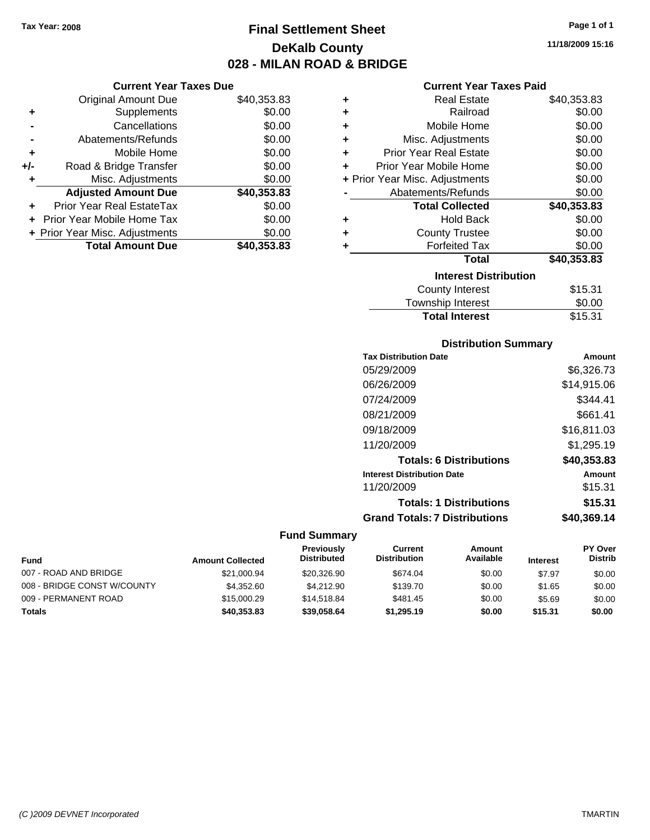# **Final Settlement Sheet Tax Year: 2008 Page 1 of 1 DeKalb County 028 - MILAN ROAD & BRIDGE**

#### **Current Year Taxes Due**

|     | <b>Original Amount Due</b>     | \$40,353.83 |
|-----|--------------------------------|-------------|
| ٠   | Supplements                    | \$0.00      |
|     | Cancellations                  | \$0.00      |
|     | Abatements/Refunds             | \$0.00      |
| ٠   | Mobile Home                    | \$0.00      |
| +/- | Road & Bridge Transfer         | \$0.00      |
| ٠   | Misc. Adjustments              | \$0.00      |
|     | <b>Adjusted Amount Due</b>     | \$40,353.83 |
|     | Prior Year Real EstateTax      | \$0.00      |
|     | Prior Year Mobile Home Tax     | \$0.00      |
|     | + Prior Year Misc. Adjustments | \$0.00      |
|     | <b>Total Amount Due</b>        | \$40,353.83 |

#### **Current Year Taxes Paid**

| ٠ | <b>Real Estate</b>             | \$40,353.83 |
|---|--------------------------------|-------------|
| ÷ | Railroad                       | \$0.00      |
| ÷ | Mobile Home                    | \$0.00      |
| ٠ | Misc. Adjustments              | \$0.00      |
| ٠ | <b>Prior Year Real Estate</b>  | \$0.00      |
| ٠ | Prior Year Mobile Home         | \$0.00      |
|   | + Prior Year Misc. Adjustments | \$0.00      |
|   | Abatements/Refunds             | \$0.00      |
|   | <b>Total Collected</b>         | \$40,353.83 |
| ٠ | <b>Hold Back</b>               | \$0.00      |
| ÷ | <b>County Trustee</b>          | \$0.00      |
| ٠ | <b>Forfeited Tax</b>           | \$0.00      |
|   | Total                          | \$40,353.83 |
|   | <b>Interest Distribution</b>   |             |
|   | <b>County Interest</b>         | \$15.31     |
|   | <b>Township Interest</b>       | \$0.00      |
|   | <b>Total Interest</b>          | \$15.31     |

#### **Distribution Summary**

| <b>Tax Distribution Date</b>         | Amount      |
|--------------------------------------|-------------|
| 05/29/2009                           | \$6,326.73  |
| 06/26/2009                           | \$14,915.06 |
| 07/24/2009                           | \$344.41    |
| 08/21/2009                           | \$661.41    |
| 09/18/2009                           | \$16,811.03 |
| 11/20/2009                           | \$1,295.19  |
| <b>Totals: 6 Distributions</b>       | \$40,353,83 |
| <b>Interest Distribution Date</b>    | Amount      |
| 11/20/2009                           | \$15.31     |
| <b>Totals: 1 Distributions</b>       | \$15.31     |
| <b>Grand Totals: 7 Distributions</b> | \$40.369.14 |

#### **Fund Summary**

| <b>Fund</b>                 | <b>Amount Collected</b> | Previously<br><b>Distributed</b> | Current<br><b>Distribution</b> | Amount<br>Available | <b>Interest</b> | <b>PY Over</b><br><b>Distrib</b> |
|-----------------------------|-------------------------|----------------------------------|--------------------------------|---------------------|-----------------|----------------------------------|
| 007 - ROAD AND BRIDGE       | \$21,000.94             | \$20,326.90                      | \$674.04                       | \$0.00              | \$7.97          | \$0.00                           |
| 008 - BRIDGE CONST W/COUNTY | \$4,352.60              | \$4.212.90                       | \$139.70                       | \$0.00              | \$1.65          | \$0.00                           |
| 009 - PERMANENT ROAD        | \$15,000.29             | \$14,518,84                      | \$481.45                       | \$0.00              | \$5.69          | \$0.00                           |
| <b>Totals</b>               | \$40,353.83             | \$39,058,64                      | \$1,295.19                     | \$0.00              | \$15.31         | \$0.00                           |

**11/18/2009 15:16**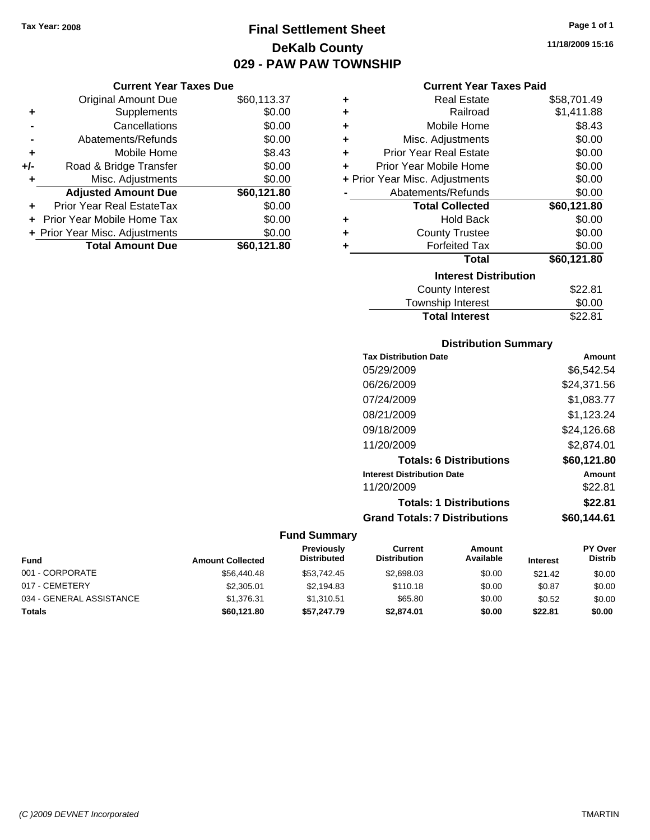# **Final Settlement Sheet Tax Year: 2008 Page 1 of 1 DeKalb County 029 - PAW PAW TOWNSHIP**

#### **Current Year Taxes Due**

|     | <b>Original Amount Due</b>       | \$60,113.37 |
|-----|----------------------------------|-------------|
| ٠   | Supplements                      | \$0.00      |
|     | Cancellations                    | \$0.00      |
|     | Abatements/Refunds               | \$0.00      |
| ÷   | Mobile Home                      | \$8.43      |
| +/- | Road & Bridge Transfer           | \$0.00      |
| ٠   | Misc. Adjustments                | \$0.00      |
|     | <b>Adjusted Amount Due</b>       | \$60,121.80 |
|     | <b>Prior Year Real EstateTax</b> | \$0.00      |
|     | Prior Year Mobile Home Tax       | \$0.00      |
|     | + Prior Year Misc. Adjustments   | \$0.00      |
|     | <b>Total Amount Due</b>          | \$60,121.80 |

#### **Current Year Taxes Paid**

| ٠ | Real Estate                    | \$58,701.49 |
|---|--------------------------------|-------------|
| ÷ | Railroad                       | \$1,411.88  |
| ÷ | Mobile Home                    | \$8.43      |
| ÷ | Misc. Adjustments              | \$0.00      |
| ÷ | <b>Prior Year Real Estate</b>  | \$0.00      |
| ٠ | Prior Year Mobile Home         | \$0.00      |
|   | + Prior Year Misc. Adjustments | \$0.00      |
|   | Abatements/Refunds             | \$0.00      |
|   | <b>Total Collected</b>         | \$60,121.80 |
| ٠ | <b>Hold Back</b>               | \$0.00      |
| ٠ | <b>County Trustee</b>          | \$0.00      |
| ٠ | <b>Forfeited Tax</b>           | \$0.00      |
|   | Total                          | \$60,121.80 |
|   | <b>Interest Distribution</b>   |             |
|   | County Interest                | \$22.81     |
|   | <b>Township Interest</b>       | \$0.00      |
|   | <b>Total Interest</b>          | \$22.81     |

#### **Distribution Summary**

| Amount      |
|-------------|
| \$6.542.54  |
| \$24,371.56 |
| \$1,083.77  |
| \$1,123.24  |
| \$24,126.68 |
| \$2,874.01  |
| \$60.121.80 |
| Amount      |
| \$22.81     |
| \$22.81     |
| \$60.144.61 |
|             |

| <b>Fund</b>              | <b>Amount Collected</b> | Previously<br><b>Distributed</b> | Current<br><b>Distribution</b> | Amount<br>Available | <b>Interest</b> | <b>PY Over</b><br><b>Distrib</b> |
|--------------------------|-------------------------|----------------------------------|--------------------------------|---------------------|-----------------|----------------------------------|
| 001 - CORPORATE          | \$56,440.48             | \$53,742.45                      | \$2,698.03                     | \$0.00              | \$21.42         | \$0.00                           |
| 017 - CEMETERY           | \$2,305.01              | \$2.194.83                       | \$110.18                       | \$0.00              | \$0.87          | \$0.00                           |
| 034 - GENERAL ASSISTANCE | \$1.376.31              | \$1,310.51                       | \$65.80                        | \$0.00              | \$0.52          | \$0.00                           |
| Totals                   | \$60,121.80             | \$57,247.79                      | \$2,874.01                     | \$0.00              | \$22.81         | \$0.00                           |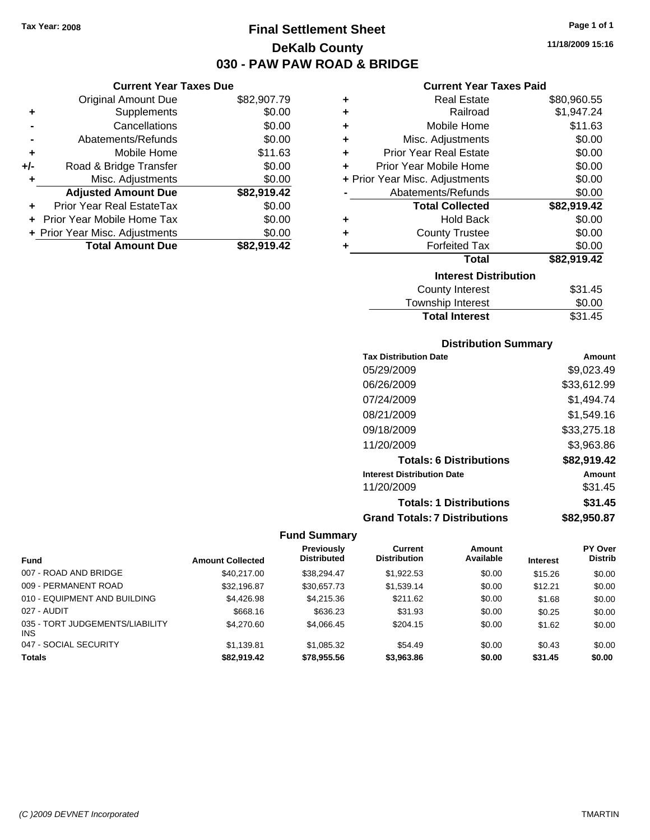**Current Year Taxes Due** Original Amount Due \$82,907.79

**Adjusted Amount Due \$82,919.42**

**Total Amount Due \$82,919.42**

**+** Supplements \$0.00 **-** Cancellations \$0.00 **-** Abatements/Refunds \$0.00 **+** Mobile Home \$11.63 **+/-** Road & Bridge Transfer \$0.00 **+** Misc. Adjustments \$0.00

**+** Prior Year Real EstateTax \$0.00 **+** Prior Year Mobile Home Tax \$0.00 **+ Prior Year Misc. Adjustments**  $$0.00$ 

# **Final Settlement Sheet Tax Year: 2008 Page 1 of 1 DeKalb County 030 - PAW PAW ROAD & BRIDGE**

**11/18/2009 15:16**

#### **Current Year Taxes Paid**

| ÷ | <b>Real Estate</b>             | \$80,960.55 |
|---|--------------------------------|-------------|
| ٠ | Railroad                       | \$1,947.24  |
| ÷ | Mobile Home                    | \$11.63     |
| ÷ | Misc. Adjustments              | \$0.00      |
| ÷ | <b>Prior Year Real Estate</b>  | \$0.00      |
| ٠ | Prior Year Mobile Home         | \$0.00      |
|   | + Prior Year Misc. Adjustments | \$0.00      |
|   | Abatements/Refunds             | \$0.00      |
|   |                                |             |
|   | <b>Total Collected</b>         | \$82,919.42 |
| ٠ | <b>Hold Back</b>               | \$0.00      |
| ÷ | <b>County Trustee</b>          | \$0.00      |
| ٠ | <b>Forfeited Tax</b>           | \$0.00      |
|   | <b>Total</b>                   | \$82,919.42 |
|   | <b>Interest Distribution</b>   |             |
|   | County Interest                | \$31.45     |

#### **Distribution Summary**

Total Interest \$31.45

| <b>Tax Distribution Date</b>         | Amount      |
|--------------------------------------|-------------|
| 05/29/2009                           | \$9,023.49  |
| 06/26/2009                           | \$33,612.99 |
| 07/24/2009                           | \$1,494.74  |
| 08/21/2009                           | \$1,549.16  |
| 09/18/2009                           | \$33,275.18 |
| 11/20/2009                           | \$3,963.86  |
| <b>Totals: 6 Distributions</b>       | \$82,919.42 |
| <b>Interest Distribution Date</b>    | Amount      |
| 11/20/2009                           | \$31.45     |
| <b>Totals: 1 Distributions</b>       | \$31.45     |
| <b>Grand Totals: 7 Distributions</b> | \$82,950.87 |

|                                        |                         | Previously         | Current             | <b>Amount</b> |                 | PY Over        |
|----------------------------------------|-------------------------|--------------------|---------------------|---------------|-----------------|----------------|
| <b>Fund</b>                            | <b>Amount Collected</b> | <b>Distributed</b> | <b>Distribution</b> | Available     | <b>Interest</b> | <b>Distrib</b> |
| 007 - ROAD AND BRIDGE                  | \$40.217.00             | \$38,294.47        | \$1,922.53          | \$0.00        | \$15.26         | \$0.00         |
| 009 - PERMANENT ROAD                   | \$32,196.87             | \$30,657.73        | \$1,539.14          | \$0.00        | \$12.21         | \$0.00         |
| 010 - EQUIPMENT AND BUILDING           | \$4,426.98              | \$4,215.36         | \$211.62            | \$0.00        | \$1.68          | \$0.00         |
| 027 - AUDIT                            | \$668.16                | \$636.23           | \$31.93             | \$0.00        | \$0.25          | \$0.00         |
| 035 - TORT JUDGEMENTS/LIABILITY<br>INS | \$4,270.60              | \$4,066.45         | \$204.15            | \$0.00        | \$1.62          | \$0.00         |
| 047 - SOCIAL SECURITY                  | \$1.139.81              | \$1.085.32         | \$54.49             | \$0.00        | \$0.43          | \$0.00         |
| <b>Totals</b>                          | \$82.919.42             | \$78,955.56        | \$3,963,86          | \$0.00        | \$31.45         | \$0.00         |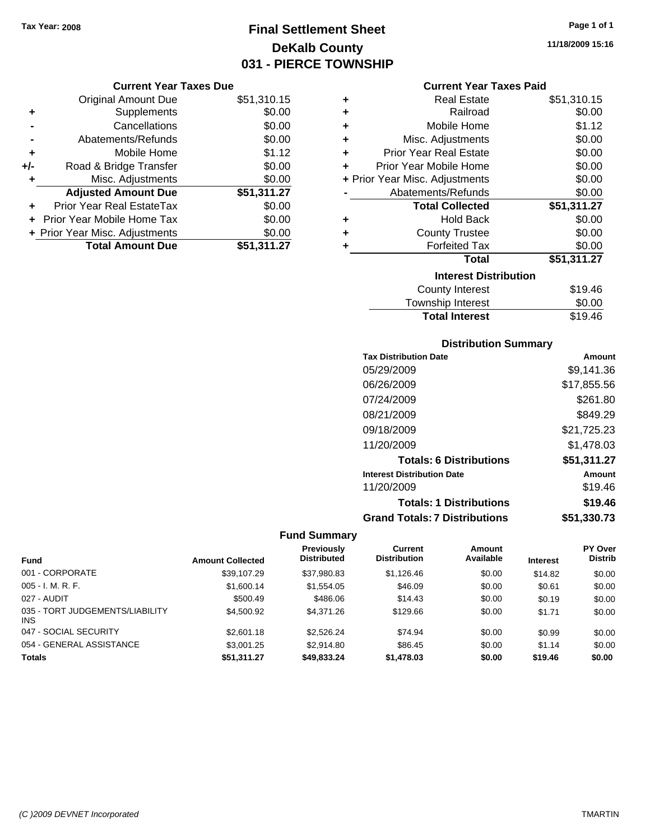# **Final Settlement Sheet Tax Year: 2008 Page 1 of 1 DeKalb County 031 - PIERCE TOWNSHIP**

#### **Current Year Taxes Due**

|       | <b>Original Amount Due</b>     | \$51,310.15 |
|-------|--------------------------------|-------------|
| ٠     | Supplements                    | \$0.00      |
|       | Cancellations                  | \$0.00      |
|       | Abatements/Refunds             | \$0.00      |
| ÷     | Mobile Home                    | \$1.12      |
| $+/-$ | Road & Bridge Transfer         | \$0.00      |
| ٠     | Misc. Adjustments              | \$0.00      |
|       | <b>Adjusted Amount Due</b>     | \$51,311.27 |
| ÷     | Prior Year Real EstateTax      | \$0.00      |
|       | Prior Year Mobile Home Tax     | \$0.00      |
|       | + Prior Year Misc. Adjustments | \$0.00      |
|       | <b>Total Amount Due</b>        | \$51,311.27 |

#### **Current Year Taxes Paid**

| ٠ | Real Estate                    | \$51,310.15 |
|---|--------------------------------|-------------|
| ÷ | Railroad                       | \$0.00      |
| ÷ | Mobile Home                    | \$1.12      |
| ÷ | Misc. Adjustments              | \$0.00      |
| ÷ | <b>Prior Year Real Estate</b>  | \$0.00      |
| ٠ | Prior Year Mobile Home         | \$0.00      |
|   | + Prior Year Misc. Adjustments | \$0.00      |
|   | Abatements/Refunds             | \$0.00      |
|   | <b>Total Collected</b>         | \$51,311.27 |
| ٠ | <b>Hold Back</b>               | \$0.00      |
| ÷ | <b>County Trustee</b>          | \$0.00      |
| ٠ | <b>Forfeited Tax</b>           | \$0.00      |
|   | Total                          | \$51,311.27 |
|   | <b>Interest Distribution</b>   |             |
|   | <b>County Interest</b>         | \$19.46     |
|   | <b>Township Interest</b>       | \$0.00      |
|   | <b>Total Interest</b>          | \$19.46     |

#### **Distribution Summary**

| <b>Tax Distribution Date</b>         | Amount      |
|--------------------------------------|-------------|
| 05/29/2009                           | \$9.141.36  |
| 06/26/2009                           | \$17,855.56 |
| 07/24/2009                           | \$261.80    |
| 08/21/2009                           | \$849.29    |
| 09/18/2009                           | \$21,725.23 |
| 11/20/2009                           | \$1.478.03  |
| <b>Totals: 6 Distributions</b>       | \$51,311.27 |
| <b>Interest Distribution Date</b>    | Amount      |
| 11/20/2009                           | \$19.46     |
| <b>Totals: 1 Distributions</b>       | \$19.46     |
| <b>Grand Totals: 7 Distributions</b> | \$51,330.73 |

|                                               |                         | Previously         | <b>Current</b>      | Amount    |                 | PY Over        |
|-----------------------------------------------|-------------------------|--------------------|---------------------|-----------|-----------------|----------------|
| <b>Fund</b>                                   | <b>Amount Collected</b> | <b>Distributed</b> | <b>Distribution</b> | Available | <b>Interest</b> | <b>Distrib</b> |
| 001 - CORPORATE                               | \$39,107.29             | \$37,980.83        | \$1,126.46          | \$0.00    | \$14.82         | \$0.00         |
| $005 - I. M. R. F.$                           | \$1,600.14              | \$1,554.05         | \$46.09             | \$0.00    | \$0.61          | \$0.00         |
| 027 - AUDIT                                   | \$500.49                | \$486.06           | \$14.43             | \$0.00    | \$0.19          | \$0.00         |
| 035 - TORT JUDGEMENTS/LIABILITY<br><b>INS</b> | \$4,500.92              | \$4.371.26         | \$129.66            | \$0.00    | \$1.71          | \$0.00         |
| 047 - SOCIAL SECURITY                         | \$2,601.18              | \$2,526.24         | \$74.94             | \$0.00    | \$0.99          | \$0.00         |
| 054 - GENERAL ASSISTANCE                      | \$3,001.25              | \$2.914.80         | \$86.45             | \$0.00    | \$1.14          | \$0.00         |
| <b>Totals</b>                                 | \$51,311.27             | \$49,833,24        | \$1,478.03          | \$0.00    | \$19.46         | \$0.00         |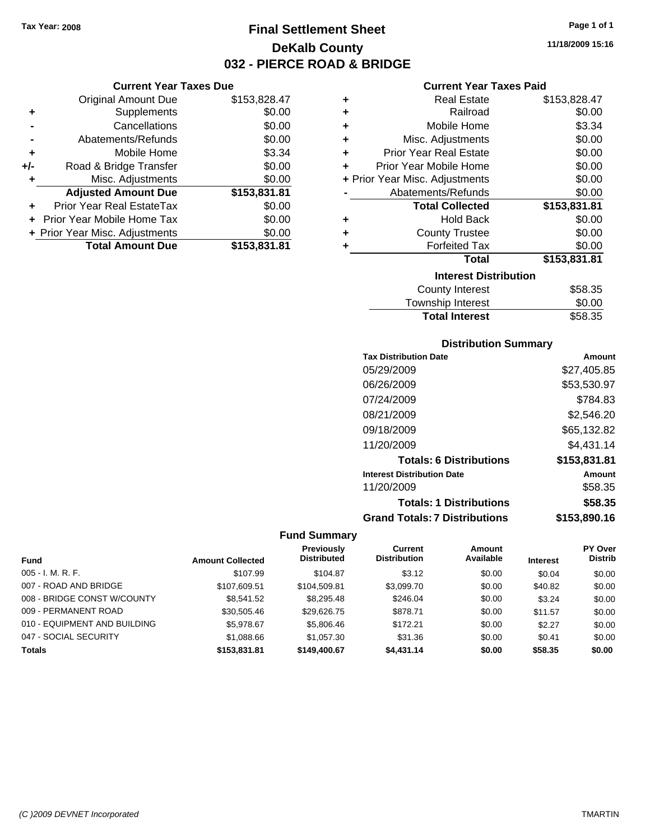**Current Year Taxes Due** Original Amount Due \$153,828.47

**Adjusted Amount Due \$153,831.81**

**+** Supplements \$0.00 **-** Cancellations \$0.00 **-** Abatements/Refunds \$0.00 **+** Mobile Home \$3.34 **+/-** Road & Bridge Transfer \$0.00 **+** Misc. Adjustments \$0.00

**+** Prior Year Real EstateTax \$0.00 **+** Prior Year Mobile Home Tax \$0.00 **+ Prior Year Misc. Adjustments \$0.00<br>Total Amount Due \$153,831.81** 

**Total Amount Due** 

# **Final Settlement Sheet Tax Year: 2008 Page 1 of 1 DeKalb County 032 - PIERCE ROAD & BRIDGE**

**11/18/2009 15:16**

#### **Current Year Taxes Paid**

| ٠ | <b>Real Estate</b>             | \$153,828.47 |
|---|--------------------------------|--------------|
| ٠ | Railroad                       | \$0.00       |
| ÷ | Mobile Home                    | \$3.34       |
| ÷ | Misc. Adjustments              | \$0.00       |
| ÷ | <b>Prior Year Real Estate</b>  | \$0.00       |
| ÷ | Prior Year Mobile Home         | \$0.00       |
|   | + Prior Year Misc. Adjustments | \$0.00       |
|   | Abatements/Refunds             | \$0.00       |
|   | <b>Total Collected</b>         | \$153,831.81 |
| ٠ | <b>Hold Back</b>               | \$0.00       |
| ٠ | <b>County Trustee</b>          | \$0.00       |
| ٠ | <b>Forfeited Tax</b>           | \$0.00       |
|   | <b>Total</b>                   | \$153,831.81 |
|   | <b>Interest Distribution</b>   |              |
|   | <b>County Interest</b>         | \$58.35      |
|   | -                              |              |

| Township Interest     | \$0.00  |
|-----------------------|---------|
| <b>Total Interest</b> | \$58.35 |

#### **Distribution Summary**

| <b>Tax Distribution Date</b>         | Amount       |
|--------------------------------------|--------------|
| 05/29/2009                           | \$27,405.85  |
| 06/26/2009                           | \$53,530.97  |
| 07/24/2009                           | \$784.83     |
| 08/21/2009                           | \$2,546.20   |
| 09/18/2009                           | \$65,132.82  |
| 11/20/2009                           | \$4.431.14   |
| <b>Totals: 6 Distributions</b>       | \$153,831.81 |
| <b>Interest Distribution Date</b>    | Amount       |
| 11/20/2009                           | \$58.35      |
| <b>Totals: 1 Distributions</b>       | \$58.35      |
| <b>Grand Totals: 7 Distributions</b> | \$153,890.16 |

|                              |                         | <b>Previously</b>  | <b>Current</b>      | Amount    |                 | PY Over        |
|------------------------------|-------------------------|--------------------|---------------------|-----------|-----------------|----------------|
| <b>Fund</b>                  | <b>Amount Collected</b> | <b>Distributed</b> | <b>Distribution</b> | Available | <b>Interest</b> | <b>Distrib</b> |
| $005 - I. M. R. F.$          | \$107.99                | \$104.87           | \$3.12              | \$0.00    | \$0.04          | \$0.00         |
| 007 - ROAD AND BRIDGE        | \$107.609.51            | \$104.509.81       | \$3,099.70          | \$0.00    | \$40.82         | \$0.00         |
| 008 - BRIDGE CONST W/COUNTY  | \$8,541,52              | \$8,295,48         | \$246.04            | \$0.00    | \$3.24          | \$0.00         |
| 009 - PERMANENT ROAD         | \$30,505.46             | \$29.626.75        | \$878.71            | \$0.00    | \$11.57         | \$0.00         |
| 010 - EQUIPMENT AND BUILDING | \$5,978.67              | \$5,806.46         | \$172.21            | \$0.00    | \$2.27          | \$0.00         |
| 047 - SOCIAL SECURITY        | \$1,088.66              | \$1,057.30         | \$31.36             | \$0.00    | \$0.41          | \$0.00         |
| <b>Totals</b>                | \$153,831.81            | \$149,400.67       | \$4,431.14          | \$0.00    | \$58.35         | \$0.00         |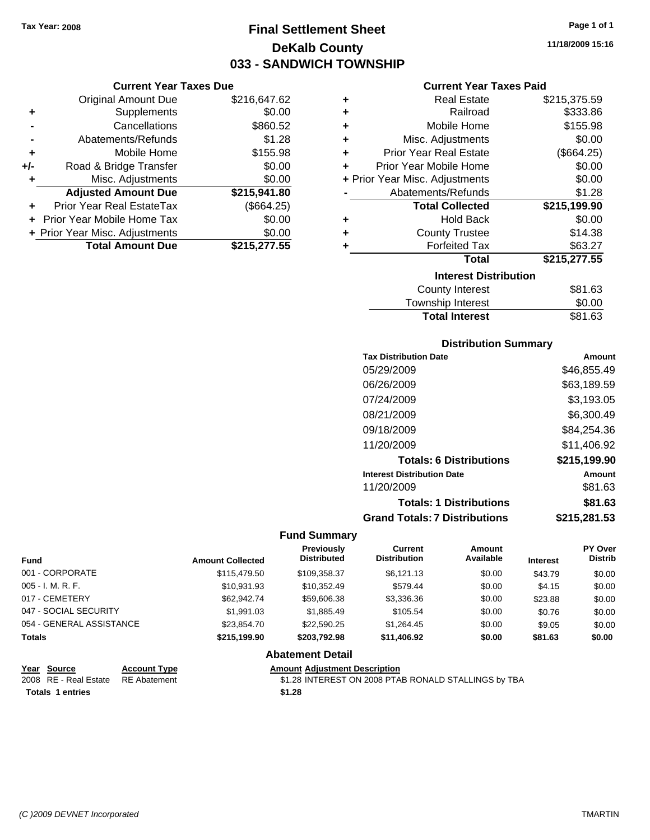**Current Year Taxes Due** Original Amount Due \$216,647.62

**Adjusted Amount Due \$215,941.80**

**Total Amount Due \$215,277.55**

**+** Supplements \$0.00 **-** Cancellations \$860.52 **-** Abatements/Refunds \$1.28 **+** Mobile Home \$155.98 **+/-** Road & Bridge Transfer \$0.00 **+** Misc. Adjustments \$0.00

**+** Prior Year Real EstateTax (\$664.25) **+** Prior Year Mobile Home Tax \$0.00 **+ Prior Year Misc. Adjustments**  $$0.00$ 

# **Final Settlement Sheet Tax Year: 2008 Page 1 of 1 DeKalb County 033 - SANDWICH TOWNSHIP**

**11/18/2009 15:16**

#### **Current Year Taxes Paid**

| ٠ | <b>Real Estate</b>             | \$215,375.59 |
|---|--------------------------------|--------------|
| ٠ | Railroad                       | \$333.86     |
| ÷ | Mobile Home                    | \$155.98     |
| ÷ | Misc. Adjustments              | \$0.00       |
| ÷ | <b>Prior Year Real Estate</b>  | (\$664.25)   |
| ÷ | Prior Year Mobile Home         | \$0.00       |
|   | + Prior Year Misc. Adjustments | \$0.00       |
|   | Abatements/Refunds             | \$1.28       |
|   | <b>Total Collected</b>         | \$215,199.90 |
| ٠ | <b>Hold Back</b>               | \$0.00       |
| ٠ | <b>County Trustee</b>          | \$14.38      |
| ÷ | <b>Forfeited Tax</b>           | \$63.27      |
|   | <b>Total</b>                   | \$215,277.55 |
|   | <b>Interest Distribution</b>   |              |
|   | <b>County Interest</b>         | \$81.63      |
|   | Taurachin Internat             | ሮስ ሰሰ        |

| <b>Total Interest</b> | \$81.63 |
|-----------------------|---------|
| Township Interest     | \$0.00  |
| County Interest       | \$81.63 |

#### **Distribution Summary**

| <b>Tax Distribution Date</b>         | Amount       |
|--------------------------------------|--------------|
| 05/29/2009                           | \$46,855.49  |
| 06/26/2009                           | \$63,189.59  |
| 07/24/2009                           | \$3,193.05   |
| 08/21/2009                           | \$6,300.49   |
| 09/18/2009                           | \$84,254.36  |
| 11/20/2009                           | \$11,406.92  |
| <b>Totals: 6 Distributions</b>       | \$215,199.90 |
| <b>Interest Distribution Date</b>    | Amount       |
| 11/20/2009                           | \$81.63      |
| <b>Totals: 1 Distributions</b>       | \$81.63      |
| <b>Grand Totals: 7 Distributions</b> | \$215,281.53 |
|                                      |              |

#### **Fund Summary**

| <b>Fund</b>              | <b>Amount Collected</b> | <b>Previously</b><br><b>Distributed</b> | Current<br><b>Distribution</b> | Amount<br>Available | <b>Interest</b> | PY Over<br><b>Distrib</b> |
|--------------------------|-------------------------|-----------------------------------------|--------------------------------|---------------------|-----------------|---------------------------|
| 001 - CORPORATE          | \$115,479.50            | \$109.358.37                            | \$6.121.13                     | \$0.00              | \$43.79         | \$0.00                    |
| $005 - I. M. R. F.$      | \$10.931.93             | \$10.352.49                             | \$579.44                       | \$0.00              | \$4.15          | \$0.00                    |
| 017 - CEMETERY           | \$62,942.74             | \$59,606.38                             | \$3,336.36                     | \$0.00              | \$23.88         | \$0.00                    |
| 047 - SOCIAL SECURITY    | \$1.991.03              | \$1.885.49                              | \$105.54                       | \$0.00              | \$0.76          | \$0.00                    |
| 054 - GENERAL ASSISTANCE | \$23,854.70             | \$22,590.25                             | \$1.264.45                     | \$0.00              | \$9.05          | \$0.00                    |
| <b>Totals</b>            | \$215.199.90            | \$203.792.98                            | \$11,406.92                    | \$0.00              | \$81.63         | \$0.00                    |

#### **Abatement Detail**

| Year Source                        | <b>Account Type</b> | <b>Amount Adjustment Description</b>                 |
|------------------------------------|---------------------|------------------------------------------------------|
| 2008 RE - Real Estate RE Abatement |                     | \$1.28 INTEREST ON 2008 PTAB RONALD STALLINGS by TBA |
| <b>Totals 1 entries</b>            |                     | \$1,28                                               |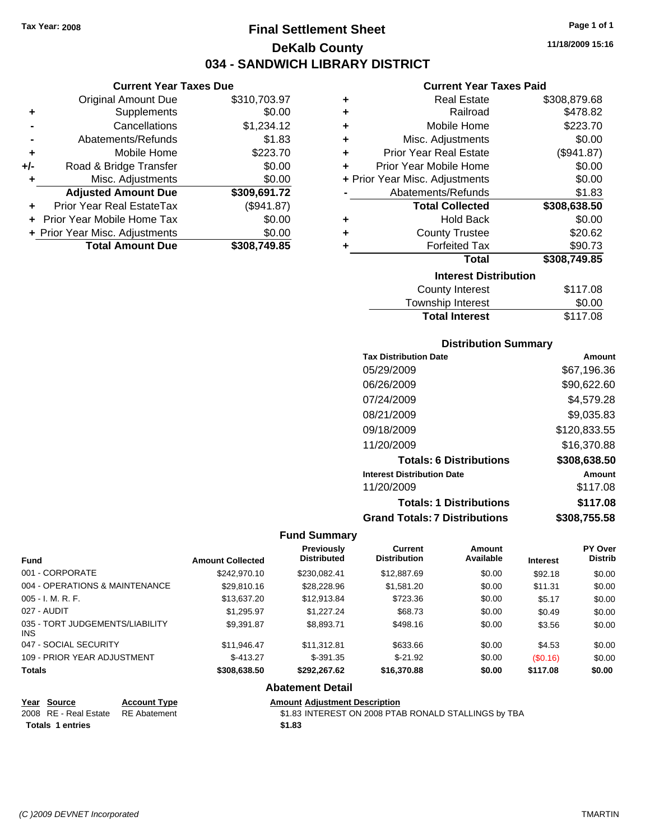# **Final Settlement Sheet Tax Year: 2008 Page 1 of 1 DeKalb County 034 - SANDWICH LIBRARY DISTRICT**

#### **Current Year Taxes Due**

|       | <b>Original Amount Due</b>     | \$310,703.97 |
|-------|--------------------------------|--------------|
| ٠     | Supplements                    | \$0.00       |
|       | Cancellations                  | \$1,234.12   |
|       | Abatements/Refunds             | \$1.83       |
| ٠     | Mobile Home                    | \$223.70     |
| $+/-$ | Road & Bridge Transfer         | \$0.00       |
|       | Misc. Adjustments              | \$0.00       |
|       | <b>Adjusted Amount Due</b>     | \$309,691.72 |
|       | Prior Year Real EstateTax      | (\$941.87)   |
|       | Prior Year Mobile Home Tax     | \$0.00       |
|       | + Prior Year Misc. Adjustments | \$0.00       |
|       | <b>Total Amount Due</b>        | \$308,749.85 |

#### **Current Year Taxes Paid**

| ٠ | <b>Real Estate</b>             | \$308,879.68 |  |  |  |  |
|---|--------------------------------|--------------|--|--|--|--|
| ÷ | Railroad                       | \$478.82     |  |  |  |  |
| ٠ | Mobile Home                    | \$223.70     |  |  |  |  |
| ÷ | Misc. Adjustments              | \$0.00       |  |  |  |  |
| ÷ | <b>Prior Year Real Estate</b>  | (\$941.87)   |  |  |  |  |
| ÷ | Prior Year Mobile Home         | \$0.00       |  |  |  |  |
|   | + Prior Year Misc. Adjustments | \$0.00       |  |  |  |  |
|   | Abatements/Refunds             | \$1.83       |  |  |  |  |
|   | <b>Total Collected</b>         | \$308,638.50 |  |  |  |  |
| ٠ | <b>Hold Back</b>               | \$0.00       |  |  |  |  |
| ٠ | <b>County Trustee</b>          | \$20.62      |  |  |  |  |
| ٠ | <b>Forfeited Tax</b>           | \$90.73      |  |  |  |  |
|   | Total                          | \$308,749.85 |  |  |  |  |
|   | <b>Interest Distribution</b>   |              |  |  |  |  |
|   | <b>County Interest</b>         | \$117.08     |  |  |  |  |
|   | Tauraahin Intornat             | ሮስ ሰሰ        |  |  |  |  |

## Township Interest  $$0.00$ Total Interest \$117.08

#### **Distribution Summary**

| <b>Tax Distribution Date</b>         | Amount       |
|--------------------------------------|--------------|
| 05/29/2009                           | \$67,196.36  |
| 06/26/2009                           | \$90,622.60  |
| 07/24/2009                           | \$4,579.28   |
| 08/21/2009                           | \$9,035.83   |
| 09/18/2009                           | \$120,833.55 |
| 11/20/2009                           | \$16,370.88  |
| <b>Totals: 6 Distributions</b>       | \$308,638.50 |
| <b>Interest Distribution Date</b>    | Amount       |
| 11/20/2009                           | \$117.08     |
| <b>Totals: 1 Distributions</b>       | \$117.08     |
| <b>Grand Totals: 7 Distributions</b> | \$308,755.58 |

#### **Fund Summary**

| <b>Fund</b>                                   | <b>Amount Collected</b> | <b>Previously</b><br><b>Distributed</b> | Current<br><b>Distribution</b> | Amount<br>Available | <b>Interest</b> | <b>PY Over</b><br><b>Distrib</b> |
|-----------------------------------------------|-------------------------|-----------------------------------------|--------------------------------|---------------------|-----------------|----------------------------------|
| 001 - CORPORATE                               | \$242,970.10            | \$230.082.41                            | \$12,887.69                    | \$0.00              | \$92.18         | \$0.00                           |
| 004 - OPERATIONS & MAINTENANCE                | \$29,810.16             | \$28,228.96                             | \$1,581.20                     | \$0.00              | \$11.31         | \$0.00                           |
| $005 - I. M. R. F.$                           | \$13,637.20             | \$12,913.84                             | \$723.36                       | \$0.00              | \$5.17          | \$0.00                           |
| 027 - AUDIT                                   | \$1.295.97              | \$1,227,24                              | \$68.73                        | \$0.00              | \$0.49          | \$0.00                           |
| 035 - TORT JUDGEMENTS/LIABILITY<br><b>INS</b> | \$9,391.87              | \$8,893.71                              | \$498.16                       | \$0.00              | \$3.56          | \$0.00                           |
| 047 - SOCIAL SECURITY                         | \$11.946.47             | \$11.312.81                             | \$633.66                       | \$0.00              | \$4.53          | \$0.00                           |
| 109 - PRIOR YEAR ADJUSTMENT                   | $$-413.27$              | $$-391.35$                              | $$-21.92$                      | \$0.00              | (S0.16)         | \$0.00                           |
| <b>Totals</b>                                 | \$308,638.50            | \$292.267.62                            | \$16,370.88                    | \$0.00              | \$117.08        | \$0.00                           |

#### **Abatement Detail**

| Year Source                        | <b>Account Type</b> | Amount |
|------------------------------------|---------------------|--------|
| 2008 RE - Real Estate RE Abatement |                     | \$1.83 |
| <b>Totals 1 entries</b>            |                     | \$1.83 |

**Amount Adjustment Description** \$1.83 INTEREST ON 2008 PTAB RONALD STALLINGS by TBA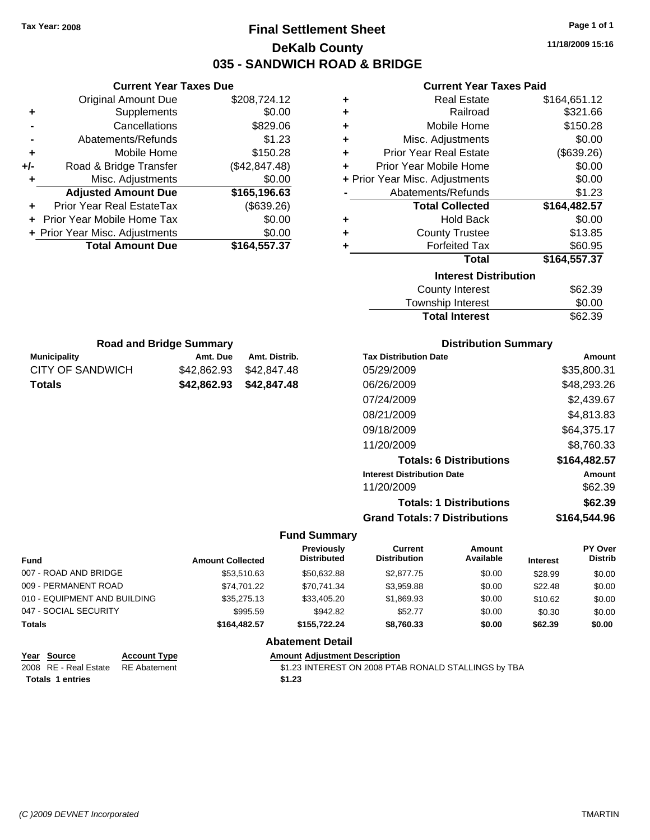### **Final Settlement Sheet Tax Year: 2008 Page 1 of 1 DeKalb County 035 - SANDWICH ROAD & BRIDGE**

**11/18/2009 15:16**

### **Current Year Taxes Paid**

| ٠ | <b>Real Estate</b>             | \$164,651.12 |
|---|--------------------------------|--------------|
| ٠ | Railroad                       | \$321.66     |
| ٠ | Mobile Home                    | \$150.28     |
| ٠ | Misc. Adjustments              | \$0.00       |
| ÷ | <b>Prior Year Real Estate</b>  | (\$639.26)   |
| ÷ | Prior Year Mobile Home         | \$0.00       |
|   | + Prior Year Misc. Adjustments | \$0.00       |
|   | Abatements/Refunds             | \$1.23       |
|   | <b>Total Collected</b>         | \$164,482.57 |
| ٠ | <b>Hold Back</b>               | \$0.00       |
| ٠ | <b>County Trustee</b>          | \$13.85      |
| ٠ | <b>Forfeited Tax</b>           | \$60.95      |
|   | <b>Total</b>                   | \$164,557.37 |
|   | <b>Interest Distribution</b>   |              |
|   | <b>County Interest</b>         | \$62.39      |
|   | Township Interact              | ድስ ስስ        |

| <b>Total Interest</b> | \$62.39 |
|-----------------------|---------|
| Township Interest     | \$0.00  |
| County interest       | ง∪∠.ാ⊍  |

| <b>Road and Bridge Summary</b> |                         |               |  |  |
|--------------------------------|-------------------------|---------------|--|--|
| <b>Municipality</b>            | Amt. Due                | Amt. Distrib. |  |  |
| CITY OF SANDWICH               | \$42,862,93 \$42,847,48 |               |  |  |
| <b>Totals</b>                  | \$42,862,93 \$42,847,48 |               |  |  |

**Current Year Taxes Due** Original Amount Due \$208,724.12

**Adjusted Amount Due \$165,196.63**

**Total Amount Due \$164,557.37**

**+** Supplements \$0.00 **-** Cancellations \$829.06 **-** Abatements/Refunds \$1.23 **+** Mobile Home \$150.28 **+/-** Road & Bridge Transfer (\$42,847.48) **+** Misc. Adjustments \$0.00

**+** Prior Year Real EstateTax (\$639.26) **+** Prior Year Mobile Home Tax \$0.00 **+ Prior Year Misc. Adjustments**  $$0.00$ 

### **Distribution Summary**

| <b>Tax Distribution Date</b>         | Amount       |
|--------------------------------------|--------------|
| 05/29/2009                           | \$35,800.31  |
| 06/26/2009                           | \$48,293.26  |
| 07/24/2009                           | \$2,439.67   |
| 08/21/2009                           | \$4,813.83   |
| 09/18/2009                           | \$64,375.17  |
| 11/20/2009                           | \$8.760.33   |
| <b>Totals: 6 Distributions</b>       | \$164,482.57 |
| <b>Interest Distribution Date</b>    | Amount       |
| 11/20/2009                           | \$62.39      |
| <b>Totals: 1 Distributions</b>       | \$62.39      |
| <b>Grand Totals: 7 Distributions</b> | \$164.544.96 |

#### **Fund Summary**

| <b>Fund</b>                  | <b>Amount Collected</b> | Previously<br><b>Distributed</b> | Current<br><b>Distribution</b> | Amount<br>Available | <b>Interest</b> | PY Over<br><b>Distrib</b> |
|------------------------------|-------------------------|----------------------------------|--------------------------------|---------------------|-----------------|---------------------------|
| 007 - ROAD AND BRIDGE        | \$53.510.63             | \$50.632.88                      | \$2,877.75                     | \$0.00              | \$28.99         | \$0.00                    |
| 009 - PERMANENT ROAD         | \$74.701.22             | \$70.741.34                      | \$3.959.88                     | \$0.00              | \$22.48         | \$0.00                    |
| 010 - EQUIPMENT AND BUILDING | \$35,275.13             | \$33,405.20                      | \$1,869.93                     | \$0.00              | \$10.62         | \$0.00                    |
| 047 - SOCIAL SECURITY        | \$995.59                | \$942.82                         | \$52.77                        | \$0.00              | \$0.30          | \$0.00                    |
| Totals                       | \$164,482.57            | \$155.722.24                     | \$8.760.33                     | \$0.00              | \$62.39         | \$0.00                    |
|                              |                         | .                                |                                |                     |                 |                           |

### **Abatement Detail**

### **Year Source Account Type Amount Adjustment Description**

2008 RE - Real Estate RE Abatement \$1.23 INTEREST ON 2008 PTAB RONALD STALLINGS by TBA **Totals \$1.23 1 entries**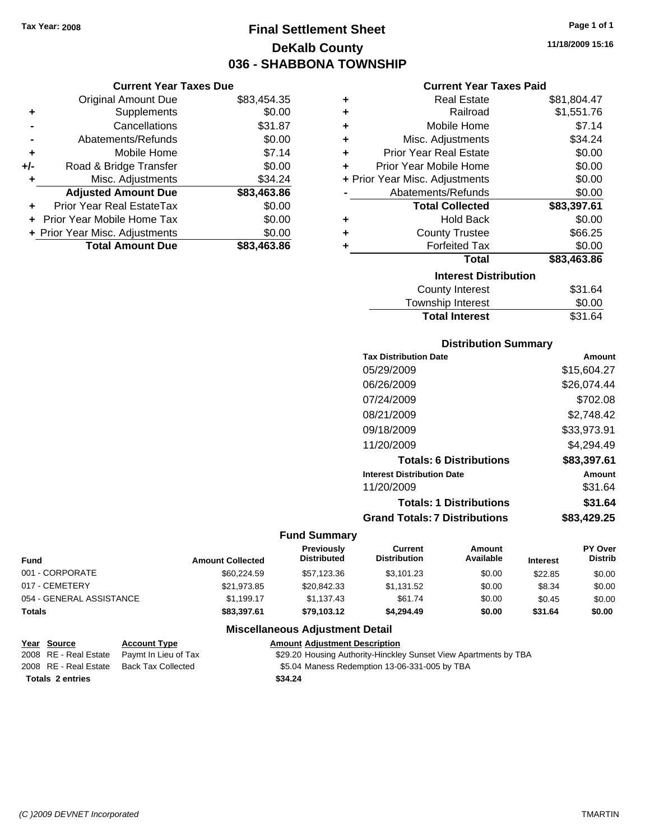**Current Year Taxes Due** Original Amount Due \$83,454.35

**Adjusted Amount Due \$83,463.86**

**Total Amount Due \$83,463.86**

**+** Supplements \$0.00 **-** Cancellations \$31.87 **-** Abatements/Refunds \$0.00 **+** Mobile Home \$7.14 **+/-** Road & Bridge Transfer \$0.00 **+** Misc. Adjustments \$34.24

**+** Prior Year Real EstateTax \$0.00 **+** Prior Year Mobile Home Tax \$0.00 **+ Prior Year Misc. Adjustments**  $$0.00$ 

### **Final Settlement Sheet Tax Year: 2008 Page 1 of 1 DeKalb County 036 - SHABBONA TOWNSHIP**

**11/18/2009 15:16**

### **Current Year Taxes Paid**

| ٠                            | <b>Real Estate</b>             | \$81,804.47 |  |
|------------------------------|--------------------------------|-------------|--|
| ٠                            | Railroad                       | \$1,551.76  |  |
| ٠                            | Mobile Home                    | \$7.14      |  |
| ٠                            | Misc. Adjustments              | \$34.24     |  |
| ٠                            | <b>Prior Year Real Estate</b>  | \$0.00      |  |
| ٠                            | Prior Year Mobile Home         | \$0.00      |  |
|                              | + Prior Year Misc. Adjustments | \$0.00      |  |
|                              | Abatements/Refunds             | \$0.00      |  |
|                              | <b>Total Collected</b>         | \$83,397.61 |  |
| ٠                            | Hold Back                      | \$0.00      |  |
| ٠                            | <b>County Trustee</b>          | \$66.25     |  |
| ٠                            | <b>Forfeited Tax</b>           | \$0.00      |  |
|                              | <b>Total</b>                   | \$83,463.86 |  |
| <b>Interest Distribution</b> |                                |             |  |
|                              | <b>County Interest</b>         | \$31.64     |  |
|                              | Township Interest              | \$0.00      |  |

# Total Interest \$31.64

| <b>Distribution Summary</b> |  |
|-----------------------------|--|
| ate                         |  |

| <b>Tax Distribution Date</b>         | Amount      |
|--------------------------------------|-------------|
| 05/29/2009                           | \$15,604.27 |
| 06/26/2009                           | \$26.074.44 |
| 07/24/2009                           | \$702.08    |
| 08/21/2009                           | \$2.748.42  |
| 09/18/2009                           | \$33,973.91 |
| 11/20/2009                           | \$4,294.49  |
| <b>Totals: 6 Distributions</b>       | \$83,397.61 |
| <b>Interest Distribution Date</b>    | Amount      |
| 11/20/2009                           | \$31.64     |
| <b>Totals: 1 Distributions</b>       | \$31.64     |
| <b>Grand Totals: 7 Distributions</b> | \$83,429.25 |
|                                      |             |

### **Fund Summary**

| <b>Fund</b>              | <b>Amount Collected</b> | <b>Previously</b><br>Distributed | Current<br>Distribution | Amount<br>Available | <b>Interest</b> | PY Over<br><b>Distrib</b> |
|--------------------------|-------------------------|----------------------------------|-------------------------|---------------------|-----------------|---------------------------|
| 001 - CORPORATE          | \$60,224.59             | \$57,123.36                      | \$3.101.23              | \$0.00              | \$22.85         | \$0.00                    |
| 017 - CEMETERY           | \$21,973.85             | \$20,842.33                      | \$1,131.52              | \$0.00              | \$8.34          | \$0.00                    |
| 054 - GENERAL ASSISTANCE | \$1.199.17              | \$1.137.43                       | \$61.74                 | \$0.00              | \$0.45          | \$0.00                    |
| <b>Totals</b>            | \$83,397.61             | \$79.103.12                      | \$4.294.49              | \$0.00              | \$31.64         | \$0.00                    |

### **Miscellaneous Adjustment Detail**

#### **Year Source Account Type Amount Adjustment Description**

2008 RE - Real Estate Paymt In Lieu of Tax \$29.20 Housing Authority-Hinckley Sunset View Apartments by TBA 2008 RE - Real Estate Back Tax Collected \$5.04 Maness Redemption 13-06-331-005 by TBA

**Totals \$34.24 2 entries**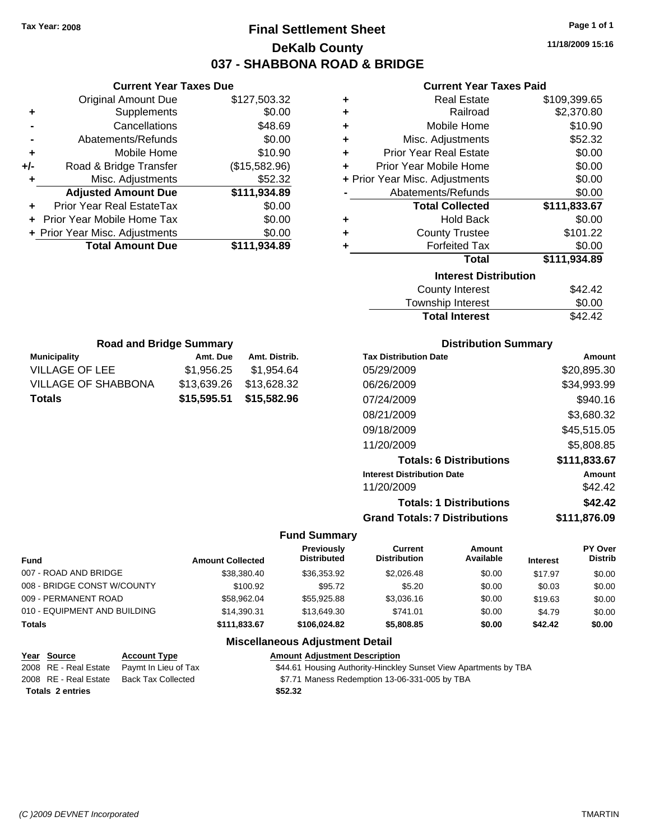### **Final Settlement Sheet Tax Year: 2008 Page 1 of 1 DeKalb County 037 - SHABBONA ROAD & BRIDGE**

**11/18/2009 15:16**

### **Current Year Taxes Paid**

| ٠ | <b>Real Estate</b>             | \$109,399.65 |  |  |
|---|--------------------------------|--------------|--|--|
| ٠ | Railroad                       | \$2,370.80   |  |  |
| ÷ | Mobile Home                    | \$10.90      |  |  |
| ٠ | Misc. Adjustments              | \$52.32      |  |  |
| ٠ | <b>Prior Year Real Estate</b>  | \$0.00       |  |  |
|   | Prior Year Mobile Home         | \$0.00       |  |  |
|   | + Prior Year Misc. Adjustments | \$0.00       |  |  |
|   | Abatements/Refunds             | \$0.00       |  |  |
|   | <b>Total Collected</b>         | \$111,833.67 |  |  |
| ٠ | <b>Hold Back</b>               | \$0.00       |  |  |
| ٠ | <b>County Trustee</b>          | \$101.22     |  |  |
|   | <b>Forfeited Tax</b>           | \$0.00       |  |  |
|   | <b>Total</b>                   | \$111,934.89 |  |  |
|   | <b>Interest Distribution</b>   |              |  |  |
|   | <b>County Interest</b>         | \$42.42      |  |  |
|   |                                | ີ ລ          |  |  |

| <b>Total Interest</b> | \$42.42 |
|-----------------------|---------|
| Township Interest     | \$0.00  |
| County Interest       | \$42.42 |

| <b>Road and Bridge Summary</b> |               |             |  |  |
|--------------------------------|---------------|-------------|--|--|
| <b>Municipality</b>            | Amt. Distrib. |             |  |  |
| <b>VILLAGE OF LEE</b>          | \$1,956.25    | \$1,954.64  |  |  |
| <b>VILLAGE OF SHABBONA</b>     | \$13,639.26   | \$13,628.32 |  |  |
| <b>Totals</b>                  | \$15,595.51   | \$15,582.96 |  |  |

**Current Year Taxes Due** Original Amount Due \$127,503.32

**Adjusted Amount Due \$111,934.89**

**+** Supplements \$0.00 **-** Cancellations \$48.69 **-** Abatements/Refunds \$0.00 **+** Mobile Home \$10.90 **+/-** Road & Bridge Transfer (\$15,582.96) **+** Misc. Adjustments \$52.32

**+** Prior Year Real EstateTax \$0.00 **+** Prior Year Mobile Home Tax \$0.00 **+ Prior Year Misc. Adjustments \$0.00<br>Total Amount Due \$111,934.89** 

**Total Amount Due** 

### **Distribution Summary**

| <b>Tax Distribution Date</b>         | Amount       |
|--------------------------------------|--------------|
| 05/29/2009                           | \$20,895.30  |
| 06/26/2009                           | \$34,993.99  |
| 07/24/2009                           | \$940.16     |
| 08/21/2009                           | \$3,680.32   |
| 09/18/2009                           | \$45,515.05  |
| 11/20/2009                           | \$5,808.85   |
| <b>Totals: 6 Distributions</b>       | \$111,833.67 |
| <b>Interest Distribution Date</b>    | Amount       |
| 11/20/2009                           | \$42.42      |
| <b>Totals: 1 Distributions</b>       | \$42.42      |
| <b>Grand Totals: 7 Distributions</b> | \$111.876.09 |

#### **Fund Summary**

| <b>Fund</b>                  | <b>Amount Collected</b> | <b>Previously</b><br><b>Distributed</b> | Current<br><b>Distribution</b> | Amount<br>Available | <b>Interest</b> | PY Over<br><b>Distrib</b> |
|------------------------------|-------------------------|-----------------------------------------|--------------------------------|---------------------|-----------------|---------------------------|
| 007 - ROAD AND BRIDGE        | \$38,380,40             | \$36,353,92                             | \$2,026.48                     | \$0.00              | \$17.97         | \$0.00                    |
| 008 - BRIDGE CONST W/COUNTY  | \$100.92                | \$95.72                                 | \$5.20                         | \$0.00              | \$0.03          | \$0.00                    |
| 009 - PERMANENT ROAD         | \$58.962.04             | \$55,925.88                             | \$3,036.16                     | \$0.00              | \$19.63         | \$0.00                    |
| 010 - EQUIPMENT AND BUILDING | \$14,390.31             | \$13,649.30                             | \$741.01                       | \$0.00              | \$4.79          | \$0.00                    |
| <b>Totals</b>                | \$111,833.67            | \$106,024.82                            | \$5,808.85                     | \$0.00              | \$42.42         | \$0.00                    |

| Year Source             | <b>Account Type</b>                        | <b>Amount Adiustment Description</b>                             |
|-------------------------|--------------------------------------------|------------------------------------------------------------------|
|                         | 2008 RE - Real Estate Paymt In Lieu of Tax | \$44.61 Housing Authority-Hinckley Sunset View Apartments by TBA |
|                         | 2008 RE - Real Estate Back Tax Collected   | \$7.71 Maness Redemption 13-06-331-005 by TBA                    |
| <b>Totals 2 entries</b> |                                            | \$52.32                                                          |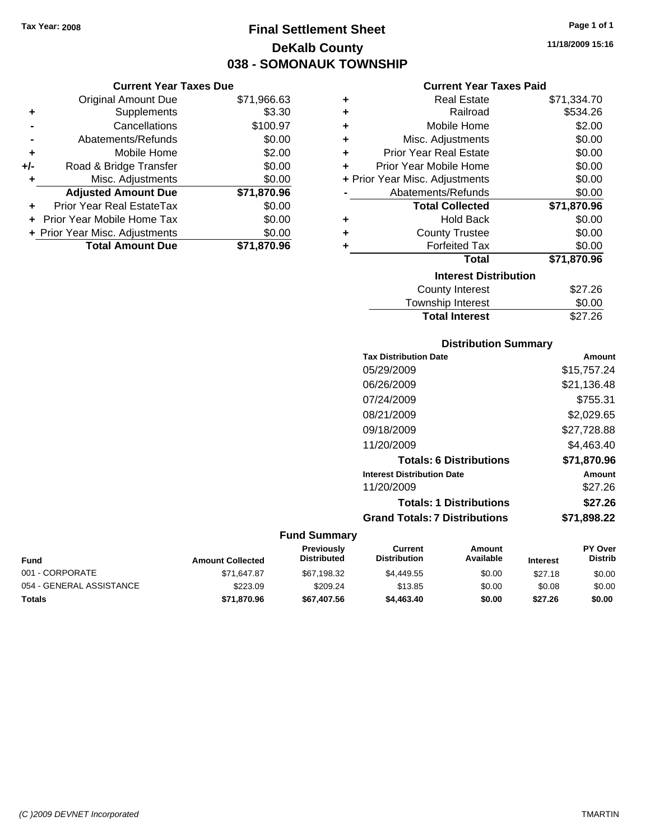### **Final Settlement Sheet Tax Year: 2008 Page 1 of 1 DeKalb County 038 - SOMONAUK TOWNSHIP**

### **Current Year Taxes Due**

|     | <b>Original Amount Due</b>       | \$71,966.63 |
|-----|----------------------------------|-------------|
| ٠   | Supplements                      | \$3.30      |
|     | Cancellations                    | \$100.97    |
|     | Abatements/Refunds               | \$0.00      |
| ÷   | Mobile Home                      | \$2.00      |
| +/- | Road & Bridge Transfer           | \$0.00      |
| ٠   | Misc. Adjustments                | \$0.00      |
|     | <b>Adjusted Amount Due</b>       | \$71,870.96 |
|     | <b>Prior Year Real EstateTax</b> | \$0.00      |
|     | Prior Year Mobile Home Tax       | \$0.00      |
|     | + Prior Year Misc. Adjustments   | \$0.00      |
|     | <b>Total Amount Due</b>          | \$71.870.96 |

### **Current Year Taxes Paid**

| ٠ | <b>Real Estate</b>             | \$71,334.70 |
|---|--------------------------------|-------------|
| ÷ | Railroad                       | \$534.26    |
| ÷ | Mobile Home                    | \$2.00      |
| ٠ | Misc. Adjustments              | \$0.00      |
| ٠ | <b>Prior Year Real Estate</b>  | \$0.00      |
| ٠ | Prior Year Mobile Home         | \$0.00      |
|   | + Prior Year Misc. Adjustments | \$0.00      |
|   | Abatements/Refunds             | \$0.00      |
|   | <b>Total Collected</b>         | \$71,870.96 |
| ٠ | Hold Back                      | \$0.00      |
| ÷ | <b>County Trustee</b>          | \$0.00      |
| ٠ | <b>Forfeited Tax</b>           | \$0.00      |
|   | Total                          | \$71,870.96 |
|   | <b>Interest Distribution</b>   |             |
|   | <b>County Interest</b>         | \$27.26     |
|   | <b>Township Interest</b>       | \$0.00      |
|   | <b>Total Interest</b>          | \$27.26     |

### **Distribution Summary**

| <b>Tax Distribution Date</b>         | Amount      |
|--------------------------------------|-------------|
| 05/29/2009                           | \$15,757.24 |
| 06/26/2009                           | \$21,136.48 |
| 07/24/2009                           | \$755.31    |
| 08/21/2009                           | \$2,029.65  |
| 09/18/2009                           | \$27,728.88 |
| 11/20/2009                           | \$4,463.40  |
| <b>Totals: 6 Distributions</b>       | \$71.870.96 |
| <b>Interest Distribution Date</b>    | Amount      |
| 11/20/2009                           | \$27.26     |
| <b>Totals: 1 Distributions</b>       | \$27.26     |
| <b>Grand Totals: 7 Distributions</b> | \$71.898.22 |
|                                      |             |

| <b>Fund</b>              | <b>Amount Collected</b> | <b>Previously</b><br><b>Distributed</b> | Current<br><b>Distribution</b> | Amount<br>Available | <b>Interest</b> | <b>PY Over</b><br><b>Distrib</b> |
|--------------------------|-------------------------|-----------------------------------------|--------------------------------|---------------------|-----------------|----------------------------------|
| 001 - CORPORATE          | \$71.647.87             | \$67.198.32                             | \$4,449.55                     | \$0.00              | \$27.18         | \$0.00                           |
| 054 - GENERAL ASSISTANCE | \$223.09                | \$209.24                                | \$13.85                        | \$0.00              | \$0.08          | \$0.00                           |
| <b>Totals</b>            | \$71,870.96             | \$67,407.56                             | \$4,463,40                     | \$0.00              | \$27.26         | \$0.00                           |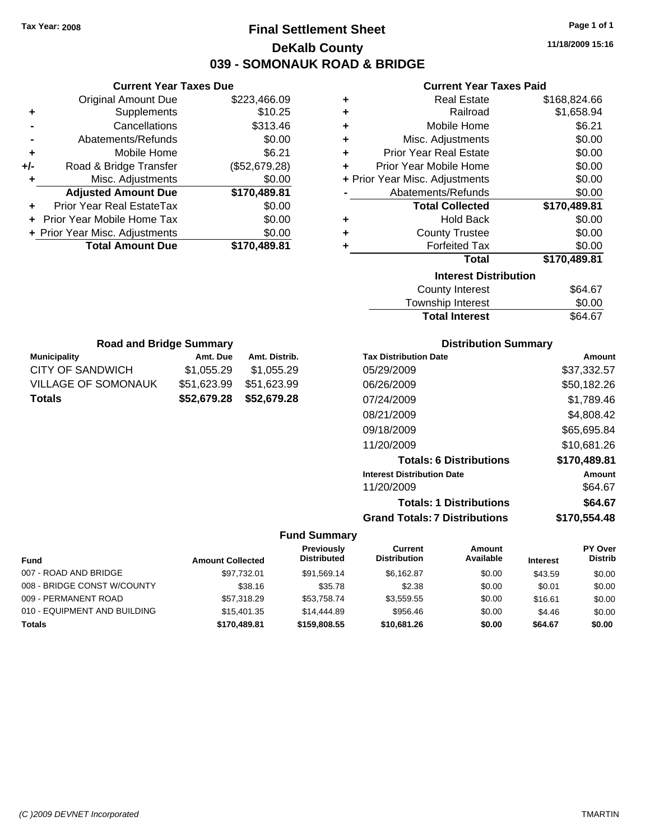### **Final Settlement Sheet Tax Year: 2008 Page 1 of 1 DeKalb County 039 - SOMONAUK ROAD & BRIDGE**

**11/18/2009 15:16**

### **Current Year Taxes Paid**

| ٠ | <b>Real Estate</b>             | \$168,824.66 |
|---|--------------------------------|--------------|
| ٠ | Railroad                       | \$1,658.94   |
| ÷ | Mobile Home                    | \$6.21       |
| ÷ | Misc. Adjustments              | \$0.00       |
| ÷ | <b>Prior Year Real Estate</b>  | \$0.00       |
| ÷ | Prior Year Mobile Home         | \$0.00       |
|   | + Prior Year Misc. Adjustments | \$0.00       |
|   | Abatements/Refunds             | \$0.00       |
|   | <b>Total Collected</b>         | \$170,489.81 |
| ٠ | Hold Back                      | \$0.00       |
| ٠ | <b>County Trustee</b>          | \$0.00       |
| ٠ | <b>Forfeited Tax</b>           | \$0.00       |
|   | <b>Total</b>                   | \$170,489.81 |
|   | <b>Interest Distribution</b>   |              |
|   | <b>County Interest</b>         | \$64.67      |
|   |                                |              |

| <b>Total Interest</b> | \$64.67 |
|-----------------------|---------|
| Township Interest     | \$0.00  |
| County Interest       | \$64.67 |

| <b>Road and Bridge Summary</b> |             |               |  |  |  |
|--------------------------------|-------------|---------------|--|--|--|
| <b>Municipality</b>            | Amt. Due    | Amt. Distrib. |  |  |  |
| <b>CITY OF SANDWICH</b>        | \$1,055.29  | \$1,055.29    |  |  |  |
| <b>VILLAGE OF SOMONAUK</b>     | \$51,623.99 | \$51,623.99   |  |  |  |
| <b>Totals</b>                  | \$52,679.28 | \$52,679.28   |  |  |  |

**Current Year Taxes Due** Original Amount Due \$223,466.09

**Adjusted Amount Due \$170,489.81**

**Total Amount Due \$170,489.81**

**+** Supplements \$10.25 **-** Cancellations \$313.46 **-** Abatements/Refunds \$0.00 **+** Mobile Home \$6.21 **+/-** Road & Bridge Transfer (\$52,679.28) **+** Misc. Adjustments \$0.00

**+** Prior Year Real EstateTax \$0.00 **+** Prior Year Mobile Home Tax \$0.00 **+ Prior Year Misc. Adjustments**  $$0.00$ 

### **Distribution Summary**

| <b>Tax Distribution Date</b>         | Amount       |
|--------------------------------------|--------------|
| 05/29/2009                           | \$37.332.57  |
| 06/26/2009                           | \$50,182.26  |
| 07/24/2009                           | \$1,789.46   |
| 08/21/2009                           | \$4,808.42   |
| 09/18/2009                           | \$65,695.84  |
| 11/20/2009                           | \$10,681.26  |
| <b>Totals: 6 Distributions</b>       | \$170,489.81 |
| <b>Interest Distribution Date</b>    | Amount       |
| 11/20/2009                           | \$64.67      |
| <b>Totals: 1 Distributions</b>       | \$64.67      |
| <b>Grand Totals: 7 Distributions</b> | \$170,554.48 |

|                              |                         | <b>Previously</b><br><b>Distributed</b> | Current<br><b>Distribution</b> | Amount<br>Available |                 | PY Over<br><b>Distrib</b> |
|------------------------------|-------------------------|-----------------------------------------|--------------------------------|---------------------|-----------------|---------------------------|
| <b>Fund</b>                  | <b>Amount Collected</b> |                                         |                                |                     | <b>Interest</b> |                           |
| 007 - ROAD AND BRIDGE        | \$97.732.01             | \$91.569.14                             | \$6.162.87                     | \$0.00              | \$43.59         | \$0.00                    |
| 008 - BRIDGE CONST W/COUNTY  | \$38.16                 | \$35.78                                 | \$2.38                         | \$0.00              | \$0.01          | \$0.00                    |
| 009 - PERMANENT ROAD         | \$57.318.29             | \$53.758.74                             | \$3.559.55                     | \$0.00              | \$16.61         | \$0.00                    |
| 010 - EQUIPMENT AND BUILDING | \$15,401.35             | \$14,444.89                             | \$956.46                       | \$0.00              | \$4.46          | \$0.00                    |
| <b>Totals</b>                | \$170,489.81            | \$159,808.55                            | \$10,681.26                    | \$0.00              | \$64.67         | \$0.00                    |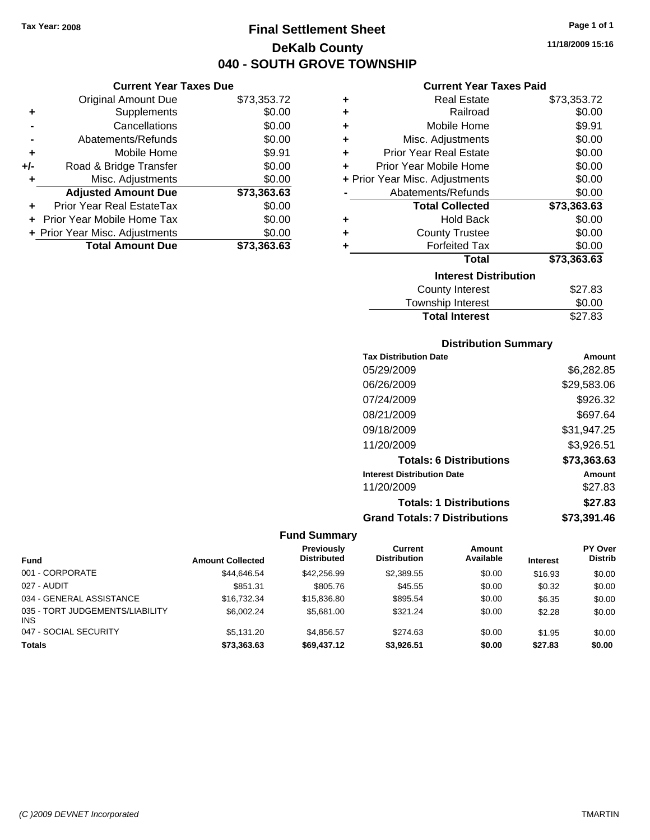### **Final Settlement Sheet Tax Year: 2008 Page 1 of 1 DeKalb County 040 - SOUTH GROVE TOWNSHIP**

**11/18/2009 15:16**

### **Current Year Taxes Due**

|     | <b>Original Amount Due</b>        | \$73,353.72 |
|-----|-----------------------------------|-------------|
| ٠   | Supplements                       | \$0.00      |
|     | Cancellations                     | \$0.00      |
|     | Abatements/Refunds                | \$0.00      |
| ٠   | Mobile Home                       | \$9.91      |
| +/- | Road & Bridge Transfer            | \$0.00      |
| ٠   | Misc. Adjustments                 | \$0.00      |
|     | <b>Adjusted Amount Due</b>        | \$73,363.63 |
|     | <b>Prior Year Real EstateTax</b>  | \$0.00      |
|     | <b>Prior Year Mobile Home Tax</b> | \$0.00      |
|     | + Prior Year Misc. Adjustments    | \$0.00      |
|     | <b>Total Amount Due</b>           | \$73,363.63 |

### **Current Year Taxes Paid**

| ٠ | Real Estate                    | \$73,353.72 |
|---|--------------------------------|-------------|
| ٠ | Railroad                       | \$0.00      |
| ÷ | Mobile Home                    | \$9.91      |
| ÷ | Misc. Adjustments              | \$0.00      |
| ٠ | <b>Prior Year Real Estate</b>  | \$0.00      |
| ٠ | Prior Year Mobile Home         | \$0.00      |
|   | + Prior Year Misc. Adjustments | \$0.00      |
|   | Abatements/Refunds             | \$0.00      |
|   | <b>Total Collected</b>         | \$73,363.63 |
| ٠ | <b>Hold Back</b>               | \$0.00      |
| ÷ | <b>County Trustee</b>          | \$0.00      |
| ٠ | <b>Forfeited Tax</b>           | \$0.00      |
|   | Total                          | \$73,363.63 |
|   | <b>Interest Distribution</b>   |             |
|   | County Interest                | \$27.83     |
|   | <b>Township Interest</b>       | \$0.00      |
|   | <b>Total Interest</b>          | \$27.83     |

### **Distribution Summary**

| <b>Tax Distribution Date</b>         | Amount      |
|--------------------------------------|-------------|
| 05/29/2009                           | \$6,282.85  |
| 06/26/2009                           | \$29,583.06 |
| 07/24/2009                           | \$926.32    |
| 08/21/2009                           | \$697.64    |
| 09/18/2009                           | \$31,947.25 |
| 11/20/2009                           | \$3,926.51  |
| <b>Totals: 6 Distributions</b>       | \$73,363.63 |
| <b>Interest Distribution Date</b>    | Amount      |
| 11/20/2009                           | \$27.83     |
| <b>Totals: 1 Distributions</b>       | \$27.83     |
| <b>Grand Totals: 7 Distributions</b> | \$73.391.46 |

| <b>Fund</b>                                   | <b>Amount Collected</b> | Previously<br><b>Distributed</b> | Current<br><b>Distribution</b> | <b>Amount</b><br>Available | <b>Interest</b> | <b>PY Over</b><br><b>Distrib</b> |
|-----------------------------------------------|-------------------------|----------------------------------|--------------------------------|----------------------------|-----------------|----------------------------------|
| 001 - CORPORATE                               | \$44,646.54             | \$42,256.99                      | \$2,389.55                     | \$0.00                     | \$16.93         | \$0.00                           |
| 027 - AUDIT                                   | \$851.31                | \$805.76                         | \$45.55                        | \$0.00                     | \$0.32          | \$0.00                           |
| 034 - GENERAL ASSISTANCE                      | \$16,732,34             | \$15,836.80                      | \$895.54                       | \$0.00                     | \$6.35          | \$0.00                           |
| 035 - TORT JUDGEMENTS/LIABILITY<br><b>INS</b> | \$6,002.24              | \$5,681,00                       | \$321.24                       | \$0.00                     | \$2.28          | \$0.00                           |
| 047 - SOCIAL SECURITY                         | \$5.131.20              | \$4.856.57                       | \$274.63                       | \$0.00                     | \$1.95          | \$0.00                           |
| <b>Totals</b>                                 | \$73,363.63             | \$69,437.12                      | \$3,926.51                     | \$0.00                     | \$27.83         | \$0.00                           |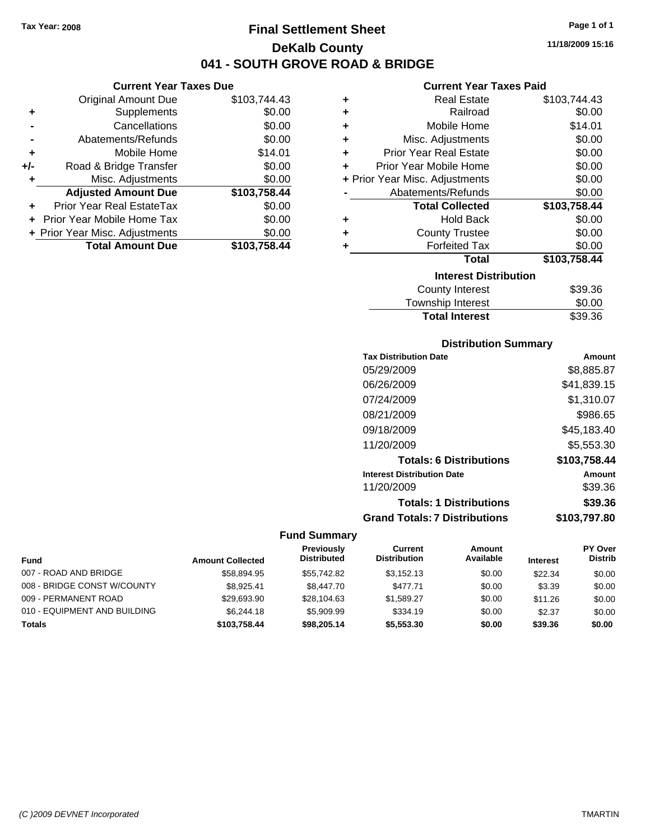### **Final Settlement Sheet Tax Year: 2008 Page 1 of 1 DeKalb County 041 - SOUTH GROVE ROAD & BRIDGE**

### **Current Year Taxes Due**

|     | <b>Original Amount Due</b>        | \$103,744.43 |
|-----|-----------------------------------|--------------|
| ٠   | Supplements                       | \$0.00       |
|     | Cancellations                     | \$0.00       |
|     | Abatements/Refunds                | \$0.00       |
| ٠   | Mobile Home                       | \$14.01      |
| +/- | Road & Bridge Transfer            | \$0.00       |
| ٠   | Misc. Adjustments                 | \$0.00       |
|     | <b>Adjusted Amount Due</b>        | \$103,758.44 |
|     | Prior Year Real EstateTax         | \$0.00       |
|     | <b>Prior Year Mobile Home Tax</b> | \$0.00       |
|     | + Prior Year Misc. Adjustments    | \$0.00       |
|     | <b>Total Amount Due</b>           | \$103,758.44 |

### **Current Year Taxes Paid**

| ٠ | <b>Real Estate</b>             | \$103,744.43 |
|---|--------------------------------|--------------|
| ÷ | Railroad                       | \$0.00       |
| ٠ | Mobile Home                    | \$14.01      |
| ٠ | Misc. Adjustments              | \$0.00       |
| ÷ | <b>Prior Year Real Estate</b>  | \$0.00       |
| ٠ | Prior Year Mobile Home         | \$0.00       |
|   | + Prior Year Misc. Adjustments | \$0.00       |
|   | Abatements/Refunds             | \$0.00       |
|   | <b>Total Collected</b>         | \$103,758.44 |
| ٠ | <b>Hold Back</b>               | \$0.00       |
| ÷ | <b>County Trustee</b>          | \$0.00       |
| ٠ | <b>Forfeited Tax</b>           | \$0.00       |
|   | Total                          | \$103,758.44 |
|   | <b>Interest Distribution</b>   |              |
|   | <b>County Interest</b>         | \$39.36      |
|   |                                | ີົົົ         |

### Township Interest \$0.00<br>
Total Interest \$39.36 **Total Interest**

| Amount       |
|--------------|
| \$8,885.87   |
| \$41,839.15  |
| \$1,310.07   |
| \$986.65     |
| \$45,183.40  |
| \$5,553.30   |
| \$103,758.44 |
| Amount       |
| \$39.36      |
| \$39.36      |
| \$103,797.80 |
|              |

|                              |                         | <b>Previously</b>  | Current             | Amount    |                 | <b>PY Over</b> |
|------------------------------|-------------------------|--------------------|---------------------|-----------|-----------------|----------------|
| <b>Fund</b>                  | <b>Amount Collected</b> | <b>Distributed</b> | <b>Distribution</b> | Available | <b>Interest</b> | <b>Distrib</b> |
| 007 - ROAD AND BRIDGE        | \$58.894.95             | \$55,742.82        | \$3.152.13          | \$0.00    | \$22.34         | \$0.00         |
| 008 - BRIDGE CONST W/COUNTY  | \$8.925.41              | \$8,447.70         | \$477.71            | \$0.00    | \$3.39          | \$0.00         |
| 009 - PERMANENT ROAD         | \$29,693.90             | \$28,104.63        | \$1.589.27          | \$0.00    | \$11.26         | \$0.00         |
| 010 - EQUIPMENT AND BUILDING | \$6,244.18              | \$5,909.99         | \$334.19            | \$0.00    | \$2.37          | \$0.00         |
| <b>Totals</b>                | \$103.758.44            | \$98,205.14        | \$5,553,30          | \$0.00    | \$39.36         | \$0.00         |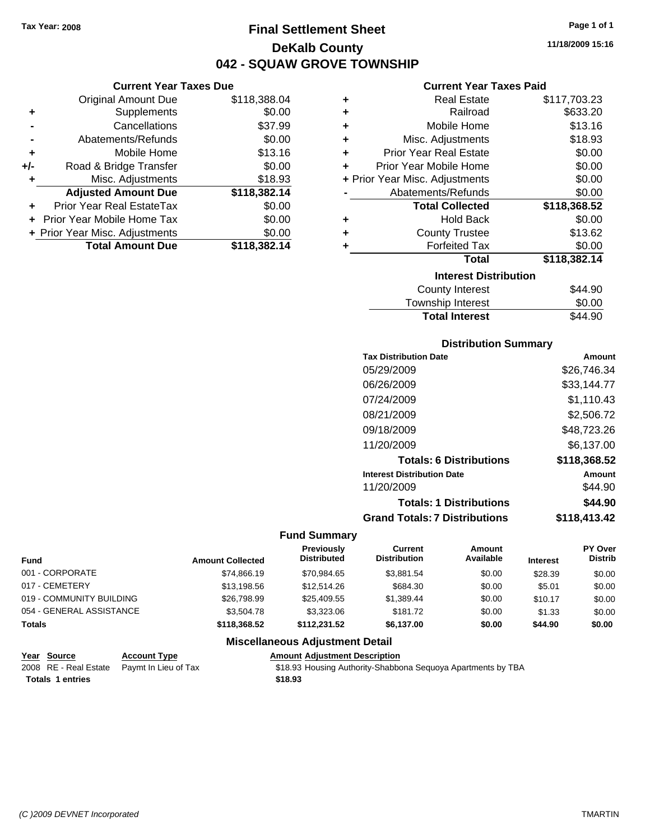**Current Year Taxes Due** Original Amount Due \$118,388.04

**Adjusted Amount Due \$118,382.14**

**Total Amount Due \$118,382.14**

**+** Supplements \$0.00 **-** Cancellations \$37.99 **-** Abatements/Refunds \$0.00 **+** Mobile Home \$13.16 **+/-** Road & Bridge Transfer \$0.00 **+** Misc. Adjustments \$18.93

**+** Prior Year Real EstateTax \$0.00 **+** Prior Year Mobile Home Tax \$0.00 **+ Prior Year Misc. Adjustments**  $$0.00$ 

### **Final Settlement Sheet Tax Year: 2008 Page 1 of 1 DeKalb County 042 - SQUAW GROVE TOWNSHIP**

**11/18/2009 15:16**

### **Current Year Taxes Paid**

| ٠ | <b>Real Estate</b>             | \$117,703.23 |
|---|--------------------------------|--------------|
| ٠ | Railroad                       | \$633.20     |
| ÷ | Mobile Home                    | \$13.16      |
| ÷ | Misc. Adjustments              | \$18.93      |
| ٠ | <b>Prior Year Real Estate</b>  | \$0.00       |
| ÷ | Prior Year Mobile Home         | \$0.00       |
|   | + Prior Year Misc. Adjustments | \$0.00       |
|   | Abatements/Refunds             | \$0.00       |
|   | <b>Total Collected</b>         | \$118,368.52 |
| ٠ | <b>Hold Back</b>               | \$0.00       |
| ٠ | <b>County Trustee</b>          | \$13.62      |
| ٠ | <b>Forfeited Tax</b>           | \$0.00       |
|   | <b>Total</b>                   | \$118,382.14 |
|   | <b>Interest Distribution</b>   |              |
|   | County Interest                | \$44.90      |
|   |                                |              |

| <b>Total Interest</b> | \$44.90 |
|-----------------------|---------|
| Township Interest     | \$0.00  |
| County interest       | \$44.YU |

### **Distribution Summary**

| <b>Tax Distribution Date</b>         | Amount       |
|--------------------------------------|--------------|
| 05/29/2009                           | \$26,746.34  |
| 06/26/2009                           | \$33,144.77  |
| 07/24/2009                           | \$1,110.43   |
| 08/21/2009                           | \$2,506.72   |
| 09/18/2009                           | \$48,723.26  |
| 11/20/2009                           | \$6,137.00   |
| <b>Totals: 6 Distributions</b>       | \$118,368.52 |
| <b>Interest Distribution Date</b>    | Amount       |
| 11/20/2009                           | \$44.90      |
| <b>Totals: 1 Distributions</b>       | \$44.90      |
| <b>Grand Totals: 7 Distributions</b> | \$118,413.42 |

#### **Fund Summary**

| <b>Fund</b>              | <b>Amount Collected</b> | <b>Previously</b><br><b>Distributed</b> | Current<br><b>Distribution</b> | Amount<br>Available | <b>Interest</b> | PY Over<br><b>Distrib</b> |
|--------------------------|-------------------------|-----------------------------------------|--------------------------------|---------------------|-----------------|---------------------------|
| 001 - CORPORATE          | \$74.866.19             | \$70.984.65                             | \$3.881.54                     | \$0.00              | \$28.39         | \$0.00                    |
| 017 - CEMETERY           | \$13,198.56             | \$12,514.26                             | \$684.30                       | \$0.00              | \$5.01          | \$0.00                    |
| 019 - COMMUNITY BUILDING | \$26,798.99             | \$25,409.55                             | \$1.389.44                     | \$0.00              | \$10.17         | \$0.00                    |
| 054 - GENERAL ASSISTANCE | \$3,504.78              | \$3,323,06                              | \$181.72                       | \$0.00              | \$1.33          | \$0.00                    |
| Totals                   | \$118,368.52            | \$112,231.52                            | \$6,137.00                     | \$0.00              | \$44.90         | \$0.00                    |

| Year Source             | <b>Account Type</b>                        | <b>Amount Adiustment Description</b>                         |
|-------------------------|--------------------------------------------|--------------------------------------------------------------|
|                         | 2008 RE - Real Estate Paymt In Lieu of Tax | \$18.93 Housing Authority-Shabbona Sequoya Apartments by TBA |
| <b>Totals 1 entries</b> |                                            | \$18.93                                                      |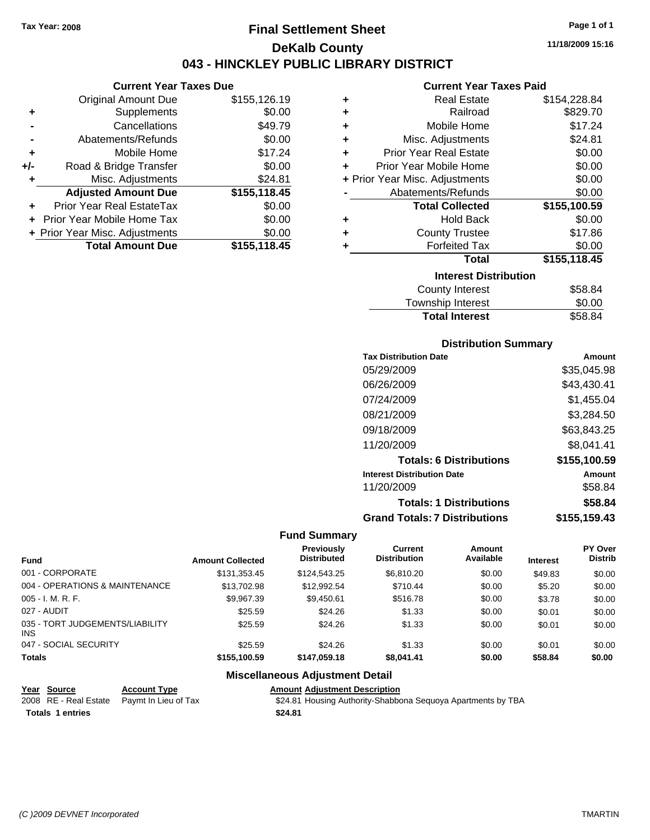**Current Year Taxes Due** Original Amount Due \$155,126.19

**Adjusted Amount Due \$155,118.45**

**Total Amount Due \$155,118.45**

**+** Supplements \$0.00 **-** Cancellations \$49.79 **-** Abatements/Refunds \$0.00 **+** Mobile Home \$17.24 **+/-** Road & Bridge Transfer \$0.00 **+** Misc. Adjustments \$24.81

**+** Prior Year Real EstateTax \$0.00 **+** Prior Year Mobile Home Tax \$0.00 **+ Prior Year Misc. Adjustments**  $$0.00$ 

### **Final Settlement Sheet Tax Year: 2008 Page 1 of 1 DeKalb County 043 - HINCKLEY PUBLIC LIBRARY DISTRICT**

**11/18/2009 15:16**

#### **Current Year Taxes Paid**

| ٠ | <b>Real Estate</b>             | \$154,228.84 |
|---|--------------------------------|--------------|
| ٠ | Railroad                       | \$829.70     |
| ٠ | Mobile Home                    | \$17.24      |
| ٠ | Misc. Adjustments              | \$24.81      |
| ٠ | <b>Prior Year Real Estate</b>  | \$0.00       |
| ٠ | Prior Year Mobile Home         | \$0.00       |
|   | + Prior Year Misc. Adjustments | \$0.00       |
|   | Abatements/Refunds             | \$0.00       |
|   | <b>Total Collected</b>         | \$155,100.59 |
| ٠ | <b>Hold Back</b>               | \$0.00       |
| ٠ | <b>County Trustee</b>          | \$17.86      |
| ٠ | <b>Forfeited Tax</b>           | \$0.00       |
|   | Total                          | \$155,118.45 |
|   | <b>Interest Distribution</b>   |              |
|   | <b>County Interest</b>         | \$58.84      |

| <b>Total Interest</b> | \$58.84 |
|-----------------------|---------|
| Township Interest     | \$0.00  |
| County Interest       | \$58.84 |

### **Distribution Summary**

| <b>Tax Distribution Date</b>         | Amount       |
|--------------------------------------|--------------|
| 05/29/2009                           | \$35,045.98  |
| 06/26/2009                           | \$43,430.41  |
| 07/24/2009                           | \$1,455.04   |
| 08/21/2009                           | \$3,284.50   |
| 09/18/2009                           | \$63,843.25  |
| 11/20/2009                           | \$8,041.41   |
| <b>Totals: 6 Distributions</b>       | \$155,100.59 |
| <b>Interest Distribution Date</b>    | Amount       |
| 11/20/2009                           | \$58.84      |
| <b>Totals: 1 Distributions</b>       | \$58.84      |
| <b>Grand Totals: 7 Distributions</b> | \$155,159.43 |

#### **Fund Summary**

|                                         |                         | <b>Previously</b>  | Current             | Amount    |                 | PY Over        |
|-----------------------------------------|-------------------------|--------------------|---------------------|-----------|-----------------|----------------|
| Fund                                    | <b>Amount Collected</b> | <b>Distributed</b> | <b>Distribution</b> | Available | <b>Interest</b> | <b>Distrib</b> |
| 001 - CORPORATE                         | \$131.353.45            | \$124,543,25       | \$6.810.20          | \$0.00    | \$49.83         | \$0.00         |
| 004 - OPERATIONS & MAINTENANCE          | \$13,702.98             | \$12,992.54        | \$710.44            | \$0.00    | \$5.20          | \$0.00         |
| 005 - I. M. R. F.                       | \$9.967.39              | \$9.450.61         | \$516.78            | \$0.00    | \$3.78          | \$0.00         |
| 027 - AUDIT                             | \$25.59                 | \$24.26            | \$1.33              | \$0.00    | \$0.01          | \$0.00         |
| 035 - TORT JUDGEMENTS/LIABILITY<br>INS. | \$25.59                 | \$24.26            | \$1.33              | \$0.00    | \$0.01          | \$0.00         |
| 047 - SOCIAL SECURITY                   | \$25.59                 | \$24.26            | \$1.33              | \$0.00    | \$0.01          | \$0.00         |
| <b>Totals</b>                           | \$155.100.59            | \$147.059.18       | \$8.041.41          | \$0.00    | \$58.84         | \$0.00         |

| Year Source             | <b>Account Type</b>                        | <b>Amount Adiustment Description</b>                         |
|-------------------------|--------------------------------------------|--------------------------------------------------------------|
|                         | 2008 RE - Real Estate Paymt In Lieu of Tax | \$24.81 Housing Authority-Shabbona Sequoya Apartments by TBA |
| <b>Totals 1 entries</b> |                                            | \$24.81                                                      |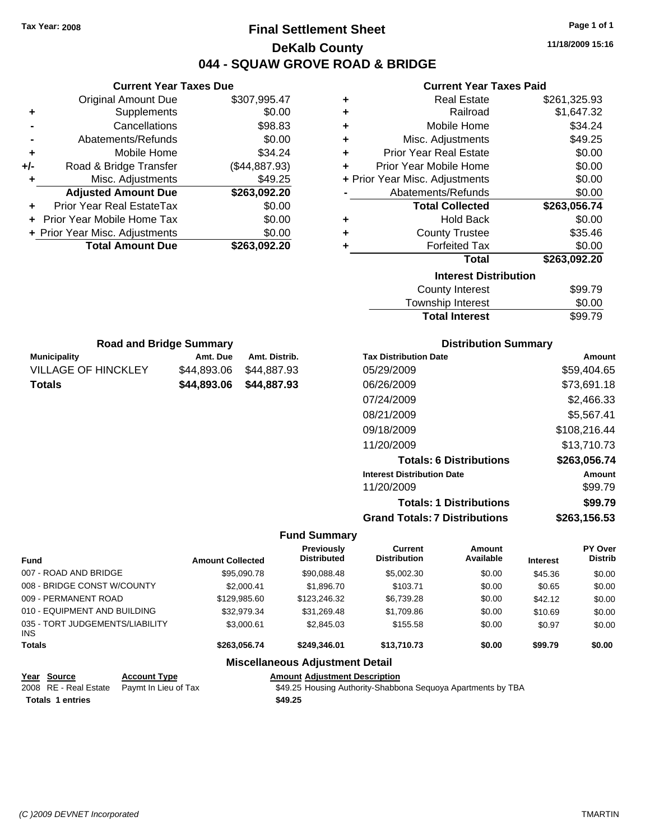### **Final Settlement Sheet Tax Year: 2008 Page 1 of 1 DeKalb County 044 - SQUAW GROVE ROAD & BRIDGE**

**11/18/2009 15:16**

#### **Current Year Taxes Paid**

| ٠ | <b>Real Estate</b>             | \$261,325.93 |
|---|--------------------------------|--------------|
| ٠ | Railroad                       | \$1,647.32   |
| ÷ | Mobile Home                    | \$34.24      |
| ÷ | Misc. Adjustments              | \$49.25      |
| ٠ | <b>Prior Year Real Estate</b>  | \$0.00       |
| ÷ | Prior Year Mobile Home         | \$0.00       |
|   | + Prior Year Misc. Adjustments | \$0.00       |
|   | Abatements/Refunds             | \$0.00       |
|   | <b>Total Collected</b>         | \$263,056.74 |
| ÷ | <b>Hold Back</b>               | \$0.00       |
| ٠ | <b>County Trustee</b>          | \$35.46      |
| ٠ | <b>Forfeited Tax</b>           | \$0.00       |
|   | <b>Total</b>                   | \$263,092.20 |
|   | <b>Interest Distribution</b>   |              |
|   | <b>County Interest</b>         | \$99.79      |
|   | Township Interact              | ድስ ሰሰ        |

| Township Interest | \$0.00 |
|-------------------|--------|

| <b>Road and Bridge Summary</b>                   |             |             |  |  |  |
|--------------------------------------------------|-------------|-------------|--|--|--|
| <b>Municipality</b><br>Amt. Distrib.<br>Amt. Due |             |             |  |  |  |
| <b>VILLAGE OF HINCKLEY</b>                       | \$44.893.06 | \$44.887.93 |  |  |  |
| <b>Totals</b>                                    | \$44.893.06 | \$44.887.93 |  |  |  |

**Current Year Taxes Due** Original Amount Due \$307,995.47

**Adjusted Amount Due \$263,092.20**

**Total Amount Due \$263,092.20**

**+** Supplements \$0.00 **-** Cancellations \$98.83 **-** Abatements/Refunds \$0.00 **+** Mobile Home \$34.24 **+/-** Road & Bridge Transfer (\$44,887.93) **+** Misc. Adjustments \$49.25

**+** Prior Year Real EstateTax \$0.00 **+** Prior Year Mobile Home Tax \$0.00 **+ Prior Year Misc. Adjustments**  $$0.00$ 

#### **Distribution Summary**

| <b>Tax Distribution Date</b>         | Amount       |
|--------------------------------------|--------------|
| 05/29/2009                           | \$59.404.65  |
| 06/26/2009                           | \$73,691.18  |
| 07/24/2009                           | \$2,466.33   |
| 08/21/2009                           | \$5,567.41   |
| 09/18/2009                           | \$108,216.44 |
| 11/20/2009                           | \$13,710.73  |
| <b>Totals: 6 Distributions</b>       | \$263,056.74 |
| <b>Interest Distribution Date</b>    | Amount       |
| 11/20/2009                           | \$99.79      |
| <b>Totals: 1 Distributions</b>       | \$99.79      |
| <b>Grand Totals: 7 Distributions</b> | \$263,156.53 |

#### **Fund Summary**

| <b>Fund</b>                             | <b>Amount Collected</b> | Previously<br><b>Distributed</b> | Current<br><b>Distribution</b> | Amount<br>Available | <b>Interest</b> | PY Over<br><b>Distrib</b> |
|-----------------------------------------|-------------------------|----------------------------------|--------------------------------|---------------------|-----------------|---------------------------|
| 007 - ROAD AND BRIDGE                   | \$95,090.78             | \$90,088.48                      | \$5,002.30                     | \$0.00              | \$45.36         | \$0.00                    |
| 008 - BRIDGE CONST W/COUNTY             | \$2,000.41              | \$1,896.70                       | \$103.71                       | \$0.00              | \$0.65          | \$0.00                    |
| 009 - PERMANENT ROAD                    | \$129,985.60            | \$123,246.32                     | \$6,739.28                     | \$0.00              | \$42.12         | \$0.00                    |
| 010 - EQUIPMENT AND BUILDING            | \$32,979.34             | \$31,269.48                      | \$1,709.86                     | \$0.00              | \$10.69         | \$0.00                    |
| 035 - TORT JUDGEMENTS/LIABILITY<br>INS. | \$3,000.61              | \$2,845.03                       | \$155.58                       | \$0.00              | \$0.97          | \$0.00                    |
| <b>Totals</b>                           | \$263.056.74            | \$249,346.01                     | \$13,710,73                    | \$0.00              | \$99.79         | \$0.00                    |
|                                         |                         |                                  |                                |                     |                 |                           |

#### **Miscellaneous Adjustment Detail**

#### **Year Source Account Type Amount Adjustment Description**

**Totals \$49.25 1 entries**

2008 RE - Real Estate Paymt In Lieu of Tax **\$49.25 Housing Authority-Shabbona Sequoya Apartments by TBA**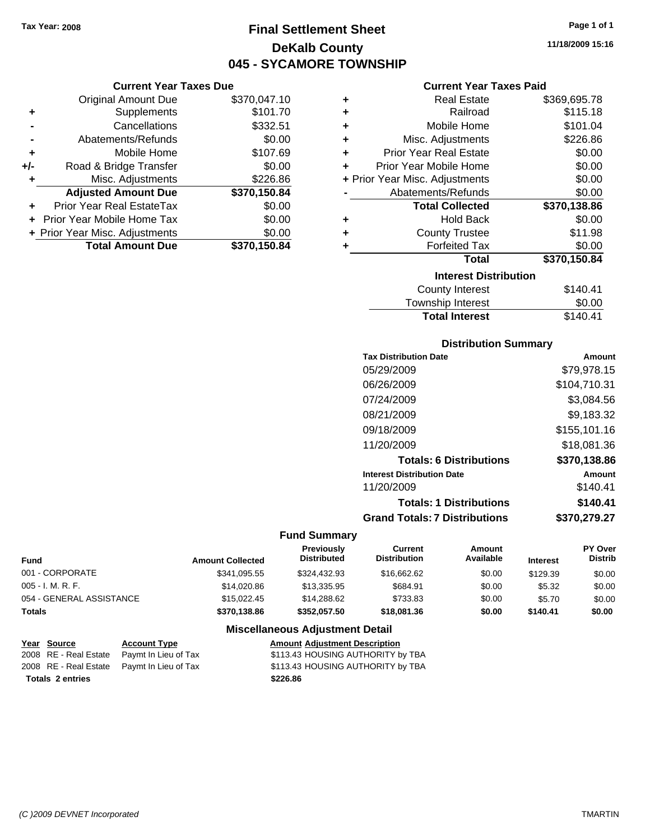**Current Year Taxes Due** Original Amount Due \$370,047.10

**Adjusted Amount Due \$370,150.84**

**Total Amount Due \$370,150.84**

**+** Supplements \$101.70 **-** Cancellations \$332.51 **-** Abatements/Refunds \$0.00 **+** Mobile Home \$107.69 **+/-** Road & Bridge Transfer \$0.00 **+** Misc. Adjustments \$226.86

**+** Prior Year Real EstateTax \$0.00 **+** Prior Year Mobile Home Tax \$0.00 **+ Prior Year Misc. Adjustments**  $$0.00$ 

### **Final Settlement Sheet Tax Year: 2008 Page 1 of 1 DeKalb County 045 - SYCAMORE TOWNSHIP**

**11/18/2009 15:16**

### **Current Year Taxes Paid**

| ٠ | <b>Real Estate</b>             | \$369,695.78 |
|---|--------------------------------|--------------|
| ٠ | Railroad                       | \$115.18     |
| ٠ | Mobile Home                    | \$101.04     |
| ٠ | Misc. Adjustments              | \$226.86     |
| ٠ | <b>Prior Year Real Estate</b>  | \$0.00       |
| ÷ | Prior Year Mobile Home         | \$0.00       |
|   | + Prior Year Misc. Adjustments | \$0.00       |
|   | Abatements/Refunds             | \$0.00       |
|   | <b>Total Collected</b>         | \$370,138.86 |
| ٠ | <b>Hold Back</b>               | \$0.00       |
| ٠ | <b>County Trustee</b>          | \$11.98      |
| ٠ | <b>Forfeited Tax</b>           | \$0.00       |
|   | <b>Total</b>                   | \$370,150.84 |
|   | <b>Interest Distribution</b>   |              |
|   | <b>County Interest</b>         | \$140.41     |
|   |                                |              |

| <b>Total Interest</b> | \$140.41 |
|-----------------------|----------|
| Township Interest     | \$0.00   |
| County Interest       | \$140.41 |

### **Distribution Summary**

| Amount       |
|--------------|
| \$79,978.15  |
| \$104,710.31 |
| \$3,084.56   |
| \$9,183.32   |
| \$155,101.16 |
| \$18,081.36  |
| \$370,138.86 |
| Amount       |
| \$140.41     |
| \$140.41     |
| \$370,279.27 |
|              |

#### **Fund Summary**

| <b>Fund</b>              | <b>Amount Collected</b> | <b>Previously</b><br><b>Distributed</b> | Current<br><b>Distribution</b> | Amount<br>Available | <b>Interest</b> | <b>PY Over</b><br><b>Distrib</b> |
|--------------------------|-------------------------|-----------------------------------------|--------------------------------|---------------------|-----------------|----------------------------------|
| 001 - CORPORATE          | \$341.095.55            | \$324.432.93                            | \$16,662,62                    | \$0.00              | \$129.39        | \$0.00                           |
| $005 - I. M. R. F.$      | \$14,020.86             | \$13,335.95                             | \$684.91                       | \$0.00              | \$5.32          | \$0.00                           |
| 054 - GENERAL ASSISTANCE | \$15,022.45             | \$14,288,62                             | \$733.83                       | \$0.00              | \$5.70          | \$0.00                           |
| <b>Totals</b>            | \$370,138.86            | \$352.057.50                            | \$18,081.36                    | \$0.00              | \$140.41        | \$0.00                           |

| <u>Year Source</u>      | <b>Account Type</b>                        | <b>Amount Adjustment Description</b> |
|-------------------------|--------------------------------------------|--------------------------------------|
|                         | 2008 RE - Real Estate Paymt In Lieu of Tax | \$113.43 HOUSING AUTHORITY by TBA    |
|                         | 2008 RE - Real Estate Pavmt In Lieu of Tax | \$113.43 HOUSING AUTHORITY by TBA    |
| <b>Totals 2 entries</b> |                                            | \$226.86                             |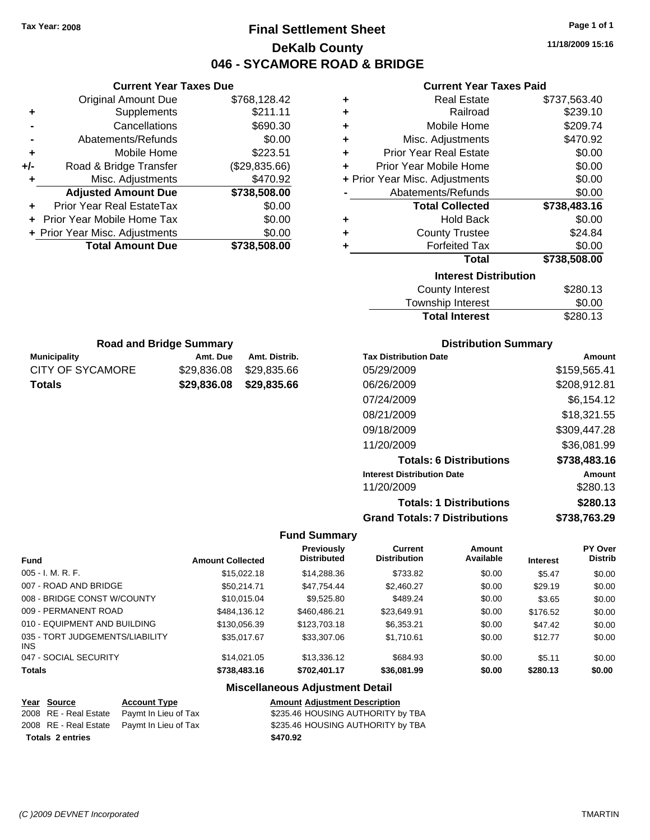### **Final Settlement Sheet Tax Year: 2008 Page 1 of 1 DeKalb County 046 - SYCAMORE ROAD & BRIDGE**

**11/18/2009 15:16**

### **Current Year Taxes Paid**

| <b>Real Estate</b><br>٠            | \$737,563.40 |
|------------------------------------|--------------|
| Railroad<br>٠                      | \$239.10     |
| Mobile Home<br>÷                   | \$209.74     |
| Misc. Adjustments<br>÷             | \$470.92     |
| <b>Prior Year Real Estate</b><br>÷ | \$0.00       |
| Prior Year Mobile Home<br>÷        | \$0.00       |
| + Prior Year Misc. Adjustments     | \$0.00       |
| Abatements/Refunds                 | \$0.00       |
| <b>Total Collected</b>             | \$738,483.16 |
| <b>Hold Back</b><br>٠              | \$0.00       |
| <b>County Trustee</b><br>٠         | \$24.84      |
| <b>Forfeited Tax</b><br>٠          | \$0.00       |
| <b>Total</b>                       | \$738,508.00 |
| <b>Interest Distribution</b>       |              |
| <b>County Interest</b>             | \$280.13     |
|                                    |              |

| <b>Total Interest</b>  | \$280.13 |
|------------------------|----------|
| Township Interest      | \$0.00   |
| <b>County Interest</b> | \$280.13 |

| <b>Road and Bridge Summary</b>    |                         |               |  |  |
|-----------------------------------|-------------------------|---------------|--|--|
| <b>Municipality</b>               | Amt. Due                | Amt. Distrib. |  |  |
| CITY OF SYCAMORE                  | \$29.836.08 \$29.835.66 |               |  |  |
| \$29,836.08 \$29,835.66<br>Totals |                         |               |  |  |

**Current Year Taxes Due** Original Amount Due \$768,128.42

**Adjusted Amount Due \$738,508.00**

**Total Amount Due \$738,508.00**

**+** Supplements \$211.11 **-** Cancellations \$690.30 **-** Abatements/Refunds \$0.00 **+** Mobile Home \$223.51 **+/-** Road & Bridge Transfer (\$29,835.66) **+** Misc. Adjustments \$470.92

**+** Prior Year Real EstateTax \$0.00 **+** Prior Year Mobile Home Tax \$0.00 **+ Prior Year Misc. Adjustments**  $$0.00$ 

### **Distribution Summary**

| <b>Tax Distribution Date</b>         | Amount       |
|--------------------------------------|--------------|
| 05/29/2009                           | \$159,565.41 |
| 06/26/2009                           | \$208,912.81 |
| 07/24/2009                           | \$6.154.12   |
| 08/21/2009                           | \$18,321.55  |
| 09/18/2009                           | \$309,447.28 |
| 11/20/2009                           | \$36,081.99  |
| <b>Totals: 6 Distributions</b>       | \$738,483.16 |
| <b>Interest Distribution Date</b>    | Amount       |
| 11/20/2009                           | \$280.13     |
| <b>Totals: 1 Distributions</b>       | \$280.13     |
| <b>Grand Totals: 7 Distributions</b> | \$738,763.29 |
|                                      |              |

#### **Fund Summary**

| <b>Fund</b>                                   | <b>Amount Collected</b> | <b>Previously</b><br><b>Distributed</b> | <b>Current</b><br><b>Distribution</b> | Amount<br>Available | <b>Interest</b> | PY Over<br><b>Distrib</b> |
|-----------------------------------------------|-------------------------|-----------------------------------------|---------------------------------------|---------------------|-----------------|---------------------------|
| $005 - I. M. R. F.$                           | \$15,022.18             | \$14,288.36                             | \$733.82                              | \$0.00              | \$5.47          | \$0.00                    |
| 007 - ROAD AND BRIDGE                         | \$50.214.71             | \$47.754.44                             | \$2,460.27                            | \$0.00              | \$29.19         | \$0.00                    |
| 008 - BRIDGE CONST W/COUNTY                   | \$10,015,04             | \$9,525.80                              | \$489.24                              | \$0.00              | \$3.65          | \$0.00                    |
| 009 - PERMANENT ROAD                          | \$484,136.12            | \$460,486.21                            | \$23,649.91                           | \$0.00              | \$176.52        | \$0.00                    |
| 010 - EQUIPMENT AND BUILDING                  | \$130,056.39            | \$123,703.18                            | \$6,353,21                            | \$0.00              | \$47.42         | \$0.00                    |
| 035 - TORT JUDGEMENTS/LIABILITY<br><b>INS</b> | \$35,017.67             | \$33,307.06                             | \$1,710.61                            | \$0.00              | \$12.77         | \$0.00                    |
| 047 - SOCIAL SECURITY                         | \$14,021,05             | \$13,336.12                             | \$684.93                              | \$0.00              | \$5.11          | \$0.00                    |
| <b>Totals</b>                                 | \$738,483.16            | \$702,401.17                            | \$36,081.99                           | \$0.00              | \$280.13        | \$0.00                    |

#### **Miscellaneous Adjustment Detail**

### **Year Source Account Type Amount Adjustment Description**

**Totals \$470.92 2 entries**

2008 RE - Real Estate Paymt In Lieu of Tax  $$235.46$  HOUSING AUTHORITY by TBA 2008 RE - Real Estate Paymt In Lieu of Tax S235.46 HOUSING AUTHORITY by TBA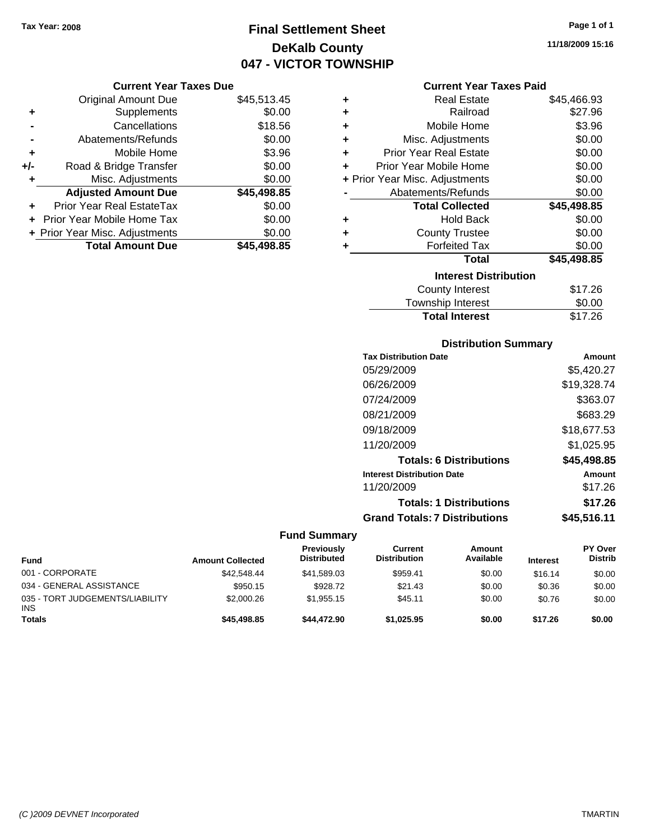### **Final Settlement Sheet Tax Year: 2008 Page 1 of 1 DeKalb County 047 - VICTOR TOWNSHIP**

### **Current Year Taxes Due**

|     | <b>Original Amount Due</b>       | \$45,513.45 |
|-----|----------------------------------|-------------|
| ٠   | Supplements                      | \$0.00      |
|     | Cancellations                    | \$18.56     |
|     | Abatements/Refunds               | \$0.00      |
| ٠   | Mobile Home                      | \$3.96      |
| +/- | Road & Bridge Transfer           | \$0.00      |
| ٠   | Misc. Adjustments                | \$0.00      |
|     | <b>Adjusted Amount Due</b>       | \$45,498.85 |
| ÷   | <b>Prior Year Real EstateTax</b> | \$0.00      |
|     | Prior Year Mobile Home Tax       | \$0.00      |
|     | + Prior Year Misc. Adjustments   | \$0.00      |
|     | <b>Total Amount Due</b>          | \$45,498.85 |

### **Current Year Taxes Paid**

| ٠ | Real Estate                    | \$45,466.93 |
|---|--------------------------------|-------------|
| ÷ | Railroad                       | \$27.96     |
| ÷ | Mobile Home                    | \$3.96      |
| ٠ | Misc. Adjustments              | \$0.00      |
| ٠ | Prior Year Real Estate         | \$0.00      |
| ٠ | Prior Year Mobile Home         | \$0.00      |
|   | + Prior Year Misc. Adjustments | \$0.00      |
|   | Abatements/Refunds             | \$0.00      |
|   | <b>Total Collected</b>         | \$45,498.85 |
| ٠ | Hold Back                      | \$0.00      |
| ٠ | <b>County Trustee</b>          | \$0.00      |
| ٠ | <b>Forfeited Tax</b>           | \$0.00      |
|   | Total                          | \$45,498.85 |
|   | <b>Interest Distribution</b>   |             |
|   | <b>County Interest</b>         | \$17.26     |
|   | <b>Township Interest</b>       | \$0.00      |
|   | <b>Total Interest</b>          | \$17.26     |

### **Distribution Summary**

| <b>Tax Distribution Date</b>         | Amount      |
|--------------------------------------|-------------|
| 05/29/2009                           | \$5,420.27  |
| 06/26/2009                           | \$19,328.74 |
| 07/24/2009                           | \$363.07    |
| 08/21/2009                           | \$683.29    |
| 09/18/2009                           | \$18,677.53 |
| 11/20/2009                           | \$1,025.95  |
| <b>Totals: 6 Distributions</b>       | \$45,498.85 |
| <b>Interest Distribution Date</b>    | Amount      |
| 11/20/2009                           | \$17.26     |
| <b>Totals: 1 Distributions</b>       | \$17.26     |
| <b>Grand Totals: 7 Distributions</b> | \$45,516.11 |

| <b>Fund</b>                                   | <b>Amount Collected</b> | Previously<br><b>Distributed</b> | Current<br><b>Distribution</b> | Amount<br>Available | <b>Interest</b> | <b>PY Over</b><br><b>Distrib</b> |
|-----------------------------------------------|-------------------------|----------------------------------|--------------------------------|---------------------|-----------------|----------------------------------|
| 001 - CORPORATE                               | \$42,548.44             | \$41,589.03                      | \$959.41                       | \$0.00              | \$16.14         | \$0.00                           |
| 034 - GENERAL ASSISTANCE                      | \$950.15                | \$928.72                         | \$21.43                        | \$0.00              | \$0.36          | \$0.00                           |
| 035 - TORT JUDGEMENTS/LIABILITY<br><b>INS</b> | \$2,000.26              | \$1.955.15                       | \$45.11                        | \$0.00              | \$0.76          | \$0.00                           |
| <b>Totals</b>                                 | \$45,498.85             | \$44,472.90                      | \$1.025.95                     | \$0.00              | \$17.26         | \$0.00                           |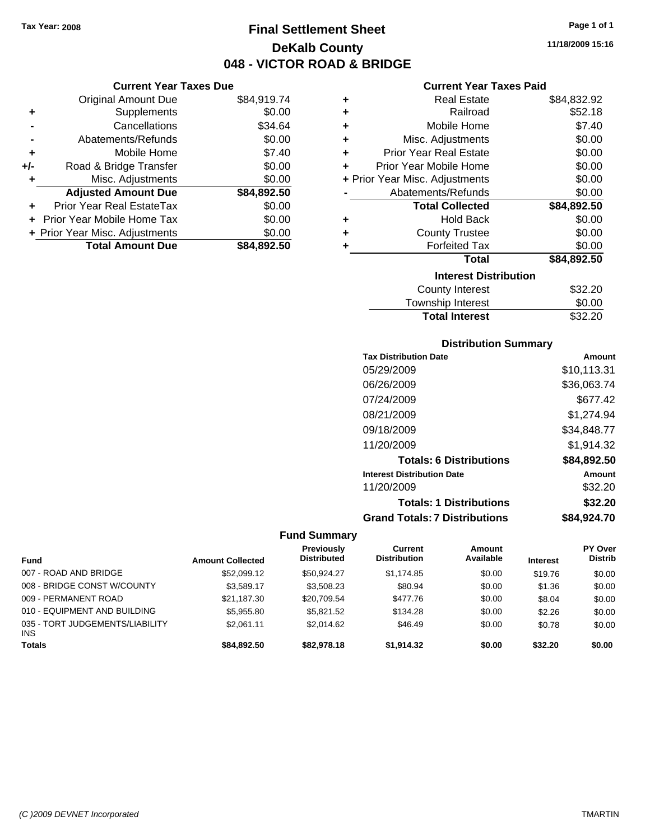**Current Year Taxes Due** Original Amount Due \$84,919.74

**Adjusted Amount Due \$84,892.50**

**Total Amount Due \$84,892.50**

**+** Supplements \$0.00 **-** Cancellations \$34.64 **-** Abatements/Refunds \$0.00 **+** Mobile Home \$7.40 **+/-** Road & Bridge Transfer \$0.00 **+** Misc. Adjustments \$0.00

**+** Prior Year Real EstateTax \$0.00 **+** Prior Year Mobile Home Tax \$0.00 **+ Prior Year Misc. Adjustments**  $$0.00$ 

### **Final Settlement Sheet Tax Year: 2008 Page 1 of 1 DeKalb County 048 - VICTOR ROAD & BRIDGE**

**11/18/2009 15:16**

### **Current Year Taxes Paid**

| ٠ | <b>Real Estate</b>             | \$84,832.92 |
|---|--------------------------------|-------------|
| ÷ | Railroad                       | \$52.18     |
| ÷ | Mobile Home                    | \$7.40      |
| ÷ | Misc. Adjustments              | \$0.00      |
| ÷ | <b>Prior Year Real Estate</b>  | \$0.00      |
| ٠ | Prior Year Mobile Home         | \$0.00      |
|   | + Prior Year Misc. Adjustments | \$0.00      |
|   | Abatements/Refunds             | \$0.00      |
|   | <b>Total Collected</b>         | \$84,892.50 |
| ٠ | <b>Hold Back</b>               | \$0.00      |
| ٠ | <b>County Trustee</b>          | \$0.00      |
| ٠ | <b>Forfeited Tax</b>           | \$0.00      |
|   | Total                          | \$84,892.50 |
|   | <b>Interest Distribution</b>   |             |
|   | <b>County Interest</b>         | \$32.20     |
|   | <b>Township Interest</b>       | \$0.00      |
|   | <b>Total Interest</b>          | \$32.20     |

### **Distribution Summary**

| <b>Tax Distribution Date</b>         | Amount      |
|--------------------------------------|-------------|
| 05/29/2009                           | \$10,113.31 |
| 06/26/2009                           | \$36,063.74 |
| 07/24/2009                           | \$677.42    |
| 08/21/2009                           | \$1,274.94  |
| 09/18/2009                           | \$34,848.77 |
| 11/20/2009                           | \$1,914.32  |
| <b>Totals: 6 Distributions</b>       | \$84,892.50 |
| <b>Interest Distribution Date</b>    | Amount      |
| 11/20/2009                           | \$32.20     |
| <b>Totals: 1 Distributions</b>       | \$32.20     |
| <b>Grand Totals: 7 Distributions</b> | \$84.924.70 |

| <b>Fund</b>                                   | <b>Amount Collected</b> | <b>Previously</b><br><b>Distributed</b> | Current<br><b>Distribution</b> | Amount<br>Available | <b>Interest</b> | PY Over<br><b>Distrib</b> |
|-----------------------------------------------|-------------------------|-----------------------------------------|--------------------------------|---------------------|-----------------|---------------------------|
| 007 - ROAD AND BRIDGE                         | \$52,099.12             | \$50.924.27                             | \$1.174.85                     | \$0.00              | \$19.76         | \$0.00                    |
| 008 - BRIDGE CONST W/COUNTY                   | \$3,589.17              | \$3,508.23                              | \$80.94                        | \$0.00              | \$1.36          | \$0.00                    |
| 009 - PERMANENT ROAD                          | \$21.187.30             | \$20.709.54                             | \$477.76                       | \$0.00              | \$8.04          | \$0.00                    |
| 010 - EQUIPMENT AND BUILDING                  | \$5,955.80              | \$5.821.52                              | \$134.28                       | \$0.00              | \$2.26          | \$0.00                    |
| 035 - TORT JUDGEMENTS/LIABILITY<br><b>INS</b> | \$2.061.11              | \$2.014.62                              | \$46.49                        | \$0.00              | \$0.78          | \$0.00                    |
| <b>Totals</b>                                 | \$84,892.50             | \$82,978.18                             | \$1.914.32                     | \$0.00              | \$32.20         | \$0.00                    |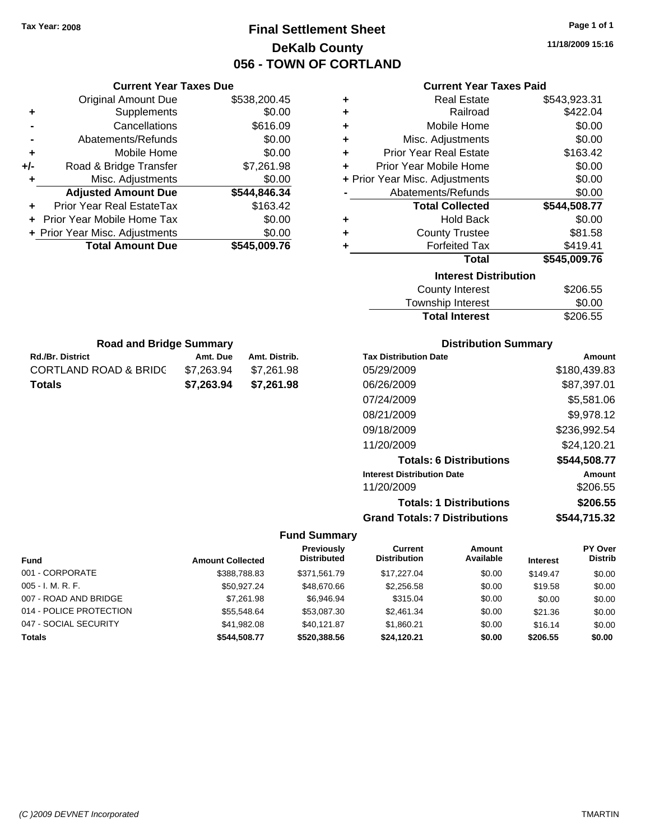### **Final Settlement Sheet Tax Year: 2008 Page 1 of 1 DeKalb County 056 - TOWN OF CORTLAND**

### **Current Year Taxes Paid**

| ٠ | <b>Real Estate</b>             | \$543,923.31 |  |  |  |
|---|--------------------------------|--------------|--|--|--|
| ÷ | Railroad                       | \$422.04     |  |  |  |
| ٠ | Mobile Home                    | \$0.00       |  |  |  |
| ÷ | Misc. Adjustments              | \$0.00       |  |  |  |
| ٠ | <b>Prior Year Real Estate</b>  | \$163.42     |  |  |  |
| ÷ | Prior Year Mobile Home         | \$0.00       |  |  |  |
|   | + Prior Year Misc. Adjustments | \$0.00       |  |  |  |
|   | Abatements/Refunds             | \$0.00       |  |  |  |
|   | <b>Total Collected</b>         | \$544,508.77 |  |  |  |
| ٠ | <b>Hold Back</b>               | \$0.00       |  |  |  |
| ÷ | <b>County Trustee</b>          | \$81.58      |  |  |  |
| ٠ | <b>Forfeited Tax</b>           | \$419.41     |  |  |  |
|   | <b>Total</b>                   | \$545,009.76 |  |  |  |
|   | <b>Interest Distribution</b>   |              |  |  |  |
|   | <b>County Interest</b>         | \$206.55     |  |  |  |
|   |                                | ີ ລ          |  |  |  |

| County Interest       | \$206.55 |
|-----------------------|----------|
| Township Interest     | \$0.00   |
| <b>Total Interest</b> | \$206.55 |

| <b>Road and Bridge Summary</b>   |            |               |  |  |
|----------------------------------|------------|---------------|--|--|
| <b>Rd./Br. District</b>          | Amt. Due   | Amt. Distrib. |  |  |
| <b>CORTLAND ROAD &amp; BRIDC</b> | \$7.263.94 | \$7,261.98    |  |  |
| <b>Totals</b>                    | \$7.263.94 | \$7,261.98    |  |  |

**Current Year Taxes Due** Original Amount Due \$538,200.45

**Adjusted Amount Due \$544,846.34**

**Total Amount Due \$545,009.76**

**+** Supplements \$0.00 **-** Cancellations \$616.09 **-** Abatements/Refunds \$0.00 **+** Mobile Home \$0.00 **+/-** Road & Bridge Transfer \$7,261.98 **+** Misc. Adjustments \$0.00

**+** Prior Year Real EstateTax \$163.42 **+** Prior Year Mobile Home Tax \$0.00 **+ Prior Year Misc. Adjustments**  $$0.00$ 

### **Distribution Summary**

| <b>Tax Distribution Date</b>         | Amount       |
|--------------------------------------|--------------|
| 05/29/2009                           | \$180,439.83 |
| 06/26/2009                           | \$87,397.01  |
| 07/24/2009                           | \$5,581.06   |
| 08/21/2009                           | \$9,978.12   |
| 09/18/2009                           | \$236,992.54 |
| 11/20/2009                           | \$24,120.21  |
| <b>Totals: 6 Distributions</b>       | \$544,508.77 |
| <b>Interest Distribution Date</b>    | Amount       |
| 11/20/2009                           | \$206.55     |
| <b>Totals: 1 Distributions</b>       | \$206.55     |
| <b>Grand Totals: 7 Distributions</b> | \$544,715.32 |

| Fund                    | <b>Amount Collected</b> | Previously<br><b>Distributed</b> | Current<br><b>Distribution</b> | <b>Amount</b><br>Available | <b>Interest</b> | PY Over<br><b>Distrib</b> |
|-------------------------|-------------------------|----------------------------------|--------------------------------|----------------------------|-----------------|---------------------------|
|                         |                         |                                  |                                |                            |                 |                           |
| 001 - CORPORATE         | \$388,788.83            | \$371.561.79                     | \$17.227.04                    | \$0.00                     | \$149.47        | \$0.00                    |
| $005 - I. M. R. F.$     | \$50.927.24             | \$48,670.66                      | \$2,256.58                     | \$0.00                     | \$19.58         | \$0.00                    |
| 007 - ROAD AND BRIDGE   | \$7,261.98              | \$6.946.94                       | \$315.04                       | \$0.00                     | \$0.00          | \$0.00                    |
| 014 - POLICE PROTECTION | \$55,548,64             | \$53,087.30                      | \$2,461.34                     | \$0.00                     | \$21.36         | \$0.00                    |
| 047 - SOCIAL SECURITY   | \$41.982.08             | \$40.121.87                      | \$1.860.21                     | \$0.00                     | \$16.14         | \$0.00                    |
| <b>Totals</b>           | \$544,508.77            | \$520,388.56                     | \$24.120.21                    | \$0.00                     | \$206.55        | \$0.00                    |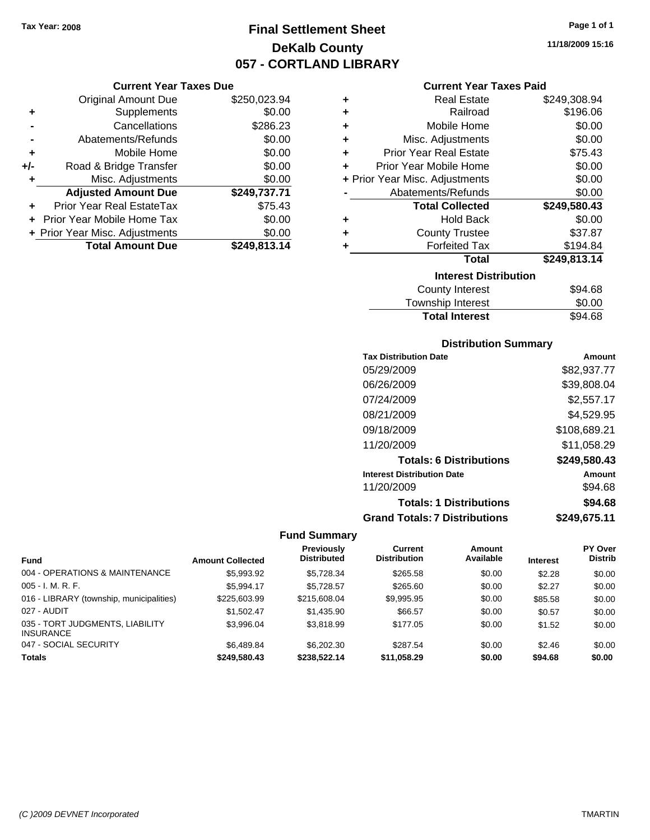**Current Year Taxes Due** Original Amount Due \$250,023.94

**Adjusted Amount Due \$249,737.71**

**Total Amount Due \$249,813.14**

**+** Supplements \$0.00 **-** Cancellations \$286.23 **-** Abatements/Refunds \$0.00 **+** Mobile Home \$0.00 **+/-** Road & Bridge Transfer \$0.00 **+** Misc. Adjustments \$0.00

**+** Prior Year Real EstateTax \$75.43 **+** Prior Year Mobile Home Tax \$0.00 **+ Prior Year Misc. Adjustments**  $$0.00$ 

### **Final Settlement Sheet Tax Year: 2008 Page 1 of 1 DeKalb County 057 - CORTLAND LIBRARY**

### **11/18/2009 15:16**

### **Current Year Taxes Paid**

| ٠ | <b>Real Estate</b>             | \$249,308.94 |
|---|--------------------------------|--------------|
| ٠ | Railroad                       | \$196.06     |
| ٠ | Mobile Home                    | \$0.00       |
| ÷ | Misc. Adjustments              | \$0.00       |
| ÷ | <b>Prior Year Real Estate</b>  | \$75.43      |
| ÷ | Prior Year Mobile Home         | \$0.00       |
|   | + Prior Year Misc. Adjustments | \$0.00       |
|   | Abatements/Refunds             | \$0.00       |
|   | <b>Total Collected</b>         | \$249,580.43 |
| ٠ | <b>Hold Back</b>               | \$0.00       |
| ٠ | <b>County Trustee</b>          | \$37.87      |
| ٠ | <b>Forfeited Tax</b>           | \$194.84     |
|   | <b>Total</b>                   | \$249,813.14 |
|   | <b>Interest Distribution</b>   |              |
|   | <b>County Interest</b>         | \$94.68      |
|   |                                |              |

| <b>Total Interest</b> | \$94.68        |
|-----------------------|----------------|
| Township Interest     | \$0.00         |
| County interest       | <b>১</b> ৬৭.০০ |

### **Distribution Summary**

| <b>Tax Distribution Date</b>         | Amount       |
|--------------------------------------|--------------|
| 05/29/2009                           | \$82,937.77  |
| 06/26/2009                           | \$39,808.04  |
| 07/24/2009                           | \$2,557.17   |
| 08/21/2009                           | \$4,529.95   |
| 09/18/2009                           | \$108,689.21 |
| 11/20/2009                           | \$11,058.29  |
| <b>Totals: 6 Distributions</b>       | \$249,580.43 |
| <b>Interest Distribution Date</b>    | Amount       |
| 11/20/2009                           | \$94.68      |
| <b>Totals: 1 Distributions</b>       | \$94.68      |
| <b>Grand Totals: 7 Distributions</b> | \$249.675.11 |

|                                                     |                         | Previously         | Current             | <b>Amount</b> |                 | PY Over        |
|-----------------------------------------------------|-------------------------|--------------------|---------------------|---------------|-----------------|----------------|
| <b>Fund</b>                                         | <b>Amount Collected</b> | <b>Distributed</b> | <b>Distribution</b> | Available     | <b>Interest</b> | <b>Distrib</b> |
| 004 - OPERATIONS & MAINTENANCE                      | \$5.993.92              | \$5,728.34         | \$265.58            | \$0.00        | \$2.28          | \$0.00         |
| $005 - I. M. R. F.$                                 | \$5,994.17              | \$5,728.57         | \$265.60            | \$0.00        | \$2.27          | \$0.00         |
| 016 - LIBRARY (township, municipalities)            | \$225,603.99            | \$215,608,04       | \$9,995.95          | \$0.00        | \$85.58         | \$0.00         |
| 027 - AUDIT                                         | \$1.502.47              | \$1,435.90         | \$66.57             | \$0.00        | \$0.57          | \$0.00         |
| 035 - TORT JUDGMENTS, LIABILITY<br><b>INSURANCE</b> | \$3.996.04              | \$3.818.99         | \$177.05            | \$0.00        | \$1.52          | \$0.00         |
| 047 - SOCIAL SECURITY                               | \$6,489.84              | \$6,202,30         | \$287.54            | \$0.00        | \$2.46          | \$0.00         |
| <b>Totals</b>                                       | \$249.580.43            | \$238,522.14       | \$11.058.29         | \$0.00        | \$94.68         | \$0.00         |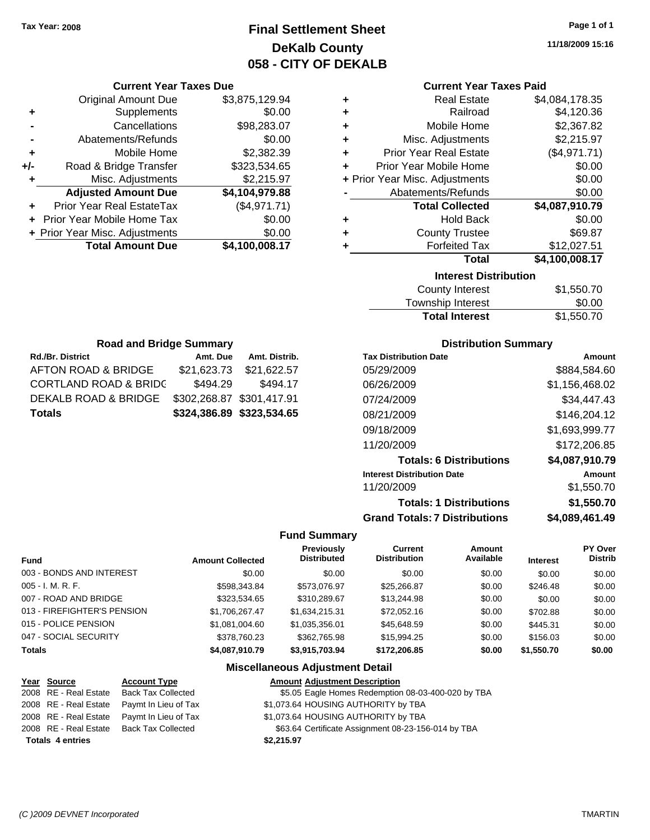### **Final Settlement Sheet Tax Year: 2008 Page 1 of 1 DeKalb County 058 - CITY OF DEKALB**

**11/18/2009 15:16**

| <b>Current Year Taxes Due</b> |  |
|-------------------------------|--|
|-------------------------------|--|

|       | <b>Original Amount Due</b>     | \$3,875,129.94 |
|-------|--------------------------------|----------------|
| ٠     | Supplements                    | \$0.00         |
|       | Cancellations                  | \$98,283.07    |
|       | Abatements/Refunds             | \$0.00         |
| ٠     | Mobile Home                    | \$2,382.39     |
| $+/-$ | Road & Bridge Transfer         | \$323,534.65   |
| ٠     | Misc. Adjustments              | \$2,215.97     |
|       | <b>Adjusted Amount Due</b>     | \$4,104,979.88 |
|       | Prior Year Real EstateTax      | (\$4,971.71)   |
|       | Prior Year Mobile Home Tax     | \$0.00         |
|       | + Prior Year Misc. Adjustments | \$0.00         |
|       | <b>Total Amount Due</b>        | \$4,100,008.17 |
|       |                                |                |

### **Current Year Taxes Paid**

| ٠                            | <b>Real Estate</b>             | \$4,084,178.35 |  |  |
|------------------------------|--------------------------------|----------------|--|--|
| ٠                            | Railroad                       | \$4,120.36     |  |  |
| ٠                            | Mobile Home                    | \$2,367.82     |  |  |
| ÷                            | Misc. Adjustments              | \$2,215.97     |  |  |
| ÷                            | <b>Prior Year Real Estate</b>  | (\$4,971.71)   |  |  |
| ٠                            | Prior Year Mobile Home         | \$0.00         |  |  |
|                              | + Prior Year Misc. Adjustments | \$0.00         |  |  |
|                              | Abatements/Refunds             | \$0.00         |  |  |
|                              | <b>Total Collected</b>         | \$4,087,910.79 |  |  |
| ٠                            | <b>Hold Back</b>               | \$0.00         |  |  |
| ٠                            | <b>County Trustee</b>          | \$69.87        |  |  |
| ٠                            | <b>Forfeited Tax</b>           | \$12,027.51    |  |  |
|                              | Total                          | \$4,100,008.17 |  |  |
| <b>Interest Distribution</b> |                                |                |  |  |
|                              |                                |                |  |  |

| <b>Total Interest</b> | \$1,550.70 |
|-----------------------|------------|
| Township Interest     | \$0.00     |
| County Interest       | \$1,550.70 |

| <b>Road and Bridge Summary</b>   |                           |                           |  |
|----------------------------------|---------------------------|---------------------------|--|
| <b>Rd./Br. District</b>          | Amt. Due                  | Amt. Distrib.             |  |
| AFTON ROAD & BRIDGE              | \$21,623.73               | \$21,622.57               |  |
| <b>CORTLAND ROAD &amp; BRIDC</b> | \$494.29                  | \$494.17                  |  |
| DEKALB ROAD & BRIDGE             | \$302,268.87 \$301,417.91 |                           |  |
| <b>Totals</b>                    |                           | \$324,386.89 \$323,534.65 |  |

### **Distribution Summary**

| <b>Tax Distribution Date</b>         | Amount         |
|--------------------------------------|----------------|
| 05/29/2009                           | \$884.584.60   |
| 06/26/2009                           | \$1,156,468.02 |
| 07/24/2009                           | \$34,447.43    |
| 08/21/2009                           | \$146,204.12   |
| 09/18/2009                           | \$1,693,999.77 |
| 11/20/2009                           | \$172,206.85   |
| <b>Totals: 6 Distributions</b>       | \$4,087,910.79 |
| <b>Interest Distribution Date</b>    | Amount         |
| 11/20/2009                           | \$1,550.70     |
| <b>Totals: 1 Distributions</b>       | \$1,550.70     |
| <b>Grand Totals: 7 Distributions</b> | \$4,089,461.49 |

### **Fund Summary**

|                             |                         | Previously         | Current             | <b>Amount</b> |                 | PY Over        |
|-----------------------------|-------------------------|--------------------|---------------------|---------------|-----------------|----------------|
| <b>Fund</b>                 | <b>Amount Collected</b> | <b>Distributed</b> | <b>Distribution</b> | Available     | <b>Interest</b> | <b>Distrib</b> |
| 003 - BONDS AND INTEREST    | \$0.00                  | \$0.00             | \$0.00              | \$0.00        | \$0.00          | \$0.00         |
| $005 - I. M. R. F.$         | \$598,343.84            | \$573.076.97       | \$25,266.87         | \$0.00        | \$246.48        | \$0.00         |
| 007 - ROAD AND BRIDGE       | \$323.534.65            | \$310.289.67       | \$13,244.98         | \$0.00        | \$0.00          | \$0.00         |
| 013 - FIREFIGHTER'S PENSION | \$1,706,267.47          | \$1.634.215.31     | \$72,052.16         | \$0.00        | \$702.88        | \$0.00         |
| 015 - POLICE PENSION        | \$1,081,004.60          | \$1,035,356.01     | \$45,648.59         | \$0.00        | \$445.31        | \$0.00         |
| 047 - SOCIAL SECURITY       | \$378,760.23            | \$362,765.98       | \$15,994.25         | \$0.00        | \$156.03        | \$0.00         |
| <b>Totals</b>               | \$4,087,910.79          | \$3.915.703.94     | \$172,206.85        | \$0.00        | \$1,550.70      | \$0.00         |

| Year Source             | <b>Account Type</b>                        | <b>Amount Adjustment Description</b>                |
|-------------------------|--------------------------------------------|-----------------------------------------------------|
|                         | 2008 RE - Real Estate Back Tax Collected   | \$5.05 Eagle Homes Redemption 08-03-400-020 by TBA  |
|                         | 2008 RE - Real Estate Paymt In Lieu of Tax | \$1,073.64 HOUSING AUTHORITY by TBA                 |
|                         | 2008 RE - Real Estate Paymt In Lieu of Tax | \$1,073.64 HOUSING AUTHORITY by TBA                 |
|                         | 2008 RE - Real Estate Back Tax Collected   | \$63.64 Certificate Assignment 08-23-156-014 by TBA |
| <b>Totals 4 entries</b> |                                            | \$2,215.97                                          |
|                         |                                            |                                                     |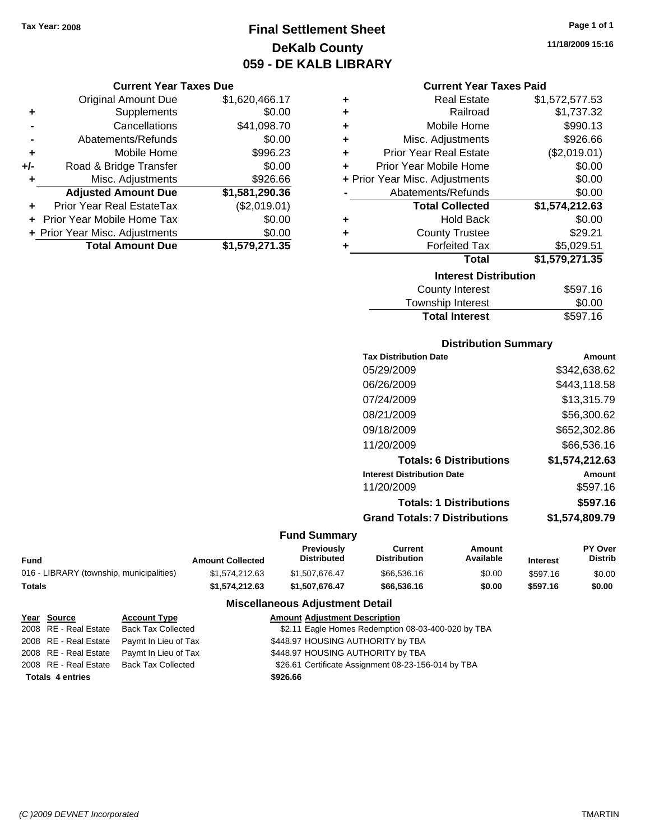**Current Year Taxes Due** Original Amount Due \$1,620,466.17

**Adjusted Amount Due \$1,581,290.36**

**Total Amount Due \$1,579,271.35**

**+** Supplements \$0.00 **-** Cancellations \$41,098.70 **-** Abatements/Refunds \$0.00 **+** Mobile Home \$996.23 **+/-** Road & Bridge Transfer \$0.00 **+** Misc. Adjustments \$926.66

**+** Prior Year Real EstateTax (\$2,019.01) **+** Prior Year Mobile Home Tax \$0.00 **+ Prior Year Misc. Adjustments**  $$0.00$ 

### **Final Settlement Sheet Tax Year: 2008 Page 1 of 1 DeKalb County 059 - DE KALB LIBRARY**

## **11/18/2009 15:16**

### **Current Year Taxes Paid**

| ÷ | <b>Real Estate</b>             | \$1,572,577.53 |
|---|--------------------------------|----------------|
| ٠ | Railroad                       | \$1,737.32     |
| ÷ | Mobile Home                    | \$990.13       |
| ٠ | Misc. Adjustments              | \$926.66       |
| ÷ | <b>Prior Year Real Estate</b>  | (\$2,019.01)   |
| ÷ | Prior Year Mobile Home         | \$0.00         |
|   | + Prior Year Misc. Adjustments | \$0.00         |
|   | Abatements/Refunds             | \$0.00         |
|   | <b>Total Collected</b>         | \$1,574,212.63 |
| ÷ | <b>Hold Back</b>               | \$0.00         |
| ÷ | <b>County Trustee</b>          | \$29.21        |
| ÷ | <b>Forfeited Tax</b>           | \$5,029.51     |
|   | Total                          | \$1,579,271.35 |
|   | <b>Interest Distribution</b>   |                |
|   | <b>County Interest</b>         | \$597.16       |

| <b>Total Interest</b> | \$597.16 |
|-----------------------|----------|
| Township Interest     | \$0.00   |
| County Interest       | \$597.16 |

### **Distribution Summary**

| <b>Tax Distribution Date</b>         | Amount         |
|--------------------------------------|----------------|
| 05/29/2009                           | \$342,638.62   |
| 06/26/2009                           | \$443,118.58   |
| 07/24/2009                           | \$13.315.79    |
| 08/21/2009                           | \$56,300.62    |
| 09/18/2009                           | \$652,302.86   |
| 11/20/2009                           | \$66,536.16    |
| <b>Totals: 6 Distributions</b>       | \$1,574,212.63 |
| <b>Interest Distribution Date</b>    | Amount         |
| 11/20/2009                           | \$597.16       |
| <b>Totals: 1 Distributions</b>       | \$597.16       |
| <b>Grand Totals: 7 Distributions</b> | \$1.574.809.79 |
|                                      |                |

### **Fund Summary**

| Fund                                     | <b>Amount Collected</b> | Previously<br><b>Distributed</b> | Current<br>Distribution | Amount<br>Available | <b>Interest</b> | <b>PY Over</b><br><b>Distrib</b> |
|------------------------------------------|-------------------------|----------------------------------|-------------------------|---------------------|-----------------|----------------------------------|
| 016 - LIBRARY (township, municipalities) | \$1.574.212.63          | \$1,507,676,47                   | \$66,536.16             | \$0.00              | \$597.16        | \$0.00                           |
| Totals                                   | \$1,574,212,63          | \$1,507.676.47                   | \$66,536,16             | \$0.00              | \$597.16        | \$0.00                           |

| Year Source             | <b>Account Type</b>                        | <b>Amount Adjustment Description</b>                |
|-------------------------|--------------------------------------------|-----------------------------------------------------|
|                         | 2008 RE - Real Estate Back Tax Collected   | \$2.11 Eagle Homes Redemption 08-03-400-020 by TBA  |
|                         | 2008 RE - Real Estate Paymt In Lieu of Tax | \$448.97 HOUSING AUTHORITY by TBA                   |
|                         | 2008 RE - Real Estate Paymt In Lieu of Tax | \$448.97 HOUSING AUTHORITY by TBA                   |
|                         | 2008 RE - Real Estate Back Tax Collected   | \$26.61 Certificate Assignment 08-23-156-014 by TBA |
| <b>Totals 4 entries</b> |                                            | \$926.66                                            |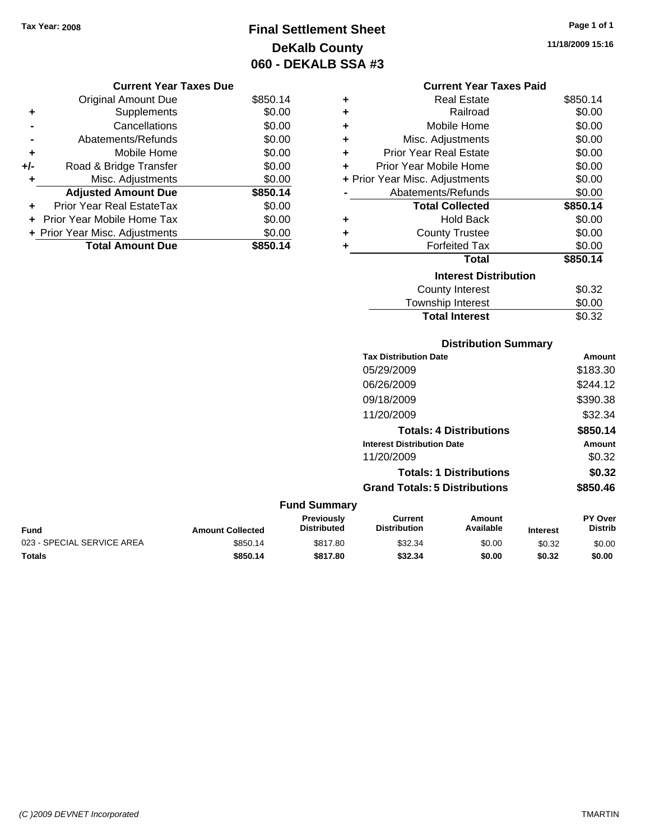### **Final Settlement Sheet Tax Year: 2008 Page 1 of 1 DeKalb County 060 - DEKALB SSA #3**

**11/18/2009 15:16**

### **Current Year Taxes Paid**

| ٠ | <b>Real Estate</b>             | \$850.14 |
|---|--------------------------------|----------|
| ٠ | Railroad                       | \$0.00   |
| ٠ | Mobile Home                    | \$0.00   |
| ٠ | Misc. Adjustments              | \$0.00   |
| ÷ | <b>Prior Year Real Estate</b>  | \$0.00   |
| ÷ | Prior Year Mobile Home         | \$0.00   |
|   | + Prior Year Misc. Adjustments | \$0.00   |
|   | Abatements/Refunds             | \$0.00   |
|   | <b>Total Collected</b>         | \$850.14 |
| ٠ | <b>Hold Back</b>               | \$0.00   |
| ٠ | <b>County Trustee</b>          | \$0.00   |
| ٠ | <b>Forfeited Tax</b>           | \$0.00   |
|   | <b>Total</b>                   | \$850.14 |
|   | <b>Interest Distribution</b>   |          |
|   | <b>County Interest</b>         | \$0.32   |
|   | <b>Township Interest</b>       | \$0.00   |
|   | <b>Total Interest</b>          | \$0.32   |

|                            |                         |                                         | <b>Distribution Summary</b>           |                                |                 |                                  |
|----------------------------|-------------------------|-----------------------------------------|---------------------------------------|--------------------------------|-----------------|----------------------------------|
|                            |                         |                                         | <b>Tax Distribution Date</b>          |                                |                 | Amount                           |
|                            |                         |                                         | 05/29/2009                            |                                |                 | \$183.30                         |
|                            |                         |                                         | 06/26/2009                            |                                |                 | \$244.12                         |
|                            |                         |                                         | 09/18/2009                            |                                |                 | \$390.38                         |
|                            |                         |                                         | 11/20/2009                            |                                |                 | \$32.34                          |
|                            |                         |                                         |                                       | <b>Totals: 4 Distributions</b> |                 | \$850.14                         |
|                            |                         |                                         | <b>Interest Distribution Date</b>     |                                |                 | Amount                           |
|                            |                         |                                         | 11/20/2009                            |                                |                 | \$0.32                           |
|                            |                         |                                         |                                       | <b>Totals: 1 Distributions</b> |                 | \$0.32                           |
|                            |                         |                                         | <b>Grand Totals: 5 Distributions</b>  |                                |                 | \$850.46                         |
|                            |                         | <b>Fund Summary</b>                     |                                       |                                |                 |                                  |
| <b>Fund</b>                | <b>Amount Collected</b> | <b>Previously</b><br><b>Distributed</b> | <b>Current</b><br><b>Distribution</b> | <b>Amount</b><br>Available     | <b>Interest</b> | <b>PY Over</b><br><b>Distrib</b> |
| 023 - SPECIAL SERVICE AREA | \$850.14                | \$817.80                                | \$32.34                               | \$0.00                         | \$0.32          | \$0.00                           |

**Totals \$850.14 \$817.80 \$32.34 \$0.00 \$0.32 \$0.00**

### Original Amount Due \$850.14 **+** Supplements \$0.00 **-** Cancellations \$0.00 **-** Abatements/Refunds \$0.00 **+** Mobile Home \$0.00 **+/-** Road & Bridge Transfer \$0.00 **+** Misc. Adjustments \$0.00

**Current Year Taxes Due**

**Adjusted Amount Due \$850.14**

Total Amount Due \$850.14

**+** Prior Year Real EstateTax \$0.00 **+** Prior Year Mobile Home Tax \$0.00 **+ Prior Year Misc. Adjustments \$0.00**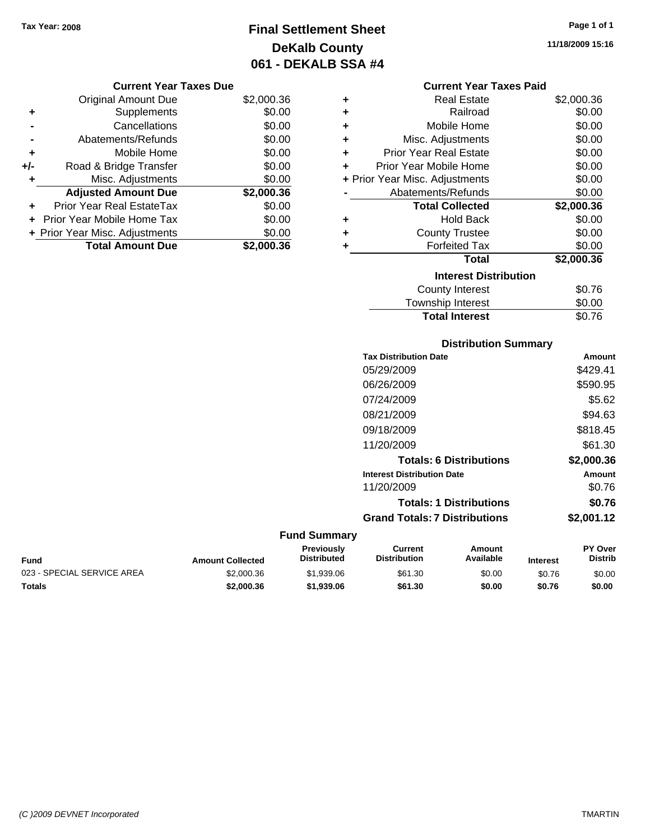**Current Year Taxes Due** Original Amount Due \$2,000.36

**Adjusted Amount Due \$2,000.36**

**Total Amount Due \$2,000.36**

**+** Supplements \$0.00 **-** Cancellations \$0.00 **-** Abatements/Refunds \$0.00 **+** Mobile Home \$0.00 **+/-** Road & Bridge Transfer \$0.00 **+** Misc. Adjustments \$0.00

**+** Prior Year Real EstateTax \$0.00 **+** Prior Year Mobile Home Tax \$0.00 **+ Prior Year Misc. Adjustments**  $$0.00$ 

### **Final Settlement Sheet Tax Year: 2008 Page 1 of 1 DeKalb County 061 - DEKALB SSA #4**

#### **Current Year Taxes Paid**

| ٠ | <b>Real Estate</b>             | \$2,000.36 |
|---|--------------------------------|------------|
| ٠ | Railroad                       | \$0.00     |
| ٠ | Mobile Home                    | \$0.00     |
| ٠ | Misc. Adjustments              | \$0.00     |
| ٠ | <b>Prior Year Real Estate</b>  | \$0.00     |
| ٠ | Prior Year Mobile Home         | \$0.00     |
|   | + Prior Year Misc. Adjustments | \$0.00     |
|   | Abatements/Refunds             | \$0.00     |
|   | <b>Total Collected</b>         | \$2,000.36 |
| ٠ | <b>Hold Back</b>               | \$0.00     |
| ٠ | <b>County Trustee</b>          | \$0.00     |
| ٠ | <b>Forfeited Tax</b>           | \$0.00     |
|   | <b>Total</b>                   | \$2,000.36 |
|   | <b>Interest Distribution</b>   |            |
|   | <b>County Interest</b>         | \$0.76     |
|   | Townshin Interest              | ደ0 00      |

# Township Interest  $$0.00$ Total Interest \$0.76

### **Distribution Summary**

| <b>Tax Distribution Date</b>         | Amount     |
|--------------------------------------|------------|
| 05/29/2009                           | \$429.41   |
| 06/26/2009                           | \$590.95   |
| 07/24/2009                           | \$5.62     |
| 08/21/2009                           | \$94.63    |
| 09/18/2009                           | \$818.45   |
| 11/20/2009                           | \$61.30    |
| <b>Totals: 6 Distributions</b>       | \$2,000.36 |
| <b>Interest Distribution Date</b>    | Amount     |
| 11/20/2009                           | \$0.76     |
| <b>Totals: 1 Distributions</b>       | \$0.76     |
| <b>Grand Totals: 7 Distributions</b> | \$2,001.12 |
|                                      |            |

| Fund                       | <b>Amount Collected</b> | Previously<br><b>Distributed</b> | Current<br><b>Distribution</b> | Amount<br>Available | <b>Interest</b> | <b>PY Over</b><br><b>Distrib</b> |
|----------------------------|-------------------------|----------------------------------|--------------------------------|---------------------|-----------------|----------------------------------|
| 023 - SPECIAL SERVICE AREA | \$2,000.36              | \$1,939.06                       | \$61.30                        | \$0.00              | \$0.76          | \$0.00                           |
| Totals                     | \$2,000.36              | \$1,939.06                       | \$61.30                        | \$0.00              | \$0.76          | \$0.00                           |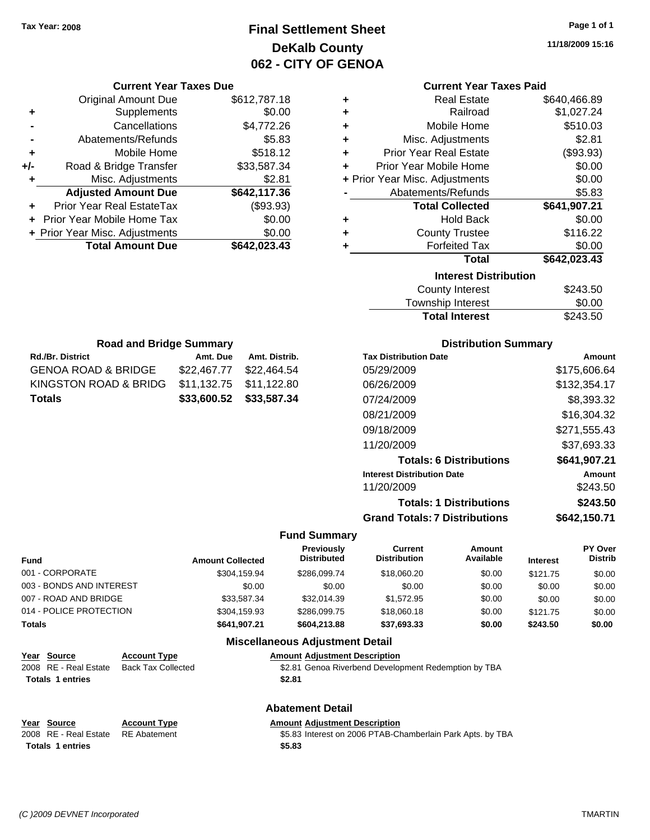### **Final Settlement Sheet Tax Year: 2008 Page 1 of 1 DeKalb County 062 - CITY OF GENOA**

**11/18/2009 15:16**

| <b>Current Year Taxes Paid</b> |  |  |  |
|--------------------------------|--|--|--|
|--------------------------------|--|--|--|

| ٠                            | <b>Real Estate</b>             | \$640,466.89 |  |  |  |
|------------------------------|--------------------------------|--------------|--|--|--|
| ٠                            | Railroad                       | \$1,027.24   |  |  |  |
| ÷                            | Mobile Home                    | \$510.03     |  |  |  |
| ÷                            | Misc. Adjustments              | \$2.81       |  |  |  |
| ÷                            | <b>Prior Year Real Estate</b>  | (\$93.93)    |  |  |  |
| ÷                            | Prior Year Mobile Home         | \$0.00       |  |  |  |
|                              | + Prior Year Misc. Adjustments | \$0.00       |  |  |  |
|                              | Abatements/Refunds             | \$5.83       |  |  |  |
|                              | <b>Total Collected</b>         | \$641,907.21 |  |  |  |
| ٠                            | <b>Hold Back</b>               | \$0.00       |  |  |  |
| ٠                            | <b>County Trustee</b>          | \$116.22     |  |  |  |
| ٠                            | <b>Forfeited Tax</b>           | \$0.00       |  |  |  |
|                              | Total                          | \$642,023.43 |  |  |  |
| <b>Interest Distribution</b> |                                |              |  |  |  |
|                              | <b>County Interest</b>         | \$243.50     |  |  |  |
|                              | <b>Township Interest</b>       | \$0.00       |  |  |  |
|                              | <b>Total Interest</b>          | \$243.50     |  |  |  |

| <b>Road and Bridge Summary</b> |                         |               |  |  |  |  |
|--------------------------------|-------------------------|---------------|--|--|--|--|
| <b>Rd./Br. District</b>        | Amt. Due                | Amt. Distrib. |  |  |  |  |
| <b>GENOA ROAD &amp; BRIDGE</b> | \$22,467.77 \$22,464.54 |               |  |  |  |  |
| KINGSTON ROAD & BRIDG          | \$11,132.75 \$11,122.80 |               |  |  |  |  |
| <b>Totals</b>                  | \$33,600.52 \$33,587.34 |               |  |  |  |  |

**Current Year Taxes Due** Original Amount Due \$612,787.18

**Adjusted Amount Due \$642,117.36**

**Total Amount Due \$642,023.43**

**+** Supplements \$0.00 **-** Cancellations \$4,772.26 **-** Abatements/Refunds \$5.83 **+** Mobile Home \$518.12 **+/-** Road & Bridge Transfer \$33,587.34 **+** Misc. Adjustments \$2.81

**+** Prior Year Real EstateTax (\$93.93) **+** Prior Year Mobile Home Tax \$0.00 **+ Prior Year Misc. Adjustments \$0.00** 

### **Distribution Summary**

| <b>Tax Distribution Date</b>         | Amount       |
|--------------------------------------|--------------|
| 05/29/2009                           | \$175,606.64 |
| 06/26/2009                           | \$132,354.17 |
| 07/24/2009                           | \$8,393.32   |
| 08/21/2009                           | \$16,304.32  |
| 09/18/2009                           | \$271,555.43 |
| 11/20/2009                           | \$37,693.33  |
| <b>Totals: 6 Distributions</b>       | \$641,907.21 |
| <b>Interest Distribution Date</b>    | Amount       |
| 11/20/2009                           | \$243.50     |
| <b>Totals: 1 Distributions</b>       | \$243.50     |
| <b>Grand Totals: 7 Distributions</b> | \$642,150.71 |

#### **Fund Summary**

| <b>Fund</b>              | <b>Amount Collected</b> | Previously<br><b>Distributed</b> | Current<br><b>Distribution</b> | Amount<br>Available | <b>Interest</b> | PY Over<br><b>Distrib</b> |
|--------------------------|-------------------------|----------------------------------|--------------------------------|---------------------|-----------------|---------------------------|
| 001 - CORPORATE          | \$304,159.94            | \$286,099.74                     | \$18,060.20                    | \$0.00              | \$121.75        | \$0.00                    |
| 003 - BONDS AND INTEREST | \$0.00                  | \$0.00                           | \$0.00                         | \$0.00              | \$0.00          | \$0.00                    |
| 007 - ROAD AND BRIDGE    | \$33.587.34             | \$32,014.39                      | \$1,572.95                     | \$0.00              | \$0.00          | \$0.00                    |
| 014 - POLICE PROTECTION  | \$304.159.93            | \$286,099.75                     | \$18,060.18                    | \$0.00              | \$121.75        | \$0.00                    |
| Totals                   | \$641,907.21            | \$604.213.88                     | \$37,693.33                    | \$0.00              | \$243.50        | \$0.00                    |

| Year Source             | <b>Account Type</b>       | <b>Amount Adjustment Description</b>                 |
|-------------------------|---------------------------|------------------------------------------------------|
| 2008 RE - Real Estate   | <b>Back Tax Collected</b> | \$2.81 Genoa Riverbend Development Redemption by TBA |
| <b>Totals 1 entries</b> |                           | \$2.81                                               |
|                         |                           | <b>Abatement Detail</b>                              |

| Year Source             | <b>Account Type</b> | <b>Amount Adiustment Description</b>                       |
|-------------------------|---------------------|------------------------------------------------------------|
| 2008 RE - Real Estate   | RE Abatement        | \$5.83 Interest on 2006 PTAB-Chamberlain Park Apts. by TBA |
| <b>Totals 1 entries</b> |                     | \$5.83                                                     |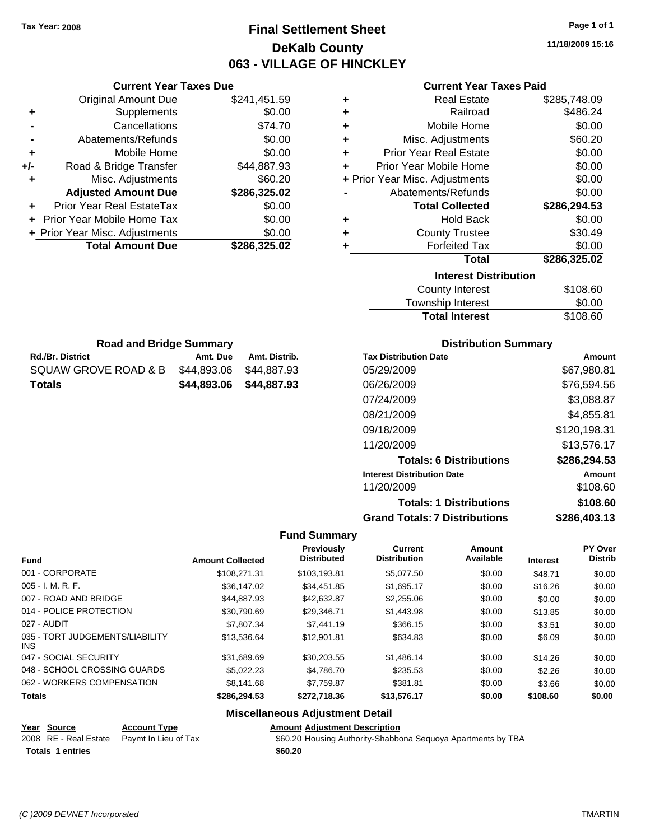### **Final Settlement Sheet Tax Year: 2008 Page 1 of 1 DeKalb County 063 - VILLAGE OF HINCKLEY**

**11/18/2009 15:16**

### **Current Year Taxes Paid**

| ٠ | <b>Real Estate</b>             | \$285,748.09 |
|---|--------------------------------|--------------|
| ٠ | Railroad                       | \$486.24     |
| ÷ | Mobile Home                    | \$0.00       |
| ÷ | Misc. Adjustments              | \$60.20      |
| ÷ | <b>Prior Year Real Estate</b>  | \$0.00       |
| ÷ | Prior Year Mobile Home         | \$0.00       |
|   | + Prior Year Misc. Adjustments | \$0.00       |
|   | Abatements/Refunds             | \$0.00       |
|   | <b>Total Collected</b>         | \$286,294.53 |
| ٠ | <b>Hold Back</b>               | \$0.00       |
| ٠ | <b>County Trustee</b>          | \$30.49      |
|   | <b>Forfeited Tax</b>           | \$0.00       |
|   | <b>Total</b>                   | \$286,325.02 |
|   | <b>Interest Distribution</b>   |              |
|   | <b>County Interest</b>         | \$108.60     |
|   |                                |              |

| County Interest       | \$108.60 |
|-----------------------|----------|
| Township Interest     | \$0.00   |
| <b>Total Interest</b> | \$108.60 |

| <b>Road and Bridge Summary</b> |             |               |  |  |
|--------------------------------|-------------|---------------|--|--|
| <b>Rd./Br. District</b>        | Amt. Due    | Amt. Distrib. |  |  |
| SQUAW GROVE ROAD & B           | \$44.893.06 | \$44,887.93   |  |  |
| Totals                         | \$44.893.06 | \$44.887.93   |  |  |

**Current Year Taxes Due** Original Amount Due \$241,451.59

**Adjusted Amount Due \$286,325.02**

**+** Supplements \$0.00 **-** Cancellations \$74.70 **-** Abatements/Refunds \$0.00 **+** Mobile Home \$0.00 **+/-** Road & Bridge Transfer \$44,887.93 **+** Misc. Adjustments \$60.20

**+** Prior Year Real EstateTax \$0.00 **+** Prior Year Mobile Home Tax \$0.00 **+ Prior Year Misc. Adjustments \$0.00<br>Total Amount Due \$286,325.02** 

**Total Amount Due** 

### **Distribution Summary**

| <b>Tax Distribution Date</b>         | Amount       |
|--------------------------------------|--------------|
| 05/29/2009                           | \$67,980.81  |
| 06/26/2009                           | \$76,594.56  |
| 07/24/2009                           | \$3,088.87   |
| 08/21/2009                           | \$4,855.81   |
| 09/18/2009                           | \$120,198.31 |
| 11/20/2009                           | \$13,576.17  |
| <b>Totals: 6 Distributions</b>       | \$286,294.53 |
| <b>Interest Distribution Date</b>    | Amount       |
| 11/20/2009                           | \$108.60     |
| <b>Totals: 1 Distributions</b>       | \$108.60     |
| <b>Grand Totals: 7 Distributions</b> | \$286,403.13 |

#### **Fund Summary**

| <b>Fund</b>                             | <b>Amount Collected</b> | <b>Previously</b><br><b>Distributed</b> | <b>Current</b><br><b>Distribution</b> | Amount<br>Available | <b>Interest</b> | PY Over<br><b>Distrib</b> |
|-----------------------------------------|-------------------------|-----------------------------------------|---------------------------------------|---------------------|-----------------|---------------------------|
| 001 - CORPORATE                         | \$108,271.31            | \$103,193.81                            | \$5,077.50                            | \$0.00              | \$48.71         | \$0.00                    |
| 005 - I. M. R. F.                       | \$36,147.02             | \$34.451.85                             | \$1,695.17                            | \$0.00              | \$16.26         | \$0.00                    |
| 007 - ROAD AND BRIDGE                   | \$44,887.93             | \$42,632.87                             | \$2,255.06                            | \$0.00              | \$0.00          | \$0.00                    |
| 014 - POLICE PROTECTION                 | \$30.790.69             | \$29,346.71                             | \$1,443.98                            | \$0.00              | \$13.85         | \$0.00                    |
| 027 - AUDIT                             | \$7,807.34              | \$7,441.19                              | \$366.15                              | \$0.00              | \$3.51          | \$0.00                    |
| 035 - TORT JUDGEMENTS/LIABILITY<br>INS. | \$13,536.64             | \$12,901.81                             | \$634.83                              | \$0.00              | \$6.09          | \$0.00                    |
| 047 - SOCIAL SECURITY                   | \$31.689.69             | \$30.203.55                             | \$1,486.14                            | \$0.00              | \$14.26         | \$0.00                    |
| 048 - SCHOOL CROSSING GUARDS            | \$5.022.23              | \$4,786,70                              | \$235.53                              | \$0.00              | \$2.26          | \$0.00                    |
| 062 - WORKERS COMPENSATION              | \$8,141.68              | \$7.759.87                              | \$381.81                              | \$0.00              | \$3.66          | \$0.00                    |
| <b>Totals</b>                           | \$286,294.53            | \$272,718.36                            | \$13,576.17                           | \$0.00              | \$108.60        | \$0.00                    |

### **Miscellaneous Adjustment Detail**

#### **Year Source Account Type AMOUNTYPE AMOUNT Adjustment Description**

| 2008 RE - Real Estate Paymt In Lieu of Tax | \$60.20 Housing Authority-Shabbona Sequoya Apartments by TBA |
|--------------------------------------------|--------------------------------------------------------------|
| <b>Totals 1 entries</b>                    | \$60.20                                                      |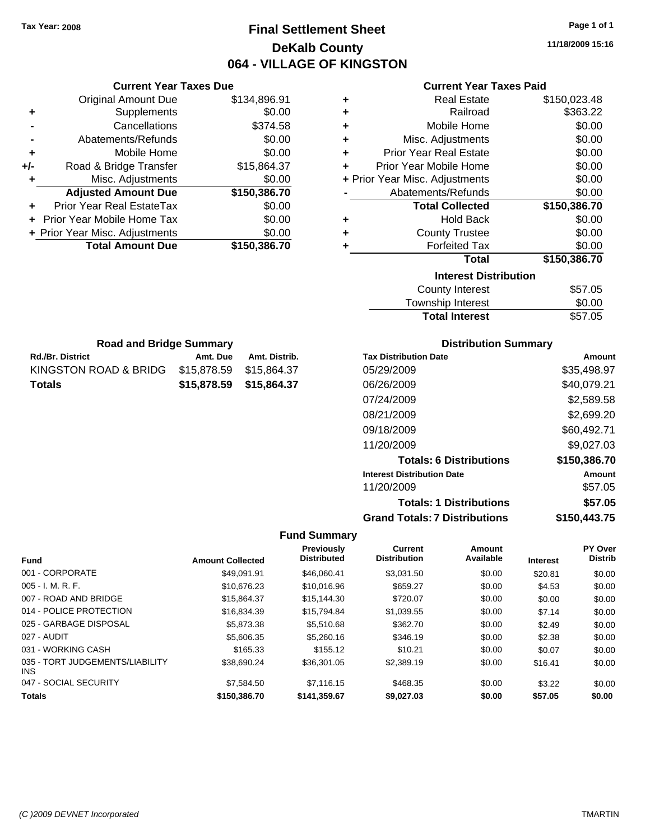**Current Year Taxes Due** Original Amount Due \$134,896.91

**Adjusted Amount Due \$150,386.70**

**Total Amount Due \$150,386.70**

**+** Supplements \$0.00 **-** Cancellations \$374.58 **-** Abatements/Refunds \$0.00 **+** Mobile Home \$0.00 **+/-** Road & Bridge Transfer \$15,864.37 **+** Misc. Adjustments \$0.00

**+** Prior Year Real EstateTax \$0.00 **+** Prior Year Mobile Home Tax \$0.00 **+ Prior Year Misc. Adjustments**  $$0.00$ 

Rd./Br. District **Amt. Due** Amt. Distrib. **Road and Bridge Summary**

KINGSTON ROAD & BRIDG \$15,878.59 \$15,864.37 **Totals \$15,878.59 \$15,864.37**

### **Final Settlement Sheet Tax Year: 2008 Page 1 of 1 DeKalb County 064 - VILLAGE OF KINGSTON**

**11/18/2009 15:16**

### **Current Year Taxes Paid**

| ٠ | <b>Real Estate</b>             | \$150,023.48 |
|---|--------------------------------|--------------|
|   | Railroad                       | \$363.22     |
| ٠ |                                |              |
| ÷ | Mobile Home                    | \$0.00       |
| ÷ | Misc. Adjustments              | \$0.00       |
| ÷ | <b>Prior Year Real Estate</b>  | \$0.00       |
| ÷ | Prior Year Mobile Home         | \$0.00       |
|   | + Prior Year Misc. Adjustments | \$0.00       |
|   | Abatements/Refunds             | \$0.00       |
|   | <b>Total Collected</b>         | \$150,386.70 |
| ٠ | <b>Hold Back</b>               | \$0.00       |
| ٠ | <b>County Trustee</b>          | \$0.00       |
| ٠ | <b>Forfeited Tax</b>           | \$0.00       |
|   | Total                          | \$150,386.70 |
|   | <b>Interest Distribution</b>   |              |
|   | <b>County Interest</b>         | \$57.05      |
|   |                                |              |

| County Interest       | \$57.05 |
|-----------------------|---------|
| Township Interest     | \$0.00  |
| <b>Total Interest</b> | \$57.05 |

| <b>Distribution Summary</b> |  |
|-----------------------------|--|
|-----------------------------|--|

| <b>Tax Distribution Date</b>         | Amount       |
|--------------------------------------|--------------|
| 05/29/2009                           | \$35,498.97  |
| 06/26/2009                           | \$40,079.21  |
| 07/24/2009                           | \$2,589.58   |
| 08/21/2009                           | \$2,699.20   |
| 09/18/2009                           | \$60,492.71  |
| 11/20/2009                           | \$9,027.03   |
| <b>Totals: 6 Distributions</b>       | \$150,386.70 |
| <b>Interest Distribution Date</b>    | Amount       |
| 11/20/2009                           | \$57.05      |
| <b>Totals: 1 Distributions</b>       | \$57.05      |
| <b>Grand Totals: 7 Distributions</b> | \$150,443.75 |

|                                         |                         | <b>Previously</b><br><b>Distributed</b> | <b>Current</b><br><b>Distribution</b> | Amount<br>Available |                 | PY Over<br><b>Distrib</b> |
|-----------------------------------------|-------------------------|-----------------------------------------|---------------------------------------|---------------------|-----------------|---------------------------|
| <b>Fund</b>                             | <b>Amount Collected</b> |                                         |                                       |                     | <b>Interest</b> |                           |
| 001 - CORPORATE                         | \$49.091.91             | \$46,060.41                             | \$3.031.50                            | \$0.00              | \$20.81         | \$0.00                    |
| $005 - I. M. R. F.$                     | \$10,676.23             | \$10,016.96                             | \$659.27                              | \$0.00              | \$4.53          | \$0.00                    |
| 007 - ROAD AND BRIDGE                   | \$15.864.37             | \$15,144.30                             | \$720.07                              | \$0.00              | \$0.00          | \$0.00                    |
| 014 - POLICE PROTECTION                 | \$16.834.39             | \$15.794.84                             | \$1,039.55                            | \$0.00              | \$7.14          | \$0.00                    |
| 025 - GARBAGE DISPOSAL                  | \$5,873.38              | \$5,510.68                              | \$362.70                              | \$0.00              | \$2.49          | \$0.00                    |
| 027 - AUDIT                             | \$5,606.35              | \$5,260.16                              | \$346.19                              | \$0.00              | \$2.38          | \$0.00                    |
| 031 - WORKING CASH                      | \$165.33                | \$155.12                                | \$10.21                               | \$0.00              | \$0.07          | \$0.00                    |
| 035 - TORT JUDGEMENTS/LIABILITY<br>INS. | \$38.690.24             | \$36.301.05                             | \$2.389.19                            | \$0.00              | \$16.41         | \$0.00                    |
| 047 - SOCIAL SECURITY                   | \$7,584.50              | \$7,116.15                              | \$468.35                              | \$0.00              | \$3.22          | \$0.00                    |
| <b>Totals</b>                           | \$150,386.70            | \$141,359.67                            | \$9,027.03                            | \$0.00              | \$57.05         | \$0.00                    |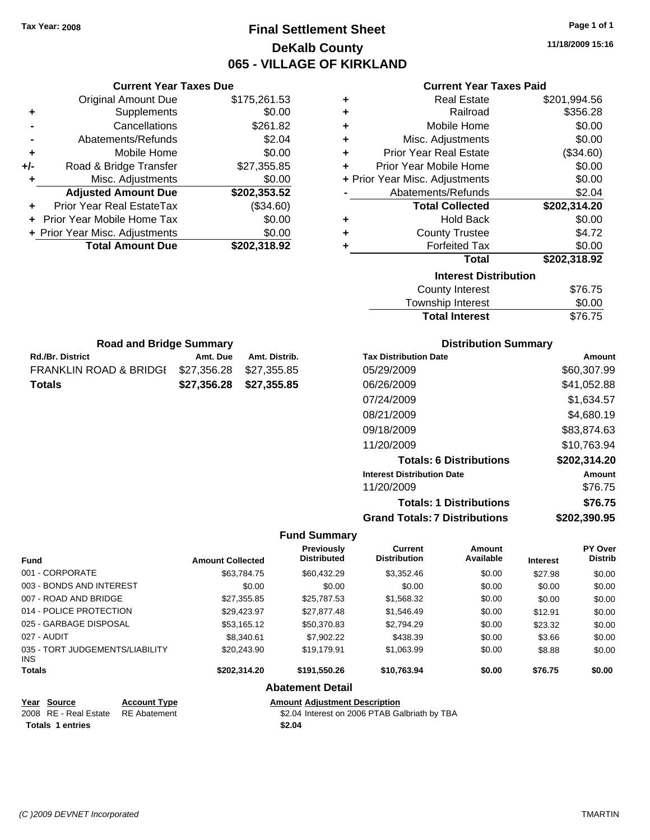**Current Year Taxes Due** Original Amount Due \$175,261.53

**Adjusted Amount Due \$202,353.52**

**Total Amount Due \$202,318.92**

**+** Supplements \$0.00 **-** Cancellations \$261.82 **-** Abatements/Refunds \$2.04 **+** Mobile Home \$0.00 **+/-** Road & Bridge Transfer \$27,355.85 **+** Misc. Adjustments \$0.00

**+** Prior Year Real EstateTax (\$34.60) **+** Prior Year Mobile Home Tax \$0.00 **+ Prior Year Misc. Adjustments**  $$0.00$ 

Rd./Br. District **Amt. Due** Amt. Distrib. **Road and Bridge Summary**

FRANKLIN ROAD & BRIDGE \$27,356.28 \$27,355.85 **Totals \$27,356.28 \$27,355.85**

### **Final Settlement Sheet Tax Year: 2008 Page 1 of 1 DeKalb County 065 - VILLAGE OF KIRKLAND**

**11/18/2009 15:16**

### **Current Year Taxes Paid**

| ٠ | <b>Real Estate</b>             | \$201,994.56 |
|---|--------------------------------|--------------|
| ٠ | Railroad                       | \$356.28     |
| ٠ | Mobile Home                    | \$0.00       |
| ÷ | Misc. Adjustments              | \$0.00       |
| ٠ | <b>Prior Year Real Estate</b>  | (\$34.60)    |
| ÷ | Prior Year Mobile Home         | \$0.00       |
|   | + Prior Year Misc. Adjustments | \$0.00       |
|   | Abatements/Refunds             | \$2.04       |
|   | <b>Total Collected</b>         | \$202,314.20 |
| ÷ | <b>Hold Back</b>               | \$0.00       |
| ٠ | <b>County Trustee</b>          | \$4.72       |
| ٠ | <b>Forfeited Tax</b>           | \$0.00       |
|   | <b>Total</b>                   | \$202,318.92 |
|   | <b>Interest Distribution</b>   |              |
|   | <b>County Interest</b>         | \$76.75      |
|   | Township Interest              | \$0.00       |

| County Interest       | \$76.75 |
|-----------------------|---------|
| Township Interest     | \$0.00  |
| <b>Total Interest</b> | \$76.75 |

| <b>Distribution Summary</b> |  |
|-----------------------------|--|
|-----------------------------|--|

| <b>Tax Distribution Date</b>         | Amount       |
|--------------------------------------|--------------|
| 05/29/2009                           | \$60,307.99  |
| 06/26/2009                           | \$41,052.88  |
| 07/24/2009                           | \$1,634.57   |
| 08/21/2009                           | \$4,680.19   |
| 09/18/2009                           | \$83,874.63  |
| 11/20/2009                           | \$10,763.94  |
| <b>Totals: 6 Distributions</b>       | \$202,314.20 |
| <b>Interest Distribution Date</b>    | Amount       |
| 11/20/2009                           | \$76.75      |
| <b>Totals: 1 Distributions</b>       | \$76.75      |
| <b>Grand Totals: 7 Distributions</b> | \$202,390.95 |

#### **Fund Summary**

| <b>Fund</b>                             | <b>Amount Collected</b> | <b>Previously</b><br><b>Distributed</b> | <b>Current</b><br><b>Distribution</b> | Amount<br>Available | <b>Interest</b> | <b>PY Over</b><br><b>Distrib</b> |
|-----------------------------------------|-------------------------|-----------------------------------------|---------------------------------------|---------------------|-----------------|----------------------------------|
| 001 - CORPORATE                         | \$63.784.75             | \$60.432.29                             | \$3,352.46                            | \$0.00              | \$27.98         | \$0.00                           |
| 003 - BONDS AND INTEREST                | \$0.00                  | \$0.00                                  | \$0.00                                | \$0.00              | \$0.00          | \$0.00                           |
| 007 - ROAD AND BRIDGE                   | \$27.355.85             | \$25,787.53                             | \$1,568.32                            | \$0.00              | \$0.00          | \$0.00                           |
| 014 - POLICE PROTECTION                 | \$29.423.97             | \$27.877.48                             | \$1.546.49                            | \$0.00              | \$12.91         | \$0.00                           |
| 025 - GARBAGE DISPOSAL                  | \$53,165.12             | \$50,370.83                             | \$2,794.29                            | \$0.00              | \$23.32         | \$0.00                           |
| 027 - AUDIT                             | \$8,340.61              | \$7,902.22                              | \$438.39                              | \$0.00              | \$3.66          | \$0.00                           |
| 035 - TORT JUDGEMENTS/LIABILITY<br>INS. | \$20,243.90             | \$19,179.91                             | \$1,063.99                            | \$0.00              | \$8.88          | \$0.00                           |
| <b>Totals</b>                           | \$202.314.20            | \$191.550.26                            | \$10,763.94                           | \$0.00              | \$76.75         | \$0.00                           |
|                                         |                         | <b>Abatement Detail</b>                 |                                       |                     |                 |                                  |

**Year Source Account Type Amount Adjustment Description**

| ו ספו | ovu ve                             | AGGOUIL IVDE | Allivulit |
|-------|------------------------------------|--------------|-----------|
|       | 2008 RE - Real Estate RE Abatement |              | \$2.04    |
|       | <b>Totals 1 entries</b>            |              | \$2.04    |

ement **2006 REAL ESTATE SETAB** Galbriath by TBA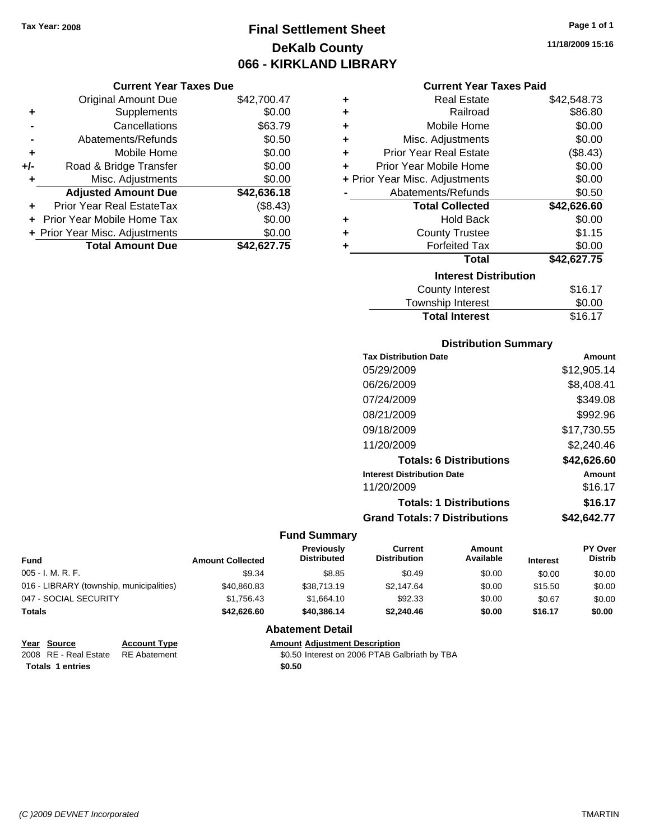### **Final Settlement Sheet Tax Year: 2008 Page 1 of 1 DeKalb County 066 - KIRKLAND LIBRARY**

#### **Current Year Taxes Due**

|     | <b>Original Amount Due</b>     | \$42,700.47 |
|-----|--------------------------------|-------------|
| ٠   | Supplements                    | \$0.00      |
|     | Cancellations                  | \$63.79     |
|     | Abatements/Refunds             | \$0.50      |
| ٠   | Mobile Home                    | \$0.00      |
| +/- | Road & Bridge Transfer         | \$0.00      |
| ٠   | Misc. Adjustments              | \$0.00      |
|     | <b>Adjusted Amount Due</b>     | \$42,636.18 |
|     | Prior Year Real EstateTax      | (\$8.43)    |
|     | Prior Year Mobile Home Tax     | \$0.00      |
|     | + Prior Year Misc. Adjustments | \$0.00      |
|     | <b>Total Amount Due</b>        | \$42,627.75 |

#### **Current Year Taxes Paid**

| ٠ | <b>Real Estate</b>             | \$42,548.73 |  |  |  |  |  |
|---|--------------------------------|-------------|--|--|--|--|--|
| ÷ | Railroad                       | \$86.80     |  |  |  |  |  |
| ٠ | Mobile Home                    | \$0.00      |  |  |  |  |  |
| ٠ | Misc. Adjustments              | \$0.00      |  |  |  |  |  |
| ٠ | <b>Prior Year Real Estate</b>  | (\$8.43)    |  |  |  |  |  |
| ٠ | Prior Year Mobile Home         | \$0.00      |  |  |  |  |  |
|   | + Prior Year Misc. Adjustments | \$0.00      |  |  |  |  |  |
|   | Abatements/Refunds             | \$0.50      |  |  |  |  |  |
|   | <b>Total Collected</b>         | \$42,626.60 |  |  |  |  |  |
| ٠ | <b>Hold Back</b>               | \$0.00      |  |  |  |  |  |
| ٠ | <b>County Trustee</b>          | \$1.15      |  |  |  |  |  |
| ٠ | <b>Forfeited Tax</b>           | \$0.00      |  |  |  |  |  |
|   | Total                          | \$42,627.75 |  |  |  |  |  |
|   | <b>Interest Distribution</b>   |             |  |  |  |  |  |
|   | <b>County Interest</b>         | \$16.17     |  |  |  |  |  |
|   | <b>Township Interest</b>       | \$0.00      |  |  |  |  |  |
|   | <b>Total Interest</b>          | \$16.17     |  |  |  |  |  |

### **Distribution Summary**

| Amount      |
|-------------|
| \$12,905.14 |
| \$8,408.41  |
| \$349.08    |
| \$992.96    |
| \$17,730.55 |
| \$2,240.46  |
| \$42,626.60 |
| Amount      |
| \$16.17     |
| \$16.17     |
| \$42,642.77 |
|             |

#### **Fund Summary**

| Fund                                     | <b>Amount Collected</b> | <b>Previously</b><br><b>Distributed</b> | Current<br><b>Distribution</b> | Amount<br>Available | <b>Interest</b> | <b>PY Over</b><br><b>Distrib</b> |
|------------------------------------------|-------------------------|-----------------------------------------|--------------------------------|---------------------|-----------------|----------------------------------|
| $005 - I. M. R. F.$                      | \$9.34                  | \$8.85                                  | \$0.49                         | \$0.00              | \$0.00          | \$0.00                           |
| 016 - LIBRARY (township, municipalities) | \$40,860.83             | \$38,713.19                             | \$2,147.64                     | \$0.00              | \$15.50         | \$0.00                           |
| 047 - SOCIAL SECURITY                    | \$1.756.43              | \$1.664.10                              | \$92.33                        | \$0.00              | \$0.67          | \$0.00                           |
| <b>Totals</b>                            | \$42.626.60             | \$40,386,14                             | \$2.240.46                     | \$0.00              | \$16.17         | \$0.00                           |

### **Abatement Detail**

#### **Year Source Account Type Amount Adjustment Description** \$0.50 Interest on 2006 PTAB Galbriath by TBA

**Totals 1 entries** \$0.50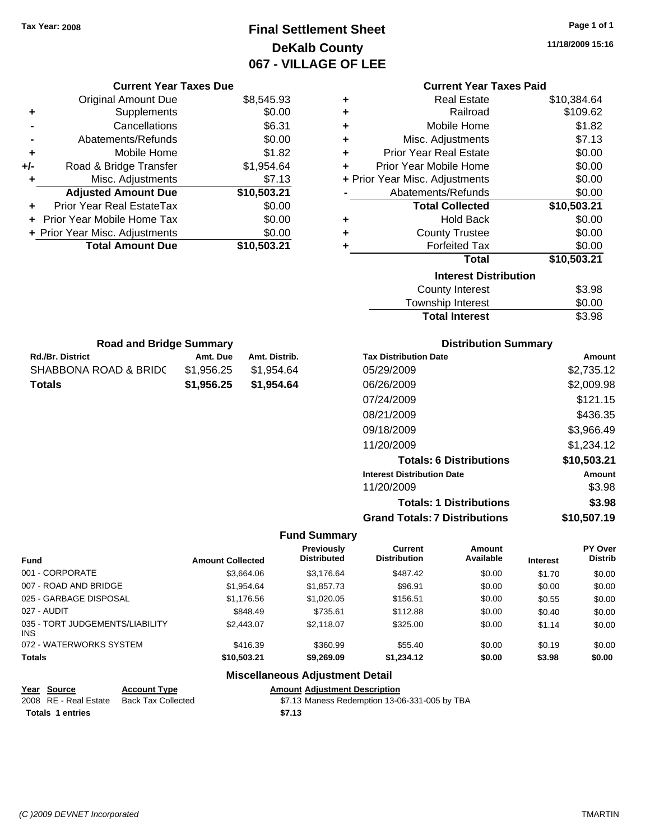### **Final Settlement Sheet Tax Year: 2008 Page 1 of 1 DeKalb County 067 - VILLAGE OF LEE**

**11/18/2009 15:16**

**Totals: 1 Distributions \$3.98**

| <b>Current Year Taxes Due</b>                 |                         |               |                                  |                                       | <b>Current Year Taxes Paid</b>       |          |                           |
|-----------------------------------------------|-------------------------|---------------|----------------------------------|---------------------------------------|--------------------------------------|----------|---------------------------|
| <b>Original Amount Due</b>                    |                         | \$8,545.93    | ٠                                |                                       | <b>Real Estate</b>                   |          | \$10,384.64               |
| Supplements                                   |                         | \$0.00        | ٠                                |                                       | Railroad                             |          | \$109.62                  |
| Cancellations                                 |                         | \$6.31        | ٠                                |                                       | Mobile Home                          |          | \$1.82                    |
| Abatements/Refunds                            |                         | \$0.00        | ٠                                |                                       | Misc. Adjustments                    |          | \$7.13                    |
| Mobile Home                                   |                         | \$1.82        | ٠                                |                                       | <b>Prior Year Real Estate</b>        |          | \$0.00                    |
| Road & Bridge Transfer<br>+/-                 |                         | \$1,954.64    | ٠                                |                                       | Prior Year Mobile Home               |          | \$0.00                    |
| Misc. Adjustments                             |                         | \$7.13        |                                  | + Prior Year Misc. Adjustments        |                                      |          | \$0.00                    |
| <b>Adjusted Amount Due</b>                    |                         | \$10,503.21   |                                  |                                       | Abatements/Refunds                   |          | \$0.00                    |
| Prior Year Real EstateTax                     |                         | \$0.00        |                                  |                                       | <b>Total Collected</b>               |          | \$10,503.21               |
| Prior Year Mobile Home Tax                    |                         | \$0.00        | ٠                                |                                       | <b>Hold Back</b>                     |          | \$0.00                    |
| + Prior Year Misc. Adjustments                |                         | \$0.00        | ٠                                |                                       | <b>County Trustee</b>                |          | \$0.00                    |
| <b>Total Amount Due</b>                       |                         | \$10,503.21   |                                  |                                       | <b>Forfeited Tax</b>                 |          | \$0.00                    |
|                                               |                         |               |                                  |                                       | <b>Total</b>                         |          | \$10,503.21               |
|                                               |                         |               |                                  |                                       | <b>Interest Distribution</b>         |          |                           |
|                                               |                         |               |                                  |                                       | <b>County Interest</b>               |          | \$3.98                    |
|                                               |                         |               |                                  |                                       | Township Interest                    |          | \$0.00                    |
|                                               |                         |               |                                  |                                       | <b>Total Interest</b>                |          | \$3.98                    |
| <b>Road and Bridge Summary</b>                |                         |               |                                  |                                       | <b>Distribution Summary</b>          |          |                           |
| <b>Rd./Br. District</b>                       | Amt. Due                | Amt. Distrib. |                                  | <b>Tax Distribution Date</b>          |                                      |          | Amount                    |
| SHABBONA ROAD & BRIDC                         | \$1,956.25              | \$1,954.64    |                                  | 05/29/2009                            |                                      |          | \$2,735.12                |
| <b>Totals</b>                                 | \$1,956.25              | \$1,954.64    |                                  | 06/26/2009                            |                                      |          | \$2,009.98                |
|                                               |                         |               |                                  | 07/24/2009                            |                                      |          | \$121.15                  |
|                                               |                         |               |                                  | 08/21/2009                            |                                      |          | \$436.35                  |
|                                               |                         |               |                                  | 09/18/2009                            |                                      |          | \$3,966.49                |
|                                               |                         |               |                                  | 11/20/2009                            |                                      |          |                           |
|                                               |                         |               |                                  |                                       |                                      |          | \$1,234.12                |
|                                               |                         |               |                                  |                                       | <b>Totals: 6 Distributions</b>       |          | \$10,503.21               |
|                                               |                         |               |                                  | <b>Interest Distribution Date</b>     |                                      |          | Amount                    |
|                                               |                         |               |                                  | 11/20/2009                            |                                      |          | \$3.98                    |
|                                               |                         |               |                                  |                                       | <b>Totals: 1 Distributions</b>       |          | \$3.98                    |
|                                               |                         |               |                                  |                                       | <b>Grand Totals: 7 Distributions</b> |          | \$10,507.19               |
|                                               |                         |               | <b>Fund Summary</b>              |                                       |                                      |          |                           |
| Fund                                          | <b>Amount Collected</b> |               | Previously<br><b>Distributed</b> | <b>Current</b><br><b>Distribution</b> | Amount<br>Available                  | Interest | PY Over<br><b>Distrib</b> |
| 001 - CORPORATE                               |                         | \$3,664.06    | \$3,176.64                       | \$487.42                              | \$0.00                               | \$1.70   | \$0.00                    |
| 007 - ROAD AND BRIDGE                         |                         | \$1,954.64    | \$1,857.73                       | \$96.91                               | \$0.00                               | \$0.00   | \$0.00                    |
| 025 - GARBAGE DISPOSAL                        |                         | \$1,176.56    | \$1,020.05                       | \$156.51                              | \$0.00                               | \$0.55   | \$0.00                    |
| 027 - AUDIT                                   |                         | \$848.49      | \$735.61                         | \$112.88                              | \$0.00                               | \$0.40   | \$0.00                    |
| 035 - TORT JUDGEMENTS/LIABILITY<br><b>INS</b> |                         | \$2,443.07    | \$2,118.07                       | \$325.00                              | \$0.00                               | \$1.14   | \$0.00                    |
| 072 - WATERWORKS SYSTEM                       |                         | \$416.39      | \$360.99                         | \$55.40                               | \$0.00                               | \$0.19   | \$0.00                    |
| <b>Totals</b>                                 |                         | \$10,503.21   | \$9,269.09                       | \$1,234.12                            | \$0.00                               | \$3.98   | \$0.00                    |

### **Miscellaneous Adjustment Detail**

### **Year Source Account Type Amount Adjustment Description** 2008 RE - Real Estate Back Tax Collected \$7.13 Maness Redemption 13-06-331-005 by TBA **Totals \$7.13 1 entries**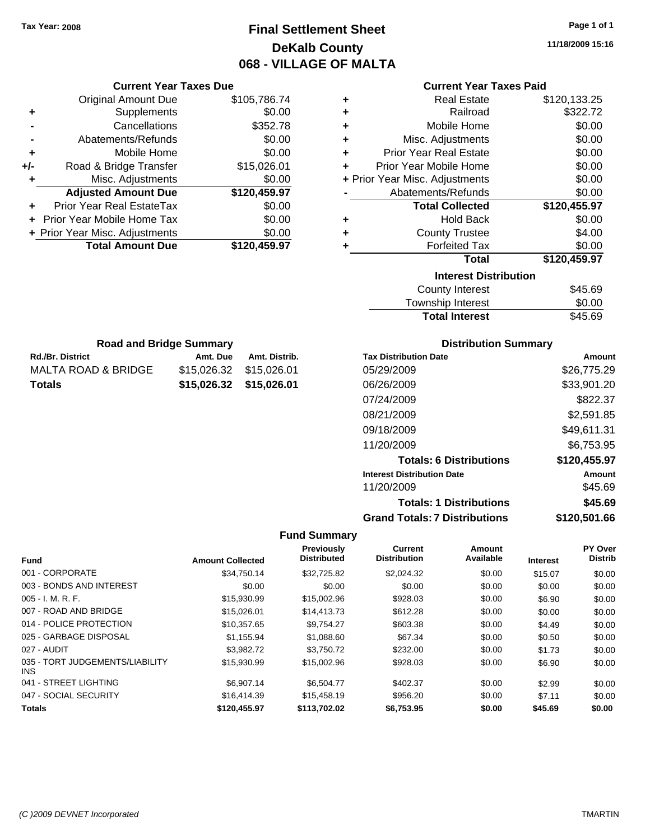### **Final Settlement Sheet Tax Year: 2008 Page 1 of 1 DeKalb County 068 - VILLAGE OF MALTA**

**11/18/2009 15:16**

| Current Year Taxes Due |  |  |
|------------------------|--|--|
|                        |  |  |

|     | <b>Original Amount Due</b>     | \$105,786.74 |
|-----|--------------------------------|--------------|
|     | Supplements                    | \$0.00       |
|     | Cancellations                  | \$352.78     |
|     | Abatements/Refunds             | \$0.00       |
| ٠   | Mobile Home                    | \$0.00       |
| +/- | Road & Bridge Transfer         | \$15,026.01  |
|     | Misc. Adjustments              | \$0.00       |
|     | <b>Adjusted Amount Due</b>     | \$120,459.97 |
|     | Prior Year Real EstateTax      | \$0.00       |
|     | Prior Year Mobile Home Tax     | \$0.00       |
|     | + Prior Year Misc. Adjustments | \$0.00       |
|     | <b>Total Amount Due</b>        | \$120,459.97 |
|     |                                |              |

**Rd./Br. District Co. 2. Amt. Due Amt. Distrib. Road and Bridge Summary**

MALTA ROAD & BRIDGE \$15,026.32 \$15,026.01 **Totals \$15,026.32 \$15,026.01**

### **Current Year Taxes Paid**

| ٠ | <b>Real Estate</b>             | \$120,133.25 |
|---|--------------------------------|--------------|
| ÷ | Railroad                       | \$322.72     |
| ÷ | Mobile Home                    | \$0.00       |
| ٠ | Misc. Adjustments              | \$0.00       |
| ٠ | <b>Prior Year Real Estate</b>  | \$0.00       |
| ٠ | Prior Year Mobile Home         | \$0.00       |
|   | + Prior Year Misc. Adjustments | \$0.00       |
|   | Abatements/Refunds             | \$0.00       |
|   | <b>Total Collected</b>         | \$120,455.97 |
| ٠ | <b>Hold Back</b>               | \$0.00       |
| ٠ | <b>County Trustee</b>          | \$4.00       |
|   |                                |              |
| ٠ | <b>Forfeited Tax</b>           | \$0.00       |
|   | <b>Total</b>                   | \$120,459.97 |
|   | <b>Interest Distribution</b>   |              |

| <b>Total Interest</b> | \$45.69 |
|-----------------------|---------|
| Township Interest     | \$0.00  |
| County Interest       | \$45.69 |

### **Distribution Summary**

| <b>Tax Distribution Date</b>         | Amount       |
|--------------------------------------|--------------|
| 05/29/2009                           | \$26,775.29  |
| 06/26/2009                           | \$33,901.20  |
| 07/24/2009                           | \$822.37     |
| 08/21/2009                           | \$2,591.85   |
| 09/18/2009                           | \$49,611.31  |
| 11/20/2009                           | \$6,753.95   |
| <b>Totals: 6 Distributions</b>       | \$120,455.97 |
| <b>Interest Distribution Date</b>    | Amount       |
| 11/20/2009                           | \$45.69      |
| <b>Totals: 1 Distributions</b>       | \$45.69      |
| <b>Grand Totals: 7 Distributions</b> | \$120,501.66 |

|                                         |                         | Previously         | <b>Current</b>      | Amount    |                 | PY Over        |
|-----------------------------------------|-------------------------|--------------------|---------------------|-----------|-----------------|----------------|
| <b>Fund</b>                             | <b>Amount Collected</b> | <b>Distributed</b> | <b>Distribution</b> | Available | <b>Interest</b> | <b>Distrib</b> |
| 001 - CORPORATE                         | \$34,750.14             | \$32,725.82        | \$2,024.32          | \$0.00    | \$15.07         | \$0.00         |
| 003 - BONDS AND INTEREST                | \$0.00                  | \$0.00             | \$0.00              | \$0.00    | \$0.00          | \$0.00         |
| $005 - I. M. R. F.$                     | \$15,930.99             | \$15,002.96        | \$928.03            | \$0.00    | \$6.90          | \$0.00         |
| 007 - ROAD AND BRIDGE                   | \$15,026.01             | \$14,413.73        | \$612.28            | \$0.00    | \$0.00          | \$0.00         |
| 014 - POLICE PROTECTION                 | \$10.357.65             | \$9.754.27         | \$603.38            | \$0.00    | \$4.49          | \$0.00         |
| 025 - GARBAGE DISPOSAL                  | \$1,155.94              | \$1,088.60         | \$67.34             | \$0.00    | \$0.50          | \$0.00         |
| 027 - AUDIT                             | \$3.982.72              | \$3.750.72         | \$232.00            | \$0.00    | \$1.73          | \$0.00         |
| 035 - TORT JUDGEMENTS/LIABILITY<br>INS. | \$15,930.99             | \$15,002.96        | \$928.03            | \$0.00    | \$6.90          | \$0.00         |
| 041 - STREET LIGHTING                   | \$6.907.14              | \$6,504.77         | \$402.37            | \$0.00    | \$2.99          | \$0.00         |
| 047 - SOCIAL SECURITY                   | \$16,414.39             | \$15,458.19        | \$956.20            | \$0.00    | \$7.11          | \$0.00         |
| <b>Totals</b>                           | \$120,455.97            | \$113,702.02       | \$6,753.95          | \$0.00    | \$45.69         | \$0.00         |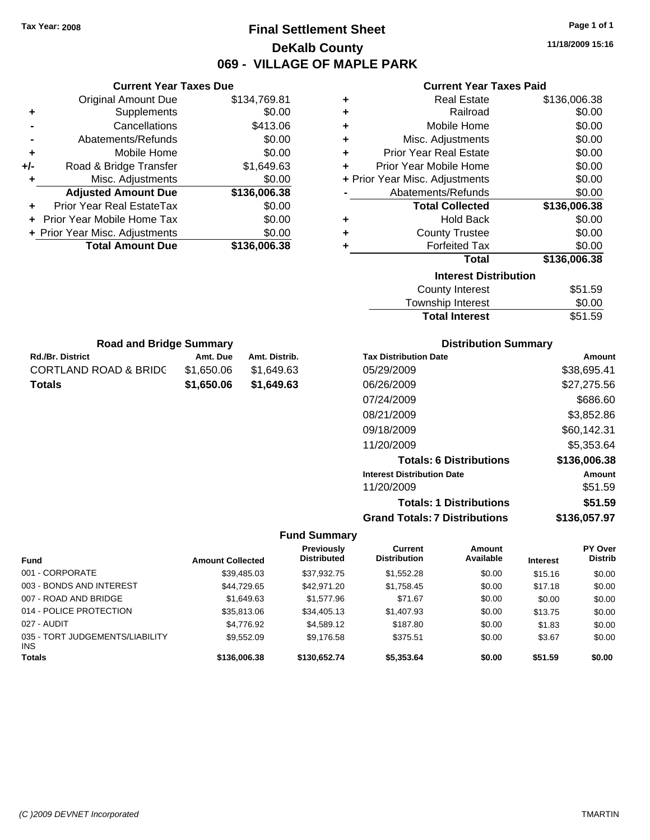### **Final Settlement Sheet Tax Year: 2008 Page 1 of 1 DeKalb County 069 - VILLAGE OF MAPLE PARK**

**11/18/2009 15:16**

### **Current Year Taxes Paid**

| <b>Real Estate</b>                 | \$136,006.38 |
|------------------------------------|--------------|
| Railroad<br>٠                      | \$0.00       |
| Mobile Home<br>٠                   | \$0.00       |
| Misc. Adjustments<br>÷             | \$0.00       |
| <b>Prior Year Real Estate</b><br>٠ | \$0.00       |
| Prior Year Mobile Home<br>÷        | \$0.00       |
| + Prior Year Misc. Adjustments     | \$0.00       |
| Abatements/Refunds                 | \$0.00       |
| <b>Total Collected</b>             | \$136,006.38 |
| <b>Hold Back</b><br>٠              | \$0.00       |
| <b>County Trustee</b>              | \$0.00       |
| <b>Forfeited Tax</b><br>٠          | \$0.00       |
| Total                              | \$136,006.38 |
| <b>Interest Distribution</b>       |              |
| <b>County Interest</b>             | \$51.59      |

## Township Interest \$0.00 Total Interest \$51.59

| Amount       |
|--------------|
| \$38,695.41  |
| \$27,275.56  |
| \$686.60     |
| \$3,852.86   |
| \$60,142.31  |
| \$5,353.64   |
| \$136,006.38 |
| Amount       |
| \$51.59      |
| \$51.59      |
| \$136,057.97 |
|              |

### **Fund Summary**

| <b>Fund</b>                                   | <b>Amount Collected</b> | <b>Previously</b><br><b>Distributed</b> | Current<br><b>Distribution</b> | <b>Amount</b><br>Available | <b>Interest</b> | <b>PY Over</b><br><b>Distrib</b> |
|-----------------------------------------------|-------------------------|-----------------------------------------|--------------------------------|----------------------------|-----------------|----------------------------------|
| 001 - CORPORATE                               | \$39,485.03             | \$37,932.75                             | \$1,552.28                     | \$0.00                     | \$15.16         | \$0.00                           |
| 003 - BONDS AND INTEREST                      | \$44,729.65             | \$42,971.20                             | \$1,758.45                     | \$0.00                     | \$17.18         | \$0.00                           |
| 007 - ROAD AND BRIDGE                         | \$1,649.63              | \$1,577.96                              | \$71.67                        | \$0.00                     | \$0.00          | \$0.00                           |
| 014 - POLICE PROTECTION                       | \$35,813.06             | \$34,405.13                             | \$1,407.93                     | \$0.00                     | \$13.75         | \$0.00                           |
| 027 - AUDIT                                   | \$4,776.92              | \$4,589.12                              | \$187.80                       | \$0.00                     | \$1.83          | \$0.00                           |
| 035 - TORT JUDGEMENTS/LIABILITY<br><b>INS</b> | \$9.552.09              | \$9,176.58                              | \$375.51                       | \$0.00                     | \$3.67          | \$0.00                           |
| <b>Totals</b>                                 | \$136,006.38            | \$130,652.74                            | \$5,353.64                     | \$0.00                     | \$51.59         | \$0.00                           |

|     | <b>Total Amount Due</b>        | \$136,006.38 |
|-----|--------------------------------|--------------|
|     | + Prior Year Misc. Adjustments | \$0.00       |
|     | + Prior Year Mobile Home Tax   | \$0.00       |
|     | Prior Year Real EstateTax      | \$0.00       |
|     | <b>Adjusted Amount Due</b>     | \$136,006.38 |
| ÷   | Misc. Adjustments              | \$0.00       |
| +/- | Road & Bridge Transfer         | \$1,649.63   |
| ٠   | Mobile Home                    | \$0.00       |
|     | Abatements/Refunds             | \$0.00       |
|     | Cancellations                  | \$413.06     |
| ٠   | Supplements                    | \$0.00       |
|     | <b>Original Amount Due</b>     | \$134,769.81 |

**Rd./Br. District Co. 2. Amt. Due Amt. Distrib. Road and Bridge Summary**

CORTLAND ROAD & BRIDG \$1,650.06 \$1,649.63 **Totals \$1,650.06 \$1,649.63**

**Current Year Taxes Due**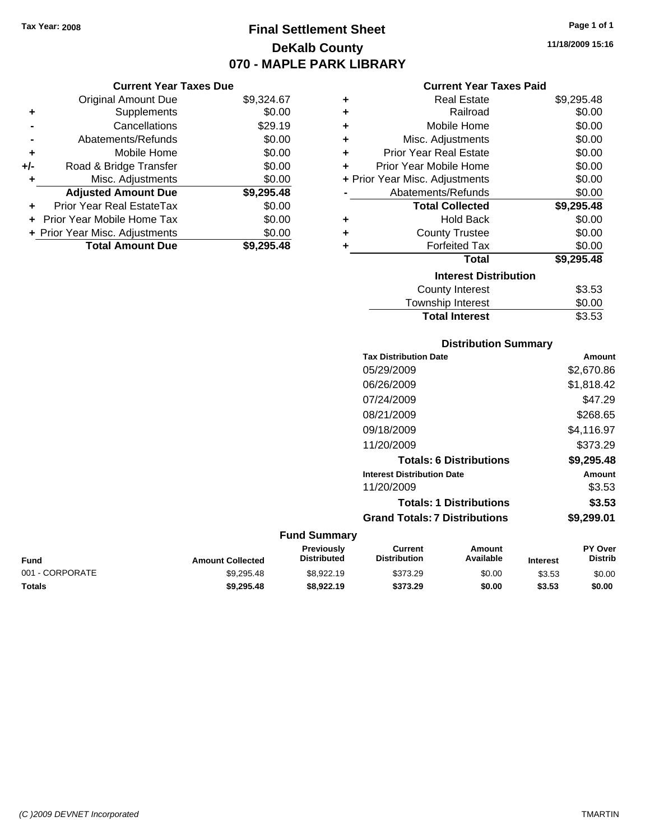### **Final Settlement Sheet Tax Year: 2008 Page 1 of 1 DeKalb County 070 - MAPLE PARK LIBRARY**

|     | <b>Current Year Taxes Due</b>    |            |
|-----|----------------------------------|------------|
|     | <b>Original Amount Due</b>       | \$9,324.67 |
| ÷   | Supplements                      | \$0.00     |
|     | Cancellations                    | \$29.19    |
|     | Abatements/Refunds               | \$0.00     |
| ٠   | Mobile Home                      | \$0.00     |
| +/- | Road & Bridge Transfer           | \$0.00     |
|     | Misc. Adjustments                | \$0.00     |
|     | <b>Adjusted Amount Due</b>       | \$9,295.48 |
|     | <b>Prior Year Real EstateTax</b> | \$0.00     |
|     | Prior Year Mobile Home Tax       | \$0.00     |
|     | + Prior Year Misc. Adjustments   | \$0.00     |
|     | <b>Total Amount Due</b>          | \$9.295.48 |

|   | OUITGIIL I GAI TAAGS FAIU      |            |
|---|--------------------------------|------------|
| ٠ | <b>Real Estate</b>             | \$9,295.48 |
| ٠ | Railroad                       | \$0.00     |
| ٠ | Mobile Home                    | \$0.00     |
| ٠ | Misc. Adjustments              | \$0.00     |
| ٠ | <b>Prior Year Real Estate</b>  | \$0.00     |
| ٠ | Prior Year Mobile Home         | \$0.00     |
|   | + Prior Year Misc. Adjustments | \$0.00     |
|   | Abatements/Refunds             | \$0.00     |
|   | <b>Total Collected</b>         | \$9,295.48 |
| ٠ | <b>Hold Back</b>               | \$0.00     |
|   | <b>County Trustee</b>          | \$0.00     |
| ٠ | <b>Forfeited Tax</b>           | \$0.00     |
|   | <b>Total</b>                   | \$9,295.48 |
|   | <b>Interest Distribution</b>   |            |
|   | <b>County Interest</b>         | \$3.53     |
|   | <b>Township Interest</b>       | \$0.00     |

### **Distribution Summary Tax Distribution Date Amount** 05/29/2009 \$2,670.86 06/26/2009 \$1,818.42 07/24/2009 \$47.29 08/21/2009 \$268.65 09/18/2009 \$4,116.97 11/20/2009 \$373.29 **Totals: 6 Distributions \$9,295.48 Interest Distribution Date Amount** 11/20/2009 \$3.53 **Totals: 1 Distributions \$3.53 Grand Totals: 7 Distributions \$9,299.01**

Total Interest \$3.53

| <b>Fund</b>     | <b>Amount Collected</b> | <b>Previously</b><br><b>Distributed</b> | Current<br><b>Distribution</b> | Amount<br>Available | <b>Interest</b> | <b>PY Over</b><br><b>Distrib</b> |
|-----------------|-------------------------|-----------------------------------------|--------------------------------|---------------------|-----------------|----------------------------------|
| 001 - CORPORATE | \$9.295.48              | \$8.922.19                              | \$373.29                       | \$0.00              | \$3.53          | \$0.00                           |
| <b>Totals</b>   | \$9.295.48              | \$8.922.19                              | \$373.29                       | \$0.00              | \$3.53          | \$0.00                           |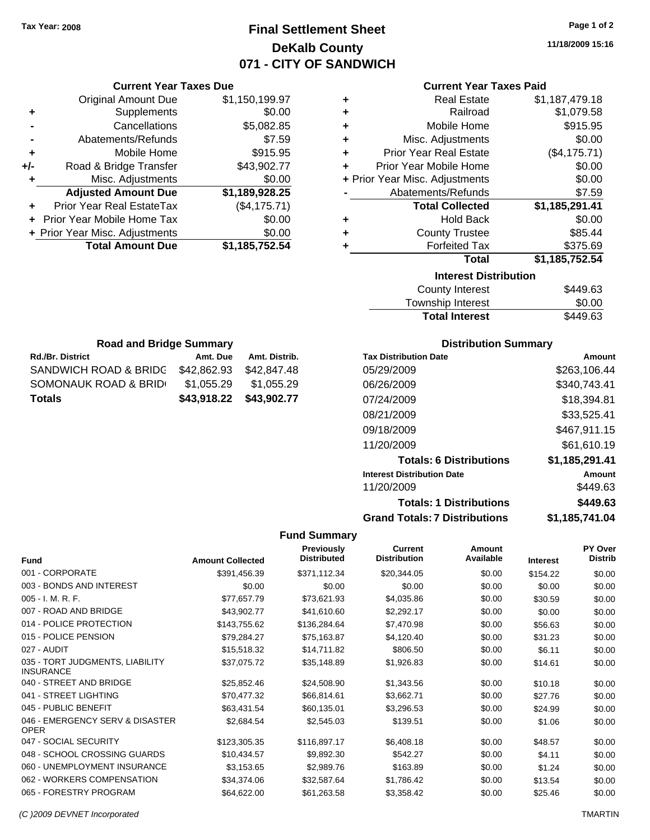### **Final Settlement Sheet Tax Year: 2008 Page 1 of 2 DeKalb County 071 - CITY OF SANDWICH**

**11/18/2009 15:16**

### **Current Year Taxes Paid**

|     | <b>Original Amount Due</b>     | \$1,150,199.97 |   | <b>Real Estate</b>             | \$1,187,479.18 |
|-----|--------------------------------|----------------|---|--------------------------------|----------------|
| ٠   | Supplements                    | \$0.00         | ÷ | Railroad                       | \$1,079.58     |
|     | Cancellations                  | \$5,082.85     | ÷ | Mobile Home                    | \$915.95       |
|     | Abatements/Refunds             | \$7.59         | ٠ | Misc. Adjustments              | \$0.00         |
| ٠   | Mobile Home                    | \$915.95       | ٠ | <b>Prior Year Real Estate</b>  | (\$4,175.71)   |
| +/- | Road & Bridge Transfer         | \$43,902.77    | ÷ | Prior Year Mobile Home         | \$0.00         |
|     | Misc. Adjustments              | \$0.00         |   | + Prior Year Misc. Adjustments | \$0.00         |
|     | <b>Adjusted Amount Due</b>     | \$1,189,928.25 |   | Abatements/Refunds             | \$7.59         |
| ÷.  | Prior Year Real EstateTax      | (\$4,175.71)   |   | <b>Total Collected</b>         | \$1,185,291.41 |
|     | + Prior Year Mobile Home Tax   | \$0.00         | ٠ | <b>Hold Back</b>               | \$0.00         |
|     | + Prior Year Misc. Adjustments | \$0.00         | ٠ | <b>County Trustee</b>          | \$85.44        |
|     | <b>Total Amount Due</b>        | \$1,185,752.54 |   | <b>Forfeited Tax</b>           | \$375.69       |
|     |                                |                |   | <b>Total</b>                   | \$1,185,752.54 |
|     |                                |                |   | <b>Interest Distribution</b>   |                |
|     |                                |                |   | County Interest                | \$44963        |

| County Interest       | \$449.63 |
|-----------------------|----------|
| Township Interest     | \$0.00   |
| <b>Total Interest</b> | \$449.63 |

| <b>Road and Bridge Summary</b> |             |               |  |  |  |  |
|--------------------------------|-------------|---------------|--|--|--|--|
| <b>Rd./Br. District</b>        | Amt. Due    | Amt. Distrib. |  |  |  |  |
| SANDWICH ROAD & BRIDG          | \$42.862.93 | \$42,847.48   |  |  |  |  |
| SOMONAUK ROAD & BRID           | \$1,055.29  | \$1,055.29    |  |  |  |  |
| <b>Totals</b>                  | \$43,918.22 | \$43,902.77   |  |  |  |  |

**Current Year Taxes Due**

### **Distribution Summary**

| <b>Tax Distribution Date</b>         | Amount         |
|--------------------------------------|----------------|
| 05/29/2009                           | \$263.106.44   |
| 06/26/2009                           | \$340,743.41   |
| 07/24/2009                           | \$18,394.81    |
| 08/21/2009                           | \$33,525.41    |
| 09/18/2009                           | \$467,911.15   |
| 11/20/2009                           | \$61,610.19    |
| <b>Totals: 6 Distributions</b>       | \$1,185,291.41 |
| <b>Interest Distribution Date</b>    | Amount         |
| 11/20/2009                           | \$449.63       |
| <b>Totals: 1 Distributions</b>       | \$449.63       |
| <b>Grand Totals: 7 Distributions</b> | \$1,185,741.04 |

### **Fund Summary**

| <b>Fund</b>                                         | <b>Amount Collected</b> | <b>Previously</b><br><b>Distributed</b> | <b>Current</b><br><b>Distribution</b> | Amount<br>Available |                 | <b>PY Over</b><br><b>Distrib</b> |
|-----------------------------------------------------|-------------------------|-----------------------------------------|---------------------------------------|---------------------|-----------------|----------------------------------|
|                                                     |                         |                                         |                                       |                     | <b>Interest</b> |                                  |
| 001 - CORPORATE                                     | \$391,456.39            | \$371,112.34                            | \$20,344.05                           | \$0.00              | \$154.22        | \$0.00                           |
| 003 - BONDS AND INTEREST                            | \$0.00                  | \$0.00                                  | \$0.00                                | \$0.00              | \$0.00          | \$0.00                           |
| 005 - I. M. R. F.                                   | \$77,657.79             | \$73,621.93                             | \$4,035.86                            | \$0.00              | \$30.59         | \$0.00                           |
| 007 - ROAD AND BRIDGE                               | \$43,902.77             | \$41,610.60                             | \$2,292.17                            | \$0.00              | \$0.00          | \$0.00                           |
| 014 - POLICE PROTECTION                             | \$143,755.62            | \$136,284.64                            | \$7,470.98                            | \$0.00              | \$56.63         | \$0.00                           |
| 015 - POLICE PENSION                                | \$79,284.27             | \$75,163.87                             | \$4,120.40                            | \$0.00              | \$31.23         | \$0.00                           |
| 027 - AUDIT                                         | \$15,518.32             | \$14,711.82                             | \$806.50                              | \$0.00              | \$6.11          | \$0.00                           |
| 035 - TORT JUDGMENTS, LIABILITY<br><b>INSURANCE</b> | \$37,075.72             | \$35,148.89                             | \$1,926.83                            | \$0.00              | \$14.61         | \$0.00                           |
| 040 - STREET AND BRIDGE                             | \$25,852.46             | \$24,508.90                             | \$1,343.56                            | \$0.00              | \$10.18         | \$0.00                           |
| 041 - STREET LIGHTING                               | \$70,477.32             | \$66,814.61                             | \$3,662.71                            | \$0.00              | \$27.76         | \$0.00                           |
| 045 - PUBLIC BENEFIT                                | \$63,431.54             | \$60,135.01                             | \$3,296.53                            | \$0.00              | \$24.99         | \$0.00                           |
| 046 - EMERGENCY SERV & DISASTER<br><b>OPER</b>      | \$2,684.54              | \$2,545.03                              | \$139.51                              | \$0.00              | \$1.06          | \$0.00                           |
| 047 - SOCIAL SECURITY                               | \$123,305.35            | \$116,897.17                            | \$6,408.18                            | \$0.00              | \$48.57         | \$0.00                           |
| 048 - SCHOOL CROSSING GUARDS                        | \$10,434.57             | \$9,892.30                              | \$542.27                              | \$0.00              | \$4.11          | \$0.00                           |
| 060 - UNEMPLOYMENT INSURANCE                        | \$3,153.65              | \$2,989.76                              | \$163.89                              | \$0.00              | \$1.24          | \$0.00                           |
| 062 - WORKERS COMPENSATION                          | \$34,374.06             | \$32,587.64                             | \$1,786.42                            | \$0.00              | \$13.54         | \$0.00                           |
| 065 - FORESTRY PROGRAM                              | \$64,622.00             | \$61,263.58                             | \$3,358.42                            | \$0.00              | \$25.46         | \$0.00                           |

*(C )2009 DEVNET Incorporated* TMARTIN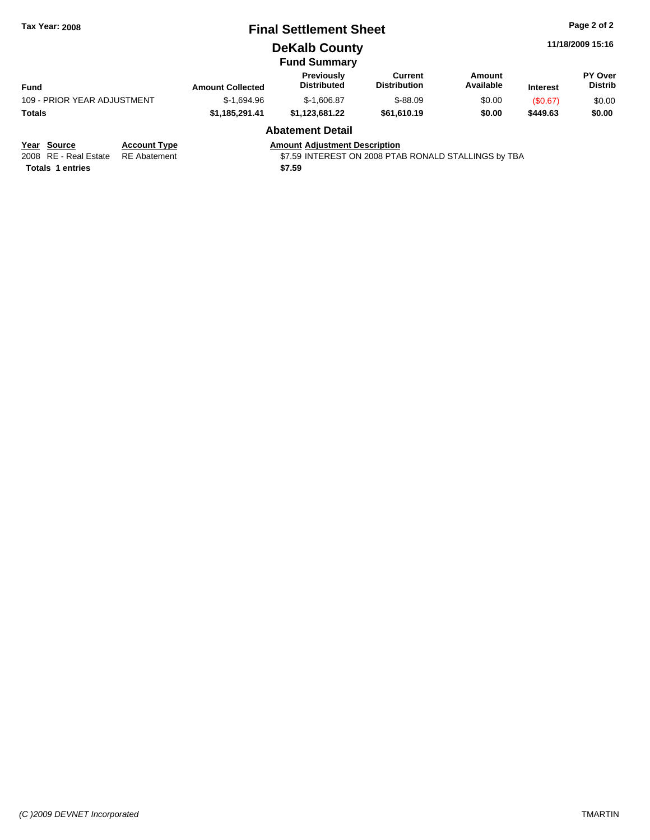| <b>Tax Year: 2008</b>              |                         | <b>Final Settlement Sheet</b>        |                                |                     |                 | Page 2 of 2               |
|------------------------------------|-------------------------|--------------------------------------|--------------------------------|---------------------|-----------------|---------------------------|
|                                    |                         | <b>DeKalb County</b>                 |                                |                     |                 | 11/18/2009 15:16          |
|                                    |                         | <b>Fund Summary</b>                  |                                |                     |                 |                           |
| <b>Fund</b>                        | <b>Amount Collected</b> | Previously<br><b>Distributed</b>     | Current<br><b>Distribution</b> | Amount<br>Available | <b>Interest</b> | PY Over<br><b>Distrib</b> |
| 109 - PRIOR YEAR ADJUSTMENT        | $$-1.694.96$            | $$-1,606.87$                         | $$-88.09$                      | \$0.00              | (S0.67)         | \$0.00                    |
| <b>Totals</b>                      | \$1,185,291.41          | \$1,123,681.22                       | \$61,610.19                    | \$0.00              | \$449.63        | \$0.00                    |
|                                    |                         | <b>Abatement Detail</b>              |                                |                     |                 |                           |
| Year Source<br><b>Account Type</b> |                         | <b>Amount Adjustment Description</b> |                                |                     |                 |                           |

# **Totals 1 entries** \$7.59

2008 RE - Real Estate RE Abatement **1999 ST Abatement** \$7.59 INTEREST ON 2008 PTAB RONALD STALLINGS by TBA

**PY Over Distrib**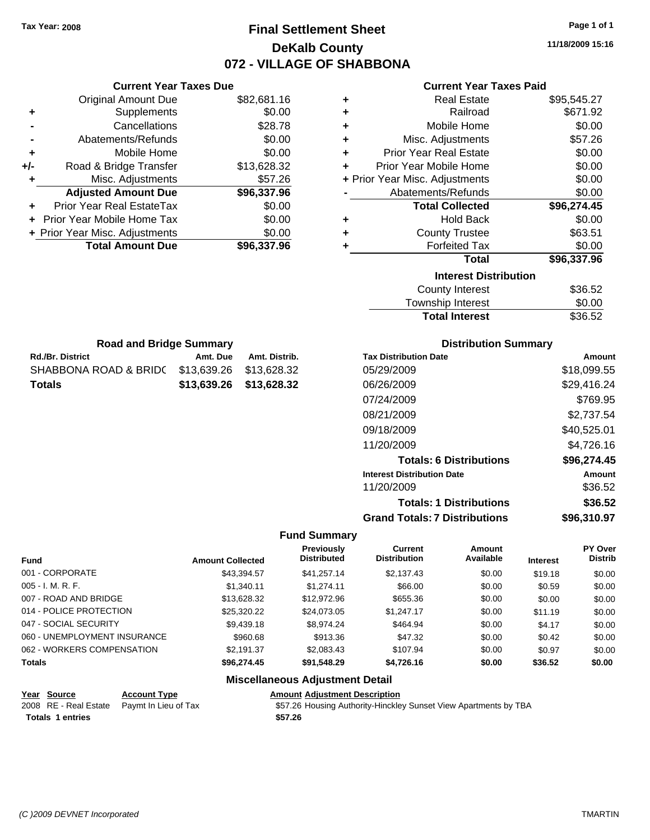### **Final Settlement Sheet Tax Year: 2008 Page 1 of 1 DeKalb County 072 - VILLAGE OF SHABBONA**

**11/18/2009 15:16**

### **Current Year Taxes Paid**

| ٠ | <b>Real Estate</b>             | \$95,545.27 |
|---|--------------------------------|-------------|
| ٠ | Railroad                       | \$671.92    |
| ٠ | Mobile Home                    | \$0.00      |
| ٠ | Misc. Adjustments              | \$57.26     |
| ÷ | <b>Prior Year Real Estate</b>  | \$0.00      |
| ÷ | Prior Year Mobile Home         | \$0.00      |
|   | + Prior Year Misc. Adjustments | \$0.00      |
|   | Abatements/Refunds             | \$0.00      |
|   | <b>Total Collected</b>         | \$96,274.45 |
| ٠ | <b>Hold Back</b>               | \$0.00      |
| ٠ | <b>County Trustee</b>          | \$63.51     |
| ٠ | <b>Forfeited Tax</b>           | \$0.00      |
|   | <b>Total</b>                   | \$96,337.96 |
|   | <b>Interest Distribution</b>   |             |
|   | <b>County Interest</b>         | \$36.52     |
|   | <b>Township Interest</b>       | \$0.00      |
|   | <b>Total Interest</b>          | \$36.52     |

|     | <b>Current Year Taxes Due</b>  |             |
|-----|--------------------------------|-------------|
|     | Original Amount Due            | \$82,681.16 |
| ٠   | Supplements                    | \$0.00      |
|     | Cancellations                  | \$28.78     |
|     | Abatements/Refunds             | \$0.00      |
| ٠   | Mobile Home                    | \$0.00      |
| +/- | Road & Bridge Transfer         | \$13,628.32 |
|     | Misc. Adjustments              | \$57.26     |
|     | <b>Adjusted Amount Due</b>     | \$96,337.96 |
|     | Prior Year Real EstateTax      | \$0.00      |
|     | Prior Year Mobile Home Tax     | \$0.00      |
|     | + Prior Year Misc. Adjustments | \$0.00      |
|     | <b>Total Amount Due</b>        | \$96,337.96 |
|     |                                |             |

| <b>Road and Bridge Summary</b> |                         |               |  |  |  |  |
|--------------------------------|-------------------------|---------------|--|--|--|--|
| <b>Rd./Br. District</b>        | Amt. Due                | Amt. Distrib. |  |  |  |  |
| SHABBONA ROAD & BRIDC          | \$13.639.26 \$13.628.32 |               |  |  |  |  |
| Totals                         | \$13,639,26 \$13,628,32 |               |  |  |  |  |

### **Distribution Summary**

| <b>Tax Distribution Date</b>         | Amount      |
|--------------------------------------|-------------|
| 05/29/2009                           | \$18,099.55 |
| 06/26/2009                           | \$29,416.24 |
| 07/24/2009                           | \$769.95    |
| 08/21/2009                           | \$2,737.54  |
| 09/18/2009                           | \$40,525.01 |
| 11/20/2009                           | \$4,726.16  |
| <b>Totals: 6 Distributions</b>       | \$96,274.45 |
| <b>Interest Distribution Date</b>    | Amount      |
| 11/20/2009                           | \$36.52     |
| <b>Totals: 1 Distributions</b>       | \$36.52     |
| <b>Grand Totals: 7 Distributions</b> | \$96.310.97 |

### **Fund Summary**

|                              |                         | <b>Previously</b>  | Current             | Amount    |                 | PY Over        |
|------------------------------|-------------------------|--------------------|---------------------|-----------|-----------------|----------------|
| <b>Fund</b>                  | <b>Amount Collected</b> | <b>Distributed</b> | <b>Distribution</b> | Available | <b>Interest</b> | <b>Distrib</b> |
| 001 - CORPORATE              | \$43.394.57             | \$41.257.14        | \$2.137.43          | \$0.00    | \$19.18         | \$0.00         |
| $005 - I. M. R. F.$          | \$1.340.11              | \$1,274.11         | \$66.00             | \$0.00    | \$0.59          | \$0.00         |
| 007 - ROAD AND BRIDGE        | \$13,628,32             | \$12,972.96        | \$655.36            | \$0.00    | \$0.00          | \$0.00         |
| 014 - POLICE PROTECTION      | \$25,320.22             | \$24,073.05        | \$1,247.17          | \$0.00    | \$11.19         | \$0.00         |
| 047 - SOCIAL SECURITY        | \$9,439.18              | \$8.974.24         | \$464.94            | \$0.00    | \$4.17          | \$0.00         |
| 060 - UNEMPLOYMENT INSURANCE | \$960.68                | \$913.36           | \$47.32             | \$0.00    | \$0.42          | \$0.00         |
| 062 - WORKERS COMPENSATION   | \$2.191.37              | \$2,083.43         | \$107.94            | \$0.00    | \$0.97          | \$0.00         |
| <b>Totals</b>                | \$96,274.45             | \$91,548.29        | \$4,726.16          | \$0.00    | \$36.52         | \$0.00         |

### **Miscellaneous Adjustment Detail**

**Year Source Account Type Amount Adjustment Description**

2008 RE - Real Estate Paymt In Lieu of Tax **\$57.26 Housing Authority-Hinckley Sunset View Apartments by TBA Totals \$57.26 1 entries**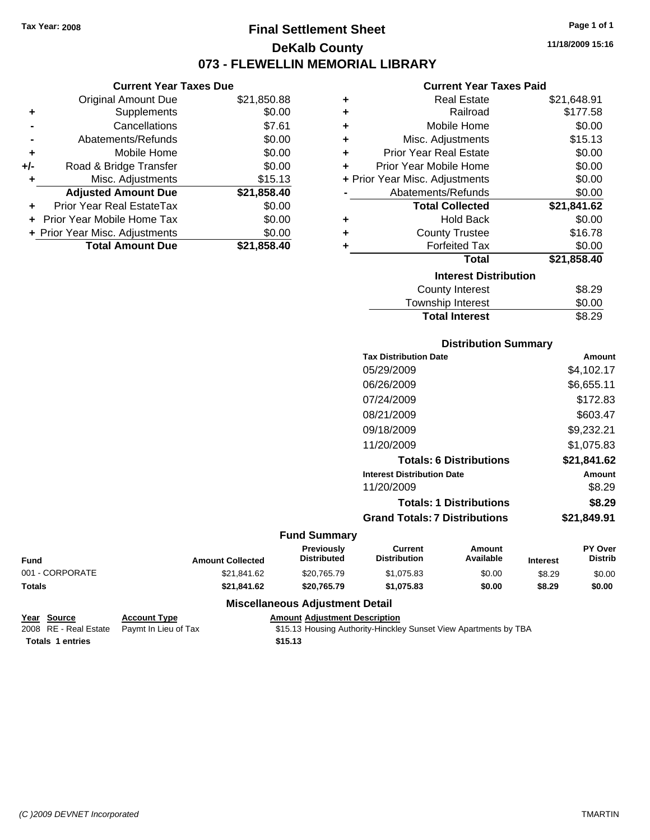### **Final Settlement Sheet Tax Year: 2008 Page 1 of 1 DeKalb County 073 - FLEWELLIN MEMORIAL LIBRARY**

**11/18/2009 15:16**

### **Current Year Taxes Paid**

|     | <b>Current Year Taxes Due</b>  |             |  |  |  |  |
|-----|--------------------------------|-------------|--|--|--|--|
|     | <b>Original Amount Due</b>     | \$21,850.88 |  |  |  |  |
| ٠   | Supplements                    | \$0.00      |  |  |  |  |
|     | Cancellations                  | \$7.61      |  |  |  |  |
|     | Abatements/Refunds             | \$0.00      |  |  |  |  |
| ٠   | Mobile Home                    | \$0.00      |  |  |  |  |
| +/- | Road & Bridge Transfer         | \$0.00      |  |  |  |  |
| ٠   | Misc. Adjustments              | \$15.13     |  |  |  |  |
|     | <b>Adjusted Amount Due</b>     | \$21,858.40 |  |  |  |  |
|     | Prior Year Real EstateTax      | \$0.00      |  |  |  |  |
|     | Prior Year Mobile Home Tax     | \$0.00      |  |  |  |  |
|     | + Prior Year Misc. Adjustments | \$0.00      |  |  |  |  |
|     | <b>Total Amount Due</b>        | \$21.858.40 |  |  |  |  |
|     |                                |             |  |  |  |  |

| ÷ | <b>Real Estate</b>             | \$21,648.91 |
|---|--------------------------------|-------------|
| ٠ | Railroad                       | \$177.58    |
| ÷ | Mobile Home                    | \$0.00      |
| ÷ | Misc. Adjustments              | \$15.13     |
| ٠ | <b>Prior Year Real Estate</b>  | \$0.00      |
| ÷ | Prior Year Mobile Home         | \$0.00      |
|   | + Prior Year Misc. Adjustments | \$0.00      |
|   | Abatements/Refunds             | \$0.00      |
|   | <b>Total Collected</b>         | \$21,841.62 |
| ٠ | Hold Back                      | \$0.00      |
| ÷ | <b>County Trustee</b>          | \$16.78     |
| ٠ | <b>Forfeited Tax</b>           | \$0.00      |
|   | Total                          | \$21,858.40 |
|   | <b>Interest Distribution</b>   |             |
|   | County Interest                | \$8.29      |
|   | <b>Township Interest</b>       | \$0.00      |
|   | <b>Total Interest</b>          | \$8.29      |

### **Distribution Summary**

| <b>Tax Distribution Date</b>         | Amount      |
|--------------------------------------|-------------|
| 05/29/2009                           | \$4.102.17  |
| 06/26/2009                           | \$6,655.11  |
| 07/24/2009                           | \$172.83    |
| 08/21/2009                           | \$603.47    |
| 09/18/2009                           | \$9,232.21  |
| 11/20/2009                           | \$1.075.83  |
| <b>Totals: 6 Distributions</b>       | \$21,841.62 |
| <b>Interest Distribution Date</b>    | Amount      |
| 11/20/2009                           | \$8.29      |
| <b>Totals: 1 Distributions</b>       | \$8.29      |
| <b>Grand Totals: 7 Distributions</b> | \$21.849.91 |
|                                      |             |

#### **Fund Summary**

| Fund            | <b>Amount Collected</b> | <b>Previously</b><br><b>Distributed</b> | Current<br><b>Distribution</b> | Amount<br>Available | <b>Interest</b> | <b>PY Over</b><br><b>Distrib</b> |
|-----------------|-------------------------|-----------------------------------------|--------------------------------|---------------------|-----------------|----------------------------------|
| 001 - CORPORATE | \$21.841.62             | \$20.765.79                             | \$1,075.83                     | \$0.00              | \$8.29          | \$0.00                           |
| Totals          | \$21.841.62             | \$20.765.79                             | \$1,075.83                     | \$0.00              | \$8.29          | \$0.00                           |

### **Miscellaneous Adjustment Detail**

| Year Source             | <b>Account Type</b>                        | Amount  |
|-------------------------|--------------------------------------------|---------|
|                         | 2008 RE - Real Estate Paymt In Lieu of Tax | \$15.13 |
| <b>Totals 1 entries</b> |                                            | \$15.13 |

**Properties Amount Adjustment Description** 

2008 nt In Lieu of Tax **Castel Act Act Act State \$15.13 Housing Authority-Hinckley Sunset View Apartments by TBA**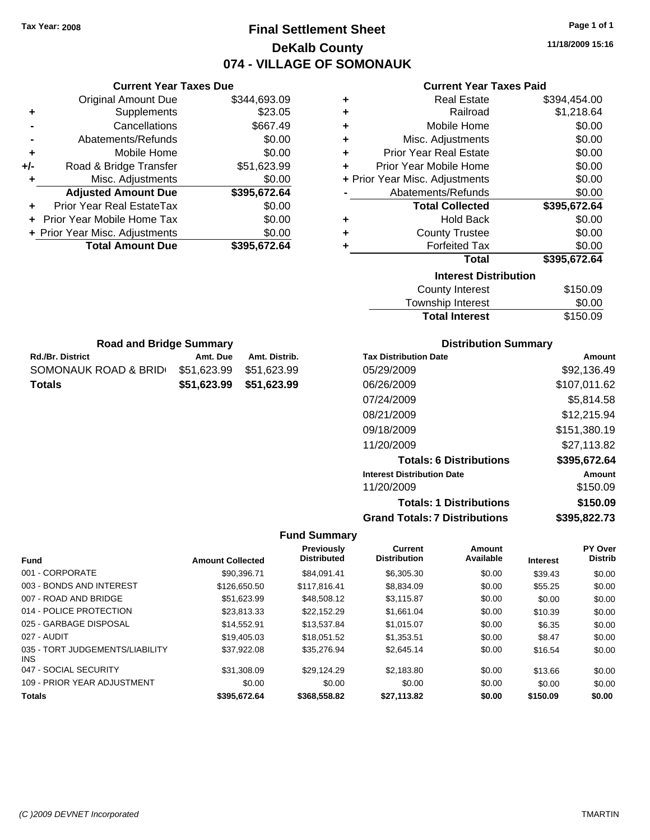### **Final Settlement Sheet Tax Year: 2008 Page 1 of 1 DeKalb County 074 - VILLAGE OF SOMONAUK**

**11/18/2009 15:16**

### **Current Year Taxes Paid**

| ٠ | <b>Real Estate</b>             | \$394,454.00 |
|---|--------------------------------|--------------|
| ٠ | Railroad                       | \$1,218.64   |
| ÷ | Mobile Home                    | \$0.00       |
| ٠ | Misc. Adjustments              | \$0.00       |
| ٠ | <b>Prior Year Real Estate</b>  | \$0.00       |
| ÷ | Prior Year Mobile Home         | \$0.00       |
|   | + Prior Year Misc. Adjustments | \$0.00       |
|   | Abatements/Refunds             | \$0.00       |
|   | <b>Total Collected</b>         | \$395,672.64 |
| ٠ | <b>Hold Back</b>               | \$0.00       |
| ٠ | <b>County Trustee</b>          | \$0.00       |
| ٠ | <b>Forfeited Tax</b>           | \$0.00       |
|   | Total                          | \$395,672.64 |
|   | <b>Interest Distribution</b>   |              |
|   | <b>County Interest</b>         | \$150.09     |
|   |                                |              |

| <b>Total Interest</b> | \$150.09 |
|-----------------------|----------|
| Township Interest     | \$0.00   |
| County Interest       | \$150.09 |

| <b>Road and Bridge Summary</b> |                         |               |  |  |
|--------------------------------|-------------------------|---------------|--|--|
| <b>Rd./Br. District</b>        | Amt. Due                | Amt. Distrib. |  |  |
| SOMONAUK ROAD & BRID           | \$51.623.99             | \$51.623.99   |  |  |
| Totals                         | \$51.623.99 \$51.623.99 |               |  |  |

**Current Year Taxes Due** Original Amount Due \$344,693.09

**Adjusted Amount Due \$395,672.64**

**+** Supplements \$23.05 **-** Cancellations \$667.49 **-** Abatements/Refunds \$0.00 **+** Mobile Home \$0.00 **+/-** Road & Bridge Transfer \$51,623.99 **+** Misc. Adjustments \$0.00

**+** Prior Year Real EstateTax \$0.00 **+** Prior Year Mobile Home Tax \$0.00 **+ Prior Year Misc. Adjustments \$0.00<br>Total Amount Due \$395,672.64** 

**Total Amount Due** 

### **Distribution Summary**

| <b>Tax Distribution Date</b>         | Amount       |
|--------------------------------------|--------------|
| 05/29/2009                           | \$92.136.49  |
| 06/26/2009                           | \$107,011.62 |
| 07/24/2009                           | \$5,814.58   |
| 08/21/2009                           | \$12,215.94  |
| 09/18/2009                           | \$151,380.19 |
| 11/20/2009                           | \$27,113.82  |
| <b>Totals: 6 Distributions</b>       | \$395,672.64 |
| <b>Interest Distribution Date</b>    | Amount       |
| 11/20/2009                           | \$150.09     |
| <b>Totals: 1 Distributions</b>       | \$150.09     |
| <b>Grand Totals: 7 Distributions</b> | \$395,822.73 |

|                                         |                         | Previously         | Current             | Amount    |                 | PY Over        |
|-----------------------------------------|-------------------------|--------------------|---------------------|-----------|-----------------|----------------|
| <b>Fund</b>                             | <b>Amount Collected</b> | <b>Distributed</b> | <b>Distribution</b> | Available | <b>Interest</b> | <b>Distrib</b> |
| 001 - CORPORATE                         | \$90.396.71             | \$84.091.41        | \$6,305.30          | \$0.00    | \$39.43         | \$0.00         |
| 003 - BONDS AND INTEREST                | \$126,650.50            | \$117,816,41       | \$8,834.09          | \$0.00    | \$55.25         | \$0.00         |
| 007 - ROAD AND BRIDGE                   | \$51.623.99             | \$48,508.12        | \$3.115.87          | \$0.00    | \$0.00          | \$0.00         |
| 014 - POLICE PROTECTION                 | \$23,813,33             | \$22.152.29        | \$1.661.04          | \$0.00    | \$10.39         | \$0.00         |
| 025 - GARBAGE DISPOSAL                  | \$14,552.91             | \$13.537.84        | \$1.015.07          | \$0.00    | \$6.35          | \$0.00         |
| 027 - AUDIT                             | \$19,405.03             | \$18.051.52        | \$1,353.51          | \$0.00    | \$8.47          | \$0.00         |
| 035 - TORT JUDGEMENTS/LIABILITY<br>INS. | \$37,922.08             | \$35,276.94        | \$2,645.14          | \$0.00    | \$16.54         | \$0.00         |
| 047 - SOCIAL SECURITY                   | \$31,308.09             | \$29.124.29        | \$2,183.80          | \$0.00    | \$13.66         | \$0.00         |
| 109 - PRIOR YEAR ADJUSTMENT             | \$0.00                  | \$0.00             | \$0.00              | \$0.00    | \$0.00          | \$0.00         |
| <b>Totals</b>                           | \$395.672.64            | \$368,558.82       | \$27,113.82         | \$0.00    | \$150.09        | \$0.00         |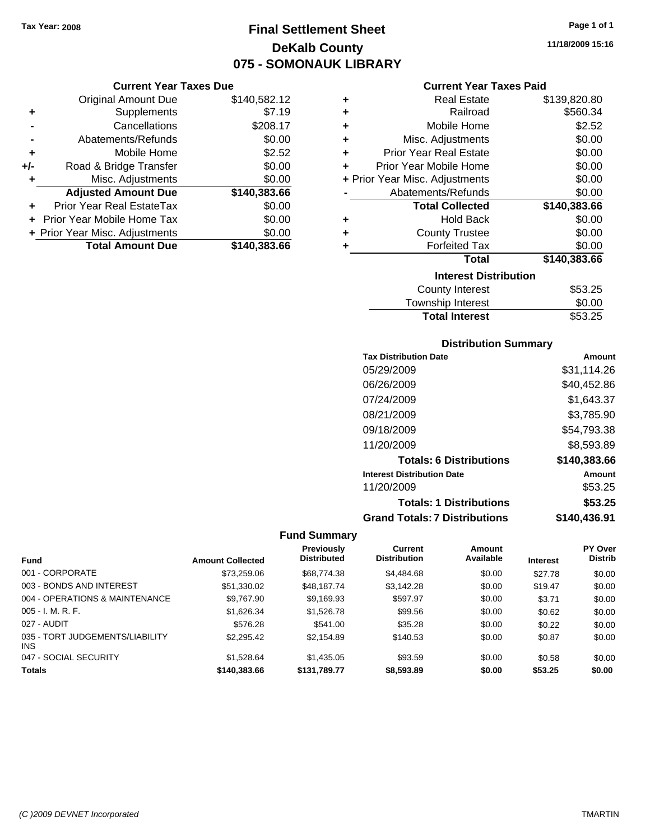### **Final Settlement Sheet Tax Year: 2008 Page 1 of 1 DeKalb County 075 - SOMONAUK LIBRARY**

### **Current Year Taxes Due**

|     | <b>Original Amount Due</b>     | \$140,582.12 |
|-----|--------------------------------|--------------|
| ٠   | Supplements                    | \$7.19       |
|     | Cancellations                  | \$208.17     |
|     | Abatements/Refunds             | \$0.00       |
| ٠   | Mobile Home                    | \$2.52       |
| +/- | Road & Bridge Transfer         | \$0.00       |
| ٠   | Misc. Adjustments              | \$0.00       |
|     | <b>Adjusted Amount Due</b>     | \$140,383.66 |
|     | Prior Year Real EstateTax      | \$0.00       |
|     | Prior Year Mobile Home Tax     | \$0.00       |
|     | + Prior Year Misc. Adjustments | \$0.00       |
|     | <b>Total Amount Due</b>        | \$140,383.66 |

### **Current Year Taxes Paid**

| ٠ | <b>Real Estate</b>             | \$139,820.80 |
|---|--------------------------------|--------------|
| ÷ | Railroad                       | \$560.34     |
| ٠ | Mobile Home                    | \$2.52       |
| ٠ | Misc. Adjustments              | \$0.00       |
| ÷ | <b>Prior Year Real Estate</b>  | \$0.00       |
| ٠ | Prior Year Mobile Home         | \$0.00       |
|   | + Prior Year Misc. Adjustments | \$0.00       |
|   | Abatements/Refunds             | \$0.00       |
|   | <b>Total Collected</b>         | \$140,383.66 |
| ٠ | <b>Hold Back</b>               | \$0.00       |
| ٠ | <b>County Trustee</b>          | \$0.00       |
| ٠ | <b>Forfeited Tax</b>           | \$0.00       |
|   | Total                          | \$140,383.66 |
|   | <b>Interest Distribution</b>   |              |
|   | <b>County Interest</b>         | \$53.25      |
|   | Tauraahin Intornat             | ሮስ ሰሰ        |

### Township Interest \$0.00 **Total Interest**

### **Distribution Summary**

| <b>Tax Distribution Date</b>         | Amount       |
|--------------------------------------|--------------|
| 05/29/2009                           | \$31,114.26  |
| 06/26/2009                           | \$40,452.86  |
| 07/24/2009                           | \$1,643.37   |
| 08/21/2009                           | \$3,785.90   |
| 09/18/2009                           | \$54,793.38  |
| 11/20/2009                           | \$8,593.89   |
| <b>Totals: 6 Distributions</b>       | \$140,383.66 |
| <b>Interest Distribution Date</b>    | Amount       |
| 11/20/2009                           | \$53.25      |
| <b>Totals: 1 Distributions</b>       | \$53.25      |
| <b>Grand Totals: 7 Distributions</b> | \$140,436.91 |

|                                        |                         | <b>Previously</b>  | <b>Current</b>      | Amount    |                 | <b>PY Over</b> |
|----------------------------------------|-------------------------|--------------------|---------------------|-----------|-----------------|----------------|
| <b>Fund</b>                            | <b>Amount Collected</b> | <b>Distributed</b> | <b>Distribution</b> | Available | <b>Interest</b> | <b>Distrib</b> |
| 001 - CORPORATE                        | \$73,259.06             | \$68,774.38        | \$4,484.68          | \$0.00    | \$27.78         | \$0.00         |
| 003 - BONDS AND INTEREST               | \$51,330.02             | \$48.187.74        | \$3,142.28          | \$0.00    | \$19.47         | \$0.00         |
| 004 - OPERATIONS & MAINTENANCE         | \$9,767.90              | \$9,169.93         | \$597.97            | \$0.00    | \$3.71          | \$0.00         |
| $005 - I. M. R. F.$                    | \$1,626.34              | \$1,526,78         | \$99.56             | \$0.00    | \$0.62          | \$0.00         |
| 027 - AUDIT                            | \$576.28                | \$541.00           | \$35.28             | \$0.00    | \$0.22          | \$0.00         |
| 035 - TORT JUDGEMENTS/LIABILITY<br>INS | \$2,295.42              | \$2.154.89         | \$140.53            | \$0.00    | \$0.87          | \$0.00         |
| 047 - SOCIAL SECURITY                  | \$1,528,64              | \$1,435.05         | \$93.59             | \$0.00    | \$0.58          | \$0.00         |
| <b>Totals</b>                          | \$140,383.66            | \$131.789.77       | \$8,593.89          | \$0.00    | \$53.25         | \$0.00         |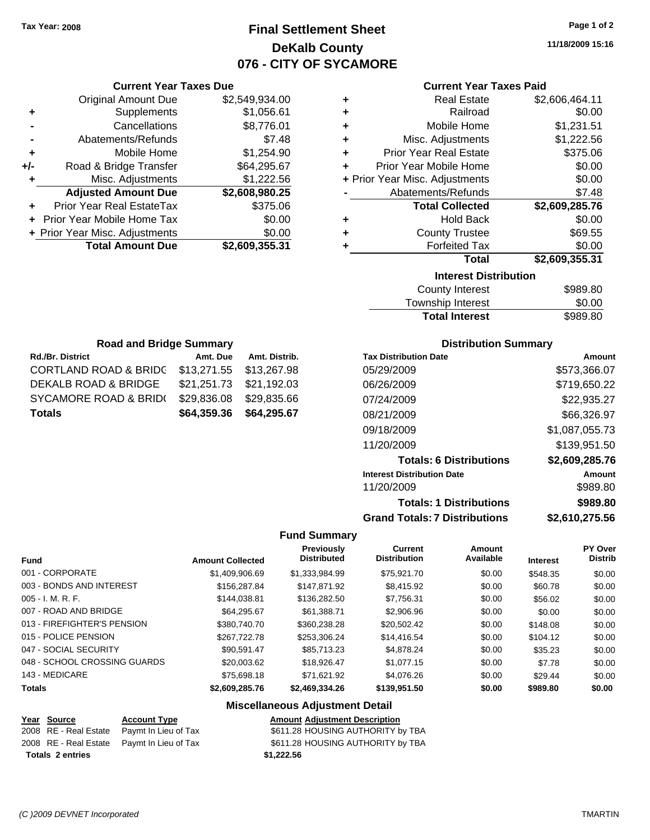### **Final Settlement Sheet Tax Year: 2008 Page 1 of 2 DeKalb County 076 - CITY OF SYCAMORE**

**11/18/2009 15:16**

|  | <b>Current Year Taxes Paid</b> |  |  |  |
|--|--------------------------------|--|--|--|
|--|--------------------------------|--|--|--|

| ٠ | <b>Real Estate</b>             | \$2,606,464.11 |  |  |  |
|---|--------------------------------|----------------|--|--|--|
| ٠ | Railroad                       | \$0.00         |  |  |  |
| ٠ | Mobile Home                    | \$1,231.51     |  |  |  |
| ÷ | Misc. Adjustments              | \$1,222.56     |  |  |  |
| ÷ | <b>Prior Year Real Estate</b>  | \$375.06       |  |  |  |
| ٠ | Prior Year Mobile Home         | \$0.00         |  |  |  |
|   | + Prior Year Misc. Adjustments | \$0.00         |  |  |  |
|   | Abatements/Refunds             | \$7.48         |  |  |  |
|   | <b>Total Collected</b>         | \$2,609,285.76 |  |  |  |
| ٠ | <b>Hold Back</b>               | \$0.00         |  |  |  |
| ٠ | <b>County Trustee</b>          | \$69.55        |  |  |  |
| ٠ | <b>Forfeited Tax</b>           | \$0.00         |  |  |  |
|   | Total                          | \$2,609,355.31 |  |  |  |
|   | <b>Interest Distribution</b>   |                |  |  |  |
|   | <b>County Interest</b>         | \$989.80       |  |  |  |

| <b>Total Interest</b>  | \$989.80 |
|------------------------|----------|
| Township Interest      | \$0.00   |
| <b>County Interest</b> | \$989.80 |

| <b>Road and Bridge Summary</b>   |                         |               |  |  |  |
|----------------------------------|-------------------------|---------------|--|--|--|
| Rd./Br. District                 | Amt. Due                | Amt. Distrib. |  |  |  |
| <b>CORTLAND ROAD &amp; BRIDC</b> | \$13,271.55             | \$13,267.98   |  |  |  |
| DEKALB ROAD & BRIDGE             | \$21,251.73 \$21,192.03 |               |  |  |  |
| SYCAMORE ROAD & BRID(            | \$29,836.08             | \$29,835.66   |  |  |  |
| <b>Totals</b>                    | \$64,359.36             | \$64,295.67   |  |  |  |

**Current Year Taxes Due** Original Amount Due \$2,549,934.00

**Adjusted Amount Due \$2,608,980.25**

**Total Amount Due \$2,609,355.31**

**+** Supplements \$1,056.61 **-** Cancellations \$8,776.01 **-** Abatements/Refunds \$7.48 **+** Mobile Home \$1,254.90 **+/-** Road & Bridge Transfer \$64,295.67 **+** Misc. Adjustments \$1,222.56

**+** Prior Year Real EstateTax \$375.06 **+** Prior Year Mobile Home Tax \$0.00 **+ Prior Year Misc. Adjustments**  $$0.00$ 

### **Distribution Summary**

| <b>Tax Distribution Date</b>         | Amount         |
|--------------------------------------|----------------|
| 05/29/2009                           | \$573.366.07   |
| 06/26/2009                           | \$719,650.22   |
| 07/24/2009                           | \$22,935.27    |
| 08/21/2009                           | \$66,326.97    |
| 09/18/2009                           | \$1,087,055.73 |
| 11/20/2009                           | \$139,951.50   |
| <b>Totals: 6 Distributions</b>       | \$2,609,285.76 |
| <b>Interest Distribution Date</b>    | Amount         |
| 11/20/2009                           | \$989.80       |
| <b>Totals: 1 Distributions</b>       | \$989.80       |
| <b>Grand Totals: 7 Distributions</b> | \$2,610,275.56 |

### **Fund Summary**

| <b>Fund</b>                  | <b>Amount Collected</b> | Previously<br><b>Distributed</b> | <b>Current</b><br><b>Distribution</b> | Amount<br>Available | <b>Interest</b> | <b>PY Over</b><br><b>Distrib</b> |
|------------------------------|-------------------------|----------------------------------|---------------------------------------|---------------------|-----------------|----------------------------------|
|                              |                         |                                  |                                       |                     |                 |                                  |
| 001 - CORPORATE              | \$1,409,906.69          | \$1.333,984.99                   | \$75.921.70                           | \$0.00              | \$548.35        | \$0.00                           |
| 003 - BONDS AND INTEREST     | \$156,287.84            | \$147.871.92                     | \$8,415.92                            | \$0.00              | \$60.78         | \$0.00                           |
| $005 - I. M. R. F.$          | \$144.038.81            | \$136,282.50                     | \$7.756.31                            | \$0.00              | \$56.02         | \$0.00                           |
| 007 - ROAD AND BRIDGE        | \$64,295.67             | \$61.388.71                      | \$2,906.96                            | \$0.00              | \$0.00          | \$0.00                           |
| 013 - FIREFIGHTER'S PENSION  | \$380,740.70            | \$360,238,28                     | \$20,502.42                           | \$0.00              | \$148.08        | \$0.00                           |
| 015 - POLICE PENSION         | \$267.722.78            | \$253.306.24                     | \$14,416.54                           | \$0.00              | \$104.12        | \$0.00                           |
| 047 - SOCIAL SECURITY        | \$90.591.47             | \$85,713,23                      | \$4,878.24                            | \$0.00              | \$35.23         | \$0.00                           |
| 048 - SCHOOL CROSSING GUARDS | \$20,003.62             | \$18,926.47                      | \$1,077.15                            | \$0.00              | \$7.78          | \$0.00                           |
| 143 - MEDICARE               | \$75,698.18             | \$71.621.92                      | \$4,076.26                            | \$0.00              | \$29.44         | \$0.00                           |
| <b>Totals</b>                | \$2,609,285.76          | \$2,469,334.26                   | \$139,951.50                          | \$0.00              | \$989.80        | \$0.00                           |

| Year Source             | <b>Account Type</b>                        | <b>Amount Adjustment Description</b> |
|-------------------------|--------------------------------------------|--------------------------------------|
|                         | 2008 RE - Real Estate Paymt In Lieu of Tax | \$611.28 HOUSING AUTHORITY by TBA    |
|                         | 2008 RE - Real Estate Paymt In Lieu of Tax | \$611.28 HOUSING AUTHORITY by TBA    |
| <b>Totals 2 entries</b> |                                            | \$1.222.56                           |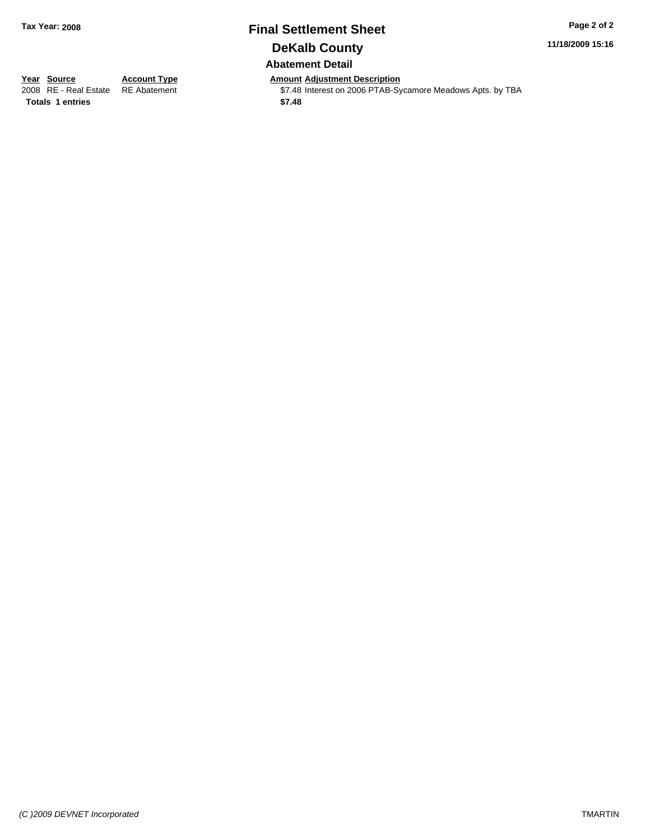### **Final Settlement Sheet Tax Year: 2008 Page 2 of 2 DeKalb County Abatement Detail**

**11/18/2009 15:16**

**Totals \$7.48 1 entries**

**Year Source Account Type Amount Adjustment Description**<br>2008 RE - Real Estate RE Abatement **Adjustment** \$7.48 Interest on 2006 PTAB-Sy \$7.48 Interest on 2006 PTAB-Sycamore Meadows Apts. by TBA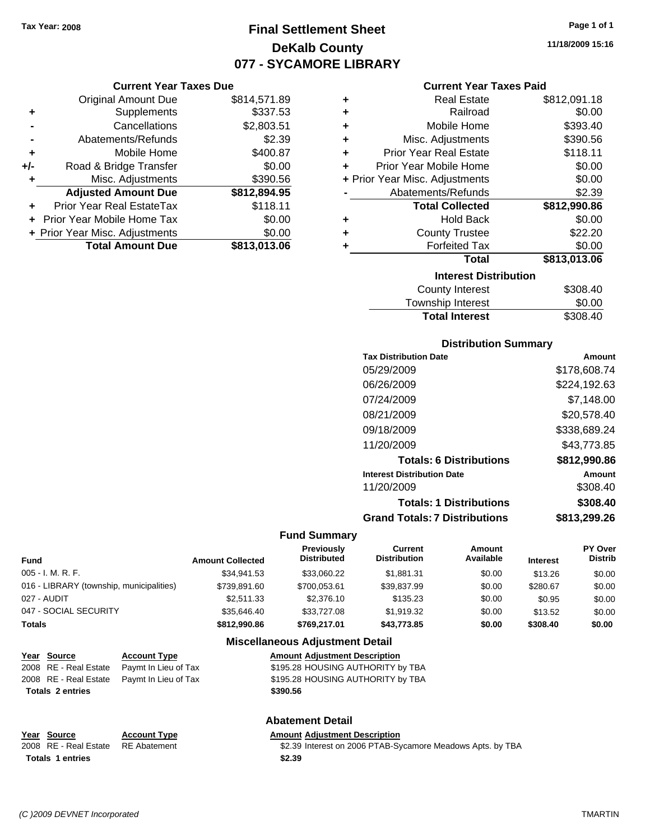### **Final Settlement Sheet Tax Year: 2008 Page 1 of 1 DeKalb County 077 - SYCAMORE LIBRARY**

#### **Current Year Taxes Due**

|       | <b>Original Amount Due</b>        | \$814,571.89 |
|-------|-----------------------------------|--------------|
| ٠     | Supplements                       | \$337.53     |
|       | Cancellations                     | \$2,803.51   |
|       | Abatements/Refunds                | \$2.39       |
| ÷     | Mobile Home                       | \$400.87     |
| $+/-$ | Road & Bridge Transfer            | \$0.00       |
| ٠     | Misc. Adjustments                 | \$390.56     |
|       | <b>Adjusted Amount Due</b>        | \$812,894.95 |
|       | <b>Prior Year Real EstateTax</b>  | \$118.11     |
|       | <b>Prior Year Mobile Home Tax</b> | \$0.00       |
|       | + Prior Year Misc. Adjustments    | \$0.00       |
|       | <b>Total Amount Due</b>           | \$813,013.06 |

#### **Current Year Taxes Paid**

| ٠ | <b>Real Estate</b>             | \$812,091.18 |
|---|--------------------------------|--------------|
| ÷ | Railroad                       | \$0.00       |
| ٠ | Mobile Home                    | \$393.40     |
| ÷ | Misc. Adjustments              | \$390.56     |
| ÷ | <b>Prior Year Real Estate</b>  | \$118.11     |
| ٠ | Prior Year Mobile Home         | \$0.00       |
|   | + Prior Year Misc. Adjustments | \$0.00       |
|   | Abatements/Refunds             | \$2.39       |
|   | <b>Total Collected</b>         | \$812,990.86 |
| ٠ | <b>Hold Back</b>               | \$0.00       |
| ٠ | <b>County Trustee</b>          | \$22.20      |
| ٠ | <b>Forfeited Tax</b>           | \$0.00       |
|   | <b>Total</b>                   | \$813,013.06 |
|   | <b>Interest Distribution</b>   |              |
|   | <b>County Interest</b>         | \$308.40     |
|   | <b>Townehin Interact</b>       | ደስ ሰስ        |

### Township Interest **\$0.00**<br>Total Interest \$308.40 **Total Interest**

#### **Distribution Summary**

| Amount       |
|--------------|
| \$178,608.74 |
| \$224,192.63 |
| \$7.148.00   |
| \$20,578.40  |
| \$338,689.24 |
| \$43.773.85  |
| \$812,990.86 |
| Amount       |
| \$308.40     |
| \$308.40     |
| \$813,299.26 |
|              |

#### **Fund Summary**

| Fund                                     | <b>Amount Collected</b> | <b>Previously</b><br><b>Distributed</b> | Current<br><b>Distribution</b> | Amount<br>Available | <b>Interest</b> | <b>PY Over</b><br><b>Distrib</b> |
|------------------------------------------|-------------------------|-----------------------------------------|--------------------------------|---------------------|-----------------|----------------------------------|
| 005 - I. M. R. F.                        | \$34.941.53             | \$33,060.22                             | \$1.881.31                     | \$0.00              | \$13.26         | \$0.00                           |
| 016 - LIBRARY (township, municipalities) | \$739,891.60            | \$700,053.61                            | \$39,837.99                    | \$0.00              | \$280.67        | \$0.00                           |
| 027 - AUDIT                              | \$2.511.33              | \$2,376.10                              | \$135.23                       | \$0.00              | \$0.95          | \$0.00                           |
| 047 - SOCIAL SECURITY                    | \$35,646.40             | \$33,727.08                             | \$1,919.32                     | \$0.00              | \$13.52         | \$0.00                           |
| Totals                                   | \$812,990.86            | \$769,217.01                            | \$43,773.85                    | \$0.00              | \$308.40        | \$0.00                           |

#### **Miscellaneous Adjustment Detail**

| Year Source             | <b>Account Type</b>                        | <b>Amount Adiustment Description</b> |
|-------------------------|--------------------------------------------|--------------------------------------|
| 2008 RE - Real Estate   | Paymt In Lieu of Tax                       | \$195.28 HOUSING AUTHORITY by TBA    |
|                         | 2008 RE - Real Estate Paymt In Lieu of Tax | \$195.28 HOUSING AUTHORITY by TBA    |
| <b>Totals 2 entries</b> |                                            | \$390.56                             |
|                         |                                            |                                      |

#### **Abatement Detail**

| Year Source                        | <b>Account Type</b> | <b>Amount Adiustment Description</b>                       |
|------------------------------------|---------------------|------------------------------------------------------------|
| 2008 RE - Real Estate RE Abatement |                     | \$2.39 Interest on 2006 PTAB-Sycamore Meadows Apts. by TBA |
| <b>Totals 1 entries</b>            |                     | \$2.39                                                     |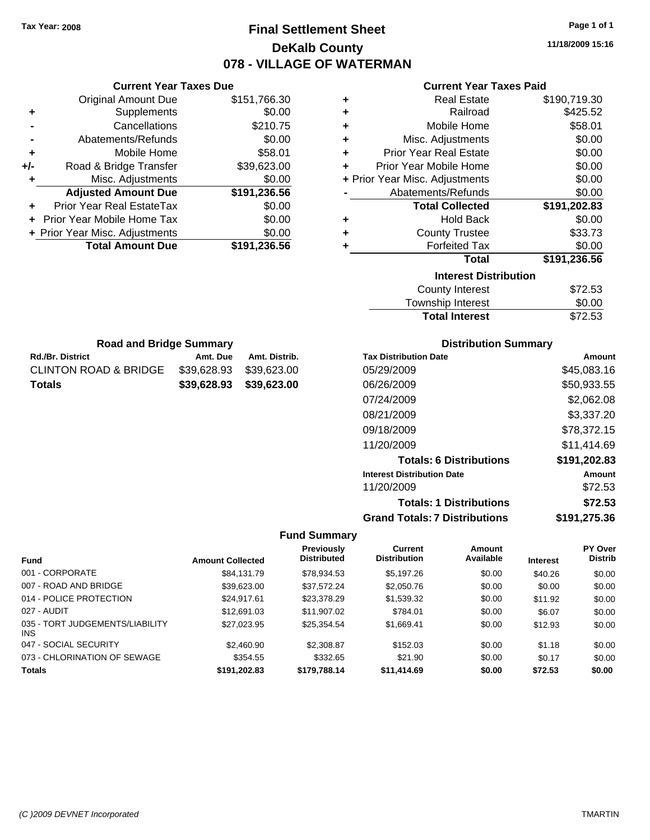**Current Year Taxes Due**

Rd./Br. District **Amt. Due** Amt. Distrib. **Road and Bridge Summary**

CLINTON ROAD & BRIDGE \$39,628.93 \$39,623.00 **Totals \$39,628.93 \$39,623.00**

### **Final Settlement Sheet Tax Year: 2008 Page 1 of 1 DeKalb County 078 - VILLAGE OF WATERMAN**

**11/18/2009 15:16**

#### **Current Year Taxes Paid**

|       | <b>Original Amount Due</b>     | \$151,766.30 | ٠ | <b>Real Estate</b>             | \$190,719.30 |
|-------|--------------------------------|--------------|---|--------------------------------|--------------|
| ٠     | <b>Supplements</b>             | \$0.00       | ٠ | Railroad                       | \$425.52     |
|       | Cancellations                  | \$210.75     | ٠ | Mobile Home                    | \$58.01      |
|       | Abatements/Refunds             | \$0.00       | ٠ | Misc. Adjustments              | \$0.00       |
| ٠     | Mobile Home                    | \$58.01      | ٠ | <b>Prior Year Real Estate</b>  | \$0.00       |
| $+/-$ | Road & Bridge Transfer         | \$39,623.00  | ٠ | Prior Year Mobile Home         | \$0.00       |
| ٠     | Misc. Adjustments              | \$0.00       |   | + Prior Year Misc. Adjustments | \$0.00       |
|       | <b>Adjusted Amount Due</b>     | \$191,236.56 |   | Abatements/Refunds             | \$0.00       |
| ٠     | Prior Year Real EstateTax      | \$0.00       |   | <b>Total Collected</b>         | \$191,202.83 |
|       | Prior Year Mobile Home Tax     | \$0.00       | ٠ | <b>Hold Back</b>               | \$0.00       |
|       | + Prior Year Misc. Adjustments | \$0.00       | ٠ | <b>County Trustee</b>          | \$33.73      |
|       | <b>Total Amount Due</b>        | \$191,236.56 |   | <b>Forfeited Tax</b>           | \$0.00       |
|       |                                |              |   | <b>Total</b>                   | \$191,236.56 |
|       |                                |              |   | <b>Interest Distribution</b>   |              |
|       |                                |              |   | <b>County Interest</b>         | \$72.53      |
|       |                                |              |   |                                |              |

| <b>Total Interest</b>   | \$72.53       |
|-------------------------|---------------|
| Township Interest       | \$0.00        |
| <b>OVATILY THIGHTON</b> | <b>UIL.JU</b> |

| <b>Distribution Summary</b> |  |
|-----------------------------|--|
|-----------------------------|--|

| <b>Tax Distribution Date</b>         | Amount       |
|--------------------------------------|--------------|
| 05/29/2009                           | \$45,083.16  |
| 06/26/2009                           | \$50,933.55  |
| 07/24/2009                           | \$2,062.08   |
| 08/21/2009                           | \$3,337.20   |
| 09/18/2009                           | \$78,372.15  |
| 11/20/2009                           | \$11.414.69  |
| <b>Totals: 6 Distributions</b>       | \$191,202.83 |
| <b>Interest Distribution Date</b>    | Amount       |
| 11/20/2009                           | \$72.53      |
| <b>Totals: 1 Distributions</b>       | \$72.53      |
| <b>Grand Totals: 7 Distributions</b> | \$191.275.36 |

|                                         |                         | <b>Previously</b>  | Current             | Amount    |                 | PY Over        |
|-----------------------------------------|-------------------------|--------------------|---------------------|-----------|-----------------|----------------|
| <b>Fund</b>                             | <b>Amount Collected</b> | <b>Distributed</b> | <b>Distribution</b> | Available | <b>Interest</b> | <b>Distrib</b> |
| 001 - CORPORATE                         | \$84,131,79             | \$78,934.53        | \$5,197.26          | \$0.00    | \$40.26         | \$0.00         |
| 007 - ROAD AND BRIDGE                   | \$39,623.00             | \$37.572.24        | \$2,050.76          | \$0.00    | \$0.00          | \$0.00         |
| 014 - POLICE PROTECTION                 | \$24,917.61             | \$23,378.29        | \$1,539.32          | \$0.00    | \$11.92         | \$0.00         |
| 027 - AUDIT                             | \$12,691.03             | \$11,907.02        | \$784.01            | \$0.00    | \$6.07          | \$0.00         |
| 035 - TORT JUDGEMENTS/LIABILITY<br>INS. | \$27,023.95             | \$25.354.54        | \$1,669.41          | \$0.00    | \$12.93         | \$0.00         |
| 047 - SOCIAL SECURITY                   | \$2,460.90              | \$2,308.87         | \$152.03            | \$0.00    | \$1.18          | \$0.00         |
| 073 - CHLORINATION OF SEWAGE            | \$354.55                | \$332.65           | \$21.90             | \$0.00    | \$0.17          | \$0.00         |
| <b>Totals</b>                           | \$191,202.83            | \$179,788,14       | \$11,414.69         | \$0.00    | \$72.53         | \$0.00         |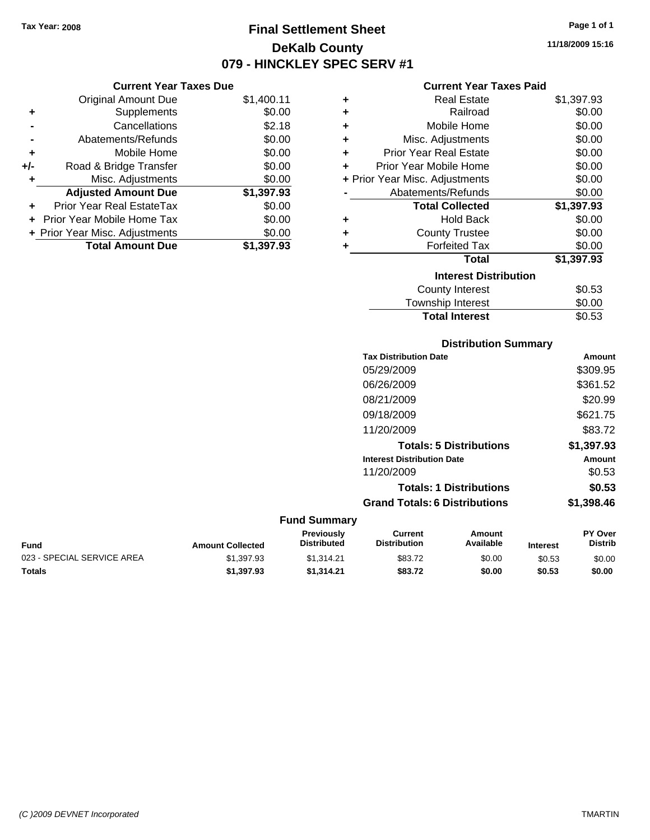**Current Year Taxes Due** Original Amount Due \$1,400.11

**Adjusted Amount Due \$1,397.93**

**Total Amount Due \$1,397.93**

**+** Supplements \$0.00 **-** Cancellations \$2.18 **-** Abatements/Refunds \$0.00 **+** Mobile Home \$0.00 **+/-** Road & Bridge Transfer \$0.00 **+** Misc. Adjustments \$0.00

**+** Prior Year Real EstateTax \$0.00 **+** Prior Year Mobile Home Tax \$0.00 **+ Prior Year Misc. Adjustments**  $$0.00$ 

### **Final Settlement Sheet Tax Year: 2008 Page 1 of 1 DeKalb County 079 - HINCKLEY SPEC SERV #1**

**11/18/2009 15:16**

#### **Current Year Taxes Paid**

| ٠                            | <b>Real Estate</b>             | \$1,397.93 |  |  |
|------------------------------|--------------------------------|------------|--|--|
| ٠                            | Railroad                       | \$0.00     |  |  |
| ÷                            | Mobile Home                    | \$0.00     |  |  |
| ÷                            | Misc. Adjustments              | \$0.00     |  |  |
| ÷                            | <b>Prior Year Real Estate</b>  | \$0.00     |  |  |
| ÷                            | Prior Year Mobile Home         | \$0.00     |  |  |
|                              | + Prior Year Misc. Adjustments | \$0.00     |  |  |
|                              | Abatements/Refunds             | \$0.00     |  |  |
|                              | <b>Total Collected</b>         | \$1,397.93 |  |  |
| ٠                            | <b>Hold Back</b>               | \$0.00     |  |  |
| ÷                            | <b>County Trustee</b>          | \$0.00     |  |  |
| ٠                            | <b>Forfeited Tax</b>           | \$0.00     |  |  |
|                              | Total                          | \$1,397.93 |  |  |
| <b>Interest Distribution</b> |                                |            |  |  |
|                              | County Interest                | \$0.53     |  |  |
|                              | Townshin Interest              | ደ0 00      |  |  |

| <b>Total Interest</b> | \$0.53 |
|-----------------------|--------|
| Township Interest     | \$0.00 |
| County Interest       | \$0.53 |

#### **Distribution Summary**

| <b>Tax Distribution Date</b>         | Amount     |
|--------------------------------------|------------|
| 05/29/2009                           | \$309.95   |
| 06/26/2009                           | \$361.52   |
| 08/21/2009                           | \$20.99    |
| 09/18/2009                           | \$621.75   |
| 11/20/2009                           | \$83.72    |
| <b>Totals: 5 Distributions</b>       | \$1,397.93 |
| <b>Interest Distribution Date</b>    | Amount     |
| 11/20/2009                           | \$0.53     |
| <b>Totals: 1 Distributions</b>       | \$0.53     |
| <b>Grand Totals: 6 Distributions</b> | \$1,398.46 |
|                                      |            |

| <b>Fund</b>                | <b>Amount Collected</b> | Previouslv<br><b>Distributed</b> | Current<br>Distribution | Amount<br>Available | <b>Interest</b> | PY Over<br>Distrib |
|----------------------------|-------------------------|----------------------------------|-------------------------|---------------------|-----------------|--------------------|
| 023 - SPECIAL SERVICE AREA | \$1,397.93              | \$1.314.21                       | \$83.72                 | \$0.00              | \$0.53          | \$0.00             |
| <b>Totals</b>              | \$1,397.93              | \$1.314.21                       | \$83.72                 | \$0.00              | \$0.53          | \$0.00             |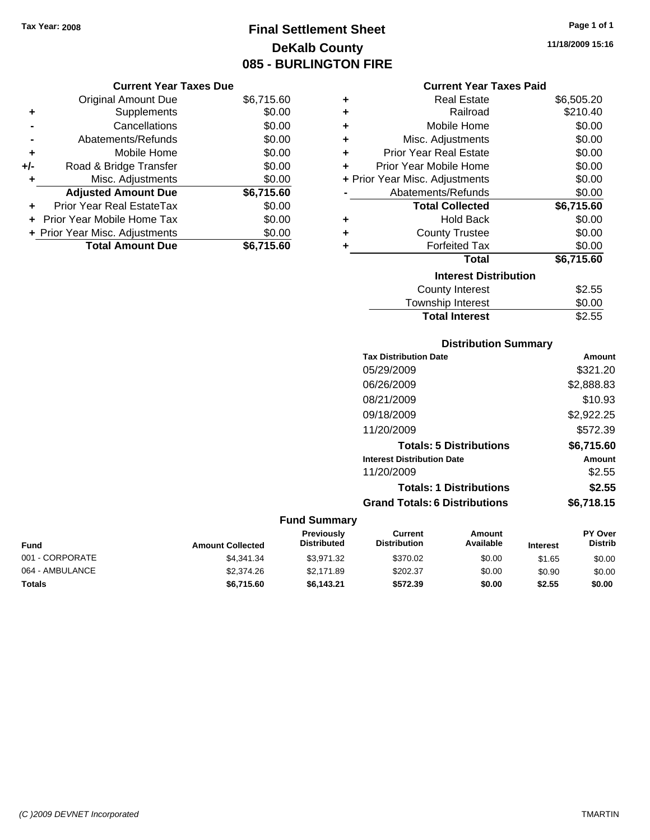## **Final Settlement Sheet Tax Year: 2008 Page 1 of 1 DeKalb County 085 - BURLINGTON FIRE**

**11/18/2009 15:16**

#### **Current Year Taxes Paid**

| ٠ | <b>Real Estate</b>             | \$6,505.20 |
|---|--------------------------------|------------|
| ÷ | Railroad                       | \$210.40   |
| ÷ | Mobile Home                    | \$0.00     |
| ÷ | Misc. Adjustments              | \$0.00     |
| ÷ | <b>Prior Year Real Estate</b>  | \$0.00     |
| ÷ | Prior Year Mobile Home         | \$0.00     |
|   | + Prior Year Misc. Adjustments | \$0.00     |
|   | Abatements/Refunds             | \$0.00     |
|   | <b>Total Collected</b>         | \$6,715.60 |
| ٠ | <b>Hold Back</b>               | \$0.00     |
| ÷ | <b>County Trustee</b>          | \$0.00     |
| ٠ | <b>Forfeited Tax</b>           | \$0.00     |
|   | Total                          | \$6,715.60 |
|   | <b>Interest Distribution</b>   |            |
|   | <b>County Interest</b>         | \$2.55     |
|   | <b>Township Interest</b>       | \$0.00     |

# **Distribution Summary**

Total Interest **\$2.55** 

| <b>Tax Distribution Date</b>         | Amount     |
|--------------------------------------|------------|
| 05/29/2009                           | \$321.20   |
| 06/26/2009                           | \$2,888.83 |
| 08/21/2009                           | \$10.93    |
| 09/18/2009                           | \$2,922.25 |
| 11/20/2009                           | \$572.39   |
| <b>Totals: 5 Distributions</b>       | \$6,715.60 |
| <b>Interest Distribution Date</b>    | Amount     |
| 11/20/2009                           | \$2.55     |
| <b>Totals: 1 Distributions</b>       | \$2.55     |
| <b>Grand Totals: 6 Distributions</b> | \$6,718.15 |

#### **Fund Summary**

| Fund            | <b>Amount Collected</b> | <b>Previously</b><br><b>Distributed</b> | Current<br><b>Distribution</b> | Amount<br>Available | <b>Interest</b> | <b>PY Over</b><br><b>Distrib</b> |
|-----------------|-------------------------|-----------------------------------------|--------------------------------|---------------------|-----------------|----------------------------------|
| 001 - CORPORATE | \$4.341.34              | \$3.971.32                              | \$370.02                       | \$0.00              | \$1.65          | \$0.00                           |
| 064 - AMBULANCE | \$2,374.26              | \$2.171.89                              | \$202.37                       | \$0.00              | \$0.90          | \$0.00                           |
| <b>Totals</b>   | \$6.715.60              | \$6.143.21                              | \$572.39                       | \$0.00              | \$2.55          | \$0.00                           |

#### Total Amount Due \$6,715.60

**Current Year Taxes Due** Original Amount Due \$6,715.60

**Adjusted Amount Due \$6,715.60**

**+** Supplements \$0.00 **-** Cancellations \$0.00 **-** Abatements/Refunds \$0.00 **+** Mobile Home \$0.00 **+/-** Road & Bridge Transfer \$0.00 **+** Misc. Adjustments \$0.00

**+** Prior Year Real EstateTax \$0.00 **+** Prior Year Mobile Home Tax \$0.00 **+ Prior Year Misc. Adjustments**  $$0.00$ 

*(C )2009 DEVNET Incorporated* TMARTIN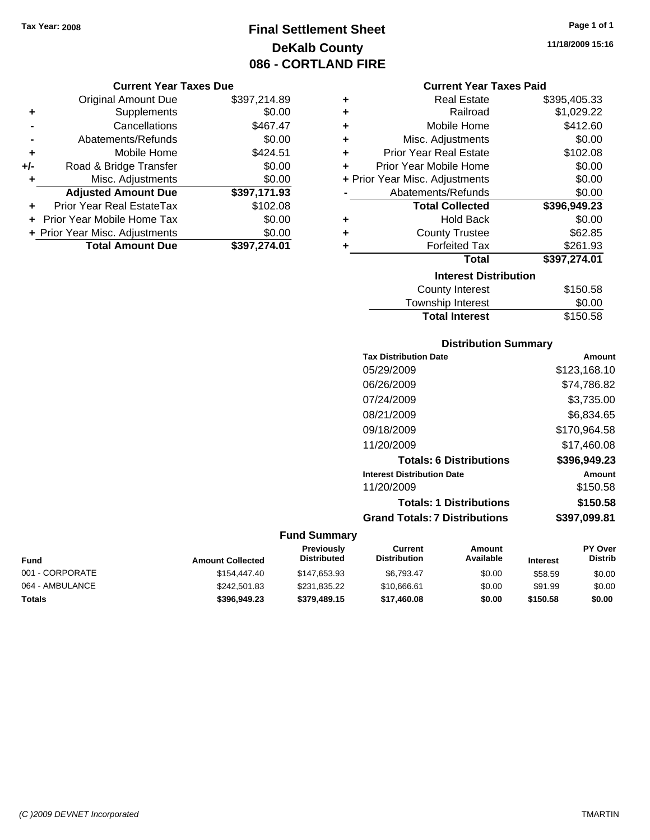### **Final Settlement Sheet Tax Year: 2008 Page 1 of 1 DeKalb County 086 - CORTLAND FIRE**

#### **Current Year Taxes Due**

|       | <b>Original Amount Due</b>     | \$397,214.89 |
|-------|--------------------------------|--------------|
| ٠     | Supplements                    | \$0.00       |
|       | Cancellations                  | \$467.47     |
|       | Abatements/Refunds             | \$0.00       |
| ÷     | Mobile Home                    | \$424.51     |
| $+/-$ | Road & Bridge Transfer         | \$0.00       |
| ٠     | Misc. Adjustments              | \$0.00       |
|       | <b>Adjusted Amount Due</b>     | \$397,171.93 |
|       | Prior Year Real EstateTax      | \$102.08     |
|       | Prior Year Mobile Home Tax     | \$0.00       |
|       | + Prior Year Misc. Adjustments | \$0.00       |
|       | <b>Total Amount Due</b>        | \$397,274.01 |

#### **Current Year Taxes Paid**

| ٠ | <b>Real Estate</b>             | \$395,405.33 |
|---|--------------------------------|--------------|
| ÷ | Railroad                       | \$1,029.22   |
| ÷ | Mobile Home                    | \$412.60     |
| ÷ | Misc. Adjustments              | \$0.00       |
| ٠ | <b>Prior Year Real Estate</b>  | \$102.08     |
| ٠ | Prior Year Mobile Home         | \$0.00       |
|   | + Prior Year Misc. Adjustments | \$0.00       |
|   | Abatements/Refunds             | \$0.00       |
|   | <b>Total Collected</b>         | \$396,949.23 |
| ٠ | <b>Hold Back</b>               | \$0.00       |
| ٠ | <b>County Trustee</b>          | \$62.85      |
| ٠ | <b>Forfeited Tax</b>           | \$261.93     |
|   | Total                          | \$397,274.01 |
|   | <b>Interest Distribution</b>   |              |
|   | <b>County Interest</b>         | \$150.58     |
|   | <b>Township Interest</b>       | \$0.00       |
|   | <b>Total Interest</b>          | \$150.58     |

#### **Distribution Summary**

#### **Fund Summary**

| <b>Fund</b>     | <b>Amount Collected</b> | <b>Previously</b><br><b>Distributed</b> | Current<br><b>Distribution</b> | Amount<br>Available | <b>Interest</b> | <b>PY Over</b><br><b>Distrib</b> |
|-----------------|-------------------------|-----------------------------------------|--------------------------------|---------------------|-----------------|----------------------------------|
| 001 - CORPORATE | \$154,447.40            | \$147,653.93                            | \$6.793.47                     | \$0.00              | \$58.59         | \$0.00                           |
| 064 - AMBULANCE | \$242,501.83            | \$231,835.22                            | \$10.666.61                    | \$0.00              | \$91.99         | \$0.00                           |
| <b>Totals</b>   | \$396,949.23            | \$379,489.15                            | \$17,460.08                    | \$0.00              | \$150.58        | \$0.00                           |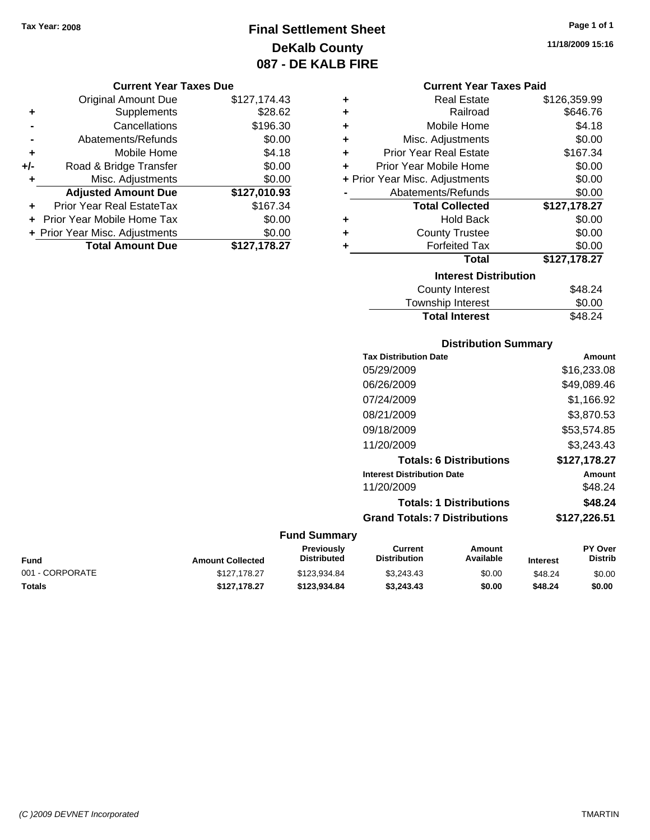### **Final Settlement Sheet Tax Year: 2008 Page 1 of 1 DeKalb County 087 - DE KALB FIRE**

#### **Current Year Taxes Due**

|     | <b>Original Amount Due</b>     | \$127,174.43 |
|-----|--------------------------------|--------------|
| ٠   | Supplements                    | \$28.62      |
|     | Cancellations                  | \$196.30     |
|     | Abatements/Refunds             | \$0.00       |
| ٠   | Mobile Home                    | \$4.18       |
| +/- | Road & Bridge Transfer         | \$0.00       |
| ٠   | Misc. Adjustments              | \$0.00       |
|     | <b>Adjusted Amount Due</b>     | \$127,010.93 |
|     | Prior Year Real EstateTax      | \$167.34     |
|     | Prior Year Mobile Home Tax     | \$0.00       |
|     | + Prior Year Misc. Adjustments | \$0.00       |
|     | <b>Total Amount Due</b>        | \$127,178.27 |

#### **Current Year Taxes Paid**

| ٠ | <b>Real Estate</b>             | \$126,359.99 |
|---|--------------------------------|--------------|
| ÷ | Railroad                       | \$646.76     |
| ٠ | Mobile Home                    | \$4.18       |
| ٠ | Misc. Adjustments              | \$0.00       |
| ÷ | <b>Prior Year Real Estate</b>  | \$167.34     |
| ٠ | Prior Year Mobile Home         | \$0.00       |
|   | + Prior Year Misc. Adjustments | \$0.00       |
|   | Abatements/Refunds             | \$0.00       |
|   | <b>Total Collected</b>         | \$127,178.27 |
| ٠ | <b>Hold Back</b>               | \$0.00       |
| ٠ | <b>County Trustee</b>          | \$0.00       |
| ٠ | <b>Forfeited Tax</b>           | \$0.00       |
|   | Total                          | \$127,178.27 |
|   | <b>Interest Distribution</b>   |              |
|   | <b>County Interest</b>         | \$48.24      |
|   | <b>Township Interest</b>       | \$0.00       |
|   | <b>Total Interest</b>          | \$48.24      |

# **Distribution Summary**

| Amount       |
|--------------|
| \$16.233.08  |
| \$49,089.46  |
| \$1,166.92   |
| \$3,870.53   |
| \$53,574.85  |
| \$3.243.43   |
| \$127,178.27 |
| Amount       |
| \$48.24      |
| \$48.24      |
| \$127,226.51 |
|              |

#### **Fund Summary**

| Fund            | <b>Amount Collected</b> | <b>Previously</b><br>Distributed | Current<br><b>Distribution</b> | Amount<br>Available | <b>Interest</b> | <b>PY Over</b><br><b>Distrib</b> |
|-----------------|-------------------------|----------------------------------|--------------------------------|---------------------|-----------------|----------------------------------|
| 001 - CORPORATE | \$127.178.27            | \$123.934.84                     | \$3.243.43                     | \$0.00              | \$48.24         | \$0.00                           |
| Totals          | \$127.178.27            | \$123.934.84                     | \$3.243.43                     | \$0.00              | \$48.24         | \$0.00                           |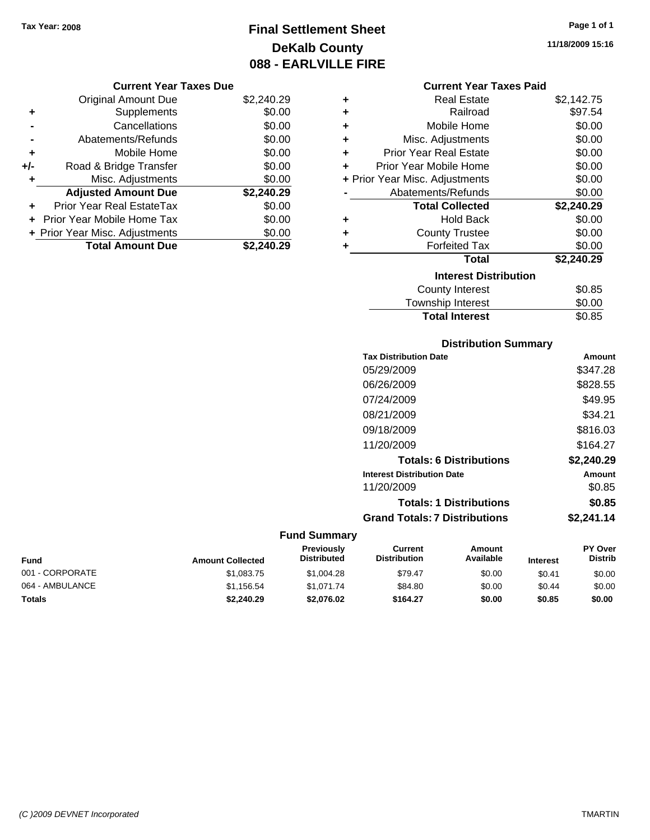## **Final Settlement Sheet Tax Year: 2008 Page 1 of 1 DeKalb County 088 - EARLVILLE FIRE**

**11/18/2009 15:16**

|     | <b>Original Amount Due</b>        | \$2,240.29 |
|-----|-----------------------------------|------------|
| ٠   | Supplements                       | \$0.00     |
|     | Cancellations                     | \$0.00     |
|     | Abatements/Refunds                | \$0.00     |
| ٠   | Mobile Home                       | \$0.00     |
| +/- | Road & Bridge Transfer            | \$0.00     |
| ٠   | Misc. Adjustments                 | \$0.00     |
|     | <b>Adjusted Amount Due</b>        | \$2,240.29 |
|     | <b>Prior Year Real EstateTax</b>  | \$0.00     |
|     | <b>Prior Year Mobile Home Tax</b> | \$0.00     |
|     | + Prior Year Misc. Adjustments    | \$0.00     |
|     | <b>Total Amount Due</b>           | \$2.240.29 |

### **Current Year Taxes Paid**

| ٠ | Real Estate                    | \$2,142.75 |
|---|--------------------------------|------------|
| ٠ | Railroad                       | \$97.54    |
| ٠ | Mobile Home                    | \$0.00     |
| ٠ | Misc. Adjustments              | \$0.00     |
| ÷ | <b>Prior Year Real Estate</b>  | \$0.00     |
| ÷ | Prior Year Mobile Home         | \$0.00     |
|   | + Prior Year Misc. Adjustments | \$0.00     |
|   | Abatements/Refunds             | \$0.00     |
|   |                                |            |
|   | <b>Total Collected</b>         | \$2,240.29 |
| ٠ | <b>Hold Back</b>               | \$0.00     |
| ٠ | <b>County Trustee</b>          | \$0.00     |
| ٠ | <b>Forfeited Tax</b>           | \$0.00     |
|   | <b>Total</b>                   | \$2,240.29 |
|   | <b>Interest Distribution</b>   |            |
|   | County Interest                | \$0.85     |

### Township Interest \$0.00 **Total Interest**

#### **Distribution Summary**

| <b>Tax Distribution Date</b>         | Amount     |
|--------------------------------------|------------|
| 05/29/2009                           | \$347.28   |
| 06/26/2009                           | \$828.55   |
| 07/24/2009                           | \$49.95    |
| 08/21/2009                           | \$34.21    |
| 09/18/2009                           | \$816.03   |
| 11/20/2009                           | \$164.27   |
| <b>Totals: 6 Distributions</b>       | \$2,240.29 |
| <b>Interest Distribution Date</b>    | Amount     |
| 11/20/2009                           | \$0.85     |
| <b>Totals: 1 Distributions</b>       | \$0.85     |
| <b>Grand Totals: 7 Distributions</b> | \$2,241.14 |
|                                      |            |

| Fund            | <b>Amount Collected</b> | <b>Previously</b><br><b>Distributed</b> | Current<br><b>Distribution</b> | Amount<br>Available | <b>Interest</b> | <b>PY Over</b><br><b>Distrib</b> |
|-----------------|-------------------------|-----------------------------------------|--------------------------------|---------------------|-----------------|----------------------------------|
| 001 - CORPORATE | \$1.083.75              | \$1,004.28                              | \$79.47                        | \$0.00              | \$0.41          | \$0.00                           |
| 064 - AMBULANCE | \$1.156.54              | \$1.071.74                              | \$84.80                        | \$0.00              | \$0.44          | \$0.00                           |
| <b>Totals</b>   | \$2,240.29              | \$2,076.02                              | \$164.27                       | \$0.00              | \$0.85          | \$0.00                           |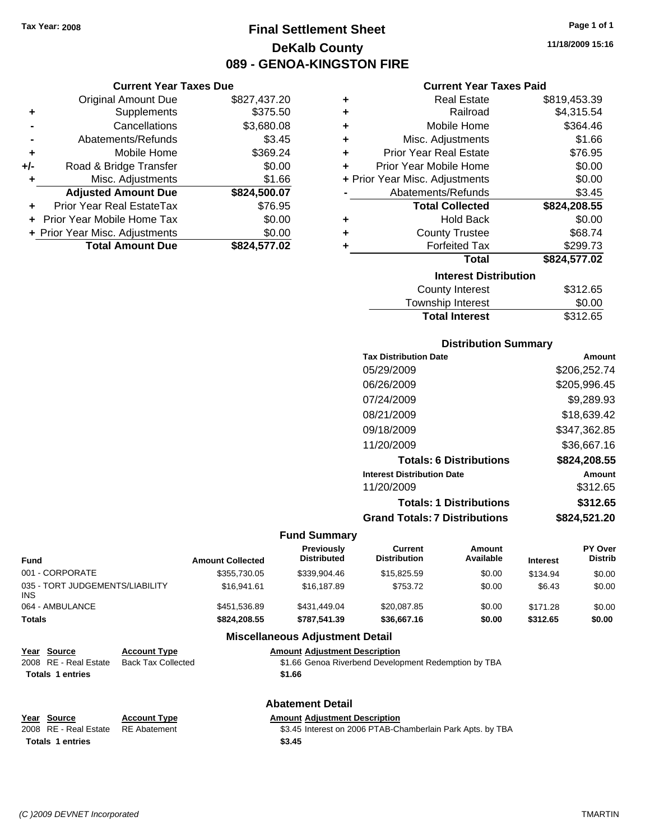**Current Year Taxes Due** Original Amount Due \$827,437.20

**Adjusted Amount Due \$824,500.07**

**Total Amount Due \$824,577.02**

**+** Supplements \$375.50 **-** Cancellations \$3,680.08 **-** Abatements/Refunds \$3.45 **+** Mobile Home \$369.24 **+/-** Road & Bridge Transfer \$0.00 **+** Misc. Adjustments \$1.66

**+** Prior Year Real EstateTax \$76.95 **+** Prior Year Mobile Home Tax \$0.00 **+ Prior Year Misc. Adjustments**  $$0.00$ 

### **Final Settlement Sheet Tax Year: 2008 Page 1 of 1 DeKalb County 089 - GENOA-KINGSTON FIRE**

**11/18/2009 15:16**

#### **Current Year Taxes Paid**

| ٠ | <b>Real Estate</b>             | \$819,453.39 |
|---|--------------------------------|--------------|
| ÷ | Railroad                       | \$4,315.54   |
| ÷ | Mobile Home                    | \$364.46     |
| ÷ | Misc. Adjustments              | \$1.66       |
| ÷ | <b>Prior Year Real Estate</b>  | \$76.95      |
| ٠ | Prior Year Mobile Home         | \$0.00       |
|   | + Prior Year Misc. Adjustments | \$0.00       |
|   | Abatements/Refunds             | \$3.45       |
|   | <b>Total Collected</b>         | \$824,208.55 |
| ٠ | <b>Hold Back</b>               | \$0.00       |
| ٠ | <b>County Trustee</b>          | \$68.74      |
| ÷ | <b>Forfeited Tax</b>           | \$299.73     |
|   | <b>Total</b>                   | \$824,577.02 |
|   | <b>Interest Distribution</b>   |              |
|   | <b>County Interest</b>         | \$312.65     |
|   | <b>Township Interest</b>       | \$0.00       |

**Total Interest** \$312.65

| <b>Distribution Summary</b>          |              |  |
|--------------------------------------|--------------|--|
| <b>Tax Distribution Date</b>         | Amount       |  |
| 05/29/2009                           | \$206,252.74 |  |
| 06/26/2009                           | \$205,996.45 |  |
| 07/24/2009                           | \$9.289.93   |  |
| 08/21/2009                           | \$18.639.42  |  |
| 09/18/2009                           | \$347,362.85 |  |
| 11/20/2009                           | \$36,667.16  |  |
| <b>Totals: 6 Distributions</b>       | \$824,208.55 |  |
| <b>Interest Distribution Date</b>    | Amount       |  |
| 11/20/2009                           | \$312.65     |  |
| <b>Totals: 1 Distributions</b>       | \$312.65     |  |
| <b>Grand Totals: 7 Distributions</b> | \$824,521.20 |  |

#### **Fund Summary**

| <b>Fund</b>                             | <b>Amount Collected</b> | Previously<br><b>Distributed</b>       | Current<br><b>Distribution</b> | Amount<br>Available | <b>Interest</b> | PY Over<br><b>Distrib</b> |
|-----------------------------------------|-------------------------|----------------------------------------|--------------------------------|---------------------|-----------------|---------------------------|
| 001 - CORPORATE                         | \$355,730.05            | \$339,904.46                           | \$15,825,59                    | \$0.00              | \$134.94        | \$0.00                    |
| 035 - TORT JUDGEMENTS/LIABILITY<br>INS. | \$16,941.61             | \$16,187.89                            | \$753.72                       | \$0.00              | \$6.43          | \$0.00                    |
| 064 - AMBULANCE                         | \$451.536.89            | \$431.449.04                           | \$20.087.85                    | \$0.00              | \$171.28        | \$0.00                    |
| Totals                                  | \$824,208,55            | \$787.541.39                           | \$36,667.16                    | \$0.00              | \$312.65        | \$0.00                    |
|                                         |                         | <b>Miscellaneous Adjustment Detail</b> |                                |                     |                 |                           |

| Year Source             | <b>Account Type</b> | <b>Amount Adjustment Description</b>                 |
|-------------------------|---------------------|------------------------------------------------------|
| 2008 RE - Real Estate   | Back Tax Collected  | \$1.66 Genoa Riverbend Development Redemption by TBA |
| <b>Totals 1 entries</b> |                     | \$1.66                                               |
|                         |                     |                                                      |

#### **Abatement Detail**

| Year Source                        | <b>Account Type</b> | <b>Amount</b> |
|------------------------------------|---------------------|---------------|
| 2008 RE - Real Estate RE Abatement |                     | \$3.45        |

**Adjustment Description** Interest on 2006 PTAB-Chamberlain Park Apts. by TBA **Totals \$3.45 1 entries**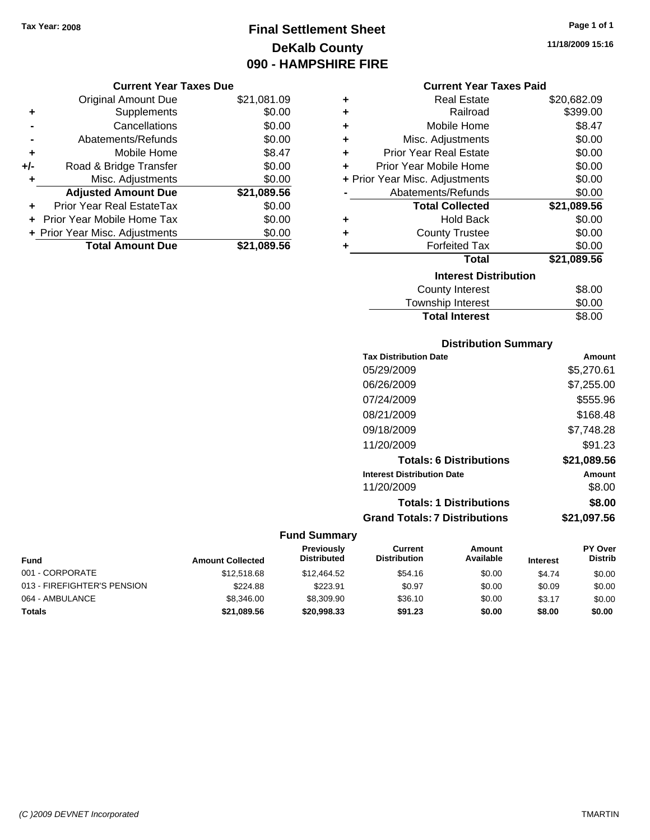## **Final Settlement Sheet Tax Year: 2008 Page 1 of 1 DeKalb County 090 - HAMPSHIRE FIRE**

#### **Current Year Taxes Due**

|     | <b>Original Amount Due</b>     | \$21,081.09 |
|-----|--------------------------------|-------------|
| ٠   | Supplements                    | \$0.00      |
|     | Cancellations                  | \$0.00      |
|     | Abatements/Refunds             | \$0.00      |
| ٠   | Mobile Home                    | \$8.47      |
| +/- | Road & Bridge Transfer         | \$0.00      |
| ٠   | Misc. Adjustments              | \$0.00      |
|     | <b>Adjusted Amount Due</b>     | \$21,089.56 |
|     | Prior Year Real EstateTax      | \$0.00      |
|     | Prior Year Mobile Home Tax     | \$0.00      |
|     | + Prior Year Misc. Adjustments | \$0.00      |
|     | <b>Total Amount Due</b>        | \$21,089.56 |

#### **Current Year Taxes Paid**

| ٠ | <b>Real Estate</b>             | \$20,682.09 |
|---|--------------------------------|-------------|
| ٠ | Railroad                       | \$399.00    |
| ٠ | Mobile Home                    | \$8.47      |
| ٠ | Misc. Adjustments              | \$0.00      |
| ٠ | <b>Prior Year Real Estate</b>  | \$0.00      |
| ٠ | Prior Year Mobile Home         | \$0.00      |
|   | + Prior Year Misc. Adjustments | \$0.00      |
|   | Abatements/Refunds             | \$0.00      |
|   | <b>Total Collected</b>         | \$21,089.56 |
| ٠ | <b>Hold Back</b>               | \$0.00      |
| ÷ | <b>County Trustee</b>          | \$0.00      |
| ٠ | <b>Forfeited Tax</b>           | \$0.00      |
|   | Total                          | \$21,089.56 |
|   | <b>Interest Distribution</b>   |             |
|   | <b>County Interest</b>         | \$8.00      |
|   | <b>Township Interest</b>       | \$0.00      |
|   | <b>Total Interest</b>          | \$8.00      |

#### **Distribution Summary**

| Amount      |
|-------------|
| \$5,270.61  |
| \$7,255.00  |
| \$555.96    |
| \$168.48    |
| \$7,748.28  |
| \$91.23     |
| \$21,089.56 |
| Amount      |
| \$8.00      |
| \$8.00      |
| \$21.097.56 |
|             |

| <b>Fund</b>                 | <b>Amount Collected</b> | Previously<br><b>Distributed</b> | Current<br><b>Distribution</b> | Amount<br>Available | <b>Interest</b> | <b>PY Over</b><br><b>Distrib</b> |
|-----------------------------|-------------------------|----------------------------------|--------------------------------|---------------------|-----------------|----------------------------------|
| 001 - CORPORATE             | \$12,518.68             | \$12,464.52                      | \$54.16                        | \$0.00              | \$4.74          | \$0.00                           |
| 013 - FIREFIGHTER'S PENSION | \$224.88                | \$223.91                         | \$0.97                         | \$0.00              | \$0.09          | \$0.00                           |
| 064 - AMBULANCE             | \$8,346,00              | \$8.309.90                       | \$36.10                        | \$0.00              | \$3.17          | \$0.00                           |
| <b>Totals</b>               | \$21,089.56             | \$20,998.33                      | \$91.23                        | \$0.00              | \$8.00          | \$0.00                           |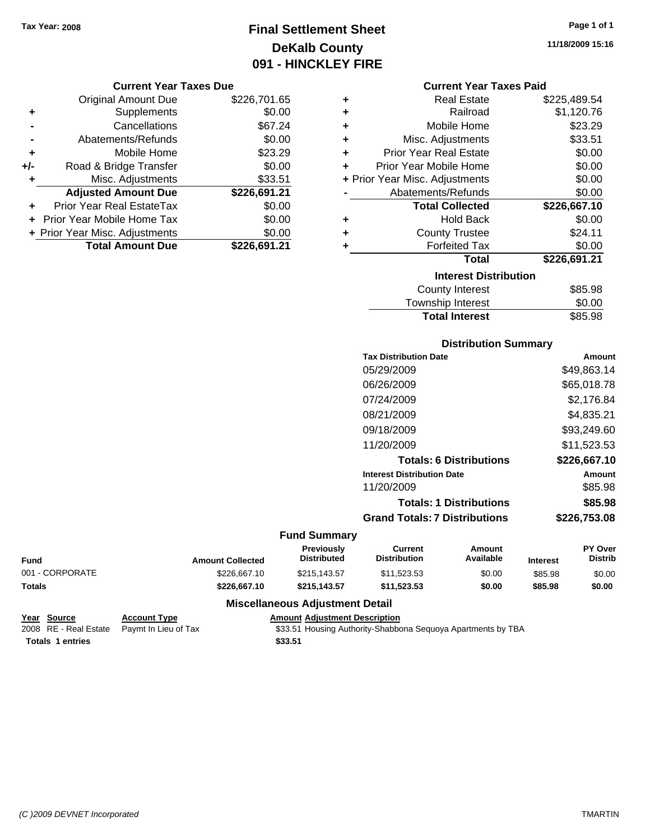## **Final Settlement Sheet Tax Year: 2008 Page 1 of 1 DeKalb County 091 - HINCKLEY FIRE**

#### **Current Year Taxes Due**

|       | <b>Original Amount Due</b>       | \$226,701.65 |
|-------|----------------------------------|--------------|
| ٠     | Supplements                      | \$0.00       |
|       | Cancellations                    | \$67.24      |
|       | Abatements/Refunds               | \$0.00       |
| ÷     | Mobile Home                      | \$23.29      |
| $+/-$ | Road & Bridge Transfer           | \$0.00       |
| ٠     | Misc. Adjustments                | \$33.51      |
|       | <b>Adjusted Amount Due</b>       | \$226,691.21 |
|       | <b>Prior Year Real EstateTax</b> | \$0.00       |
|       | Prior Year Mobile Home Tax       | \$0.00       |
|       | + Prior Year Misc. Adjustments   | \$0.00       |
|       | <b>Total Amount Due</b>          | \$226.691.21 |

#### **Current Year Taxes Paid**

| ٠ | <b>Real Estate</b>             | \$225,489.54 |
|---|--------------------------------|--------------|
| ٠ | Railroad                       | \$1,120.76   |
| ٠ | Mobile Home                    | \$23.29      |
| ٠ | Misc. Adjustments              | \$33.51      |
| ÷ | <b>Prior Year Real Estate</b>  | \$0.00       |
| ÷ | Prior Year Mobile Home         | \$0.00       |
|   | + Prior Year Misc. Adjustments | \$0.00       |
|   | Abatements/Refunds             | \$0.00       |
|   |                                |              |
|   | <b>Total Collected</b>         | \$226,667.10 |
| ٠ | <b>Hold Back</b>               | \$0.00       |
| ٠ | <b>County Trustee</b>          | \$24.11      |
| ٠ | <b>Forfeited Tax</b>           | \$0.00       |
|   | <b>Total</b>                   | \$226,691.21 |
|   | <b>Interest Distribution</b>   |              |
|   | <b>County Interest</b>         | \$85.98      |

#### Township Interest  $$0.00$ Total Interest **\$85.98**

### **Distribution Summary**

| <b>Tax Distribution Date</b>         | Amount       |
|--------------------------------------|--------------|
| 05/29/2009                           | \$49,863.14  |
| 06/26/2009                           | \$65,018.78  |
| 07/24/2009                           | \$2.176.84   |
| 08/21/2009                           | \$4.835.21   |
| 09/18/2009                           | \$93,249.60  |
| 11/20/2009                           | \$11.523.53  |
| <b>Totals: 6 Distributions</b>       | \$226.667.10 |
| <b>Interest Distribution Date</b>    | Amount       |
| 11/20/2009                           | \$85.98      |
| <b>Totals: 1 Distributions</b>       | \$85.98      |
| <b>Grand Totals: 7 Distributions</b> | \$226,753,08 |
|                                      |              |

#### **Fund Summary**

| <b>Fund</b>     | <b>Amount Collected</b> | <b>Previously</b><br><b>Distributed</b> | Current<br><b>Distribution</b> | Amount<br>Available | <b>Interest</b> | <b>PY Over</b><br><b>Distrib</b> |
|-----------------|-------------------------|-----------------------------------------|--------------------------------|---------------------|-----------------|----------------------------------|
| 001 - CORPORATE | \$226,667.10            | \$215.143.57                            | \$11.523.53                    | \$0.00              | \$85.98         | \$0.00                           |
| <b>Totals</b>   | \$226,667.10            | \$215.143.57                            | \$11.523.53                    | \$0.00              | \$85.98         | \$0.00                           |

#### **Miscellaneous Adjustment Detail**

**Year Source Account Type Amount Adjustment Description Totals 1 entries** \$33.51

2008 RE - Real Estate Paymt In Lieu of Tax **\$33.51 Housing Authority-Shabbona Sequoya Apartments by TBA**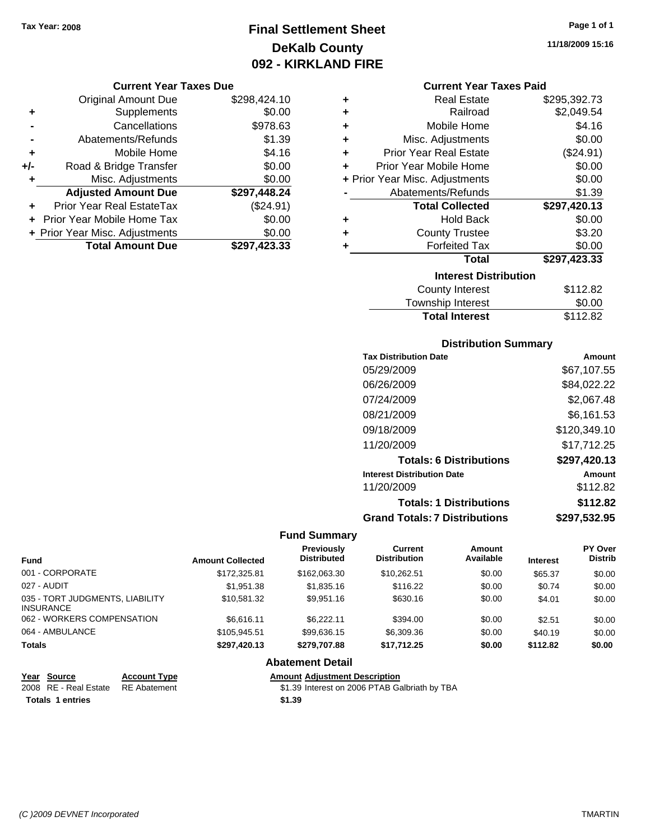### **Final Settlement Sheet Tax Year: 2008 Page 1 of 1 DeKalb County 092 - KIRKLAND FIRE**

#### **Current Year Taxes Due**

|       | <b>Original Amount Due</b>     | \$298,424.10 |
|-------|--------------------------------|--------------|
| ٠     | Supplements                    | \$0.00       |
|       | Cancellations                  | \$978.63     |
|       | Abatements/Refunds             | \$1.39       |
| ÷     | Mobile Home                    | \$4.16       |
| $+/-$ | Road & Bridge Transfer         | \$0.00       |
| ٠     | Misc. Adjustments              | \$0.00       |
|       | <b>Adjusted Amount Due</b>     | \$297,448.24 |
|       | Prior Year Real EstateTax      | (\$24.91)    |
|       | Prior Year Mobile Home Tax     | \$0.00       |
|       | + Prior Year Misc. Adjustments | \$0.00       |
|       | <b>Total Amount Due</b>        | \$297,423.33 |

#### **Current Year Taxes Paid**

| ٠                            | Real Estate                    | \$295,392.73 |  |  |  |
|------------------------------|--------------------------------|--------------|--|--|--|
| ٠                            | Railroad                       | \$2,049.54   |  |  |  |
| ٠                            | Mobile Home                    | \$4.16       |  |  |  |
| ٠                            | Misc. Adjustments              | \$0.00       |  |  |  |
| ٠                            | <b>Prior Year Real Estate</b>  | (\$24.91)    |  |  |  |
| ٠                            | Prior Year Mobile Home         | \$0.00       |  |  |  |
|                              | + Prior Year Misc. Adjustments | \$0.00       |  |  |  |
|                              | Abatements/Refunds             | \$1.39       |  |  |  |
|                              | <b>Total Collected</b>         | \$297,420.13 |  |  |  |
| ٠                            | <b>Hold Back</b>               | \$0.00       |  |  |  |
| ٠                            | <b>County Trustee</b>          | \$3.20       |  |  |  |
| ٠                            | <b>Forfeited Tax</b>           | \$0.00       |  |  |  |
|                              | Total                          | \$297,423.33 |  |  |  |
| <b>Interest Distribution</b> |                                |              |  |  |  |
|                              | <b>County Interest</b>         | \$112.82     |  |  |  |
|                              | <b>Township Interest</b>       | \$0.00       |  |  |  |
|                              | <b>Total Interest</b>          | \$112.82     |  |  |  |

#### **Distribution Summary**

| <b>Tax Distribution Date</b>         | Amount       |
|--------------------------------------|--------------|
| 05/29/2009                           | \$67,107.55  |
| 06/26/2009                           | \$84,022.22  |
| 07/24/2009                           | \$2,067.48   |
| 08/21/2009                           | \$6,161.53   |
| 09/18/2009                           | \$120,349.10 |
| 11/20/2009                           | \$17,712.25  |
| <b>Totals: 6 Distributions</b>       | \$297,420.13 |
| <b>Interest Distribution Date</b>    | Amount       |
| 11/20/2009                           | \$112.82     |
| <b>Totals: 1 Distributions</b>       | \$112.82     |
| <b>Grand Totals: 7 Distributions</b> | \$297,532.95 |

#### **Fund Summary**

| <b>Fund</b>                                         | <b>Amount Collected</b> | <b>Previously</b><br><b>Distributed</b> | Current<br><b>Distribution</b> | Amount<br>Available | <b>Interest</b> | <b>PY Over</b><br><b>Distrib</b> |
|-----------------------------------------------------|-------------------------|-----------------------------------------|--------------------------------|---------------------|-----------------|----------------------------------|
| 001 - CORPORATE                                     | \$172,325.81            | \$162,063,30                            | \$10.262.51                    | \$0.00              | \$65.37         | \$0.00                           |
| 027 - AUDIT                                         | \$1.951.38              | \$1,835.16                              | \$116.22                       | \$0.00              | \$0.74          | \$0.00                           |
| 035 - TORT JUDGMENTS, LIABILITY<br><b>INSURANCE</b> | \$10.581.32             | \$9.951.16                              | \$630.16                       | \$0.00              | \$4.01          | \$0.00                           |
| 062 - WORKERS COMPENSATION                          | \$6.616.11              | \$6.222.11                              | \$394.00                       | \$0.00              | \$2.51          | \$0.00                           |
| 064 - AMBULANCE                                     | \$105.945.51            | \$99,636.15                             | \$6,309.36                     | \$0.00              | \$40.19         | \$0.00                           |
| <b>Totals</b>                                       | \$297.420.13            | \$279,707.88                            | \$17,712.25                    | \$0.00              | \$112.82        | \$0.00                           |

#### **Abatement Detail**

**Year Source Account Type Amount Adjustment Description**

2008 RE - Real Estate \$1.39 Interest on 2006 PTAB Galbriath by TBA RE Abatement

**Totals 1 entries** \$1.39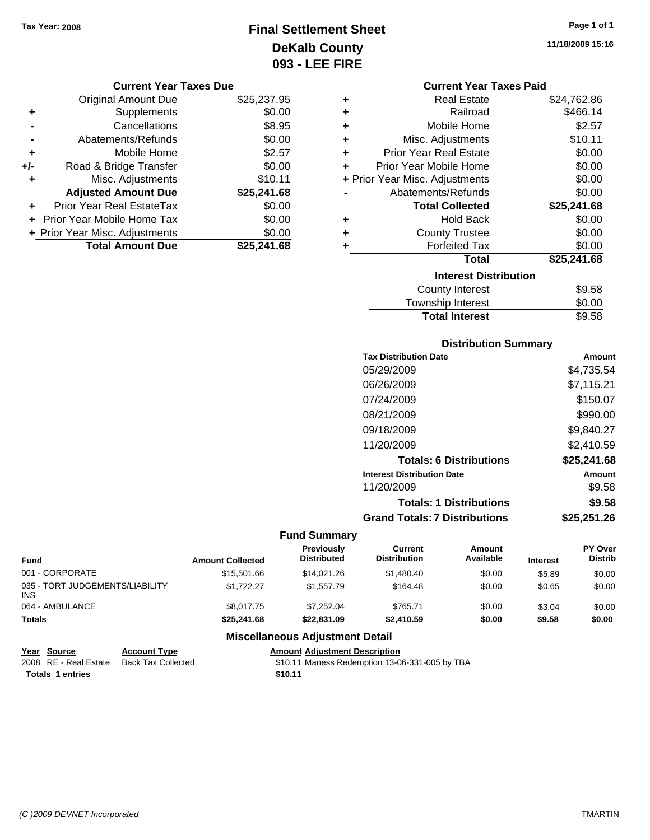### **Final Settlement Sheet Tax Year: 2008 Page 1 of 1 DeKalb County 093 - LEE FIRE**

#### **Current Year Taxes Due**

|     | <b>Original Amount Due</b>     | \$25,237.95 |
|-----|--------------------------------|-------------|
| ٠   | Supplements                    | \$0.00      |
|     | Cancellations                  | \$8.95      |
|     | Abatements/Refunds             | \$0.00      |
| ÷   | Mobile Home                    | \$2.57      |
| +/- | Road & Bridge Transfer         | \$0.00      |
| ٠   | Misc. Adjustments              | \$10.11     |
|     | <b>Adjusted Amount Due</b>     | \$25,241.68 |
|     | Prior Year Real EstateTax      | \$0.00      |
|     | Prior Year Mobile Home Tax     | \$0.00      |
|     | + Prior Year Misc. Adjustments | \$0.00      |
|     | <b>Total Amount Due</b>        | \$25,241,68 |

|   | <b>Current Year Taxes Paid</b> |             |
|---|--------------------------------|-------------|
| ٠ | <b>Real Estate</b>             | \$24,762.86 |
| ÷ | Railroad                       | \$466.14    |
| ٠ | Mobile Home                    | \$2.57      |
| ÷ | Misc. Adjustments              | \$10.11     |
| ÷ | <b>Prior Year Real Estate</b>  | \$0.00      |
| ÷ | Prior Year Mobile Home         | \$0.00      |
|   | + Prior Year Misc. Adjustments | \$0.00      |
|   | Abatements/Refunds             | \$0.00      |
|   | <b>Total Collected</b>         | \$25,241.68 |
|   | <b>Hold Back</b>               | \$0.00      |
| ÷ | <b>County Trustee</b>          | \$0.00      |
|   | <b>Forfeited Tax</b>           | \$0.00      |
|   | Total                          | \$25,241.68 |
|   | <b>Interest Distribution</b>   |             |
|   | County Interest                | S9 58       |

| <b>Total Interest</b> | \$9.58 |
|-----------------------|--------|
| Township Interest     | \$0.00 |
| County Interest       | \$9.58 |

#### **Distribution Summary**

| <b>Tax Distribution Date</b>         | Amount      |
|--------------------------------------|-------------|
| 05/29/2009                           | \$4.735.54  |
| 06/26/2009                           | \$7,115.21  |
| 07/24/2009                           | \$150.07    |
| 08/21/2009                           | \$990.00    |
| 09/18/2009                           | \$9,840.27  |
| 11/20/2009                           | \$2,410.59  |
| <b>Totals: 6 Distributions</b>       | \$25,241.68 |
| <b>Interest Distribution Date</b>    | Amount      |
| 11/20/2009                           | \$9.58      |
| <b>Totals: 1 Distributions</b>       | \$9.58      |
| <b>Grand Totals: 7 Distributions</b> | \$25.251.26 |

#### **Fund Summary**

| <b>Fund</b>                             | <b>Amount Collected</b> | Previously<br><b>Distributed</b> | Current<br><b>Distribution</b> | <b>Amount</b><br>Available | <b>Interest</b> | <b>PY Over</b><br><b>Distrib</b> |
|-----------------------------------------|-------------------------|----------------------------------|--------------------------------|----------------------------|-----------------|----------------------------------|
| 001 - CORPORATE                         | \$15,501.66             | \$14,021.26                      | \$1,480.40                     | \$0.00                     | \$5.89          | \$0.00                           |
| 035 - TORT JUDGEMENTS/LIABILITY<br>INS. | \$1.722.27              | \$1,557.79                       | \$164.48                       | \$0.00                     | \$0.65          | \$0.00                           |
| 064 - AMBULANCE                         | \$8,017.75              | \$7.252.04                       | \$765.71                       | \$0.00                     | \$3.04          | \$0.00                           |
| <b>Totals</b>                           | \$25,241.68             | \$22,831.09                      | \$2.410.59                     | \$0.00                     | \$9.58          | \$0.00                           |

### **Miscellaneous Adjustment Detail**

| Year Source             | <b>Account Type</b> | <b>Amount Adiustment Description</b>           |
|-------------------------|---------------------|------------------------------------------------|
| 2008 RE - Real Estate   | Back Tax Collected  | \$10.11 Maness Redemption 13-06-331-005 by TBA |
| <b>Totals 1 entries</b> |                     | \$10.11                                        |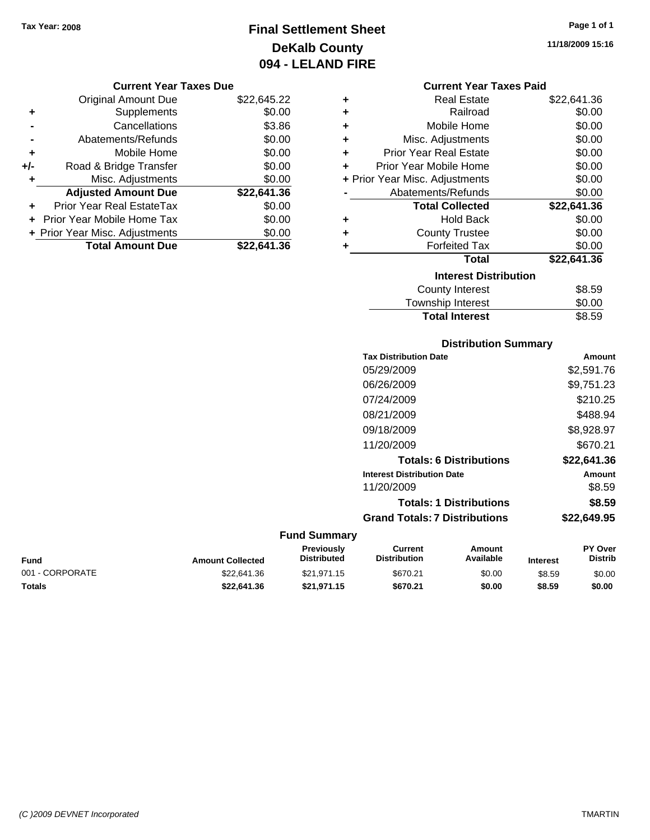### **Final Settlement Sheet Tax Year: 2008 Page 1 of 1 DeKalb County 094 - LELAND FIRE**

**11/18/2009 15:16**

#### **Current Year Taxes Due**

|       | <b>Original Amount Due</b>     | \$22,645.22 |
|-------|--------------------------------|-------------|
| ٠     | Supplements                    | \$0.00      |
|       | Cancellations                  | \$3.86      |
|       | Abatements/Refunds             | \$0.00      |
| ÷     | Mobile Home                    | \$0.00      |
| $+/-$ | Road & Bridge Transfer         | \$0.00      |
| ٠     | Misc. Adjustments              | \$0.00      |
|       | <b>Adjusted Amount Due</b>     | \$22,641.36 |
|       | Prior Year Real EstateTax      | \$0.00      |
|       | Prior Year Mobile Home Tax     | \$0.00      |
|       | + Prior Year Misc. Adjustments | \$0.00      |
|       | <b>Total Amount Due</b>        | \$22,641.36 |

#### **Current Year Taxes Paid**

| ٠ | Real Estate                    | \$22,641.36 |
|---|--------------------------------|-------------|
| ÷ | Railroad                       | \$0.00      |
| ٠ | Mobile Home                    | \$0.00      |
| ٠ | Misc. Adjustments              | \$0.00      |
| ÷ | Prior Year Real Estate         | \$0.00      |
| ٠ | Prior Year Mobile Home         | \$0.00      |
|   | + Prior Year Misc. Adjustments | \$0.00      |
|   | Abatements/Refunds             | \$0.00      |
|   | <b>Total Collected</b>         | \$22,641.36 |
| ٠ | <b>Hold Back</b>               | \$0.00      |
| ÷ | <b>County Trustee</b>          | \$0.00      |
| ٠ | <b>Forfeited Tax</b>           | \$0.00      |
|   | <b>Total</b>                   | \$22,641.36 |
|   | <b>Interest Distribution</b>   |             |
|   | County Interest                | \$8.59      |
|   | <b>Township Interest</b>       | \$0.00      |
|   | <b>Total Interest</b>          | \$8.59      |

#### **Distribution Summary**

| <b>Tax Distribution Date</b>         | Amount      |
|--------------------------------------|-------------|
| 05/29/2009                           | \$2,591.76  |
| 06/26/2009                           | \$9,751.23  |
| 07/24/2009                           | \$210.25    |
| 08/21/2009                           | \$488.94    |
| 09/18/2009                           | \$8,928.97  |
| 11/20/2009                           | \$670.21    |
| <b>Totals: 6 Distributions</b>       | \$22,641.36 |
| <b>Interest Distribution Date</b>    | Amount      |
| 11/20/2009                           | \$8.59      |
| <b>Totals: 1 Distributions</b>       | \$8.59      |
| <b>Grand Totals: 7 Distributions</b> | \$22.649.95 |
|                                      |             |

| <b>Fund</b>     | <b>Amount Collected</b> | <b>Previously</b><br><b>Distributed</b> | Current<br><b>Distribution</b> | Amount<br>Available | <b>Interest</b> | <b>PY Over</b><br><b>Distrib</b> |
|-----------------|-------------------------|-----------------------------------------|--------------------------------|---------------------|-----------------|----------------------------------|
| 001 - CORPORATE | \$22,641.36             | \$21.971.15                             | \$670.21                       | \$0.00              | \$8.59          | \$0.00                           |
| <b>Totals</b>   | \$22.641.36             | \$21.971.15                             | \$670.21                       | \$0.00              | \$8.59          | \$0.00                           |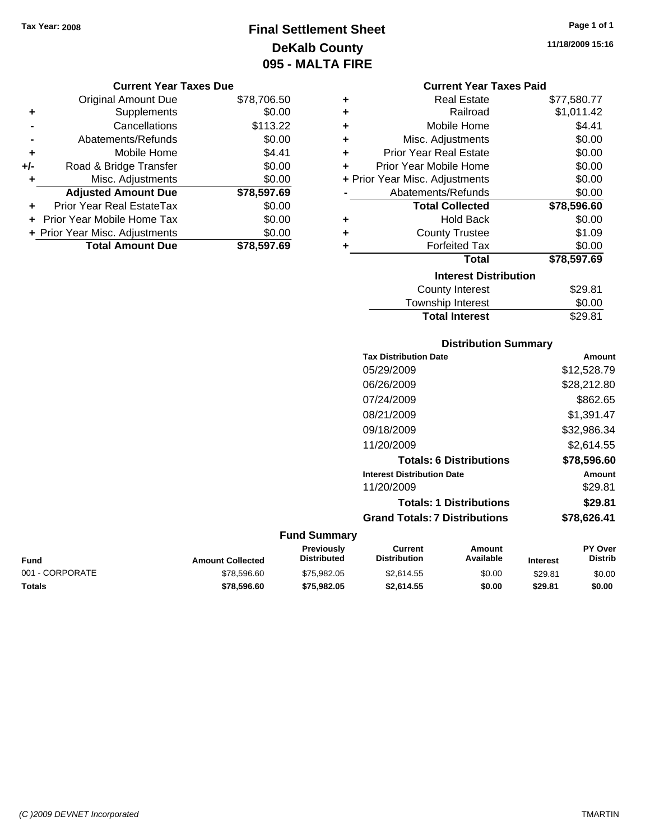### **Final Settlement Sheet Tax Year: 2008 Page 1 of 1 DeKalb County 095 - MALTA FIRE**

**11/18/2009 15:16**

#### **Current Year Taxes Due**

|     | <b>Original Amount Due</b>       | \$78,706.50 |
|-----|----------------------------------|-------------|
| ٠   | Supplements                      | \$0.00      |
|     | Cancellations                    | \$113.22    |
|     | Abatements/Refunds               | \$0.00      |
| ÷   | Mobile Home                      | \$4.41      |
| +/- | Road & Bridge Transfer           | \$0.00      |
| ٠   | Misc. Adjustments                | \$0.00      |
|     | <b>Adjusted Amount Due</b>       | \$78,597.69 |
| ÷   | <b>Prior Year Real EstateTax</b> | \$0.00      |
|     | Prior Year Mobile Home Tax       | \$0.00      |
|     | + Prior Year Misc. Adjustments   | \$0.00      |
|     | <b>Total Amount Due</b>          | \$78.597.69 |

### **Current Year Taxes Paid**

| ٠ | Real Estate                    | \$77,580.77 |
|---|--------------------------------|-------------|
| ÷ | Railroad                       | \$1,011.42  |
| ÷ | Mobile Home                    | \$4.41      |
| ÷ | Misc. Adjustments              | \$0.00      |
| ÷ | <b>Prior Year Real Estate</b>  | \$0.00      |
| ٠ | Prior Year Mobile Home         | \$0.00      |
|   | + Prior Year Misc. Adjustments | \$0.00      |
|   | Abatements/Refunds             | \$0.00      |
|   | <b>Total Collected</b>         | \$78,596.60 |
| ٠ | <b>Hold Back</b>               | \$0.00      |
| ÷ | <b>County Trustee</b>          | \$1.09      |
| ٠ | <b>Forfeited Tax</b>           | \$0.00      |
|   | Total                          | \$78,597.69 |
|   | <b>Interest Distribution</b>   |             |
|   | <b>County Interest</b>         | \$29.81     |
|   | <b>Township Interest</b>       | \$0.00      |
|   | <b>Total Interest</b>          | \$29.81     |

#### **Distribution Summary**

| <b>Tax Distribution Date</b>         | Amount      |
|--------------------------------------|-------------|
| 05/29/2009                           | \$12,528.79 |
| 06/26/2009                           | \$28,212.80 |
| 07/24/2009                           | \$862.65    |
| 08/21/2009                           | \$1,391.47  |
| 09/18/2009                           | \$32,986.34 |
| 11/20/2009                           | \$2.614.55  |
| <b>Totals: 6 Distributions</b>       | \$78,596,60 |
| <b>Interest Distribution Date</b>    | Amount      |
| 11/20/2009                           | \$29.81     |
| <b>Totals: 1 Distributions</b>       | \$29.81     |
| <b>Grand Totals: 7 Distributions</b> | \$78,626.41 |
|                                      |             |

| Fund            | <b>Amount Collected</b> | Previously<br><b>Distributed</b> | Current<br><b>Distribution</b> | Amount<br>Available | <b>Interest</b> | <b>PY Over</b><br>Distrib |
|-----------------|-------------------------|----------------------------------|--------------------------------|---------------------|-----------------|---------------------------|
| 001 - CORPORATE | \$78,596.60             | \$75.982.05                      | \$2.614.55                     | \$0.00              | \$29.81         | \$0.00                    |
| Totals          | \$78.596.60             | \$75.982.05                      | \$2.614.55                     | \$0.00              | \$29.81         | \$0.00                    |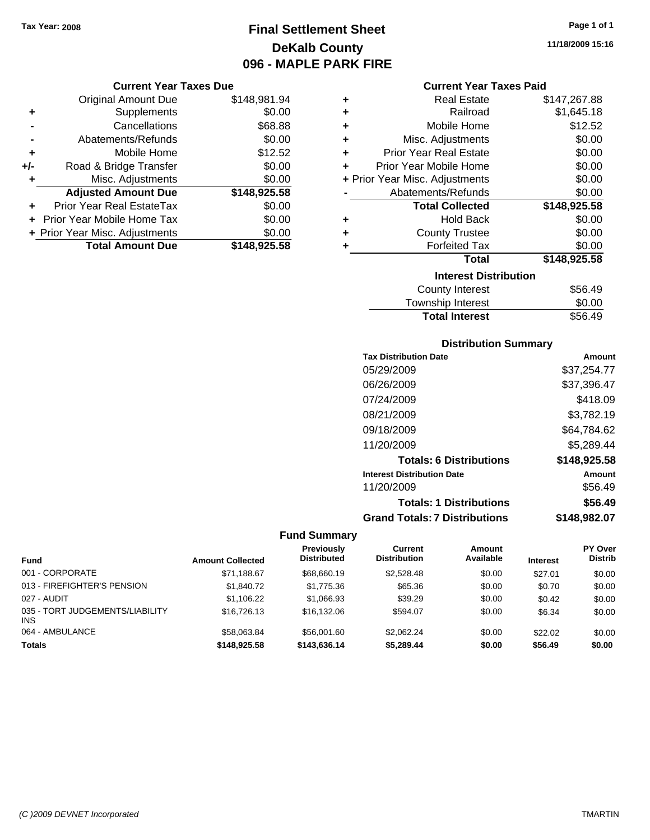**Current Year Taxes Due** Original Amount Due \$148,981.94

**Adjusted Amount Due \$148,925.58**

**Total Amount Due \$148,925.58**

**+** Supplements \$0.00 **-** Cancellations \$68.88 **-** Abatements/Refunds \$0.00 **+** Mobile Home \$12.52 **+/-** Road & Bridge Transfer \$0.00 **+** Misc. Adjustments \$0.00

**+** Prior Year Real EstateTax \$0.00 **+** Prior Year Mobile Home Tax \$0.00 **+ Prior Year Misc. Adjustments**  $$0.00$ 

### **Final Settlement Sheet Tax Year: 2008 Page 1 of 1 DeKalb County 096 - MAPLE PARK FIRE**

**11/18/2009 15:16**

#### **Current Year Taxes Paid**

| ٠ | <b>Real Estate</b>             | \$147,267.88 |
|---|--------------------------------|--------------|
| ÷ | Railroad                       | \$1,645.18   |
| ٠ | Mobile Home                    | \$12.52      |
| ٠ | Misc. Adjustments              | \$0.00       |
| ÷ | <b>Prior Year Real Estate</b>  | \$0.00       |
| ÷ | Prior Year Mobile Home         | \$0.00       |
|   | + Prior Year Misc. Adjustments | \$0.00       |
|   | Abatements/Refunds             | \$0.00       |
|   | <b>Total Collected</b>         | \$148,925.58 |
| ٠ | <b>Hold Back</b>               | \$0.00       |
| ٠ | <b>County Trustee</b>          | \$0.00       |
| ٠ | <b>Forfeited Tax</b>           | \$0.00       |
|   | Total                          | \$148,925.58 |
|   | <b>Interest Distribution</b>   |              |
|   | <b>County Interest</b>         | \$56.49      |

### Township Interest \$0.00 Total Interest \$56.49

### **Distribution Summary**

| <b>Tax Distribution Date</b>         | Amount       |
|--------------------------------------|--------------|
| 05/29/2009                           | \$37,254.77  |
| 06/26/2009                           | \$37,396.47  |
| 07/24/2009                           | \$418.09     |
| 08/21/2009                           | \$3,782.19   |
| 09/18/2009                           | \$64,784.62  |
| 11/20/2009                           | \$5,289.44   |
| <b>Totals: 6 Distributions</b>       | \$148,925.58 |
| <b>Interest Distribution Date</b>    | Amount       |
| 11/20/2009                           | \$56.49      |
| <b>Totals: 1 Distributions</b>       | \$56.49      |
| <b>Grand Totals: 7 Distributions</b> | \$148,982.07 |

|                                               |                         | <b>Previously</b>  | Current             | <b>Amount</b> |                 | <b>PY Over</b> |
|-----------------------------------------------|-------------------------|--------------------|---------------------|---------------|-----------------|----------------|
| <b>Fund</b>                                   | <b>Amount Collected</b> | <b>Distributed</b> | <b>Distribution</b> | Available     | <b>Interest</b> | <b>Distrib</b> |
| 001 - CORPORATE                               | \$71,188.67             | \$68,660.19        | \$2,528.48          | \$0.00        | \$27.01         | \$0.00         |
| 013 - FIREFIGHTER'S PENSION                   | \$1,840.72              | \$1,775.36         | \$65.36             | \$0.00        | \$0.70          | \$0.00         |
| 027 - AUDIT                                   | \$1,106.22              | \$1,066.93         | \$39.29             | \$0.00        | \$0.42          | \$0.00         |
| 035 - TORT JUDGEMENTS/LIABILITY<br><b>INS</b> | \$16,726.13             | \$16,132.06        | \$594.07            | \$0.00        | \$6.34          | \$0.00         |
| 064 - AMBULANCE                               | \$58.063.84             | \$56,001.60        | \$2.062.24          | \$0.00        | \$22.02         | \$0.00         |
| <b>Totals</b>                                 | \$148,925,58            | \$143,636.14       | \$5,289.44          | \$0.00        | \$56.49         | \$0.00         |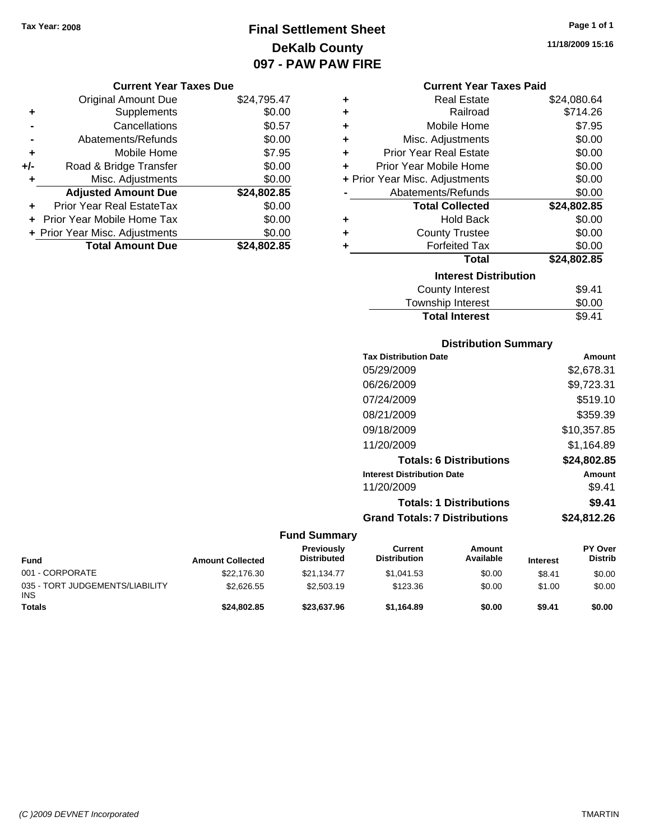### **Final Settlement Sheet Tax Year: 2008 Page 1 of 1 DeKalb County 097 - PAW PAW FIRE**

**11/18/2009 15:16**

#### **Current Year Taxes Due**

|     | <b>Original Amount Due</b>     | \$24,795.47 |
|-----|--------------------------------|-------------|
| ٠   | Supplements                    | \$0.00      |
|     | Cancellations                  | \$0.57      |
|     | Abatements/Refunds             | \$0.00      |
| ÷   | Mobile Home                    | \$7.95      |
| +/- | Road & Bridge Transfer         | \$0.00      |
| ٠   | Misc. Adjustments              | \$0.00      |
|     | <b>Adjusted Amount Due</b>     | \$24,802.85 |
|     | Prior Year Real EstateTax      | \$0.00      |
|     | Prior Year Mobile Home Tax     | \$0.00      |
|     | + Prior Year Misc. Adjustments | \$0.00      |
|     | <b>Total Amount Due</b>        | \$24,802.85 |

#### **Current Year Taxes Paid**

|   | <b>Real Estate</b>             | \$24,080.64 |
|---|--------------------------------|-------------|
| ÷ | Railroad                       | \$714.26    |
| ÷ | Mobile Home                    | \$7.95      |
| ÷ | Misc. Adjustments              | \$0.00      |
| ÷ | <b>Prior Year Real Estate</b>  | \$0.00      |
| ÷ | Prior Year Mobile Home         | \$0.00      |
|   | + Prior Year Misc. Adjustments | \$0.00      |
|   | Abatements/Refunds             | \$0.00      |
|   |                                |             |
|   | <b>Total Collected</b>         | \$24,802.85 |
| ٠ | <b>Hold Back</b>               | \$0.00      |
| ÷ | <b>County Trustee</b>          | \$0.00      |
| ٠ | <b>Forfeited Tax</b>           | \$0.00      |
|   | <b>Total</b>                   | \$24,802.85 |
|   | <b>Interest Distribution</b>   |             |
|   | <b>County Interest</b>         | \$9.41      |

### **Distribution Summary**

Total Interest \$9.41

| <b>Tax Distribution Date</b>         | Amount      |
|--------------------------------------|-------------|
| 05/29/2009                           | \$2,678.31  |
| 06/26/2009                           | \$9,723.31  |
| 07/24/2009                           | \$519.10    |
| 08/21/2009                           | \$359.39    |
| 09/18/2009                           | \$10.357.85 |
| 11/20/2009                           | \$1,164.89  |
| <b>Totals: 6 Distributions</b>       | \$24.802.85 |
| <b>Interest Distribution Date</b>    | Amount      |
| 11/20/2009                           | \$9.41      |
| <b>Totals: 1 Distributions</b>       | \$9.41      |
| <b>Grand Totals: 7 Distributions</b> | \$24.812.26 |

| <b>Fund</b>                                   | <b>Amount Collected</b> | <b>Previously</b><br><b>Distributed</b> | Current<br><b>Distribution</b> | Amount<br>Available | <b>Interest</b> | <b>PY Over</b><br><b>Distrib</b> |
|-----------------------------------------------|-------------------------|-----------------------------------------|--------------------------------|---------------------|-----------------|----------------------------------|
| 001 - CORPORATE                               | \$22,176.30             | \$21.134.77                             | \$1.041.53                     | \$0.00              | \$8.41          | \$0.00                           |
| 035 - TORT JUDGEMENTS/LIABILITY<br><b>INS</b> | \$2,626,55              | \$2,503.19                              | \$123.36                       | \$0.00              | \$1.00          | \$0.00                           |
| <b>Totals</b>                                 | \$24,802.85             | \$23,637.96                             | \$1.164.89                     | \$0.00              | \$9.41          | \$0.00                           |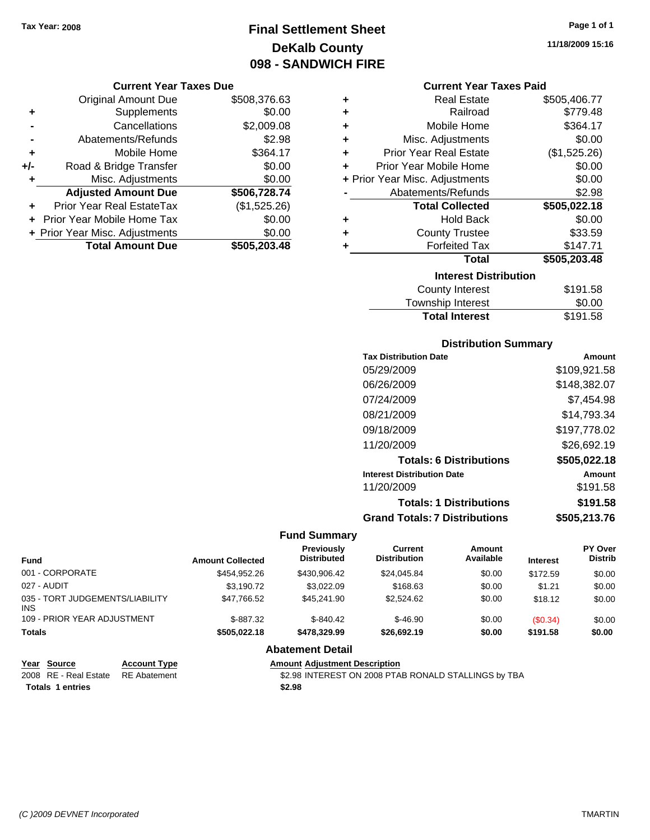## **Final Settlement Sheet Tax Year: 2008 Page 1 of 1 DeKalb County 098 - SANDWICH FIRE**

#### **Current Year Taxes Due**

|       | <b>Original Amount Due</b>     | \$508,376.63 |
|-------|--------------------------------|--------------|
| ٠     | Supplements                    | \$0.00       |
|       | Cancellations                  | \$2,009.08   |
|       | Abatements/Refunds             | \$2.98       |
| ÷     | Mobile Home                    | \$364.17     |
| $+/-$ | Road & Bridge Transfer         | \$0.00       |
| ٠     | Misc. Adjustments              | \$0.00       |
|       | <b>Adjusted Amount Due</b>     | \$506,728.74 |
|       | Prior Year Real EstateTax      | (\$1,525.26) |
|       | Prior Year Mobile Home Tax     | \$0.00       |
|       | + Prior Year Misc. Adjustments | \$0.00       |
|       | <b>Total Amount Due</b>        | \$505,203.48 |

| ٠ | <b>Real Estate</b>             | \$505,406.77  |
|---|--------------------------------|---------------|
| ÷ | Railroad                       | \$779.48      |
| ÷ | Mobile Home                    | \$364.17      |
| ٠ | Misc. Adjustments              | \$0.00        |
| ÷ | <b>Prior Year Real Estate</b>  | (\$1,525.26)  |
| ٠ | Prior Year Mobile Home         | \$0.00        |
|   | + Prior Year Misc. Adjustments | \$0.00        |
|   | Abatements/Refunds             | \$2.98        |
|   | <b>Total Collected</b>         | \$505,022.18  |
| ٠ | <b>Hold Back</b>               | \$0.00        |
| ٠ | <b>County Trustee</b>          | \$33.59       |
| ٠ | <b>Forfeited Tax</b>           | \$147.71      |
|   | <b>Total</b>                   | \$505,203.48  |
|   | <b>Interest Distribution</b>   |               |
|   | <b>County Interest</b>         | \$191.58      |
|   |                                | $\sim$ $\sim$ |

| .        |
|----------|
| \$0.00   |
| \$191.58 |
|          |

#### **Distribution Summary**

| <b>Tax Distribution Date</b>         | Amount       |
|--------------------------------------|--------------|
| 05/29/2009                           | \$109,921.58 |
| 06/26/2009                           | \$148,382.07 |
| 07/24/2009                           | \$7,454.98   |
| 08/21/2009                           | \$14,793.34  |
| 09/18/2009                           | \$197,778.02 |
| 11/20/2009                           | \$26,692.19  |
| <b>Totals: 6 Distributions</b>       | \$505,022.18 |
| <b>Interest Distribution Date</b>    | Amount       |
| 11/20/2009                           | \$191.58     |
| <b>Totals: 1 Distributions</b>       | \$191.58     |
| <b>Grand Totals: 7 Distributions</b> | \$505,213.76 |

#### **Fund Summary**

| <b>Fund</b>                             |                     | <b>Amount Collected</b> | Previously<br><b>Distributed</b>                     | Current<br><b>Distribution</b> | Amount<br>Available | <b>Interest</b> | <b>PY Over</b><br><b>Distrib</b> |
|-----------------------------------------|---------------------|-------------------------|------------------------------------------------------|--------------------------------|---------------------|-----------------|----------------------------------|
| 001 - CORPORATE                         |                     | \$454,952.26            | \$430,906.42                                         | \$24,045.84                    | \$0.00              | \$172.59        | \$0.00                           |
| 027 - AUDIT                             |                     | \$3.190.72              | \$3.022.09                                           | \$168.63                       | \$0.00              | \$1.21          | \$0.00                           |
| 035 - TORT JUDGEMENTS/LIABILITY<br>INS. |                     | \$47,766.52             | \$45,241.90                                          | \$2,524.62                     | \$0.00              | \$18.12         | \$0.00                           |
| 109 - PRIOR YEAR ADJUSTMENT             |                     | $$-887.32$              | $$-840.42$                                           | $$-46.90$                      | \$0.00              | (S0.34)         | \$0.00                           |
| <b>Totals</b>                           |                     | \$505.022.18            | \$478,329.99<br>\$26,692.19<br>\$0.00                |                                | \$191.58            | \$0.00          |                                  |
|                                         |                     |                         | <b>Abatement Detail</b>                              |                                |                     |                 |                                  |
| Year Source                             | <b>Account Type</b> |                         | <b>Amount Adiustment Description</b>                 |                                |                     |                 |                                  |
| 2008 RE - Real Estate                   | <b>RE</b> Abatement |                         | \$2.98 INTEREST ON 2008 PTAB RONALD STALLINGS by TBA |                                |                     |                 |                                  |

**Totals \$2.98 1 entries**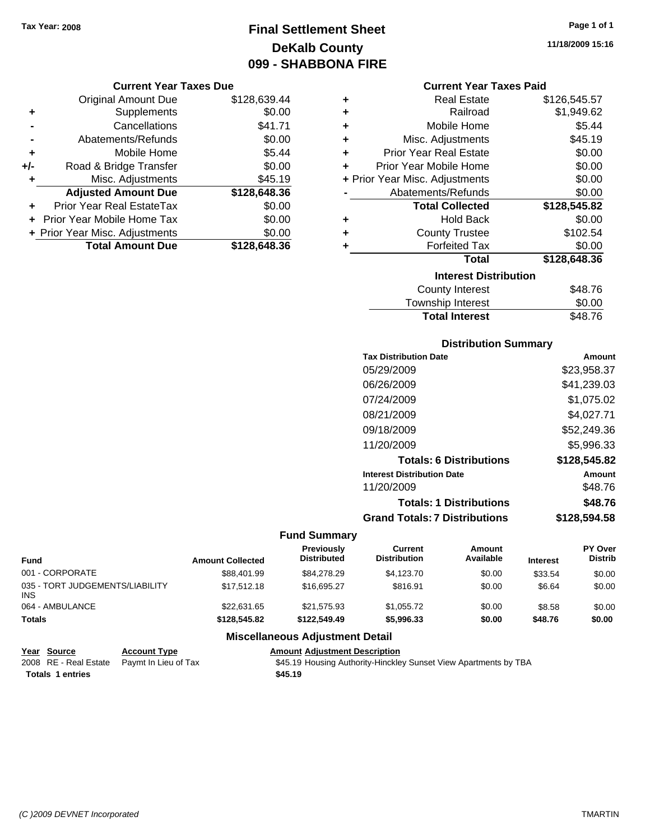### **Final Settlement Sheet Tax Year: 2008 Page 1 of 1 DeKalb County 099 - SHABBONA FIRE**

#### **Current Year Taxes Due**

|     | <b>Original Amount Due</b>        | \$128,639.44 |
|-----|-----------------------------------|--------------|
| ٠   | Supplements                       | \$0.00       |
|     | Cancellations                     | \$41.71      |
|     | Abatements/Refunds                | \$0.00       |
| ٠   | Mobile Home                       | \$5.44       |
| +/- | Road & Bridge Transfer            | \$0.00       |
| ٠   | Misc. Adjustments                 | \$45.19      |
|     | <b>Adjusted Amount Due</b>        | \$128,648.36 |
|     | Prior Year Real EstateTax         | \$0.00       |
|     | <b>Prior Year Mobile Home Tax</b> | \$0.00       |
|     | + Prior Year Misc. Adjustments    | \$0.00       |
|     | <b>Total Amount Due</b>           | \$128,648,36 |

| ٠ | <b>Real Estate</b>             | \$126,545.57 |
|---|--------------------------------|--------------|
| ٠ | Railroad                       | \$1,949.62   |
| ٠ | Mobile Home                    | \$5.44       |
| ٠ | Misc. Adjustments              | \$45.19      |
| ٠ | <b>Prior Year Real Estate</b>  | \$0.00       |
| ÷ | Prior Year Mobile Home         | \$0.00       |
|   | + Prior Year Misc. Adjustments | \$0.00       |
|   | Abatements/Refunds             | \$0.00       |
|   | <b>Total Collected</b>         | \$128,545.82 |
| ٠ | <b>Hold Back</b>               | \$0.00       |
| ٠ | <b>County Trustee</b>          | \$102.54     |
| ٠ | <b>Forfeited Tax</b>           | \$0.00       |
|   | <b>Total</b>                   | \$128,648.36 |
|   | <b>Interest Distribution</b>   |              |
|   | <b>County Interest</b>         | \$48.76      |

## Township Interest  $$0.00$ **Total Interest** \$48.76

#### **Distribution Summary**

| <b>Tax Distribution Date</b>         | Amount       |
|--------------------------------------|--------------|
| 05/29/2009                           | \$23,958.37  |
| 06/26/2009                           | \$41,239.03  |
| 07/24/2009                           | \$1,075.02   |
| 08/21/2009                           | \$4,027.71   |
| 09/18/2009                           | \$52,249.36  |
| 11/20/2009                           | \$5,996.33   |
| <b>Totals: 6 Distributions</b>       | \$128,545.82 |
| <b>Interest Distribution Date</b>    | Amount       |
| 11/20/2009                           | \$48.76      |
| <b>Totals: 1 Distributions</b>       | \$48.76      |
| <b>Grand Totals: 7 Distributions</b> | \$128,594.58 |
|                                      |              |

#### **Fund Summary**

| <b>Fund</b>                                   | <b>Amount Collected</b> | <b>Previously</b><br><b>Distributed</b> | Current<br><b>Distribution</b> | Amount<br>Available | <b>Interest</b> | <b>PY Over</b><br><b>Distrib</b> |
|-----------------------------------------------|-------------------------|-----------------------------------------|--------------------------------|---------------------|-----------------|----------------------------------|
| 001 - CORPORATE                               | \$88,401.99             | \$84,278,29                             | \$4,123,70                     | \$0.00              | \$33.54         | \$0.00                           |
| 035 - TORT JUDGEMENTS/LIABILITY<br><b>INS</b> | \$17,512.18             | \$16,695.27                             | \$816.91                       | \$0.00              | \$6.64          | \$0.00                           |
| 064 - AMBULANCE                               | \$22.631.65             | \$21.575.93                             | \$1.055.72                     | \$0.00              | \$8.58          | \$0.00                           |
| <b>Totals</b>                                 | \$128,545.82            | \$122,549.49                            | \$5,996.33                     | \$0.00              | \$48.76         | \$0.00                           |

#### **Miscellaneous Adjustment Detail**

| Year Source             | <b>Account Type</b>                        | <b>Amount Adiustment Description</b>                             |
|-------------------------|--------------------------------------------|------------------------------------------------------------------|
|                         | 2008 RE - Real Estate Paymt In Lieu of Tax | \$45.19 Housing Authority-Hinckley Sunset View Apartments by TBA |
| <b>Totals 1 entries</b> |                                            | \$45.19                                                          |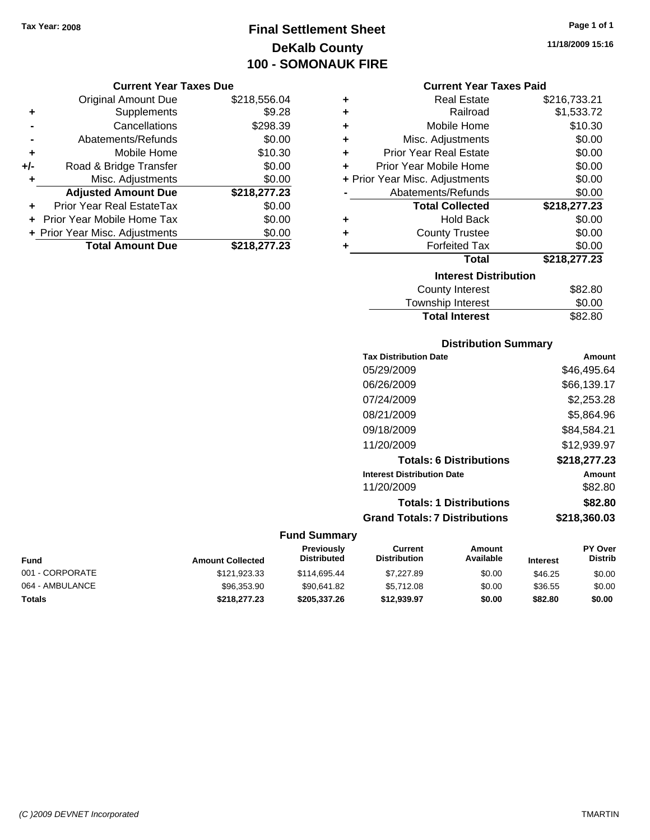### **Final Settlement Sheet Tax Year: 2008 Page 1 of 1 DeKalb County 100 - SOMONAUK FIRE**

#### **Current Year Taxes Due**

|     | <b>Original Amount Due</b>     | \$218,556.04 |
|-----|--------------------------------|--------------|
| ٠   | Supplements                    | \$9.28       |
|     | Cancellations                  | \$298.39     |
|     | Abatements/Refunds             | \$0.00       |
| ÷   | Mobile Home                    | \$10.30      |
| +/- | Road & Bridge Transfer         | \$0.00       |
| ٠   | Misc. Adjustments              | \$0.00       |
|     | <b>Adjusted Amount Due</b>     | \$218,277.23 |
|     | Prior Year Real EstateTax      | \$0.00       |
|     | Prior Year Mobile Home Tax     | \$0.00       |
|     | + Prior Year Misc. Adjustments | \$0.00       |
|     | <b>Total Amount Due</b>        | \$218,277.23 |

| ٠ | <b>Real Estate</b>             | \$216,733.21 |  |  |  |
|---|--------------------------------|--------------|--|--|--|
| ٠ | Railroad                       | \$1,533.72   |  |  |  |
| ٠ | Mobile Home                    | \$10.30      |  |  |  |
| ٠ | Misc. Adjustments              | \$0.00       |  |  |  |
| ٠ | <b>Prior Year Real Estate</b>  | \$0.00       |  |  |  |
| ٠ | Prior Year Mobile Home         | \$0.00       |  |  |  |
|   | + Prior Year Misc. Adjustments | \$0.00       |  |  |  |
|   | Abatements/Refunds             | \$0.00       |  |  |  |
|   | <b>Total Collected</b>         | \$218,277.23 |  |  |  |
| ٠ | <b>Hold Back</b>               | \$0.00       |  |  |  |
| ٠ | <b>County Trustee</b>          | \$0.00       |  |  |  |
| ٠ | <b>Forfeited Tax</b>           | \$0.00       |  |  |  |
|   | Total                          | \$218,277.23 |  |  |  |
|   | <b>Interest Distribution</b>   |              |  |  |  |
|   | <b>County Interest</b>         | \$82.80      |  |  |  |
|   |                                | ີົ້          |  |  |  |

| _ _ _ _ _ _ _ _ _ _ _ _<br>Township Interest | \$0.00  |
|----------------------------------------------|---------|
| <b>Total Interest</b>                        | \$82.80 |

#### **Distribution Summary**

| <b>Tax Distribution Date</b>         | Amount       |
|--------------------------------------|--------------|
| 05/29/2009                           | \$46,495.64  |
| 06/26/2009                           | \$66,139.17  |
| 07/24/2009                           | \$2,253.28   |
| 08/21/2009                           | \$5,864.96   |
| 09/18/2009                           | \$84,584.21  |
| 11/20/2009                           | \$12,939.97  |
| <b>Totals: 6 Distributions</b>       | \$218,277.23 |
| <b>Interest Distribution Date</b>    | Amount       |
| 11/20/2009                           | \$82.80      |
| <b>Totals: 1 Distributions</b>       | \$82.80      |
| <b>Grand Totals: 7 Distributions</b> | \$218,360.03 |
|                                      |              |

#### **Fund Summary**

| <b>Fund</b>     | <b>Amount Collected</b> | <b>Previously</b><br><b>Distributed</b> | Current<br><b>Distribution</b> | Amount<br>Available | <b>Interest</b> | <b>PY Over</b><br><b>Distrib</b> |
|-----------------|-------------------------|-----------------------------------------|--------------------------------|---------------------|-----------------|----------------------------------|
| 001 - CORPORATE | \$121,923.33            | \$114,695.44                            | \$7,227.89                     | \$0.00              | \$46.25         | \$0.00                           |
| 064 - AMBULANCE | \$96,353,90             | \$90.641.82                             | \$5,712.08                     | \$0.00              | \$36.55         | \$0.00                           |
| Totals          | \$218,277,23            | \$205.337.26                            | \$12.939.97                    | \$0.00              | \$82.80         | \$0.00                           |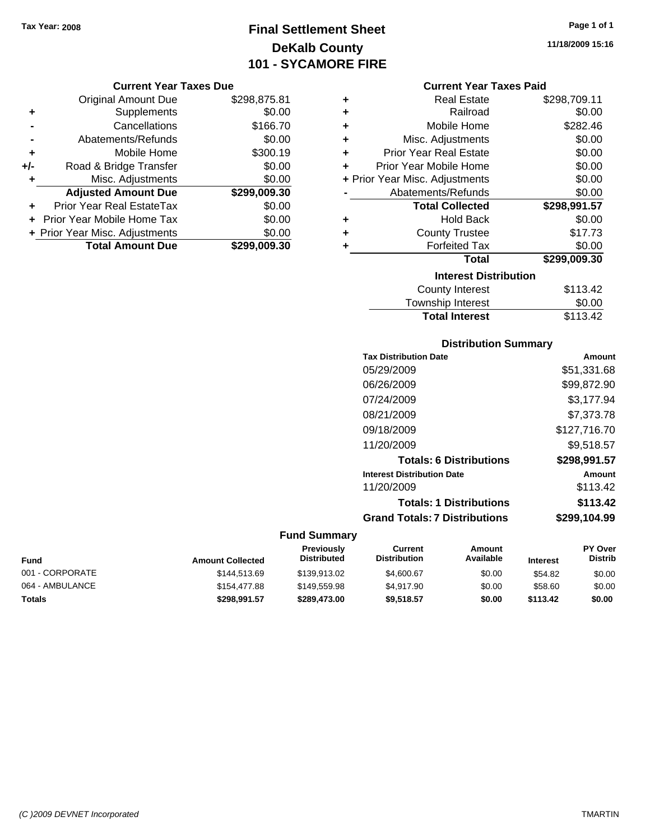## **Final Settlement Sheet Tax Year: 2008 Page 1 of 1 DeKalb County 101 - SYCAMORE FIRE**

#### **Current Year Taxes Due**

|       | <b>Original Amount Due</b>     | \$298,875.81 |
|-------|--------------------------------|--------------|
| ٠     | Supplements                    | \$0.00       |
|       | Cancellations                  | \$166.70     |
|       | Abatements/Refunds             | \$0.00       |
| ٠     | Mobile Home                    | \$300.19     |
| $+/-$ | Road & Bridge Transfer         | \$0.00       |
| ٠     | Misc. Adjustments              | \$0.00       |
|       | <b>Adjusted Amount Due</b>     | \$299,009.30 |
|       | Prior Year Real EstateTax      | \$0.00       |
|       | Prior Year Mobile Home Tax     | \$0.00       |
|       | + Prior Year Misc. Adjustments | \$0.00       |
|       | <b>Total Amount Due</b>        | \$299.009.30 |

#### **Current Year Taxes Paid**

| ٠ | <b>Real Estate</b>             | \$298,709.11 |
|---|--------------------------------|--------------|
| ٠ | Railroad                       | \$0.00       |
| ÷ | Mobile Home                    | \$282.46     |
| ٠ | Misc. Adjustments              | \$0.00       |
| ÷ | <b>Prior Year Real Estate</b>  | \$0.00       |
| ٠ | Prior Year Mobile Home         | \$0.00       |
|   | + Prior Year Misc. Adjustments | \$0.00       |
|   | Abatements/Refunds             | \$0.00       |
|   |                                |              |
|   | <b>Total Collected</b>         | \$298,991.57 |
| ٠ | <b>Hold Back</b>               | \$0.00       |
| ٠ | <b>County Trustee</b>          | \$17.73      |
| ٠ | <b>Forfeited Tax</b>           | \$0.00       |
|   | Total                          | \$299,009.30 |
|   | <b>Interest Distribution</b>   |              |
|   | <b>County Interest</b>         | \$113.42     |

#### **Distribution Summary**

Total Interest \$113.42

| Amount       |
|--------------|
| \$51,331.68  |
| \$99,872.90  |
| \$3.177.94   |
| \$7,373.78   |
| \$127,716.70 |
| \$9.518.57   |
| \$298,991.57 |
| Amount       |
| \$113.42     |
| \$113.42     |
| \$299,104.99 |
|              |

#### **Fund Summary**

| <b>Fund</b>     | <b>Amount Collected</b> | <b>Previously</b><br><b>Distributed</b> | Current<br><b>Distribution</b> | Amount<br>Available | <b>Interest</b> | <b>PY Over</b><br><b>Distrib</b> |
|-----------------|-------------------------|-----------------------------------------|--------------------------------|---------------------|-----------------|----------------------------------|
| 001 - CORPORATE | \$144.513.69            | \$139.913.02                            | \$4,600.67                     | \$0.00              | \$54.82         | \$0.00                           |
| 064 - AMBULANCE | \$154,477.88            | \$149,559.98                            | \$4.917.90                     | \$0.00              | \$58.60         | \$0.00                           |
| <b>Totals</b>   | \$298.991.57            | \$289,473,00                            | \$9.518.57                     | \$0.00              | \$113.42        | \$0.00                           |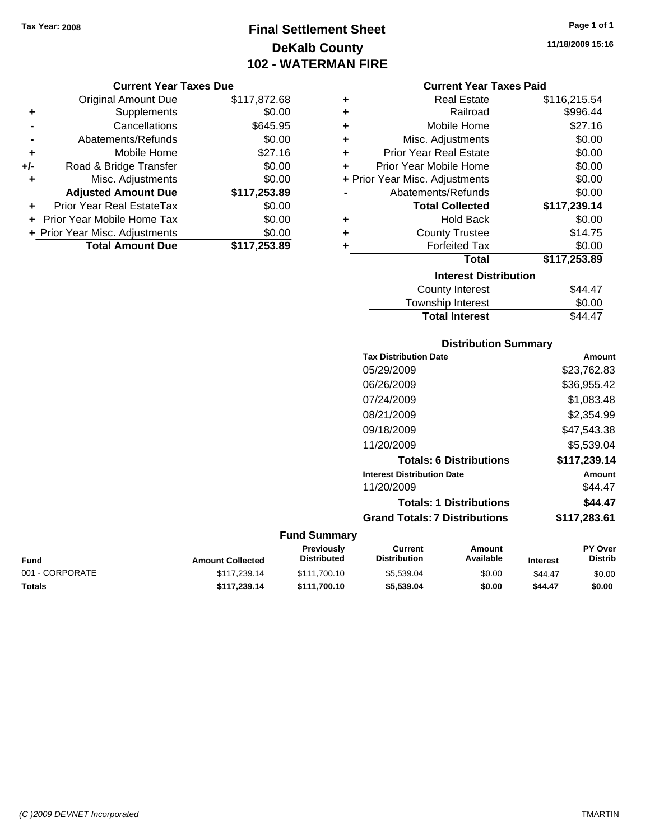### **Final Settlement Sheet Tax Year: 2008 Page 1 of 1 DeKalb County 102 - WATERMAN FIRE**

#### **11/18/2009 15:16**

#### **Current Year Taxes Due**

|     | <b>Original Amount Due</b>        | \$117,872.68 |
|-----|-----------------------------------|--------------|
| ٠   | Supplements                       | \$0.00       |
|     | Cancellations                     | \$645.95     |
|     | Abatements/Refunds                | \$0.00       |
| ٠   | Mobile Home                       | \$27.16      |
| +/- | Road & Bridge Transfer            | \$0.00       |
| ٠   | Misc. Adjustments                 | \$0.00       |
|     | <b>Adjusted Amount Due</b>        | \$117,253.89 |
| ÷   | Prior Year Real EstateTax         | \$0.00       |
|     | <b>Prior Year Mobile Home Tax</b> | \$0.00       |
|     | + Prior Year Misc. Adjustments    | \$0.00       |
|     | <b>Total Amount Due</b>           | \$117,253.89 |

#### **Current Year Taxes Paid**

|   | <b>Real Estate</b>             | \$116,215.54 |
|---|--------------------------------|--------------|
| ٠ | Railroad                       | \$996.44     |
| ٠ | Mobile Home                    | \$27.16      |
| ٠ | Misc. Adjustments              | \$0.00       |
| ٠ | <b>Prior Year Real Estate</b>  | \$0.00       |
| ٠ | Prior Year Mobile Home         | \$0.00       |
|   | + Prior Year Misc. Adjustments | \$0.00       |
|   | Abatements/Refunds             | \$0.00       |
|   | <b>Total Collected</b>         | \$117,239.14 |
|   |                                |              |
| ٠ | <b>Hold Back</b>               | \$0.00       |
| ٠ | <b>County Trustee</b>          | \$14.75      |
| ٠ | <b>Forfeited Tax</b>           | \$0.00       |
|   | Total                          | \$117,253.89 |
|   | <b>Interest Distribution</b>   |              |

## Township Interest  $$0.00$ **Total Interest** \$44.47

#### **Distribution Summary**

| <b>Tax Distribution Date</b>         | Amount       |
|--------------------------------------|--------------|
| 05/29/2009                           | \$23.762.83  |
| 06/26/2009                           | \$36,955.42  |
| 07/24/2009                           | \$1,083.48   |
| 08/21/2009                           | \$2.354.99   |
| 09/18/2009                           | \$47.543.38  |
| 11/20/2009                           | \$5.539.04   |
| <b>Totals: 6 Distributions</b>       | \$117,239.14 |
| <b>Interest Distribution Date</b>    | Amount       |
| 11/20/2009                           | \$44.47      |
| <b>Totals: 1 Distributions</b>       | \$44.47      |
| <b>Grand Totals: 7 Distributions</b> | \$117,283.61 |
|                                      |              |

| Fund            | <b>Amount Collected</b> | Previously<br><b>Distributed</b> | Current<br><b>Distribution</b> | Amount<br>Available | <b>Interest</b> | <b>PY Over</b><br><b>Distrib</b> |
|-----------------|-------------------------|----------------------------------|--------------------------------|---------------------|-----------------|----------------------------------|
| 001 - CORPORATE | \$117.239.14            | \$111.700.10                     | \$5,539.04                     | \$0.00              | \$44.47         | \$0.00                           |
| Totals          | \$117.239.14            | \$111.700.10                     | \$5.539.04                     | \$0.00              | \$44.47         | \$0.00                           |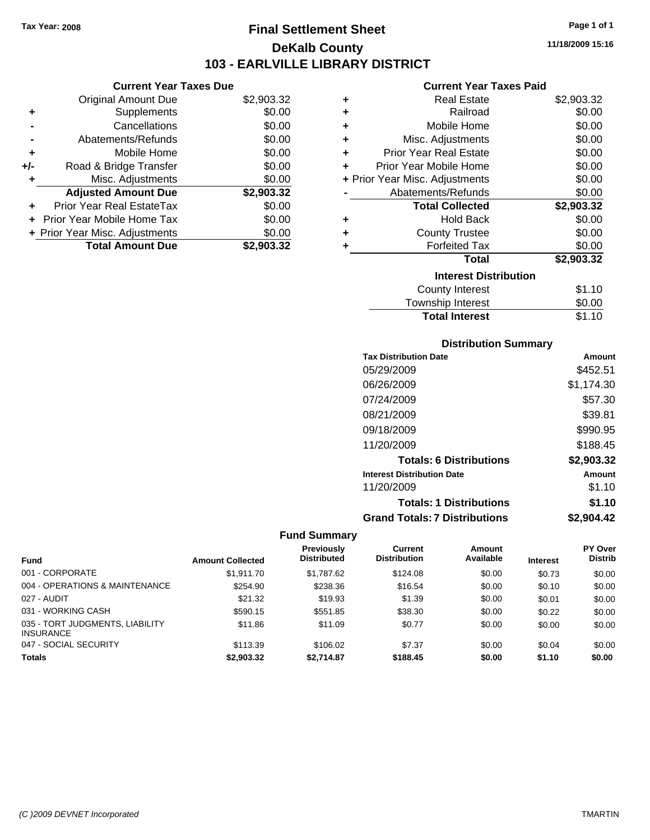**Current Year Taxes Due** Original Amount Due \$2,903.32

**Adjusted Amount Due \$2,903.32**

**Total Amount Due \$2,903.32**

**+** Supplements \$0.00 **-** Cancellations \$0.00 **-** Abatements/Refunds \$0.00 **+** Mobile Home \$0.00 **+/-** Road & Bridge Transfer \$0.00 **+** Misc. Adjustments \$0.00

**+** Prior Year Real EstateTax \$0.00 **+** Prior Year Mobile Home Tax \$0.00 **+ Prior Year Misc. Adjustments**  $$0.00$ 

### **Final Settlement Sheet Tax Year: 2008 Page 1 of 1 DeKalb County 103 - EARLVILLE LIBRARY DISTRICT**

**11/18/2009 15:16**

#### **Current Year Taxes Paid**

| ٠ | <b>Real Estate</b>                                                                                                                                                                                                            | \$2,903.32 |
|---|-------------------------------------------------------------------------------------------------------------------------------------------------------------------------------------------------------------------------------|------------|
| ٠ | Railroad                                                                                                                                                                                                                      | \$0.00     |
| ÷ | Mobile Home                                                                                                                                                                                                                   | \$0.00     |
| ÷ | Misc. Adjustments                                                                                                                                                                                                             | \$0.00     |
| ÷ | <b>Prior Year Real Estate</b>                                                                                                                                                                                                 | \$0.00     |
| ÷ | Prior Year Mobile Home                                                                                                                                                                                                        | \$0.00     |
|   | + Prior Year Misc. Adjustments                                                                                                                                                                                                | \$0.00     |
|   | Abatements/Refunds                                                                                                                                                                                                            | \$0.00     |
|   | <b>Total Collected</b>                                                                                                                                                                                                        | \$2,903.32 |
| ٠ | <b>Hold Back</b>                                                                                                                                                                                                              | \$0.00     |
| ٠ | <b>County Trustee</b>                                                                                                                                                                                                         | \$0.00     |
| ٠ | <b>Forfeited Tax</b>                                                                                                                                                                                                          | \$0.00     |
|   | <b>Total</b>                                                                                                                                                                                                                  | \$2,903.32 |
|   | <b>Interest Distribution</b>                                                                                                                                                                                                  |            |
|   | <b>County Interest</b>                                                                                                                                                                                                        | \$1.10     |
|   | The control of the control of the control of the control of the control of the control of the control of the control of the control of the control of the control of the control of the control of the control of the control | ີົ້        |

| \$0.00<br>Township Interest<br>\$1.10<br><b>Total Interest</b> |
|----------------------------------------------------------------|
|                                                                |

#### **Distribution Summary**

| <b>Tax Distribution Date</b>         | Amount     |
|--------------------------------------|------------|
| 05/29/2009                           | \$452.51   |
| 06/26/2009                           | \$1,174.30 |
| 07/24/2009                           | \$57.30    |
| 08/21/2009                           | \$39.81    |
| 09/18/2009                           | \$990.95   |
| 11/20/2009                           | \$188.45   |
| <b>Totals: 6 Distributions</b>       | \$2,903.32 |
| <b>Interest Distribution Date</b>    | Amount     |
| 11/20/2009                           | \$1.10     |
| <b>Totals: 1 Distributions</b>       | \$1.10     |
| <b>Grand Totals: 7 Distributions</b> | \$2,904.42 |

|                                                     |                         | Previously         | Current             | <b>Amount</b> |                 | PY Over        |
|-----------------------------------------------------|-------------------------|--------------------|---------------------|---------------|-----------------|----------------|
| <b>Fund</b>                                         | <b>Amount Collected</b> | <b>Distributed</b> | <b>Distribution</b> | Available     | <b>Interest</b> | <b>Distrib</b> |
| 001 - CORPORATE                                     | \$1.911.70              | \$1,787.62         | \$124.08            | \$0.00        | \$0.73          | \$0.00         |
| 004 - OPERATIONS & MAINTENANCE                      | \$254.90                | \$238.36           | \$16.54             | \$0.00        | \$0.10          | \$0.00         |
| 027 - AUDIT                                         | \$21.32                 | \$19.93            | \$1.39              | \$0.00        | \$0.01          | \$0.00         |
| 031 - WORKING CASH                                  | \$590.15                | \$551.85           | \$38.30             | \$0.00        | \$0.22          | \$0.00         |
| 035 - TORT JUDGMENTS, LIABILITY<br><b>INSURANCE</b> | \$11.86                 | \$11.09            | \$0.77              | \$0.00        | \$0.00          | \$0.00         |
| 047 - SOCIAL SECURITY                               | \$113.39                | \$106.02           | \$7.37              | \$0.00        | \$0.04          | \$0.00         |
| <b>Totals</b>                                       | \$2,903,32              | \$2.714.87         | \$188.45            | \$0.00        | \$1.10          | \$0.00         |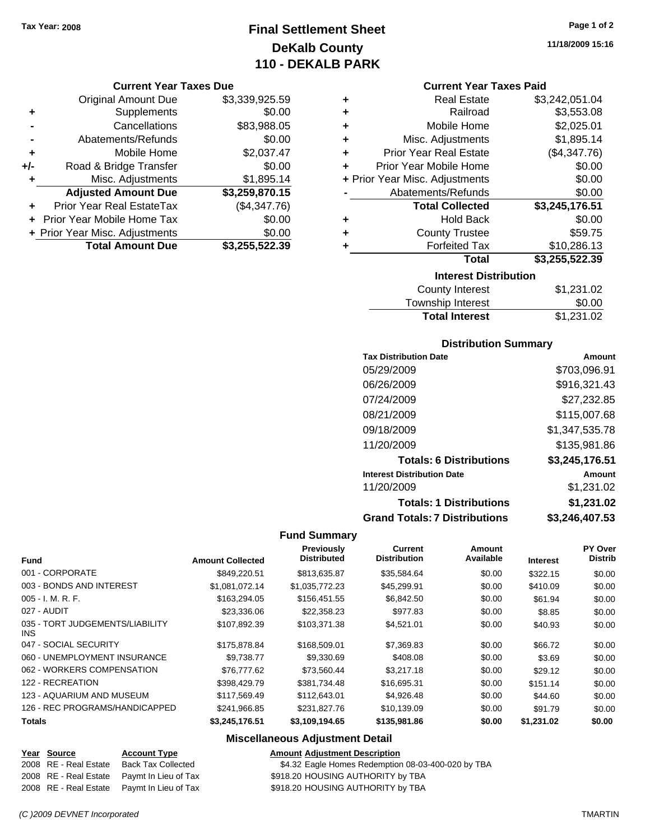### **Final Settlement Sheet Tax Year: 2008 Page 1 of 2 DeKalb County 110 - DEKALB PARK**

#### **Current Year Taxes Due**

|     | <b>Original Amount Due</b>     | \$3,339,925.59 |
|-----|--------------------------------|----------------|
| ٠   | Supplements                    | \$0.00         |
|     | Cancellations                  | \$83,988.05    |
|     | Abatements/Refunds             | \$0.00         |
| ٠   | Mobile Home                    | \$2,037.47     |
| +/- | Road & Bridge Transfer         | \$0.00         |
| ٠   | Misc. Adjustments              | \$1,895.14     |
|     | <b>Adjusted Amount Due</b>     | \$3,259,870.15 |
|     | Prior Year Real EstateTax      | (\$4,347.76)   |
|     | Prior Year Mobile Home Tax     | \$0.00         |
|     | + Prior Year Misc. Adjustments | \$0.00         |
|     | <b>Total Amount Due</b>        | \$3,255,522.39 |

| ٠ | <b>Real Estate</b>             | \$3,242,051.04 |
|---|--------------------------------|----------------|
| ٠ | Railroad                       | \$3,553.08     |
| ٠ | Mobile Home                    | \$2,025.01     |
| ٠ | Misc. Adjustments              | \$1,895.14     |
| ÷ | <b>Prior Year Real Estate</b>  | (\$4,347.76)   |
| ٠ | Prior Year Mobile Home         | \$0.00         |
|   | + Prior Year Misc. Adjustments | \$0.00         |
|   | Abatements/Refunds             | \$0.00         |
|   | <b>Total Collected</b>         | \$3,245,176.51 |
| ٠ | <b>Hold Back</b>               | \$0.00         |
| ٠ | <b>County Trustee</b>          | \$59.75        |
| ٠ | <b>Forfeited Tax</b>           | \$10,286.13    |
|   | <b>Total</b>                   | \$3,255,522.39 |
|   | <b>Interest Distribution</b>   |                |
|   | County Interest                | \$1,231.02     |

| County Interest       | \$1,231.02 |
|-----------------------|------------|
| Township Interest     | \$0.00     |
| <b>Total Interest</b> | \$1,231.02 |

#### **Distribution Summary**

| <b>Tax Distribution Date</b>         | Amount         |
|--------------------------------------|----------------|
| 05/29/2009                           | \$703,096.91   |
| 06/26/2009                           | \$916,321.43   |
| 07/24/2009                           | \$27,232.85    |
| 08/21/2009                           | \$115,007.68   |
| 09/18/2009                           | \$1,347,535.78 |
| 11/20/2009                           | \$135,981.86   |
| <b>Totals: 6 Distributions</b>       | \$3,245,176.51 |
| <b>Interest Distribution Date</b>    | Amount         |
| 11/20/2009                           | \$1,231.02     |
| <b>Totals: 1 Distributions</b>       | \$1,231.02     |
| <b>Grand Totals: 7 Distributions</b> | \$3,246,407.53 |

#### **Fund Summary**

| <b>Fund</b>                                   | <b>Amount Collected</b> | Previously<br><b>Distributed</b> | Current<br><b>Distribution</b> | Amount<br>Available | <b>Interest</b> | PY Over<br><b>Distrib</b> |
|-----------------------------------------------|-------------------------|----------------------------------|--------------------------------|---------------------|-----------------|---------------------------|
|                                               |                         |                                  |                                |                     |                 |                           |
| 001 - CORPORATE                               | \$849,220.51            | \$813,635.87                     | \$35,584.64                    | \$0.00              | \$322.15        | \$0.00                    |
| 003 - BONDS AND INTEREST                      | \$1,081,072.14          | \$1,035,772.23                   | \$45,299.91                    | \$0.00              | \$410.09        | \$0.00                    |
| $005 - I. M. R. F.$                           | \$163.294.05            | \$156,451.55                     | \$6,842.50                     | \$0.00              | \$61.94         | \$0.00                    |
| 027 - AUDIT                                   | \$23,336.06             | \$22,358.23                      | \$977.83                       | \$0.00              | \$8.85          | \$0.00                    |
| 035 - TORT JUDGEMENTS/LIABILITY<br><b>INS</b> | \$107.892.39            | \$103.371.38                     | \$4,521.01                     | \$0.00              | \$40.93         | \$0.00                    |
| 047 - SOCIAL SECURITY                         | \$175,878,84            | \$168,509.01                     | \$7,369.83                     | \$0.00              | \$66.72         | \$0.00                    |
| 060 - UNEMPLOYMENT INSURANCE                  | \$9.738.77              | \$9,330.69                       | \$408.08                       | \$0.00              | \$3.69          | \$0.00                    |
| 062 - WORKERS COMPENSATION                    | \$76,777.62             | \$73.560.44                      | \$3,217.18                     | \$0.00              | \$29.12         | \$0.00                    |
| 122 - RECREATION                              | \$398,429.79            | \$381.734.48                     | \$16,695.31                    | \$0.00              | \$151.14        | \$0.00                    |
| 123 - AQUARIUM AND MUSEUM                     | \$117,569.49            | \$112,643.01                     | \$4,926.48                     | \$0.00              | \$44.60         | \$0.00                    |
| 126 - REC PROGRAMS/HANDICAPPED                | \$241,966.85            | \$231,827.76                     | \$10,139.09                    | \$0.00              | \$91.79         | \$0.00                    |
| <b>Totals</b>                                 | \$3,245,176.51          | \$3,109,194.65                   | \$135,981.86                   | \$0.00              | \$1,231.02      | \$0.00                    |

#### **Miscellaneous Adjustment Detail**

| Year Source           | <b>Account Type</b>                        |
|-----------------------|--------------------------------------------|
| 2008 RE - Real Estate | <b>Back Tax Collected</b>                  |
| 2008 RE - Real Estate | Paymt In Lieu of Tax                       |
|                       | 2008 RE - Real Estate Paymt In Lieu of Tax |

\$4.32 Eagle Homes Redemption 08-03-400-020 by TBA \$918.20 HOUSING AUTHORITY by TBA

at a Estate and Estate in Lieu of Tax  $$918.20$  HOUSING AUTHORITY by TBA

**Amount Adjustment Description**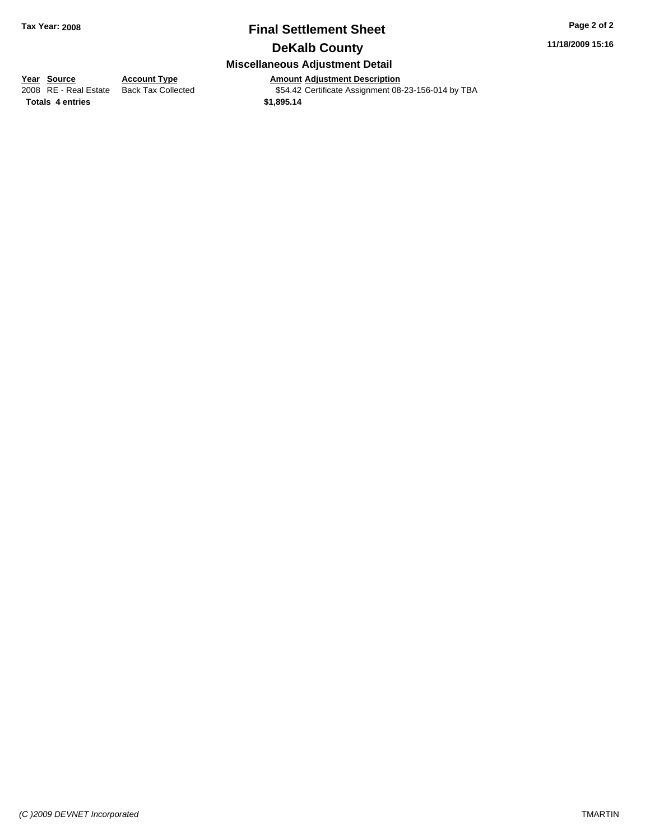# **Final Settlement Sheet Tax Year: 2008 Page 2 of 2**

**11/18/2009 15:16**

### **DeKalb County**

#### **Miscellaneous Adjustment Detail**

# **Year Source Account Type Amount Adjustment Description**<br>
2008 RE - Real Estate Back Tax Collected **1998 554.42** Certificate Assignment 08

\$54.42 Certificate Assignment 08-23-156-014 by TBA

**Totals \$1,895.14 4 entries**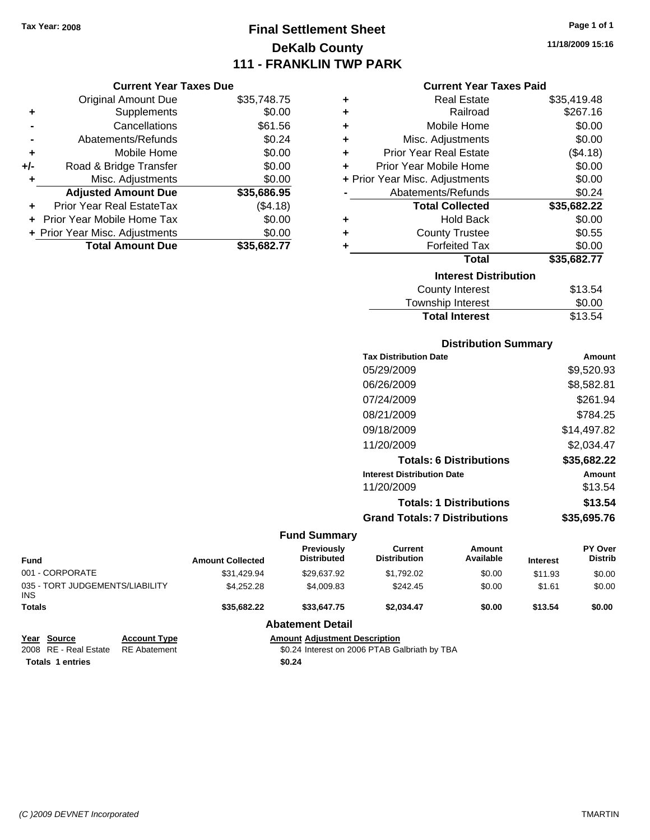### **Final Settlement Sheet Tax Year: 2008 Page 1 of 1 DeKalb County 111 - FRANKLIN TWP PARK**

**11/18/2009 15:16**

#### **Current Year Taxes Paid**

|       | <b>Current Year Taxes Due</b>  |             |
|-------|--------------------------------|-------------|
|       | <b>Original Amount Due</b>     | \$35,748.75 |
| ٠     | Supplements                    | \$0.00      |
|       | Cancellations                  | \$61.56     |
|       | Abatements/Refunds             | \$0.24      |
| ٠     | Mobile Home                    | \$0.00      |
| $+/-$ | Road & Bridge Transfer         | \$0.00      |
|       | Misc. Adjustments              | \$0.00      |
|       | <b>Adjusted Amount Due</b>     | \$35,686.95 |
|       | Prior Year Real EstateTax      | (\$4.18)    |
|       | Prior Year Mobile Home Tax     | \$0.00      |
|       | + Prior Year Misc. Adjustments | \$0.00      |
|       | <b>Total Amount Due</b>        | \$35,682.77 |

| ٠ | Real Estate                    | \$35,419.48 |
|---|--------------------------------|-------------|
| ٠ | Railroad                       | \$267.16    |
| ٠ | Mobile Home                    | \$0.00      |
| ٠ | Misc. Adjustments              | \$0.00      |
| ٠ | <b>Prior Year Real Estate</b>  | (\$4.18)    |
| ٠ | Prior Year Mobile Home         | \$0.00      |
|   | + Prior Year Misc. Adjustments | \$0.00      |
|   | Abatements/Refunds             | \$0.24      |
|   | <b>Total Collected</b>         | \$35,682.22 |
| ٠ | Hold Back                      | \$0.00      |
| ٠ | <b>County Trustee</b>          | \$0.55      |
| ٠ | <b>Forfeited Tax</b>           | \$0.00      |
|   | Total                          | \$35,682.77 |
|   | <b>Interest Distribution</b>   |             |
|   | <b>County Interest</b>         | \$13.54     |
|   | <b>Township Interest</b>       | \$0.00      |
|   | <b>Total Interest</b>          | \$13.54     |

#### **Distribution Summary**

| <b>Tax Distribution Date</b>         | Amount      |
|--------------------------------------|-------------|
| 05/29/2009                           | \$9,520.93  |
| 06/26/2009                           | \$8,582.81  |
| 07/24/2009                           | \$261.94    |
| 08/21/2009                           | \$784.25    |
| 09/18/2009                           | \$14,497.82 |
| 11/20/2009                           | \$2,034.47  |
| <b>Totals: 6 Distributions</b>       | \$35,682.22 |
| <b>Interest Distribution Date</b>    | Amount      |
| 11/20/2009                           | \$13.54     |
| <b>Totals: 1 Distributions</b>       | \$13.54     |
| <b>Grand Totals: 7 Distributions</b> | \$35.695.76 |
|                                      |             |

#### **Fund Summary**

| <b>Fund</b>                                   |                     | <b>Amount Collected</b> | Previously<br><b>Distributed</b>              | Current<br><b>Distribution</b> | Amount<br>Available | <b>Interest</b> | <b>PY Over</b><br><b>Distrib</b> |
|-----------------------------------------------|---------------------|-------------------------|-----------------------------------------------|--------------------------------|---------------------|-----------------|----------------------------------|
| 001 - CORPORATE                               |                     | \$31,429.94             | \$29.637.92                                   | \$1,792.02                     | \$0.00              | \$11.93         | \$0.00                           |
| 035 - TORT JUDGEMENTS/LIABILITY<br><b>INS</b> |                     | \$4.252.28              | \$4,009.83                                    | \$242.45                       | \$0.00              | \$1.61          | \$0.00                           |
| <b>Totals</b>                                 |                     | \$35.682.22             | \$33,647.75                                   | \$2.034.47                     | \$0.00              | \$13.54         | \$0.00                           |
|                                               |                     |                         | <b>Abatement Detail</b>                       |                                |                     |                 |                                  |
| Year Source                                   | <b>Account Type</b> |                         | <b>Amount Adiustment Description</b>          |                                |                     |                 |                                  |
| 2008 RE - Real Estate                         | <b>RE</b> Abatement |                         | \$0.24 Interest on 2006 PTAB Galbriath by TBA |                                |                     |                 |                                  |

**Totals \$0.24 1 entries**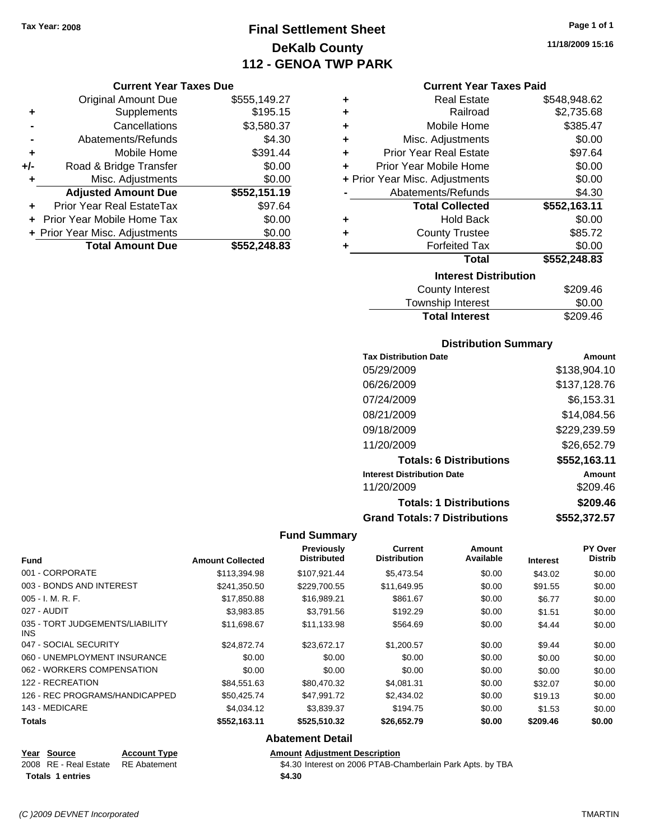### **Final Settlement Sheet Tax Year: 2008 Page 1 of 1 DeKalb County 112 - GENOA TWP PARK**

#### **Current Year Taxes Due**

|       | <b>Original Amount Due</b>     | \$555,149.27 |
|-------|--------------------------------|--------------|
| ٠     | Supplements                    | \$195.15     |
|       | Cancellations                  | \$3,580.37   |
|       | Abatements/Refunds             | \$4.30       |
| ÷     | Mobile Home                    | \$391.44     |
| $+/-$ | Road & Bridge Transfer         | \$0.00       |
| ٠     | Misc. Adjustments              | \$0.00       |
|       | <b>Adjusted Amount Due</b>     | \$552,151.19 |
|       | Prior Year Real EstateTax      | \$97.64      |
|       | + Prior Year Mobile Home Tax   | \$0.00       |
|       | + Prior Year Misc. Adjustments | \$0.00       |
|       | <b>Total Amount Due</b>        | \$552,248.83 |

| ٠ | <b>Real Estate</b>             | \$548,948.62 |
|---|--------------------------------|--------------|
| ÷ | Railroad                       | \$2,735.68   |
| ٠ | Mobile Home                    | \$385.47     |
| ٠ | Misc. Adjustments              | \$0.00       |
| ÷ | <b>Prior Year Real Estate</b>  | \$97.64      |
| ÷ | Prior Year Mobile Home         | \$0.00       |
|   | + Prior Year Misc. Adjustments | \$0.00       |
|   | Abatements/Refunds             | \$4.30       |
|   | <b>Total Collected</b>         | \$552,163.11 |
| ٠ | <b>Hold Back</b>               | \$0.00       |
| ٠ | <b>County Trustee</b>          | \$85.72      |
| ٠ | <b>Forfeited Tax</b>           | \$0.00       |
|   | Total                          | \$552,248.83 |
|   | <b>Interest Distribution</b>   |              |
|   | <b>County Interest</b>         | \$209.46     |
|   |                                | ີ ລ          |

|                       | ------   |
|-----------------------|----------|
| Township Interest     | \$0.00   |
| <b>Total Interest</b> | \$209.46 |
|                       |          |

#### **Distribution Summary**

| <b>Tax Distribution Date</b>         | Amount       |
|--------------------------------------|--------------|
| 05/29/2009                           | \$138,904.10 |
| 06/26/2009                           | \$137,128.76 |
| 07/24/2009                           | \$6,153.31   |
| 08/21/2009                           | \$14,084.56  |
| 09/18/2009                           | \$229,239.59 |
| 11/20/2009                           | \$26,652.79  |
| <b>Totals: 6 Distributions</b>       | \$552,163.11 |
| <b>Interest Distribution Date</b>    | Amount       |
| 11/20/2009                           | \$209.46     |
| <b>Totals: 1 Distributions</b>       | \$209.46     |
| <b>Grand Totals: 7 Distributions</b> | \$552,372.57 |

#### **Fund Summary**

| <b>Fund</b>                             | <b>Amount Collected</b> | <b>Previously</b><br><b>Distributed</b> | <b>Current</b><br><b>Distribution</b> | Amount<br>Available | <b>Interest</b> | PY Over<br><b>Distrib</b> |
|-----------------------------------------|-------------------------|-----------------------------------------|---------------------------------------|---------------------|-----------------|---------------------------|
| 001 - CORPORATE                         | \$113,394.98            | \$107,921.44                            | \$5,473.54                            | \$0.00              | \$43.02         | \$0.00                    |
| 003 - BONDS AND INTEREST                | \$241,350.50            | \$229,700.55                            | \$11,649.95                           | \$0.00              | \$91.55         | \$0.00                    |
| 005 - I. M. R. F.                       | \$17,850.88             | \$16,989.21                             | \$861.67                              | \$0.00              | \$6.77          | \$0.00                    |
| 027 - AUDIT                             | \$3,983.85              | \$3,791.56                              | \$192.29                              | \$0.00              | \$1.51          | \$0.00                    |
| 035 - TORT JUDGEMENTS/LIABILITY<br>INS. | \$11.698.67             | \$11,133.98                             | \$564.69                              | \$0.00              | \$4.44          | \$0.00                    |
| 047 - SOCIAL SECURITY                   | \$24,872.74             | \$23,672.17                             | \$1,200.57                            | \$0.00              | \$9.44          | \$0.00                    |
| 060 - UNEMPLOYMENT INSURANCE            | \$0.00                  | \$0.00                                  | \$0.00                                | \$0.00              | \$0.00          | \$0.00                    |
| 062 - WORKERS COMPENSATION              | \$0.00                  | \$0.00                                  | \$0.00                                | \$0.00              | \$0.00          | \$0.00                    |
| 122 - RECREATION                        | \$84,551.63             | \$80,470.32                             | \$4,081.31                            | \$0.00              | \$32.07         | \$0.00                    |
| 126 - REC PROGRAMS/HANDICAPPED          | \$50.425.74             | \$47,991.72                             | \$2,434.02                            | \$0.00              | \$19.13         | \$0.00                    |
| 143 - MEDICARE                          | \$4,034.12              | \$3,839.37                              | \$194.75                              | \$0.00              | \$1.53          | \$0.00                    |
| <b>Totals</b>                           | \$552,163.11            | \$525,510.32                            | \$26,652.79                           | \$0.00              | \$209.46        | \$0.00                    |

#### **Abatement Detail**

# **Year Source Account Type Amount Adjustment Description**<br>2008 RE - Real Estate RE Abatement **AMOUNT S4.30** Interest on 2006 PTAB-CH

\$4.30 Interest on 2006 PTAB-Chamberlain Park Apts. by TBA Totals 1 entries \$4.30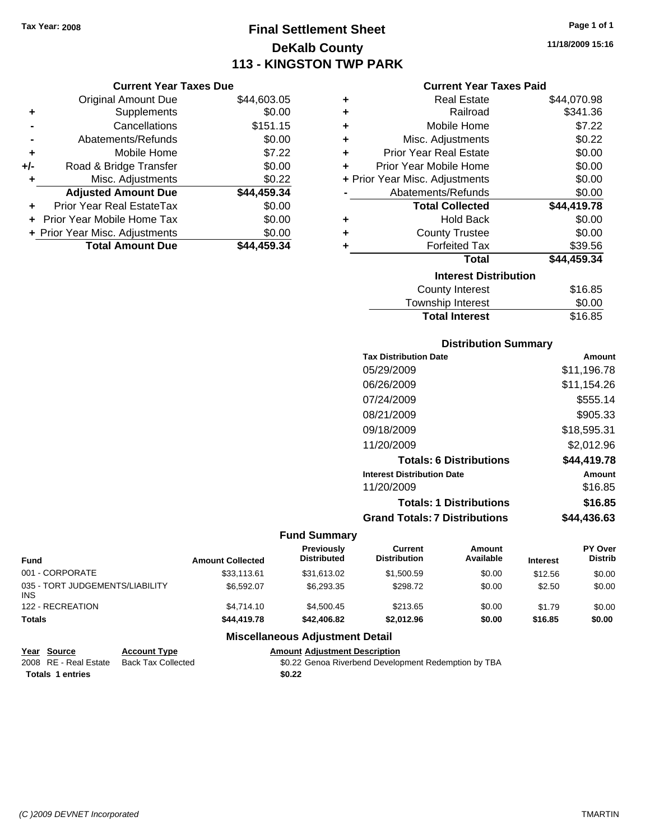**Current Year Taxes Due** Original Amount Due \$44,603.05

### **Final Settlement Sheet Tax Year: 2008 Page 1 of 1 DeKalb County 113 - KINGSTON TWP PARK**

**11/18/2009 15:16**

#### **Current Year Taxes Paid**

|     | <b>Original Amount Due</b>     | \$44,603.05 | ٠ | <b>Real Estate</b>             | \$44,070.98 |
|-----|--------------------------------|-------------|---|--------------------------------|-------------|
| ٠   | Supplements                    | \$0.00      | ٠ | Railroad                       | \$341.36    |
|     | Cancellations                  | \$151.15    | ٠ | Mobile Home                    | \$7.22      |
|     | Abatements/Refunds             | \$0.00      | ٠ | Misc. Adjustments              | \$0.22      |
| ٠   | Mobile Home                    | \$7.22      | ٠ | <b>Prior Year Real Estate</b>  | \$0.00      |
| +/- | Road & Bridge Transfer         | \$0.00      |   | Prior Year Mobile Home         | \$0.00      |
|     | Misc. Adjustments              | \$0.22      |   | + Prior Year Misc. Adjustments | \$0.00      |
|     | <b>Adjusted Amount Due</b>     | \$44,459.34 |   | Abatements/Refunds             | \$0.00      |
| ٠   | Prior Year Real EstateTax      | \$0.00      |   | <b>Total Collected</b>         | \$44,419.78 |
|     | Prior Year Mobile Home Tax     | \$0.00      | ÷ | <b>Hold Back</b>               | \$0.00      |
|     | + Prior Year Misc. Adjustments | \$0.00      | ٠ | <b>County Trustee</b>          | \$0.00      |
|     | <b>Total Amount Due</b>        | \$44,459.34 |   | <b>Forfeited Tax</b>           | \$39.56     |
|     |                                |             |   | <b>Total</b>                   | \$44,459.34 |
|     |                                |             |   | <b>Interest Distribution</b>   |             |
|     |                                |             |   | <b>County Interest</b>         | \$16.85     |
|     |                                |             |   | Townshin Interest              | ደበ በበ       |

### wnship Interest \$0.00 Total Interest \$16.85

| <b>Distribution Summary</b>          |             |
|--------------------------------------|-------------|
| <b>Tax Distribution Date</b>         | Amount      |
| 05/29/2009                           | \$11,196.78 |
| 06/26/2009                           | \$11,154.26 |
| 07/24/2009                           | \$555.14    |
| 08/21/2009                           | \$905.33    |
| 09/18/2009                           | \$18,595.31 |
| 11/20/2009                           | \$2,012.96  |
| <b>Totals: 6 Distributions</b>       | \$44,419.78 |
| <b>Interest Distribution Date</b>    | Amount      |
| 11/20/2009                           | \$16.85     |
| <b>Totals: 1 Distributions</b>       | \$16.85     |
| <b>Grand Totals: 7 Distributions</b> | \$44,436.63 |

#### **Fund Summary**

| Fund                                   | <b>Amount Collected</b> | <b>Previously</b><br><b>Distributed</b> | Current<br><b>Distribution</b> | Amount<br>Available | <b>Interest</b> | <b>PY Over</b><br><b>Distrib</b> |
|----------------------------------------|-------------------------|-----------------------------------------|--------------------------------|---------------------|-----------------|----------------------------------|
| 001 - CORPORATE                        | \$33,113,61             | \$31,613.02                             | \$1,500.59                     | \$0.00              | \$12.56         | \$0.00                           |
| 035 - TORT JUDGEMENTS/LIABILITY<br>INS | \$6,592.07              | \$6.293.35                              | \$298.72                       | \$0.00              | \$2.50          | \$0.00                           |
| 122 - RECREATION                       | \$4,714.10              | \$4.500.45                              | \$213.65                       | \$0.00              | \$1.79          | \$0.00                           |
| Totals                                 | \$44,419.78             | \$42,406.82                             | \$2.012.96                     | \$0.00              | \$16.85         | \$0.00                           |
|                                        |                         |                                         |                                |                     |                 |                                  |

#### **Miscellaneous Adjustment Detail**

| Year Source             | <b>Account Type</b> | <b>Amount Adiustment Description</b>                 |
|-------------------------|---------------------|------------------------------------------------------|
| 2008 RE - Real Estate   | Back Tax Collected  | \$0.22 Genoa Riverbend Development Redemption by TBA |
| <b>Totals 1 entries</b> |                     | \$0.22                                               |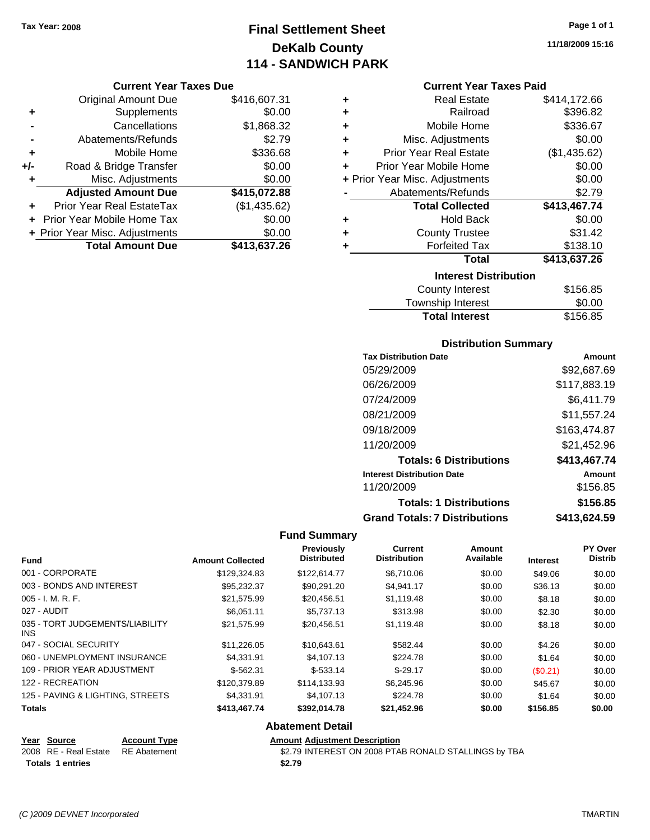## **Final Settlement Sheet Tax Year: 2008 Page 1 of 1 DeKalb County 114 - SANDWICH PARK**

**11/18/2009 15:16**

#### **Current Year Taxes Due**

|     | <b>Original Amount Due</b>     | \$416,607.31 |
|-----|--------------------------------|--------------|
| ٠   | Supplements                    | \$0.00       |
|     | Cancellations                  | \$1,868.32   |
|     | Abatements/Refunds             | \$2.79       |
| ٠   | Mobile Home                    | \$336.68     |
| +/- | Road & Bridge Transfer         | \$0.00       |
| ٠   | Misc. Adjustments              | \$0.00       |
|     | <b>Adjusted Amount Due</b>     | \$415,072.88 |
|     | Prior Year Real EstateTax      | (\$1,435.62) |
|     | Prior Year Mobile Home Tax     | \$0.00       |
|     | + Prior Year Misc. Adjustments | \$0.00       |
|     | <b>Total Amount Due</b>        | \$413,637.26 |

#### **Current Year Taxes Paid**

| ٠ | Real Estate                    | \$414,172.66 |
|---|--------------------------------|--------------|
| ٠ | Railroad                       | \$396.82     |
| ٠ | Mobile Home                    | \$336.67     |
| ٠ | Misc. Adjustments              | \$0.00       |
| ÷ | <b>Prior Year Real Estate</b>  | (\$1,435.62) |
| ÷ | Prior Year Mobile Home         | \$0.00       |
|   | + Prior Year Misc. Adjustments | \$0.00       |
|   | Abatements/Refunds             | \$2.79       |
|   |                                |              |
|   | <b>Total Collected</b>         | \$413,467.74 |
| ٠ | <b>Hold Back</b>               | \$0.00       |
| ٠ | <b>County Trustee</b>          | \$31.42      |
| ٠ | <b>Forfeited Tax</b>           | \$138.10     |
|   | <b>Total</b>                   | \$413,637.26 |
|   | <b>Interest Distribution</b>   |              |
|   | <b>County Interest</b>         | \$156.85     |

## Total Interest \$156.85

| <b>Distribution Summary</b>          |              |  |  |
|--------------------------------------|--------------|--|--|
| <b>Tax Distribution Date</b>         | Amount       |  |  |
| 05/29/2009                           | \$92,687.69  |  |  |
| 06/26/2009                           | \$117.883.19 |  |  |
| 07/24/2009                           | \$6,411.79   |  |  |
| 08/21/2009                           | \$11,557.24  |  |  |
| 09/18/2009                           | \$163,474.87 |  |  |
| 11/20/2009                           | \$21.452.96  |  |  |
| <b>Totals: 6 Distributions</b>       | \$413,467.74 |  |  |
| <b>Interest Distribution Date</b>    | Amount       |  |  |
| 11/20/2009                           | \$156.85     |  |  |
| <b>Totals: 1 Distributions</b>       | \$156.85     |  |  |
| <b>Grand Totals: 7 Distributions</b> | \$413.624.59 |  |  |

#### **Fund Summary**

| <b>Fund</b>                                   | <b>Amount Collected</b> | Previously<br><b>Distributed</b> | Current<br><b>Distribution</b> | <b>Amount</b><br>Available | <b>Interest</b> | PY Over<br><b>Distrib</b> |
|-----------------------------------------------|-------------------------|----------------------------------|--------------------------------|----------------------------|-----------------|---------------------------|
| 001 - CORPORATE                               | \$129.324.83            | \$122,614.77                     | \$6,710.06                     | \$0.00                     | \$49.06         | \$0.00                    |
| 003 - BONDS AND INTEREST                      | \$95,232.37             | \$90,291.20                      | \$4,941.17                     | \$0.00                     | \$36.13         | \$0.00                    |
| $005 - I. M. R. F.$                           | \$21,575.99             | \$20.456.51                      | \$1,119.48                     | \$0.00                     | \$8.18          | \$0.00                    |
| 027 - AUDIT                                   | \$6,051.11              | \$5,737.13                       | \$313.98                       | \$0.00                     | \$2.30          | \$0.00                    |
| 035 - TORT JUDGEMENTS/LIABILITY<br><b>INS</b> | \$21,575.99             | \$20.456.51                      | \$1,119.48                     | \$0.00                     | \$8.18          | \$0.00                    |
| 047 - SOCIAL SECURITY                         | \$11.226.05             | \$10,643.61                      | \$582.44                       | \$0.00                     | \$4.26          | \$0.00                    |
| 060 - UNEMPLOYMENT INSURANCE                  | \$4,331.91              | \$4,107.13                       | \$224.78                       | \$0.00                     | \$1.64          | \$0.00                    |
| 109 - PRIOR YEAR ADJUSTMENT                   | $$-562.31$              | $$-533.14$                       | $$-29.17$                      | \$0.00                     | (\$0.21)        | \$0.00                    |
| 122 - RECREATION                              | \$120,379.89            | \$114,133.93                     | \$6,245.96                     | \$0.00                     | \$45.67         | \$0.00                    |
| 125 - PAVING & LIGHTING, STREETS              | \$4,331.91              | \$4.107.13                       | \$224.78                       | \$0.00                     | \$1.64          | \$0.00                    |
| <b>Totals</b>                                 | \$413,467.74            | \$392,014.78                     | \$21,452.96                    | \$0.00                     | \$156.85        | \$0.00                    |
|                                               |                         | <b>Abatement Detail</b>          |                                |                            |                 |                           |

#### **Year Source Account Type Amount Adjustment Description** 2008 RE - Real Estate RE Abatement **\$2.79 INTEREST ON 2008 PTAB RONALD STALLINGS** by TBA Totals 1 entries **12.79**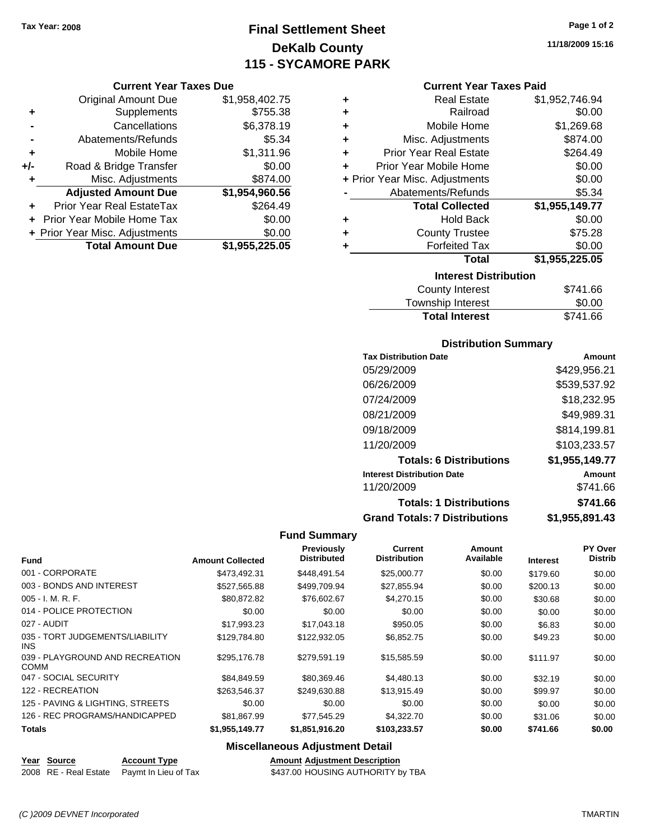**Current Year Taxes Due** Original Amount Due \$1,958,402.75

**Proad & Bridge Transfer \$0.00 \$0.00** 

**Adjusted Amount Due \$1,954,960.56**

**Total Amount Due \$1,955,225.05**

**+** Supplements \$755.38 **-** Cancellations \$6,378.19 **-** Abatements/Refunds \$5.34 **+** Mobile Home \$1,311.96<br>**+/-** Road & Bridge Transfer \$0.00

**+** Misc. Adjustments \$874.00

**+** Prior Year Real EstateTax \$264.49 **+** Prior Year Mobile Home Tax \$0.00 **+ Prior Year Misc. Adjustments**  $$0.00$ 

### **Final Settlement Sheet Tax Year: 2008 Page 1 of 2 DeKalb County 115 - SYCAMORE PARK**

#### **Current Year Taxes Paid**

| ٠ | <b>Real Estate</b>             | \$1,952,746.94 |
|---|--------------------------------|----------------|
| ÷ | Railroad                       | \$0.00         |
| ÷ | Mobile Home                    | \$1,269.68     |
| ÷ | Misc. Adjustments              | \$874.00       |
| ÷ | <b>Prior Year Real Estate</b>  | \$264.49       |
| ÷ | Prior Year Mobile Home         | \$0.00         |
|   | + Prior Year Misc. Adjustments | \$0.00         |
|   | Abatements/Refunds             | \$5.34         |
|   | <b>Total Collected</b>         | \$1,955,149.77 |
| ٠ | <b>Hold Back</b>               | \$0.00         |
| ٠ | <b>County Trustee</b>          | \$75.28        |
| ٠ | <b>Forfeited Tax</b>           | \$0.00         |
|   | Total                          | \$1,955,225.05 |
|   | <b>Interest Distribution</b>   |                |
|   | <b>County Interest</b>         | \$741.66       |
|   |                                |                |

| <b>Total Interest</b>    | \$741.66 |
|--------------------------|----------|
| Township Interest        | \$0.00   |
| <b>OVATILY THILLICAL</b> |          |

#### **Distribution Summary**

| <b>Tax Distribution Date</b>         | Amount         |
|--------------------------------------|----------------|
| 05/29/2009                           | \$429,956.21   |
| 06/26/2009                           | \$539,537.92   |
| 07/24/2009                           | \$18,232.95    |
| 08/21/2009                           | \$49,989.31    |
| 09/18/2009                           | \$814,199.81   |
| 11/20/2009                           | \$103,233.57   |
| <b>Totals: 6 Distributions</b>       | \$1,955,149.77 |
| <b>Interest Distribution Date</b>    | Amount         |
| 11/20/2009                           | \$741.66       |
| <b>Totals: 1 Distributions</b>       | \$741.66       |
| <b>Grand Totals: 7 Distributions</b> | \$1,955,891.43 |

#### **Fund Summary**

| <b>Fund</b>                                    | <b>Amount Collected</b> | <b>Previously</b><br><b>Distributed</b> | <b>Current</b><br><b>Distribution</b> | Amount<br>Available | <b>Interest</b> | <b>PY Over</b><br><b>Distrib</b> |
|------------------------------------------------|-------------------------|-----------------------------------------|---------------------------------------|---------------------|-----------------|----------------------------------|
| 001 - CORPORATE                                | \$473.492.31            | \$448,491.54                            | \$25,000.77                           | \$0.00              | \$179.60        | \$0.00                           |
| 003 - BONDS AND INTEREST                       | \$527,565.88            | \$499,709.94                            | \$27,855.94                           | \$0.00              | \$200.13        | \$0.00                           |
| $005 - I. M. R. F.$                            | \$80,872.82             | \$76,602.67                             | \$4,270.15                            | \$0.00              | \$30.68         | \$0.00                           |
| 014 - POLICE PROTECTION                        | \$0.00                  | \$0.00                                  | \$0.00                                | \$0.00              | \$0.00          | \$0.00                           |
| 027 - AUDIT                                    | \$17,993.23             | \$17,043.18                             | \$950.05                              | \$0.00              | \$6.83          | \$0.00                           |
| 035 - TORT JUDGEMENTS/LIABILITY<br>INS.        | \$129,784.80            | \$122,932.05                            | \$6,852.75                            | \$0.00              | \$49.23         | \$0.00                           |
| 039 - PLAYGROUND AND RECREATION<br><b>COMM</b> | \$295,176.78            | \$279.591.19                            | \$15,585.59                           | \$0.00              | \$111.97        | \$0.00                           |
| 047 - SOCIAL SECURITY                          | \$84,849.59             | \$80,369.46                             | \$4,480.13                            | \$0.00              | \$32.19         | \$0.00                           |
| 122 - RECREATION                               | \$263,546,37            | \$249,630.88                            | \$13.915.49                           | \$0.00              | \$99.97         | \$0.00                           |
| 125 - PAVING & LIGHTING, STREETS               | \$0.00                  | \$0.00                                  | \$0.00                                | \$0.00              | \$0.00          | \$0.00                           |
| 126 - REC PROGRAMS/HANDICAPPED                 | \$81,867.99             | \$77,545.29                             | \$4,322.70                            | \$0.00              | \$31.06         | \$0.00                           |
| <b>Totals</b>                                  | \$1,955,149.77          | \$1,851,916.20                          | \$103,233.57                          | \$0.00              | \$741.66        | \$0.00                           |

#### **Miscellaneous Adjustment Detail**

| Year Source | <b>Account Type</b>                        |
|-------------|--------------------------------------------|
|             | 2008 RE - Real Estate Paymt In Lieu of Tax |

**Amount Adjustment Description** \$437.00 HOUSING AUTHORITY by TBA

*(C )2009 DEVNET Incorporated* TMARTIN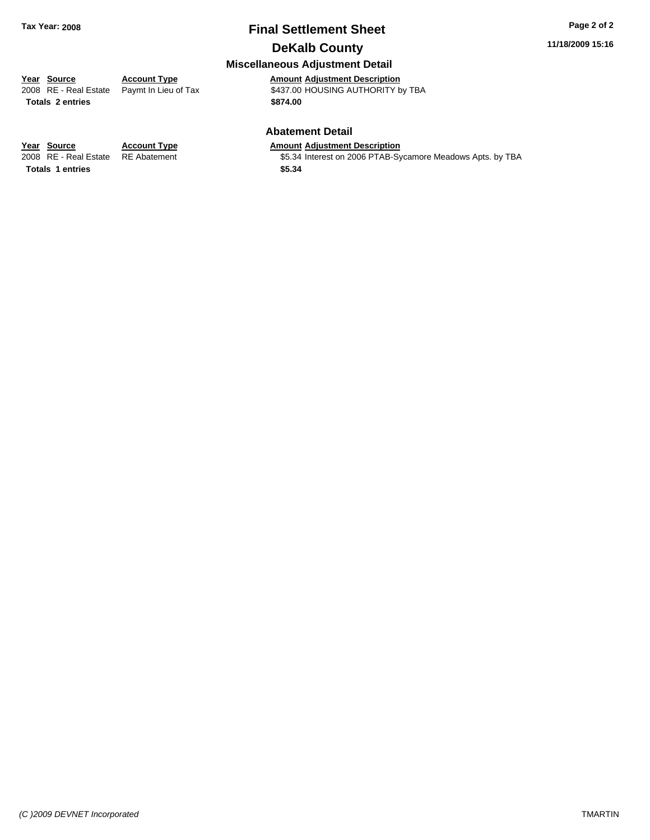### **Final Settlement Sheet Tax Year: 2008 Page 2 of 2 DeKalb County**

#### **11/18/2009 15:16**

### **Miscellaneous Adjustment Detail**

**Year Source Account Type Amount Adjustment Description**

**Totals \$874.00 2 entries**

2008 RE - Real Estate Paymt In Lieu of Tax **Automagne 18437.00 HOUSING AUTHORITY by TBA** 

#### **Abatement Detail**

#### **Year Source Account Type Amount Adjustment Description**

2008 RE - Real Estate RE Abatement St.34 Interest on 2006 PTAB-Sycamore Meadows Apts. by TBA

**Totals \$5.34 1 entries**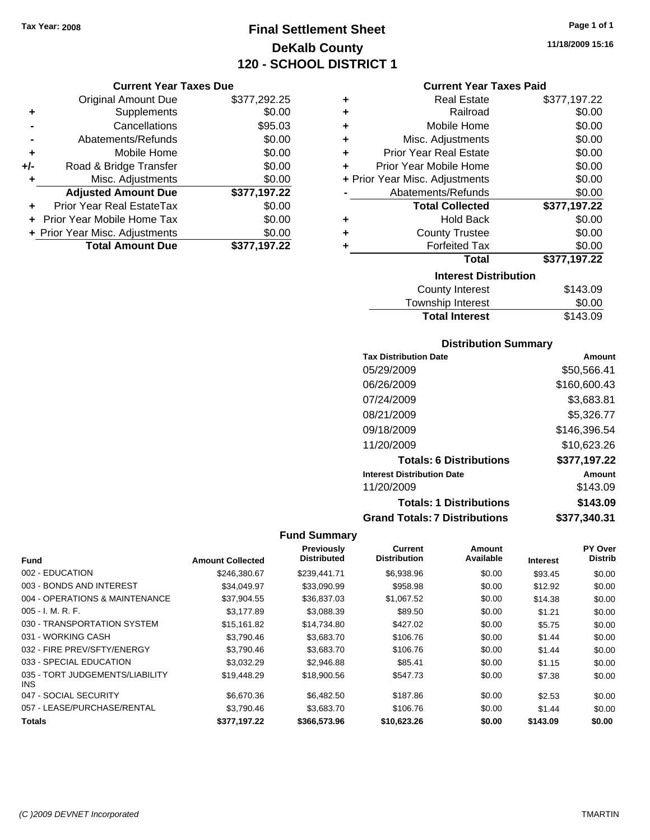### **Final Settlement Sheet Tax Year: 2008 Page 1 of 1 DeKalb County 120 - SCHOOL DISTRICT 1**

**11/18/2009 15:16**

#### **Current Year Taxes Due**

|       | <b>Original Amount Due</b>     | \$377,292.25 |
|-------|--------------------------------|--------------|
| ٠     | Supplements                    | \$0.00       |
|       | Cancellations                  | \$95.03      |
|       | Abatements/Refunds             | \$0.00       |
| ÷     | Mobile Home                    | \$0.00       |
| $+/-$ | Road & Bridge Transfer         | \$0.00       |
| ٠     | Misc. Adjustments              | \$0.00       |
|       | <b>Adjusted Amount Due</b>     | \$377,197.22 |
|       | Prior Year Real EstateTax      | \$0.00       |
|       | Prior Year Mobile Home Tax     | \$0.00       |
|       | + Prior Year Misc. Adjustments | \$0.00       |
|       | <b>Total Amount Due</b>        | \$377,197.22 |

#### **Current Year Taxes Paid**

| ٠ | <b>Real Estate</b>             | \$377,197.22 |
|---|--------------------------------|--------------|
| ٠ | Railroad                       | \$0.00       |
| ÷ | Mobile Home                    | \$0.00       |
| ٠ | Misc. Adjustments              | \$0.00       |
| ÷ | <b>Prior Year Real Estate</b>  | \$0.00       |
| ٠ | Prior Year Mobile Home         | \$0.00       |
|   | + Prior Year Misc. Adjustments | \$0.00       |
|   | Abatements/Refunds             | \$0.00       |
|   | <b>Total Collected</b>         | \$377,197.22 |
| ٠ | <b>Hold Back</b>               | \$0.00       |
| ٠ | <b>County Trustee</b>          | \$0.00       |
| ٠ | <b>Forfeited Tax</b>           | \$0.00       |
|   |                                |              |
|   | <b>Total</b>                   | \$377,197.22 |
|   | <b>Interest Distribution</b>   |              |
|   | <b>County Interest</b>         | \$143.09     |

#### Township Interest \$0.00<br>
Total Interest \$143.09 **Total Interest**

#### **Distribution Summary**

| <b>Tax Distribution Date</b>         | Amount       |
|--------------------------------------|--------------|
| 05/29/2009                           | \$50,566.41  |
| 06/26/2009                           | \$160,600.43 |
| 07/24/2009                           | \$3,683.81   |
| 08/21/2009                           | \$5,326.77   |
| 09/18/2009                           | \$146,396.54 |
| 11/20/2009                           | \$10,623.26  |
| <b>Totals: 6 Distributions</b>       | \$377,197.22 |
| <b>Interest Distribution Date</b>    | Amount       |
| 11/20/2009                           | \$143.09     |
| <b>Totals: 1 Distributions</b>       | \$143.09     |
| <b>Grand Totals: 7 Distributions</b> | \$377,340.31 |

| <b>Fund</b>                             | <b>Amount Collected</b> | <b>Previously</b><br><b>Distributed</b> | Current<br><b>Distribution</b> | Amount<br>Available | <b>Interest</b> | PY Over<br><b>Distrib</b> |
|-----------------------------------------|-------------------------|-----------------------------------------|--------------------------------|---------------------|-----------------|---------------------------|
| 002 - EDUCATION                         | \$246.380.67            | \$239,441.71                            | \$6,938.96                     | \$0.00              | \$93.45         | \$0.00                    |
| 003 - BONDS AND INTEREST                | \$34,049.97             | \$33,090.99                             | \$958.98                       | \$0.00              | \$12.92         | \$0.00                    |
| 004 - OPERATIONS & MAINTENANCE          | \$37,904.55             | \$36,837.03                             | \$1,067.52                     | \$0.00              | \$14.38         | \$0.00                    |
| $005 - I. M. R. F.$                     | \$3,177.89              | \$3,088.39                              | \$89.50                        | \$0.00              | \$1.21          | \$0.00                    |
| 030 - TRANSPORTATION SYSTEM             | \$15,161.82             | \$14,734.80                             | \$427.02                       | \$0.00              | \$5.75          | \$0.00                    |
| 031 - WORKING CASH                      | \$3,790.46              | \$3,683.70                              | \$106.76                       | \$0.00              | \$1.44          | \$0.00                    |
| 032 - FIRE PREV/SFTY/ENERGY             | \$3,790.46              | \$3,683.70                              | \$106.76                       | \$0.00              | \$1.44          | \$0.00                    |
| 033 - SPECIAL EDUCATION                 | \$3.032.29              | \$2,946.88                              | \$85.41                        | \$0.00              | \$1.15          | \$0.00                    |
| 035 - TORT JUDGEMENTS/LIABILITY<br>INS. | \$19,448.29             | \$18,900.56                             | \$547.73                       | \$0.00              | \$7.38          | \$0.00                    |
| 047 - SOCIAL SECURITY                   | \$6,670.36              | \$6,482.50                              | \$187.86                       | \$0.00              | \$2.53          | \$0.00                    |
| 057 - LEASE/PURCHASE/RENTAL             | \$3,790.46              | \$3,683.70                              | \$106.76                       | \$0.00              | \$1.44          | \$0.00                    |
| <b>Totals</b>                           | \$377,197.22            | \$366,573.96                            | \$10,623.26                    | \$0.00              | \$143.09        | \$0.00                    |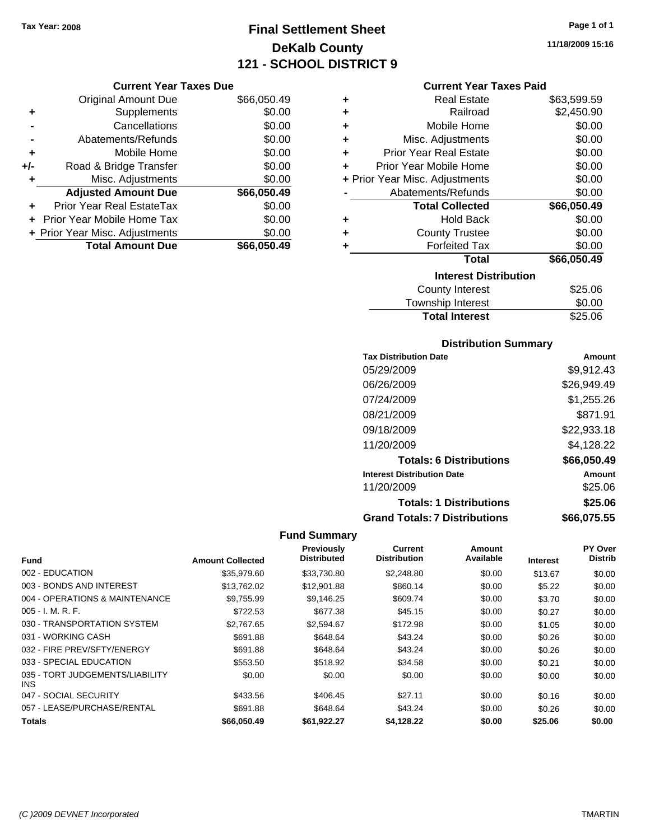### **Final Settlement Sheet Tax Year: 2008 Page 1 of 1 DeKalb County 121 - SCHOOL DISTRICT 9**

**11/18/2009 15:16**

|     | <b>Current Year Taxes Due</b>  |             |
|-----|--------------------------------|-------------|
|     | <b>Original Amount Due</b>     | \$66,050.49 |
| ٠   | Supplements                    | \$0.00      |
|     | Cancellations                  | \$0.00      |
|     | Abatements/Refunds             | \$0.00      |
| ٠   | Mobile Home                    | \$0.00      |
| +/- | Road & Bridge Transfer         | \$0.00      |
|     | Misc. Adjustments              | \$0.00      |
|     | <b>Adjusted Amount Due</b>     | \$66,050.49 |
|     | Prior Year Real EstateTax      | \$0.00      |
|     | Prior Year Mobile Home Tax     | \$0.00      |
|     | + Prior Year Misc. Adjustments | \$0.00      |
|     | <b>Total Amount Due</b>        | \$66,050.49 |

#### **Current Year Taxes Paid**

| ٠ | Real Estate                    | \$63,599.59 |
|---|--------------------------------|-------------|
| ÷ | Railroad                       | \$2,450.90  |
| ÷ | Mobile Home                    | \$0.00      |
| ٠ | Misc. Adjustments              | \$0.00      |
| ÷ | <b>Prior Year Real Estate</b>  | \$0.00      |
| ٠ | Prior Year Mobile Home         | \$0.00      |
|   | + Prior Year Misc. Adjustments | \$0.00      |
|   | Abatements/Refunds             | \$0.00      |
|   | <b>Total Collected</b>         | \$66,050.49 |
| ٠ | <b>Hold Back</b>               | \$0.00      |
| ÷ | <b>County Trustee</b>          | \$0.00      |
| ٠ | <b>Forfeited Tax</b>           | \$0.00      |
|   | Total                          | \$66,050.49 |
|   | <b>Interest Distribution</b>   |             |
|   | County Interest                | \$25.06     |
|   | <b>Township Interest</b>       | \$0.00      |
|   | <b>Total Interest</b>          | \$25.06     |

#### **Distribution Summary**

| <b>Tax Distribution Date</b>         | Amount      |
|--------------------------------------|-------------|
| 05/29/2009                           | \$9,912.43  |
| 06/26/2009                           | \$26,949.49 |
| 07/24/2009                           | \$1,255.26  |
| 08/21/2009                           | \$871.91    |
| 09/18/2009                           | \$22,933.18 |
| 11/20/2009                           | \$4,128.22  |
| <b>Totals: 6 Distributions</b>       | \$66,050.49 |
| <b>Interest Distribution Date</b>    | Amount      |
| 11/20/2009                           | \$25.06     |
| <b>Totals: 1 Distributions</b>       | \$25.06     |
| <b>Grand Totals: 7 Distributions</b> | \$66,075.55 |

|                                         |                         | <b>Previously</b>  | <b>Current</b>      | Amount    |                 | PY Over        |
|-----------------------------------------|-------------------------|--------------------|---------------------|-----------|-----------------|----------------|
| <b>Fund</b>                             | <b>Amount Collected</b> | <b>Distributed</b> | <b>Distribution</b> | Available | <b>Interest</b> | <b>Distrib</b> |
| 002 - EDUCATION                         | \$35,979.60             | \$33,730.80        | \$2,248.80          | \$0.00    | \$13.67         | \$0.00         |
| 003 - BONDS AND INTEREST                | \$13,762.02             | \$12,901.88        | \$860.14            | \$0.00    | \$5.22          | \$0.00         |
| 004 - OPERATIONS & MAINTENANCE          | \$9,755.99              | \$9,146.25         | \$609.74            | \$0.00    | \$3.70          | \$0.00         |
| $005 - I. M. R. F.$                     | \$722.53                | \$677.38           | \$45.15             | \$0.00    | \$0.27          | \$0.00         |
| 030 - TRANSPORTATION SYSTEM             | \$2,767.65              | \$2,594.67         | \$172.98            | \$0.00    | \$1.05          | \$0.00         |
| 031 - WORKING CASH                      | \$691.88                | \$648.64           | \$43.24             | \$0.00    | \$0.26          | \$0.00         |
| 032 - FIRE PREV/SFTY/ENERGY             | \$691.88                | \$648.64           | \$43.24             | \$0.00    | \$0.26          | \$0.00         |
| 033 - SPECIAL EDUCATION                 | \$553.50                | \$518.92           | \$34.58             | \$0.00    | \$0.21          | \$0.00         |
| 035 - TORT JUDGEMENTS/LIABILITY<br>INS. | \$0.00                  | \$0.00             | \$0.00              | \$0.00    | \$0.00          | \$0.00         |
| 047 - SOCIAL SECURITY                   | \$433.56                | \$406.45           | \$27.11             | \$0.00    | \$0.16          | \$0.00         |
| 057 - LEASE/PURCHASE/RENTAL             | \$691.88                | \$648.64           | \$43.24             | \$0.00    | \$0.26          | \$0.00         |
| <b>Totals</b>                           | \$66,050.49             | \$61,922.27        | \$4,128.22          | \$0.00    | \$25.06         | \$0.00         |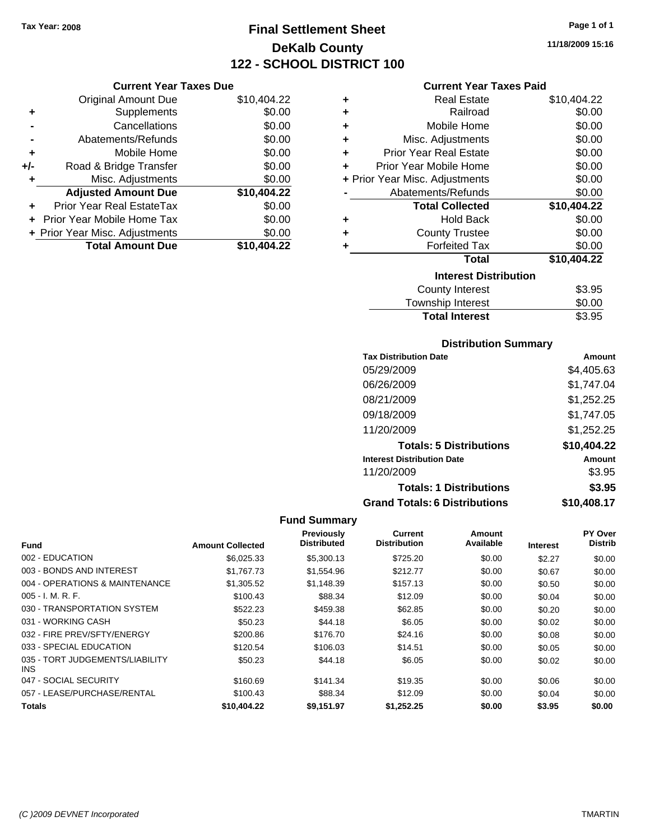**Current Year Taxes Due** Original Amount Due \$10,404.22

**Adjusted Amount Due \$10,404.22**

**Total Amount Due \$10,404.22**

**+** Supplements \$0.00<br> **c** Cancellations \$0.00

**-** Abatements/Refunds \$0.00 **+** Mobile Home \$0.00 **+/-** Road & Bridge Transfer \$0.00 **+** Misc. Adjustments \$0.00

**+** Prior Year Real EstateTax \$0.00 **+** Prior Year Mobile Home Tax \$0.00 **+ Prior Year Misc. Adjustments**  $$0.00$ 

**-** Cancellations

### **Final Settlement Sheet Tax Year: 2008 Page 1 of 1 DeKalb County 122 - SCHOOL DISTRICT 100**

**11/18/2009 15:16**

#### **Current Year Taxes Paid**

| ٠ | <b>Real Estate</b>             | \$10,404.22 |
|---|--------------------------------|-------------|
| ٠ | Railroad                       | \$0.00      |
| ٠ | Mobile Home                    | \$0.00      |
| ÷ | Misc. Adjustments              | \$0.00      |
| ÷ | Prior Year Real Estate         | \$0.00      |
| ٠ | Prior Year Mobile Home         | \$0.00      |
|   | + Prior Year Misc. Adjustments | \$0.00      |
|   | Abatements/Refunds             | \$0.00      |
|   | <b>Total Collected</b>         | \$10,404.22 |
| ٠ | <b>Hold Back</b>               | \$0.00      |
| ٠ | <b>County Trustee</b>          | \$0.00      |
| ٠ | <b>Forfeited Tax</b>           | \$0.00      |
|   | <b>Total</b>                   | \$10,404.22 |
|   | <b>Interest Distribution</b>   |             |
|   | <b>County Interest</b>         | \$3.95      |
|   | Township Interest              | \$0.00      |

### Township Interest  $$0.00$ Total Interest **\$3.95**

#### **Distribution Summary**

| <b>Tax Distribution Date</b>         | Amount      |
|--------------------------------------|-------------|
| 05/29/2009                           | \$4,405.63  |
| 06/26/2009                           | \$1,747.04  |
| 08/21/2009                           | \$1,252.25  |
| 09/18/2009                           | \$1,747.05  |
| 11/20/2009                           | \$1,252.25  |
| <b>Totals: 5 Distributions</b>       | \$10,404.22 |
| <b>Interest Distribution Date</b>    | Amount      |
| 11/20/2009                           | \$3.95      |
| <b>Totals: 1 Distributions</b>       | \$3.95      |
| <b>Grand Totals: 6 Distributions</b> | \$10,408.17 |

| <b>Fund</b>                             | <b>Amount Collected</b> | Previously<br><b>Distributed</b> | <b>Current</b><br><b>Distribution</b> | Amount<br>Available | <b>Interest</b> | PY Over<br><b>Distrib</b> |
|-----------------------------------------|-------------------------|----------------------------------|---------------------------------------|---------------------|-----------------|---------------------------|
| 002 - EDUCATION                         | \$6,025.33              | \$5,300.13                       | \$725.20                              | \$0.00              | \$2.27          | \$0.00                    |
| 003 - BONDS AND INTEREST                | \$1,767,73              | \$1,554.96                       | \$212.77                              | \$0.00              | \$0.67          | \$0.00                    |
| 004 - OPERATIONS & MAINTENANCE          | \$1,305.52              | \$1.148.39                       | \$157.13                              | \$0.00              | \$0.50          | \$0.00                    |
| $005 - I. M. R. F.$                     | \$100.43                | \$88.34                          | \$12.09                               | \$0.00              | \$0.04          | \$0.00                    |
| 030 - TRANSPORTATION SYSTEM             | \$522.23                | \$459.38                         | \$62.85                               | \$0.00              | \$0.20          | \$0.00                    |
| 031 - WORKING CASH                      | \$50.23                 | \$44.18                          | \$6.05                                | \$0.00              | \$0.02          | \$0.00                    |
| 032 - FIRE PREV/SFTY/ENERGY             | \$200.86                | \$176.70                         | \$24.16                               | \$0.00              | \$0.08          | \$0.00                    |
| 033 - SPECIAL EDUCATION                 | \$120.54                | \$106.03                         | \$14.51                               | \$0.00              | \$0.05          | \$0.00                    |
| 035 - TORT JUDGEMENTS/LIABILITY<br>INS. | \$50.23                 | \$44.18                          | \$6.05                                | \$0.00              | \$0.02          | \$0.00                    |
| 047 - SOCIAL SECURITY                   | \$160.69                | \$141.34                         | \$19.35                               | \$0.00              | \$0.06          | \$0.00                    |
| 057 - LEASE/PURCHASE/RENTAL             | \$100.43                | \$88.34                          | \$12.09                               | \$0.00              | \$0.04          | \$0.00                    |
| <b>Totals</b>                           | \$10,404.22             | \$9.151.97                       | \$1.252.25                            | \$0.00              | \$3.95          | \$0.00                    |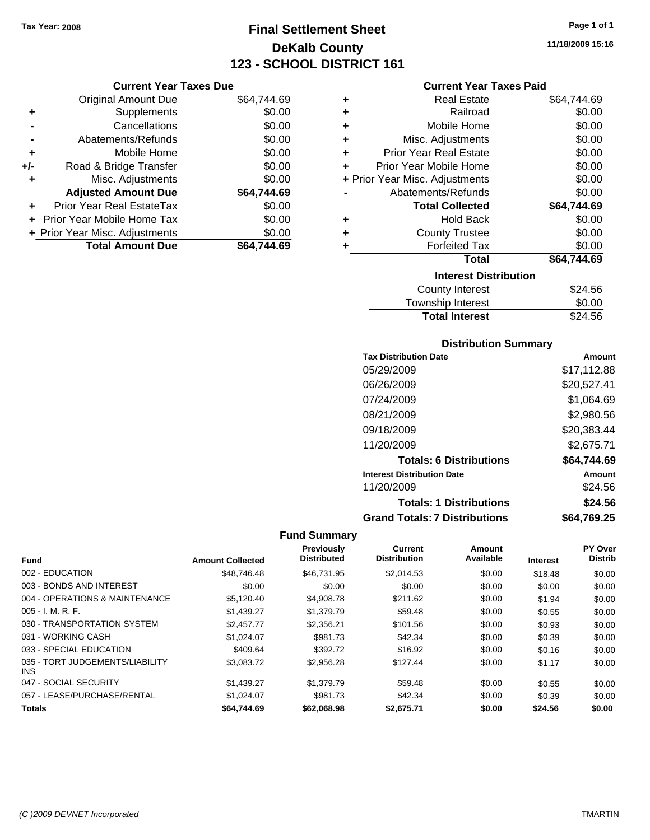**Current Year Taxes Due** Original Amount Due \$64,744.69

Adjusted Amount Due \$64,744.69

**Total Amount Due \$64,744.69**

**+** Supplements \$0.00 **-** Cancellations \$0.00 **-** Abatements/Refunds \$0.00 **+** Mobile Home \$0.00 **+/-** Road & Bridge Transfer \$0.00 **+** Misc. Adjustments \$0.00

**+** Prior Year Real EstateTax \$0.00 **+** Prior Year Mobile Home Tax \$0.00 **+ Prior Year Misc. Adjustments**  $$0.00$ 

### **Final Settlement Sheet Tax Year: 2008 Page 1 of 1 DeKalb County 123 - SCHOOL DISTRICT 161**

**11/18/2009 15:16**

#### **Current Year Taxes Paid**

| ٠                            | <b>Real Estate</b>             | \$64,744.69 |  |  |
|------------------------------|--------------------------------|-------------|--|--|
| ٠                            | Railroad                       | \$0.00      |  |  |
| ÷                            | Mobile Home                    | \$0.00      |  |  |
| ÷                            | Misc. Adjustments              | \$0.00      |  |  |
| ÷                            | <b>Prior Year Real Estate</b>  | \$0.00      |  |  |
| ٠                            | Prior Year Mobile Home         | \$0.00      |  |  |
|                              | + Prior Year Misc. Adjustments | \$0.00      |  |  |
|                              | Abatements/Refunds             | \$0.00      |  |  |
|                              | <b>Total Collected</b>         | \$64,744.69 |  |  |
| ٠                            | <b>Hold Back</b>               | \$0.00      |  |  |
| ٠                            | <b>County Trustee</b>          | \$0.00      |  |  |
| ٠                            | <b>Forfeited Tax</b>           | \$0.00      |  |  |
|                              | <b>Total</b>                   | \$64,744.69 |  |  |
| <b>Interest Distribution</b> |                                |             |  |  |
|                              | County Interest                | \$24.56     |  |  |
|                              | <b>Township Interest</b>       | \$0.00      |  |  |

| Township Interest     | \$0.00  |
|-----------------------|---------|
| <b>Total Interest</b> | \$24.56 |

#### **Distribution Summary**

| <b>Tax Distribution Date</b>         | Amount      |
|--------------------------------------|-------------|
| 05/29/2009                           | \$17,112.88 |
| 06/26/2009                           | \$20,527.41 |
| 07/24/2009                           | \$1,064.69  |
| 08/21/2009                           | \$2,980.56  |
| 09/18/2009                           | \$20,383.44 |
| 11/20/2009                           | \$2,675.71  |
| <b>Totals: 6 Distributions</b>       | \$64,744.69 |
| <b>Interest Distribution Date</b>    | Amount      |
| 11/20/2009                           | \$24.56     |
| <b>Totals: 1 Distributions</b>       | \$24.56     |
| <b>Grand Totals: 7 Distributions</b> | \$64,769.25 |

|                                         |                         | <b>Previously</b>  | <b>Current</b>      | Amount    |                 | PY Over        |
|-----------------------------------------|-------------------------|--------------------|---------------------|-----------|-----------------|----------------|
| <b>Fund</b>                             | <b>Amount Collected</b> | <b>Distributed</b> | <b>Distribution</b> | Available | <b>Interest</b> | <b>Distrib</b> |
| 002 - EDUCATION                         | \$48,746.48             | \$46.731.95        | \$2.014.53          | \$0.00    | \$18.48         | \$0.00         |
| 003 - BONDS AND INTEREST                | \$0.00                  | \$0.00             | \$0.00              | \$0.00    | \$0.00          | \$0.00         |
| 004 - OPERATIONS & MAINTENANCE          | \$5.120.40              | \$4,908.78         | \$211.62            | \$0.00    | \$1.94          | \$0.00         |
| $005 - I. M. R. F.$                     | \$1,439.27              | \$1,379.79         | \$59.48             | \$0.00    | \$0.55          | \$0.00         |
| 030 - TRANSPORTATION SYSTEM             | \$2,457.77              | \$2,356.21         | \$101.56            | \$0.00    | \$0.93          | \$0.00         |
| 031 - WORKING CASH                      | \$1.024.07              | \$981.73           | \$42.34             | \$0.00    | \$0.39          | \$0.00         |
| 033 - SPECIAL EDUCATION                 | \$409.64                | \$392.72           | \$16.92             | \$0.00    | \$0.16          | \$0.00         |
| 035 - TORT JUDGEMENTS/LIABILITY<br>INS. | \$3,083.72              | \$2,956.28         | \$127.44            | \$0.00    | \$1.17          | \$0.00         |
| 047 - SOCIAL SECURITY                   | \$1,439.27              | \$1,379.79         | \$59.48             | \$0.00    | \$0.55          | \$0.00         |
| 057 - LEASE/PURCHASE/RENTAL             | \$1.024.07              | \$981.73           | \$42.34             | \$0.00    | \$0.39          | \$0.00         |
| <b>Totals</b>                           | \$64,744.69             | \$62,068.98        | \$2,675.71          | \$0.00    | \$24.56         | \$0.00         |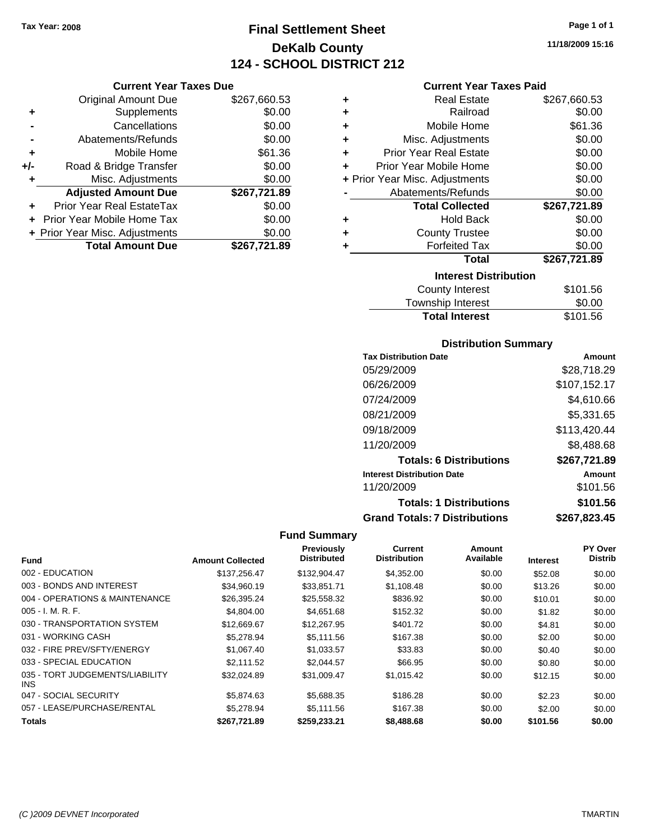**Current Year Taxes Due** Original Amount Due \$267,660.53

**Adjusted Amount Due \$267,721.89**

**Total Amount Due \$267,721.89**

**+** Supplements \$0.00 **-** Cancellations \$0.00 **-** Abatements/Refunds \$0.00 **+** Mobile Home \$61.36 **+/-** Road & Bridge Transfer \$0.00 **+** Misc. Adjustments \$0.00

**+** Prior Year Real EstateTax \$0.00 **+** Prior Year Mobile Home Tax \$0.00 **+ Prior Year Misc. Adjustments**  $$0.00$ 

### **Final Settlement Sheet Tax Year: 2008 Page 1 of 1 DeKalb County 124 - SCHOOL DISTRICT 212**

**11/18/2009 15:16**

#### **Current Year Taxes Paid**

| ٠ | <b>Real Estate</b>             | \$267,660.53 |
|---|--------------------------------|--------------|
| ٠ | Railroad                       | \$0.00       |
| ٠ | Mobile Home                    | \$61.36      |
| ÷ | Misc. Adjustments              | \$0.00       |
| ٠ | <b>Prior Year Real Estate</b>  | \$0.00       |
| ÷ | Prior Year Mobile Home         | \$0.00       |
|   | + Prior Year Misc. Adjustments | \$0.00       |
|   | Abatements/Refunds             | \$0.00       |
|   | <b>Total Collected</b>         | \$267,721.89 |
| ٠ | <b>Hold Back</b>               | \$0.00       |
| ٠ | <b>County Trustee</b>          | \$0.00       |
| ٠ | <b>Forfeited Tax</b>           | \$0.00       |
|   | <b>Total</b>                   | \$267,721.89 |
|   | <b>Interest Distribution</b>   |              |
|   | <b>County Interest</b>         | \$101.56     |
|   |                                |              |

| <b>Total Interest</b>    | \$101.56        |
|--------------------------|-----------------|
| Township Interest        | \$0.00          |
| <b>OVATILY THILLICAL</b> | <b>UIUI.</b> UU |

#### **Distribution Summary**

| <b>Tax Distribution Date</b>         | Amount       |
|--------------------------------------|--------------|
| 05/29/2009                           | \$28,718.29  |
| 06/26/2009                           | \$107,152.17 |
| 07/24/2009                           | \$4,610.66   |
| 08/21/2009                           | \$5,331.65   |
| 09/18/2009                           | \$113,420.44 |
| 11/20/2009                           | \$8,488.68   |
| <b>Totals: 6 Distributions</b>       | \$267,721.89 |
| <b>Interest Distribution Date</b>    | Amount       |
| 11/20/2009                           | \$101.56     |
| <b>Totals: 1 Distributions</b>       | \$101.56     |
| <b>Grand Totals: 7 Distributions</b> | \$267,823.45 |

| <b>Fund</b>                             | <b>Amount Collected</b> | Previously<br><b>Distributed</b> | Current<br><b>Distribution</b> | Amount<br>Available | <b>Interest</b> | PY Over<br><b>Distrib</b> |
|-----------------------------------------|-------------------------|----------------------------------|--------------------------------|---------------------|-----------------|---------------------------|
|                                         |                         |                                  |                                |                     |                 |                           |
| 002 - EDUCATION                         | \$137.256.47            | \$132,904.47                     | \$4,352.00                     | \$0.00              | \$52.08         | \$0.00                    |
| 003 - BONDS AND INTEREST                | \$34,960.19             | \$33,851.71                      | \$1,108.48                     | \$0.00              | \$13.26         | \$0.00                    |
| 004 - OPERATIONS & MAINTENANCE          | \$26,395.24             | \$25,558.32                      | \$836.92                       | \$0.00              | \$10.01         | \$0.00                    |
| $005 - I. M. R. F.$                     | \$4,804.00              | \$4,651.68                       | \$152.32                       | \$0.00              | \$1.82          | \$0.00                    |
| 030 - TRANSPORTATION SYSTEM             | \$12,669.67             | \$12,267.95                      | \$401.72                       | \$0.00              | \$4.81          | \$0.00                    |
| 031 - WORKING CASH                      | \$5.278.94              | \$5.111.56                       | \$167.38                       | \$0.00              | \$2.00          | \$0.00                    |
| 032 - FIRE PREV/SFTY/ENERGY             | \$1,067.40              | \$1,033.57                       | \$33.83                        | \$0.00              | \$0.40          | \$0.00                    |
| 033 - SPECIAL EDUCATION                 | \$2.111.52              | \$2.044.57                       | \$66.95                        | \$0.00              | \$0.80          | \$0.00                    |
| 035 - TORT JUDGEMENTS/LIABILITY<br>INS. | \$32,024.89             | \$31,009.47                      | \$1,015.42                     | \$0.00              | \$12.15         | \$0.00                    |
| 047 - SOCIAL SECURITY                   | \$5,874.63              | \$5,688.35                       | \$186.28                       | \$0.00              | \$2.23          | \$0.00                    |
| 057 - LEASE/PURCHASE/RENTAL             | \$5.278.94              | \$5.111.56                       | \$167.38                       | \$0.00              | \$2.00          | \$0.00                    |
| <b>Totals</b>                           | \$267,721.89            | \$259,233.21                     | \$8,488.68                     | \$0.00              | \$101.56        | \$0.00                    |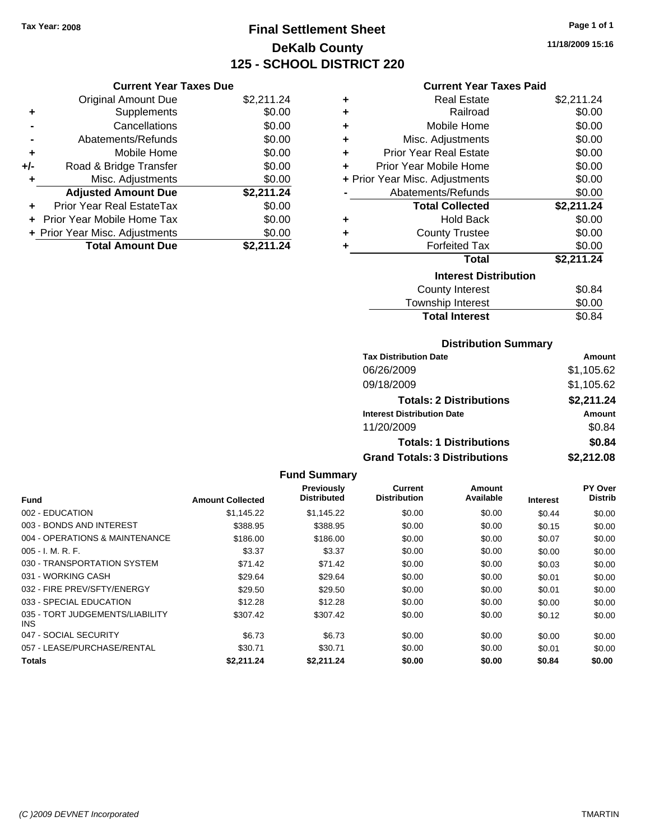### **Final Settlement Sheet Tax Year: 2008 Page 1 of 1 DeKalb County 125 - SCHOOL DISTRICT 220**

**11/18/2009 15:16**

#### **Current Year Taxes Paid**

|     | <b>Current Year Taxes Due</b>  |            |
|-----|--------------------------------|------------|
|     | <b>Original Amount Due</b>     | \$2,211.24 |
| ٠   | Supplements                    | \$0.00     |
|     | Cancellations                  | \$0.00     |
|     | Abatements/Refunds             | \$0.00     |
| ٠   | Mobile Home                    | \$0.00     |
| +/- | Road & Bridge Transfer         | \$0.00     |
|     | Misc. Adjustments              | \$0.00     |
|     | <b>Adjusted Amount Due</b>     | \$2,211.24 |
|     | Prior Year Real EstateTax      | \$0.00     |
|     | Prior Year Mobile Home Tax     | \$0.00     |
|     | + Prior Year Misc. Adjustments | \$0.00     |
|     | <b>Total Amount Due</b>        | \$2,211.24 |

| ٠ | Real Estate                    | \$2,211.24 |
|---|--------------------------------|------------|
| ٠ | Railroad                       | \$0.00     |
| ÷ | Mobile Home                    | \$0.00     |
| ٠ | Misc. Adjustments              | \$0.00     |
| ٠ | <b>Prior Year Real Estate</b>  | \$0.00     |
| ٠ | Prior Year Mobile Home         | \$0.00     |
|   | + Prior Year Misc. Adjustments | \$0.00     |
|   | Abatements/Refunds             | \$0.00     |
|   | <b>Total Collected</b>         | \$2,211.24 |
| ٠ | <b>Hold Back</b>               | \$0.00     |
| ٠ | <b>County Trustee</b>          | \$0.00     |
| ٠ | <b>Forfeited Tax</b>           | \$0.00     |
|   | Total                          | \$2,211.24 |
|   | <b>Interest Distribution</b>   |            |
|   | <b>County Interest</b>         | \$0.84     |
|   | <b>Township Interest</b>       | \$0.00     |
|   | <b>Total Interest</b>          | \$0.84     |

#### **Distribution Summary**

| <b>Tax Distribution Date</b>         | Amount     |
|--------------------------------------|------------|
| 06/26/2009                           | \$1,105.62 |
| 09/18/2009                           | \$1,105.62 |
| <b>Totals: 2 Distributions</b>       | \$2,211.24 |
| <b>Interest Distribution Date</b>    | Amount     |
| 11/20/2009                           | \$0.84     |
| <b>Totals: 1 Distributions</b>       | \$0.84     |
| <b>Grand Totals: 3 Distributions</b> | \$2,212.08 |

| <b>Fund</b>                                   | <b>Amount Collected</b> | <b>Previously</b><br><b>Distributed</b> | <b>Current</b><br><b>Distribution</b> | Amount<br>Available | <b>Interest</b> | PY Over<br><b>Distrib</b> |
|-----------------------------------------------|-------------------------|-----------------------------------------|---------------------------------------|---------------------|-----------------|---------------------------|
|                                               |                         |                                         |                                       |                     |                 |                           |
| 002 - EDUCATION                               | \$1.145.22              | \$1,145.22                              | \$0.00                                | \$0.00              | \$0.44          | \$0.00                    |
| 003 - BONDS AND INTEREST                      | \$388.95                | \$388.95                                | \$0.00                                | \$0.00              | \$0.15          | \$0.00                    |
| 004 - OPERATIONS & MAINTENANCE                | \$186.00                | \$186.00                                | \$0.00                                | \$0.00              | \$0.07          | \$0.00                    |
| $005 - I. M. R. F.$                           | \$3.37                  | \$3.37                                  | \$0.00                                | \$0.00              | \$0.00          | \$0.00                    |
| 030 - TRANSPORTATION SYSTEM                   | \$71.42                 | \$71.42                                 | \$0.00                                | \$0.00              | \$0.03          | \$0.00                    |
| 031 - WORKING CASH                            | \$29.64                 | \$29.64                                 | \$0.00                                | \$0.00              | \$0.01          | \$0.00                    |
| 032 - FIRE PREV/SFTY/ENERGY                   | \$29.50                 | \$29.50                                 | \$0.00                                | \$0.00              | \$0.01          | \$0.00                    |
| 033 - SPECIAL EDUCATION                       | \$12.28                 | \$12.28                                 | \$0.00                                | \$0.00              | \$0.00          | \$0.00                    |
| 035 - TORT JUDGEMENTS/LIABILITY<br><b>INS</b> | \$307.42                | \$307.42                                | \$0.00                                | \$0.00              | \$0.12          | \$0.00                    |
| 047 - SOCIAL SECURITY                         | \$6.73                  | \$6.73                                  | \$0.00                                | \$0.00              | \$0.00          | \$0.00                    |
| 057 - LEASE/PURCHASE/RENTAL                   | \$30.71                 | \$30.71                                 | \$0.00                                | \$0.00              | \$0.01          | \$0.00                    |
| Totals                                        | \$2.211.24              | \$2.211.24                              | \$0.00                                | \$0.00              | \$0.84          | \$0.00                    |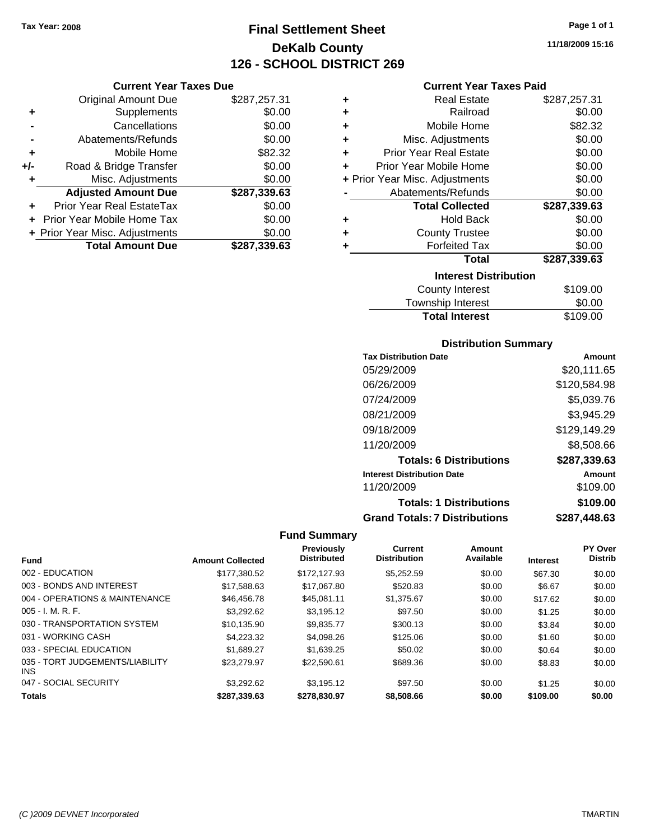**Current Year Taxes Due** Original Amount Due \$287,257.31

**Adjusted Amount Due \$287,339.63**

**Total Amount Due \$287,339.63**

**+** Supplements \$0.00 **-** Cancellations \$0.00 **-** Abatements/Refunds \$0.00 **+** Mobile Home \$82.32 **+/-** Road & Bridge Transfer \$0.00 **+** Misc. Adjustments \$0.00

**+** Prior Year Real EstateTax \$0.00 **+** Prior Year Mobile Home Tax \$0.00 **+ Prior Year Misc. Adjustments**  $$0.00$ 

### **Final Settlement Sheet Tax Year: 2008 Page 1 of 1 DeKalb County 126 - SCHOOL DISTRICT 269**

**11/18/2009 15:16**

#### **Current Year Taxes Paid**

| ٠ | <b>Real Estate</b>             | \$287,257.31 |
|---|--------------------------------|--------------|
| ٠ | Railroad                       | \$0.00       |
| ÷ | Mobile Home                    | \$82.32      |
| ٠ | Misc. Adjustments              | \$0.00       |
| ٠ | <b>Prior Year Real Estate</b>  | \$0.00       |
| ÷ | Prior Year Mobile Home         | \$0.00       |
|   | + Prior Year Misc. Adjustments | \$0.00       |
|   | Abatements/Refunds             | \$0.00       |
|   | <b>Total Collected</b>         | \$287,339.63 |
| ٠ | Hold Back                      | \$0.00       |
| ٠ | <b>County Trustee</b>          | \$0.00       |
| ٠ | <b>Forfeited Tax</b>           | \$0.00       |
|   | Total                          | \$287,339.63 |
|   | <b>Interest Distribution</b>   |              |
|   | <b>County Interest</b>         | \$109.00     |
|   |                                |              |

## Township Interest \$0.00 Total Interest \$109.00

#### **Distribution Summary**

| <b>Tax Distribution Date</b>         | Amount       |
|--------------------------------------|--------------|
| 05/29/2009                           | \$20,111.65  |
| 06/26/2009                           | \$120,584.98 |
| 07/24/2009                           | \$5,039.76   |
| 08/21/2009                           | \$3,945.29   |
| 09/18/2009                           | \$129,149.29 |
| 11/20/2009                           | \$8,508.66   |
| <b>Totals: 6 Distributions</b>       | \$287,339.63 |
| <b>Interest Distribution Date</b>    | Amount       |
| 11/20/2009                           | \$109.00     |
| <b>Totals: 1 Distributions</b>       | \$109.00     |
| <b>Grand Totals: 7 Distributions</b> | \$287,448.63 |

| <b>Fund</b>                                   | <b>Amount Collected</b> | <b>Previously</b><br><b>Distributed</b> | <b>Current</b><br><b>Distribution</b> | Amount<br>Available | <b>Interest</b> | PY Over<br><b>Distrib</b> |
|-----------------------------------------------|-------------------------|-----------------------------------------|---------------------------------------|---------------------|-----------------|---------------------------|
| 002 - EDUCATION                               | \$177.380.52            | \$172.127.93                            | \$5.252.59                            | \$0.00              | \$67.30         | \$0.00                    |
| 003 - BONDS AND INTEREST                      | \$17,588.63             | \$17,067.80                             | \$520.83                              | \$0.00              | \$6.67          | \$0.00                    |
| 004 - OPERATIONS & MAINTENANCE                | \$46,456.78             | \$45.081.11                             | \$1,375.67                            | \$0.00              | \$17.62         | \$0.00                    |
| $005 - I. M. R. F.$                           | \$3.292.62              | \$3.195.12                              | \$97.50                               | \$0.00              | \$1.25          | \$0.00                    |
| 030 - TRANSPORTATION SYSTEM                   | \$10,135.90             | \$9,835.77                              | \$300.13                              | \$0.00              | \$3.84          | \$0.00                    |
| 031 - WORKING CASH                            | \$4.223.32              | \$4,098.26                              | \$125.06                              | \$0.00              | \$1.60          | \$0.00                    |
| 033 - SPECIAL EDUCATION                       | \$1.689.27              | \$1.639.25                              | \$50.02                               | \$0.00              | \$0.64          | \$0.00                    |
| 035 - TORT JUDGEMENTS/LIABILITY<br><b>INS</b> | \$23,279.97             | \$22,590.61                             | \$689.36                              | \$0.00              | \$8.83          | \$0.00                    |
| 047 - SOCIAL SECURITY                         | \$3.292.62              | \$3.195.12                              | \$97.50                               | \$0.00              | \$1.25          | \$0.00                    |
| <b>Totals</b>                                 | \$287,339.63            | \$278,830.97                            | \$8,508.66                            | \$0.00              | \$109.00        | \$0.00                    |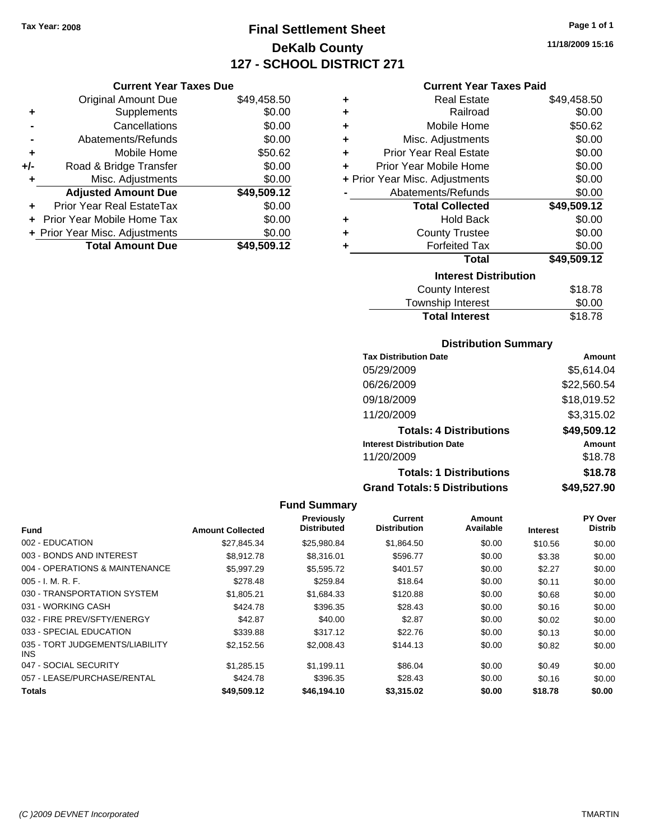### **Final Settlement Sheet Tax Year: 2008 Page 1 of 1 DeKalb County 127 - SCHOOL DISTRICT 271**

**11/18/2009 15:16**

#### **Current Year Taxes Paid**

|     | <b>Current Year Taxes Due</b>  |             |             |      |
|-----|--------------------------------|-------------|-------------|------|
|     | Original Amount Due            | \$49,458.50 |             |      |
|     | <b>Supplements</b>             | \$0.00      |             |      |
|     | Cancellations                  | \$0.00      |             |      |
|     | Abatements/Refunds             | \$0.00      |             |      |
|     | Mobile Home                    | \$50.62     |             | Pr   |
| +/- | Road & Bridge Transfer         | \$0.00      |             | Prio |
| ٠   | Misc. Adjustments              | \$0.00      | + Prior Yea |      |
|     | <b>Adjusted Amount Due</b>     | \$49,509.12 |             | F    |
|     | Prior Year Real EstateTax      | \$0.00      |             |      |
|     | Prior Year Mobile Home Tax     | \$0.00      |             |      |
|     | + Prior Year Misc. Adjustments | \$0.00      |             |      |
|     | <b>Total Amount Due</b>        | \$49,509.12 |             |      |
|     |                                |             |             |      |

|   | Real Estate                    | \$49,458.50 |
|---|--------------------------------|-------------|
| ٠ |                                |             |
| ÷ | Railroad                       | \$0.00      |
| ÷ | Mobile Home                    | \$50.62     |
| ÷ | Misc. Adjustments              | \$0.00      |
| ÷ | <b>Prior Year Real Estate</b>  | \$0.00      |
| ٠ | Prior Year Mobile Home         | \$0.00      |
|   | + Prior Year Misc. Adjustments | \$0.00      |
|   | Abatements/Refunds             | \$0.00      |
|   | <b>Total Collected</b>         | \$49,509.12 |
| ٠ | <b>Hold Back</b>               | \$0.00      |
| ÷ | <b>County Trustee</b>          | \$0.00      |
| ٠ | <b>Forfeited Tax</b>           | \$0.00      |
|   | Total                          | \$49,509.12 |
|   | <b>Interest Distribution</b>   |             |
|   | <b>County Interest</b>         | \$18.78     |
|   | <b>Township Interest</b>       | \$0.00      |
|   | <b>Total Interest</b>          | \$18.78     |

#### **Distribution Summary**

| <b>Tax Distribution Date</b>         | Amount      |
|--------------------------------------|-------------|
| 05/29/2009                           | \$5,614.04  |
| 06/26/2009                           | \$22,560.54 |
| 09/18/2009                           | \$18,019.52 |
| 11/20/2009                           | \$3,315.02  |
| <b>Totals: 4 Distributions</b>       | \$49,509.12 |
| <b>Interest Distribution Date</b>    | Amount      |
| 11/20/2009                           | \$18.78     |
| <b>Totals: 1 Distributions</b>       | \$18.78     |
| <b>Grand Totals: 5 Distributions</b> | \$49,527.90 |

|                                         |                         | <b>Fund Summary</b>              |                                |                     |                 |                                  |
|-----------------------------------------|-------------------------|----------------------------------|--------------------------------|---------------------|-----------------|----------------------------------|
| Fund                                    | <b>Amount Collected</b> | Previously<br><b>Distributed</b> | Current<br><b>Distribution</b> | Amount<br>Available | <b>Interest</b> | <b>PY Over</b><br><b>Distrib</b> |
| 002 - EDUCATION                         | \$27,845.34             | \$25,980.84                      | \$1,864.50                     | \$0.00              | \$10.56         | \$0.00                           |
| 003 - BONDS AND INTEREST                | \$8,912.78              | \$8,316.01                       | \$596.77                       | \$0.00              | \$3.38          | \$0.00                           |
| 004 - OPERATIONS & MAINTENANCE          | \$5.997.29              | \$5,595.72                       | \$401.57                       | \$0.00              | \$2.27          | \$0.00                           |
| $005 - I. M. R. F.$                     | \$278.48                | \$259.84                         | \$18.64                        | \$0.00              | \$0.11          | \$0.00                           |
| 030 - TRANSPORTATION SYSTEM             | \$1,805.21              | \$1,684.33                       | \$120.88                       | \$0.00              | \$0.68          | \$0.00                           |
| 031 - WORKING CASH                      | \$424.78                | \$396.35                         | \$28.43                        | \$0.00              | \$0.16          | \$0.00                           |
| 032 - FIRE PREV/SFTY/ENERGY             | \$42.87                 | \$40.00                          | \$2.87                         | \$0.00              | \$0.02          | \$0.00                           |
| 033 - SPECIAL EDUCATION                 | \$339.88                | \$317.12                         | \$22.76                        | \$0.00              | \$0.13          | \$0.00                           |
| 035 - TORT JUDGEMENTS/LIABILITY<br>INS. | \$2,152.56              | \$2,008.43                       | \$144.13                       | \$0.00              | \$0.82          | \$0.00                           |
| 047 - SOCIAL SECURITY                   | \$1,285.15              | \$1.199.11                       | \$86.04                        | \$0.00              | \$0.49          | \$0.00                           |
| 057 - LEASE/PURCHASE/RENTAL             | \$424.78                | \$396.35                         | \$28.43                        | \$0.00              | \$0.16          | \$0.00                           |
| <b>Totals</b>                           | \$49,509.12             | \$46,194.10                      | \$3,315.02                     | \$0.00              | \$18.78         | \$0.00                           |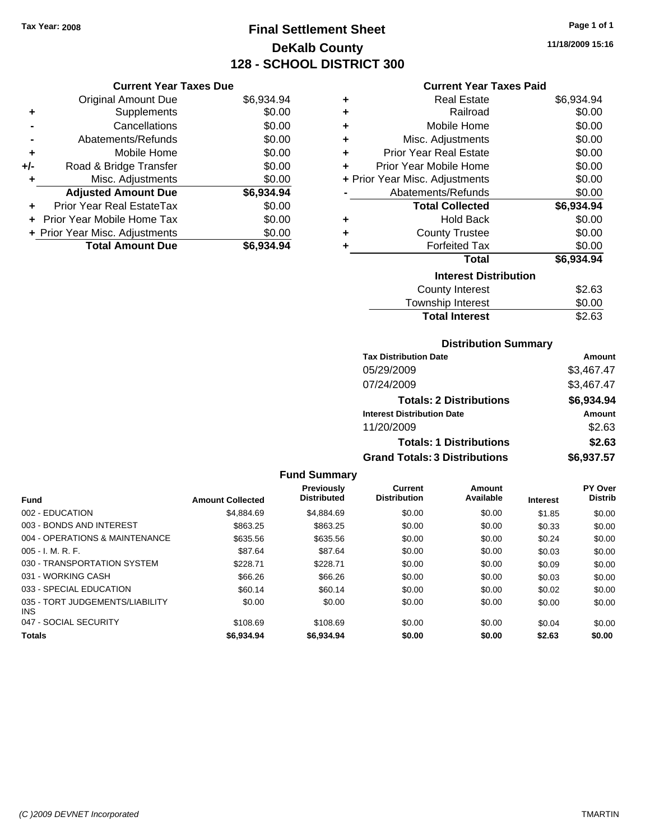### **Final Settlement Sheet Tax Year: 2008 Page 1 of 1 DeKalb County 128 - SCHOOL DISTRICT 300**

**11/18/2009 15:16**

#### **Current Year Taxes Due**

|       | <b>Original Amount Due</b>     | \$6,934.94 |
|-------|--------------------------------|------------|
| ٠     | Supplements                    | \$0.00     |
|       | Cancellations                  | \$0.00     |
|       | Abatements/Refunds             | \$0.00     |
| ÷     | Mobile Home                    | \$0.00     |
| $+/-$ | Road & Bridge Transfer         | \$0.00     |
| ٠     | Misc. Adjustments              | \$0.00     |
|       | <b>Adjusted Amount Due</b>     | \$6,934.94 |
| ÷     | Prior Year Real EstateTax      | \$0.00     |
|       | Prior Year Mobile Home Tax     | \$0.00     |
|       | + Prior Year Misc. Adjustments | \$0.00     |
|       | <b>Total Amount Due</b>        | \$6,934.94 |

#### **Current Year Taxes Paid**

| ٠ | <b>Real Estate</b>             | \$6,934.94 |
|---|--------------------------------|------------|
| ÷ | Railroad                       | \$0.00     |
| ÷ | Mobile Home                    | \$0.00     |
| ٠ | Misc. Adjustments              | \$0.00     |
| ÷ | <b>Prior Year Real Estate</b>  | \$0.00     |
| ٠ | Prior Year Mobile Home         | \$0.00     |
|   | + Prior Year Misc. Adjustments | \$0.00     |
|   | Abatements/Refunds             | \$0.00     |
|   | <b>Total Collected</b>         |            |
|   |                                | \$6,934.94 |
| ٠ | <b>Hold Back</b>               | \$0.00     |
| ٠ | <b>County Trustee</b>          | \$0.00     |
| ٠ | <b>Forfeited Tax</b>           | \$0.00     |
|   | Total                          | \$6,934.94 |
|   | <b>Interest Distribution</b>   |            |
|   | County Interest                | \$2.63     |

#### Township Interest \$0.00<br>
Total Interest \$2.63 **Total Interest**

## **Distribution Summary**

| <b>Tax Distribution Date</b>         | Amount     |
|--------------------------------------|------------|
| 05/29/2009                           | \$3,467.47 |
| 07/24/2009                           | \$3,467.47 |
| <b>Totals: 2 Distributions</b>       | \$6,934.94 |
| <b>Interest Distribution Date</b>    | Amount     |
| 11/20/2009                           | \$2.63     |
| <b>Totals: 1 Distributions</b>       | \$2.63     |
| <b>Grand Totals: 3 Distributions</b> | \$6,937.57 |

| <b>Fund</b>                                   | <b>Amount Collected</b> | <b>Previously</b><br><b>Distributed</b> | Current<br><b>Distribution</b> | Amount<br>Available | <b>Interest</b> | PY Over<br><b>Distrib</b> |
|-----------------------------------------------|-------------------------|-----------------------------------------|--------------------------------|---------------------|-----------------|---------------------------|
|                                               |                         |                                         |                                |                     |                 |                           |
| 002 - EDUCATION                               | \$4.884.69              | \$4,884.69                              | \$0.00                         | \$0.00              | \$1.85          | \$0.00                    |
| 003 - BONDS AND INTEREST                      | \$863.25                | \$863.25                                | \$0.00                         | \$0.00              | \$0.33          | \$0.00                    |
| 004 - OPERATIONS & MAINTENANCE                | \$635.56                | \$635.56                                | \$0.00                         | \$0.00              | \$0.24          | \$0.00                    |
| $005 - I. M. R. F.$                           | \$87.64                 | \$87.64                                 | \$0.00                         | \$0.00              | \$0.03          | \$0.00                    |
| 030 - TRANSPORTATION SYSTEM                   | \$228.71                | \$228.71                                | \$0.00                         | \$0.00              | \$0.09          | \$0.00                    |
| 031 - WORKING CASH                            | \$66.26                 | \$66.26                                 | \$0.00                         | \$0.00              | \$0.03          | \$0.00                    |
| 033 - SPECIAL EDUCATION                       | \$60.14                 | \$60.14                                 | \$0.00                         | \$0.00              | \$0.02          | \$0.00                    |
| 035 - TORT JUDGEMENTS/LIABILITY<br><b>INS</b> | \$0.00                  | \$0.00                                  | \$0.00                         | \$0.00              | \$0.00          | \$0.00                    |
| 047 - SOCIAL SECURITY                         | \$108.69                | \$108.69                                | \$0.00                         | \$0.00              | \$0.04          | \$0.00                    |
| <b>Totals</b>                                 | \$6.934.94              | \$6,934,94                              | \$0.00                         | \$0.00              | \$2.63          | \$0.00                    |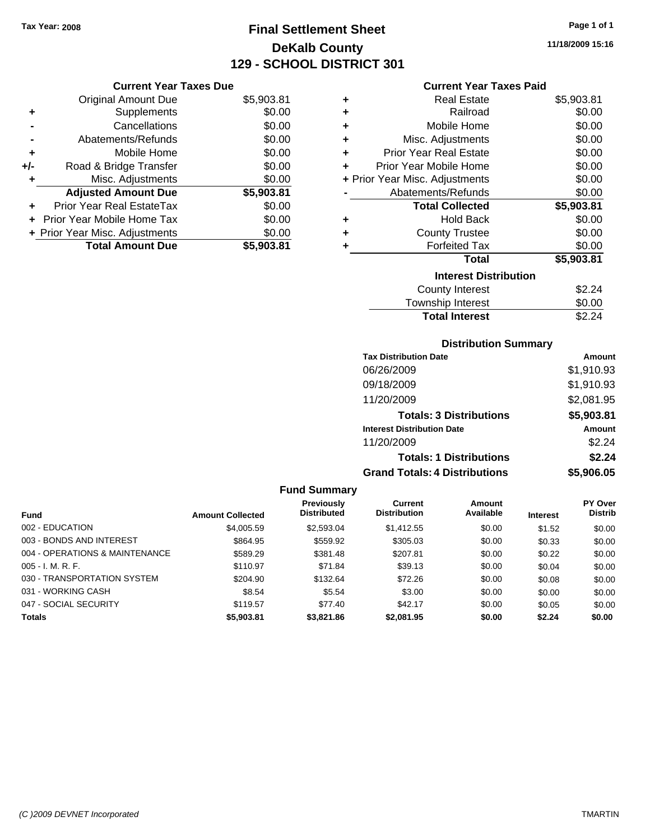### **Final Settlement Sheet Tax Year: 2008 Page 1 of 1 DeKalb County 129 - SCHOOL DISTRICT 301**

**11/18/2009 15:16**

#### **Current Year Taxes Paid**

|     | <b>Current Year Taxes Due</b>     |            |
|-----|-----------------------------------|------------|
|     | <b>Original Amount Due</b>        | \$5,903.81 |
| ٠   | Supplements                       | \$0.00     |
|     | Cancellations                     | \$0.00     |
|     | Abatements/Refunds                | \$0.00     |
| ٠   | Mobile Home                       | \$0.00     |
| +/- | Road & Bridge Transfer            | \$0.00     |
| ٠   | Misc. Adjustments                 | \$0.00     |
|     | <b>Adjusted Amount Due</b>        | \$5,903.81 |
|     | <b>Prior Year Real EstateTax</b>  | \$0.00     |
|     | <b>Prior Year Mobile Home Tax</b> | \$0.00     |
|     | + Prior Year Misc. Adjustments    | \$0.00     |
|     | <b>Total Amount Due</b>           | \$5.903.81 |

| ٠ | Real Estate                    | \$5,903.81 |
|---|--------------------------------|------------|
| ٠ | Railroad                       | \$0.00     |
| ٠ | Mobile Home                    | \$0.00     |
| ٠ | Misc. Adjustments              | \$0.00     |
| ٠ | <b>Prior Year Real Estate</b>  | \$0.00     |
| ٠ | Prior Year Mobile Home         | \$0.00     |
|   | + Prior Year Misc. Adjustments | \$0.00     |
|   | Abatements/Refunds             | \$0.00     |
|   | <b>Total Collected</b>         | \$5,903.81 |
| ٠ | <b>Hold Back</b>               | \$0.00     |
| ٠ | <b>County Trustee</b>          | \$0.00     |
| ٠ | <b>Forfeited Tax</b>           | \$0.00     |
|   | <b>Total</b>                   | \$5,903.81 |
|   | <b>Interest Distribution</b>   |            |
|   | County Interest                | \$2.24     |
|   | <b>Township Interest</b>       | \$0.00     |
|   | <b>Total Interest</b>          | \$2.24     |

#### **Distribution Summary**

| <b>Tax Distribution Date</b>         | Amount     |
|--------------------------------------|------------|
| 06/26/2009                           | \$1,910.93 |
| 09/18/2009                           | \$1,910.93 |
| 11/20/2009                           | \$2,081.95 |
| <b>Totals: 3 Distributions</b>       | \$5,903.81 |
| <b>Interest Distribution Date</b>    | Amount     |
| 11/20/2009                           | \$2.24     |
| <b>Totals: 1 Distributions</b>       | \$2.24     |
| <b>Grand Totals: 4 Distributions</b> | \$5,906.05 |

#### **Fund Summary Fund Interest Amount Collected Distributed PY Over Distrib Amount Available Current Distribution Previously** 002 - EDUCATION \$4,005.59 \$2,593.04 \$1,412.55 \$0.00 \$1.52 \$0.00 003 - BONDS AND INTEREST 66.00 \$864.95 \$559.92 \$305.03 \$0.00 \$0.33 \$0.00 004 - OPERATIONS & MAINTENANCE \$589.29 \$381.48 \$207.81 \$0.00 \$0.22 \$0.00 005 - I. M. R. F. \$110.97 \$71.84 \$39.13 \$0.00 \$0.04 \$0.00 030 - TRANSPORTATION SYSTEM \$204.90 \$132.64 \$72.26 \$0.00 \$0.00 \$0.08 \$0.00 031 - WORKING CASH \$8.54 \$5.54 \$5.54 \$5.00 \$0.00 \$0.00 \$0.00 \$0.00 \$0.00 047 - SOCIAL SECURITY \$119.57 \$77.40 \$42.17 \$0.00 \$0.05 \$0.00 **Totals \$5,903.81 \$3,821.86 \$2,081.95 \$0.00 \$2.24 \$0.00**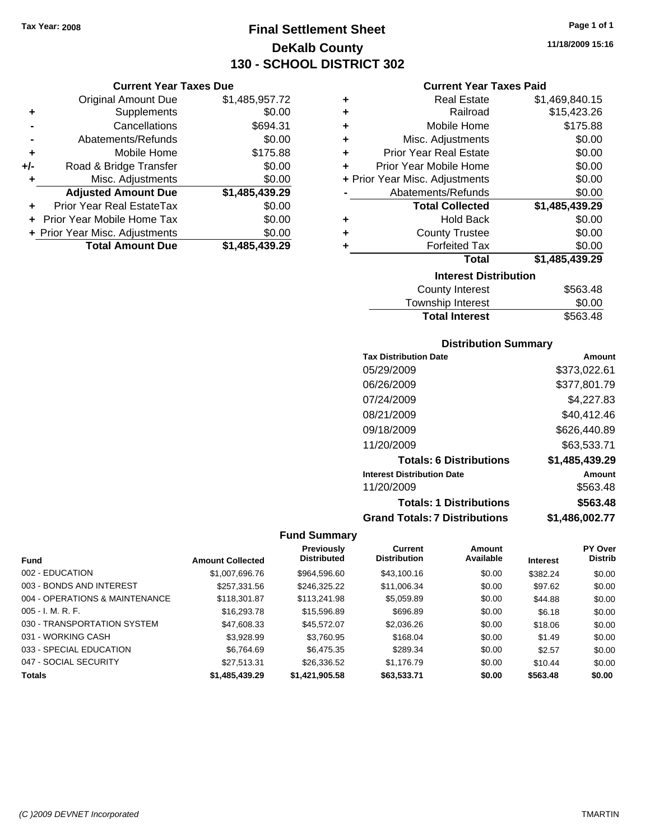**Current Year Taxes Due** Original Amount Due \$1,485,957.72

**Adjusted Amount Due \$1,485,439.29**

**+** Supplements \$0.00 **-** Cancellations \$694.31 **-** Abatements/Refunds \$0.00 **+** Mobile Home \$175.88 **+/-** Road & Bridge Transfer \$0.00 **+** Misc. Adjustments \$0.00

**+** Prior Year Real EstateTax \$0.00 **+** Prior Year Mobile Home Tax \$0.00 **+ Prior Year Misc. Adjustments \$0.00<br>Total Amount Due \$1,485,439.29** 

**Total Amount Due** 

### **Final Settlement Sheet Tax Year: 2008 Page 1 of 1 DeKalb County 130 - SCHOOL DISTRICT 302**

**11/18/2009 15:16**

#### **Current Year Taxes Paid**

| ٠ | <b>Real Estate</b>             | \$1,469,840.15 |
|---|--------------------------------|----------------|
| ٠ | Railroad                       | \$15,423.26    |
| ÷ | Mobile Home                    | \$175.88       |
| ٠ | Misc. Adjustments              | \$0.00         |
| ÷ | <b>Prior Year Real Estate</b>  | \$0.00         |
| ÷ | Prior Year Mobile Home         | \$0.00         |
|   | + Prior Year Misc. Adjustments | \$0.00         |
|   | Abatements/Refunds             | \$0.00         |
|   | <b>Total Collected</b>         | \$1,485,439.29 |
| ٠ | Hold Back                      | \$0.00         |
| ٠ | <b>County Trustee</b>          | \$0.00         |
| ٠ | <b>Forfeited Tax</b>           | \$0.00         |
|   | <b>Total</b>                   | \$1,485,439.29 |
|   | <b>Interest Distribution</b>   |                |
|   | <b>County Interest</b>         | \$563.48       |

| County Interest       | \$563.48 |
|-----------------------|----------|
| Township Interest     | \$0.00   |
| <b>Total Interest</b> | \$563.48 |

#### **Distribution Summary**

| <b>Tax Distribution Date</b>         | Amount         |
|--------------------------------------|----------------|
| 05/29/2009                           | \$373,022.61   |
| 06/26/2009                           | \$377,801.79   |
| 07/24/2009                           | \$4,227.83     |
| 08/21/2009                           | \$40,412.46    |
| 09/18/2009                           | \$626,440.89   |
| 11/20/2009                           | \$63,533.71    |
| <b>Totals: 6 Distributions</b>       | \$1,485,439.29 |
| <b>Interest Distribution Date</b>    | Amount         |
| 11/20/2009                           | \$563.48       |
| <b>Totals: 1 Distributions</b>       | \$563.48       |
| <b>Grand Totals: 7 Distributions</b> | \$1.486.002.77 |

|                                |                         | <b>Previously</b>  | Current             | Amount    |                 | PY Over        |
|--------------------------------|-------------------------|--------------------|---------------------|-----------|-----------------|----------------|
| <b>Fund</b>                    | <b>Amount Collected</b> | <b>Distributed</b> | <b>Distribution</b> | Available | <b>Interest</b> | <b>Distrib</b> |
| 002 - EDUCATION                | \$1,007,696.76          | \$964.596.60       | \$43,100.16         | \$0.00    | \$382.24        | \$0.00         |
| 003 - BONDS AND INTEREST       | \$257,331.56            | \$246.325.22       | \$11,006.34         | \$0.00    | \$97.62         | \$0.00         |
| 004 - OPERATIONS & MAINTENANCE | \$118,301.87            | \$113,241.98       | \$5,059.89          | \$0.00    | \$44.88         | \$0.00         |
| $005 - I. M. R. F.$            | \$16,293.78             | \$15,596.89        | \$696.89            | \$0.00    | \$6.18          | \$0.00         |
| 030 - TRANSPORTATION SYSTEM    | \$47,608.33             | \$45,572.07        | \$2,036.26          | \$0.00    | \$18.06         | \$0.00         |
| 031 - WORKING CASH             | \$3,928.99              | \$3.760.95         | \$168.04            | \$0.00    | \$1.49          | \$0.00         |
| 033 - SPECIAL EDUCATION        | \$6,764.69              | \$6,475.35         | \$289.34            | \$0.00    | \$2.57          | \$0.00         |
| 047 - SOCIAL SECURITY          | \$27.513.31             | \$26,336.52        | \$1,176.79          | \$0.00    | \$10.44         | \$0.00         |
| <b>Totals</b>                  | \$1,485,439.29          | \$1,421,905.58     | \$63,533.71         | \$0.00    | \$563.48        | \$0.00         |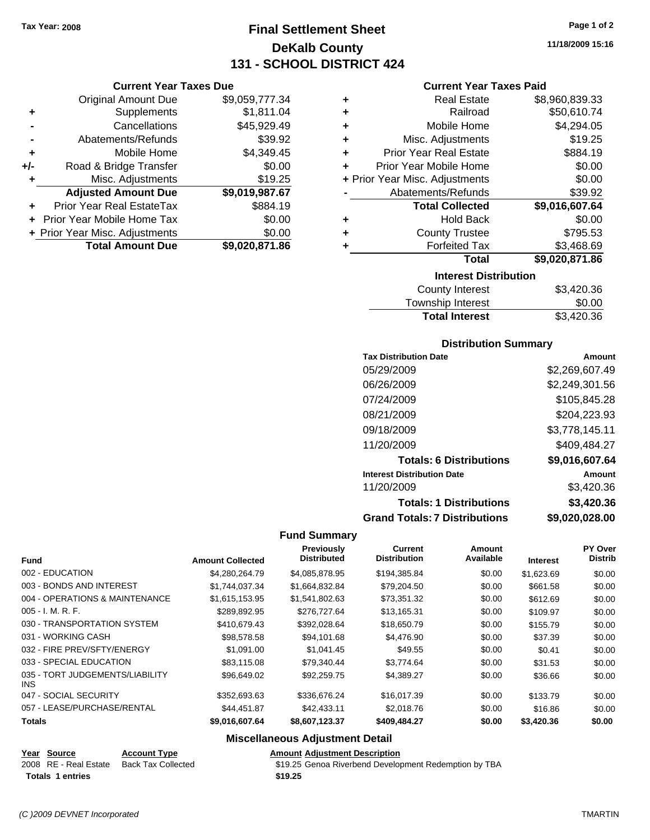**Current Year Taxes Due** Original Amount Due \$9,059,777.34

**Adjusted Amount Due \$9,019,987.67**

**Total Amount Due \$9,020,871.86**

**+** Supplements \$1,811.04 **-** Cancellations \$45,929.49 **-** Abatements/Refunds \$39.92 **+** Mobile Home \$4,349.45 **+/-** Road & Bridge Transfer \$0.00 **+** Misc. Adjustments \$19.25

**+** Prior Year Real EstateTax \$884.19 **+** Prior Year Mobile Home Tax \$0.00 **+ Prior Year Misc. Adjustments**  $$0.00$ 

### **Final Settlement Sheet Tax Year: 2008 Page 1 of 2 DeKalb County 131 - SCHOOL DISTRICT 424**

**11/18/2009 15:16**

#### **Current Year Taxes Paid**

| ٠ | <b>Real Estate</b>             | \$8,960,839.33 |
|---|--------------------------------|----------------|
| ٠ | Railroad                       | \$50,610.74    |
| ٠ | Mobile Home                    | \$4,294.05     |
| ٠ | Misc. Adjustments              | \$19.25        |
| ٠ | <b>Prior Year Real Estate</b>  | \$884.19       |
| ÷ | Prior Year Mobile Home         | \$0.00         |
|   | + Prior Year Misc. Adjustments | \$0.00         |
|   | Abatements/Refunds             | \$39.92        |
|   | <b>Total Collected</b>         | \$9,016,607.64 |
| ٠ | <b>Hold Back</b>               | \$0.00         |
| ٠ | <b>County Trustee</b>          | \$795.53       |
| ٠ | <b>Forfeited Tax</b>           | \$3,468.69     |
|   | <b>Total</b>                   | \$9,020,871.86 |
|   | <b>Interest Distribution</b>   |                |
|   | <b>County Interest</b>         | \$3,420.36     |

| Township Interest<br>\$3,420.36 |        |
|---------------------------------|--------|
|                                 | \$0.00 |

#### **Distribution Summary**

| <b>Tax Distribution Date</b>         | Amount         |
|--------------------------------------|----------------|
| 05/29/2009                           | \$2,269,607.49 |
| 06/26/2009                           | \$2,249,301.56 |
| 07/24/2009                           | \$105,845.28   |
| 08/21/2009                           | \$204,223.93   |
| 09/18/2009                           | \$3,778,145.11 |
| 11/20/2009                           | \$409,484.27   |
| <b>Totals: 6 Distributions</b>       | \$9,016,607.64 |
| <b>Interest Distribution Date</b>    | Amount         |
| 11/20/2009                           | \$3,420.36     |
| <b>Totals: 1 Distributions</b>       | \$3,420.36     |
| <b>Grand Totals: 7 Distributions</b> | \$9,020,028.00 |

#### **Fund Summary**

|                                         |                         | Previously<br><b>Distributed</b> | Current<br><b>Distribution</b> | <b>Amount</b><br>Available |                 | PY Over<br><b>Distrib</b> |
|-----------------------------------------|-------------------------|----------------------------------|--------------------------------|----------------------------|-----------------|---------------------------|
| <b>Fund</b>                             | <b>Amount Collected</b> |                                  |                                |                            | <b>Interest</b> |                           |
| 002 - EDUCATION                         | \$4,280,264.79          | \$4,085,878.95                   | \$194,385.84                   | \$0.00                     | \$1,623.69      | \$0.00                    |
| 003 - BONDS AND INTEREST                | \$1,744,037.34          | \$1,664,832.84                   | \$79,204.50                    | \$0.00                     | \$661.58        | \$0.00                    |
| 004 - OPERATIONS & MAINTENANCE          | \$1,615,153.95          | \$1,541,802.63                   | \$73,351.32                    | \$0.00                     | \$612.69        | \$0.00                    |
| $005 - I. M. R. F.$                     | \$289,892.95            | \$276,727.64                     | \$13,165.31                    | \$0.00                     | \$109.97        | \$0.00                    |
| 030 - TRANSPORTATION SYSTEM             | \$410,679.43            | \$392,028.64                     | \$18,650.79                    | \$0.00                     | \$155.79        | \$0.00                    |
| 031 - WORKING CASH                      | \$98,578.58             | \$94,101.68                      | \$4,476.90                     | \$0.00                     | \$37.39         | \$0.00                    |
| 032 - FIRE PREV/SFTY/ENERGY             | \$1.091.00              | \$1,041.45                       | \$49.55                        | \$0.00                     | \$0.41          | \$0.00                    |
| 033 - SPECIAL EDUCATION                 | \$83,115.08             | \$79,340.44                      | \$3,774.64                     | \$0.00                     | \$31.53         | \$0.00                    |
| 035 - TORT JUDGEMENTS/LIABILITY<br>INS. | \$96,649.02             | \$92.259.75                      | \$4,389.27                     | \$0.00                     | \$36.66         | \$0.00                    |
| 047 - SOCIAL SECURITY                   | \$352,693.63            | \$336,676.24                     | \$16,017.39                    | \$0.00                     | \$133.79        | \$0.00                    |
| 057 - LEASE/PURCHASE/RENTAL             | \$44,451.87             | \$42,433.11                      | \$2,018.76                     | \$0.00                     | \$16.86         | \$0.00                    |
| <b>Totals</b>                           | \$9,016,607.64          | \$8,607,123.37                   | \$409,484.27                   | \$0.00                     | \$3,420.36      | \$0.00                    |

#### **Miscellaneous Adjustment Detail**

| Year Source           | <b>Account Type</b> |         | <b>Amount Adiustment Description</b>                  |
|-----------------------|---------------------|---------|-------------------------------------------------------|
| 2008 RE - Real Estate | Back Tax Collected  |         | \$19.25 Genoa Riverbend Development Redemption by TBA |
| Totals 1 entries      |                     | \$19.25 |                                                       |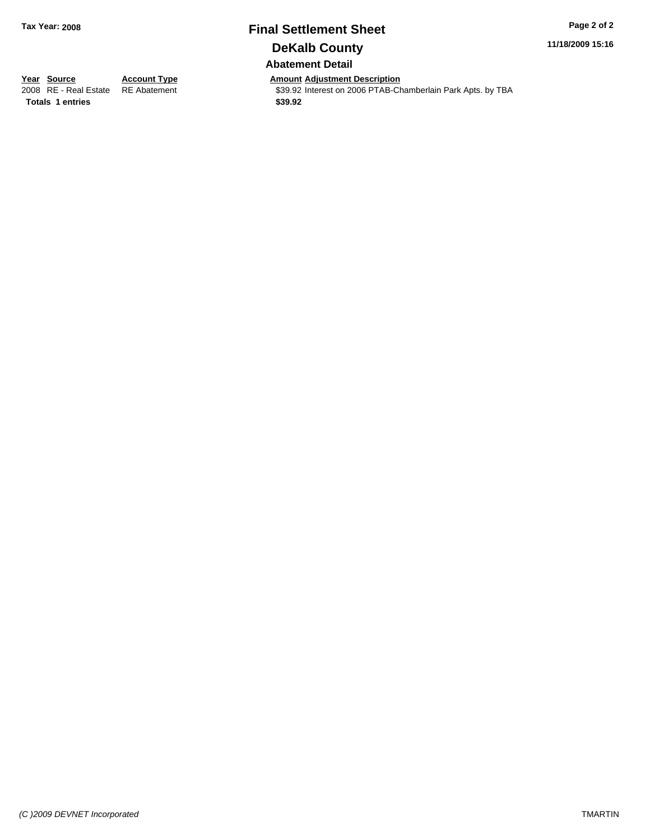# **Final Settlement Sheet Tax Year: 2008 Page 2 of 2 DeKalb County**

**11/18/2009 15:16**

**Abatement Detail**

**Totals 1 entries** \$39.92

**Year Source Account Type Amount Adjustment Description**<br> **Amount Adjustment Additional Adjustment Adjustment Adjustment Adjustment Adjustment Adjustment Adjustment Adjustment Adjustment Adj** \$39.92 Interest on 2006 PTAB-Chamberlain Park Apts. by TBA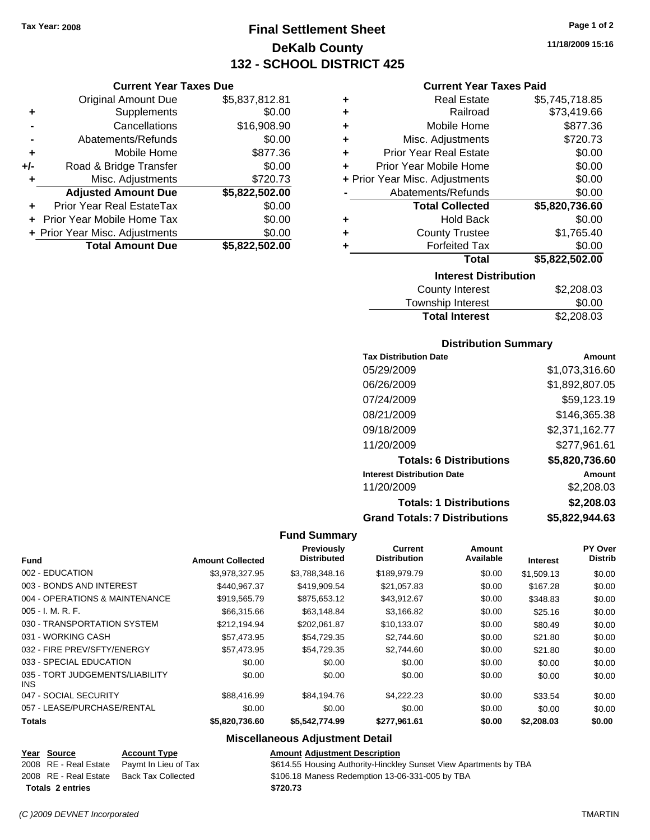**Current Year Taxes Due** Original Amount Due \$5,837,812.81

**Adjusted Amount Due \$5,822,502.00**

**Total Amount Due \$5,822,502.00**

**+** Supplements \$0.00 **-** Cancellations \$16,908.90 **-** Abatements/Refunds \$0.00 **+** Mobile Home \$877.36 **+/-** Road & Bridge Transfer \$0.00 **+** Misc. Adjustments \$720.73

**+** Prior Year Real EstateTax \$0.00 **+** Prior Year Mobile Home Tax \$0.00 **+ Prior Year Misc. Adjustments**  $$0.00$ 

### **Final Settlement Sheet Tax Year: 2008 Page 1 of 2 DeKalb County 132 - SCHOOL DISTRICT 425**

**11/18/2009 15:16**

#### **Current Year Taxes Paid**

| <b>Interest Distribution</b><br>ጦጣ በበበ በበ |                                |                |  |
|-------------------------------------------|--------------------------------|----------------|--|
|                                           | <b>Total</b>                   | \$5,822,502.00 |  |
|                                           | <b>Forfeited Tax</b>           | \$0.00         |  |
| ٠                                         | <b>County Trustee</b>          | \$1,765.40     |  |
| ٠                                         | <b>Hold Back</b>               | \$0.00         |  |
|                                           | <b>Total Collected</b>         | \$5,820,736.60 |  |
|                                           | Abatements/Refunds             | \$0.00         |  |
|                                           | + Prior Year Misc. Adjustments | \$0.00         |  |
| ÷                                         | Prior Year Mobile Home         | \$0.00         |  |
| ÷                                         | <b>Prior Year Real Estate</b>  | \$0.00         |  |
| ÷                                         | Misc. Adjustments              | \$720.73       |  |
| ٠                                         | Mobile Home                    | \$877.36       |  |
| ÷                                         | Railroad                       | \$73,419.66    |  |
| ٠                                         | <b>Real Estate</b>             | \$5,745,718.85 |  |
|                                           |                                |                |  |

| County Interest       | \$2,208.03 |
|-----------------------|------------|
| Township Interest     | \$0.00     |
| <b>Total Interest</b> | \$2,208.03 |

#### **Distribution Summary**

| <b>Tax Distribution Date</b>         | Amount         |
|--------------------------------------|----------------|
| 05/29/2009                           | \$1,073,316.60 |
| 06/26/2009                           | \$1,892,807.05 |
| 07/24/2009                           | \$59,123.19    |
| 08/21/2009                           | \$146,365.38   |
| 09/18/2009                           | \$2,371,162.77 |
| 11/20/2009                           | \$277,961.61   |
| <b>Totals: 6 Distributions</b>       | \$5,820,736.60 |
| <b>Interest Distribution Date</b>    | Amount         |
| 11/20/2009                           | \$2,208.03     |
| <b>Totals: 1 Distributions</b>       | \$2,208.03     |
| <b>Grand Totals: 7 Distributions</b> | \$5,822,944.63 |

#### **Fund Summary**

| <b>Fund</b>                             | <b>Amount Collected</b> | Previously<br><b>Distributed</b> | <b>Current</b><br><b>Distribution</b> | Amount<br>Available | <b>Interest</b> | PY Over<br><b>Distrib</b> |
|-----------------------------------------|-------------------------|----------------------------------|---------------------------------------|---------------------|-----------------|---------------------------|
| 002 - EDUCATION                         | \$3,978,327.95          | \$3,788,348.16                   | \$189,979.79                          | \$0.00              | \$1.509.13      | \$0.00                    |
| 003 - BONDS AND INTEREST                | \$440.967.37            | \$419,909.54                     | \$21,057.83                           | \$0.00              | \$167.28        | \$0.00                    |
| 004 - OPERATIONS & MAINTENANCE          | \$919,565.79            | \$875,653.12                     | \$43,912.67                           | \$0.00              | \$348.83        | \$0.00                    |
| $005 - I. M. R. F.$                     | \$66,315.66             | \$63,148.84                      | \$3,166.82                            | \$0.00              | \$25.16         | \$0.00                    |
| 030 - TRANSPORTATION SYSTEM             | \$212.194.94            | \$202.061.87                     | \$10,133.07                           | \$0.00              | \$80.49         | \$0.00                    |
| 031 - WORKING CASH                      | \$57,473.95             | \$54.729.35                      | \$2,744.60                            | \$0.00              | \$21.80         | \$0.00                    |
| 032 - FIRE PREV/SFTY/ENERGY             | \$57,473.95             | \$54.729.35                      | \$2,744.60                            | \$0.00              | \$21.80         | \$0.00                    |
| 033 - SPECIAL EDUCATION                 | \$0.00                  | \$0.00                           | \$0.00                                | \$0.00              | \$0.00          | \$0.00                    |
| 035 - TORT JUDGEMENTS/LIABILITY<br>INS. | \$0.00                  | \$0.00                           | \$0.00                                | \$0.00              | \$0.00          | \$0.00                    |
| 047 - SOCIAL SECURITY                   | \$88,416.99             | \$84.194.76                      | \$4.222.23                            | \$0.00              | \$33.54         | \$0.00                    |
| 057 - LEASE/PURCHASE/RENTAL             | \$0.00                  | \$0.00                           | \$0.00                                | \$0.00              | \$0.00          | \$0.00                    |
| <b>Totals</b>                           | \$5,820,736.60          | \$5,542,774.99                   | \$277,961.61                          | \$0.00              | \$2,208.03      | \$0.00                    |

#### **Miscellaneous Adjustment Detail**

#### **Year Source Account Type Amount Adjustment Description**

2008 RE - Real Estate Paymt In Lieu of Tax \$614.55 Housing Authority-Hinckley Sunset View Apartments by TBA

2008 RE - Real Estate Back Tax Collected \$106.18 Maness Redemption 13-06-331-005 by TBA

**Totals \$720.73 2 entries**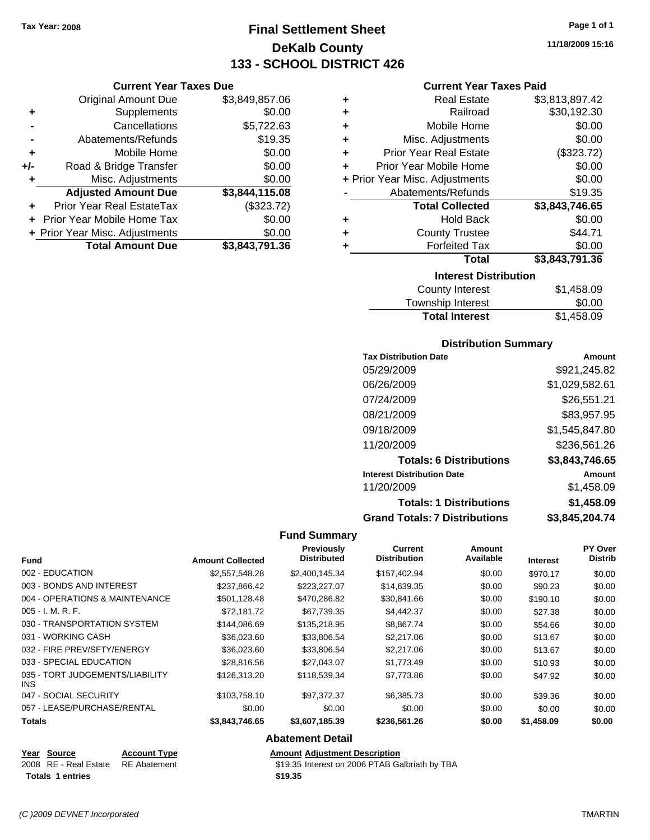**Current Year Taxes Due** Original Amount Due \$3,849,857.06

**Adjusted Amount Due \$3,844,115.08**

**Total Amount Due \$3,843,791.36**

**+** Supplements \$0.00 **-** Cancellations \$5,722.63 **-** Abatements/Refunds \$19.35 **+** Mobile Home \$0.00 **+/-** Road & Bridge Transfer \$0.00 **+** Misc. Adjustments \$0.00

**+** Prior Year Real EstateTax (\$323.72) **+** Prior Year Mobile Home Tax \$0.00 **+ Prior Year Misc. Adjustments**  $$0.00$ 

### **Final Settlement Sheet Tax Year: 2008 Page 1 of 1 DeKalb County 133 - SCHOOL DISTRICT 426**

**11/18/2009 15:16**

#### **Current Year Taxes Paid**

| ٠ | <b>Real Estate</b>             | \$3,813,897.42   |  |  |  |
|---|--------------------------------|------------------|--|--|--|
| ٠ | Railroad                       | \$30,192.30      |  |  |  |
| ÷ | Mobile Home                    | \$0.00           |  |  |  |
| ÷ | Misc. Adjustments              | \$0.00           |  |  |  |
| ÷ | <b>Prior Year Real Estate</b>  | (\$323.72)       |  |  |  |
| ÷ | Prior Year Mobile Home         | \$0.00           |  |  |  |
|   | + Prior Year Misc. Adjustments | \$0.00           |  |  |  |
|   | Abatements/Refunds             | \$19.35          |  |  |  |
|   | <b>Total Collected</b>         | \$3,843,746.65   |  |  |  |
| ٠ | <b>Hold Back</b>               | \$0.00           |  |  |  |
| ٠ | <b>County Trustee</b>          | \$44.71          |  |  |  |
| ٠ | <b>Forfeited Tax</b>           | \$0.00           |  |  |  |
|   | <b>Total</b>                   | \$3,843,791.36   |  |  |  |
|   | <b>Interest Distribution</b>   |                  |  |  |  |
|   | County Intoract                | <b>C1 150 00</b> |  |  |  |

| Township Interest     | \$0.00     |
|-----------------------|------------|
| <b>Total Interest</b> | \$1,458.09 |

#### **Distribution Summary**

| <b>Tax Distribution Date</b>         | Amount         |
|--------------------------------------|----------------|
| 05/29/2009                           | \$921,245.82   |
| 06/26/2009                           | \$1,029,582.61 |
| 07/24/2009                           | \$26,551.21    |
| 08/21/2009                           | \$83,957.95    |
| 09/18/2009                           | \$1,545,847.80 |
| 11/20/2009                           | \$236,561.26   |
| <b>Totals: 6 Distributions</b>       | \$3,843,746.65 |
| <b>Interest Distribution Date</b>    | Amount         |
| 11/20/2009                           | \$1,458.09     |
| <b>Totals: 1 Distributions</b>       | \$1,458.09     |
| <b>Grand Totals: 7 Distributions</b> | \$3,845,204.74 |

#### **Fund Summary**

| <b>Fund</b>                             | <b>Amount Collected</b> | Previously<br><b>Distributed</b> | <b>Current</b><br><b>Distribution</b> | Amount<br>Available | <b>Interest</b> | PY Over<br><b>Distrib</b> |
|-----------------------------------------|-------------------------|----------------------------------|---------------------------------------|---------------------|-----------------|---------------------------|
| 002 - EDUCATION                         | \$2,557,548.28          | \$2,400,145.34                   | \$157,402.94                          | \$0.00              | \$970.17        | \$0.00                    |
| 003 - BONDS AND INTEREST                | \$237.866.42            | \$223.227.07                     | \$14,639.35                           | \$0.00              | \$90.23         | \$0.00                    |
| 004 - OPERATIONS & MAINTENANCE          | \$501,128.48            | \$470,286.82                     | \$30,841.66                           | \$0.00              | \$190.10        | \$0.00                    |
| 005 - I. M. R. F.                       | \$72.181.72             | \$67,739.35                      | \$4,442.37                            | \$0.00              | \$27.38         | \$0.00                    |
| 030 - TRANSPORTATION SYSTEM             | \$144,086.69            | \$135,218.95                     | \$8,867.74                            | \$0.00              | \$54.66         | \$0.00                    |
| 031 - WORKING CASH                      | \$36,023,60             | \$33,806.54                      | \$2,217.06                            | \$0.00              | \$13.67         | \$0.00                    |
| 032 - FIRE PREV/SFTY/ENERGY             | \$36,023.60             | \$33,806.54                      | \$2,217.06                            | \$0.00              | \$13.67         | \$0.00                    |
| 033 - SPECIAL EDUCATION                 | \$28.816.56             | \$27,043.07                      | \$1,773.49                            | \$0.00              | \$10.93         | \$0.00                    |
| 035 - TORT JUDGEMENTS/LIABILITY<br>INS. | \$126,313.20            | \$118,539.34                     | \$7,773.86                            | \$0.00              | \$47.92         | \$0.00                    |
| 047 - SOCIAL SECURITY                   | \$103.758.10            | \$97,372.37                      | \$6,385.73                            | \$0.00              | \$39.36         | \$0.00                    |
| 057 - LEASE/PURCHASE/RENTAL             | \$0.00                  | \$0.00                           | \$0.00                                | \$0.00              | \$0.00          | \$0.00                    |
| Totals                                  | \$3,843,746.65          | \$3,607,185.39                   | \$236,561.26                          | \$0.00              | \$1,458.09      | \$0.00                    |
|                                         |                         | All - 4 - --- - -- 4 Po - 4 - 51 |                                       |                     |                 |                           |

### **Abatement Detail**

| Year Source             | <b>Account Type</b> |
|-------------------------|---------------------|
| 2008   RE - Real Estate | <b>RE</b> Abatement |

**Totals \$19.35 1 entries**

**Amount Adjustment Description** \$19.35 Interest on 2006 PTAB Galbriath by TBA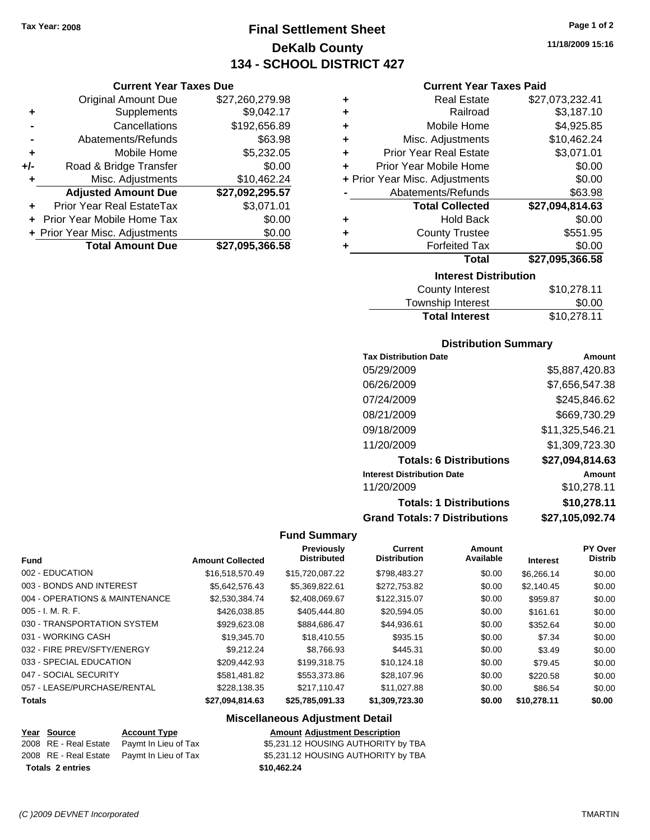**Current Year Taxes Due** Original Amount Due \$27,260,279.98

**Adjusted Amount Due \$27,092,295.57**

**Total Amount Due \$27,095,366.58**

**+** Supplements \$9,042.17 **-** Cancellations \$192,656.89 **-** Abatements/Refunds \$63.98 **+** Mobile Home \$5,232.05 **+/-** Road & Bridge Transfer \$0.00 **+** Misc. Adjustments \$10,462.24

**+** Prior Year Real EstateTax \$3,071.01 **+** Prior Year Mobile Home Tax \$0.00 **+ Prior Year Misc. Adjustments**  $$0.00$ 

### **Final Settlement Sheet Tax Year: 2008 Page 1 of 2 DeKalb County 134 - SCHOOL DISTRICT 427**

**11/18/2009 15:16**

#### **Current Year Taxes Paid**

| ٠                              | <b>Real Estate</b>            | \$27,073,232.41 |  |
|--------------------------------|-------------------------------|-----------------|--|
| ٠                              | Railroad                      | \$3,187.10      |  |
| ٠                              | Mobile Home                   | \$4,925.85      |  |
| ٠                              | Misc. Adjustments             | \$10,462.24     |  |
| ÷                              | <b>Prior Year Real Estate</b> | \$3,071.01      |  |
| ÷                              | Prior Year Mobile Home        | \$0.00          |  |
| + Prior Year Misc. Adjustments |                               | \$0.00          |  |
|                                | Abatements/Refunds            | \$63.98         |  |
|                                | <b>Total Collected</b>        | \$27,094,814.63 |  |
| ٠                              | Hold Back                     | \$0.00          |  |
|                                | <b>County Trustee</b>         | \$551.95        |  |
|                                | <b>Forfeited Tax</b>          | \$0.00          |  |
|                                | Total                         | \$27,095,366.58 |  |
| <b>Interest Distribution</b>   |                               |                 |  |

| <b>Total Interest</b> | \$10,278.11 |
|-----------------------|-------------|
| Township Interest     | \$0.00      |
| County Interest       | \$10,278.11 |

#### **Distribution Summary**

| <b>Tax Distribution Date</b>         | Amount          |
|--------------------------------------|-----------------|
| 05/29/2009                           | \$5,887,420.83  |
| 06/26/2009                           | \$7,656,547.38  |
| 07/24/2009                           | \$245,846.62    |
| 08/21/2009                           | \$669,730.29    |
| 09/18/2009                           | \$11,325,546.21 |
| 11/20/2009                           | \$1,309,723.30  |
| <b>Totals: 6 Distributions</b>       | \$27,094,814.63 |
| <b>Interest Distribution Date</b>    | Amount          |
| 11/20/2009                           | \$10,278.11     |
| <b>Totals: 1 Distributions</b>       | \$10,278.11     |
| <b>Grand Totals: 7 Distributions</b> | \$27.105.092.74 |

#### **Fund Summary**

| <b>Fund</b>                    | <b>Amount Collected</b> | Previously<br><b>Distributed</b> | <b>Current</b><br><b>Distribution</b> | Amount<br>Available | <b>Interest</b> | <b>PY Over</b><br><b>Distrib</b> |
|--------------------------------|-------------------------|----------------------------------|---------------------------------------|---------------------|-----------------|----------------------------------|
| 002 - EDUCATION                | \$16,518,570.49         | \$15,720,087.22                  | \$798,483.27                          | \$0.00              | \$6.266.14      | \$0.00                           |
| 003 - BONDS AND INTEREST       | \$5.642.576.43          | \$5.369.822.61                   | \$272,753.82                          | \$0.00              | \$2,140.45      | \$0.00                           |
| 004 - OPERATIONS & MAINTENANCE | \$2,530,384.74          | \$2,408,069.67                   | \$122,315.07                          | \$0.00              | \$959.87        | \$0.00                           |
| 005 - I. M. R. F.              | \$426,038.85            | \$405,444.80                     | \$20.594.05                           | \$0.00              | \$161.61        | \$0.00                           |
| 030 - TRANSPORTATION SYSTEM    | \$929,623,08            | \$884,686.47                     | \$44,936.61                           | \$0.00              | \$352.64        | \$0.00                           |
| 031 - WORKING CASH             | \$19,345.70             | \$18,410.55                      | \$935.15                              | \$0.00              | \$7.34          | \$0.00                           |
| 032 - FIRE PREV/SFTY/ENERGY    | \$9.212.24              | \$8,766.93                       | \$445.31                              | \$0.00              | \$3.49          | \$0.00                           |
| 033 - SPECIAL EDUCATION        | \$209.442.93            | \$199.318.75                     | \$10,124.18                           | \$0.00              | \$79.45         | \$0.00                           |
| 047 - SOCIAL SECURITY          | \$581.481.82            | \$553,373.86                     | \$28,107.96                           | \$0.00              | \$220.58        | \$0.00                           |
| 057 - LEASE/PURCHASE/RENTAL    | \$228.138.35            | \$217.110.47                     | \$11,027.88                           | \$0.00              | \$86.54         | \$0.00                           |
| <b>Totals</b>                  | \$27,094,814.63         | \$25,785,091.33                  | \$1,309,723.30                        | \$0.00              | \$10,278.11     | \$0.00                           |

#### **Miscellaneous Adjustment Detail**

#### **Year Source Account Type Amount Adjustment Description**

| <b>Totals 2 entries</b> |                                            | \$10.462.24                         |
|-------------------------|--------------------------------------------|-------------------------------------|
|                         | 2008 RE - Real Estate Paymt In Lieu of Tax | \$5,231.12 HOUSING AUTHORITY by TBA |
|                         | 2008 RE - Real Estate Paymt In Lieu of Tax | \$5,231.12 HOUSING AUTHORITY by TBA |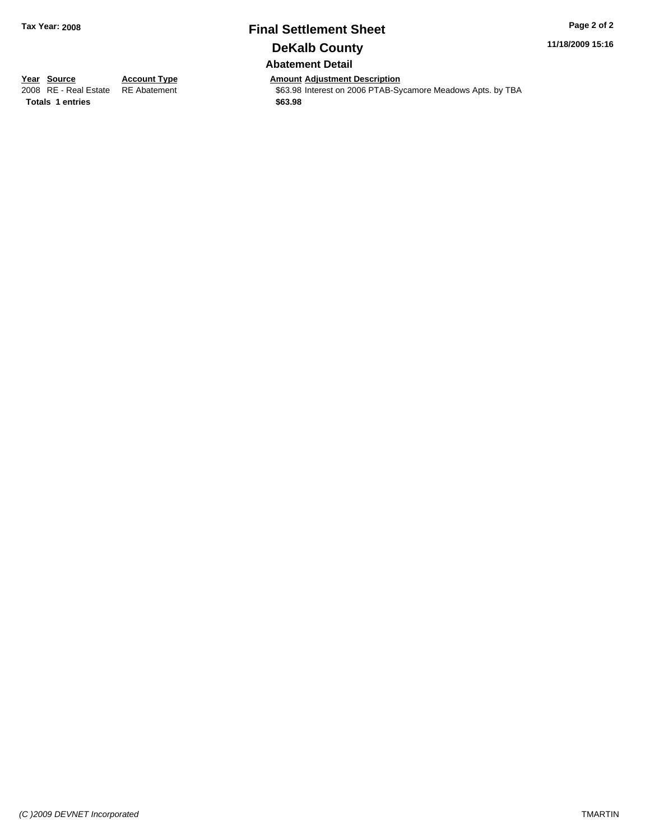# **Final Settlement Sheet Tax Year: 2008 Page 2 of 2 DeKalb County**

**11/18/2009 15:16**

**Abatement Detail**

**Totals \$63.98 1 entries**

**Year Source Account Type Amount Adjustment Description**<br> **2008** RE - Real Estate RE Abatement **Adjustment COULTANE-** Space **COULTANE-** Space **COULTANE-** Space **COULTANE** 

\$63.98 Interest on 2006 PTAB-Sycamore Meadows Apts. by TBA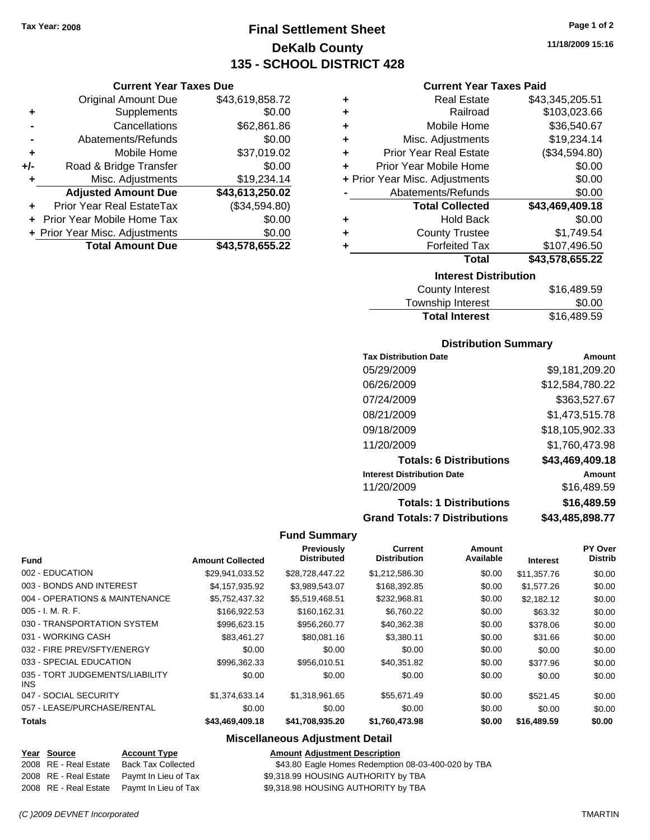**Current Year Taxes Due** Original Amount Due \$43,619,858.72

**Adjusted Amount Due \$43,613,250.02**

**Total Amount Due \$43,578,655.22**

**+** Supplements \$0.00 **-** Cancellations \$62,861.86 **-** Abatements/Refunds \$0.00 **+** Mobile Home \$37,019.02 **+/-** Road & Bridge Transfer \$0.00 **+** Misc. Adjustments \$19,234.14

**+** Prior Year Real EstateTax (\$34,594.80) **+** Prior Year Mobile Home Tax \$0.00 **+ Prior Year Misc. Adjustments**  $$0.00$ 

### **Final Settlement Sheet Tax Year: 2008 Page 1 of 2 DeKalb County 135 - SCHOOL DISTRICT 428**

**11/18/2009 15:16**

#### **Current Year Taxes Paid**

| <b>Interest Distribution</b>       |                 |  |  |
|------------------------------------|-----------------|--|--|
| Total                              | \$43,578,655.22 |  |  |
| <b>Forfeited Tax</b><br>٠          | \$107,496.50    |  |  |
| <b>County Trustee</b><br>٠         | \$1,749.54      |  |  |
| <b>Hold Back</b><br>٠              | \$0.00          |  |  |
| <b>Total Collected</b>             | \$43,469,409.18 |  |  |
| Abatements/Refunds                 | \$0.00          |  |  |
| + Prior Year Misc. Adjustments     | \$0.00          |  |  |
| Prior Year Mobile Home<br>÷        | \$0.00          |  |  |
| <b>Prior Year Real Estate</b><br>٠ | (\$34,594.80)   |  |  |
| Misc. Adjustments<br>٠             | \$19,234.14     |  |  |
| Mobile Home<br>٠                   | \$36,540.67     |  |  |
| Railroad<br>٠                      | \$103,023.66    |  |  |
| <b>Real Estate</b><br>٠            | \$43,345,205.51 |  |  |
|                                    |                 |  |  |

| <b>County Interest</b> | \$16,489.59 |
|------------------------|-------------|
| Township Interest      | \$0.00      |
| <b>Total Interest</b>  | \$16,489.59 |

#### **Distribution Summary**

| <b>Tax Distribution Date</b>         | Amount          |
|--------------------------------------|-----------------|
| 05/29/2009                           | \$9,181,209.20  |
| 06/26/2009                           | \$12,584,780.22 |
| 07/24/2009                           | \$363,527.67    |
| 08/21/2009                           | \$1,473,515.78  |
| 09/18/2009                           | \$18,105,902.33 |
| 11/20/2009                           | \$1,760,473.98  |
| <b>Totals: 6 Distributions</b>       | \$43,469,409.18 |
| <b>Interest Distribution Date</b>    | Amount          |
| 11/20/2009                           | \$16,489.59     |
| <b>Totals: 1 Distributions</b>       | \$16,489.59     |
| <b>Grand Totals: 7 Distributions</b> | \$43.485.898.77 |

#### **Fund Summary**

|                                         |                         | Previously<br><b>Distributed</b> | Current<br><b>Distribution</b> | Amount<br>Available |                 | PY Over<br><b>Distrib</b> |
|-----------------------------------------|-------------------------|----------------------------------|--------------------------------|---------------------|-----------------|---------------------------|
| <b>Fund</b>                             | <b>Amount Collected</b> |                                  |                                |                     | <b>Interest</b> |                           |
| 002 - EDUCATION                         | \$29,941,033.52         | \$28,728,447.22                  | \$1,212,586.30                 | \$0.00              | \$11,357.76     | \$0.00                    |
| 003 - BONDS AND INTEREST                | \$4,157,935.92          | \$3,989,543.07                   | \$168,392.85                   | \$0.00              | \$1,577.26      | \$0.00                    |
| 004 - OPERATIONS & MAINTENANCE          | \$5,752,437.32          | \$5,519,468.51                   | \$232,968.81                   | \$0.00              | \$2,182.12      | \$0.00                    |
| $005 - I. M. R. F.$                     | \$166,922.53            | \$160,162.31                     | \$6,760.22                     | \$0.00              | \$63.32         | \$0.00                    |
| 030 - TRANSPORTATION SYSTEM             | \$996,623.15            | \$956,260.77                     | \$40,362.38                    | \$0.00              | \$378.06        | \$0.00                    |
| 031 - WORKING CASH                      | \$83,461.27             | \$80,081.16                      | \$3,380.11                     | \$0.00              | \$31.66         | \$0.00                    |
| 032 - FIRE PREV/SFTY/ENERGY             | \$0.00                  | \$0.00                           | \$0.00                         | \$0.00              | \$0.00          | \$0.00                    |
| 033 - SPECIAL EDUCATION                 | \$996.362.33            | \$956.010.51                     | \$40,351.82                    | \$0.00              | \$377.96        | \$0.00                    |
| 035 - TORT JUDGEMENTS/LIABILITY<br>INS. | \$0.00                  | \$0.00                           | \$0.00                         | \$0.00              | \$0.00          | \$0.00                    |
| 047 - SOCIAL SECURITY                   | \$1,374,633.14          | \$1,318,961.65                   | \$55,671.49                    | \$0.00              | \$521.45        | \$0.00                    |
| 057 - LEASE/PURCHASE/RENTAL             | \$0.00                  | \$0.00                           | \$0.00                         | \$0.00              | \$0.00          | \$0.00                    |
| <b>Totals</b>                           | \$43,469,409.18         | \$41,708,935.20                  | \$1,760,473.98                 | \$0.00              | \$16,489.59     | \$0.00                    |

#### **Miscellaneous Adjustment Detail**

| ____ | Year Source           | <b>Account Type</b> | <b>Amount Adiustment Description</b> |
|------|-----------------------|---------------------|--------------------------------------|
|      | 2008 RE - Real Estate | Back Tax Collected  | \$43.80 Eagle Homes Redemption       |

2008 RE - Real Estate Paymt In Lieu of Tax §9,318.99 HOUSING AUTHORITY by TBA 2008 RE - Real Estate Paymt In Lieu of Tax \$9,318.98 HOUSING AUTHORITY by TBA

2008 RE - Real Estate Back Tax Collected \$43.80 Eagle Homes Redemption 08-03-400-020 by TBA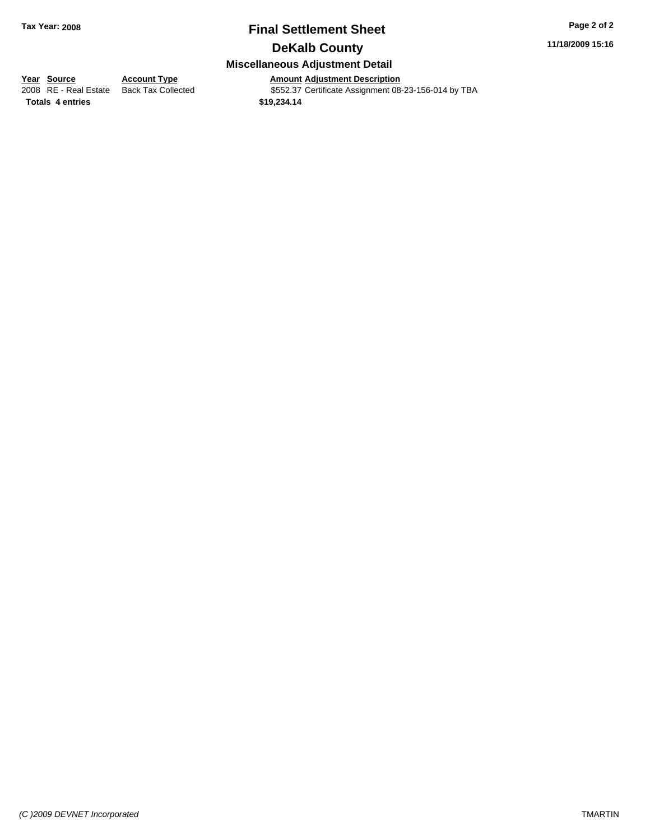# **Final Settlement Sheet Tax Year: 2008 Page 2 of 2**

**11/18/2009 15:16**

### **DeKalb County**

#### **Miscellaneous Adjustment Detail**

Amount Adjustment Description<br>\$552.37 Certificate Assignment 08-23-156-014 by TBA

**Totals \$19,234.14 4 entries**

**<u>Year Source</u> Account Type**<br> **Account Type Addensity Addensity Addensity Addensity Addensity Addensity Addensity Addensity Addensity Addensity Addensity Addensity Addensity Addensity Addens**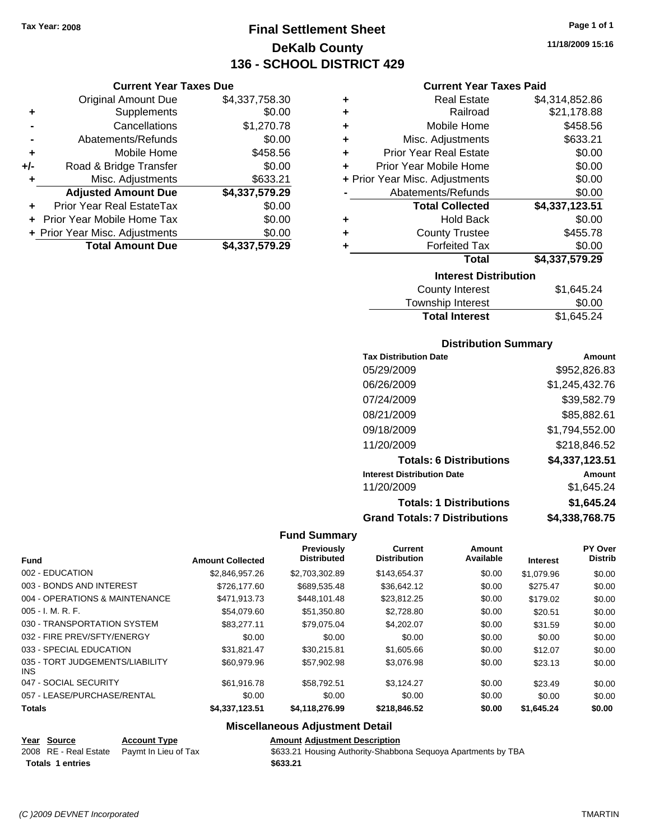**Current Year Taxes Due** Original Amount Due \$4,337,758.30

**Adjusted Amount Due \$4,337,579.29**

**+** Supplements \$0.00 **-** Cancellations \$1,270.78 **-** Abatements/Refunds \$0.00 **+** Mobile Home \$458.56 **+/-** Road & Bridge Transfer \$0.00 **+** Misc. Adjustments \$633.21

**+** Prior Year Real EstateTax \$0.00 **+** Prior Year Mobile Home Tax \$0.00 **+ Prior Year Misc. Adjustments \$0.00<br>Total Amount Due \$4,337,579.29** 

**Total Amount Due** 

### **Final Settlement Sheet Tax Year: 2008 Page 1 of 1 DeKalb County 136 - SCHOOL DISTRICT 429**

**11/18/2009 15:16**

#### **Current Year Taxes Paid**

| ٠ | <b>Real Estate</b>             | \$4,314,852.86 |  |  |  |
|---|--------------------------------|----------------|--|--|--|
| ÷ | Railroad                       | \$21,178.88    |  |  |  |
| ٠ | Mobile Home                    | \$458.56       |  |  |  |
| ÷ | Misc. Adjustments              | \$633.21       |  |  |  |
| ٠ | <b>Prior Year Real Estate</b>  | \$0.00         |  |  |  |
| ÷ | Prior Year Mobile Home         | \$0.00         |  |  |  |
|   | + Prior Year Misc. Adjustments | \$0.00         |  |  |  |
|   | Abatements/Refunds             | \$0.00         |  |  |  |
|   | <b>Total Collected</b>         | \$4,337,123.51 |  |  |  |
| ٠ | <b>Hold Back</b>               | \$0.00         |  |  |  |
| ÷ | <b>County Trustee</b>          | \$455.78       |  |  |  |
| ٠ | <b>Forfeited Tax</b>           | \$0.00         |  |  |  |
|   | <b>Total</b>                   | \$4,337,579.29 |  |  |  |
|   | <b>Interest Distribution</b>   |                |  |  |  |
|   | $C_{\text{O}}$ untu Intoroot   | 0101521        |  |  |  |

| <b>Total Interest</b> | \$1,645.24 |
|-----------------------|------------|
| Township Interest     | \$0.00     |
| County Interest       | \$1,645.24 |

#### **Distribution Summary**

| <b>Tax Distribution Date</b>         | Amount         |
|--------------------------------------|----------------|
| 05/29/2009                           | \$952,826.83   |
| 06/26/2009                           | \$1,245,432.76 |
| 07/24/2009                           | \$39,582.79    |
| 08/21/2009                           | \$85,882.61    |
| 09/18/2009                           | \$1,794,552.00 |
| 11/20/2009                           | \$218,846.52   |
| <b>Totals: 6 Distributions</b>       | \$4,337,123.51 |
| <b>Interest Distribution Date</b>    | Amount         |
| 11/20/2009                           | \$1,645.24     |
| <b>Totals: 1 Distributions</b>       | \$1,645.24     |
| <b>Grand Totals: 7 Distributions</b> | \$4,338,768.75 |

#### **Fund Summary**

| <b>Fund</b>                             | <b>Amount Collected</b> | Previously<br><b>Distributed</b> | <b>Current</b><br><b>Distribution</b> | Amount<br>Available | <b>Interest</b> | PY Over<br><b>Distrib</b> |
|-----------------------------------------|-------------------------|----------------------------------|---------------------------------------|---------------------|-----------------|---------------------------|
| 002 - EDUCATION                         | \$2.846.957.26          | \$2.703.302.89                   | \$143.654.37                          | \$0.00              | \$1.079.96      | \$0.00                    |
| 003 - BONDS AND INTEREST                | \$726,177,60            | \$689,535.48                     | \$36,642.12                           | \$0.00              | \$275.47        | \$0.00                    |
| 004 - OPERATIONS & MAINTENANCE          | \$471.913.73            | \$448,101.48                     | \$23,812.25                           | \$0.00              | \$179.02        | \$0.00                    |
| 005 - I. M. R. F.                       | \$54.079.60             | \$51,350.80                      | \$2,728.80                            | \$0.00              | \$20.51         | \$0.00                    |
| 030 - TRANSPORTATION SYSTEM             | \$83.277.11             | \$79,075.04                      | \$4,202.07                            | \$0.00              | \$31.59         | \$0.00                    |
| 032 - FIRE PREV/SFTY/ENERGY             | \$0.00                  | \$0.00                           | \$0.00                                | \$0.00              | \$0.00          | \$0.00                    |
| 033 - SPECIAL EDUCATION                 | \$31.821.47             | \$30,215.81                      | \$1,605.66                            | \$0.00              | \$12.07         | \$0.00                    |
| 035 - TORT JUDGEMENTS/LIABILITY<br>INS. | \$60.979.96             | \$57.902.98                      | \$3.076.98                            | \$0.00              | \$23.13         | \$0.00                    |
| 047 - SOCIAL SECURITY                   | \$61,916.78             | \$58,792.51                      | \$3,124.27                            | \$0.00              | \$23.49         | \$0.00                    |
| 057 - LEASE/PURCHASE/RENTAL             | \$0.00                  | \$0.00                           | \$0.00                                | \$0.00              | \$0.00          | \$0.00                    |
| <b>Totals</b>                           | \$4,337,123.51          | \$4,118,276.99                   | \$218,846.52                          | \$0.00              | \$1,645.24      | \$0.00                    |

#### **Miscellaneous Adjustment Detail**

| Year Source             | <b>Account Type</b>                        | <b>Amount Adjustment Description</b>                          |
|-------------------------|--------------------------------------------|---------------------------------------------------------------|
|                         | 2008 RE - Real Estate Paymt In Lieu of Tax | \$633.21 Housing Authority-Shabbona Sequoya Apartments by TBA |
| <b>Totals 1 entries</b> |                                            | \$633.21                                                      |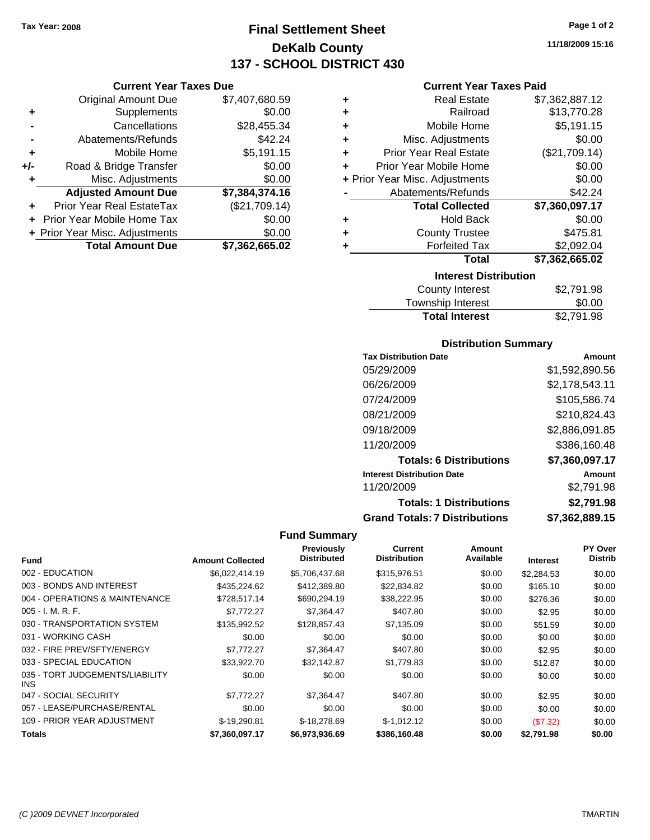**Current Year Taxes Due** Original Amount Due \$7,407,680.59

**Adjusted Amount Due \$7,384,374.16**

**Total Amount Due \$7,362,665.02**

**+** Supplements \$0.00 **-** Cancellations \$28,455.34 **-** Abatements/Refunds \$42.24 **+** Mobile Home \$5,191.15 **+/-** Road & Bridge Transfer \$0.00 **+** Misc. Adjustments \$0.00

**+** Prior Year Real EstateTax (\$21,709.14) **+** Prior Year Mobile Home Tax \$0.00 **+ Prior Year Misc. Adjustments**  $$0.00$ 

### **Final Settlement Sheet Tax Year: 2008 Page 1 of 2 DeKalb County 137 - SCHOOL DISTRICT 430**

**11/18/2009 15:16**

#### **Current Year Taxes Paid**

| ٠                            | <b>Real Estate</b>             | \$7,362,887.12 |  |  |
|------------------------------|--------------------------------|----------------|--|--|
| ٠                            | Railroad                       | \$13,770.28    |  |  |
| ٠                            | Mobile Home                    | \$5,191.15     |  |  |
| ٠                            | Misc. Adjustments              | \$0.00         |  |  |
| ÷                            | <b>Prior Year Real Estate</b>  | (\$21,709.14)  |  |  |
| ÷                            | Prior Year Mobile Home         | \$0.00         |  |  |
|                              | + Prior Year Misc. Adjustments | \$0.00         |  |  |
|                              | Abatements/Refunds             | \$42.24        |  |  |
|                              | <b>Total Collected</b>         | \$7,360,097.17 |  |  |
| ٠                            | <b>Hold Back</b>               | \$0.00         |  |  |
| ٠                            | <b>County Trustee</b>          | \$475.81       |  |  |
| ÷                            | <b>Forfeited Tax</b>           | \$2,092.04     |  |  |
|                              | Total                          | \$7,362,665.02 |  |  |
| <b>Interest Distribution</b> |                                |                |  |  |
| County Interest<br>S2 791 98 |                                |                |  |  |

| <b>Total Interest</b> | \$2,791.98 |
|-----------------------|------------|
| Township Interest     | \$0.00     |
| County Interest       | \$2,791.98 |

#### **Distribution Summary**

| <b>Tax Distribution Date</b>         | Amount         |
|--------------------------------------|----------------|
| 05/29/2009                           | \$1,592,890.56 |
| 06/26/2009                           | \$2,178,543.11 |
| 07/24/2009                           | \$105,586.74   |
| 08/21/2009                           | \$210,824.43   |
| 09/18/2009                           | \$2,886,091.85 |
| 11/20/2009                           | \$386,160.48   |
| <b>Totals: 6 Distributions</b>       | \$7,360,097.17 |
| <b>Interest Distribution Date</b>    | Amount         |
| 11/20/2009                           | \$2,791.98     |
| <b>Totals: 1 Distributions</b>       | \$2,791.98     |
| <b>Grand Totals: 7 Distributions</b> | \$7,362,889.15 |

|                                         |                         | Previously<br><b>Distributed</b> | <b>Current</b><br><b>Distribution</b> | Amount<br>Available |                 | <b>PY Over</b><br><b>Distrib</b> |
|-----------------------------------------|-------------------------|----------------------------------|---------------------------------------|---------------------|-----------------|----------------------------------|
| <b>Fund</b>                             | <b>Amount Collected</b> |                                  |                                       |                     | <b>Interest</b> |                                  |
| 002 - EDUCATION                         | \$6,022,414.19          | \$5,706,437.68                   | \$315,976.51                          | \$0.00              | \$2,284.53      | \$0.00                           |
| 003 - BONDS AND INTEREST                | \$435,224.62            | \$412,389.80                     | \$22,834.82                           | \$0.00              | \$165.10        | \$0.00                           |
| 004 - OPERATIONS & MAINTENANCE          | \$728,517.14            | \$690,294.19                     | \$38,222.95                           | \$0.00              | \$276.36        | \$0.00                           |
| $005 - I. M. R. F.$                     | \$7.772.27              | \$7.364.47                       | \$407.80                              | \$0.00              | \$2.95          | \$0.00                           |
| 030 - TRANSPORTATION SYSTEM             | \$135,992.52            | \$128,857.43                     | \$7,135.09                            | \$0.00              | \$51.59         | \$0.00                           |
| 031 - WORKING CASH                      | \$0.00                  | \$0.00                           | \$0.00                                | \$0.00              | \$0.00          | \$0.00                           |
| 032 - FIRE PREV/SFTY/ENERGY             | \$7.772.27              | \$7,364.47                       | \$407.80                              | \$0.00              | \$2.95          | \$0.00                           |
| 033 - SPECIAL EDUCATION                 | \$33,922.70             | \$32,142.87                      | \$1,779.83                            | \$0.00              | \$12.87         | \$0.00                           |
| 035 - TORT JUDGEMENTS/LIABILITY<br>INS. | \$0.00                  | \$0.00                           | \$0.00                                | \$0.00              | \$0.00          | \$0.00                           |
| 047 - SOCIAL SECURITY                   | \$7,772.27              | \$7,364.47                       | \$407.80                              | \$0.00              | \$2.95          | \$0.00                           |
| 057 - LEASE/PURCHASE/RENTAL             | \$0.00                  | \$0.00                           | \$0.00                                | \$0.00              | \$0.00          | \$0.00                           |
| 109 - PRIOR YEAR ADJUSTMENT             | $$-19,290.81$           | $$-18,278.69$                    | $$-1,012.12$                          | \$0.00              | (\$7.32)        | \$0.00                           |
| <b>Totals</b>                           | \$7,360,097.17          | \$6,973,936.69                   | \$386,160.48                          | \$0.00              | \$2,791.98      | \$0.00                           |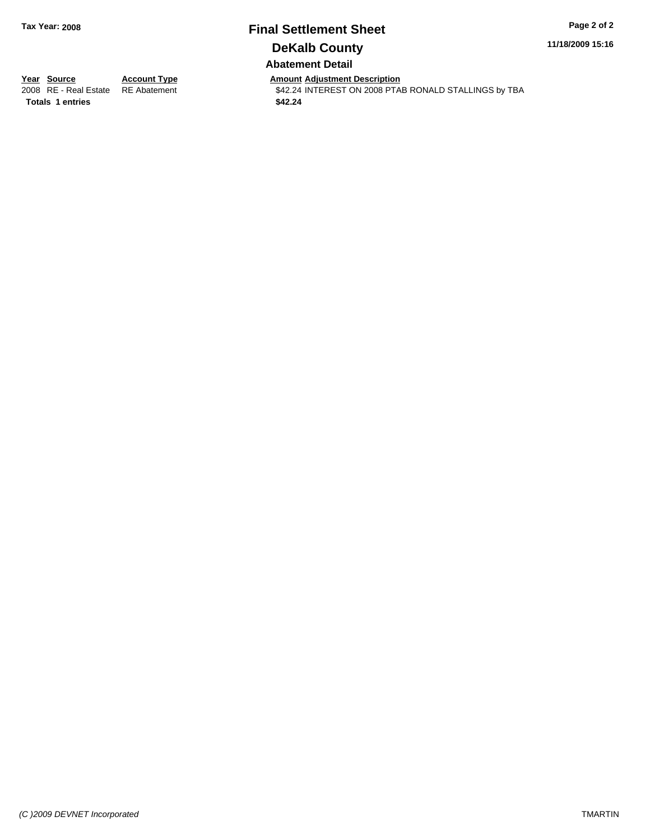### **Final Settlement Sheet Tax Year: 2008 Page 2 of 2 DeKalb County Abatement Detail**

**11/18/2009 15:16**

**Totals \$42.24 1 entries**

**Year Source Account Type Amount Adjustment Description**<br> **Amount Adjustment Addemical COVID-11**<br> **AMOUNTEREST ON 2008 PTA** \$42.24 INTEREST ON 2008 PTAB RONALD STALLINGS by TBA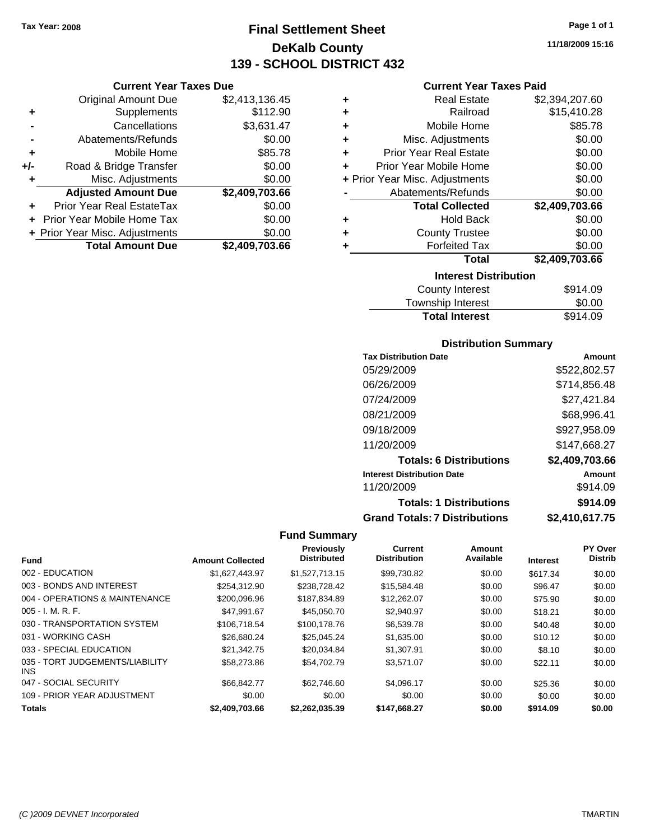**Current Year Taxes Due** Original Amount Due \$2,413,136.45

**Adjusted Amount Due \$2,409,703.66**

**Total Amount Due \$2,409,703.66**

**+** Supplements \$112.90 **-** Cancellations \$3,631.47 **-** Abatements/Refunds \$0.00 **+** Mobile Home \$85.78 **+/-** Road & Bridge Transfer \$0.00 **+** Misc. Adjustments \$0.00

**+** Prior Year Real EstateTax \$0.00 **+** Prior Year Mobile Home Tax \$0.00 **+ Prior Year Misc. Adjustments**  $$0.00$ 

### **Final Settlement Sheet Tax Year: 2008 Page 1 of 1 DeKalb County 139 - SCHOOL DISTRICT 432**

**11/18/2009 15:16**

#### **Current Year Taxes Paid**

| ٠                           | <b>Real Estate</b>             | \$2,394,207.60 |  |  |  |
|-----------------------------|--------------------------------|----------------|--|--|--|
| ÷                           | Railroad                       | \$15,410.28    |  |  |  |
| ٠                           | Mobile Home                    | \$85.78        |  |  |  |
| ٠                           | Misc. Adjustments              | \$0.00         |  |  |  |
| ٠                           | <b>Prior Year Real Estate</b>  | \$0.00         |  |  |  |
| ÷                           | Prior Year Mobile Home         | \$0.00         |  |  |  |
|                             | + Prior Year Misc. Adjustments | \$0.00         |  |  |  |
|                             | Abatements/Refunds             | \$0.00         |  |  |  |
|                             | <b>Total Collected</b>         | \$2,409,703.66 |  |  |  |
| ٠                           | <b>Hold Back</b>               | \$0.00         |  |  |  |
| ٠                           | <b>County Trustee</b>          | \$0.00         |  |  |  |
|                             | <b>Forfeited Tax</b>           | \$0.00         |  |  |  |
|                             | <b>Total</b>                   | \$2,409,703.66 |  |  |  |
|                             | <b>Interest Distribution</b>   |                |  |  |  |
| \$914 NQ<br>County Interest |                                |                |  |  |  |

| County Interest       | \$914.09 |
|-----------------------|----------|
| Township Interest     | \$0.00   |
| <b>Total Interest</b> | \$914.09 |

#### **Distribution Summary**

| <b>Tax Distribution Date</b>         | Amount         |
|--------------------------------------|----------------|
| 05/29/2009                           | \$522,802.57   |
| 06/26/2009                           | \$714,856.48   |
| 07/24/2009                           | \$27,421.84    |
| 08/21/2009                           | \$68,996.41    |
| 09/18/2009                           | \$927,958.09   |
| 11/20/2009                           | \$147,668.27   |
| <b>Totals: 6 Distributions</b>       | \$2,409,703.66 |
| <b>Interest Distribution Date</b>    | Amount         |
| 11/20/2009                           | \$914.09       |
| <b>Totals: 1 Distributions</b>       | \$914.09       |
| <b>Grand Totals: 7 Distributions</b> | \$2,410,617.75 |

|                                         |                         | Previously         | <b>Current</b>      | Amount    |                 | PY Over        |
|-----------------------------------------|-------------------------|--------------------|---------------------|-----------|-----------------|----------------|
| <b>Fund</b>                             | <b>Amount Collected</b> | <b>Distributed</b> | <b>Distribution</b> | Available | <b>Interest</b> | <b>Distrib</b> |
| 002 - EDUCATION                         | \$1.627.443.97          | \$1.527.713.15     | \$99.730.82         | \$0.00    | \$617.34        | \$0.00         |
| 003 - BONDS AND INTEREST                | \$254.312.90            | \$238,728.42       | \$15,584.48         | \$0.00    | \$96.47         | \$0.00         |
| 004 - OPERATIONS & MAINTENANCE          | \$200,096.96            | \$187,834.89       | \$12,262.07         | \$0.00    | \$75.90         | \$0.00         |
| $005 - I. M. R. F.$                     | \$47.991.67             | \$45,050.70        | \$2,940.97          | \$0.00    | \$18.21         | \$0.00         |
| 030 - TRANSPORTATION SYSTEM             | \$106.718.54            | \$100,178.76       | \$6,539.78          | \$0.00    | \$40.48         | \$0.00         |
| 031 - WORKING CASH                      | \$26,680.24             | \$25.045.24        | \$1,635.00          | \$0.00    | \$10.12         | \$0.00         |
| 033 - SPECIAL EDUCATION                 | \$21.342.75             | \$20.034.84        | \$1,307.91          | \$0.00    | \$8.10          | \$0.00         |
| 035 - TORT JUDGEMENTS/LIABILITY<br>INS. | \$58,273.86             | \$54,702.79        | \$3,571.07          | \$0.00    | \$22.11         | \$0.00         |
| 047 - SOCIAL SECURITY                   | \$66.842.77             | \$62,746.60        | \$4.096.17          | \$0.00    | \$25.36         | \$0.00         |
| 109 - PRIOR YEAR ADJUSTMENT             | \$0.00                  | \$0.00             | \$0.00              | \$0.00    | \$0.00          | \$0.00         |
| <b>Totals</b>                           | \$2,409,703.66          | \$2,262,035.39     | \$147,668.27        | \$0.00    | \$914.09        | \$0.00         |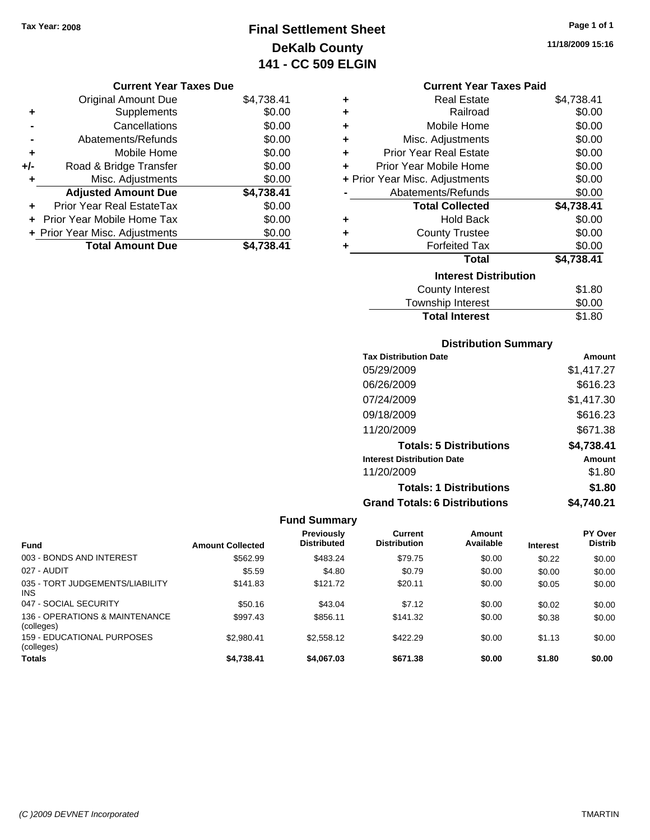## **Final Settlement Sheet Tax Year: 2008 Page 1 of 1 DeKalb County 141 - CC 509 ELGIN**

**11/18/2009 15:16**

#### **Current Year Taxes Due**

|     | <b>Original Amount Due</b>     | \$4,738.41 |
|-----|--------------------------------|------------|
| ٠   | Supplements                    | \$0.00     |
|     | Cancellations                  | \$0.00     |
|     | Abatements/Refunds             | \$0.00     |
| ٠   | Mobile Home                    | \$0.00     |
| +/- | Road & Bridge Transfer         | \$0.00     |
| ٠   | Misc. Adjustments              | \$0.00     |
|     | <b>Adjusted Amount Due</b>     | \$4,738.41 |
|     | Prior Year Real EstateTax      | \$0.00     |
|     | Prior Year Mobile Home Tax     | \$0.00     |
|     | + Prior Year Misc. Adjustments | \$0.00     |
|     | <b>Total Amount Due</b>        | \$4.738.41 |

#### **Current Year Taxes Paid**

|   | <b>Real Estate</b>             | \$4,738.41 |
|---|--------------------------------|------------|
| ÷ | Railroad                       | \$0.00     |
| ٠ | Mobile Home                    | \$0.00     |
| ÷ | Misc. Adjustments              | \$0.00     |
| ÷ | <b>Prior Year Real Estate</b>  | \$0.00     |
| ٠ | Prior Year Mobile Home         | \$0.00     |
|   | + Prior Year Misc. Adjustments | \$0.00     |
|   | Abatements/Refunds             | \$0.00     |
|   |                                |            |
|   | <b>Total Collected</b>         | \$4,738.41 |
| ٠ | Hold Back                      | \$0.00     |
| ÷ | <b>County Trustee</b>          | \$0.00     |
| ٠ | <b>Forfeited Tax</b>           | \$0.00     |
|   | <b>Total</b>                   | \$4,738.41 |
|   | <b>Interest Distribution</b>   |            |
|   | <b>County Interest</b>         | \$1.80     |

## **Distribution Summary**

**Total Interest** \$1.80

| <b>Tax Distribution Date</b>         | Amount     |
|--------------------------------------|------------|
| 05/29/2009                           | \$1,417.27 |
| 06/26/2009                           | \$616.23   |
| 07/24/2009                           | \$1,417.30 |
| 09/18/2009                           | \$616.23   |
| 11/20/2009                           | \$671.38   |
| <b>Totals: 5 Distributions</b>       | \$4,738.41 |
| <b>Interest Distribution Date</b>    | Amount     |
| 11/20/2009                           | \$1.80     |
| <b>Totals: 1 Distributions</b>       | \$1.80     |
| <b>Grand Totals: 6 Distributions</b> | \$4.740.21 |

|                                               |                         | Previously         | Current             | Amount    |                 | <b>PY Over</b> |
|-----------------------------------------------|-------------------------|--------------------|---------------------|-----------|-----------------|----------------|
| <b>Fund</b>                                   | <b>Amount Collected</b> | <b>Distributed</b> | <b>Distribution</b> | Available | <b>Interest</b> | <b>Distrib</b> |
| 003 - BONDS AND INTEREST                      | \$562.99                | \$483.24           | \$79.75             | \$0.00    | \$0.22          | \$0.00         |
| 027 - AUDIT                                   | \$5.59                  | \$4.80             | \$0.79              | \$0.00    | \$0.00          | \$0.00         |
| 035 - TORT JUDGEMENTS/LIABILITY<br><b>INS</b> | \$141.83                | \$121.72           | \$20.11             | \$0.00    | \$0.05          | \$0.00         |
| 047 - SOCIAL SECURITY                         | \$50.16                 | \$43.04            | \$7.12              | \$0.00    | \$0.02          | \$0.00         |
| 136 - OPERATIONS & MAINTENANCE<br>(colleges)  | \$997.43                | \$856.11           | \$141.32            | \$0.00    | \$0.38          | \$0.00         |
| 159 - EDUCATIONAL PURPOSES<br>(colleges)      | \$2.980.41              | \$2,558.12         | \$422.29            | \$0.00    | \$1.13          | \$0.00         |
| <b>Totals</b>                                 | \$4.738.41              | \$4.067.03         | \$671.38            | \$0.00    | \$1.80          | \$0.00         |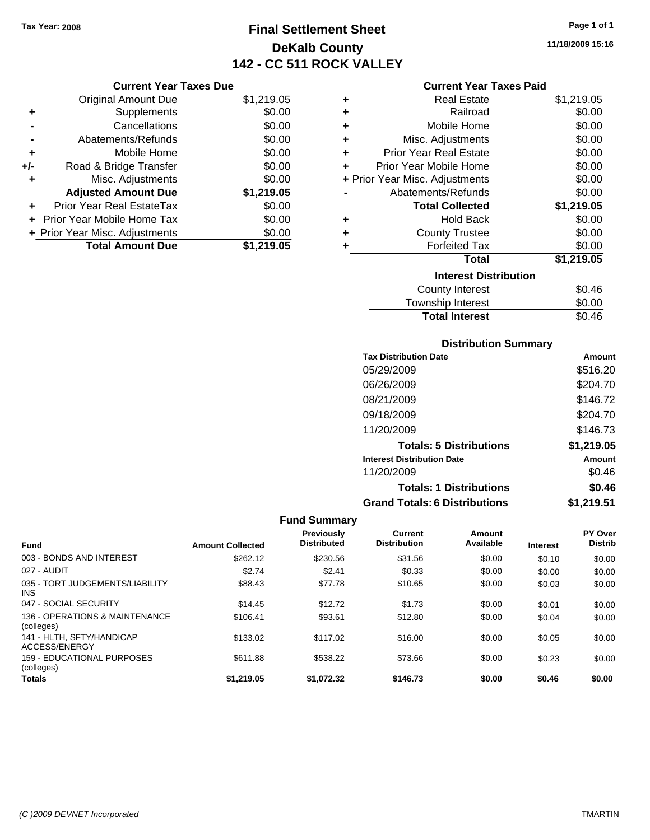## **Final Settlement Sheet Tax Year: 2008 Page 1 of 1 DeKalb County 142 - CC 511 ROCK VALLEY**

**11/18/2009 15:16**

#### **Current Year Taxes Paid**

|     | <b>Current Year Taxes Due</b>  |            |
|-----|--------------------------------|------------|
|     | <b>Original Amount Due</b>     | \$1,219.05 |
| ٠   | Supplements                    | \$0.00     |
|     | Cancellations                  | \$0.00     |
|     | Abatements/Refunds             | \$0.00     |
| ٠   | Mobile Home                    | \$0.00     |
| +/- | Road & Bridge Transfer         | \$0.00     |
|     | Misc. Adjustments              | \$0.00     |
|     | <b>Adjusted Amount Due</b>     | \$1,219.05 |
|     | Prior Year Real EstateTax      | \$0.00     |
|     | Prior Year Mobile Home Tax     | \$0.00     |
|     | + Prior Year Misc. Adjustments | \$0.00     |
|     | <b>Total Amount Due</b>        | \$1.219.05 |

| ٠ | <b>Real Estate</b>             | \$1,219.05 |
|---|--------------------------------|------------|
| ÷ | Railroad                       | \$0.00     |
| ÷ | Mobile Home                    | \$0.00     |
| ÷ | Misc. Adjustments              | \$0.00     |
| ٠ | Prior Year Real Estate         | \$0.00     |
| ٠ | Prior Year Mobile Home         | \$0.00     |
|   | + Prior Year Misc. Adjustments | \$0.00     |
|   | Abatements/Refunds             | \$0.00     |
|   | <b>Total Collected</b>         | \$1,219.05 |
| ٠ | Hold Back                      | \$0.00     |
| ٠ | <b>County Trustee</b>          | \$0.00     |
| ٠ | <b>Forfeited Tax</b>           | \$0.00     |
|   | Total                          | \$1,219.05 |
|   | <b>Interest Distribution</b>   |            |
|   | <b>County Interest</b>         | \$0.46     |
|   | <b>Township Interest</b>       | \$0.00     |
|   | <b>Total Interest</b>          | \$0.46     |

#### **Distribution Summary**

| <b>Tax Distribution Date</b>         | Amount     |
|--------------------------------------|------------|
| 05/29/2009                           | \$516.20   |
| 06/26/2009                           | \$204.70   |
| 08/21/2009                           | \$146.72   |
| 09/18/2009                           | \$204.70   |
| 11/20/2009                           | \$146.73   |
| <b>Totals: 5 Distributions</b>       | \$1,219.05 |
| <b>Interest Distribution Date</b>    | Amount     |
| 11/20/2009                           | \$0.46     |
| <b>Totals: 1 Distributions</b>       | \$0.46     |
| <b>Grand Totals: 6 Distributions</b> | \$1,219.51 |

| <b>Fund</b>                                   | <b>Amount Collected</b> | <b>Previously</b><br><b>Distributed</b> | Current<br><b>Distribution</b> | Amount<br>Available | <b>Interest</b> | PY Over<br><b>Distrib</b> |
|-----------------------------------------------|-------------------------|-----------------------------------------|--------------------------------|---------------------|-----------------|---------------------------|
| 003 - BONDS AND INTEREST                      | \$262.12                | \$230.56                                | \$31.56                        | \$0.00              | \$0.10          | \$0.00                    |
| 027 - AUDIT                                   | \$2.74                  | \$2.41                                  | \$0.33                         | \$0.00              | \$0.00          | \$0.00                    |
| 035 - TORT JUDGEMENTS/LIABILITY<br><b>INS</b> | \$88.43                 | \$77.78                                 | \$10.65                        | \$0.00              | \$0.03          | \$0.00                    |
| 047 - SOCIAL SECURITY                         | \$14.45                 | \$12.72                                 | \$1.73                         | \$0.00              | \$0.01          | \$0.00                    |
| 136 - OPERATIONS & MAINTENANCE<br>(colleges)  | \$106.41                | \$93.61                                 | \$12.80                        | \$0.00              | \$0.04          | \$0.00                    |
| 141 - HLTH, SFTY/HANDICAP<br>ACCESS/ENERGY    | \$133.02                | \$117.02                                | \$16.00                        | \$0.00              | \$0.05          | \$0.00                    |
| 159 - EDUCATIONAL PURPOSES<br>(colleges)      | \$611.88                | \$538.22                                | \$73.66                        | \$0.00              | \$0.23          | \$0.00                    |
| <b>Totals</b>                                 | \$1,219.05              | \$1.072.32                              | \$146.73                       | \$0.00              | \$0.46          | \$0.00                    |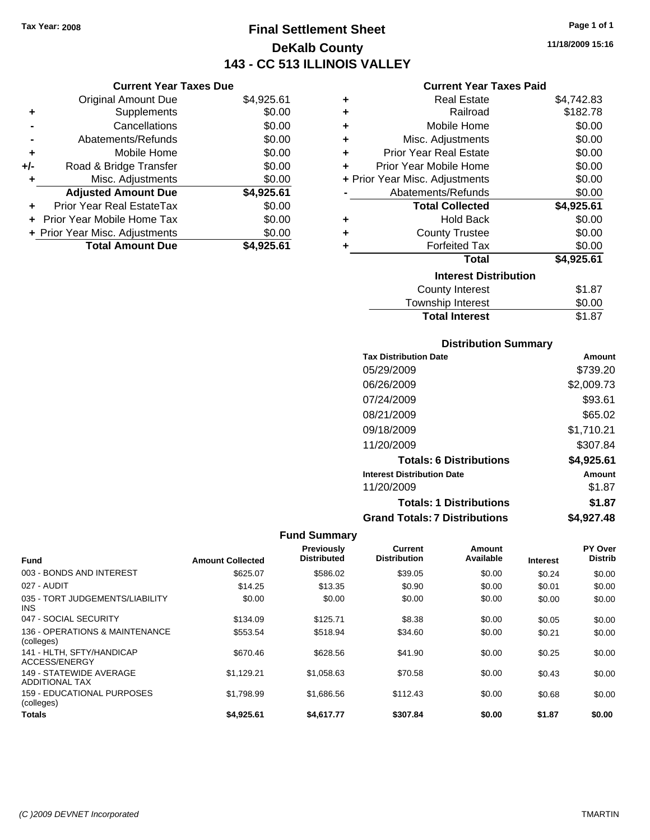### **Final Settlement Sheet Tax Year: 2008 Page 1 of 1 DeKalb County 143 - CC 513 ILLINOIS VALLEY**

**11/18/2009 15:16**

#### **Current Year Taxes Paid**

|     | <b>Current Year Taxes Due</b>  |            |
|-----|--------------------------------|------------|
|     | <b>Original Amount Due</b>     | \$4,925.61 |
| ٠   | Supplements                    | \$0.00     |
|     | Cancellations                  | \$0.00     |
|     | Abatements/Refunds             | \$0.00     |
| ٠   | Mobile Home                    | \$0.00     |
| +/- | Road & Bridge Transfer         | \$0.00     |
|     | Misc. Adjustments              | \$0.00     |
|     | <b>Adjusted Amount Due</b>     | \$4,925.61 |
| ٠   | Prior Year Real EstateTax      | \$0.00     |
|     | Prior Year Mobile Home Tax     | \$0.00     |
|     | + Prior Year Misc. Adjustments | \$0.00     |
|     | <b>Total Amount Due</b>        | \$4.925.61 |

| ٠ | <b>Real Estate</b>             | \$4,742.83 |
|---|--------------------------------|------------|
| ÷ | Railroad                       | \$182.78   |
| ÷ | Mobile Home                    | \$0.00     |
| ÷ | Misc. Adjustments              | \$0.00     |
| ÷ | <b>Prior Year Real Estate</b>  | \$0.00     |
| ٠ | Prior Year Mobile Home         | \$0.00     |
|   | + Prior Year Misc. Adjustments | \$0.00     |
|   | Abatements/Refunds             | \$0.00     |
|   | <b>Total Collected</b>         | \$4,925.61 |
| ٠ | Hold Back                      | \$0.00     |
| ٠ | <b>County Trustee</b>          | \$0.00     |
| ٠ | <b>Forfeited Tax</b>           | \$0.00     |
|   | Total                          | \$4,925.61 |
|   | <b>Interest Distribution</b>   |            |
|   | <b>County Interest</b>         | \$1.87     |
|   | <b>Township Interest</b>       | \$0.00     |
|   | <b>Total Interest</b>          | \$1.87     |

#### **Distribution Summary**

| <b>Tax Distribution Date</b>         | Amount     |
|--------------------------------------|------------|
| 05/29/2009                           | \$739.20   |
| 06/26/2009                           | \$2,009.73 |
| 07/24/2009                           | \$93.61    |
| 08/21/2009                           | \$65.02    |
| 09/18/2009                           | \$1,710.21 |
| 11/20/2009                           | \$307.84   |
| <b>Totals: 6 Distributions</b>       | \$4,925.61 |
| <b>Interest Distribution Date</b>    | Amount     |
| 11/20/2009                           | \$1.87     |
| <b>Totals: 1 Distributions</b>       | \$1.87     |
| <b>Grand Totals: 7 Distributions</b> | \$4,927.48 |
|                                      |            |

| <b>Fund</b>                                      | <b>Amount Collected</b> | Previously<br><b>Distributed</b> | Current<br><b>Distribution</b> | Amount<br>Available | <b>Interest</b> | PY Over<br><b>Distrib</b> |
|--------------------------------------------------|-------------------------|----------------------------------|--------------------------------|---------------------|-----------------|---------------------------|
| 003 - BONDS AND INTEREST                         | \$625.07                | \$586.02                         | \$39.05                        | \$0.00              | \$0.24          | \$0.00                    |
| 027 - AUDIT                                      | \$14.25                 | \$13.35                          | \$0.90                         | \$0.00              | \$0.01          | \$0.00                    |
| 035 - TORT JUDGEMENTS/LIABILITY<br><b>INS</b>    | \$0.00                  | \$0.00                           | \$0.00                         | \$0.00              | \$0.00          | \$0.00                    |
| 047 - SOCIAL SECURITY                            | \$134.09                | \$125.71                         | \$8.38                         | \$0.00              | \$0.05          | \$0.00                    |
| 136 - OPERATIONS & MAINTENANCE<br>(colleges)     | \$553.54                | \$518.94                         | \$34.60                        | \$0.00              | \$0.21          | \$0.00                    |
| 141 - HLTH, SFTY/HANDICAP<br>ACCESS/ENERGY       | \$670.46                | \$628.56                         | \$41.90                        | \$0.00              | \$0.25          | \$0.00                    |
| 149 - STATEWIDE AVERAGE<br><b>ADDITIONAL TAX</b> | \$1.129.21              | \$1,058.63                       | \$70.58                        | \$0.00              | \$0.43          | \$0.00                    |
| <b>159 - EDUCATIONAL PURPOSES</b><br>(colleges)  | \$1.798.99              | \$1,686.56                       | \$112.43                       | \$0.00              | \$0.68          | \$0.00                    |
| <b>Totals</b>                                    | \$4,925.61              | \$4,617.77                       | \$307.84                       | \$0.00              | \$1.87          | \$0.00                    |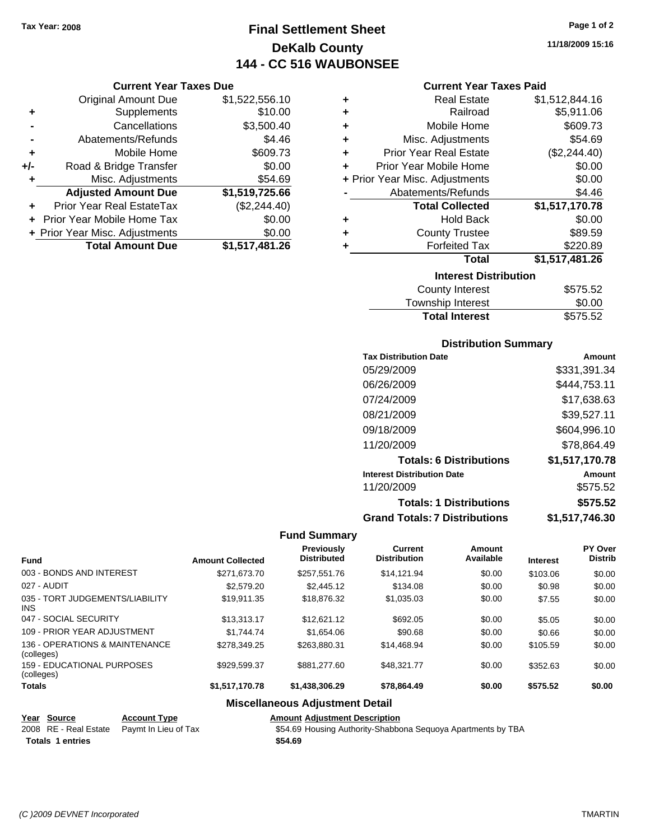Original Amount Due

**Adjusted Amount Due** 

**Total Amount Due** 

**+** Supplements **-** Cancellations **-** Abatements/Refunds **+** Mobile Home **+/-** Road & Bridge Transfer **+** Misc. Adjustments

**+** Prior Year Real EstateTax **+** Prior Year Mobile Home Tax \$0.00 **+ Prior Year Misc. Adjustments** 

### **Final Settlement Sheet Tax Year: 2008 Page 1 of 2 DeKalb County 144 - CC 516 WAUBONSEE**

**11/18/2009 15:16**

### **Current Year Taxes Paid**

| <b>Current Year Taxes Due</b> |                |   | <b>Current Year Taxes Paid</b> |                |  |
|-------------------------------|----------------|---|--------------------------------|----------------|--|
| ıl Amount Due                 | \$1,522,556.10 | ÷ | <b>Real Estate</b>             | \$1,512,844.16 |  |
| Supplements                   | \$10.00        | ÷ | Railroad                       | \$5,911.06     |  |
| Cancellations                 | \$3,500.40     | ÷ | Mobile Home                    | \$609.73       |  |
| าents/Refunds                 | \$4.46         | ÷ | Misc. Adjustments              | \$54.69        |  |
| Mobile Home                   | \$609.73       | ÷ | <b>Prior Year Real Estate</b>  | (\$2,244.40)   |  |
| ridge Transfer                | \$0.00         | ÷ | Prior Year Mobile Home         | \$0.00         |  |
| . Adjustments                 | \$54.69        |   | + Prior Year Misc. Adjustments | \$0.00         |  |
| <b>Amount Due</b>             | \$1,519,725.66 |   | Abatements/Refunds             | \$4.46         |  |
| leal EstateTax                | (\$2,244.40)   |   | <b>Total Collected</b>         | \$1,517,170.78 |  |
| pile Home Tax                 | \$0.00         | ٠ | <b>Hold Back</b>               | \$0.00         |  |
| . Adjustments                 | \$0.00         | ÷ | <b>County Trustee</b>          | \$89.59        |  |
| <b>Amount Due</b>             | \$1,517,481.26 | ٠ | <b>Forfeited Tax</b>           | \$220.89       |  |
|                               |                |   | <b>Total</b>                   | \$1,517,481.26 |  |
|                               |                |   | <b>Interest Distribution</b>   |                |  |

| <u>METEST DISTINGUOTI</u> |          |
|---------------------------|----------|
| County Interest           | \$575.52 |
| Township Interest         | \$0.00   |
| <b>Total Interest</b>     | \$575.52 |
|                           |          |

#### **Distribution Summary**

| <b>Tax Distribution Date</b>         | Amount         |
|--------------------------------------|----------------|
| 05/29/2009                           | \$331,391.34   |
| 06/26/2009                           | \$444,753.11   |
| 07/24/2009                           | \$17,638.63    |
| 08/21/2009                           | \$39,527.11    |
| 09/18/2009                           | \$604,996.10   |
| 11/20/2009                           | \$78.864.49    |
| <b>Totals: 6 Distributions</b>       | \$1,517,170.78 |
| <b>Interest Distribution Date</b>    | Amount         |
| 11/20/2009                           | \$575.52       |
| <b>Totals: 1 Distributions</b>       | \$575.52       |
| <b>Grand Totals: 7 Distributions</b> | \$1,517,746.30 |

#### **Fund Summary**

| <b>Fund</b>                                   | <b>Amount Collected</b> | Previously<br><b>Distributed</b> | <b>Current</b><br><b>Distribution</b> | Amount<br>Available | <b>Interest</b> | PY Over<br><b>Distrib</b> |
|-----------------------------------------------|-------------------------|----------------------------------|---------------------------------------|---------------------|-----------------|---------------------------|
| 003 - BONDS AND INTEREST                      | \$271,673.70            | \$257.551.76                     | \$14.121.94                           | \$0.00              | \$103.06        | \$0.00                    |
| 027 - AUDIT                                   | \$2,579.20              | \$2,445.12                       | \$134.08                              | \$0.00              | \$0.98          | \$0.00                    |
| 035 - TORT JUDGEMENTS/LIABILITY<br><b>INS</b> | \$19.911.35             | \$18,876.32                      | \$1,035.03                            | \$0.00              | \$7.55          | \$0.00                    |
| 047 - SOCIAL SECURITY                         | \$13,313.17             | \$12.621.12                      | \$692.05                              | \$0.00              | \$5.05          | \$0.00                    |
| 109 - PRIOR YEAR ADJUSTMENT                   | \$1,744.74              | \$1,654.06                       | \$90.68                               | \$0.00              | \$0.66          | \$0.00                    |
| 136 - OPERATIONS & MAINTENANCE<br>(colleges)  | \$278.349.25            | \$263,880.31                     | \$14,468.94                           | \$0.00              | \$105.59        | \$0.00                    |
| 159 - EDUCATIONAL PURPOSES<br>(colleges)      | \$929.599.37            | \$881,277.60                     | \$48,321,77                           | \$0.00              | \$352.63        | \$0.00                    |
| <b>Totals</b>                                 | \$1,517,170.78          | \$1,438,306.29                   | \$78,864.49                           | \$0.00              | \$575.52        | \$0.00                    |
|                                               |                         |                                  |                                       |                     |                 |                           |

### **Miscellaneous Adjustment Detail**

|  | <b>Amount Adjustment Description</b> |
|--|--------------------------------------|
|  |                                      |

**Year Source Account Type**<br> **Adjustment Description**<br> **Adjustment Description Totals \$54.69 1 entries**

\$54.69 Housing Authority-Shabbona Sequoya Apartments by TBA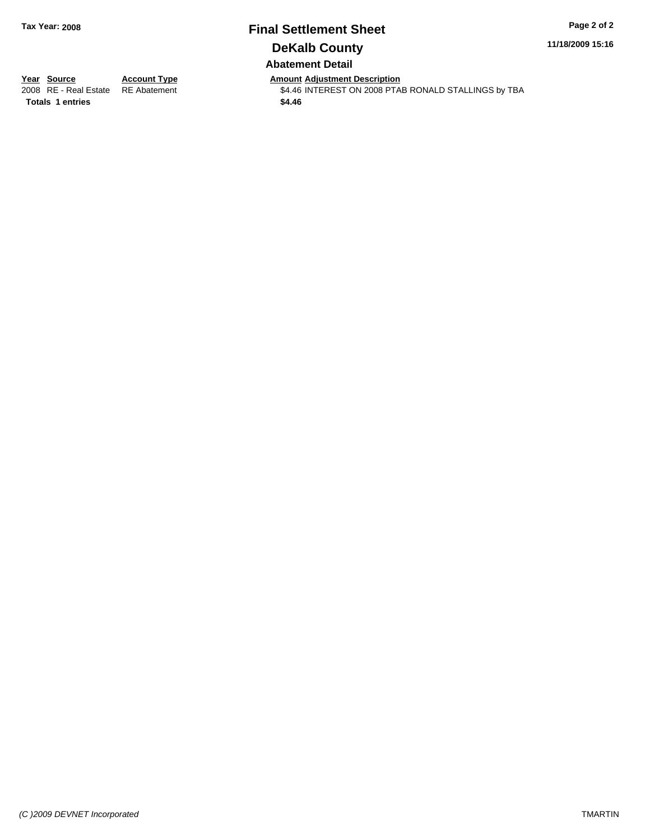### **Final Settlement Sheet Tax Year: 2008 Page 2 of 2 DeKalb County Abatement Detail**

**11/18/2009 15:16**

**Totals \$4.46 1 entries**

**Year Source Account Type Amount Adjustment Description**<br> **Amount Adjustment Description**<br> **A** 46 INTEREST ON 2008 PTA \$4.46 INTEREST ON 2008 PTAB RONALD STALLINGS by TBA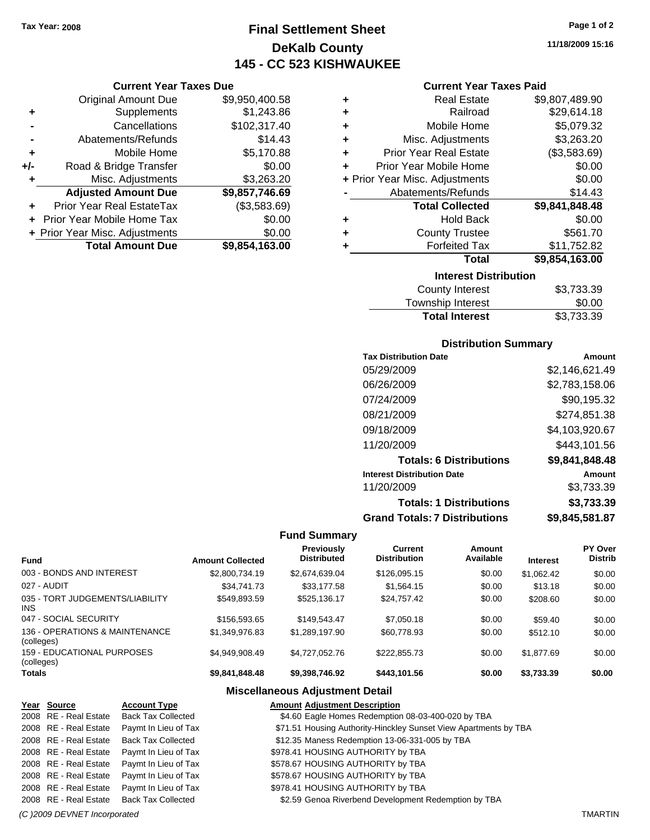### **Final Settlement Sheet Tax Year: 2008 Page 1 of 2 DeKalb County 145 - CC 523 KISHWAUKEE**

#### **Current Year Taxes Due**

|     | <b>Original Amount Due</b>     | \$9,950,400.58 |
|-----|--------------------------------|----------------|
| ٠   | Supplements                    | \$1,243.86     |
|     | Cancellations                  | \$102,317.40   |
|     | Abatements/Refunds             | \$14.43        |
| ٠   | Mobile Home                    | \$5,170.88     |
| +/- | Road & Bridge Transfer         | \$0.00         |
| ٠   | Misc. Adjustments              | \$3,263.20     |
|     | <b>Adjusted Amount Due</b>     | \$9,857,746.69 |
|     | Prior Year Real EstateTax      | (\$3,583.69)   |
|     | Prior Year Mobile Home Tax     | \$0.00         |
|     | + Prior Year Misc. Adjustments | \$0.00         |
|     | <b>Total Amount Due</b>        | \$9.854.163.00 |

|   | <b>Interest Distribution</b>   |                |  |  |
|---|--------------------------------|----------------|--|--|
|   | <b>Total</b>                   | \$9,854,163.00 |  |  |
| ٠ | <b>Forfeited Tax</b>           | \$11,752.82    |  |  |
| ٠ | <b>County Trustee</b>          | \$561.70       |  |  |
| ٠ | <b>Hold Back</b>               | \$0.00         |  |  |
|   | <b>Total Collected</b>         | \$9,841,848.48 |  |  |
|   | Abatements/Refunds             | \$14.43        |  |  |
|   | + Prior Year Misc. Adjustments | \$0.00         |  |  |
| ٠ | Prior Year Mobile Home         | \$0.00         |  |  |
| ÷ | <b>Prior Year Real Estate</b>  | (\$3,583.69)   |  |  |
| ٠ | Misc. Adjustments              | \$3,263.20     |  |  |
| ٠ | Mobile Home                    | \$5,079.32     |  |  |
| ٠ | Railroad                       | \$29,614.18    |  |  |
| ٠ | <b>Real Estate</b>             | \$9,807,489.90 |  |  |

| County Interest       | \$3,733.39 |
|-----------------------|------------|
| Township Interest     | \$0.00     |
| <b>Total Interest</b> | \$3,733.39 |

#### **Distribution Summary**

| <b>Tax Distribution Date</b>         | Amount         |
|--------------------------------------|----------------|
| 05/29/2009                           | \$2,146,621.49 |
| 06/26/2009                           | \$2,783,158.06 |
| 07/24/2009                           | \$90.195.32    |
| 08/21/2009                           | \$274,851.38   |
| 09/18/2009                           | \$4,103,920.67 |
| 11/20/2009                           | \$443,101.56   |
| <b>Totals: 6 Distributions</b>       | \$9,841,848.48 |
| <b>Interest Distribution Date</b>    | Amount         |
| 11/20/2009                           | \$3,733.39     |
| <b>Totals: 1 Distributions</b>       | \$3,733.39     |
| <b>Grand Totals: 7 Distributions</b> | \$9,845,581.87 |

#### **Fund Summary**

|                                                 |                         | <b>Previously</b><br><b>Distributed</b> | Current<br><b>Distribution</b> | Amount<br>Available |                 | <b>PY Over</b><br><b>Distrib</b> |
|-------------------------------------------------|-------------------------|-----------------------------------------|--------------------------------|---------------------|-----------------|----------------------------------|
| <b>Fund</b>                                     | <b>Amount Collected</b> |                                         |                                |                     | <b>Interest</b> |                                  |
| 003 - BONDS AND INTEREST                        | \$2,800,734.19          | \$2,674,639.04                          | \$126,095.15                   | \$0.00              | \$1.062.42      | \$0.00                           |
| 027 - AUDIT                                     | \$34,741.73             | \$33.177.58                             | \$1,564.15                     | \$0.00              | \$13.18         | \$0.00                           |
| 035 - TORT JUDGEMENTS/LIABILITY<br><b>INS</b>   | \$549,893.59            | \$525.136.17                            | \$24,757.42                    | \$0.00              | \$208.60        | \$0.00                           |
| 047 - SOCIAL SECURITY                           | \$156,593.65            | \$149.543.47                            | \$7,050.18                     | \$0.00              | \$59.40         | \$0.00                           |
| 136 - OPERATIONS & MAINTENANCE<br>(colleges)    | \$1.349.976.83          | \$1,289,197.90                          | \$60,778.93                    | \$0.00              | \$512.10        | \$0.00                           |
| <b>159 - EDUCATIONAL PURPOSES</b><br>(colleges) | \$4,949,908.49          | \$4,727,052.76                          | \$222,855.73                   | \$0.00              | \$1.877.69      | \$0.00                           |
| <b>Totals</b>                                   | \$9.841.848.48          | \$9.398.746.92                          | \$443.101.56                   | \$0.00              | \$3.733.39      | \$0.00                           |

### **Miscellaneous Adjustment Detail**

| Year Source           | <b>Account Type</b>       | <b>Amount Adjustment Description</b>                             |
|-----------------------|---------------------------|------------------------------------------------------------------|
| 2008 RE - Real Estate | <b>Back Tax Collected</b> | \$4.60 Eagle Homes Redemption 08-03-400-020 by TBA               |
| 2008 RE - Real Estate | Paymt In Lieu of Tax      | \$71.51 Housing Authority-Hinckley Sunset View Apartments by TBA |
| 2008 RE - Real Estate | <b>Back Tax Collected</b> | \$12.35 Maness Redemption 13-06-331-005 by TBA                   |
| 2008 RE - Real Estate | Paymt In Lieu of Tax      | \$978.41 HOUSING AUTHORITY by TBA                                |
| 2008 RE - Real Estate | Paymt In Lieu of Tax      | \$578.67 HOUSING AUTHORITY by TBA                                |
| 2008 RE - Real Estate | Paymt In Lieu of Tax      | \$578.67 HOUSING AUTHORITY by TBA                                |
| 2008 RE - Real Estate | Paymt In Lieu of Tax      | \$978.41 HOUSING AUTHORITY by TBA                                |
| 2008 RE - Real Estate | <b>Back Tax Collected</b> | \$2.59 Genoa Riverbend Development Redemption by TBA             |

**11/18/2009 15:16**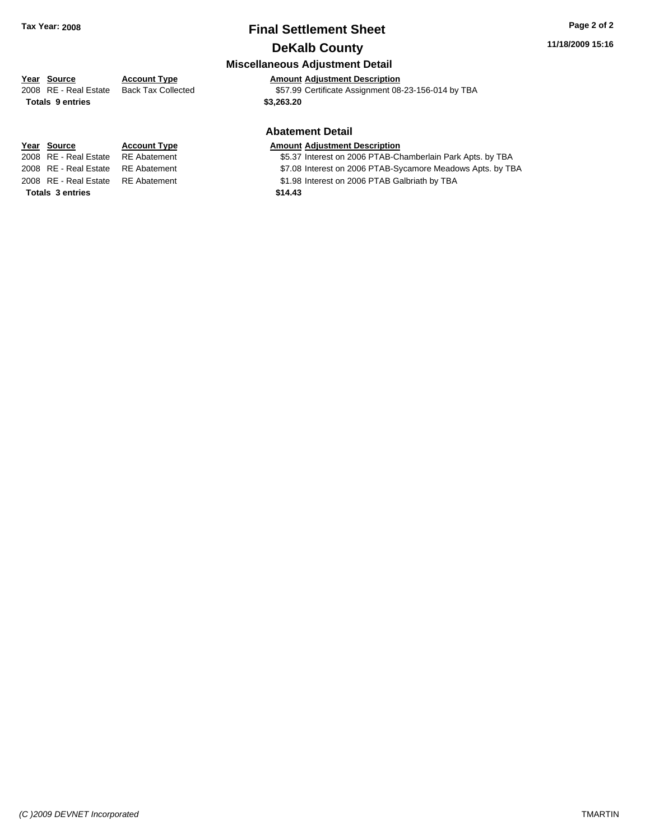### **Final Settlement Sheet Tax Year: 2008 Page 2 of 2 DeKalb County**

#### **11/18/2009 15:16**

#### **Miscellaneous Adjustment Detail**

### **Year Source Account Type Amount Adjustment Description**

2008 RE - Real Estate Back Tax Collected \$57.99 Certificate Assignment 08-23-156-014 by TBA

#### **Abatement Detail**

#### **Year Source Account Type Amount Adjustment Description**

- 2008 RE Real Estate RE Abatement S5.37 Interest on 2006 PTAB-Chamberlain Park Apts. by TBA
- 2008 RE Real Estate RE Abatement ST.08 Interest on 2006 PTAB-Sycamore Meadows Apts. by TBA
- 2008 RE Real Estate RE Abatement S1.98 Interest on 2006 PTAB Galbriath by TBA

**Totals \$3,263.20 9 entries**

**Totals \$14.43 3 entries**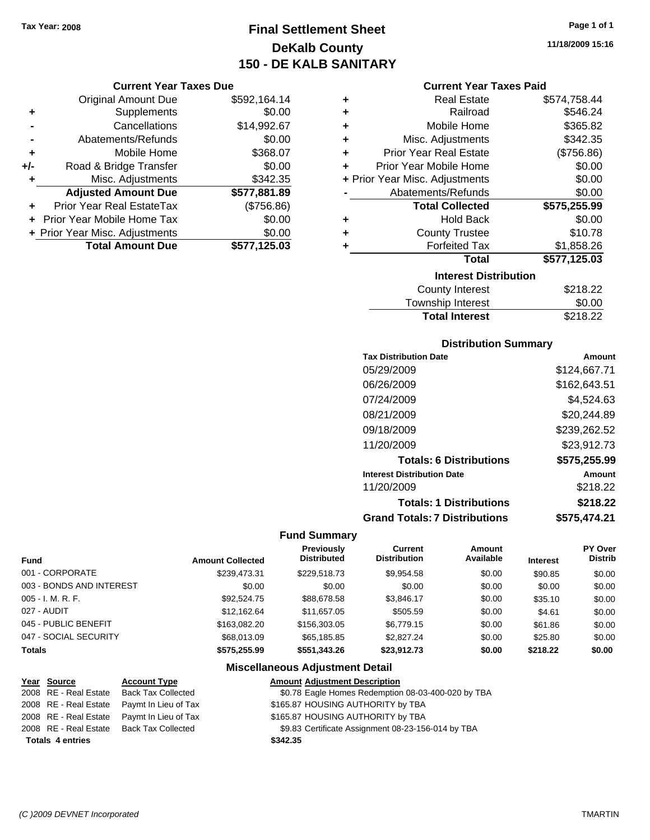## **Final Settlement Sheet Tax Year: 2008 Page 1 of 1 DeKalb County 150 - DE KALB SANITARY**

#### **Current Year Taxes Due**

|       | <b>Original Amount Due</b>        | \$592,164.14 |
|-------|-----------------------------------|--------------|
| ٠     | Supplements                       | \$0.00       |
|       | Cancellations                     | \$14,992.67  |
|       | Abatements/Refunds                | \$0.00       |
| ÷     | Mobile Home                       | \$368.07     |
| $+/-$ | Road & Bridge Transfer            | \$0.00       |
| ٠     | Misc. Adjustments                 | \$342.35     |
|       | <b>Adjusted Amount Due</b>        | \$577,881.89 |
|       | Prior Year Real EstateTax         | (\$756.86)   |
|       | <b>Prior Year Mobile Home Tax</b> | \$0.00       |
|       | + Prior Year Misc. Adjustments    | \$0.00       |
|       | <b>Total Amount Due</b>           | \$577,125.03 |

| ٠ | <b>Real Estate</b>             | \$574,758.44 |
|---|--------------------------------|--------------|
| ÷ | Railroad                       | \$546.24     |
| ٠ | Mobile Home                    | \$365.82     |
| ÷ | Misc. Adjustments              | \$342.35     |
| ٠ | <b>Prior Year Real Estate</b>  | (\$756.86)   |
| ٠ | Prior Year Mobile Home         | \$0.00       |
|   | + Prior Year Misc. Adjustments | \$0.00       |
|   | Abatements/Refunds             | \$0.00       |
|   | <b>Total Collected</b>         | \$575,255.99 |
| ٠ | <b>Hold Back</b>               | \$0.00       |
| ٠ | <b>County Trustee</b>          | \$10.78      |
| ٠ | <b>Forfeited Tax</b>           | \$1,858.26   |
|   | <b>Total</b>                   | \$577,125.03 |
|   | <b>Interest Distribution</b>   |              |
|   | County Interest                | \$218.22     |
|   | Townshin Interest              | ደ0 00        |

| <b>Total Interest</b> | \$218.22       |
|-----------------------|----------------|
| Township Interest     | \$0.00         |
| County interest       | <b>DZ10.ZZ</b> |

#### **Distribution Summary**

| Amount       |
|--------------|
| \$124,667.71 |
| \$162,643.51 |
| \$4.524.63   |
| \$20,244.89  |
| \$239,262.52 |
| \$23,912.73  |
| \$575,255.99 |
| Amount       |
| \$218.22     |
| \$218.22     |
| \$575,474.21 |
|              |

#### **Fund Summary**

 $\overline{\phantom{0}}$ 

| <b>Fund</b>              | <b>Amount Collected</b> | <b>Previously</b><br><b>Distributed</b> | <b>Current</b><br><b>Distribution</b> | Amount<br>Available | <b>Interest</b> | PY Over<br><b>Distrib</b> |
|--------------------------|-------------------------|-----------------------------------------|---------------------------------------|---------------------|-----------------|---------------------------|
| 001 - CORPORATE          | \$239.473.31            | \$229,518.73                            | \$9,954.58                            | \$0.00              | \$90.85         | \$0.00                    |
| 003 - BONDS AND INTEREST | \$0.00                  | \$0.00                                  | \$0.00                                | \$0.00              | \$0.00          | \$0.00                    |
| $005 - I. M. R. F.$      | \$92,524.75             | \$88,678.58                             | \$3.846.17                            | \$0.00              | \$35.10         | \$0.00                    |
| 027 - AUDIT              | \$12.162.64             | \$11.657.05                             | \$505.59                              | \$0.00              | \$4.61          | \$0.00                    |
| 045 - PUBLIC BENEFIT     | \$163,082,20            | \$156,303.05                            | \$6.779.15                            | \$0.00              | \$61.86         | \$0.00                    |
| 047 - SOCIAL SECURITY    | \$68,013.09             | \$65.185.85                             | \$2,827,24                            | \$0.00              | \$25.80         | \$0.00                    |
| <b>Totals</b>            | \$575,255,99            | \$551,343.26                            | \$23.912.73                           | \$0.00              | \$218.22        | \$0.00                    |

### **Miscellaneous Adjustment Detail**

| Year Source             | <b>Account Type</b>       | <b>Amount Adjustment Description</b>               |
|-------------------------|---------------------------|----------------------------------------------------|
| 2008 RE - Real Estate   | <b>Back Tax Collected</b> | \$0.78 Eagle Homes Redemption 08-03-400-020 by TBA |
| 2008 RE - Real Estate   | Paymt In Lieu of Tax      | \$165.87 HOUSING AUTHORITY by TBA                  |
| 2008 RE - Real Estate   | Paymt In Lieu of Tax      | \$165.87 HOUSING AUTHORITY by TBA                  |
| 2008 RE - Real Estate   | Back Tax Collected        | \$9.83 Certificate Assignment 08-23-156-014 by TBA |
| <b>Totals 4 entries</b> |                           | \$342.35                                           |
|                         |                           |                                                    |

**11/18/2009 15:16**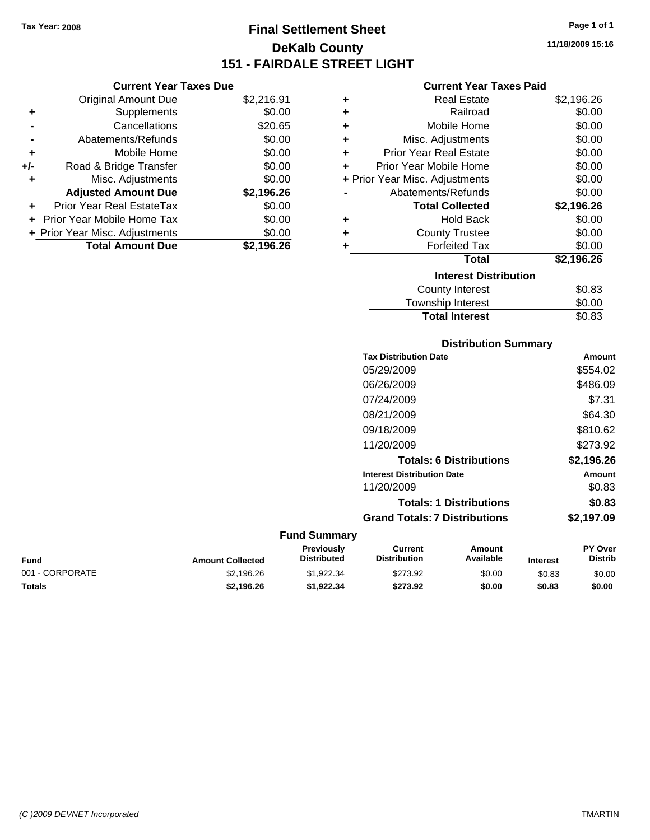**Current Year Taxes Due** Original Amount Due \$2,216.91

**Adjusted Amount Due \$2,196.26**

**Total Amount Due \$2,196.26**

**+** Supplements \$0.00 **-** Cancellations \$20.65 **-** Abatements/Refunds \$0.00 **+** Mobile Home \$0.00 **+/-** Road & Bridge Transfer \$0.00 **+** Misc. Adjustments \$0.00

**+** Prior Year Real EstateTax \$0.00 **+** Prior Year Mobile Home Tax \$0.00 **+ Prior Year Misc. Adjustments**  $$0.00$ 

## **Final Settlement Sheet Tax Year: 2008 Page 1 of 1 DeKalb County 151 - FAIRDALE STREET LIGHT**

**11/18/2009 15:16**

#### **Current Year Taxes Paid**

| ٠ | <b>Real Estate</b>             | \$2,196.26 |
|---|--------------------------------|------------|
| ٠ | Railroad                       | \$0.00     |
| ٠ | Mobile Home                    | \$0.00     |
| ٠ | Misc. Adjustments              | \$0.00     |
| ÷ | <b>Prior Year Real Estate</b>  | \$0.00     |
| ٠ | Prior Year Mobile Home         | \$0.00     |
|   | + Prior Year Misc. Adjustments | \$0.00     |
|   | Abatements/Refunds             | \$0.00     |
|   | <b>Total Collected</b>         | \$2,196.26 |
| ٠ | <b>Hold Back</b>               | \$0.00     |
| ٠ | <b>County Trustee</b>          | \$0.00     |
| ٠ | <b>Forfeited Tax</b>           | \$0.00     |
|   | Total                          | \$2,196.26 |
|   | <b>Interest Distribution</b>   |            |
|   | <b>County Interest</b>         | \$0.83     |
|   | Townshin Interest              | ደበ በበ      |

| <b>Total Interest</b> | \$0.83 |
|-----------------------|--------|
| Township Interest     | \$0.00 |
| County Interest       | \$0.83 |

#### **Distribution Summary**

| <b>Tax Distribution Date</b>         | Amount     |
|--------------------------------------|------------|
| 05/29/2009                           | \$554.02   |
| 06/26/2009                           | \$486.09   |
| 07/24/2009                           | \$7.31     |
| 08/21/2009                           | \$64.30    |
| 09/18/2009                           | \$810.62   |
| 11/20/2009                           | \$273.92   |
| <b>Totals: 6 Distributions</b>       | \$2,196.26 |
| <b>Interest Distribution Date</b>    | Amount     |
| 11/20/2009                           | \$0.83     |
| <b>Totals: 1 Distributions</b>       | \$0.83     |
| <b>Grand Totals: 7 Distributions</b> | \$2.197.09 |
|                                      |            |

#### **Fund Interest Amount Collected Distributed PY Over Distrib Amount Available Current Distribution Previously** 001 - CORPORATE \$2,196.26 \$1,922.34 \$273.92 \$0.00 \$0.83 \$0.00 **Totals \$2,196.26 \$1,922.34 \$273.92 \$0.00 \$0.83 \$0.00**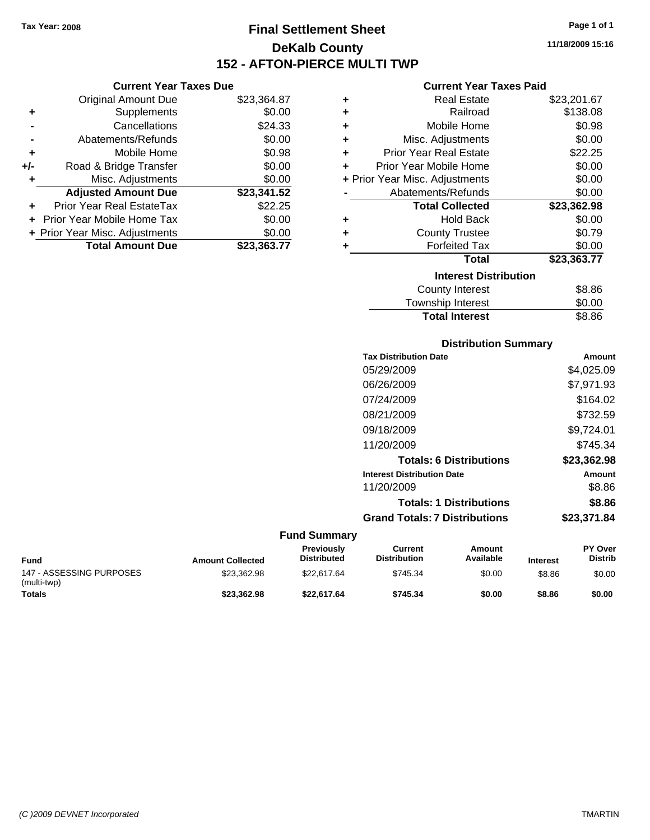**Current Year Taxes Due** Original Amount Due \$23,364.87

**Adjusted Amount Due \$23,341.52**

**Total Amount Due \$23,363.77**

**+** Supplements \$0.00 **-** Cancellations \$24.33 **-** Abatements/Refunds \$0.00 **+** Mobile Home \$0.98 **+/-** Road & Bridge Transfer \$0.00 **+** Misc. Adjustments \$0.00

**+** Prior Year Real EstateTax \$22.25 **+** Prior Year Mobile Home Tax \$0.00 **+ Prior Year Misc. Adjustments**  $$0.00$ 

### **Final Settlement Sheet Tax Year: 2008 Page 1 of 1 DeKalb County 152 - AFTON-PIERCE MULTI TWP**

**11/18/2009 15:16**

#### **Current Year Taxes Paid**

| ٠ | <b>Real Estate</b>             | \$23,201.67 |  |  |
|---|--------------------------------|-------------|--|--|
| ٠ | Railroad                       | \$138.08    |  |  |
| ÷ | Mobile Home                    | \$0.98      |  |  |
| ÷ | Misc. Adjustments              | \$0.00      |  |  |
| ÷ | <b>Prior Year Real Estate</b>  | \$22.25     |  |  |
| ٠ | Prior Year Mobile Home         | \$0.00      |  |  |
|   | + Prior Year Misc. Adjustments | \$0.00      |  |  |
|   | Abatements/Refunds             | \$0.00      |  |  |
|   | <b>Total Collected</b>         | \$23,362.98 |  |  |
| ٠ | <b>Hold Back</b>               | \$0.00      |  |  |
| ٠ | <b>County Trustee</b>          | \$0.79      |  |  |
| ٠ | <b>Forfeited Tax</b>           | \$0.00      |  |  |
|   | Total                          | \$23,363.77 |  |  |
|   | <b>Interest Distribution</b>   |             |  |  |
|   | <b>County Interest</b>         | \$8.86      |  |  |
|   | Townshin Interest              | ፍሰ ሰበ       |  |  |

## ownship interest  $\phi$ 0.00 **Total Interest** \$8.86

#### **Distribution Summary**

| <b>Tax Distribution Date</b>         | Amount      |
|--------------------------------------|-------------|
| 05/29/2009                           | \$4,025.09  |
| 06/26/2009                           | \$7,971.93  |
| 07/24/2009                           | \$164.02    |
| 08/21/2009                           | \$732.59    |
| 09/18/2009                           | \$9,724.01  |
| 11/20/2009                           | \$745.34    |
| <b>Totals: 6 Distributions</b>       | \$23,362.98 |
| <b>Interest Distribution Date</b>    | Amount      |
| 11/20/2009                           | \$8.86      |
| <b>Totals: 1 Distributions</b>       | \$8.86      |
| <b>Grand Totals: 7 Distributions</b> | \$23,371.84 |
|                                      |             |

| <b>Fund</b>                             | <b>Amount Collected</b> | <b>Previously</b><br><b>Distributed</b> | Current<br><b>Distribution</b> | Amount<br>Available | <b>Interest</b> | <b>PY Over</b><br><b>Distrib</b> |
|-----------------------------------------|-------------------------|-----------------------------------------|--------------------------------|---------------------|-----------------|----------------------------------|
| 147 - ASSESSING PURPOSES<br>(multi-twp) | \$23.362.98             | \$22.617.64                             | \$745.34                       | \$0.00              | \$8.86          | \$0.00                           |
| <b>Totals</b>                           | \$23,362.98             | \$22,617.64                             | \$745.34                       | \$0.00              | \$8.86          | \$0.00                           |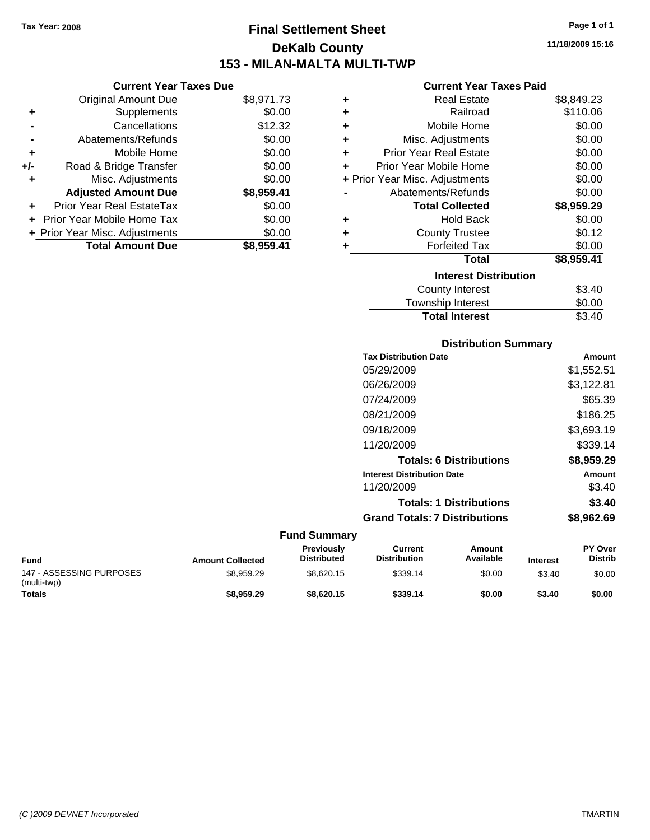**Current Year Taxes Due** Original Amount Due \$8,971.73

**Adjusted Amount Due \$8,959.41**

**Total Amount Due \$8,959.41**

**+** Supplements \$0.00 **-** Cancellations \$12.32 **-** Abatements/Refunds \$0.00 **+** Mobile Home \$0.00 **+/-** Road & Bridge Transfer \$0.00 **+** Misc. Adjustments \$0.00

**+** Prior Year Real EstateTax \$0.00 **+** Prior Year Mobile Home Tax \$0.00 **+ Prior Year Misc. Adjustments**  $$0.00$ 

### **Final Settlement Sheet Tax Year: 2008 Page 1 of 1 DeKalb County 153 - MILAN-MALTA MULTI-TWP**

**11/18/2009 15:16**

#### **Current Year Taxes Paid**

| ٠ | <b>Real Estate</b>             | \$8,849.23 |
|---|--------------------------------|------------|
| ٠ | Railroad                       | \$110.06   |
| ٠ | Mobile Home                    | \$0.00     |
| ÷ | Misc. Adjustments              | \$0.00     |
| ÷ | <b>Prior Year Real Estate</b>  | \$0.00     |
| ÷ | Prior Year Mobile Home         | \$0.00     |
|   | + Prior Year Misc. Adjustments | \$0.00     |
|   | Abatements/Refunds             | \$0.00     |
|   | <b>Total Collected</b>         | \$8,959.29 |
| ٠ | <b>Hold Back</b>               | \$0.00     |
| ٠ | <b>County Trustee</b>          | \$0.12     |
|   | <b>Forfeited Tax</b>           | \$0.00     |
|   | <b>Total</b>                   | \$8,959.41 |
|   | <b>Interest Distribution</b>   |            |
|   | <b>County Interest</b>         | \$3.40     |
|   | Townshin Interest              | ፍስ ሰስ      |

### ownship interest  $\phi$ 0.00 Total Interest \$3.40

#### **Distribution Summary**

| <b>Tax Distribution Date</b>         | Amount     |
|--------------------------------------|------------|
| 05/29/2009                           | \$1,552.51 |
| 06/26/2009                           | \$3,122.81 |
| 07/24/2009                           | \$65.39    |
| 08/21/2009                           | \$186.25   |
| 09/18/2009                           | \$3,693.19 |
| 11/20/2009                           | \$339.14   |
| <b>Totals: 6 Distributions</b>       | \$8,959.29 |
| <b>Interest Distribution Date</b>    | Amount     |
| 11/20/2009                           | \$3.40     |
| <b>Totals: 1 Distributions</b>       | \$3.40     |
| <b>Grand Totals: 7 Distributions</b> | \$8,962.69 |
|                                      |            |

| <b>Fund</b>                             | <b>Amount Collected</b> | <b>Previously</b><br><b>Distributed</b> | Current<br><b>Distribution</b> | Amount<br>Available | <b>Interest</b> | <b>PY Over</b><br><b>Distrib</b> |
|-----------------------------------------|-------------------------|-----------------------------------------|--------------------------------|---------------------|-----------------|----------------------------------|
| 147 - ASSESSING PURPOSES<br>(multi-twp) | \$8,959.29              | \$8.620.15                              | \$339.14                       | \$0.00              | \$3.40          | \$0.00                           |
| <b>Totals</b>                           | \$8,959.29              | \$8.620.15                              | \$339.14                       | \$0.00              | \$3.40          | \$0.00                           |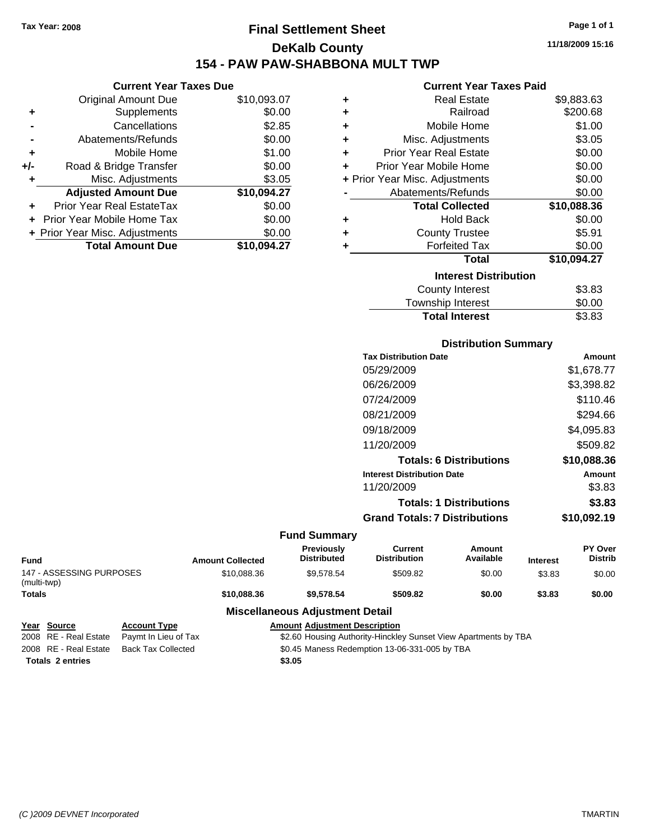### **Final Settlement Sheet Tax Year: 2008 Page 1 of 1 DeKalb County 154 - PAW PAW-SHABBONA MULT TWP**

#### **Current Year Taxes Due**

|       | <b>Original Amount Due</b>     | \$10,093.07 |
|-------|--------------------------------|-------------|
| ٠     | Supplements                    | \$0.00      |
|       | Cancellations                  | \$2.85      |
|       | Abatements/Refunds             | \$0.00      |
| ٠     | Mobile Home                    | \$1.00      |
| $+/-$ | Road & Bridge Transfer         | \$0.00      |
| ٠     | Misc. Adjustments              | \$3.05      |
|       | <b>Adjusted Amount Due</b>     | \$10,094.27 |
|       | Prior Year Real EstateTax      | \$0.00      |
|       | Prior Year Mobile Home Tax     | \$0.00      |
|       | + Prior Year Misc. Adjustments | \$0.00      |
|       | <b>Total Amount Due</b>        | \$10.094.27 |

#### **Current Year Taxes Paid**

| ٠ | <b>Real Estate</b>             | \$9,883.63  |
|---|--------------------------------|-------------|
| ÷ | Railroad                       | \$200.68    |
| ÷ | Mobile Home                    | \$1.00      |
| ٠ | Misc. Adjustments              | \$3.05      |
| ÷ | <b>Prior Year Real Estate</b>  | \$0.00      |
| ٠ | Prior Year Mobile Home         | \$0.00      |
|   | + Prior Year Misc. Adjustments | \$0.00      |
|   | Abatements/Refunds             | \$0.00      |
|   |                                |             |
|   | <b>Total Collected</b>         | \$10,088.36 |
| ٠ | <b>Hold Back</b>               | \$0.00      |
| ÷ | <b>County Trustee</b>          | \$5.91      |
| ٠ | <b>Forfeited Tax</b>           | \$0.00      |
|   | Total                          | \$10,094.27 |
|   | <b>Interest Distribution</b>   |             |
|   | County Interest                | \$3.83      |

### **Distribution Summary**

Total Interest \$3.83

| <b>Tax Distribution Date</b>         | Amount      |
|--------------------------------------|-------------|
| 05/29/2009                           | \$1,678.77  |
| 06/26/2009                           | \$3,398.82  |
| 07/24/2009                           | \$110.46    |
| 08/21/2009                           | \$294.66    |
| 09/18/2009                           | \$4,095.83  |
| 11/20/2009                           | \$509.82    |
| <b>Totals: 6 Distributions</b>       | \$10,088.36 |
| <b>Interest Distribution Date</b>    | Amount      |
| 11/20/2009                           | \$3.83      |
| <b>Totals: 1 Distributions</b>       | \$3.83      |
| <b>Grand Totals: 7 Distributions</b> | \$10,092.19 |

|                                         |                      |                         | <b>Fund Summary</b>                                             |                                |                     |                 |                           |
|-----------------------------------------|----------------------|-------------------------|-----------------------------------------------------------------|--------------------------------|---------------------|-----------------|---------------------------|
| <b>Fund</b>                             |                      | <b>Amount Collected</b> | <b>Previously</b><br><b>Distributed</b>                         | Current<br><b>Distribution</b> | Amount<br>Available | <b>Interest</b> | PY Over<br><b>Distrib</b> |
| 147 - ASSESSING PURPOSES<br>(multi-twp) |                      | \$10.088.36             | \$9.578.54                                                      | \$509.82                       | \$0.00              | \$3.83          | \$0.00                    |
| <b>Totals</b>                           |                      | \$10,088,36             | \$9,578,54                                                      | \$509.82                       | \$0.00              | \$3.83          | \$0.00                    |
|                                         |                      |                         | <b>Miscellaneous Adjustment Detail</b>                          |                                |                     |                 |                           |
| Year Source                             | <b>Account Type</b>  |                         | <b>Amount Adjustment Description</b>                            |                                |                     |                 |                           |
| 2008 RE - Real Estate                   | Paymt In Lieu of Tax |                         | \$2.60 Housing Authority-Hinckley Sunset View Apartments by TBA |                                |                     |                 |                           |

**Totals \$3.05 2 entries**

2008 RE - Real Estate Back Tax Collected \$0.45 Maness Redemption 13-06-331-005 by TBA

**11/18/2009 15:16**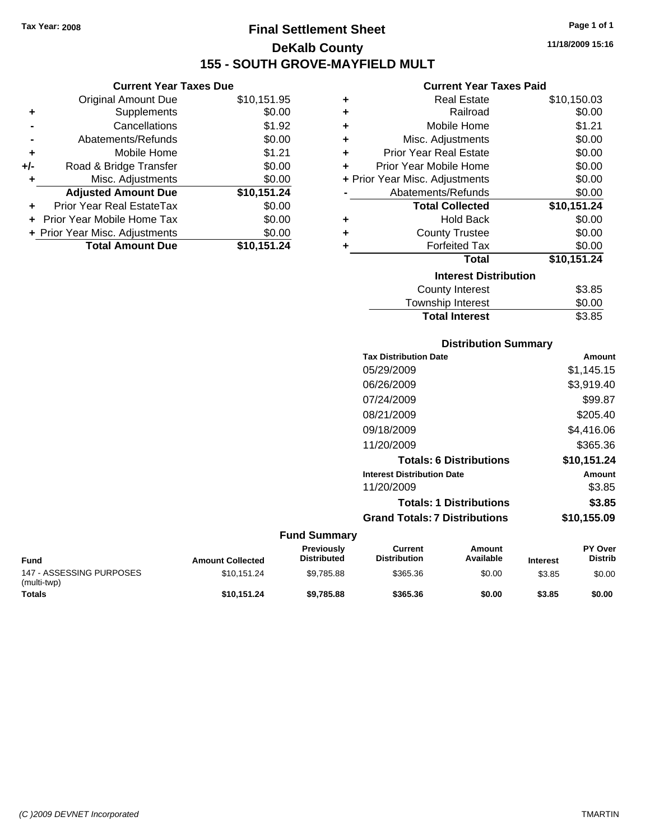**Current Year Taxes Due** Original Amount Due \$10,151.95

**Adjusted Amount Due \$10,151.24**

**Total Amount Due \$10,151.24**

**+** Supplements \$0.00 **-** Cancellations \$1.92 **-** Abatements/Refunds \$0.00 **+** Mobile Home \$1.21 **+/-** Road & Bridge Transfer \$0.00 **+** Misc. Adjustments \$0.00

**+** Prior Year Real EstateTax \$0.00 **+** Prior Year Mobile Home Tax \$0.00 **+ Prior Year Misc. Adjustments**  $$0.00$ 

### **Final Settlement Sheet Tax Year: 2008 Page 1 of 1 DeKalb County 155 - SOUTH GROVE-MAYFIELD MULT**

**11/18/2009 15:16**

#### **Current Year Taxes Paid**

| ٠                            | <b>Real Estate</b>             | \$10,150.03 |  |
|------------------------------|--------------------------------|-------------|--|
| ٠                            | Railroad                       | \$0.00      |  |
| ÷                            | Mobile Home                    | \$1.21      |  |
| ٠                            | Misc. Adjustments              | \$0.00      |  |
| ٠                            | <b>Prior Year Real Estate</b>  | \$0.00      |  |
| ÷                            | Prior Year Mobile Home         | \$0.00      |  |
|                              | + Prior Year Misc. Adjustments | \$0.00      |  |
|                              | Abatements/Refunds             | \$0.00      |  |
|                              | <b>Total Collected</b>         | \$10,151.24 |  |
| ٠                            | <b>Hold Back</b>               | \$0.00      |  |
| ٠                            | <b>County Trustee</b>          | \$0.00      |  |
| ٠                            | <b>Forfeited Tax</b>           | \$0.00      |  |
|                              | <b>Total</b>                   | \$10,151.24 |  |
| <b>Interest Distribution</b> |                                |             |  |
|                              | <b>County Interest</b>         | \$3.85      |  |
|                              | Townshin Interest              | ፍስ ሰስ       |  |

#### vnsnip interest Total Interest \$3.85

| Amount      |
|-------------|
| \$1,145.15  |
| \$3,919.40  |
| \$99.87     |
| \$205.40    |
| \$4,416.06  |
| \$365.36    |
| \$10,151.24 |
| Amount      |
| \$3.85      |
| \$3.85      |
| \$10,155.09 |
|             |

| <b>Fund</b>                             | <b>Amount Collected</b> | <b>Previously</b><br><b>Distributed</b> | Current<br><b>Distribution</b> | Amount<br>Available | <b>Interest</b> | <b>PY Over</b><br><b>Distrib</b> |
|-----------------------------------------|-------------------------|-----------------------------------------|--------------------------------|---------------------|-----------------|----------------------------------|
| 147 - ASSESSING PURPOSES<br>(multi-twp) | \$10.151.24             | \$9.785.88                              | \$365.36                       | \$0.00              | \$3.85          | \$0.00                           |
| <b>Totals</b>                           | \$10.151.24             | \$9,785,88                              | \$365.36                       | \$0.00              | \$3.85          | \$0.00                           |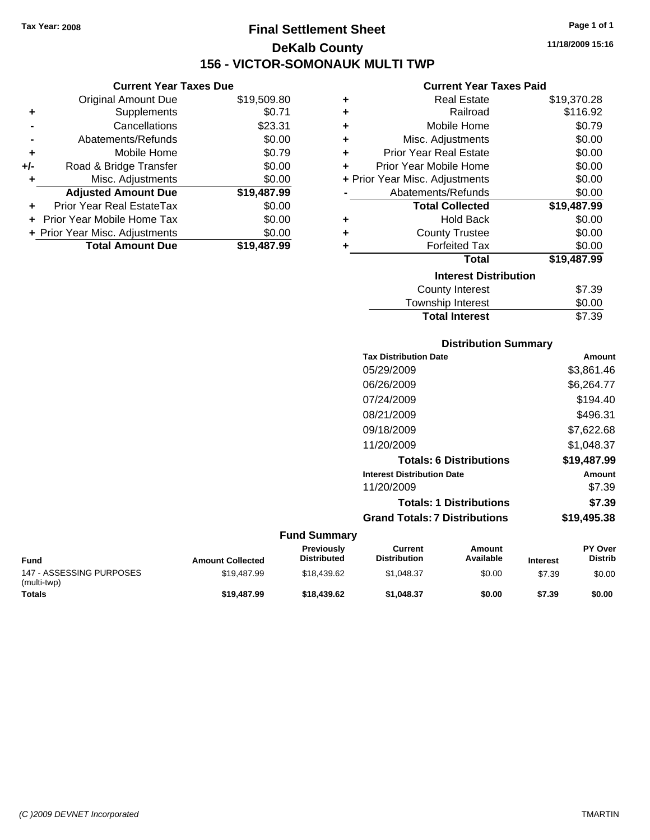**Current Year Taxes Due** Original Amount Due \$19,509.80

**Adjusted Amount Due \$19,487.99**

**Total Amount Due \$19,487.99**

**+** Supplements \$0.71 **-** Cancellations \$23.31 **-** Abatements/Refunds \$0.00 **+** Mobile Home \$0.79 **+/-** Road & Bridge Transfer \$0.00 **+** Misc. Adjustments \$0.00

**+** Prior Year Real EstateTax \$0.00 **+** Prior Year Mobile Home Tax \$0.00 **+ Prior Year Misc. Adjustments**  $$0.00$ 

### **Final Settlement Sheet Tax Year: 2008 Page 1 of 1 DeKalb County 156 - VICTOR-SOMONAUK MULTI TWP**

**11/18/2009 15:16**

#### **Current Year Taxes Paid**

| ٠ | <b>Real Estate</b>             | \$19,370.28 |
|---|--------------------------------|-------------|
| ÷ | Railroad                       | \$116.92    |
| ÷ | Mobile Home                    | \$0.79      |
| ٠ | Misc. Adjustments              | \$0.00      |
| ÷ | <b>Prior Year Real Estate</b>  | \$0.00      |
| ÷ | Prior Year Mobile Home         | \$0.00      |
|   | + Prior Year Misc. Adjustments | \$0.00      |
|   | Abatements/Refunds             | \$0.00      |
|   | <b>Total Collected</b>         | \$19,487.99 |
| ٠ | <b>Hold Back</b>               | \$0.00      |
| ٠ | <b>County Trustee</b>          | \$0.00      |
| ٠ | <b>Forfeited Tax</b>           | \$0.00      |
|   | <b>Total</b>                   | \$19,487.99 |
|   | <b>Interest Distribution</b>   |             |
|   | County Interest                | \$7.39      |
|   | Townshin Interest              | ደ0 00       |

| <b>Total Interest</b> | \$7.39 |
|-----------------------|--------|
| Township Interest     | \$0.00 |
| County Interest       | \$7.39 |

| <b>Distribution Summary</b> |  |
|-----------------------------|--|
|-----------------------------|--|

| <b>Tax Distribution Date</b>         | Amount      |
|--------------------------------------|-------------|
| 05/29/2009                           | \$3,861.46  |
| 06/26/2009                           | \$6,264.77  |
| 07/24/2009                           | \$194.40    |
| 08/21/2009                           | \$496.31    |
| 09/18/2009                           | \$7,622.68  |
| 11/20/2009                           | \$1.048.37  |
| <b>Totals: 6 Distributions</b>       | \$19,487.99 |
| <b>Interest Distribution Date</b>    | Amount      |
| 11/20/2009                           | \$7.39      |
| <b>Totals: 1 Distributions</b>       | \$7.39      |
| <b>Grand Totals: 7 Distributions</b> | \$19,495.38 |
|                                      |             |

| <b>Fund</b>                             | <b>Amount Collected</b> | <b>Previously</b><br><b>Distributed</b> | Current<br><b>Distribution</b> | Amount<br>Available | <b>Interest</b> | <b>PY Over</b><br><b>Distrib</b> |
|-----------------------------------------|-------------------------|-----------------------------------------|--------------------------------|---------------------|-----------------|----------------------------------|
| 147 - ASSESSING PURPOSES<br>(multi-twp) | \$19.487.99             | \$18,439.62                             | \$1.048.37                     | \$0.00              | \$7.39          | \$0.00                           |
| <b>Totals</b>                           | \$19,487.99             | \$18,439.62                             | \$1.048.37                     | \$0.00              | \$7.39          | \$0.00                           |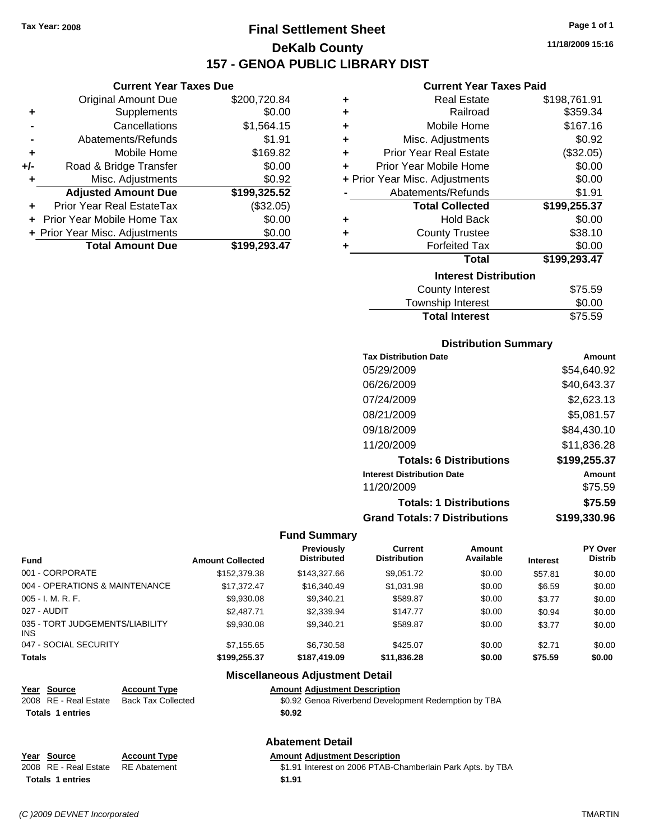### **Final Settlement Sheet Tax Year: 2008 Page 1 of 1 DeKalb County 157 - GENOA PUBLIC LIBRARY DIST**

#### **Current Year Taxes Due**

|       | <b>Original Amount Due</b>       | \$200,720.84 |
|-------|----------------------------------|--------------|
| ٠     | Supplements                      | \$0.00       |
|       | Cancellations                    | \$1,564.15   |
|       | Abatements/Refunds               | \$1.91       |
| ÷     | Mobile Home                      | \$169.82     |
| $+/-$ | Road & Bridge Transfer           | \$0.00       |
| ٠     | Misc. Adjustments                | \$0.92       |
|       | <b>Adjusted Amount Due</b>       | \$199,325.52 |
|       | <b>Prior Year Real EstateTax</b> | (\$32.05)    |
|       | Prior Year Mobile Home Tax       | \$0.00       |
|       | + Prior Year Misc. Adjustments   | \$0.00       |
|       | <b>Total Amount Due</b>          | \$199,293.47 |

#### **Current Year Taxes Paid**

| ٠ | <b>Real Estate</b>             | \$198,761.91 |
|---|--------------------------------|--------------|
| ٠ | Railroad                       | \$359.34     |
| ٠ | Mobile Home                    | \$167.16     |
| ٠ | Misc. Adjustments              | \$0.92       |
| ÷ | <b>Prior Year Real Estate</b>  | (\$32.05)    |
| ٠ | Prior Year Mobile Home         | \$0.00       |
|   | + Prior Year Misc. Adjustments | \$0.00       |
|   | Abatements/Refunds             | \$1.91       |
|   | <b>Total Collected</b>         | \$199,255.37 |
| ٠ | <b>Hold Back</b>               | \$0.00       |
| ٠ | <b>County Trustee</b>          | \$38.10      |
| ٠ | <b>Forfeited Tax</b>           | \$0.00       |
|   | Total                          | \$199,293.47 |
|   | <b>Interest Distribution</b>   |              |
|   | <b>County Interest</b>         | \$75.59      |
|   | Townehin Interest              | ቁስ ሰስ        |

### Township Interest **\$0.00**<br>Total Interest \$75.59 **Total Interest**

#### **Distribution Summary**

| Amount       |
|--------------|
| \$54,640.92  |
| \$40,643.37  |
| \$2,623.13   |
| \$5,081.57   |
| \$84,430.10  |
| \$11,836.28  |
| \$199,255.37 |
| Amount       |
| \$75.59      |
| \$75.59      |
| \$199.330.96 |
|              |

#### **Fund Summary**

|                                         |                         | <b>Previously</b>  | Current             | Amount    |                 | <b>PY Over</b> |
|-----------------------------------------|-------------------------|--------------------|---------------------|-----------|-----------------|----------------|
| <b>Fund</b>                             | <b>Amount Collected</b> | <b>Distributed</b> | <b>Distribution</b> | Available | <b>Interest</b> | <b>Distrib</b> |
| 001 - CORPORATE                         | \$152,379.38            | \$143,327,66       | \$9,051.72          | \$0.00    | \$57.81         | \$0.00         |
| 004 - OPERATIONS & MAINTENANCE          | \$17.372.47             | \$16,340.49        | \$1,031.98          | \$0.00    | \$6.59          | \$0.00         |
| 005 - I. M. R. F.                       | \$9,930.08              | \$9,340.21         | \$589.87            | \$0.00    | \$3.77          | \$0.00         |
| 027 - AUDIT                             | \$2,487.71              | \$2,339.94         | \$147.77            | \$0.00    | \$0.94          | \$0.00         |
| 035 - TORT JUDGEMENTS/LIABILITY<br>INS. | \$9,930.08              | \$9,340.21         | \$589.87            | \$0.00    | \$3.77          | \$0.00         |
| 047 - SOCIAL SECURITY                   | \$7.155.65              | \$6.730.58         | \$425.07            | \$0.00    | \$2.71          | \$0.00         |
| <b>Totals</b>                           | \$199.255.37            | \$187.419.09       | \$11,836,28         | \$0.00    | \$75.59         | \$0.00         |

#### **Miscellaneous Adjustment Detail**

| Year Source             | <b>Account Type</b>       | <b>Amount Adjustment Description</b>                 |
|-------------------------|---------------------------|------------------------------------------------------|
| 2008 RE - Real Estate   | <b>Back Tax Collected</b> | \$0.92 Genoa Riverbend Development Redemption by TBA |
| <b>Totals 1 entries</b> |                           | \$0.92                                               |
| <b>Abatement Detail</b> |                           |                                                      |

### **Year Source Account Type Amount Adjustment Description Totals 1 entries** \$1.91

2008 RE - Real Estate RE Abatement \$1.91 Interest on 2006 PTAB-Chamberlain Park Apts. by TBA

**11/18/2009 15:16**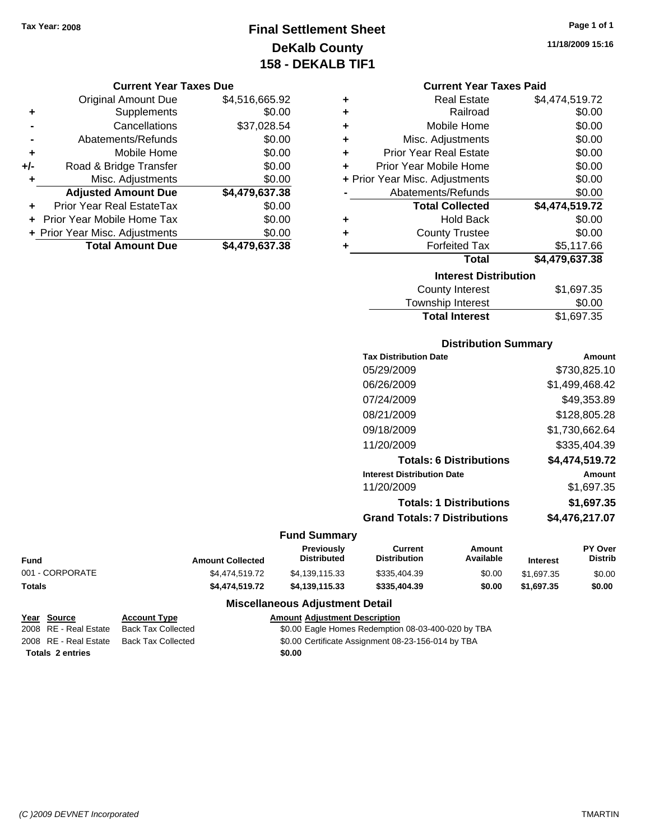### **Final Settlement Sheet Tax Year: 2008 Page 1 of 1 DeKalb County 158 - DEKALB TIF1**

#### **Current Year Taxes Due**

|       | <b>Original Amount Due</b>       | \$4,516,665.92 |
|-------|----------------------------------|----------------|
| ٠     | Supplements                      | \$0.00         |
|       | Cancellations                    | \$37,028.54    |
|       | Abatements/Refunds               | \$0.00         |
| ÷     | Mobile Home                      | \$0.00         |
| $+/-$ | Road & Bridge Transfer           | \$0.00         |
| ٠     | Misc. Adjustments                | \$0.00         |
|       | <b>Adjusted Amount Due</b>       | \$4,479,637.38 |
|       | <b>Prior Year Real EstateTax</b> | \$0.00         |
|       | Prior Year Mobile Home Tax       | \$0.00         |
|       | + Prior Year Misc. Adjustments   | \$0.00         |
|       | <b>Total Amount Due</b>          | \$4.479.637.38 |

| ٠ | <b>Real Estate</b>             | \$4,474,519.72 |
|---|--------------------------------|----------------|
| ÷ | Railroad                       | \$0.00         |
| ÷ | Mobile Home                    | \$0.00         |
| ÷ | Misc. Adjustments              | \$0.00         |
| ÷ | <b>Prior Year Real Estate</b>  | \$0.00         |
| ÷ | Prior Year Mobile Home         | \$0.00         |
|   | + Prior Year Misc. Adjustments | \$0.00         |
|   | Abatements/Refunds             | \$0.00         |
|   | <b>Total Collected</b>         | \$4,474,519.72 |
| ٠ | <b>Hold Back</b>               | \$0.00         |
| ٠ | <b>County Trustee</b>          | \$0.00         |
| ٠ | <b>Forfeited Tax</b>           | \$5,117.66     |
|   | <b>Total</b>                   | \$4,479,637.38 |
|   | <b>Interest Distribution</b>   |                |
|   | Carrah chatanaat .             | 01.007.0E      |

| <b>Total Interest</b> | \$1,697.35 |
|-----------------------|------------|
| Township Interest     | \$0.00     |
| County Interest       | \$1,697.35 |

#### **Distribution Summary**

| <b>Tax Distribution Date</b>         | Amount         |
|--------------------------------------|----------------|
| 05/29/2009                           | \$730,825.10   |
| 06/26/2009                           | \$1,499,468.42 |
| 07/24/2009                           | \$49.353.89    |
| 08/21/2009                           | \$128,805.28   |
| 09/18/2009                           | \$1,730,662.64 |
| 11/20/2009                           | \$335,404.39   |
| <b>Totals: 6 Distributions</b>       | \$4,474,519.72 |
| <b>Interest Distribution Date</b>    | Amount         |
| 11/20/2009                           | \$1,697.35     |
| <b>Totals: 1 Distributions</b>       | \$1,697.35     |
| <b>Grand Totals: 7 Distributions</b> | \$4.476.217.07 |
|                                      |                |

#### **Fund Summary**

| <b>Fund</b>     | <b>Amount Collected</b> | <b>Previously</b><br><b>Distributed</b> | Current<br><b>Distribution</b> | Amount<br>Available | <b>Interest</b> | <b>PY Over</b><br><b>Distrib</b> |
|-----------------|-------------------------|-----------------------------------------|--------------------------------|---------------------|-----------------|----------------------------------|
| 001 - CORPORATE | \$4,474,519.72          | \$4,139,115.33                          | \$335,404.39                   | \$0.00              | \$1,697.35      | \$0.00                           |
| <b>Totals</b>   | \$4,474,519,72          | \$4.139.115.33                          | \$335,404.39                   | \$0.00              | \$1.697.35      | \$0.00                           |

### **Miscellaneous Adjustment Detail**

| Year Source             | <b>Account Type</b> | <b>Amount Adiustment Description</b>               |
|-------------------------|---------------------|----------------------------------------------------|
| 2008 RE - Real Estate   | Back Tax Collected  | \$0.00 Eagle Homes Redemption 08-03-400-020 by TBA |
| 2008 RE - Real Estate   | Back Tax Collected  | \$0.00 Certificate Assignment 08-23-156-014 by TBA |
| <b>Totals 2 entries</b> |                     | \$0.00                                             |

**11/18/2009 15:16**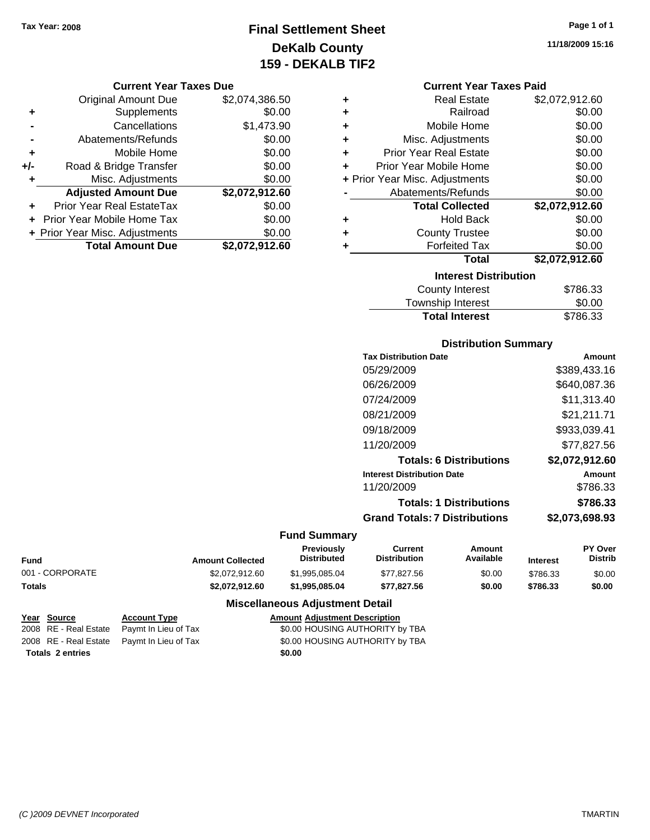## **Final Settlement Sheet Tax Year: 2008 Page 1 of 1 DeKalb County 159 - DEKALB TIF2**

#### **Current Year Taxes Due**

|       | <b>Original Amount Due</b>     | \$2,074,386.50 |
|-------|--------------------------------|----------------|
| ٠     | Supplements                    | \$0.00         |
|       | Cancellations                  | \$1,473.90     |
|       | Abatements/Refunds             | \$0.00         |
| ٠     | Mobile Home                    | \$0.00         |
| $+/-$ | Road & Bridge Transfer         | \$0.00         |
| ٠     | Misc. Adjustments              | \$0.00         |
|       | <b>Adjusted Amount Due</b>     | \$2,072,912.60 |
|       | Prior Year Real EstateTax      | \$0.00         |
|       | Prior Year Mobile Home Tax     | \$0.00         |
|       | + Prior Year Misc. Adjustments | \$0.00         |
|       | <b>Total Amount Due</b>        | \$2,072,912.60 |

| ٠ | <b>Real Estate</b>             | \$2,072,912.60 |  |  |
|---|--------------------------------|----------------|--|--|
| ÷ | Railroad                       | \$0.00         |  |  |
| ٠ | Mobile Home                    | \$0.00         |  |  |
| ٠ | Misc. Adjustments              | \$0.00         |  |  |
| ٠ | <b>Prior Year Real Estate</b>  | \$0.00         |  |  |
| ٠ | Prior Year Mobile Home         | \$0.00         |  |  |
|   | + Prior Year Misc. Adjustments | \$0.00         |  |  |
|   | Abatements/Refunds             | \$0.00         |  |  |
|   | <b>Total Collected</b>         | \$2,072,912.60 |  |  |
| ٠ | <b>Hold Back</b>               | \$0.00         |  |  |
| ٠ | <b>County Trustee</b>          | \$0.00         |  |  |
| ٠ | <b>Forfeited Tax</b>           | \$0.00         |  |  |
|   | Total                          | \$2,072,912.60 |  |  |
|   | <b>Interest Distribution</b>   |                |  |  |
|   | County Interest                | S786 33        |  |  |

| <b>Total Interest</b> | \$786.33 |
|-----------------------|----------|
| Township Interest     | \$0.00   |
| County Interest       | \$786.33 |

#### **Distribution Summary**

| <b>Tax Distribution Date</b>         | Amount         |
|--------------------------------------|----------------|
| 05/29/2009                           | \$389,433.16   |
| 06/26/2009                           | \$640,087.36   |
| 07/24/2009                           | \$11.313.40    |
| 08/21/2009                           | \$21,211.71    |
| 09/18/2009                           | \$933.039.41   |
| 11/20/2009                           | \$77,827.56    |
| <b>Totals: 6 Distributions</b>       | \$2,072,912.60 |
| <b>Interest Distribution Date</b>    | Amount         |
| 11/20/2009                           | \$786.33       |
| <b>Totals: 1 Distributions</b>       | \$786.33       |
| <b>Grand Totals: 7 Distributions</b> | \$2.073.698.93 |
|                                      |                |

#### **Fund Summary**

|                 |                         | Previously         | Current             | Amount    |                 | <b>PY Over</b> |
|-----------------|-------------------------|--------------------|---------------------|-----------|-----------------|----------------|
| Fund            | <b>Amount Collected</b> | <b>Distributed</b> | <b>Distribution</b> | Available | <b>Interest</b> | Distrib        |
| 001 - CORPORATE | \$2,072,912.60          | \$1.995.085.04     | \$77.827.56         | \$0.00    | \$786.33        | \$0.00         |
| Totals          | \$2.072.912.60          | \$1.995.085.04     | \$77.827.56         | \$0.00    | \$786.33        | \$0.00         |

### **Miscellaneous Adjustment Detail**

| Year Source             | <b>Account Type</b>                        | <b>Amount Adjustment Description</b> |
|-------------------------|--------------------------------------------|--------------------------------------|
|                         | 2008 RE - Real Estate Paymt In Lieu of Tax | \$0.00 HOUSING AUTHORITY by TBA      |
|                         | 2008 RE - Real Estate Paymt In Lieu of Tax | \$0.00 HOUSING AUTHORITY by TBA      |
| <b>Totals 2 entries</b> |                                            | \$0.00                               |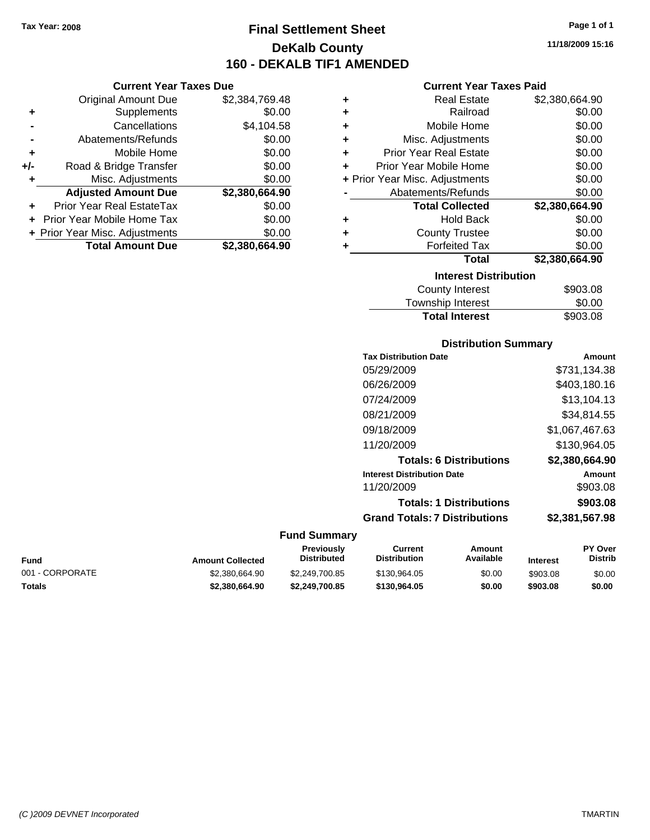### **Final Settlement Sheet Tax Year: 2008 Page 1 of 1 DeKalb County 160 - DEKALB TIF1 AMENDED**

**11/18/2009 15:16**

#### **Current Year Taxes Paid**

| ٠ | <b>Real Estate</b>             | \$2,380,664.90 |  |  |
|---|--------------------------------|----------------|--|--|
| ٠ | Railroad                       | \$0.00         |  |  |
| ٠ | Mobile Home                    | \$0.00         |  |  |
| ٠ | Misc. Adjustments              | \$0.00         |  |  |
| ٠ | <b>Prior Year Real Estate</b>  | \$0.00         |  |  |
| ÷ | Prior Year Mobile Home         | \$0.00         |  |  |
|   | + Prior Year Misc. Adjustments | \$0.00         |  |  |
|   | Abatements/Refunds             | \$0.00         |  |  |
|   | <b>Total Collected</b>         | \$2,380,664.90 |  |  |
| ٠ | <b>Hold Back</b>               | \$0.00         |  |  |
| ٠ | <b>County Trustee</b>          | \$0.00         |  |  |
| ٠ | <b>Forfeited Tax</b>           | \$0.00         |  |  |
|   | Total                          | \$2,380,664.90 |  |  |
|   | <b>Interest Distribution</b>   |                |  |  |
|   | County Interest                | ROU 2 UB       |  |  |

| <b>Total Interest</b> | \$903.08 |
|-----------------------|----------|
| Township Interest     | \$0.00   |
| County Interest       | \$903.08 |

#### **Distribution Summary**

| <b>Tax Distribution Date</b>         | Amount         |
|--------------------------------------|----------------|
| 05/29/2009                           | \$731,134.38   |
| 06/26/2009                           | \$403,180.16   |
| 07/24/2009                           | \$13,104.13    |
| 08/21/2009                           | \$34,814.55    |
| 09/18/2009                           | \$1,067,467.63 |
| 11/20/2009                           | \$130,964.05   |
| <b>Totals: 6 Distributions</b>       | \$2,380,664.90 |
| <b>Interest Distribution Date</b>    | Amount         |
| 11/20/2009                           | \$903.08       |
| <b>Totals: 1 Distributions</b>       | \$903.08       |
| <b>Grand Totals: 7 Distributions</b> | \$2,381,567.98 |
|                                      |                |

|                 |                         | <b>Fund Summary</b>                     |                                |                     |                 |                                  |
|-----------------|-------------------------|-----------------------------------------|--------------------------------|---------------------|-----------------|----------------------------------|
| Fund            | <b>Amount Collected</b> | <b>Previously</b><br><b>Distributed</b> | Current<br><b>Distribution</b> | Amount<br>Available | <b>Interest</b> | <b>PY Over</b><br><b>Distrib</b> |
| 001 - CORPORATE | \$2,380,664.90          | \$2,249,700.85                          | \$130.964.05                   | \$0.00              | \$903.08        | \$0.00                           |
| Totals          | \$2,380,664.90          | \$2.249.700.85                          | \$130,964.05                   | \$0.00              | \$903.08        | \$0.00                           |

|     | <b>Current Year Taxes Due</b>  |                |  |  |
|-----|--------------------------------|----------------|--|--|
|     | Original Amount Due            | \$2,384,769.48 |  |  |
| ٠   | Supplements                    | \$0.00         |  |  |
|     | Cancellations                  | \$4,104.58     |  |  |
|     | Abatements/Refunds             | \$0.00         |  |  |
| ٠   | Mobile Home                    | \$0.00         |  |  |
| +/- | Road & Bridge Transfer         | \$0.00         |  |  |
| ٠   | Misc. Adjustments              | \$0.00         |  |  |
|     | <b>Adjusted Amount Due</b>     | \$2,380,664.90 |  |  |
| ÷   | Prior Year Real EstateTax      | \$0.00         |  |  |
|     | Prior Year Mobile Home Tax     | \$0.00         |  |  |
|     | + Prior Year Misc. Adjustments | \$0.00         |  |  |
|     | <b>Total Amount Due</b>        | \$2,380,664.90 |  |  |
|     |                                |                |  |  |

*(C )2009 DEVNET Incorporated* TMARTIN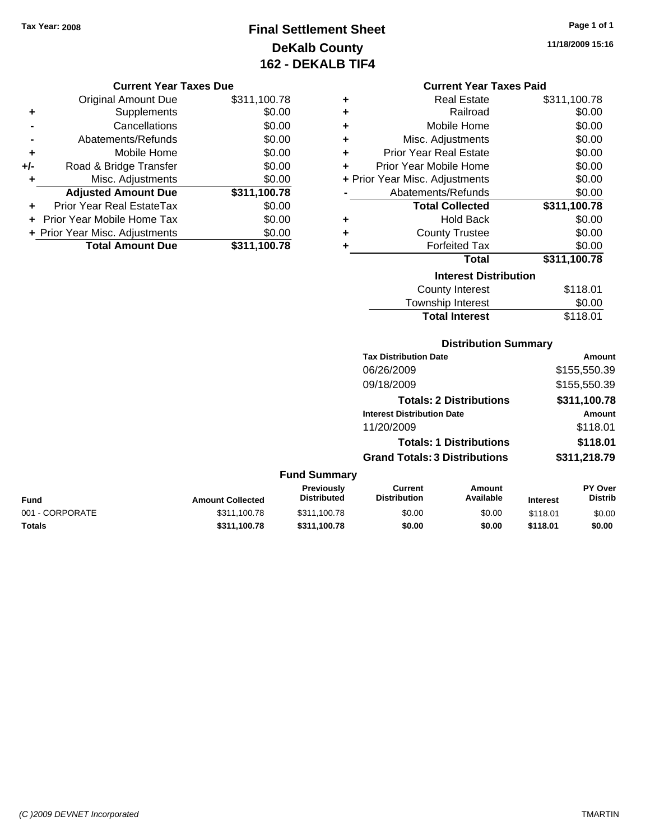# **Final Settlement Sheet Tax Year: 2008 Page 1 of 1 DeKalb County 162 - DEKALB TIF4**

### **11/18/2009 15:16**

#### **Current Year Taxes Due**

|     | <b>Original Amount Due</b>     | \$311,100.78 |
|-----|--------------------------------|--------------|
| ٠   | Supplements                    | \$0.00       |
|     | Cancellations                  | \$0.00       |
|     | Abatements/Refunds             | \$0.00       |
| ٠   | Mobile Home                    | \$0.00       |
| +/- | Road & Bridge Transfer         | \$0.00       |
| ٠   | Misc. Adjustments              | \$0.00       |
|     | <b>Adjusted Amount Due</b>     | \$311,100.78 |
|     | Prior Year Real EstateTax      | \$0.00       |
|     | Prior Year Mobile Home Tax     | \$0.00       |
|     | + Prior Year Misc. Adjustments | \$0.00       |
|     | <b>Total Amount Due</b>        | \$311,100.78 |

#### **Current Year Taxes Paid**

| ٠ | <b>Real Estate</b>             | \$311,100.78 |
|---|--------------------------------|--------------|
| ٠ | Railroad                       | \$0.00       |
| ٠ | Mobile Home                    | \$0.00       |
| ٠ | Misc. Adjustments              | \$0.00       |
| ٠ | <b>Prior Year Real Estate</b>  | \$0.00       |
| ÷ | Prior Year Mobile Home         | \$0.00       |
|   | + Prior Year Misc. Adjustments | \$0.00       |
|   | Abatements/Refunds             | \$0.00       |
|   | <b>Total Collected</b>         | \$311,100.78 |
| ٠ | <b>Hold Back</b>               | \$0.00       |
| ٠ | <b>County Trustee</b>          | \$0.00       |
|   |                                |              |
| ٠ | <b>Forfeited Tax</b>           | \$0.00       |
|   | <b>Total</b>                   | \$311,100.78 |
|   | <b>Interest Distribution</b>   |              |

# Township Interest  $$0.00$ **Total Interest** \$118.01

### **Distribution Summary**

| <b>Tax Distribution Date</b>         | Amount       |
|--------------------------------------|--------------|
| 06/26/2009                           | \$155,550.39 |
| 09/18/2009                           | \$155,550.39 |
| <b>Totals: 2 Distributions</b>       | \$311,100.78 |
| <b>Interest Distribution Date</b>    | Amount       |
| 11/20/2009                           | \$118.01     |
| <b>Totals: 1 Distributions</b>       | \$118.01     |
| <b>Grand Totals: 3 Distributions</b> | \$311,218.79 |

| Fund            | <b>Amount Collected</b> | <b>Previously</b><br><b>Distributed</b> | Current<br><b>Distribution</b> | Amount<br>Available | <b>Interest</b> | <b>PY Over</b><br><b>Distrib</b> |
|-----------------|-------------------------|-----------------------------------------|--------------------------------|---------------------|-----------------|----------------------------------|
| 001 - CORPORATE | \$311,100.78            | \$311,100.78                            | \$0.00                         | \$0.00              | \$118.01        | \$0.00                           |
| Totals          | \$311.100.78            | \$311.100.78                            | \$0.00                         | \$0.00              | \$118.01        | \$0.00                           |
|                 |                         |                                         |                                |                     |                 |                                  |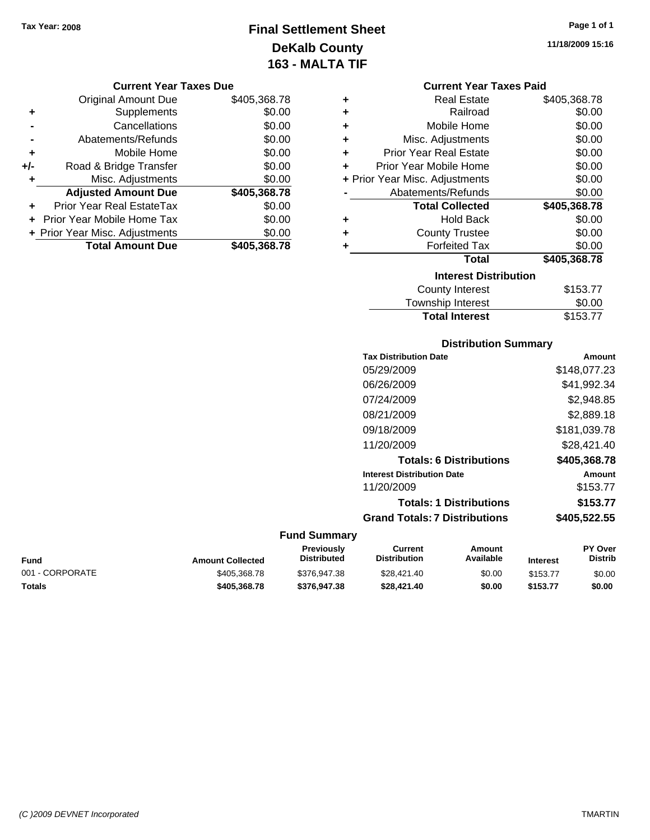# **Final Settlement Sheet Tax Year: 2008 Page 1 of 1 DeKalb County 163 - MALTA TIF**

**11/18/2009 15:16**

#### **Current Year Taxes Due**

|     | <b>Original Amount Due</b>     | \$405,368.78 |
|-----|--------------------------------|--------------|
| ٠   | Supplements                    | \$0.00       |
|     | Cancellations                  | \$0.00       |
|     | Abatements/Refunds             | \$0.00       |
| ٠   | Mobile Home                    | \$0.00       |
| +/- | Road & Bridge Transfer         | \$0.00       |
|     | Misc. Adjustments              | \$0.00       |
|     | <b>Adjusted Amount Due</b>     | \$405,368.78 |
| ÷   | Prior Year Real EstateTax      | \$0.00       |
|     | Prior Year Mobile Home Tax     | \$0.00       |
|     | + Prior Year Misc. Adjustments | \$0.00       |
|     | <b>Total Amount Due</b>        | \$405,368.78 |

### **Current Year Taxes Paid**

|   | <b>Real Estate</b>             | \$405,368.78 |
|---|--------------------------------|--------------|
| ٠ | Railroad                       | \$0.00       |
| ÷ | Mobile Home                    | \$0.00       |
| ٠ | Misc. Adjustments              | \$0.00       |
| ٠ | <b>Prior Year Real Estate</b>  | \$0.00       |
| ÷ | Prior Year Mobile Home         | \$0.00       |
|   | + Prior Year Misc. Adjustments | \$0.00       |
|   | Abatements/Refunds             | \$0.00       |
|   |                                |              |
|   | <b>Total Collected</b>         | \$405,368.78 |
| ٠ | <b>Hold Back</b>               | \$0.00       |
| ٠ | <b>County Trustee</b>          | \$0.00       |
| ٠ | <b>Forfeited Tax</b>           | \$0.00       |
|   | Total                          | \$405,368.78 |
|   | <b>Interest Distribution</b>   |              |

# Township Interest  $$0.00$ **Total Interest** \$153.77

### **Distribution Summary**

| <b>Tax Distribution Date</b>         | Amount       |
|--------------------------------------|--------------|
| 05/29/2009                           | \$148,077.23 |
| 06/26/2009                           | \$41,992.34  |
| 07/24/2009                           | \$2,948.85   |
| 08/21/2009                           | \$2,889.18   |
| 09/18/2009                           | \$181,039.78 |
| 11/20/2009                           | \$28,421.40  |
| <b>Totals: 6 Distributions</b>       | \$405,368.78 |
| <b>Interest Distribution Date</b>    | Amount       |
| 11/20/2009                           | \$153.77     |
| <b>Totals: 1 Distributions</b>       | \$153.77     |
| <b>Grand Totals: 7 Distributions</b> | \$405,522.55 |
|                                      |              |

| Fund            | <b>Amount Collected</b> | Previously<br>Distributed | Current<br><b>Distribution</b> | Amount<br>Available | <b>Interest</b> | <b>PY Over</b><br><b>Distrib</b> |
|-----------------|-------------------------|---------------------------|--------------------------------|---------------------|-----------------|----------------------------------|
| 001 - CORPORATE | \$405,368,78            | \$376,947.38              | \$28,421.40                    | \$0.00              | \$153.77        | \$0.00                           |
| Totals          | \$405.368.78            | \$376,947,38              | \$28,421.40                    | \$0.00              | \$153.77        | \$0.00                           |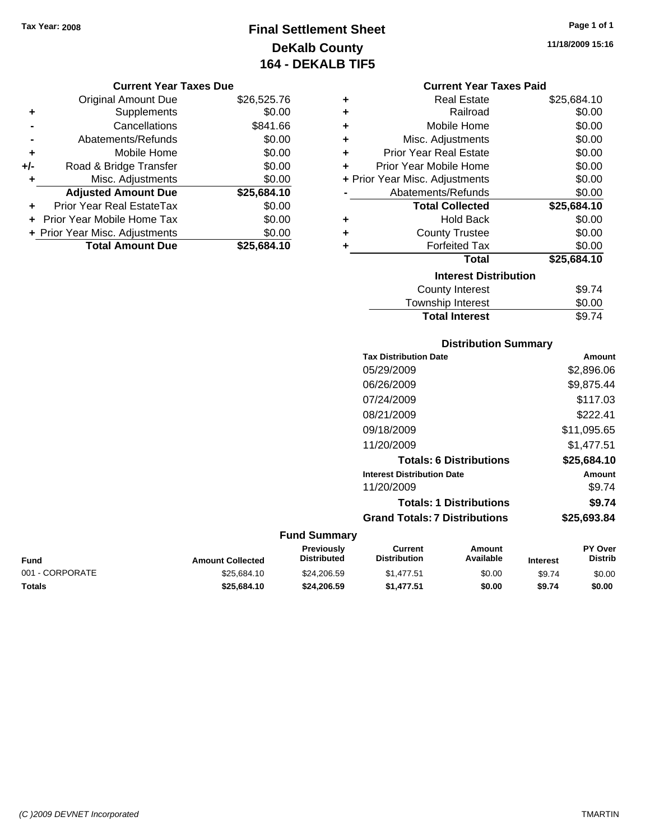# **Final Settlement Sheet Tax Year: 2008 Page 1 of 1 DeKalb County 164 - DEKALB TIF5**

**11/18/2009 15:16**

#### **Current Year Taxes Due**

|       | <b>Original Amount Due</b>     | \$26,525.76 |
|-------|--------------------------------|-------------|
| ٠     | Supplements                    | \$0.00      |
|       | Cancellations                  | \$841.66    |
|       | Abatements/Refunds             | \$0.00      |
| ÷     | Mobile Home                    | \$0.00      |
| $+/-$ | Road & Bridge Transfer         | \$0.00      |
| ٠     | Misc. Adjustments              |             |
|       | <b>Adjusted Amount Due</b>     | \$25,684.10 |
|       | Prior Year Real EstateTax      | \$0.00      |
|       | Prior Year Mobile Home Tax     | \$0.00      |
|       | + Prior Year Misc. Adjustments | \$0.00      |
|       | <b>Total Amount Due</b>        | \$25,684.10 |

### **Current Year Taxes Paid**

| ٠ | Real Estate                    | \$25,684.10 |
|---|--------------------------------|-------------|
| ÷ | Railroad                       | \$0.00      |
| ٠ | Mobile Home                    | \$0.00      |
| ٠ | Misc. Adjustments              | \$0.00      |
| ٠ | <b>Prior Year Real Estate</b>  | \$0.00      |
| ٠ | Prior Year Mobile Home         | \$0.00      |
|   | + Prior Year Misc. Adjustments | \$0.00      |
|   | Abatements/Refunds             | \$0.00      |
|   | <b>Total Collected</b>         | \$25,684.10 |
| ٠ | <b>Hold Back</b>               | \$0.00      |
| ÷ | <b>County Trustee</b>          | \$0.00      |
| ٠ | <b>Forfeited Tax</b>           | \$0.00      |
|   | Total                          | \$25,684.10 |
|   | <b>Interest Distribution</b>   |             |
|   | <b>County Interest</b>         | \$9.74      |
|   | <b>Township Interest</b>       | \$0.00      |
|   | <b>Total Interest</b>          | \$9.74      |

### **Distribution Summary**

| <b>Tax Distribution Date</b>         | Amount      |
|--------------------------------------|-------------|
| 05/29/2009                           | \$2,896.06  |
| 06/26/2009                           | \$9,875.44  |
| 07/24/2009                           | \$117.03    |
| 08/21/2009                           | \$222.41    |
| 09/18/2009                           | \$11,095.65 |
| 11/20/2009                           | \$1.477.51  |
| <b>Totals: 6 Distributions</b>       | \$25,684.10 |
| <b>Interest Distribution Date</b>    | Amount      |
| 11/20/2009                           | \$9.74      |
| <b>Totals: 1 Distributions</b>       | \$9.74      |
| <b>Grand Totals: 7 Distributions</b> | \$25,693.84 |
|                                      |             |

| <b>Fund</b>     | <b>Amount Collected</b> | <b>Previously</b><br><b>Distributed</b> | Current<br><b>Distribution</b> | Amount<br>Available | <b>Interest</b> | <b>PY Over</b><br>Distrib |
|-----------------|-------------------------|-----------------------------------------|--------------------------------|---------------------|-----------------|---------------------------|
| 001 - CORPORATE | \$25.684.10             | \$24.206.59                             | \$1,477.51                     | \$0.00              | \$9.74          | \$0.00                    |
| Totals          | \$25.684.10             | \$24.206.59                             | \$1.477.51                     | \$0.00              | \$9.74          | \$0.00                    |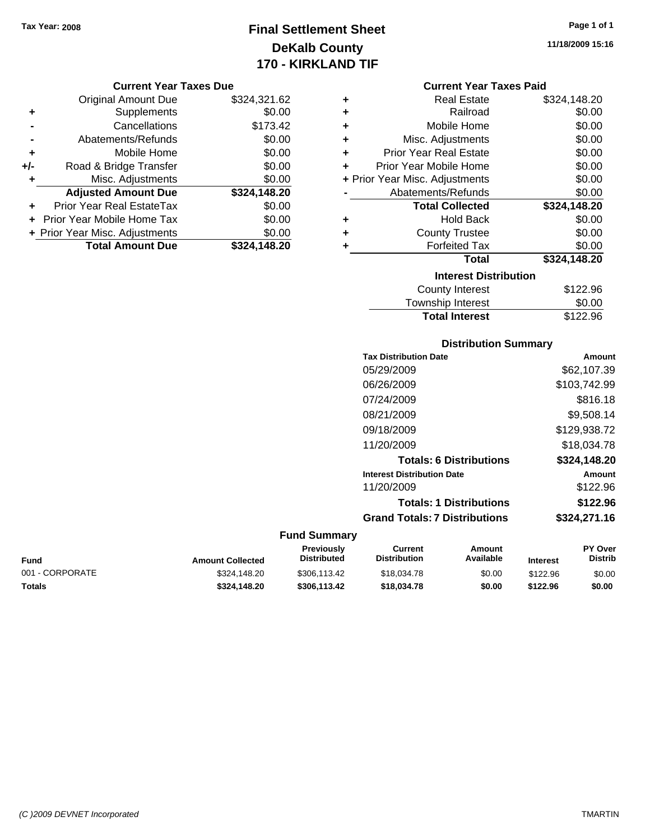# **Final Settlement Sheet Tax Year: 2008 Page 1 of 1 DeKalb County 170 - KIRKLAND TIF**

#### **Current Year Taxes Due**

|       | <b>Original Amount Due</b>     | \$324,321.62 |
|-------|--------------------------------|--------------|
| ٠     | Supplements                    | \$0.00       |
|       | Cancellations                  | \$173.42     |
|       | Abatements/Refunds             | \$0.00       |
| ÷     | Mobile Home                    | \$0.00       |
| $+/-$ | Road & Bridge Transfer         | \$0.00       |
| ٠     | Misc. Adjustments              | \$0.00       |
|       | <b>Adjusted Amount Due</b>     | \$324,148.20 |
|       | Prior Year Real EstateTax      | \$0.00       |
|       | Prior Year Mobile Home Tax     | \$0.00       |
|       | + Prior Year Misc. Adjustments | \$0.00       |
|       | <b>Total Amount Due</b>        | \$324,148.20 |

#### **Current Year Taxes Paid**

| ٠ | <b>Real Estate</b>             | \$324,148.20 |  |  |  |  |
|---|--------------------------------|--------------|--|--|--|--|
| ÷ | Railroad                       | \$0.00       |  |  |  |  |
| ÷ | Mobile Home                    | \$0.00       |  |  |  |  |
| ٠ | Misc. Adjustments              | \$0.00       |  |  |  |  |
| ٠ | <b>Prior Year Real Estate</b>  | \$0.00       |  |  |  |  |
| ٠ | Prior Year Mobile Home         | \$0.00       |  |  |  |  |
|   | + Prior Year Misc. Adjustments | \$0.00       |  |  |  |  |
|   | Abatements/Refunds             | \$0.00       |  |  |  |  |
|   | <b>Total Collected</b>         | \$324,148.20 |  |  |  |  |
| ٠ | <b>Hold Back</b>               | \$0.00       |  |  |  |  |
| ٠ | <b>County Trustee</b>          | \$0.00       |  |  |  |  |
| ٠ | <b>Forfeited Tax</b>           | \$0.00       |  |  |  |  |
|   | Total                          | \$324,148.20 |  |  |  |  |
|   | <b>Interest Distribution</b>   |              |  |  |  |  |
|   | <b>County Interest</b>         | \$122.96     |  |  |  |  |
|   | <b>Township Interest</b>       | \$0.00       |  |  |  |  |
|   | <b>Total Interest</b>          | \$122.96     |  |  |  |  |

## **Distribution Summary Tax Distribution Date Amount** 05/29/2009 \$62,107.39 06/26/2009 \$103,742.99

| \$816.18     |
|--------------|
| \$9,508.14   |
| \$129,938.72 |
| \$18,034.78  |
| \$324,148.20 |
| Amount       |
| \$122.96     |
| \$122.96     |
| \$324,271.16 |
|              |

#### **Fund Summary**

| Fund            | <b>Amount Collected</b> | <b>Previously</b><br><b>Distributed</b> | Current<br><b>Distribution</b> | Amount<br>Available | <b>Interest</b> | <b>PY Over</b><br><b>Distrib</b> |
|-----------------|-------------------------|-----------------------------------------|--------------------------------|---------------------|-----------------|----------------------------------|
| 001 - CORPORATE | \$324,148.20            | \$306.113.42                            | \$18,034.78                    | \$0.00              | \$122.96        | \$0.00                           |
| Totals          | \$324.148.20            | \$306.113.42                            | \$18,034.78                    | \$0.00              | \$122.96        | \$0.00                           |

**11/18/2009 15:16**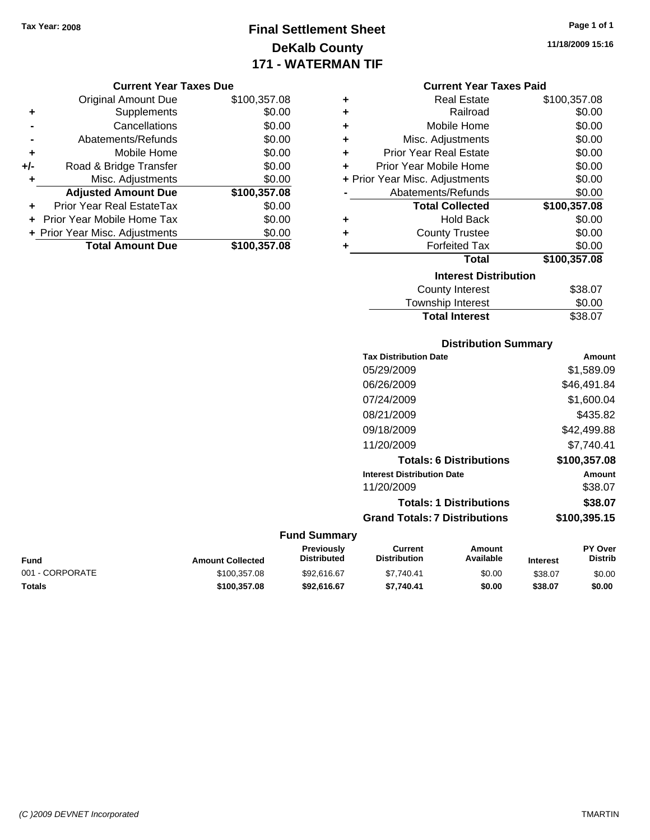# **Final Settlement Sheet Tax Year: 2008 Page 1 of 1 DeKalb County 171 - WATERMAN TIF**

**11/18/2009 15:16**

#### **Current Year Taxes Due**

|     | <b>Original Amount Due</b>        | \$100,357.08 |
|-----|-----------------------------------|--------------|
| ٠   | Supplements                       | \$0.00       |
|     | Cancellations                     | \$0.00       |
|     | Abatements/Refunds                | \$0.00       |
| ÷   | Mobile Home                       | \$0.00       |
| +/- | Road & Bridge Transfer            | \$0.00       |
| ٠   | Misc. Adjustments                 | \$0.00       |
|     | <b>Adjusted Amount Due</b>        | \$100,357.08 |
|     | Prior Year Real EstateTax         | \$0.00       |
|     | <b>Prior Year Mobile Home Tax</b> | \$0.00       |
|     | + Prior Year Misc. Adjustments    | \$0.00       |
|     | <b>Total Amount Due</b>           | \$100,357.08 |

#### **Current Year Taxes Paid**

| ٠ | <b>Real Estate</b>             | \$100,357.08 |
|---|--------------------------------|--------------|
| ٠ | Railroad                       | \$0.00       |
| ٠ | Mobile Home                    | \$0.00       |
| ٠ | Misc. Adjustments              | \$0.00       |
| ÷ | <b>Prior Year Real Estate</b>  | \$0.00       |
| ÷ | Prior Year Mobile Home         | \$0.00       |
|   | + Prior Year Misc. Adjustments | \$0.00       |
|   | Abatements/Refunds             | \$0.00       |
|   | <b>Total Collected</b>         | \$100,357.08 |
| ٠ | <b>Hold Back</b>               | \$0.00       |
| ٠ | <b>County Trustee</b>          | \$0.00       |
| ٠ | <b>Forfeited Tax</b>           | \$0.00       |
|   | Total                          | \$100,357.08 |
|   |                                |              |
|   | <b>Interest Distribution</b>   |              |

# Township Interest  $$0.00$ **Total Interest** \$38.07

### **Distribution Summary**

| <b>Tax Distribution Date</b>         | Amount       |
|--------------------------------------|--------------|
| 05/29/2009                           | \$1,589.09   |
| 06/26/2009                           | \$46,491.84  |
| 07/24/2009                           | \$1,600.04   |
| 08/21/2009                           | \$435.82     |
| 09/18/2009                           | \$42,499.88  |
| 11/20/2009                           | \$7.740.41   |
| <b>Totals: 6 Distributions</b>       | \$100,357.08 |
| <b>Interest Distribution Date</b>    | Amount       |
| 11/20/2009                           | \$38.07      |
| <b>Totals: 1 Distributions</b>       | \$38.07      |
| <b>Grand Totals: 7 Distributions</b> | \$100,395.15 |
|                                      |              |

| Fund            | <b>Amount Collected</b> | <b>Previously</b><br><b>Distributed</b> | Current<br><b>Distribution</b> | Amount<br>Available | <b>Interest</b> | <b>PY Over</b><br>Distrib |
|-----------------|-------------------------|-----------------------------------------|--------------------------------|---------------------|-----------------|---------------------------|
| 001 - CORPORATE | \$100.357.08            | \$92,616.67                             | \$7.740.41                     | \$0.00              | \$38.07         | \$0.00                    |
| Totals          | \$100.357.08            | \$92.616.67                             | \$7.740.41                     | \$0.00              | \$38.07         | \$0.00                    |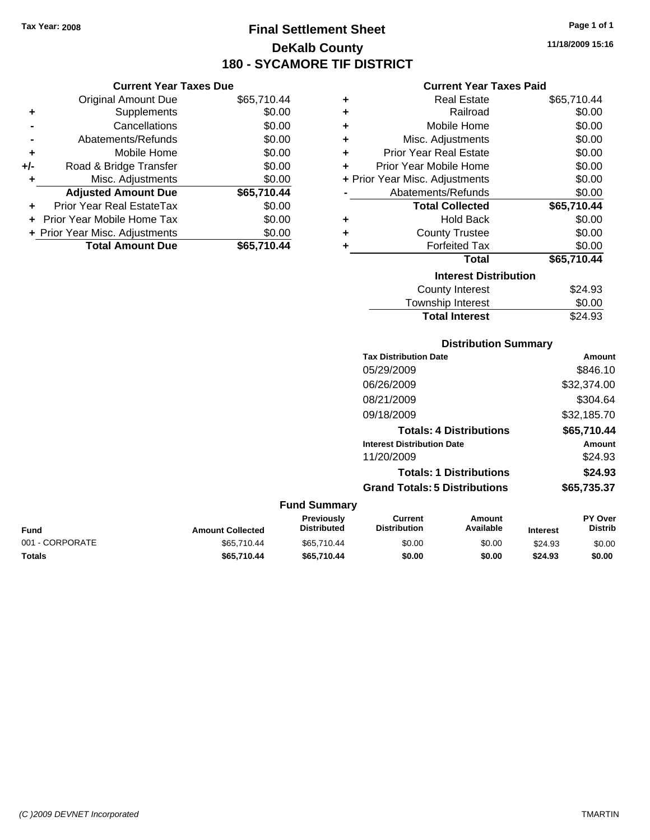**Current Year Taxes Due** Original Amount Due \$65,710.44

**Adjusted Amount Due \$65,710.44**

**Total Amount Due \$65,710.44**

**+** Supplements \$0.00 **-** Cancellations \$0.00 **-** Abatements/Refunds \$0.00 **+** Mobile Home \$0.00 **+/-** Road & Bridge Transfer \$0.00 **+** Misc. Adjustments \$0.00

**+** Prior Year Real EstateTax \$0.00 **+** Prior Year Mobile Home Tax \$0.00 **+ Prior Year Misc. Adjustments**  $$0.00$ 

# **Final Settlement Sheet Tax Year: 2008 Page 1 of 1 DeKalb County 180 - SYCAMORE TIF DISTRICT**

**11/18/2009 15:16**

#### **Current Year Taxes Paid**

| ٠ | <b>Real Estate</b>             | \$65,710.44 |
|---|--------------------------------|-------------|
| ÷ | Railroad                       | \$0.00      |
| ÷ | Mobile Home                    | \$0.00      |
| ÷ | Misc. Adjustments              | \$0.00      |
| ÷ | <b>Prior Year Real Estate</b>  | \$0.00      |
| ٠ | Prior Year Mobile Home         | \$0.00      |
|   | + Prior Year Misc. Adjustments | \$0.00      |
|   | Abatements/Refunds             | \$0.00      |
|   | <b>Total Collected</b>         | \$65,710.44 |
| ٠ | <b>Hold Back</b>               | \$0.00      |
| ÷ | <b>County Trustee</b>          | \$0.00      |
| ٠ | <b>Forfeited Tax</b>           | \$0.00      |
|   | Total                          | \$65,710.44 |
|   | <b>Interest Distribution</b>   |             |
|   | <b>County Interest</b>         | \$24.93     |
|   | <b>Township Interest</b>       | \$0.00      |

Total Interest \$24.93

|                 |                         | <b>Distribution Summary</b>             |                                       |                                |                 |                           |
|-----------------|-------------------------|-----------------------------------------|---------------------------------------|--------------------------------|-----------------|---------------------------|
|                 |                         |                                         | <b>Tax Distribution Date</b>          |                                |                 | Amount                    |
|                 |                         |                                         | 05/29/2009                            |                                |                 | \$846.10                  |
|                 |                         |                                         | 06/26/2009                            |                                |                 | \$32,374.00               |
|                 |                         |                                         | 08/21/2009                            |                                |                 | \$304.64                  |
|                 |                         |                                         | 09/18/2009                            |                                |                 | \$32,185.70               |
|                 |                         |                                         |                                       | <b>Totals: 4 Distributions</b> |                 | \$65,710.44               |
|                 |                         |                                         | <b>Interest Distribution Date</b>     |                                |                 | Amount                    |
|                 |                         |                                         | 11/20/2009                            |                                |                 | \$24.93                   |
|                 |                         |                                         |                                       | <b>Totals: 1 Distributions</b> |                 | \$24.93                   |
|                 |                         |                                         | <b>Grand Totals: 5 Distributions</b>  |                                |                 | \$65,735.37               |
|                 |                         | <b>Fund Summary</b>                     |                                       |                                |                 |                           |
| <b>Fund</b>     | <b>Amount Collected</b> | <b>Previously</b><br><b>Distributed</b> | <b>Current</b><br><b>Distribution</b> | Amount<br>Available            | <b>Interest</b> | PY Over<br><b>Distrib</b> |
| 001 - CORPORATE | \$65,710.44             | \$65,710.44                             | \$0.00                                | \$0.00                         | \$24.93         | \$0.00                    |

**Totals \$65,710.44 \$65,710.44 \$0.00 \$0.00 \$24.93 \$0.00**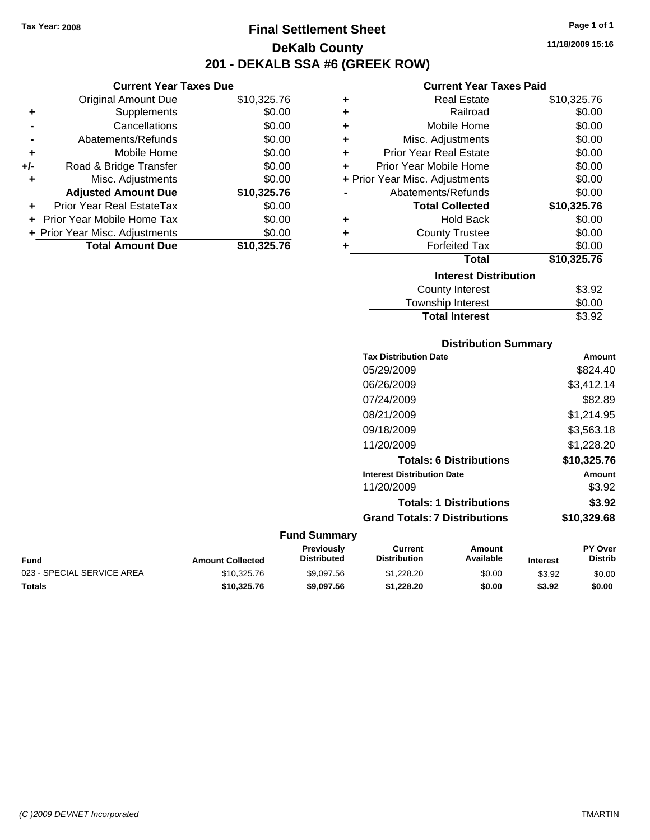**Current Year Taxes Due**

# **Final Settlement Sheet Tax Year: 2008 Page 1 of 1 DeKalb County 201 - DEKALB SSA #6 (GREEK ROW)**

**11/18/2009 15:16**

#### **Current Year Taxes Paid**

|     | <b>Original Amount Due</b>     | \$10,325.76 | ٠ | <b>Real Estate</b>             | \$10,325.76 |
|-----|--------------------------------|-------------|---|--------------------------------|-------------|
| ٠   | <b>Supplements</b>             | \$0.00      | ٠ | Railroad                       | \$0.00      |
|     | Cancellations                  | \$0.00      | ٠ | Mobile Home                    | \$0.00      |
|     | Abatements/Refunds             | \$0.00      | ÷ | Misc. Adjustments              | \$0.00      |
| ٠   | Mobile Home                    | \$0.00      | ٠ | <b>Prior Year Real Estate</b>  | \$0.00      |
| +/- | Road & Bridge Transfer         | \$0.00      | ÷ | Prior Year Mobile Home         | \$0.00      |
|     | Misc. Adjustments              | \$0.00      |   | + Prior Year Misc. Adjustments | \$0.00      |
|     | <b>Adjusted Amount Due</b>     | \$10,325.76 |   | Abatements/Refunds             | \$0.00      |
| ÷.  | Prior Year Real EstateTax      | \$0.00      |   | <b>Total Collected</b>         | \$10,325.76 |
|     | Prior Year Mobile Home Tax     | \$0.00      | ٠ | <b>Hold Back</b>               | \$0.00      |
|     | + Prior Year Misc. Adjustments | \$0.00      | ٠ | <b>County Trustee</b>          | \$0.00      |
|     | <b>Total Amount Due</b>        | \$10,325.76 |   | <b>Forfeited Tax</b>           | \$0.00      |
|     |                                |             |   | <b>Total</b>                   | \$10,325.76 |
|     |                                |             |   | <b>Interest Distribution</b>   |             |
|     |                                |             |   | County Interest                | \$3.92      |
|     |                                |             |   |                                |             |

| <b>Total Interest</b>  | \$3.92 |
|------------------------|--------|
| Township Interest      | \$0.00 |
| <b>OUGHLY HILLICAL</b> | ש∪.טב  |

#### **Distribution Summary**

| <b>Tax Distribution Date</b>         | Amount      |
|--------------------------------------|-------------|
| 05/29/2009                           | \$824.40    |
| 06/26/2009                           | \$3,412.14  |
| 07/24/2009                           | \$82.89     |
| 08/21/2009                           | \$1,214.95  |
| 09/18/2009                           | \$3,563.18  |
| 11/20/2009                           | \$1,228.20  |
| <b>Totals: 6 Distributions</b>       | \$10.325.76 |
| <b>Interest Distribution Date</b>    | Amount      |
| 11/20/2009                           | \$3.92      |
| <b>Totals: 1 Distributions</b>       | \$3.92      |
| <b>Grand Totals: 7 Distributions</b> | \$10,329.68 |
|                                      |             |

| Fund                       | <b>Amount Collected</b> | Previously<br><b>Distributed</b> | Current<br><b>Distribution</b> | Amount<br>Available | <b>Interest</b> | <b>PY Over</b><br><b>Distrib</b> |
|----------------------------|-------------------------|----------------------------------|--------------------------------|---------------------|-----------------|----------------------------------|
| 023 - SPECIAL SERVICE AREA | \$10.325.76             | \$9.097.56                       | \$1,228,20                     | \$0.00              | \$3.92          | \$0.00                           |
| Totals                     | \$10,325.76             | \$9,097.56                       | \$1,228,20                     | \$0.00              | \$3.92          | \$0.00                           |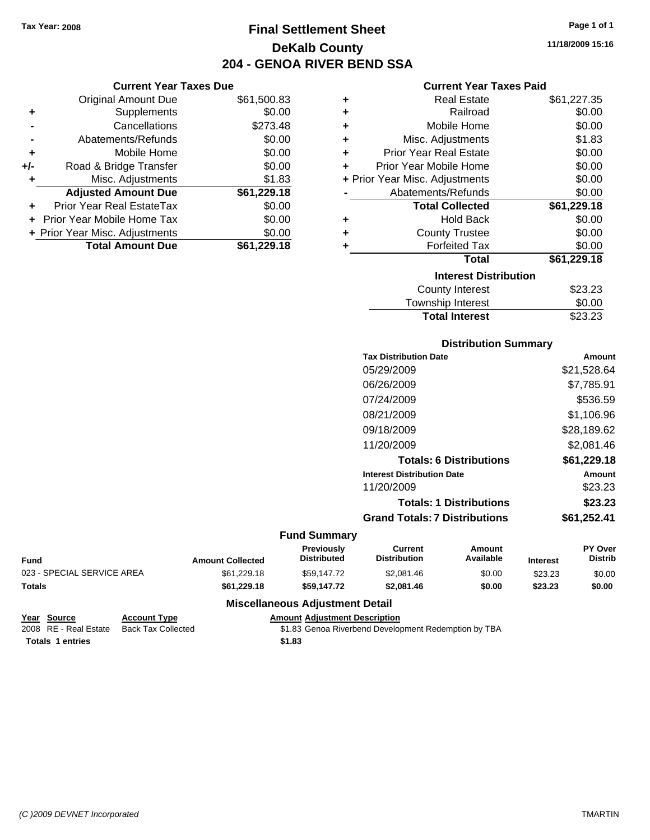**Current Year Taxes Due** Original Amount Due \$61,500.83

**Adjusted Amount Due \$61,229.18**

**Total Amount Due \$61,229.18**

**+** Supplements \$0.00 **-** Cancellations \$273.48 **-** Abatements/Refunds \$0.00 **+** Mobile Home \$0.00 **+/-** Road & Bridge Transfer \$0.00 **+** Misc. Adjustments \$1.83

**+** Prior Year Real EstateTax \$0.00 **+** Prior Year Mobile Home Tax \$0.00 **+ Prior Year Misc. Adjustments**  $$0.00$ 

# **Final Settlement Sheet Tax Year: 2008 Page 1 of 1 DeKalb County 204 - GENOA RIVER BEND SSA**

# **Current Year Taxes Paid**

|   | GUITEIIL TEAL TAXES FAIU       |             |
|---|--------------------------------|-------------|
| ٠ | <b>Real Estate</b>             | \$61,227.35 |
| ٠ | Railroad                       | \$0.00      |
| ٠ | Mobile Home                    | \$0.00      |
| ÷ | Misc. Adjustments              | \$1.83      |
| ÷ | <b>Prior Year Real Estate</b>  | \$0.00      |
| ÷ | Prior Year Mobile Home         | \$0.00      |
|   | + Prior Year Misc. Adjustments | \$0.00      |
|   | Abatements/Refunds             | \$0.00      |
|   | <b>Total Collected</b>         | \$61,229.18 |
| ٠ | <b>Hold Back</b>               | \$0.00      |
| ÷ | <b>County Trustee</b>          | \$0.00      |
| ٠ | <b>Forfeited Tax</b>           | \$0.00      |
|   | <b>Total</b>                   | \$61,229.18 |
|   | <b>Interest Distribution</b>   |             |
|   | County Interest                | \$23.23     |
|   | <b>Township Interest</b>       | \$0.00      |
|   | <b>Total Interest</b>          | \$23.23     |

#### **Distribution Summary**

| <b>Tax Distribution Date</b>         | Amount      |
|--------------------------------------|-------------|
| 05/29/2009                           | \$21,528.64 |
| 06/26/2009                           | \$7,785.91  |
| 07/24/2009                           | \$536.59    |
| 08/21/2009                           | \$1,106.96  |
| 09/18/2009                           | \$28,189.62 |
| 11/20/2009                           | \$2,081.46  |
| <b>Totals: 6 Distributions</b>       | \$61,229.18 |
| <b>Interest Distribution Date</b>    | Amount      |
| 11/20/2009                           | \$23.23     |
| <b>Totals: 1 Distributions</b>       | \$23.23     |
| <b>Grand Totals: 7 Distributions</b> | \$61,252.41 |
|                                      |             |

#### **Fund Summary**

|                            |                         | <b>Previously</b>  | Current             | Amount    |                 | <b>PY Over</b> |
|----------------------------|-------------------------|--------------------|---------------------|-----------|-----------------|----------------|
| <b>Fund</b>                | <b>Amount Collected</b> | <b>Distributed</b> | <b>Distribution</b> | Available | <b>Interest</b> | <b>Distrib</b> |
| 023 - SPECIAL SERVICE AREA | \$61.229.18             | \$59.147.72        | \$2.081.46          | \$0.00    | \$23.23         | \$0.00         |
| <b>Totals</b>              | \$61,229.18             | \$59,147,72        | \$2,081.46          | \$0.00    | \$23.23         | \$0.00         |

#### **Miscellaneous Adjustment Detail**

#### **Year Source Account Type Amount Adjustment Description**

2008 RE - Real Estate Back Tax Collected \$1.83 Genoa Riverbend Development Redemption by TBA **Totals \$1.83 1 entries**

**11/18/2009 15:16**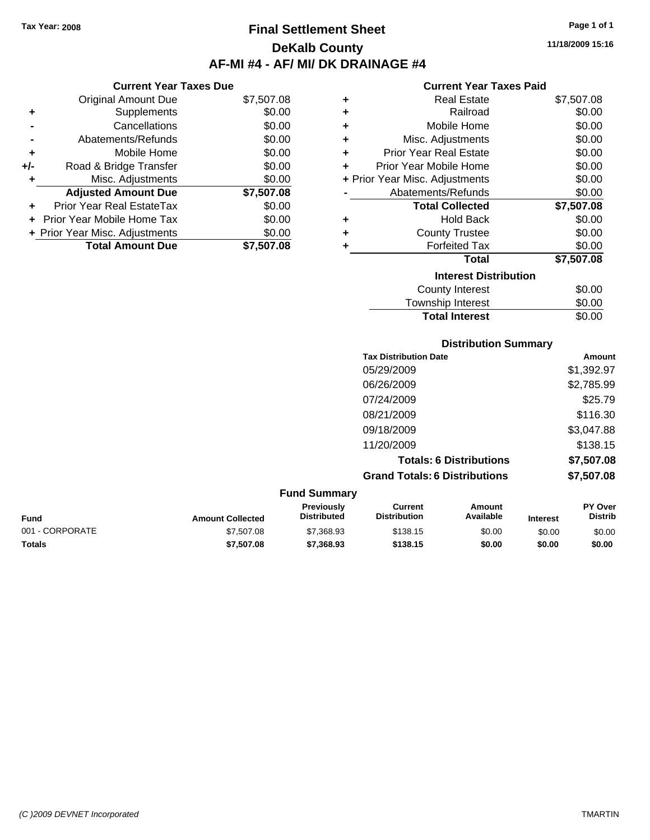**Current Year Taxes Due** Original Amount Due \$7,507.08

**Adjusted Amount Due \$7,507.08**

**Total Amount Due \$7,507.08**

**+** Supplements \$0.00 **-** Cancellations \$0.00 **-** Abatements/Refunds \$0.00 **+** Mobile Home \$0.00 **+/-** Road & Bridge Transfer \$0.00 **+** Misc. Adjustments \$0.00

**+** Prior Year Real EstateTax \$0.00 **+** Prior Year Mobile Home Tax \$0.00 **+ Prior Year Misc. Adjustments**  $$0.00$ 

# **Final Settlement Sheet Tax Year: 2008 Page 1 of 1 DeKalb County AF-MI #4 - AF/ MI/ DK DRAINAGE #4**

**11/18/2009 15:16**

#### **Current Year Taxes Paid**

| ٠ | <b>Real Estate</b>             | \$7,507.08 |
|---|--------------------------------|------------|
| ٠ | Railroad                       | \$0.00     |
| ٠ | Mobile Home                    | \$0.00     |
| ٠ | Misc. Adjustments              | \$0.00     |
| ٠ | <b>Prior Year Real Estate</b>  | \$0.00     |
| ٠ | Prior Year Mobile Home         | \$0.00     |
|   | + Prior Year Misc. Adjustments | \$0.00     |
|   | Abatements/Refunds             | \$0.00     |
|   | <b>Total Collected</b>         | \$7,507.08 |
| ٠ | <b>Hold Back</b>               | \$0.00     |
| ٠ | <b>County Trustee</b>          | \$0.00     |
| ٠ | <b>Forfeited Tax</b>           | \$0.00     |
|   | <b>Total</b>                   | \$7,507.08 |
|   | <b>Interest Distribution</b>   |            |
|   | <b>County Interest</b>         | \$0.00     |
|   | <b>Township Interest</b>       | \$0.00     |

**Total Interest** \$0.00

#### **Distribution Summary Tax Distribution Date Amount** 05/29/2009 \$1,392.97 06/26/2009 \$2,785.99 07/24/2009 \$25.79 08/21/2009 \$116.30 09/18/2009 \$3,047.88 11/20/2009 \$138.15 **Totals: 6 Distributions \$7,507.08 Grand Totals: 6 Distributions \$7,507.08 Fund Summary PY Over Amount Current Previously**

|                 |                         | <b>Previously</b>  | Current             | Amount    |                 | <b>PY Over</b> |
|-----------------|-------------------------|--------------------|---------------------|-----------|-----------------|----------------|
| <b>Fund</b>     | <b>Amount Collected</b> | <b>Distributed</b> | <b>Distribution</b> | Available | <b>Interest</b> | Distrib        |
| 001 - CORPORATE | \$7,507.08              | \$7,368.93         | \$138.15            | \$0.00    | \$0.00          | \$0.00         |
| <b>Totals</b>   | \$7,507.08              | \$7,368,93         | \$138.15            | \$0.00    | \$0.00          | \$0.00         |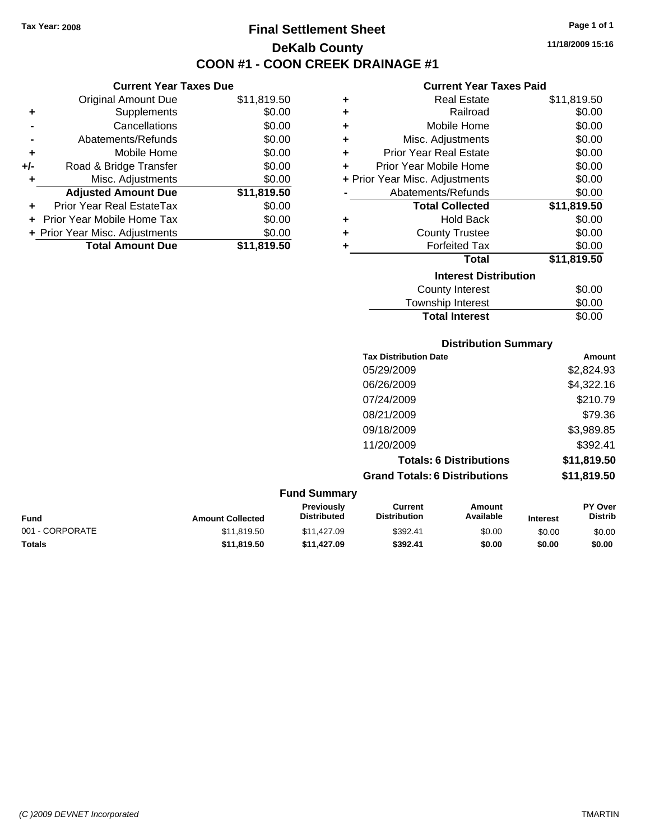**Current Year Taxes Due** Original Amount Due \$11,819.50

**Adjusted Amount Due \$11,819.50**

**Total Amount Due \$11,819.50**

**+** Supplements \$0.00 **-** Cancellations \$0.00 **-** Abatements/Refunds \$0.00 **+** Mobile Home \$0.00 **+/-** Road & Bridge Transfer \$0.00 **+** Misc. Adjustments \$0.00

**+** Prior Year Real EstateTax \$0.00 **+** Prior Year Mobile Home Tax \$0.00 **+ Prior Year Misc. Adjustments**  $$0.00$ 

# **Final Settlement Sheet Tax Year: 2008 Page 1 of 1 DeKalb County COON #1 - COON CREEK DRAINAGE #1**

**11/18/2009 15:16**

#### **Current Year Taxes Paid**

| ٠ | <b>Real Estate</b>             | \$11,819.50 |
|---|--------------------------------|-------------|
| ٠ | Railroad                       | \$0.00      |
| ٠ | Mobile Home                    | \$0.00      |
| ٠ | Misc. Adjustments              | \$0.00      |
| ٠ | <b>Prior Year Real Estate</b>  | \$0.00      |
| ٠ | Prior Year Mobile Home         | \$0.00      |
|   | + Prior Year Misc. Adjustments | \$0.00      |
|   | Abatements/Refunds             | \$0.00      |
|   | <b>Total Collected</b>         | \$11,819.50 |
| ٠ | <b>Hold Back</b>               | \$0.00      |
| ٠ | <b>County Trustee</b>          | \$0.00      |
| ٠ | <b>Forfeited Tax</b>           | \$0.00      |
|   | <b>Total</b>                   | \$11,819.50 |
|   | <b>Interest Distribution</b>   |             |
|   | <b>County Interest</b>         | \$0.00      |
|   | <b>Township Interest</b>       | \$0.00      |

# **Distribution Summary Tax Distribution Date Amount** 05/29/2009 \$2,824.93 **Total Interest** \$0.00

| <b>Grand Totals: 6 Distributions</b> | \$11,819.50 |
|--------------------------------------|-------------|
| <b>Totals: 6 Distributions</b>       | \$11,819.50 |
| 11/20/2009                           | \$392.41    |
| 09/18/2009                           | \$3,989.85  |
| 08/21/2009                           | \$79.36     |
| 07/24/2009                           | \$210.79    |
| 06/26/2009                           | \$4,322.16  |
|                                      |             |

|                 |                         | <b>Fund Summary</b>                     |                                |                     |                 |                                  |
|-----------------|-------------------------|-----------------------------------------|--------------------------------|---------------------|-----------------|----------------------------------|
| Fund            | <b>Amount Collected</b> | <b>Previously</b><br><b>Distributed</b> | Current<br><b>Distribution</b> | Amount<br>Available | <b>Interest</b> | <b>PY Over</b><br><b>Distrib</b> |
| 001 - CORPORATE | \$11,819.50             | \$11.427.09                             | \$392.41                       | \$0.00              | \$0.00          | \$0.00                           |
| <b>Totals</b>   | \$11,819,50             | \$11,427.09                             | \$392.41                       | \$0.00              | \$0.00          | \$0.00                           |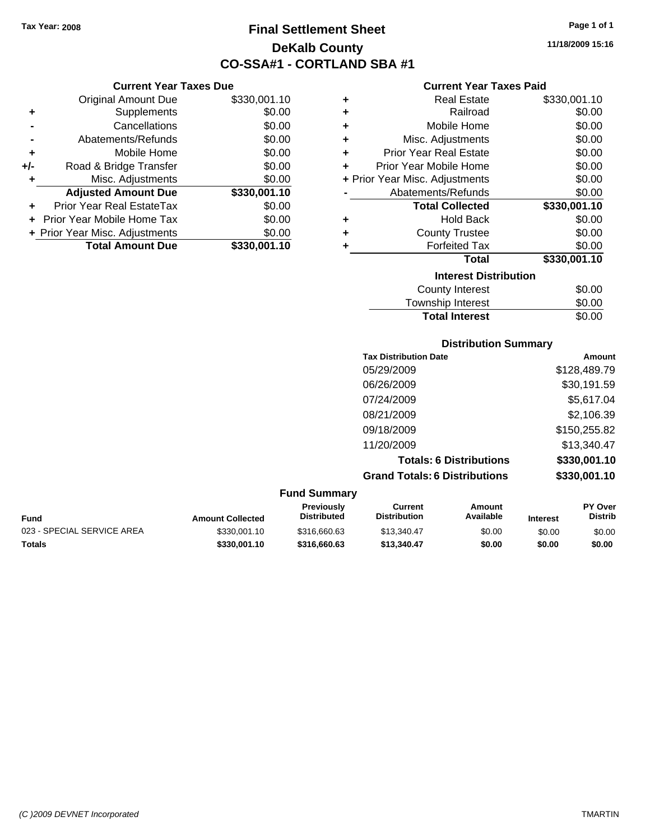**Current Year Taxes Due** Original Amount Due \$330,001.10

**Adjusted Amount Due \$330,001.10**

**Total Amount Due \$330,001.10**

**+** Supplements \$0.00 **-** Cancellations \$0.00 **-** Abatements/Refunds \$0.00 **+** Mobile Home \$0.00 **+/-** Road & Bridge Transfer \$0.00 **+** Misc. Adjustments \$0.00

**+** Prior Year Real EstateTax \$0.00 **+** Prior Year Mobile Home Tax \$0.00 **+ Prior Year Misc. Adjustments**  $$0.00$ 

# **Final Settlement Sheet Tax Year: 2008 Page 1 of 1 DeKalb County CO-SSA#1 - CORTLAND SBA #1**

**11/18/2009 15:16**

#### **Current Year Taxes Paid**

| ٠ | <b>Real Estate</b>             | \$330,001.10 |
|---|--------------------------------|--------------|
| ٠ | Railroad                       | \$0.00       |
| ÷ | Mobile Home                    | \$0.00       |
| ÷ | Misc. Adjustments              | \$0.00       |
| ÷ | <b>Prior Year Real Estate</b>  | \$0.00       |
| ٠ | Prior Year Mobile Home         | \$0.00       |
|   | + Prior Year Misc. Adjustments | \$0.00       |
|   | Abatements/Refunds             | \$0.00       |
|   | <b>Total Collected</b>         | \$330,001.10 |
| ٠ | <b>Hold Back</b>               | \$0.00       |
| ٠ | <b>County Trustee</b>          | \$0.00       |
|   | <b>Forfeited Tax</b>           | \$0.00       |
|   | <b>Total</b>                   | \$330,001.10 |
|   | <b>Interest Distribution</b>   |              |
|   | <b>County Interest</b>         | \$0.00       |
|   |                                | m.n.n.n.     |

# Township Interest  $$0.00$ **Total Interest** \$0.00

| <b>Distribution Summary</b>          |              |  |  |  |  |
|--------------------------------------|--------------|--|--|--|--|
| <b>Tax Distribution Date</b>         | Amount       |  |  |  |  |
| 05/29/2009                           | \$128,489.79 |  |  |  |  |
| 06/26/2009                           | \$30,191.59  |  |  |  |  |
| 07/24/2009                           | \$5,617.04   |  |  |  |  |
| 08/21/2009                           | \$2,106.39   |  |  |  |  |
| 09/18/2009                           | \$150,255.82 |  |  |  |  |
| 11/20/2009                           | \$13,340.47  |  |  |  |  |
| <b>Totals: 6 Distributions</b>       | \$330,001.10 |  |  |  |  |
| <b>Grand Totals: 6 Distributions</b> | \$330,001.10 |  |  |  |  |
|                                      |              |  |  |  |  |

#### **Fund Summary Fund Interest Amount Collected Distributed PY Over Distrib Amount Available Current Distribution Previously** 023 - SPECIAL SERVICE AREA  $$330,001.10$   $$316,660.63$   $$13,340.47$   $$0.00$   $$0.00$   $$0.00$

**Totals \$330,001.10 \$316,660.63 \$13,340.47 \$0.00 \$0.00 \$0.00**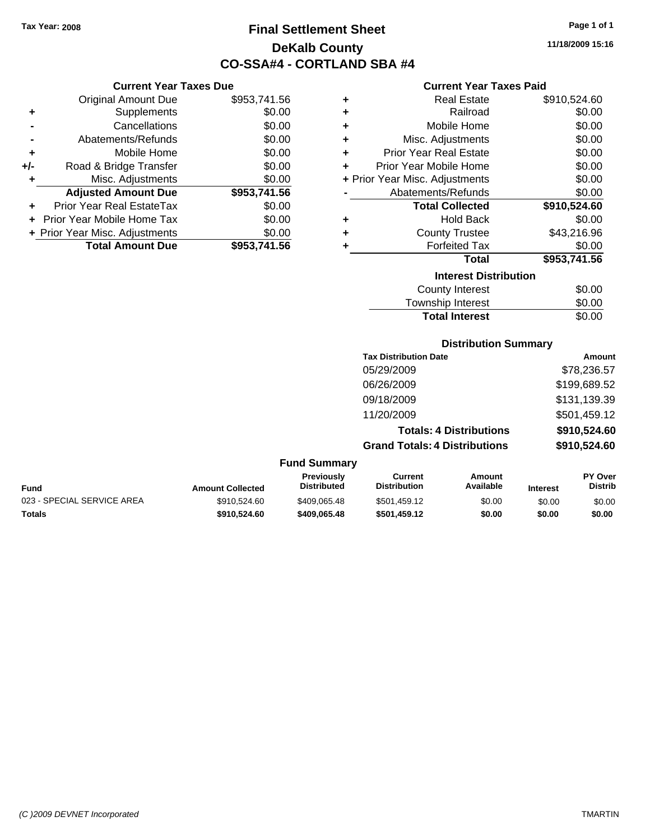**Current Year Taxes Due** Original Amount Due \$953,741.56

**Adjusted Amount Due \$953,741.56**

**Total Amount Due \$953,741.56**

**+** Supplements \$0.00 **-** Cancellations \$0.00 **-** Abatements/Refunds \$0.00 **+** Mobile Home \$0.00 **+/-** Road & Bridge Transfer \$0.00 **+** Misc. Adjustments \$0.00

**+** Prior Year Real EstateTax \$0.00 **+** Prior Year Mobile Home Tax \$0.00 **+ Prior Year Misc. Adjustments**  $$0.00$ 

# **Final Settlement Sheet Tax Year: 2008 Page 1 of 1 DeKalb County CO-SSA#4 - CORTLAND SBA #4**

**11/18/2009 15:16**

#### **Current Year Taxes Paid**

| ٠ | <b>Real Estate</b>             | \$910,524.60 |
|---|--------------------------------|--------------|
| ÷ | Railroad                       | \$0.00       |
| ٠ | Mobile Home                    | \$0.00       |
| ÷ | Misc. Adjustments              | \$0.00       |
| ÷ | <b>Prior Year Real Estate</b>  | \$0.00       |
| ÷ | Prior Year Mobile Home         | \$0.00       |
|   | + Prior Year Misc. Adjustments | \$0.00       |
|   | Abatements/Refunds             | \$0.00       |
|   | <b>Total Collected</b>         | \$910,524.60 |
| ÷ | <b>Hold Back</b>               | \$0.00       |
| ÷ | <b>County Trustee</b>          | \$43,216.96  |
| ÷ | <b>Forfeited Tax</b>           | \$0.00       |
|   | <b>Total</b>                   | \$953,741.56 |
|   | <b>Interest Distribution</b>   |              |
|   | <b>County Interest</b>         | \$0.00       |
|   |                                |              |

| <b>Total Interest</b> | \$0.00 |
|-----------------------|--------|
| Township Interest     | \$0.00 |
| County Interest       | PO.OO  |

#### **Distribution Summary**

| <b>Tax Distribution Date</b>         | Amount       |
|--------------------------------------|--------------|
| 05/29/2009                           | \$78,236.57  |
| 06/26/2009                           | \$199,689.52 |
| 09/18/2009                           | \$131,139.39 |
| 11/20/2009                           | \$501,459.12 |
| <b>Totals: 4 Distributions</b>       | \$910,524.60 |
| <b>Grand Totals: 4 Distributions</b> | \$910,524.60 |

| Fund                       | <b>Amount Collected</b> | <b>Previously</b><br><b>Distributed</b> | Current<br><b>Distribution</b> | Amount<br>Available | <b>Interest</b> | <b>PY Over</b><br><b>Distrib</b> |
|----------------------------|-------------------------|-----------------------------------------|--------------------------------|---------------------|-----------------|----------------------------------|
| 023 - SPECIAL SERVICE AREA | \$910,524.60            | \$409,065.48                            | \$501.459.12                   | \$0.00              | \$0.00          | \$0.00                           |
| Totals                     | \$910.524.60            | \$409.065.48                            | \$501.459.12                   | \$0.00              | \$0.00          | \$0.00                           |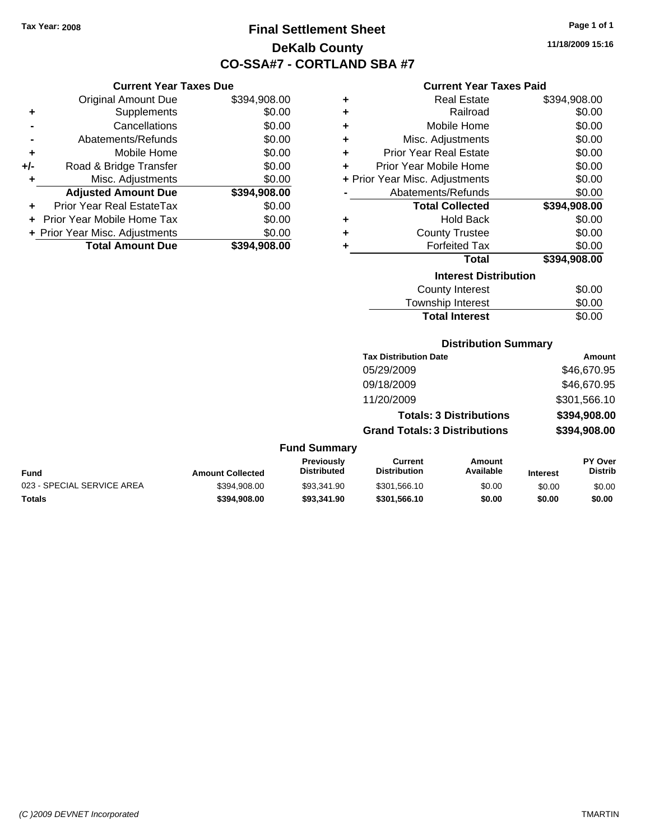**Current Year Taxes Due** Original Amount Due \$394,908.00

**Adjusted Amount Due \$394,908.00**

**Total Amount Due \$394,908.00**

**+** Supplements \$0.00 **-** Cancellations \$0.00 **-** Abatements/Refunds \$0.00 **+** Mobile Home \$0.00 **+/-** Road & Bridge Transfer \$0.00 **+** Misc. Adjustments \$0.00

**+** Prior Year Real EstateTax \$0.00 **+** Prior Year Mobile Home Tax \$0.00 **+ Prior Year Misc. Adjustments**  $$0.00$ 

# **Final Settlement Sheet Tax Year: 2008 Page 1 of 1 DeKalb County CO-SSA#7 - CORTLAND SBA #7**

**11/18/2009 15:16**

#### **Current Year Taxes Paid**

| ٠ | <b>Real Estate</b>             | \$394,908.00 |
|---|--------------------------------|--------------|
| ٠ | Railroad                       | \$0.00       |
| ÷ | Mobile Home                    | \$0.00       |
| ÷ | Misc. Adjustments              | \$0.00       |
| ٠ | <b>Prior Year Real Estate</b>  | \$0.00       |
| ٠ | Prior Year Mobile Home         | \$0.00       |
|   | + Prior Year Misc. Adjustments | \$0.00       |
|   | Abatements/Refunds             | \$0.00       |
|   | <b>Total Collected</b>         | \$394,908.00 |
| ٠ | <b>Hold Back</b>               | \$0.00       |
| ٠ | <b>County Trustee</b>          | \$0.00       |
| ٠ | <b>Forfeited Tax</b>           | \$0.00       |
|   | <b>Total</b>                   | \$394,908.00 |
|   | <b>Interest Distribution</b>   |              |
|   | <b>County Interest</b>         | \$0.00       |
|   |                                |              |

| <b>Township Interest</b> | \$0.00 |
|--------------------------|--------|
| <b>Total Interest</b>    | \$0.00 |

#### **Distribution Summary**

| <b>Tax Distribution Date</b>         | Amount       |
|--------------------------------------|--------------|
| 05/29/2009                           | \$46,670.95  |
| 09/18/2009                           | \$46,670.95  |
| 11/20/2009                           | \$301,566.10 |
| <b>Totals: 3 Distributions</b>       | \$394,908.00 |
| <b>Grand Totals: 3 Distributions</b> | \$394,908.00 |

| <b>Fund</b>                | <b>Amount Collected</b> | <b>Previously</b><br><b>Distributed</b> | Current<br><b>Distribution</b> | Amount<br>Available | <b>Interest</b> | <b>PY Over</b><br><b>Distrib</b> |
|----------------------------|-------------------------|-----------------------------------------|--------------------------------|---------------------|-----------------|----------------------------------|
| 023 - SPECIAL SERVICE AREA | \$394.908.00            | \$93.341.90                             | \$301.566.10                   | \$0.00              | \$0.00          | \$0.00                           |
| Totals                     | \$394.908.00            | \$93,341.90                             | \$301.566.10                   | \$0.00              | \$0.00          | \$0.00                           |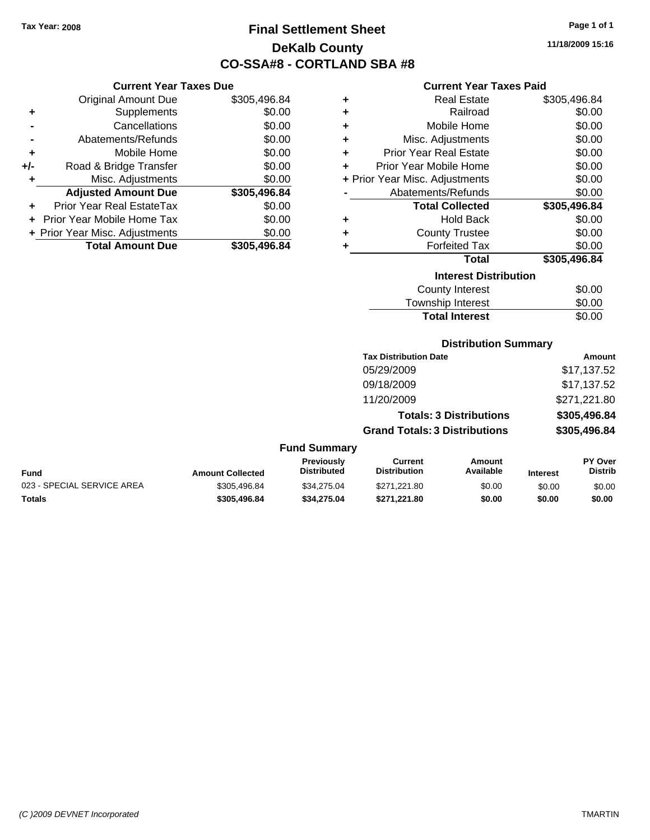# **Final Settlement Sheet Tax Year: 2008 Page 1 of 1 DeKalb County CO-SSA#8 - CORTLAND SBA #8**

**11/18/2009 15:16**

#### **Current Year Taxes Paid**

|     | <b>Current Year Taxes Due</b>  |              |     |
|-----|--------------------------------|--------------|-----|
|     | <b>Original Amount Due</b>     | \$305,496.84 |     |
|     | Supplements                    | \$0.00       |     |
|     | Cancellations                  | \$0.00       |     |
|     | Abatements/Refunds             | \$0.00       |     |
|     | Mobile Home                    | \$0.00       |     |
| +/- | Road & Bridge Transfer         | \$0.00       |     |
|     | Misc. Adjustments              | \$0.00       | + P |
|     | <b>Adjusted Amount Due</b>     | \$305,496.84 |     |
|     | Prior Year Real EstateTax      | \$0.00       |     |
|     | Prior Year Mobile Home Tax     | \$0.00       |     |
|     | + Prior Year Misc. Adjustments | \$0.00       |     |
|     | <b>Total Amount Due</b>        | \$305,496.84 |     |
|     |                                |              |     |

| ٠ | <b>Real Estate</b>             | \$305,496.84 |
|---|--------------------------------|--------------|
| ÷ | Railroad                       | \$0.00       |
| ٠ | Mobile Home                    | \$0.00       |
| ÷ | Misc. Adjustments              | \$0.00       |
| ÷ | <b>Prior Year Real Estate</b>  | \$0.00       |
| ÷ | Prior Year Mobile Home         | \$0.00       |
|   | + Prior Year Misc. Adjustments | \$0.00       |
|   | Abatements/Refunds             | \$0.00       |
|   | <b>Total Collected</b>         | \$305,496.84 |
| ٠ | <b>Hold Back</b>               | \$0.00       |
|   |                                |              |
| ÷ | <b>County Trustee</b>          | \$0.00       |
| ٠ | <b>Forfeited Tax</b>           | \$0.00       |
|   | <b>Total</b>                   | \$305,496.84 |
|   | <b>Interest Distribution</b>   |              |
|   | <b>County Interest</b>         | \$0.00       |

## Township Interest 50.00<br>Total Interest \$0.00 **Total Interest**

### **Distribution Summary**

| <b>Tax Distribution Date</b>         | Amount       |
|--------------------------------------|--------------|
| 05/29/2009                           | \$17,137.52  |
| 09/18/2009                           | \$17,137.52  |
| 11/20/2009                           | \$271,221.80 |
| <b>Totals: 3 Distributions</b>       | \$305,496.84 |
| <b>Grand Totals: 3 Distributions</b> | \$305,496.84 |
|                                      |              |

|                            |                         | <b>Previously</b>  | Current             | Amount    |                 | <b>PY Over</b> |
|----------------------------|-------------------------|--------------------|---------------------|-----------|-----------------|----------------|
| <b>Fund</b>                | <b>Amount Collected</b> | <b>Distributed</b> | <b>Distribution</b> | Available | <b>Interest</b> | Distrib        |
| 023 - SPECIAL SERVICE AREA | \$305.496.84            | \$34.275.04        | \$271.221.80        | \$0.00    | \$0.00          | \$0.00         |
| <b>Totals</b>              | \$305.496.84            | \$34.275.04        | \$271.221.80        | \$0.00    | \$0.00          | \$0.00         |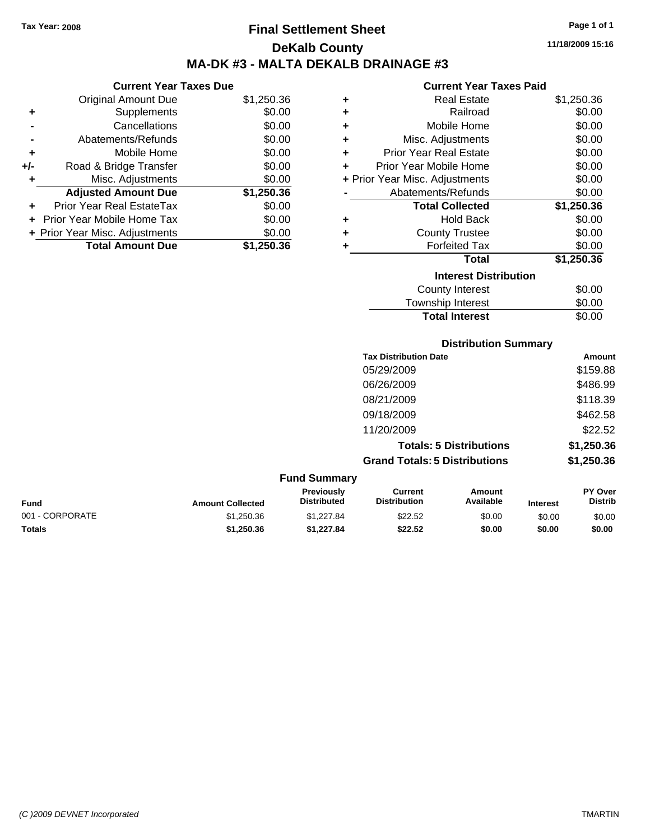# **Final Settlement Sheet Tax Year: 2008 Page 1 of 1 DeKalb County MA-DK #3 - MALTA DEKALB DRAINAGE #3**

|     | <b>Current Year Taxes Due</b>  |            |
|-----|--------------------------------|------------|
|     | <b>Original Amount Due</b>     | \$1,250.36 |
|     | Supplements                    | \$0.00     |
|     | Cancellations                  | \$0.00     |
|     | Abatements/Refunds             | \$0.00     |
| ٠   | Mobile Home                    | \$0.00     |
| +/- | Road & Bridge Transfer         | \$0.00     |
|     | Misc. Adjustments              | \$0.00     |
|     | <b>Adjusted Amount Due</b>     | \$1,250.36 |
|     | Prior Year Real EstateTax      | \$0.00     |
|     | Prior Year Mobile Home Tax     | \$0.00     |
|     | + Prior Year Misc. Adjustments | \$0.00     |
|     | <b>Total Amount Due</b>        | \$1.250.36 |

| <b>Current Year Taxes Paid</b> |                                |            |  |  |
|--------------------------------|--------------------------------|------------|--|--|
|                                |                                |            |  |  |
| ÷                              | <b>Real Estate</b>             | \$1,250.36 |  |  |
| ÷                              | Railroad                       | \$0.00     |  |  |
| ÷                              | Mobile Home                    | \$0.00     |  |  |
| ÷                              | Misc. Adjustments              | \$0.00     |  |  |
| ٠                              | <b>Prior Year Real Estate</b>  | \$0.00     |  |  |
| ÷                              | Prior Year Mobile Home         | \$0.00     |  |  |
|                                | + Prior Year Misc. Adjustments | \$0.00     |  |  |
|                                | Abatements/Refunds             | \$0.00     |  |  |
|                                | <b>Total Collected</b>         | \$1,250.36 |  |  |
| ٠                              | <b>Hold Back</b>               | \$0.00     |  |  |
| ÷                              | <b>County Trustee</b>          | \$0.00     |  |  |
| ٠                              | <b>Forfeited Tax</b>           | \$0.00     |  |  |
|                                | Total                          | \$1,250.36 |  |  |
|                                | <b>Interest Distribution</b>   |            |  |  |
|                                | County Interest                | \$0.00     |  |  |
|                                |                                |            |  |  |

| <b>Total Interest</b> | \$0.00 |
|-----------------------|--------|
| OUGHTY THIUTUOL       | vv.vv  |
| Township Interest     | \$0.00 |

### **Distribution Summary**

| <b>Tax Distribution Date</b>         | Amount     |
|--------------------------------------|------------|
| 05/29/2009                           | \$159.88   |
| 06/26/2009                           | \$486.99   |
| 08/21/2009                           | \$118.39   |
| 09/18/2009                           | \$462.58   |
| 11/20/2009                           | \$22.52    |
| <b>Totals: 5 Distributions</b>       | \$1,250.36 |
| <b>Grand Totals: 5 Distributions</b> | \$1,250.36 |
|                                      |            |

| <b>Fund Summary</b> |                         |                                         |                                |                     |                 |                                  |
|---------------------|-------------------------|-----------------------------------------|--------------------------------|---------------------|-----------------|----------------------------------|
| Fund                | <b>Amount Collected</b> | <b>Previously</b><br><b>Distributed</b> | Current<br><b>Distribution</b> | Amount<br>Available | <b>Interest</b> | <b>PY Over</b><br><b>Distrib</b> |
| 001 - CORPORATE     | \$1,250.36              | \$1.227.84                              | \$22.52                        | \$0.00              | \$0.00          | \$0.00                           |
| Totals              | \$1,250,36              | \$1.227.84                              | \$22.52                        | \$0.00              | \$0.00          | \$0.00                           |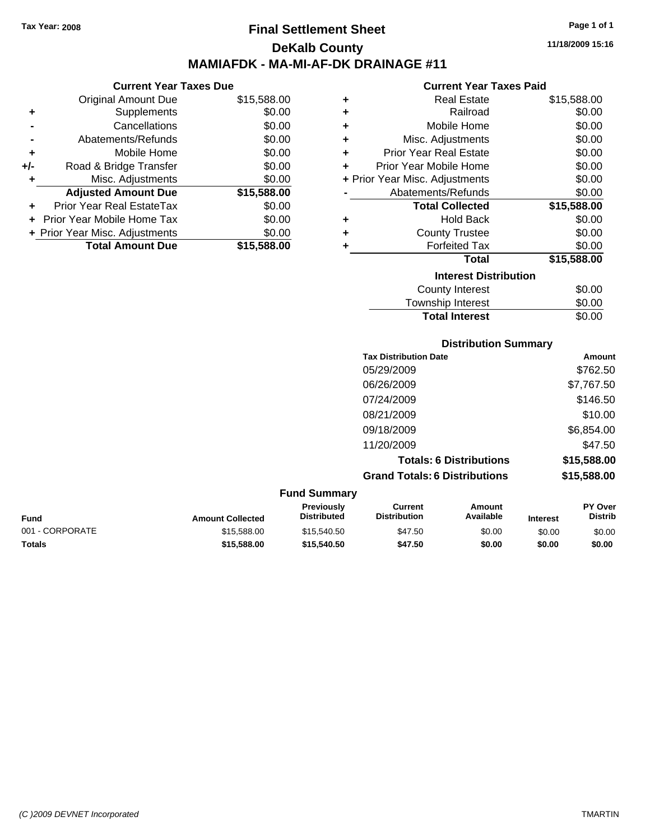**Current Year Taxes Due** Original Amount Due \$15,588.00

**Adjusted Amount Due \$15,588.00**

**Total Amount Due \$15,588.00**

**+** Supplements \$0.00 **-** Cancellations \$0.00 **-** Abatements/Refunds \$0.00 **+** Mobile Home \$0.00 **+/-** Road & Bridge Transfer \$0.00 **+** Misc. Adjustments \$0.00

**+** Prior Year Real EstateTax \$0.00 **+** Prior Year Mobile Home Tax \$0.00 **+ Prior Year Misc. Adjustments**  $$0.00$ 

## **Final Settlement Sheet Tax Year: 2008 Page 1 of 1 DeKalb County MAMIAFDK - MA-MI-AF-DK DRAINAGE #11**

**11/18/2009 15:16**

#### **Current Year Taxes Paid**

| ٠ | <b>Real Estate</b>             | \$15,588.00 |
|---|--------------------------------|-------------|
| ٠ | Railroad                       | \$0.00      |
| ÷ | Mobile Home                    | \$0.00      |
| ÷ | Misc. Adjustments              | \$0.00      |
| ÷ | <b>Prior Year Real Estate</b>  | \$0.00      |
| ÷ | Prior Year Mobile Home         | \$0.00      |
|   | + Prior Year Misc. Adjustments | \$0.00      |
|   | Abatements/Refunds             | \$0.00      |
|   | <b>Total Collected</b>         | \$15,588.00 |
| ٠ | <b>Hold Back</b>               | \$0.00      |
| ٠ | <b>County Trustee</b>          | \$0.00      |
| ٠ | <b>Forfeited Tax</b>           | \$0.00      |
|   | Total                          | \$15,588.00 |
|   | <b>Interest Distribution</b>   |             |
|   | <b>County Interest</b>         | \$0.00      |
|   | Township Interact              | ድስ ሰሰ       |

# Township Interest  $$0.00$ Total Interest \$0.00

#### **Distribution Summary**

| <b>Tax Distribution Date</b>         | Amount      |
|--------------------------------------|-------------|
| 05/29/2009                           | \$762.50    |
| 06/26/2009                           | \$7,767.50  |
| 07/24/2009                           | \$146.50    |
| 08/21/2009                           | \$10.00     |
| 09/18/2009                           | \$6,854.00  |
| 11/20/2009                           | \$47.50     |
| <b>Totals: 6 Distributions</b>       | \$15,588.00 |
| <b>Grand Totals: 6 Distributions</b> | \$15,588.00 |

#### **Fund Summary Fund Interest Amount Collected Distributed PY Over Distrib Amount Available Current Distribution Previously** 001 - CORPORATE \$15,588.00 \$15,540.50 \$47.50 \$0.00 \$0.00 \$0.00 **Totals \$15,588.00 \$15,540.50 \$47.50 \$0.00 \$0.00 \$0.00**

#### *(C )2009 DEVNET Incorporated* TMARTIN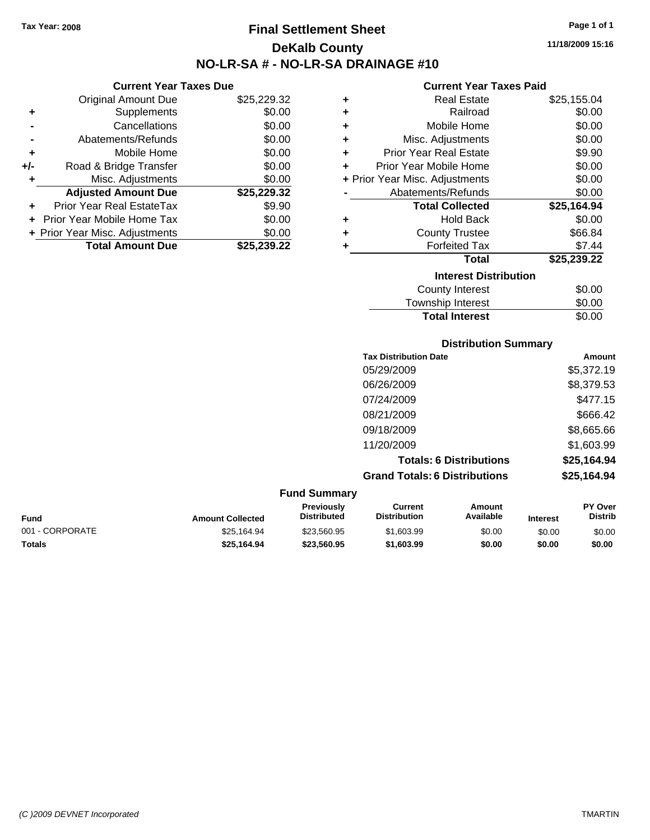**Current Year Taxes Due** Original Amount Due \$25,229.32

**Adjusted Amount Due \$25,229.32**

**Total Amount Due \$25,239.22**

**+** Supplements \$0.00 **-** Cancellations \$0.00 **-** Abatements/Refunds \$0.00 **+** Mobile Home \$0.00 **+/-** Road & Bridge Transfer \$0.00 **+** Misc. Adjustments \$0.00

**+** Prior Year Real EstateTax \$9.90 **+** Prior Year Mobile Home Tax \$0.00 **+ Prior Year Misc. Adjustments**  $$0.00$ 

# **Final Settlement Sheet Tax Year: 2008 Page 1 of 1 DeKalb County NO-LR-SA # - NO-LR-SA DRAINAGE #10**

**11/18/2009 15:16**

#### **Current Year Taxes Paid**

|   | Сипент геаг талез гаю          |             |
|---|--------------------------------|-------------|
| ٠ | Real Estate                    | \$25,155.04 |
| ÷ | Railroad                       | \$0.00      |
| ÷ | Mobile Home                    | \$0.00      |
| ÷ | Misc. Adjustments              | \$0.00      |
| ÷ | <b>Prior Year Real Estate</b>  | \$9.90      |
| ÷ | Prior Year Mobile Home         | \$0.00      |
|   | + Prior Year Misc. Adjustments | \$0.00      |
|   | Abatements/Refunds             | \$0.00      |
|   | <b>Total Collected</b>         | \$25,164.94 |
| ٠ | <b>Hold Back</b>               | \$0.00      |
| ٠ | <b>County Trustee</b>          | \$66.84     |
| ٠ | <b>Forfeited Tax</b>           | \$7.44      |
|   | <b>Total</b>                   | \$25,239.22 |
|   |                                |             |
|   | <b>Interest Distribution</b>   |             |
|   | <b>County Interest</b>         | \$0.00      |

# **Distribution Summary** Township Interest  $$0.00$ Total Interest \$0.00

| <b>Tax Distribution Date</b>         | Amount      |
|--------------------------------------|-------------|
| 05/29/2009                           | \$5,372.19  |
| 06/26/2009                           | \$8,379.53  |
| 07/24/2009                           | \$477.15    |
| 08/21/2009                           | \$666.42    |
| 09/18/2009                           | \$8,665.66  |
| 11/20/2009                           | \$1,603.99  |
| <b>Totals: 6 Distributions</b>       | \$25,164.94 |
| <b>Grand Totals: 6 Distributions</b> | \$25,164.94 |

#### **Fund Summary Fund Interest Amount Collected Distributed PY Over Distrib Amount Available Current Distribution Previously** 001 - CORPORATE \$25,164.94 \$23,560.95 \$1,603.99 \$0.00 \$0.00 \$0.00 **Totals \$25,164.94 \$23,560.95 \$1,603.99 \$0.00 \$0.00 \$0.00**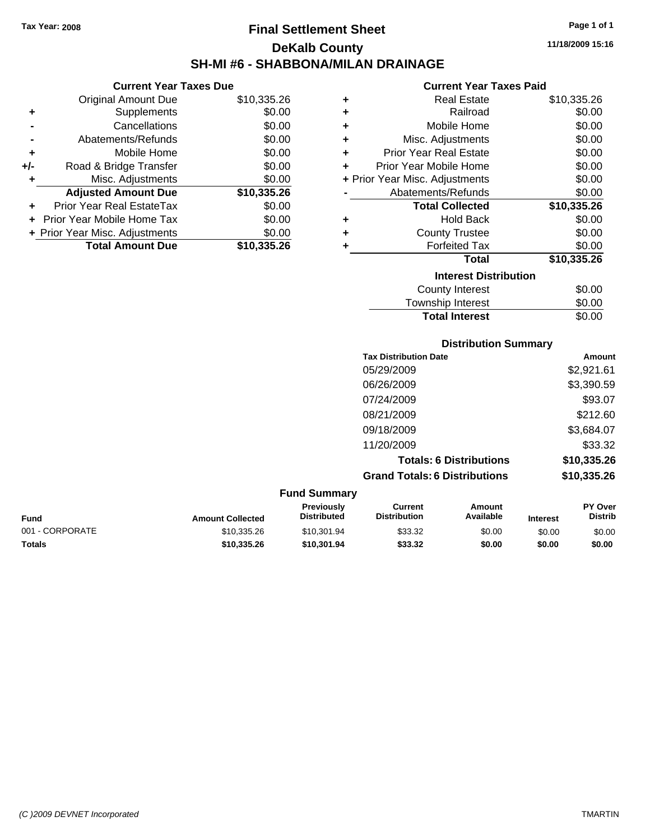**Current Year Taxes Due** Original Amount Due \$10,335.26

**Adjusted Amount Due \$10,335.26**

**Total Amount Due \$10,335.26**

**+** Supplements \$0.00 **-** Cancellations \$0.00 **-** Abatements/Refunds \$0.00 **+** Mobile Home \$0.00 **+/-** Road & Bridge Transfer \$0.00 **+** Misc. Adjustments \$0.00

**+** Prior Year Real EstateTax \$0.00 **+** Prior Year Mobile Home Tax \$0.00 **+ Prior Year Misc. Adjustments**  $$0.00$ 

# **Final Settlement Sheet Tax Year: 2008 Page 1 of 1 DeKalb County SH-MI #6 - SHABBONA/MILAN DRAINAGE**

**11/18/2009 15:16**

#### **Current Year Taxes Paid**

| ٠ | <b>Real Estate</b>             | \$10,335.26 |
|---|--------------------------------|-------------|
| ÷ | Railroad                       | \$0.00      |
| ÷ | Mobile Home                    | \$0.00      |
| ÷ | Misc. Adjustments              | \$0.00      |
| ÷ | <b>Prior Year Real Estate</b>  | \$0.00      |
| ÷ | Prior Year Mobile Home         | \$0.00      |
|   | + Prior Year Misc. Adjustments | \$0.00      |
|   | Abatements/Refunds             | \$0.00      |
|   | <b>Total Collected</b>         | \$10,335.26 |
| ٠ | <b>Hold Back</b>               | \$0.00      |
| ٠ | <b>County Trustee</b>          | \$0.00      |
| ٠ | <b>Forfeited Tax</b>           | \$0.00      |
|   | Total                          | \$10,335.26 |
|   | <b>Interest Distribution</b>   |             |
|   | County Interest                | \$0.00      |
|   | Townshin Interest              | SO 00       |

| <b>Township Interest</b>     | \$0.00 |
|------------------------------|--------|
| <b>Total Interest</b>        | \$0.00 |
| <b>Distribution Summary</b>  |        |
| <b>Tax Distribution Date</b> | Amount |
|                              |        |

| 05/29/2009                           | \$2,921.61  |
|--------------------------------------|-------------|
| 06/26/2009                           | \$3,390.59  |
| 07/24/2009                           | \$93.07     |
| 08/21/2009                           | \$212.60    |
| 09/18/2009                           | \$3,684.07  |
| 11/20/2009                           | \$33.32     |
| <b>Totals: 6 Distributions</b>       | \$10,335.26 |
| <b>Grand Totals: 6 Distributions</b> | \$10,335.26 |

|                 |                         | <b>Fund Summary</b>                     |                                |                     |                 |                                  |
|-----------------|-------------------------|-----------------------------------------|--------------------------------|---------------------|-----------------|----------------------------------|
| <b>Fund</b>     | <b>Amount Collected</b> | <b>Previously</b><br><b>Distributed</b> | Current<br><b>Distribution</b> | Amount<br>Available | <b>Interest</b> | <b>PY Over</b><br><b>Distrib</b> |
| 001 - CORPORATE | \$10,335.26             | \$10,301.94                             | \$33.32                        | \$0.00              | \$0.00          | \$0.00                           |
| <b>Totals</b>   | \$10,335,26             | \$10,301.94                             | \$33.32                        | \$0.00              | \$0.00          | \$0.00                           |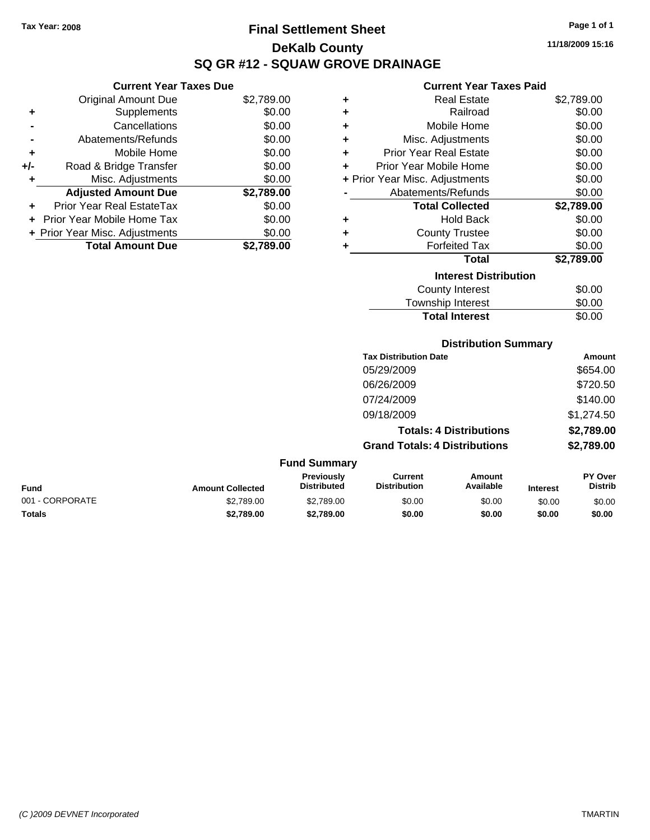**+/-** Road & Bridge

# **Final Settlement Sheet Tax Year: 2008 Page 1 of 1 DeKalb County SQ GR #12 - SQUAW GROVE DRAINAGE**

**11/18/2009 15:16**

### **Current Year Taxes Paid**

| <b>Current Yo</b>           |   |            | <b>Current Year Taxes Due</b>  |    |
|-----------------------------|---|------------|--------------------------------|----|
| <b>Real Est</b>             | ٠ | \$2,789.00 | Original Amount Due            |    |
| Railro                      | ٠ | \$0.00     | Supplements                    | ÷  |
| Mobile Ho                   | ÷ | \$0.00     | Cancellations                  |    |
| Misc. Adjustme              | ÷ | \$0.00     | Abatements/Refunds             |    |
| <b>Prior Year Real Est</b>  | ÷ | \$0.00     | Mobile Home                    | ÷  |
| Prior Year Mobile Ho        | ٠ | \$0.00     | Road & Bridge Transfer         | I- |
| + Prior Year Misc. Adjustme |   | \$0.00     | Misc. Adjustments              | ÷  |
| Abatements/Reful            |   | \$2,789.00 | <b>Adjusted Amount Due</b>     |    |
| <b>Total Collec</b>         |   | \$0.00     | Prior Year Real EstateTax      | ÷  |
| Hold B                      | ٠ | \$0.00     | + Prior Year Mobile Home Tax   |    |
| <b>County Trus</b>          | ٠ | \$0.00     | + Prior Year Misc. Adjustments |    |
| Forfeited                   |   | \$2,789.00 | <b>Total Amount Due</b>        |    |
| Тο                          |   |            |                                |    |
|                             |   |            |                                |    |

|   | <b>Real Estate</b>             | \$2,789.00 |
|---|--------------------------------|------------|
|   | Railroad                       | \$0.00     |
| ÷ | Mobile Home                    | \$0.00     |
| ٠ | Misc. Adjustments              | \$0.00     |
| ٠ | <b>Prior Year Real Estate</b>  | \$0.00     |
| ÷ | Prior Year Mobile Home         | \$0.00     |
|   | + Prior Year Misc. Adjustments | \$0.00     |
|   | Abatements/Refunds             | \$0.00     |
|   | <b>Total Collected</b>         | \$2,789.00 |
| ٠ | Hold Back                      | \$0.00     |
| ٠ | <b>County Trustee</b>          | \$0.00     |
|   | <b>Forfeited Tax</b>           | \$0.00     |
|   | Total                          | \$2,789.00 |
|   | <b>Interest Distribution</b>   |            |
|   | <b>County Interest</b>         | \$0.00     |

| <b>Total Interest</b> | \$0.00 |
|-----------------------|--------|
| Township Interest     | \$0.00 |
| <b>OUTHY THIGLEST</b> | vv.vv  |

#### **Distribution Summary**

| <b>Tax Distribution Date</b>         | Amount     |
|--------------------------------------|------------|
| 05/29/2009                           | \$654.00   |
| 06/26/2009                           | \$720.50   |
| 07/24/2009                           | \$140.00   |
| 09/18/2009                           | \$1,274.50 |
| <b>Totals: 4 Distributions</b>       | \$2,789.00 |
| <b>Grand Totals: 4 Distributions</b> | \$2,789.00 |

| <b>Fund Summary</b> |                         |                                         |                                |                     |                 |                                  |
|---------------------|-------------------------|-----------------------------------------|--------------------------------|---------------------|-----------------|----------------------------------|
| <b>Fund</b>         | <b>Amount Collected</b> | <b>Previously</b><br><b>Distributed</b> | Current<br><b>Distribution</b> | Amount<br>Available | <b>Interest</b> | <b>PY Over</b><br><b>Distrib</b> |
| 001 - CORPORATE     | \$2,789.00              | \$2,789.00                              | \$0.00                         | \$0.00              | \$0.00          | \$0.00                           |
| <b>Totals</b>       | \$2,789.00              | \$2,789.00                              | \$0.00                         | \$0.00              | \$0.00          | \$0.00                           |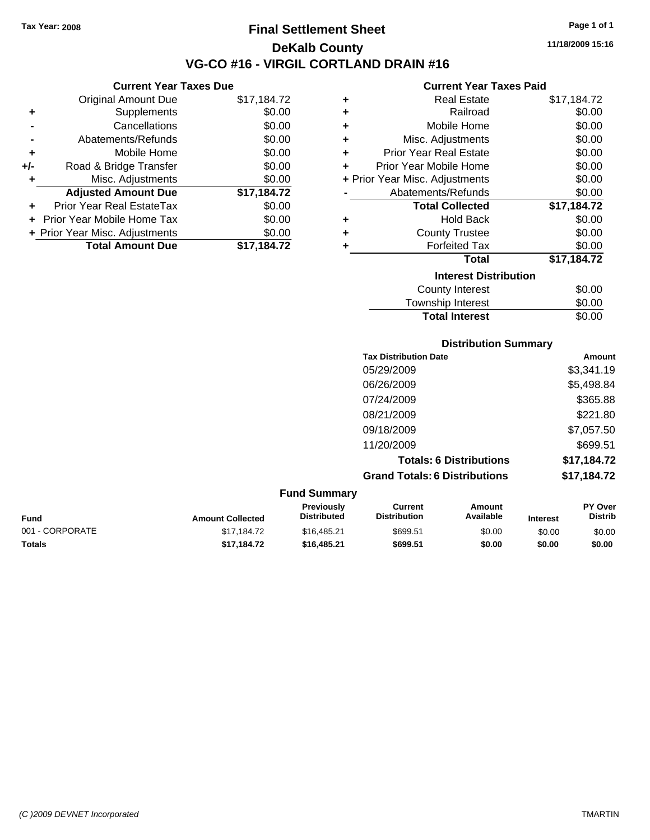**Current Year Taxes Due** Original Amount Due \$17,184.72

**Adjusted Amount Due \$17,184.72**

**Total Amount Due \$17,184.72**

**+** Supplements \$0.00 **-** Cancellations \$0.00 **-** Abatements/Refunds \$0.00 **+** Mobile Home \$0.00 **+/-** Road & Bridge Transfer \$0.00 **+** Misc. Adjustments \$0.00

**+** Prior Year Real EstateTax \$0.00 **+** Prior Year Mobile Home Tax \$0.00 **+ Prior Year Misc. Adjustments**  $$0.00$ 

## **Final Settlement Sheet Tax Year: 2008 Page 1 of 1 DeKalb County VG-CO #16 - VIRGIL CORTLAND DRAIN #16**

**11/18/2009 15:16**

#### **Current Year Taxes Paid**

|   | 911 - 1941 - 1970 - 1981       |             |
|---|--------------------------------|-------------|
| ٠ | <b>Real Estate</b>             | \$17,184.72 |
| ÷ | Railroad                       | \$0.00      |
| ÷ | Mobile Home                    | \$0.00      |
| ÷ | Misc. Adjustments              | \$0.00      |
| ÷ | <b>Prior Year Real Estate</b>  | \$0.00      |
| ÷ | Prior Year Mobile Home         | \$0.00      |
|   | + Prior Year Misc. Adjustments | \$0.00      |
|   | Abatements/Refunds             | \$0.00      |
|   | <b>Total Collected</b>         | \$17,184.72 |
| ٠ | <b>Hold Back</b>               | \$0.00      |
| ÷ | <b>County Trustee</b>          | \$0.00      |
| ٠ | <b>Forfeited Tax</b>           | \$0.00      |
|   | <b>Total</b>                   | \$17,184.72 |
|   | <b>Interest Distribution</b>   |             |
|   | County Interest                | \$0.00      |
|   | Township Interest              | \$0.00      |

# Township Interest  $$0.00$ Total Interest \$0.00

**Distribution Summary**

| <b>PISUINGUOLI OGIIIIIIGI V</b>      |             |  |  |
|--------------------------------------|-------------|--|--|
| <b>Tax Distribution Date</b>         | Amount      |  |  |
| 05/29/2009                           | \$3,341.19  |  |  |
| 06/26/2009                           | \$5,498.84  |  |  |
| 07/24/2009                           | \$365.88    |  |  |
| 08/21/2009                           | \$221.80    |  |  |
| 09/18/2009                           | \$7,057.50  |  |  |
| 11/20/2009                           | \$699.51    |  |  |
| <b>Totals: 6 Distributions</b>       | \$17,184.72 |  |  |
| <b>Grand Totals: 6 Distributions</b> | \$17,184.72 |  |  |

#### **Fund Summary Fund Interest Amount Collected Distributed PY Over Distrib Amount Available Current Distribution Previously** 001 - CORPORATE \$17,184.72 \$16,485.21 \$699.51 \$0.00 \$0.00 \$0.00 **Totals \$17,184.72 \$16,485.21 \$699.51 \$0.00 \$0.00 \$0.00**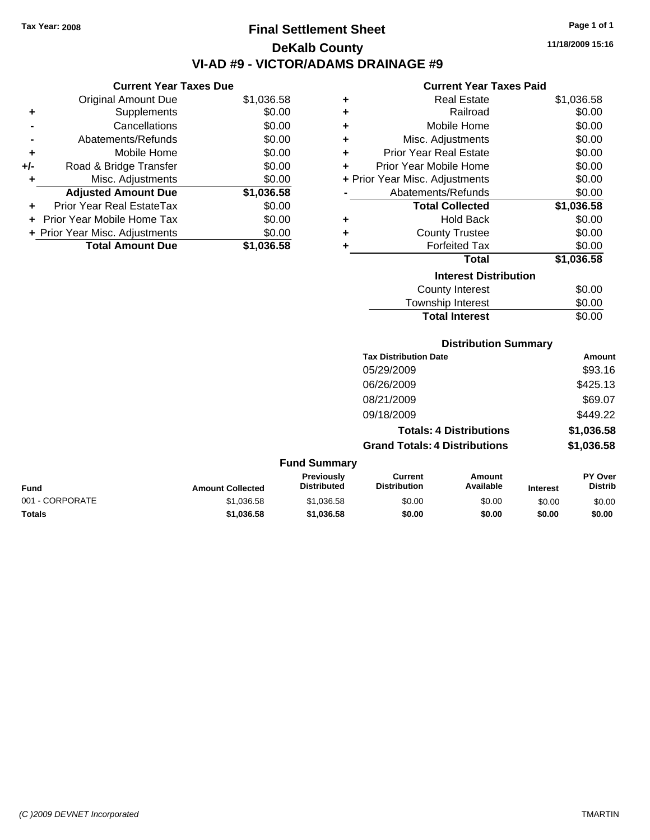**Current Year Taxes Due** Original Amount Due \$1,036.58

**Adjusted Amount Due \$1,036.58**

**Total Amount Due \$1,036.58**

**+** Supplements \$0.00 **-** Cancellations \$0.00 **-** Abatements/Refunds \$0.00 **+** Mobile Home \$0.00 **+/-** Road & Bridge Transfer \$0.00 **+** Misc. Adjustments \$0.00

**+** Prior Year Real EstateTax \$0.00 **+** Prior Year Mobile Home Tax \$0.00 **+ Prior Year Misc. Adjustments**  $$0.00$ 

# **Final Settlement Sheet Tax Year: 2008 Page 1 of 1 DeKalb County VI-AD #9 - VICTOR/ADAMS DRAINAGE #9**

**11/18/2009 15:16**

#### **Current Year Taxes Paid**

| ٠ | <b>Real Estate</b>             | \$1,036.58 |
|---|--------------------------------|------------|
| ٠ | Railroad                       | \$0.00     |
| ٠ | Mobile Home                    | \$0.00     |
| ٠ | Misc. Adjustments              | \$0.00     |
| ٠ | <b>Prior Year Real Estate</b>  | \$0.00     |
| ÷ | Prior Year Mobile Home         | \$0.00     |
|   | + Prior Year Misc. Adjustments | \$0.00     |
|   | Abatements/Refunds             | \$0.00     |
|   | <b>Total Collected</b>         | \$1,036.58 |
| ٠ | <b>Hold Back</b>               | \$0.00     |
| ÷ | <b>County Trustee</b>          | \$0.00     |
| ٠ | <b>Forfeited Tax</b>           | \$0.00     |
|   | Total                          | \$1,036.58 |
|   | <b>Interest Distribution</b>   |            |
|   | <b>County Interest</b>         | \$0.00     |
|   | Townshin Interest              | ደበ በበ      |

| <b>Total Interest</b> | \$0.00 |
|-----------------------|--------|
| Township Interest     | \$0.00 |
| County Interest       | \$0.00 |

#### **Distribution Summary**

| <b>Tax Distribution Date</b>         | Amount     |
|--------------------------------------|------------|
| 05/29/2009                           | \$93.16    |
| 06/26/2009                           | \$425.13   |
| 08/21/2009                           | \$69.07    |
| 09/18/2009                           | \$449.22   |
| <b>Totals: 4 Distributions</b>       | \$1,036.58 |
| <b>Grand Totals: 4 Distributions</b> | \$1,036.58 |

| <b>Fund Summary</b> |                         |                                         |                                |                     |                 |                                  |
|---------------------|-------------------------|-----------------------------------------|--------------------------------|---------------------|-----------------|----------------------------------|
| <b>Fund</b>         | <b>Amount Collected</b> | <b>Previously</b><br><b>Distributed</b> | Current<br><b>Distribution</b> | Amount<br>Available | <b>Interest</b> | <b>PY Over</b><br><b>Distrib</b> |
| 001 - CORPORATE     | \$1,036.58              | \$1.036.58                              | \$0.00                         | \$0.00              | \$0.00          | \$0.00                           |
| <b>Totals</b>       | \$1,036.58              | \$1.036.58                              | \$0.00                         | \$0.00              | \$0.00          | \$0.00                           |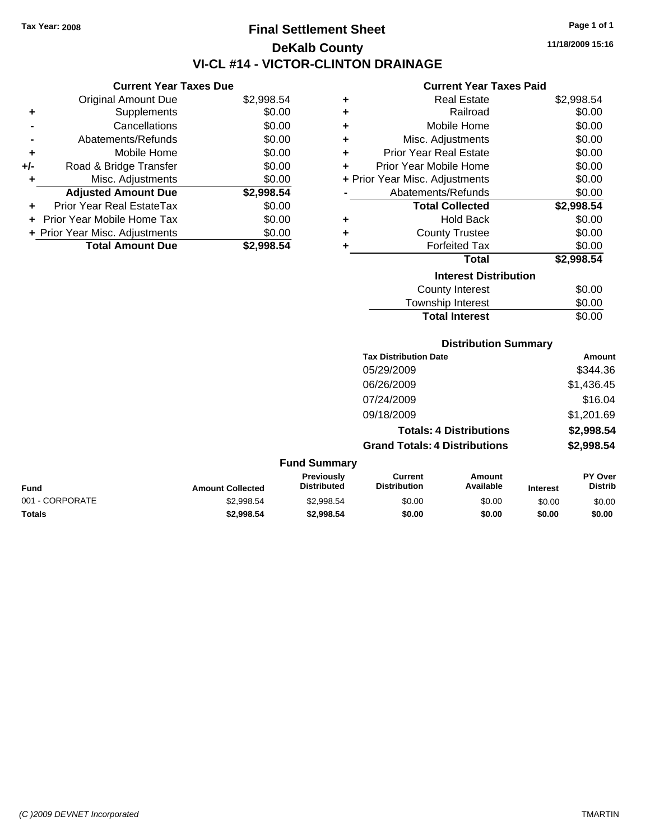**Current Year Taxes Due** Original Amount Due \$2,998.54

**Adjusted Amount Due \$2,998.54**

**Total Amount Due \$2,998.54**

**+** Supplements \$0.00 **-** Cancellations \$0.00 **-** Abatements/Refunds \$0.00 **+** Mobile Home \$0.00 **+/-** Road & Bridge Transfer \$0.00 **+** Misc. Adjustments \$0.00

**+** Prior Year Real EstateTax \$0.00 **+** Prior Year Mobile Home Tax \$0.00 **+ Prior Year Misc. Adjustments**  $$0.00$ 

# **Final Settlement Sheet Tax Year: 2008 Page 1 of 1 DeKalb County VI-CL #14 - VICTOR-CLINTON DRAINAGE**

**11/18/2009 15:16**

#### **Current Year Taxes Paid**

| ٠ | <b>Real Estate</b>             | \$2,998.54 |
|---|--------------------------------|------------|
| ٠ | Railroad                       | \$0.00     |
| ÷ | Mobile Home                    | \$0.00     |
| ÷ | Misc. Adjustments              | \$0.00     |
| ٠ | <b>Prior Year Real Estate</b>  | \$0.00     |
| ٠ | Prior Year Mobile Home         | \$0.00     |
|   | + Prior Year Misc. Adjustments | \$0.00     |
|   | Abatements/Refunds             | \$0.00     |
|   | <b>Total Collected</b>         | \$2,998.54 |
| ٠ | <b>Hold Back</b>               | \$0.00     |
| ٠ | <b>County Trustee</b>          | \$0.00     |
|   | <b>Forfeited Tax</b>           | \$0.00     |
|   | <b>Total</b>                   | \$2,998.54 |
|   | <b>Interest Distribution</b>   |            |
|   | <b>County Interest</b>         | \$0.00     |
|   | Townshin Interest              | ፍሰ ሰበ      |

| <b>Total Interest</b>  | \$0.00 |
|------------------------|--------|
| Township Interest      | \$0.00 |
| <b>County Interest</b> | \$0.00 |

#### **Distribution Summary**

| <b>Tax Distribution Date</b>         | Amount     |
|--------------------------------------|------------|
| 05/29/2009                           | \$344.36   |
| 06/26/2009                           | \$1,436.45 |
| 07/24/2009                           | \$16.04    |
| 09/18/2009                           | \$1,201.69 |
| <b>Totals: 4 Distributions</b>       | \$2,998.54 |
| <b>Grand Totals: 4 Distributions</b> | \$2,998.54 |
|                                      |            |

| <b>Fund Summary</b> |                         |                                  |                                |                     |                 |                           |
|---------------------|-------------------------|----------------------------------|--------------------------------|---------------------|-----------------|---------------------------|
| <b>Fund</b>         | <b>Amount Collected</b> | Previously<br><b>Distributed</b> | Current<br><b>Distribution</b> | Amount<br>Available | <b>Interest</b> | PY Over<br><b>Distrib</b> |
| 001 - CORPORATE     | \$2,998.54              | \$2.998.54                       | \$0.00                         | \$0.00              | \$0.00          | \$0.00                    |
| Totals              | \$2,998.54              | \$2,998.54                       | \$0.00                         | \$0.00              | \$0.00          | \$0.00                    |